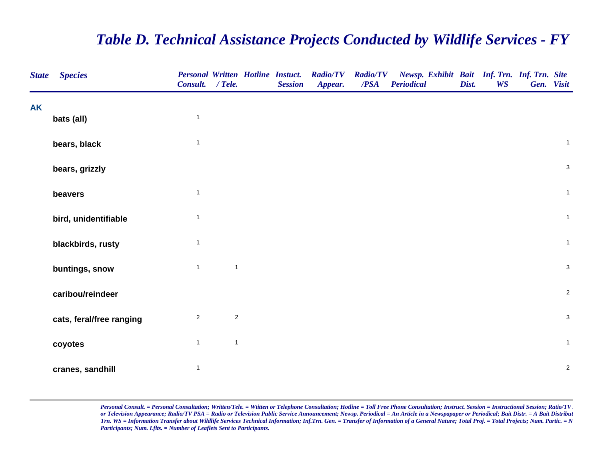## *Table D. Technical Assistance Projects Conducted by Wildlife Services - FY*

| <b>State</b> | <b>Species</b>           | Consult. / Tele. |              | <b>Personal Written Hotline Instuct.</b><br><b>Session</b> | <b>Radio/TV</b><br>Appear. | $\overline{PSA}$ | Radio/TV Newsp. Exhibit Bait Inf. Trn. Inf. Trn. Site<br><b>Periodical</b> | Dist. | <b>WS</b> | Gen. Visit     |
|--------------|--------------------------|------------------|--------------|------------------------------------------------------------|----------------------------|------------------|----------------------------------------------------------------------------|-------|-----------|----------------|
| <b>AK</b>    |                          | $\mathbf{1}$     |              |                                                            |                            |                  |                                                                            |       |           |                |
|              | bats (all)               |                  |              |                                                            |                            |                  |                                                                            |       |           |                |
|              | bears, black             | $\overline{1}$   |              |                                                            |                            |                  |                                                                            |       |           | $\mathbf 1$    |
|              | bears, grizzly           |                  |              |                                                            |                            |                  |                                                                            |       |           | $\mathbf{3}$   |
|              | beavers                  | $\overline{1}$   |              |                                                            |                            |                  |                                                                            |       |           | $\mathbf{1}$   |
|              | bird, unidentifiable     | $\overline{1}$   |              |                                                            |                            |                  |                                                                            |       |           | $\mathbf{1}$   |
|              | blackbirds, rusty        | $\overline{1}$   |              |                                                            |                            |                  |                                                                            |       |           | $\mathbf{1}$   |
|              | buntings, snow           | $\overline{1}$   | $\mathbf{1}$ |                                                            |                            |                  |                                                                            |       |           | $\mathbf{3}$   |
|              | caribou/reindeer         |                  |              |                                                            |                            |                  |                                                                            |       |           | $\overline{2}$ |
|              | cats, feral/free ranging | $\overline{2}$   | $\sqrt{2}$   |                                                            |                            |                  |                                                                            |       |           | $\mathbf{3}$   |
|              | coyotes                  | $\mathbf{1}$     | $\mathbf{1}$ |                                                            |                            |                  |                                                                            |       |           | $\mathbf{1}$   |
|              | cranes, sandhill         | $\mathbf{1}$     |              |                                                            |                            |                  |                                                                            |       |           | $\overline{2}$ |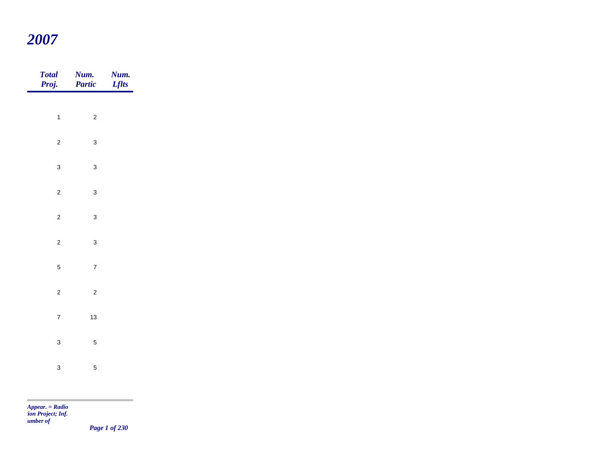## *2007*

| Total<br>Proj.   | Num.<br>Partic   | <b>Num.</b><br>Lflts |
|------------------|------------------|----------------------|
|                  |                  |                      |
| $\mathbf{1}$     | $\sqrt{2}$       |                      |
| $\overline{c}$   | $\mathbf{3}$     |                      |
| $\mathbf{3}$     | $\mathbf{3}$     |                      |
| $\overline{2}$   | $\mathbf{3}$     |                      |
| $\overline{a}$   | $\mathbf{3}$     |                      |
| $\overline{c}$   | $\mathbf{3}$     |                      |
| $\overline{5}$   | $\boldsymbol{7}$ |                      |
| $\overline{c}$   | $\sqrt{2}$       |                      |
|                  |                  |                      |
| $\boldsymbol{7}$ | $13\,$           |                      |
| $\mathbf{3}$     | $\sqrt{5}$       |                      |
| $\mathbf{3}$     | $\sqrt{5}$       |                      |
|                  |                  |                      |

*Appear. = Radio tion Project; Inf. Number of* 

m.

*Page 1 of 230*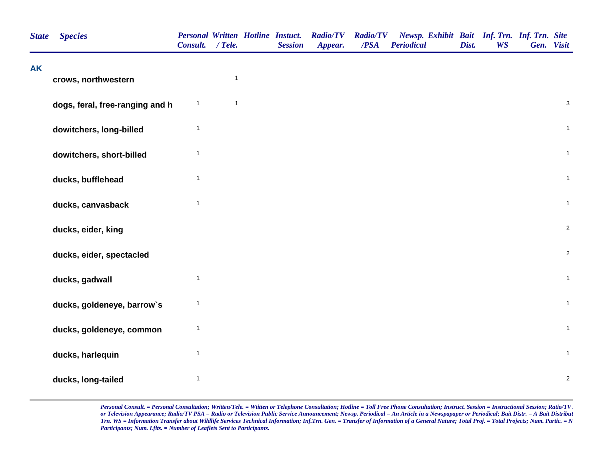| <b>State</b> | <b>Species</b>                  | <b>Personal Written Hotline Instuct.</b><br>Consult. / Tele. |              | <b>Session</b> | <b>Radio/TV</b><br>Appear. | <b>Radio/TV</b><br>/PSA | Newsp. Exhibit Bait Inf. Trn. Inf. Trn. Site<br><b>Periodical</b> | Dist. | <b>WS</b> | Gen. Visit |                |
|--------------|---------------------------------|--------------------------------------------------------------|--------------|----------------|----------------------------|-------------------------|-------------------------------------------------------------------|-------|-----------|------------|----------------|
| <b>AK</b>    | crows, northwestern             |                                                              | $\mathbf{1}$ |                |                            |                         |                                                                   |       |           |            |                |
|              |                                 |                                                              |              |                |                            |                         |                                                                   |       |           |            |                |
|              | dogs, feral, free-ranging and h | $\mathbf{1}$                                                 | $\mathbf{1}$ |                |                            |                         |                                                                   |       |           |            | $\sqrt{3}$     |
|              | dowitchers, long-billed         | $\mathbf{1}$                                                 |              |                |                            |                         |                                                                   |       |           |            | $\mathbf{1}$   |
|              | dowitchers, short-billed        | $\mathbf{1}$                                                 |              |                |                            |                         |                                                                   |       |           |            | $\mathbf{1}$   |
|              | ducks, bufflehead               | $\mathbf{1}$                                                 |              |                |                            |                         |                                                                   |       |           |            | $\mathbf{1}$   |
|              | ducks, canvasback               | $\mathbf{1}$                                                 |              |                |                            |                         |                                                                   |       |           |            | $\mathbf{1}$   |
|              | ducks, eider, king              |                                                              |              |                |                            |                         |                                                                   |       |           |            | $\sqrt{2}$     |
|              | ducks, eider, spectacled        |                                                              |              |                |                            |                         |                                                                   |       |           |            | $\overline{2}$ |
|              | ducks, gadwall                  | $\mathbf{1}$                                                 |              |                |                            |                         |                                                                   |       |           |            | $\mathbf 1$    |
|              | ducks, goldeneye, barrow's      | 1                                                            |              |                |                            |                         |                                                                   |       |           |            | $\mathbf{1}$   |
|              | ducks, goldeneye, common        | $\mathbf{1}$                                                 |              |                |                            |                         |                                                                   |       |           |            | $\mathbf{1}$   |
|              | ducks, harlequin                | $\mathbf{1}$                                                 |              |                |                            |                         |                                                                   |       |           |            | $\mathbf{1}$   |
|              | ducks, long-tailed              | $\mathbf{1}$                                                 |              |                |                            |                         |                                                                   |       |           |            | $\sqrt{2}$     |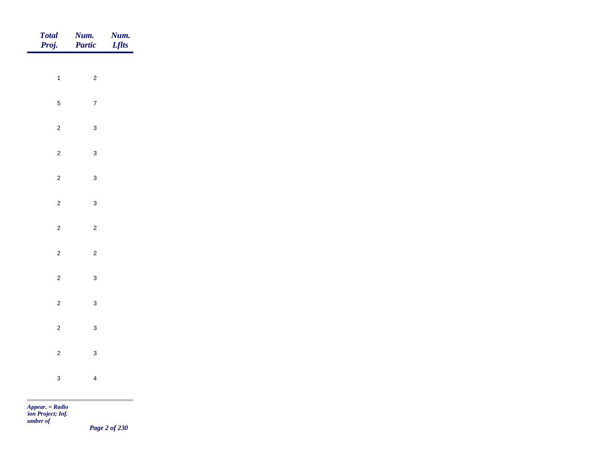| Total<br>Proj. | Num.<br>Partic | Num.<br><b>Lflts</b> |
|----------------|----------------|----------------------|
|                |                |                      |
| $\overline{1}$ | $\overline{c}$ |                      |
| $5\phantom{a}$ | $\overline{7}$ |                      |
| $\overline{c}$ | $\mathbf{3}$   |                      |
| $\overline{2}$ | $\mathbf{3}$   |                      |
| $\overline{c}$ | $\mathbf{3}$   |                      |
| $\overline{2}$ | $\mathbf{3}$   |                      |
| $\overline{c}$ | $\overline{c}$ |                      |
|                |                |                      |
| $\overline{2}$ | $\overline{c}$ |                      |
| $\overline{c}$ | $\mathbf{3}$   |                      |
| $\overline{2}$ | $\mathbf{3}$   |                      |
| $\overline{c}$ | $\mathbf{3}$   |                      |
| $\overline{2}$ | $\mathbf{3}$   |                      |
| $\mathbf{3}$   | $\overline{4}$ |                      |
|                |                |                      |

*Page 2 of 230*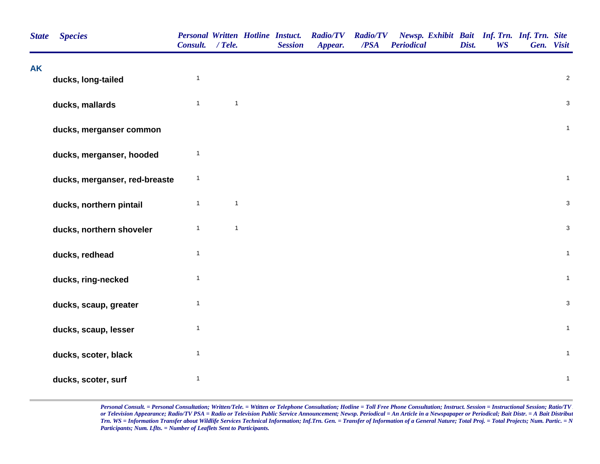| <b>State</b> | <b>Species</b>                | <b>Personal Written Hotline Instuct.</b><br>Consult. / Tele. |              | <b>Session</b> | <b>Radio/TV</b><br>Appear. | <b>Radio/TV</b><br>/PSA | Newsp. Exhibit Bait Inf. Trn. Inf. Trn. Site<br><b>Periodical</b> | Dist. | <b>WS</b> | Gen. Visit |                |
|--------------|-------------------------------|--------------------------------------------------------------|--------------|----------------|----------------------------|-------------------------|-------------------------------------------------------------------|-------|-----------|------------|----------------|
| <b>AK</b>    | ducks, long-tailed            | $\mathbf{1}$                                                 |              |                |                            |                         |                                                                   |       |           |            | $\overline{2}$ |
|              | ducks, mallards               | $\mathbf{1}$                                                 | $\mathbf{1}$ |                |                            |                         |                                                                   |       |           |            | $\mathbf{3}$   |
|              | ducks, merganser common       |                                                              |              |                |                            |                         |                                                                   |       |           |            | $\overline{1}$ |
|              | ducks, merganser, hooded      | $\mathbf{1}$                                                 |              |                |                            |                         |                                                                   |       |           |            |                |
|              | ducks, merganser, red-breaste | $\mathbf{1}$                                                 |              |                |                            |                         |                                                                   |       |           |            | $\mathbf{1}$   |
|              | ducks, northern pintail       | $\mathbf{1}$                                                 | $\mathbf{1}$ |                |                            |                         |                                                                   |       |           |            | $\mathbf{3}$   |
|              | ducks, northern shoveler      | $\mathbf{1}$                                                 | $\mathbf{1}$ |                |                            |                         |                                                                   |       |           |            | $\mathbf{3}$   |
|              | ducks, redhead                | $\mathbf{1}$                                                 |              |                |                            |                         |                                                                   |       |           |            | $\mathbf{1}$   |
|              | ducks, ring-necked            | $\mathbf{1}$                                                 |              |                |                            |                         |                                                                   |       |           |            | $\mathbf 1$    |
|              | ducks, scaup, greater         | $\mathbf{1}$                                                 |              |                |                            |                         |                                                                   |       |           |            | $\mathbf{3}$   |
|              | ducks, scaup, lesser          | $\mathbf{1}$                                                 |              |                |                            |                         |                                                                   |       |           |            | $\mathbf{1}$   |
|              | ducks, scoter, black          | $\mathbf{1}$                                                 |              |                |                            |                         |                                                                   |       |           |            | $\mathbf{1}$   |
|              | ducks, scoter, surf           | $\overline{1}$                                               |              |                |                            |                         |                                                                   |       |           |            | $\mathbf{1}$   |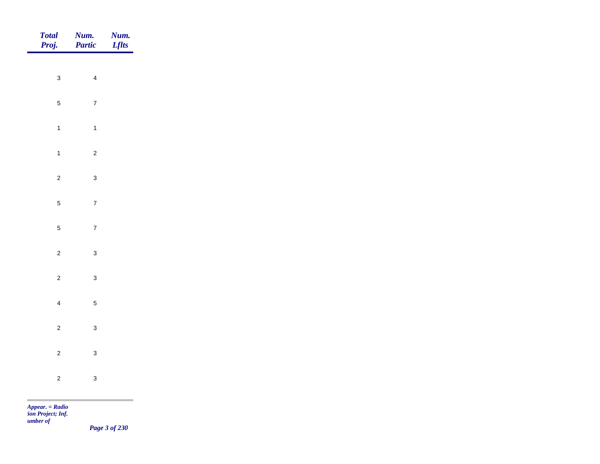| <b>Num.</b><br><b>Partic</b> | <b>Num.</b><br>Lflts                                                                      |
|------------------------------|-------------------------------------------------------------------------------------------|
|                              |                                                                                           |
|                              |                                                                                           |
| $\overline{7}$               |                                                                                           |
| $\overline{1}$               |                                                                                           |
| $\overline{c}$               |                                                                                           |
| $\mathbf{3}$                 |                                                                                           |
| $\boldsymbol{7}$             |                                                                                           |
|                              |                                                                                           |
|                              |                                                                                           |
|                              |                                                                                           |
| $\mathbf{3}$                 |                                                                                           |
| $\sqrt{5}$                   |                                                                                           |
| $\mathbf{3}$                 |                                                                                           |
|                              |                                                                                           |
|                              |                                                                                           |
|                              |                                                                                           |
|                              | $\overline{\mathbf{4}}$<br>$\overline{7}$<br>$\mathbf{3}$<br>$\mathbf{3}$<br>$\mathbf{3}$ |

*Page 3 of 230*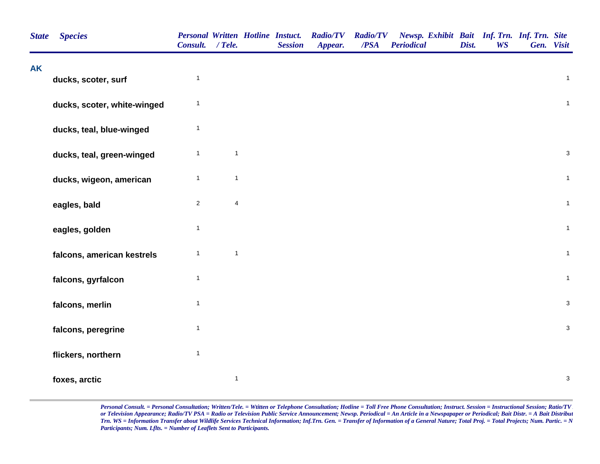| <b>State</b> | <b>Species</b>              | Personal Written Hotline Instuct.<br>Consult. / Tele. |                | <b>Session</b> | <b>Radio/TV</b><br>Appear. | <b>Radio/TV</b><br>/PSA | Newsp. Exhibit Bait Inf. Trn. Inf. Trn. Site<br><b>Periodical</b> | Dist. | <b>WS</b> | Gen. Visit              |
|--------------|-----------------------------|-------------------------------------------------------|----------------|----------------|----------------------------|-------------------------|-------------------------------------------------------------------|-------|-----------|-------------------------|
| <b>AK</b>    | ducks, scoter, surf         | $\mathbf{1}$                                          |                |                |                            |                         |                                                                   |       |           | $\overline{\mathbf{1}}$ |
|              | ducks, scoter, white-winged | $\mathbf{1}$                                          |                |                |                            |                         |                                                                   |       |           | $\mathbf{1}$            |
|              | ducks, teal, blue-winged    | $\mathbf{1}$                                          |                |                |                            |                         |                                                                   |       |           |                         |
|              | ducks, teal, green-winged   | $\mathbf{1}$                                          | $\mathbf{1}$   |                |                            |                         |                                                                   |       |           | $\sqrt{3}$              |
|              | ducks, wigeon, american     | $\mathbf{1}$                                          | $\mathbf{1}$   |                |                            |                         |                                                                   |       |           | $\overline{1}$          |
|              | eagles, bald                | $\mathbf{2}$                                          | $\overline{4}$ |                |                            |                         |                                                                   |       |           | $\overline{1}$          |
|              | eagles, golden              | $\mathbf{1}$                                          |                |                |                            |                         |                                                                   |       |           | $\mathbf{1}$            |
|              | falcons, american kestrels  | $\mathbf{1}$                                          | $\overline{1}$ |                |                            |                         |                                                                   |       |           | $\mathbf{1}$            |
|              | falcons, gyrfalcon          | $\mathbf{1}$                                          |                |                |                            |                         |                                                                   |       |           | $\overline{1}$          |
|              | falcons, merlin             | $\mathbf{1}$                                          |                |                |                            |                         |                                                                   |       |           | $\mathsf 3$             |
|              | falcons, peregrine          | $\mathbf{1}$                                          |                |                |                            |                         |                                                                   |       |           | $\mathsf 3$             |
|              | flickers, northern          | $\mathbf{1}$                                          |                |                |                            |                         |                                                                   |       |           |                         |
|              | foxes, arctic               |                                                       | $\mathbf{1}$   |                |                            |                         |                                                                   |       |           | $\sqrt{3}$              |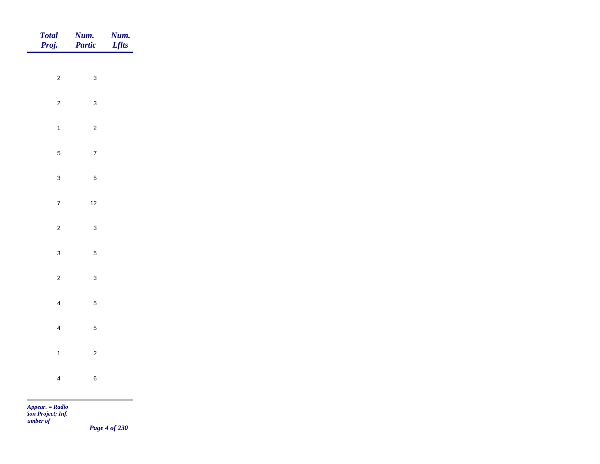| Total<br>Proj.  | <b>Num.</b><br>Partic | <b>Num.</b><br>Lflts |
|-----------------|-----------------------|----------------------|
| $\overline{c}$  | $\mathbf{3}$          |                      |
|                 |                       |                      |
| $\overline{2}$  | $\mathbf{3}$          |                      |
| $\overline{1}$  | $\overline{c}$        |                      |
| $5\phantom{.0}$ | $\overline{7}$        |                      |
| $\mathbf{3}$    | $\sqrt{5}$            |                      |
| $\overline{7}$  | $12$                  |                      |
| $\overline{2}$  | $\mathbf{3}$          |                      |
|                 |                       |                      |
| $\mathbf{3}$    | $\sqrt{5}$            |                      |
| $\overline{2}$  | $\mathbf{3}$          |                      |
| $\overline{4}$  | $\overline{5}$        |                      |
| $\overline{4}$  | $\sqrt{5}$            |                      |
| $\overline{1}$  | $\overline{c}$        |                      |
| $\overline{4}$  | $\,6\,$               |                      |
|                 |                       |                      |

*Page 4 of 230*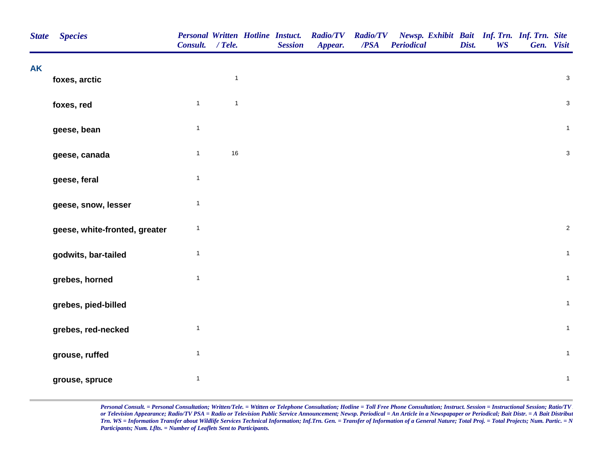| <b>State</b> | <b>Species</b>                | <b>Personal Written Hotline Instuct.</b><br>Consult. / Tele. |                | <b>Session</b> | <b>Radio/TV</b><br>Appear. | <b>Radio/TV</b><br>/PSA | Newsp. Exhibit Bait Inf. Trn. Inf. Trn. Site<br><b>Periodical</b> | Dist. | <b>WS</b> | Gen. Visit   |
|--------------|-------------------------------|--------------------------------------------------------------|----------------|----------------|----------------------------|-------------------------|-------------------------------------------------------------------|-------|-----------|--------------|
| <b>AK</b>    |                               |                                                              | $\mathbf{1}$   |                |                            |                         |                                                                   |       |           | $\mathbf 3$  |
|              | foxes, arctic                 |                                                              |                |                |                            |                         |                                                                   |       |           |              |
|              | foxes, red                    | $\mathbf{1}$                                                 | $\overline{1}$ |                |                            |                         |                                                                   |       |           | $\mathsf 3$  |
|              | geese, bean                   | $\mathbf{1}$                                                 |                |                |                            |                         |                                                                   |       |           | $\mathbf{1}$ |
|              | geese, canada                 | $\mathbf{1}$                                                 | $16\,$         |                |                            |                         |                                                                   |       |           | $\mathbf 3$  |
|              | geese, feral                  | $\mathbf{1}$                                                 |                |                |                            |                         |                                                                   |       |           |              |
|              | geese, snow, lesser           | $\mathbf{1}$                                                 |                |                |                            |                         |                                                                   |       |           |              |
|              | geese, white-fronted, greater | 1                                                            |                |                |                            |                         |                                                                   |       |           | $\sqrt{2}$   |
|              | godwits, bar-tailed           | $\mathbf{1}$                                                 |                |                |                            |                         |                                                                   |       |           | $\mathbf{1}$ |
|              | grebes, horned                | $\mathbf{1}$                                                 |                |                |                            |                         |                                                                   |       |           | $\mathbf{1}$ |
|              | grebes, pied-billed           |                                                              |                |                |                            |                         |                                                                   |       |           | $\mathbf{1}$ |
|              | grebes, red-necked            | $\mathbf{1}$                                                 |                |                |                            |                         |                                                                   |       |           | $\mathbf{1}$ |
|              | grouse, ruffed                | $\mathbf{1}$                                                 |                |                |                            |                         |                                                                   |       |           | $\mathbf{1}$ |
|              | grouse, spruce                | $\mathbf{1}$                                                 |                |                |                            |                         |                                                                   |       |           | $\mathbf{1}$ |
|              |                               |                                                              |                |                |                            |                         |                                                                   |       |           |              |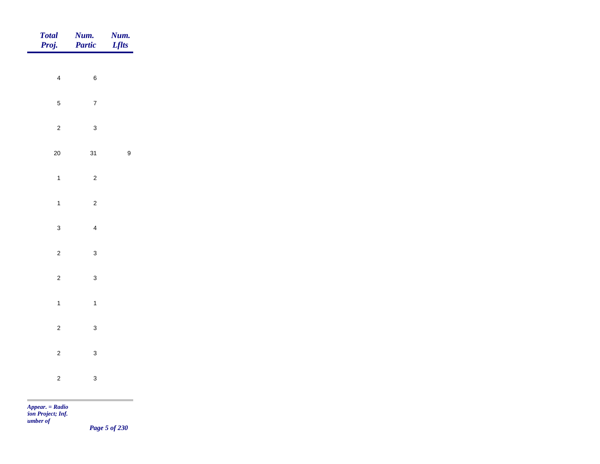| Total<br>Proj.                                                                                                                                                                                                                                                                                                               | <b>Num.</b><br>Partic | <b>Num.</b><br>Lflts |
|------------------------------------------------------------------------------------------------------------------------------------------------------------------------------------------------------------------------------------------------------------------------------------------------------------------------------|-----------------------|----------------------|
| $\overline{4}$                                                                                                                                                                                                                                                                                                               | $\,6\,$               |                      |
| $\overline{5}$                                                                                                                                                                                                                                                                                                               | $\overline{7}$        |                      |
|                                                                                                                                                                                                                                                                                                                              |                       |                      |
| $\overline{c}$                                                                                                                                                                                                                                                                                                               | $\mathbf{3}$          |                      |
| $20\,$                                                                                                                                                                                                                                                                                                                       | 31                    | $\boldsymbol{9}$     |
| $\overline{1}$                                                                                                                                                                                                                                                                                                               | $\overline{c}$        |                      |
| $\overline{1}$                                                                                                                                                                                                                                                                                                               | $\overline{c}$        |                      |
| $\mathbf{3}$                                                                                                                                                                                                                                                                                                                 | $\overline{4}$        |                      |
| $\overline{c}$                                                                                                                                                                                                                                                                                                               | $\mathbf{3}$          |                      |
| $\overline{c}$                                                                                                                                                                                                                                                                                                               | $\mathbf{3}$          |                      |
| $\mathbf{1}$                                                                                                                                                                                                                                                                                                                 | $\overline{1}$        |                      |
| $\overline{c}$                                                                                                                                                                                                                                                                                                               | $\mathbf{3}$          |                      |
|                                                                                                                                                                                                                                                                                                                              |                       |                      |
| $\overline{c}$                                                                                                                                                                                                                                                                                                               | $\mathbf{3}$          |                      |
| $\overline{c}$                                                                                                                                                                                                                                                                                                               | $\mathbf{3}$          |                      |
| <b>Contract Contract</b><br>$\mathbf{A}$ and $\mathbf{B}$ and $\mathbf{B}$ and $\mathbf{B}$ and $\mathbf{B}$ and $\mathbf{B}$ and $\mathbf{B}$ and $\mathbf{B}$ and $\mathbf{B}$ and $\mathbf{B}$ and $\mathbf{B}$ and $\mathbf{B}$ and $\mathbf{B}$ and $\mathbf{B}$ and $\mathbf{B}$ and $\mathbf{B}$ and $\mathbf{B}$ and |                       |                      |

*Page 5 of 230*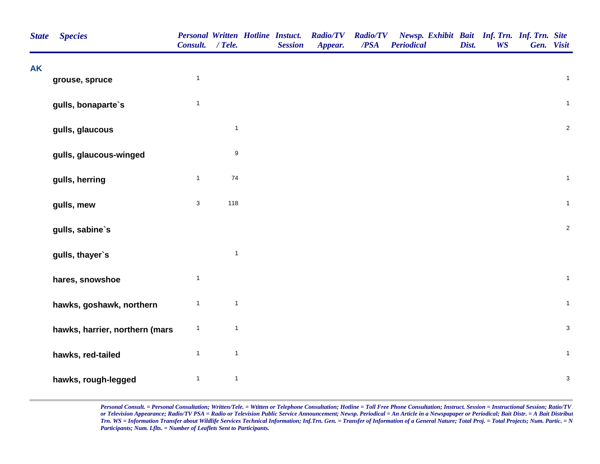| <b>State</b> | <b>Species</b>                 | <b>Personal Written Hotline Instuct.</b><br>Consult. / Tele. |                  | <b>Session</b> | <b>Radio/TV</b><br>Appear. | <b>Radio/TV</b><br>/PSA | Newsp. Exhibit Bait Inf. Trn. Inf. Trn. Site<br><b>Periodical</b> | Dist. | <b>WS</b> | Gen. Visit                |
|--------------|--------------------------------|--------------------------------------------------------------|------------------|----------------|----------------------------|-------------------------|-------------------------------------------------------------------|-------|-----------|---------------------------|
| <b>AK</b>    | grouse, spruce                 | $\mathbf{1}$                                                 |                  |                |                            |                         |                                                                   |       |           | $\mathbf{1}$              |
|              | gulls, bonaparte's             | $\mathbf{1}$                                                 |                  |                |                            |                         |                                                                   |       |           | $\mathbf{1}$              |
|              | gulls, glaucous                |                                                              | $\mathbf{1}$     |                |                            |                         |                                                                   |       |           | $\sqrt{2}$                |
|              | gulls, glaucous-winged         |                                                              | $\boldsymbol{9}$ |                |                            |                         |                                                                   |       |           |                           |
|              | gulls, herring                 | $\mathbf{1}$                                                 | $74\,$           |                |                            |                         |                                                                   |       |           | $\mathbf{1}$              |
|              | gulls, mew                     | $\mathbf{3}$                                                 | 118              |                |                            |                         |                                                                   |       |           | $\mathbf{1}$              |
|              | gulls, sabine's                |                                                              |                  |                |                            |                         |                                                                   |       |           | $\boldsymbol{2}$          |
|              | gulls, thayer's                |                                                              | $\mathbf{1}$     |                |                            |                         |                                                                   |       |           |                           |
|              | hares, snowshoe                | $\mathbf{1}$                                                 |                  |                |                            |                         |                                                                   |       |           | $\mathbf{1}$              |
|              | hawks, goshawk, northern       | $\mathbf{1}$                                                 | $\mathbf{1}$     |                |                            |                         |                                                                   |       |           | $\mathbf{1}$              |
|              | hawks, harrier, northern (mars | $\mathbf{1}$                                                 | $\mathbf{1}$     |                |                            |                         |                                                                   |       |           | $\mathbf{3}$              |
|              | hawks, red-tailed              | $\mathbf{1}$                                                 | $\mathbf{1}$     |                |                            |                         |                                                                   |       |           | $\mathbf{1}$              |
|              | hawks, rough-legged            | $\mathbf{1}$                                                 | $\mathbf{1}$     |                |                            |                         |                                                                   |       |           | $\ensuremath{\mathsf{3}}$ |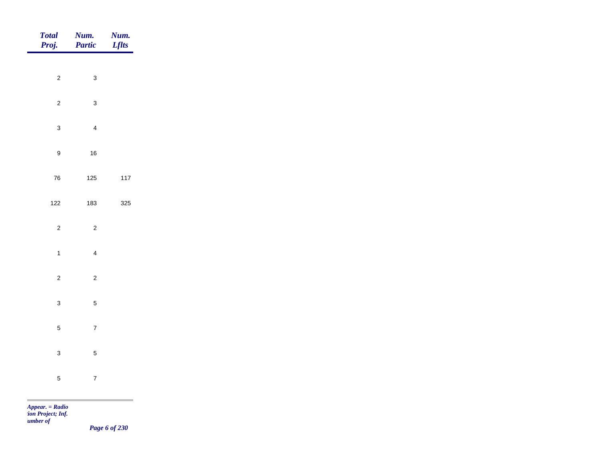| Total<br>Proj.   | <b>Num.</b><br>Partic | <b>Num.</b><br>Lflts |
|------------------|-----------------------|----------------------|
|                  |                       |                      |
| $\overline{c}$   | $\mathbf{3}$          |                      |
| $\overline{c}$   | $\mathbf{3}$          |                      |
| $\mathbf{3}$     | $\overline{4}$        |                      |
| $\boldsymbol{9}$ | $16\,$                |                      |
| ${\bf 76}$       | 125                   | $117$                |
| $122$            | 183                   | 325                  |
|                  |                       |                      |
| $\overline{c}$   | $\overline{2}$        |                      |
| $\mathbf{1}$     | $\overline{4}$        |                      |
| $\overline{2}$   | $\overline{2}$        |                      |
| $\mathbf{3}$     | $\overline{5}$        |                      |
| $\sqrt{5}$       | $\overline{7}$        |                      |
| $\mathbf{3}$     | $\sqrt{5}$            |                      |
|                  |                       |                      |
| $\mathbf 5$      | $\overline{7}$        |                      |

m.

*Page 6 of 230*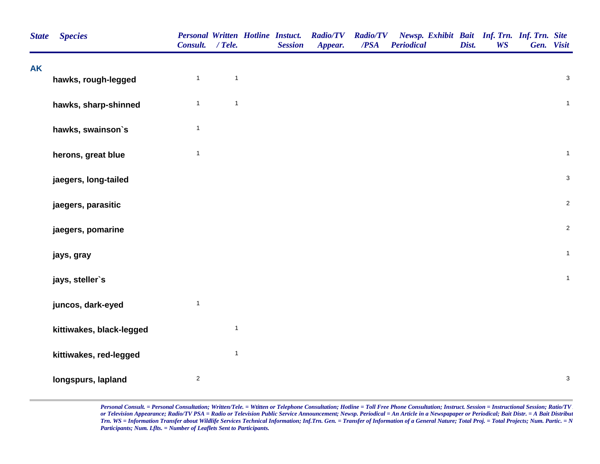| <b>Species</b>           | <b>Consult.</b>     | $/$ Tele.    |              | <b>Session</b> | <b>Radio/TV</b><br>Appear.               | /PSA | <b>Periodical</b> | Dist.           | <b>WS</b> |  |                                                                                                                                                                                                               |
|--------------------------|---------------------|--------------|--------------|----------------|------------------------------------------|------|-------------------|-----------------|-----------|--|---------------------------------------------------------------------------------------------------------------------------------------------------------------------------------------------------------------|
|                          |                     |              |              |                |                                          |      |                   |                 |           |  |                                                                                                                                                                                                               |
|                          |                     |              |              |                |                                          |      |                   |                 |           |  |                                                                                                                                                                                                               |
| hawks, sharp-shinned     | $\mathbf{1}$        | $\mathbf{1}$ |              |                |                                          |      |                   |                 |           |  |                                                                                                                                                                                                               |
| hawks, swainson's        | $\mathbf{1}$        |              |              |                |                                          |      |                   |                 |           |  |                                                                                                                                                                                                               |
| herons, great blue       | $\mathbf{1}$        |              |              |                |                                          |      |                   |                 |           |  |                                                                                                                                                                                                               |
| jaegers, long-tailed     |                     |              |              |                |                                          |      |                   |                 |           |  |                                                                                                                                                                                                               |
| jaegers, parasitic       |                     |              |              |                |                                          |      |                   |                 |           |  |                                                                                                                                                                                                               |
| jaegers, pomarine        |                     |              |              |                |                                          |      |                   |                 |           |  |                                                                                                                                                                                                               |
| jays, gray               |                     |              |              |                |                                          |      |                   |                 |           |  |                                                                                                                                                                                                               |
| jays, steller's          |                     |              |              |                |                                          |      |                   |                 |           |  |                                                                                                                                                                                                               |
| juncos, dark-eyed        | $\mathbf{1}$        |              |              |                |                                          |      |                   |                 |           |  |                                                                                                                                                                                                               |
| kittiwakes, black-legged |                     | $\mathbf{1}$ |              |                |                                          |      |                   |                 |           |  |                                                                                                                                                                                                               |
| kittiwakes, red-legged   |                     | $\mathbf{1}$ |              |                |                                          |      |                   |                 |           |  |                                                                                                                                                                                                               |
| longspurs, lapland       | $\sqrt{2}$          |              |              |                |                                          |      |                   |                 |           |  |                                                                                                                                                                                                               |
|                          | hawks, rough-legged | $\mathbf{1}$ | $\mathbf{1}$ |                | <b>Personal Written Hotline Instuct.</b> |      |                   | <b>Radio/TV</b> |           |  | Newsp. Exhibit Bait Inf. Trn. Inf. Trn. Site<br>Gen. Visit<br>$\mathbf{3}$<br>$\mathbf{1}$<br>$\mathbf{1}$<br>$\mathbf{3}$<br>$\overline{2}$<br>$\overline{a}$<br>$\mathbf{1}$<br>$\mathbf{1}$<br>$\mathsf 3$ |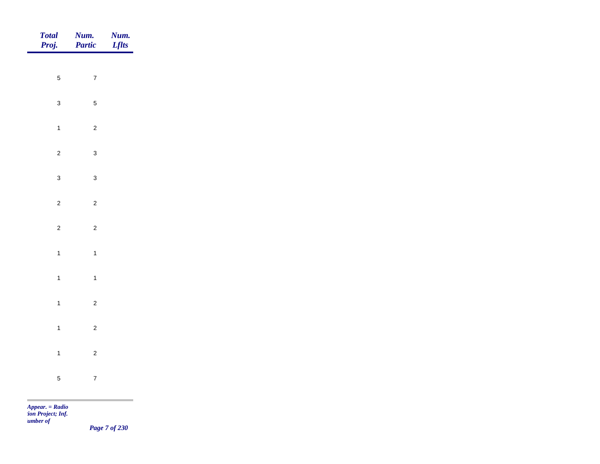| Total<br>Proj. | Num.<br>Partic | <b>Num.</b><br>Lflts |
|----------------|----------------|----------------------|
| $\overline{5}$ | $\overline{7}$ |                      |
|                |                |                      |
| $\mathbf{3}$   | $\overline{5}$ |                      |
| $\overline{1}$ | $\overline{c}$ |                      |
| $\overline{2}$ | $\mathbf{3}$   |                      |
| $\mathbf{3}$   | $\mathbf{3}$   |                      |
| $\overline{a}$ | $\overline{c}$ |                      |
| $\overline{2}$ | $\overline{c}$ |                      |
|                |                |                      |
| $\mathbf{1}$   | $\overline{1}$ |                      |
| $\overline{1}$ | $\overline{1}$ |                      |
| $\mathbf{1}$   | $\overline{c}$ |                      |
| $\mathbf{1}$   | $\overline{c}$ |                      |
| $\mathbf{1}$   | $\overline{c}$ |                      |
| $\sqrt{5}$     | $\overline{7}$ |                      |
|                |                |                      |

*Page 7 of 230*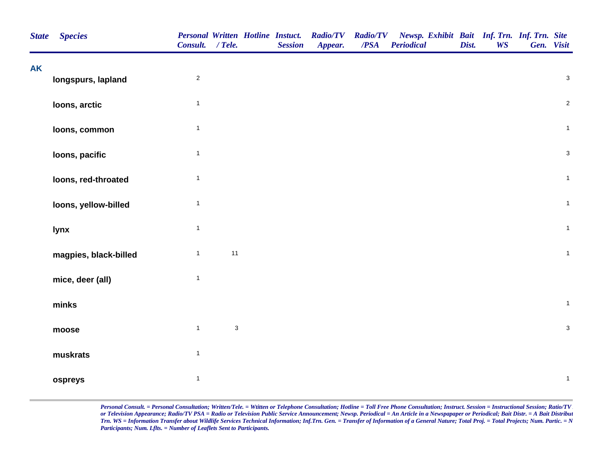| <b>State</b> | <b>Species</b>        | Consult. / Tele. |                           | <b>Personal Written Hotline Instuct.</b><br><b>Session</b> | <b>Radio/TV</b><br>Appear. | <b>Radio/TV</b><br>/PSA | Newsp. Exhibit Bait Inf. Trn. Inf. Trn. Site<br><b>Periodical</b> | Dist. | <b>WS</b> | Gen. Visit     |  |
|--------------|-----------------------|------------------|---------------------------|------------------------------------------------------------|----------------------------|-------------------------|-------------------------------------------------------------------|-------|-----------|----------------|--|
| <b>AK</b>    | longspurs, lapland    | $\overline{2}$   |                           |                                                            |                            |                         |                                                                   |       |           | $\mathbf{3}$   |  |
|              | loons, arctic         | $\mathbf{1}$     |                           |                                                            |                            |                         |                                                                   |       |           | $\overline{2}$ |  |
|              | loons, common         | $\mathbf{1}$     |                           |                                                            |                            |                         |                                                                   |       |           | $\mathbf{1}$   |  |
|              | loons, pacific        | $\mathbf{1}$     |                           |                                                            |                            |                         |                                                                   |       |           | $\mathbf{3}$   |  |
|              | loons, red-throated   | $\mathbf{1}$     |                           |                                                            |                            |                         |                                                                   |       |           | $\mathbf{1}$   |  |
|              | loons, yellow-billed  | $\mathbf{1}$     |                           |                                                            |                            |                         |                                                                   |       |           | $\mathbf{1}$   |  |
|              | lynx                  | $\mathbf{1}$     |                           |                                                            |                            |                         |                                                                   |       |           | $\mathbf{1}$   |  |
|              | magpies, black-billed | $\mathbf{1}$     | 11                        |                                                            |                            |                         |                                                                   |       |           | $\mathbf{1}$   |  |
|              | mice, deer (all)      | $\mathbf{1}$     |                           |                                                            |                            |                         |                                                                   |       |           |                |  |
|              | minks                 |                  |                           |                                                            |                            |                         |                                                                   |       |           | $\mathbf{1}$   |  |
|              | moose                 | $\mathbf{1}$     | $\ensuremath{\mathsf{3}}$ |                                                            |                            |                         |                                                                   |       |           | $\mathbf{3}$   |  |
|              | muskrats              | $\mathbf{1}$     |                           |                                                            |                            |                         |                                                                   |       |           |                |  |
|              | ospreys               | $\mathbf{1}$     |                           |                                                            |                            |                         |                                                                   |       |           | $\mathbf{1}$   |  |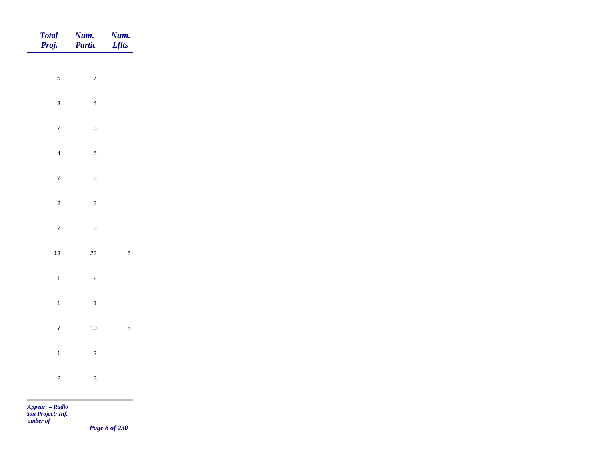| Total<br>Proj. | <b>Num.</b><br><b>Partic</b> | <b>Num.</b><br>Lflts |
|----------------|------------------------------|----------------------|
|                |                              |                      |
| $\overline{5}$ | $\overline{7}$               |                      |
| $\mathbf{3}$   | $\overline{4}$               |                      |
| $\overline{2}$ | $\mathbf{3}$                 |                      |
| $\overline{4}$ | $\overline{5}$               |                      |
| $\overline{2}$ | $\mathbf{3}$                 |                      |
| $\overline{2}$ | $\mathbf{3}$                 |                      |
| $\overline{2}$ | $\mathbf{3}$                 |                      |
|                |                              |                      |
| $13$           | $23\,$                       | $\overline{5}$       |
| $\mathbf{1}$   | $\overline{c}$               |                      |
| $\mathbf{1}$   | $\overline{1}$               |                      |
| $\overline{7}$ | $10\,$                       | $\overline{5}$       |
| $\overline{1}$ | $\overline{c}$               |                      |
| $\overline{c}$ | $\mathsf 3$                  |                      |
|                |                              |                      |

*Page 8 of 230*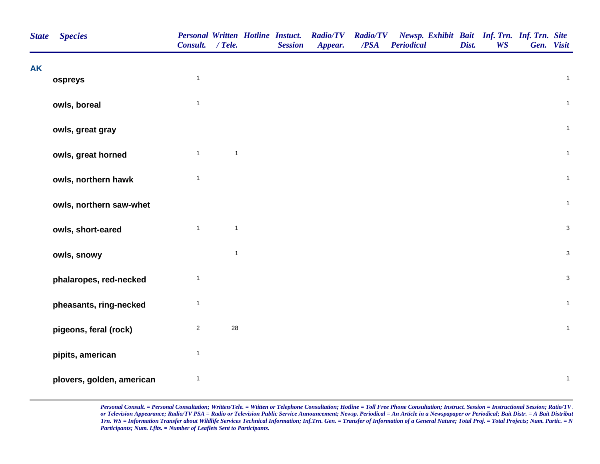|           | <b>State</b><br><b>Species</b> | Consult. / Tele. |              | <b>Personal Written Hotline Instuct.</b><br><b>Session</b> | <b>Radio/TV</b><br>Appear. | <b>Radio/TV</b><br>/PSA | Newsp. Exhibit Bait Inf. Trn. Inf. Trn. Site<br>Periodical | Dist. | <b>WS</b> | Gen. Visit |                           |
|-----------|--------------------------------|------------------|--------------|------------------------------------------------------------|----------------------------|-------------------------|------------------------------------------------------------|-------|-----------|------------|---------------------------|
| <b>AK</b> | ospreys                        | $\mathbf{1}$     |              |                                                            |                            |                         |                                                            |       |           |            | $\mathbf{1}$              |
|           |                                |                  |              |                                                            |                            |                         |                                                            |       |           |            |                           |
|           | owls, boreal                   | $\mathbf{1}$     |              |                                                            |                            |                         |                                                            |       |           |            | $\mathbf{1}$              |
|           | owls, great gray               |                  |              |                                                            |                            |                         |                                                            |       |           |            | $\mathbf{1}$              |
|           | owls, great horned             | $\mathbf{1}$     | $\mathbf{1}$ |                                                            |                            |                         |                                                            |       |           |            | $\mathbf{1}$              |
|           | owls, northern hawk            | $\mathbf{1}$     |              |                                                            |                            |                         |                                                            |       |           |            | $\mathbf{1}$              |
|           | owls, northern saw-whet        |                  |              |                                                            |                            |                         |                                                            |       |           |            | $\mathbf{1}$              |
|           | owls, short-eared              | $\mathbf{1}$     | $\mathbf{1}$ |                                                            |                            |                         |                                                            |       |           |            | $\ensuremath{\mathsf{3}}$ |
|           | owls, snowy                    |                  | $\mathbf{1}$ |                                                            |                            |                         |                                                            |       |           |            | $\ensuremath{\mathsf{3}}$ |
|           | phalaropes, red-necked         | $\mathbf{1}$     |              |                                                            |                            |                         |                                                            |       |           |            | $\ensuremath{\mathsf{3}}$ |
|           | pheasants, ring-necked         | $\mathbf{1}$     |              |                                                            |                            |                         |                                                            |       |           |            | $\mathbf{1}$              |
|           | pigeons, feral (rock)          | $\overline{c}$   | 28           |                                                            |                            |                         |                                                            |       |           |            | $\mathbf{1}$              |
|           | pipits, american               | $\mathbf{1}$     |              |                                                            |                            |                         |                                                            |       |           |            |                           |
|           | plovers, golden, american      | $\mathbf{1}$     |              |                                                            |                            |                         |                                                            |       |           |            | $\mathbf{1}$              |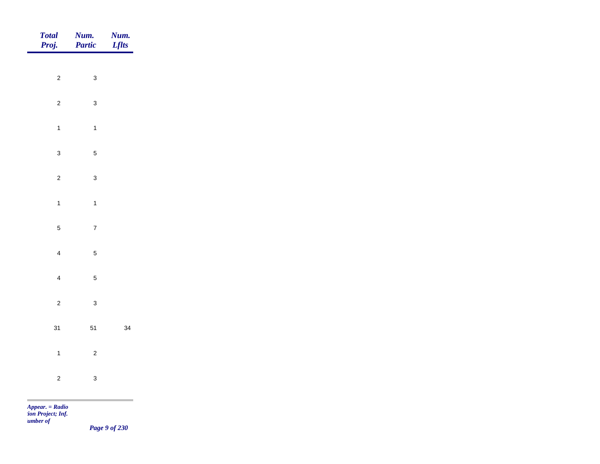| Total<br>Proj.              | <b>Num.</b><br><b>Partic</b>     | <b>Num.</b><br>Lflts |
|-----------------------------|----------------------------------|----------------------|
|                             |                                  |                      |
|                             | $\overline{c}$<br>$\mathbf{3}$   |                      |
|                             | $\overline{c}$<br>$\mathbf{3}$   |                      |
|                             | $\mathbf{1}$<br>$\mathbf{1}$     |                      |
|                             | $\mathbf{3}$<br>$\sqrt{5}$       |                      |
|                             | $\overline{c}$<br>$\mathbf{3}$   |                      |
|                             | $\mathbf{1}$<br>$\mathbf{1}$     |                      |
|                             |                                  |                      |
|                             | $\sqrt{5}$<br>$\overline{7}$     |                      |
|                             | $\overline{4}$<br>$\overline{5}$ |                      |
|                             | $\overline{5}$<br>$\overline{4}$ |                      |
|                             | $\overline{c}$<br>$\mathbf{3}$   |                      |
| 31                          | $51$                             | 34                   |
|                             |                                  |                      |
|                             | $\mathbf{1}$<br>$\overline{c}$   |                      |
|                             | $\overline{c}$<br>$\mathbf{3}$   |                      |
| $\sim$<br>$Appear. = Radio$ |                                  |                      |

*tion Project; Inf. Number of* 

*Page 9 of 230*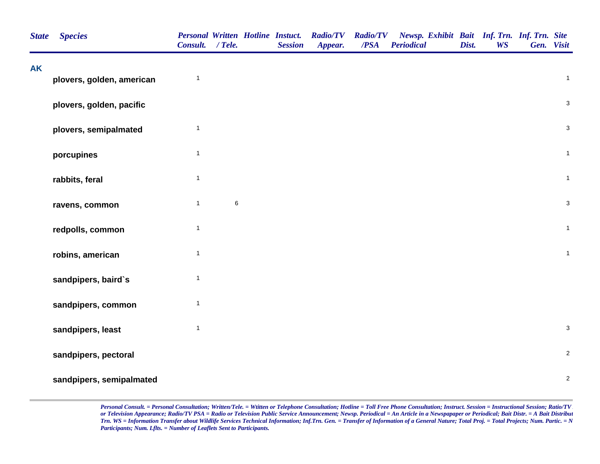| <b>State</b> | <b>Species</b>            | Personal Written Hotline Instuct.<br>Consult. / Tele. |       | <b>Session</b> | <b>Radio/TV</b><br>Appear. | <b>Radio/TV</b><br>/PSA | Newsp. Exhibit Bait Inf. Trn. Inf. Trn. Site<br><b>Periodical</b> | Dist. | <b>WS</b> | Gen. Visit                |
|--------------|---------------------------|-------------------------------------------------------|-------|----------------|----------------------------|-------------------------|-------------------------------------------------------------------|-------|-----------|---------------------------|
| <b>AK</b>    | plovers, golden, american | $\mathbf{1}$                                          |       |                |                            |                         |                                                                   |       |           | $\mathbf{1}$              |
|              | plovers, golden, pacific  |                                                       |       |                |                            |                         |                                                                   |       |           | $\sqrt{3}$                |
|              | plovers, semipalmated     | $\mathbf{1}$                                          |       |                |                            |                         |                                                                   |       |           | $\sqrt{3}$                |
|              | porcupines                | $\mathbf{1}$                                          |       |                |                            |                         |                                                                   |       |           | $\overline{1}$            |
|              | rabbits, feral            | $\mathbf{1}$                                          |       |                |                            |                         |                                                                   |       |           | $\mathbf{1}$              |
|              | ravens, common            | $\mathbf{1}$                                          | $\,6$ |                |                            |                         |                                                                   |       |           | $\mathsf 3$               |
|              | redpolls, common          | $\mathbf{1}$                                          |       |                |                            |                         |                                                                   |       |           | $\overline{1}$            |
|              | robins, american          | $\mathbf{1}$                                          |       |                |                            |                         |                                                                   |       |           | $\overline{1}$            |
|              | sandpipers, baird's       | $\mathbf{1}$                                          |       |                |                            |                         |                                                                   |       |           |                           |
|              | sandpipers, common        | $\mathbf{1}$                                          |       |                |                            |                         |                                                                   |       |           |                           |
|              | sandpipers, least         | $\mathbf{1}$                                          |       |                |                            |                         |                                                                   |       |           | $\ensuremath{\mathsf{3}}$ |
|              | sandpipers, pectoral      |                                                       |       |                |                            |                         |                                                                   |       |           | $\sqrt{2}$                |
|              | sandpipers, semipalmated  |                                                       |       |                |                            |                         |                                                                   |       |           | $\sqrt{2}$                |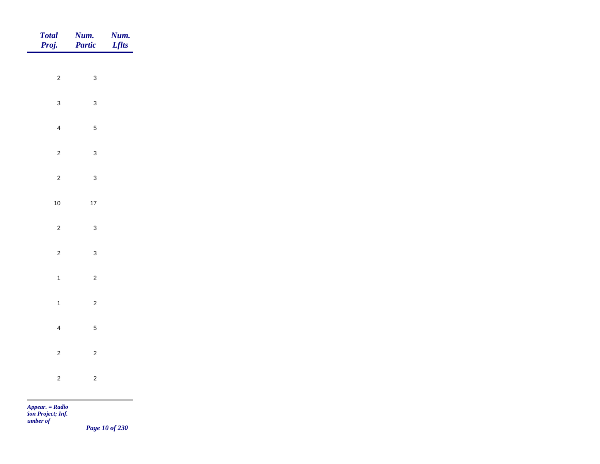| Total<br>Proj. | Num.<br>Partic | <b>Num.</b><br>Lflts |
|----------------|----------------|----------------------|
|                |                |                      |
| $\overline{2}$ | $\mathbf{3}$   |                      |
| $\mathbf{3}$   | $\mathbf{3}$   |                      |
| $\overline{4}$ | $\overline{5}$ |                      |
| $\overline{2}$ | $\mathbf{3}$   |                      |
| $\overline{c}$ | $\mathbf{3}$   |                      |
| $10\,$         | $17\,$         |                      |
|                |                |                      |
| $\overline{2}$ | $\mathbf{3}$   |                      |
| $\overline{2}$ | $\mathbf{3}$   |                      |
| $\mathbf{1}$   | $\overline{c}$ |                      |
| $\overline{1}$ | $\overline{c}$ |                      |
| $\overline{4}$ | $\overline{5}$ |                      |
| $\mathbf{2}$   | $\mathbf{2}$   |                      |
|                |                |                      |
| $\mathbf{2}$   | $\sqrt{2}$     |                      |

*Page 10 of 230*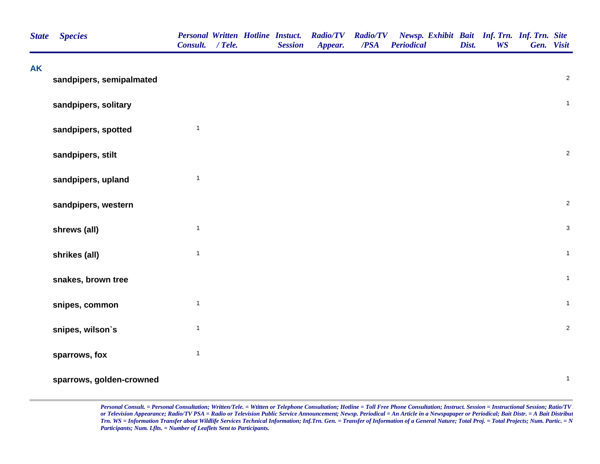| <b>State</b> | <b>Species</b>           | <b>Personal Written Hotline Instuct.</b><br>Consult. / Tele. |  | <b>Session</b> | <b>Radio/TV</b><br>Appear. | <b>Radio/TV</b><br>$\overline{PSA}$ | Newsp. Exhibit Bait Inf. Trn. Inf. Trn. Site<br><b>Periodical</b> | Dist. | <b>WS</b> | Gen. Visit     |  |
|--------------|--------------------------|--------------------------------------------------------------|--|----------------|----------------------------|-------------------------------------|-------------------------------------------------------------------|-------|-----------|----------------|--|
| <b>AK</b>    | sandpipers, semipalmated |                                                              |  |                |                            |                                     |                                                                   |       |           | $\overline{2}$ |  |
|              | sandpipers, solitary     |                                                              |  |                |                            |                                     |                                                                   |       |           | $\mathbf 1$    |  |
|              | sandpipers, spotted      | $\mathbf{1}$                                                 |  |                |                            |                                     |                                                                   |       |           |                |  |
|              | sandpipers, stilt        |                                                              |  |                |                            |                                     |                                                                   |       |           | $\overline{c}$ |  |
|              | sandpipers, upland       | $\mathbf{1}$                                                 |  |                |                            |                                     |                                                                   |       |           |                |  |
|              | sandpipers, western      |                                                              |  |                |                            |                                     |                                                                   |       |           | $\overline{2}$ |  |
|              | shrews (all)             | $\mathbf{1}$                                                 |  |                |                            |                                     |                                                                   |       |           | $\mathbf{3}$   |  |
|              | shrikes (all)            | $\mathbf{1}$                                                 |  |                |                            |                                     |                                                                   |       |           | $\overline{1}$ |  |
|              | snakes, brown tree       |                                                              |  |                |                            |                                     |                                                                   |       |           | $\mathbf{1}$   |  |
|              | snipes, common           | $\mathbf{1}$                                                 |  |                |                            |                                     |                                                                   |       |           | $\mathbf{1}$   |  |
|              | snipes, wilson's         | $\mathbf{1}$                                                 |  |                |                            |                                     |                                                                   |       |           | $\overline{2}$ |  |
|              | sparrows, fox            | $\mathbf{1}$                                                 |  |                |                            |                                     |                                                                   |       |           |                |  |
|              | sparrows, golden-crowned |                                                              |  |                |                            |                                     |                                                                   |       |           | $\mathbf{1}$   |  |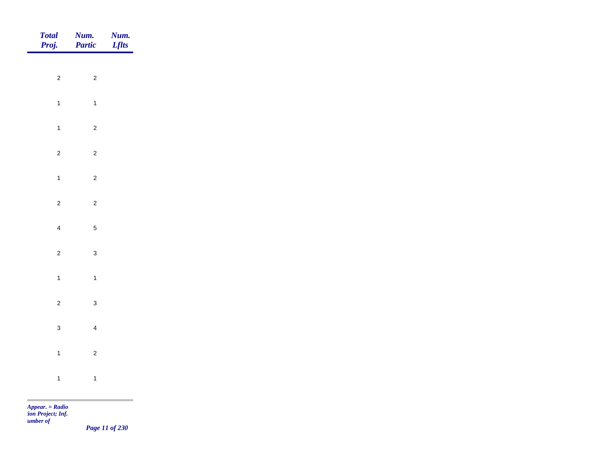| Total<br>Proj. | <b>Num.</b><br>Partic | <b>Num.</b><br>Lflts |
|----------------|-----------------------|----------------------|
|                |                       |                      |
| $\overline{c}$ | $\overline{c}$        |                      |
| $\mathbf{1}$   | $\overline{1}$        |                      |
| $\mathbf{1}$   | $\overline{2}$        |                      |
| $\overline{c}$ | $\overline{2}$        |                      |
| $\mathbf{1}$   | $\overline{c}$        |                      |
| $\overline{c}$ | $\overline{c}$        |                      |
|                |                       |                      |
| $\overline{4}$ | $\overline{5}$        |                      |
| $\overline{c}$ | $\mathbf{3}$          |                      |
| $\overline{1}$ | $\overline{1}$        |                      |
| $\overline{c}$ | $\mathbf{3}$          |                      |
| $\mathbf{3}$   | $\overline{4}$        |                      |
| $\overline{1}$ | $\overline{c}$        |                      |
|                |                       |                      |
| $\mathbf{1}$   | $\overline{1}$        |                      |

*Page 11 of 230*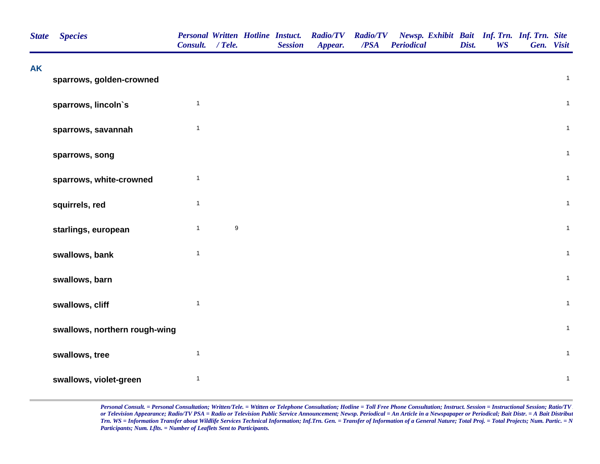| <b>State</b> | <b>Species</b>                | <b>Personal Written Hotline Instuct.</b><br>Consult. / Tele. |                  | <b>Session</b> | <b>Radio/TV</b><br>Appear. | <b>Radio/TV</b><br>/PSA | Newsp. Exhibit Bait Inf. Trn. Inf. Trn. Site<br><b>Periodical</b> | Dist. | <b>WS</b> | Gen. Visit     |
|--------------|-------------------------------|--------------------------------------------------------------|------------------|----------------|----------------------------|-------------------------|-------------------------------------------------------------------|-------|-----------|----------------|
| <b>AK</b>    | sparrows, golden-crowned      |                                                              |                  |                |                            |                         |                                                                   |       |           | $\mathbf{1}$   |
|              | sparrows, lincoln's           | $\mathbf{1}$                                                 |                  |                |                            |                         |                                                                   |       |           | $\overline{1}$ |
|              | sparrows, savannah            | $\mathbf{1}$                                                 |                  |                |                            |                         |                                                                   |       |           | $\mathbf{1}$   |
|              | sparrows, song                |                                                              |                  |                |                            |                         |                                                                   |       |           | $\mathbf{1}$   |
|              | sparrows, white-crowned       | $\mathbf{1}$                                                 |                  |                |                            |                         |                                                                   |       |           | $\mathbf{1}$   |
|              | squirrels, red                | $\mathbf{1}$                                                 |                  |                |                            |                         |                                                                   |       |           | $\overline{1}$ |
|              | starlings, european           | $\mathbf{1}$                                                 | $\boldsymbol{9}$ |                |                            |                         |                                                                   |       |           | $\mathbf{1}$   |
|              | swallows, bank                | $\mathbf{1}$                                                 |                  |                |                            |                         |                                                                   |       |           | $\mathbf{1}$   |
|              | swallows, barn                |                                                              |                  |                |                            |                         |                                                                   |       |           | $\mathbf{1}$   |
|              | swallows, cliff               | $\mathbf{1}$                                                 |                  |                |                            |                         |                                                                   |       |           | $\mathbf{1}$   |
|              | swallows, northern rough-wing |                                                              |                  |                |                            |                         |                                                                   |       |           | $\mathbf{1}$   |
|              | swallows, tree                | $\mathbf{1}$                                                 |                  |                |                            |                         |                                                                   |       |           | $\overline{1}$ |
|              | swallows, violet-green        | $\mathbf{1}$                                                 |                  |                |                            |                         |                                                                   |       |           | $\mathbf{1}$   |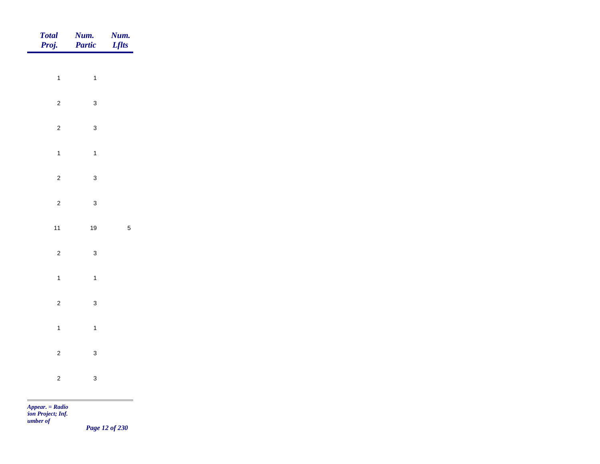| Total<br>Proj. | <b>Num.</b><br><b>Partic</b> | <b>Num.</b><br><i>Lflts</i> |
|----------------|------------------------------|-----------------------------|
| $\overline{1}$ | $\overline{1}$               |                             |
| $\overline{2}$ | $\mathbf{3}$                 |                             |
|                |                              |                             |
| $\overline{c}$ | $\mathbf{3}$                 |                             |
| $\overline{1}$ | $\mathbf{1}$                 |                             |
| $\overline{c}$ | $\mathbf{3}$                 |                             |
| $\overline{c}$ | $\mathbf{3}$                 |                             |
| $11$           | $19$                         | $\sqrt{5}$                  |
| $\overline{c}$ | $\mathbf{3}$                 |                             |
| $\overline{1}$ | $\mathbf{1}$                 |                             |
| $\overline{c}$ | $\mathbf{3}$                 |                             |
| $\overline{1}$ | $\overline{1}$               |                             |
| $\overline{c}$ | $\mathbf{3}$                 |                             |
| $\overline{c}$ | $\mathbf{3}$                 |                             |
|                |                              |                             |

*Page 12 of 230*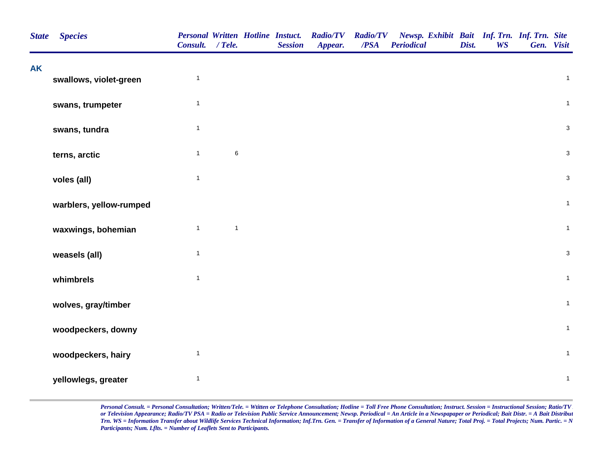| <b>AK</b> | <b>Species</b>          | Consult. / Tele. |              | <b>Personal Written Hotline Instuct.</b><br><b>Session</b> | <b>Radio/TV</b><br>Appear. | <b>Radio/TV</b><br>/PSA | Newsp. Exhibit Bait Inf. Trn. Inf. Trn. Site<br><b>Periodical</b> | Dist. | <b>WS</b> | Gen. Visit |                |
|-----------|-------------------------|------------------|--------------|------------------------------------------------------------|----------------------------|-------------------------|-------------------------------------------------------------------|-------|-----------|------------|----------------|
|           | swallows, violet-green  | $\mathbf{1}$     |              |                                                            |                            |                         |                                                                   |       |           |            | $\mathbf{1}$   |
|           | swans, trumpeter        | $\mathbf{1}$     |              |                                                            |                            |                         |                                                                   |       |           |            | $\mathbf{1}$   |
|           | swans, tundra           | $\mathbf{1}$     |              |                                                            |                            |                         |                                                                   |       |           |            | $\mathsf 3$    |
|           | terns, arctic           | $\mathbf{1}$     | $\,6$        |                                                            |                            |                         |                                                                   |       |           |            | $\mathbf{3}$   |
|           | voles (all)             | $\mathbf{1}$     |              |                                                            |                            |                         |                                                                   |       |           |            | $\mathbf 3$    |
|           | warblers, yellow-rumped |                  |              |                                                            |                            |                         |                                                                   |       |           |            | $\mathbf{1}$   |
|           | waxwings, bohemian      | $\mathbf{1}$     | $\mathbf{1}$ |                                                            |                            |                         |                                                                   |       |           |            | $\mathbf{1}$   |
|           | weasels (all)           | $\mathbf{1}$     |              |                                                            |                            |                         |                                                                   |       |           |            | $\mathbf 3$    |
|           | whimbrels               | $\mathbf{1}$     |              |                                                            |                            |                         |                                                                   |       |           |            | $\overline{1}$ |
|           | wolves, gray/timber     |                  |              |                                                            |                            |                         |                                                                   |       |           |            | $\mathbf{1}$   |
|           | woodpeckers, downy      |                  |              |                                                            |                            |                         |                                                                   |       |           |            | $\mathbf{1}$   |
|           | woodpeckers, hairy      | $\mathbf{1}$     |              |                                                            |                            |                         |                                                                   |       |           |            | $\mathbf{1}$   |
|           | yellowlegs, greater     | $\mathbf{1}$     |              |                                                            |                            |                         |                                                                   |       |           |            | $\mathbf{1}$   |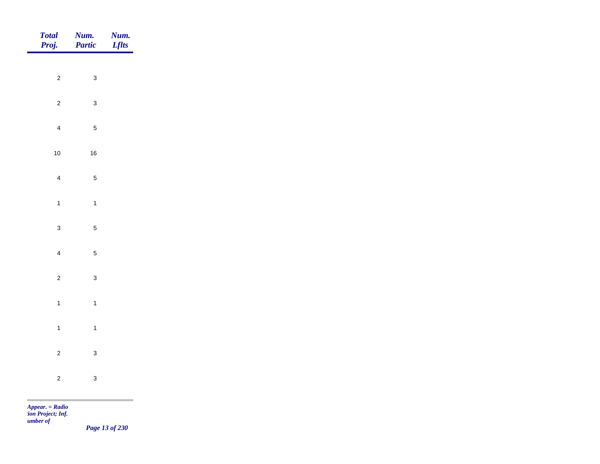| <b>Total</b><br>Proj. | Num.<br>Partic | <b>Num.</b><br>Lflts |
|-----------------------|----------------|----------------------|
|                       |                |                      |
| $\overline{2}$        | $\mathbf{3}$   |                      |
| $\overline{2}$        | $\mathbf{3}$   |                      |
| $\overline{4}$        | $\sqrt{5}$     |                      |
| $10\,$                | $16\,$         |                      |
| $\overline{4}$        | $\sqrt{5}$     |                      |
| $\overline{1}$        | $\overline{1}$ |                      |
| $\mathbf{3}$          | $\sqrt{5}$     |                      |
|                       |                |                      |
| $\overline{4}$        | $\sqrt{5}$     |                      |
| $\overline{2}$        | $\mathbf{3}$   |                      |
| $\overline{1}$        | $\overline{1}$ |                      |
| $\overline{1}$        | $\mathbf{1}$   |                      |
| $\overline{2}$        | $\mathbf{3}$   |                      |
| $\overline{2}$        | $\mathbf{3}$   |                      |
|                       |                |                      |

*Page 13 of 230*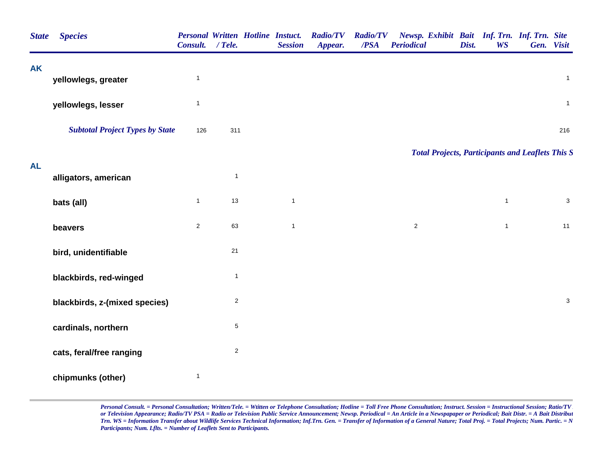| <b>State</b> | <b>Species</b>                         | <b>Personal Written Hotline Instuct.</b><br>Consult. / Tele. |                | <b>Session</b> | <b>Radio/TV</b><br>Appear. | <b>Radio/TV</b><br>/PSA | Newsp. Exhibit Bait Inf. Trn. Inf. Trn. Site<br><b>Periodical</b> | Dist. | <b>WS</b>    | Gen. Visit   |
|--------------|----------------------------------------|--------------------------------------------------------------|----------------|----------------|----------------------------|-------------------------|-------------------------------------------------------------------|-------|--------------|--------------|
| <b>AK</b>    | yellowlegs, greater                    | $\mathbf{1}$                                                 |                |                |                            |                         |                                                                   |       |              | $\mathbf{1}$ |
|              | yellowlegs, lesser                     | $\mathbf{1}$                                                 |                |                |                            |                         |                                                                   |       |              | $\mathbf{1}$ |
|              | <b>Subtotal Project Types by State</b> | 126                                                          | 311            |                |                            |                         |                                                                   |       |              | 216          |
|              |                                        |                                                              |                |                |                            |                         | <b>Total Projects, Participants and Leaflets This S</b>           |       |              |              |
| <b>AL</b>    | alligators, american                   |                                                              | $\mathbf{1}$   |                |                            |                         |                                                                   |       |              |              |
|              | bats (all)                             | $\mathbf{1}$                                                 | 13             | $\mathbf{1}$   |                            |                         |                                                                   |       | $\mathbf{1}$ | $\mathbf{3}$ |
|              | beavers                                | $\overline{2}$                                               | 63             | $\mathbf{1}$   |                            |                         | $\overline{2}$                                                    |       | $\mathbf{1}$ | 11           |
|              | bird, unidentifiable                   |                                                              | 21             |                |                            |                         |                                                                   |       |              |              |
|              | blackbirds, red-winged                 |                                                              | $\mathbf{1}$   |                |                            |                         |                                                                   |       |              |              |
|              | blackbirds, z-(mixed species)          |                                                              | $\overline{2}$ |                |                            |                         |                                                                   |       |              | $\mathbf 3$  |
|              | cardinals, northern                    |                                                              | $\,$ 5 $\,$    |                |                            |                         |                                                                   |       |              |              |
|              | cats, feral/free ranging               |                                                              | $\mathbf{2}$   |                |                            |                         |                                                                   |       |              |              |
|              | chipmunks (other)                      | $\mathbf{1}$                                                 |                |                |                            |                         |                                                                   |       |              |              |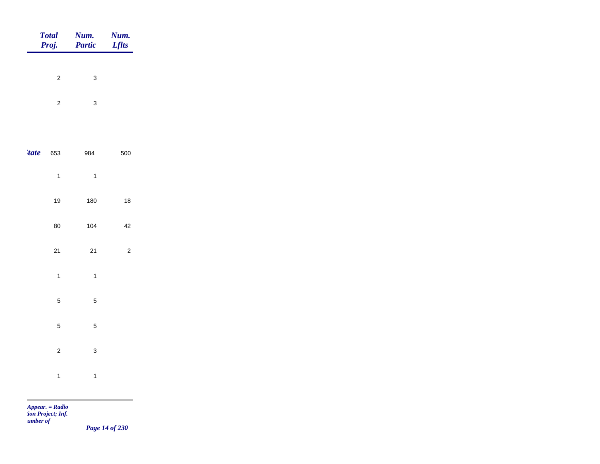|             | Total<br>Proj. | <b>Num.</b><br>Partic | <b>Num.</b><br>Lflts |
|-------------|----------------|-----------------------|----------------------|
|             |                |                       |                      |
|             | $\mathbf 2$    | $\mathbf{3}$          |                      |
|             | $\overline{c}$ | $\mathbf{3}$          |                      |
|             |                |                       |                      |
| <i>tate</i> | 653            | 984                   | 500                  |
|             | $\overline{1}$ | $\overline{1}$        |                      |
|             | $19$           | 180                   | $18$                 |
|             | $80\,$         | 104                   | $42\,$               |
|             | $21$           | 21                    | $\sqrt{2}$           |
|             | $\overline{1}$ | $\overline{1}$        |                      |
|             |                |                       |                      |
|             | $\overline{5}$ | $\sqrt{5}$            |                      |
|             | $\overline{5}$ | $\overline{5}$        |                      |
|             | $\mathbf 2$    | $\mathbf{3}$          |                      |
|             | $\overline{1}$ | $\mathbf{1}$          |                      |
|             |                |                       |                      |

*Page 14 of 230*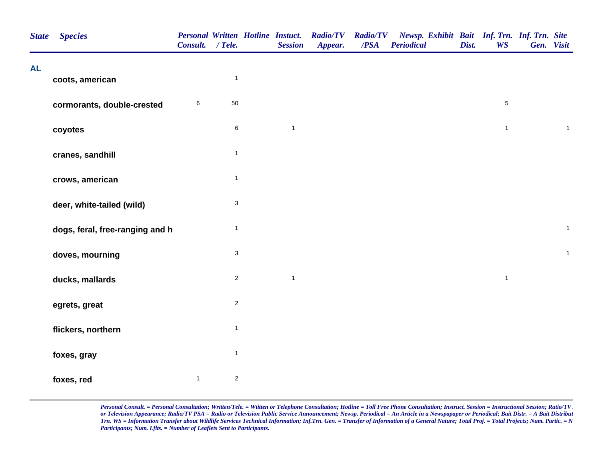| <b>State</b> | <b>Species</b>                  | <b>Personal Written Hotline Instuct.</b><br>Consult. / Tele. |                           | <b>Session</b> | <b>Radio/TV</b><br>Appear. | <b>Radio/TV</b><br>/PSA | Newsp. Exhibit Bait Inf. Trn. Inf. Trn. Site<br><b>Periodical</b> | Dist. | <b>WS</b>    | Gen. Visit   |
|--------------|---------------------------------|--------------------------------------------------------------|---------------------------|----------------|----------------------------|-------------------------|-------------------------------------------------------------------|-------|--------------|--------------|
| <b>AL</b>    | coots, american                 |                                                              | $\mathbf{1}$              |                |                            |                         |                                                                   |       |              |              |
|              | cormorants, double-crested      | 6                                                            | 50                        |                |                            |                         |                                                                   |       | $\,$ 5 $\,$  |              |
|              | coyotes                         |                                                              | $\,$ 6 $\,$               | $\mathbf{1}$   |                            |                         |                                                                   |       | $\mathbf{1}$ | $\mathbf{1}$ |
|              | cranes, sandhill                |                                                              | $\mathbf{1}$              |                |                            |                         |                                                                   |       |              |              |
|              | crows, american                 |                                                              | $\mathbf{1}$              |                |                            |                         |                                                                   |       |              |              |
|              | deer, white-tailed (wild)       |                                                              | $\mathsf 3$               |                |                            |                         |                                                                   |       |              |              |
|              | dogs, feral, free-ranging and h |                                                              | $\mathbf{1}$              |                |                            |                         |                                                                   |       |              | $\mathbf{1}$ |
|              | doves, mourning                 |                                                              | $\ensuremath{\mathsf{3}}$ |                |                            |                         |                                                                   |       |              | $\mathbf{1}$ |
|              | ducks, mallards                 |                                                              | $\mathbf 2$               | $\mathbf{1}$   |                            |                         |                                                                   |       | $\mathbf{1}$ |              |
|              | egrets, great                   |                                                              | $\boldsymbol{2}$          |                |                            |                         |                                                                   |       |              |              |
|              | flickers, northern              |                                                              | $\mathbf{1}$              |                |                            |                         |                                                                   |       |              |              |
|              | foxes, gray                     |                                                              | $\mathbf{1}$              |                |                            |                         |                                                                   |       |              |              |
|              | foxes, red                      | $\mathbf{1}$                                                 | $\sqrt{2}$                |                |                            |                         |                                                                   |       |              |              |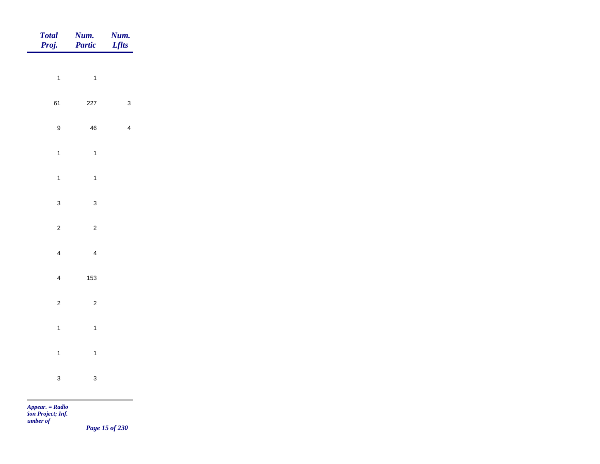| Total<br>Proj.   | Num.<br>Partic           | <b>Num.</b><br>Lflts |
|------------------|--------------------------|----------------------|
| $\overline{1}$   | $\overline{\phantom{a}}$ |                      |
|                  |                          |                      |
| 61               | 227                      | $\mathbf{3}$         |
| $\boldsymbol{9}$ | ${\bf 46}$               | $\overline{4}$       |
| $\overline{1}$   | $\overline{1}$           |                      |
| $\overline{1}$   | $\overline{1}$           |                      |
| $\mathbf{3}$     | $\mathbf{3}$             |                      |
| $\overline{2}$   | $\overline{c}$           |                      |
|                  |                          |                      |
| $\overline{4}$   | $\overline{4}$           |                      |
| $\overline{4}$   | 153                      |                      |
| $\overline{c}$   | $\overline{c}$           |                      |
| $\overline{1}$   | $\overline{1}$           |                      |
| $\overline{1}$   | $\overline{1}$           |                      |
| $\mathbf{3}$     | $\mathbf{3}$             |                      |
|                  |                          |                      |

*Page 15 of 230*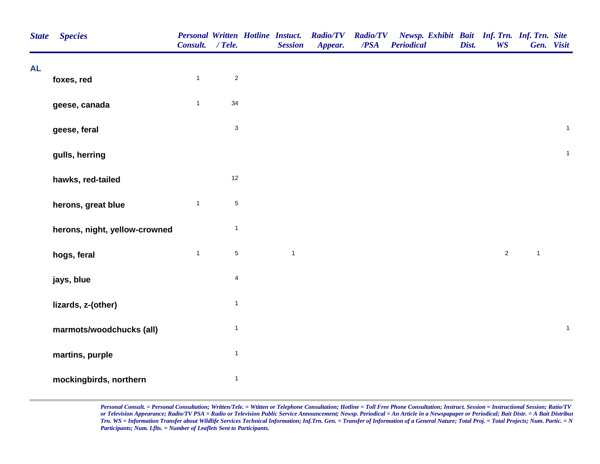| <b>State</b> | <b>Species</b>                | <b>Personal Written Hotline Instuct.</b><br>Consult. / Tele. |                           | <b>Session</b> | <b>Radio/TV</b><br>Appear. | <b>Radio/TV</b><br>$\overline{PSA}$ | Newsp. Exhibit Bait Inf. Trn. Inf. Trn. Site<br><b>Periodical</b> | Dist. | <b>WS</b>      | Gen. Visit     |              |
|--------------|-------------------------------|--------------------------------------------------------------|---------------------------|----------------|----------------------------|-------------------------------------|-------------------------------------------------------------------|-------|----------------|----------------|--------------|
| <b>AL</b>    | foxes, red                    | $\mathbf{1}$                                                 | $\sqrt{2}$                |                |                            |                                     |                                                                   |       |                |                |              |
|              |                               |                                                              |                           |                |                            |                                     |                                                                   |       |                |                |              |
|              | geese, canada                 | $\mathbf{1}$                                                 | 34                        |                |                            |                                     |                                                                   |       |                |                |              |
|              | geese, feral                  |                                                              | $\ensuremath{\mathsf{3}}$ |                |                            |                                     |                                                                   |       |                |                | $\mathbf{1}$ |
|              | gulls, herring                |                                                              |                           |                |                            |                                     |                                                                   |       |                |                | $\mathbf{1}$ |
|              | hawks, red-tailed             |                                                              | 12                        |                |                            |                                     |                                                                   |       |                |                |              |
|              | herons, great blue            | $\mathbf{1}$                                                 | 5                         |                |                            |                                     |                                                                   |       |                |                |              |
|              | herons, night, yellow-crowned |                                                              | $\mathbf{1}$              |                |                            |                                     |                                                                   |       |                |                |              |
|              | hogs, feral                   | $\mathbf{1}$                                                 | $\,$ 5 $\,$               | $\mathbf{1}$   |                            |                                     |                                                                   |       | $\overline{2}$ | $\overline{1}$ |              |
|              | jays, blue                    |                                                              | $\overline{\mathbf{4}}$   |                |                            |                                     |                                                                   |       |                |                |              |
|              | lizards, z-(other)            |                                                              | $\mathbf{1}$              |                |                            |                                     |                                                                   |       |                |                |              |
|              | marmots/woodchucks (all)      |                                                              | $\mathbf{1}$              |                |                            |                                     |                                                                   |       |                |                | $\mathbf{1}$ |
|              | martins, purple               |                                                              | $\mathbf{1}$              |                |                            |                                     |                                                                   |       |                |                |              |
|              | mockingbirds, northern        |                                                              | $\mathbf{1}$              |                |                            |                                     |                                                                   |       |                |                |              |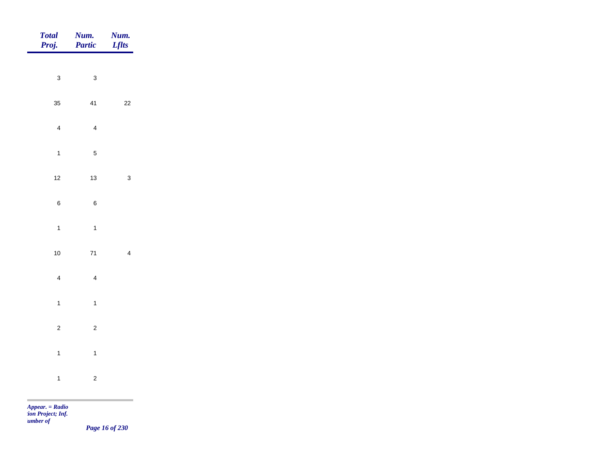| Total<br>Proj.          | Num.<br>Partic   | <b>Num.</b><br><i>Lflts</i> |
|-------------------------|------------------|-----------------------------|
| $\mathbf{3}$            | $\mathbf{3}$     |                             |
| 35                      | 41               | $22\,$                      |
| $\overline{\mathbf{4}}$ | $\overline{4}$   |                             |
| $\overline{1}$          | $\overline{5}$   |                             |
|                         |                  |                             |
| $12$                    | $13$             | $\mathbf{3}$                |
| $\,$ 6 $\,$             | $\boldsymbol{6}$ |                             |
| $\overline{1}$          | $\overline{1}$   |                             |
| $10\,$                  | $71$             | $\overline{4}$              |
| $\overline{\mathbf{4}}$ | $\overline{4}$   |                             |
| $\overline{1}$          | $\mathbf{1}$     |                             |
| $\overline{c}$          | $\overline{c}$   |                             |
| $\mathbf{1}$            | $\overline{1}$   |                             |
| $\overline{1}$          | $\overline{c}$   |                             |
|                         |                  | m.                          |

*Page 16 of 230*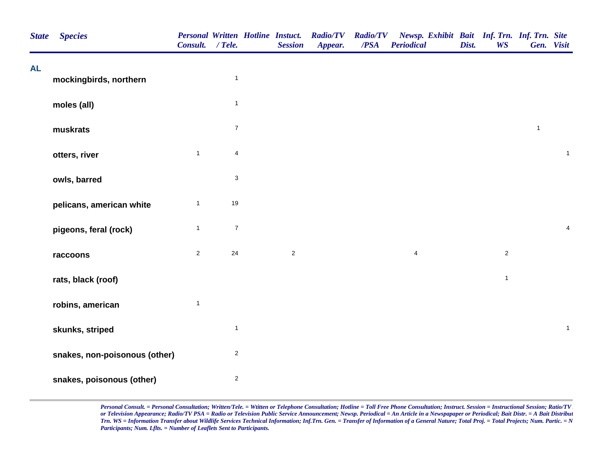| <b>State</b> | <b>Species</b>                | Consult. / Tele. |                           | <b>Personal Written Hotline Instuct.</b><br><b>Session</b> | <b>Radio/TV</b><br>Appear. | <b>Radio/TV</b><br>/PSA | Newsp. Exhibit Bait Inf. Trn. Inf. Trn. Site<br><b>Periodical</b> | Dist. | <b>WS</b>      | Gen. Visit   |                |
|--------------|-------------------------------|------------------|---------------------------|------------------------------------------------------------|----------------------------|-------------------------|-------------------------------------------------------------------|-------|----------------|--------------|----------------|
| <b>AL</b>    | mockingbirds, northern        |                  | $\overline{1}$            |                                                            |                            |                         |                                                                   |       |                |              |                |
|              | moles (all)                   |                  | $\mathbf{1}$              |                                                            |                            |                         |                                                                   |       |                |              |                |
|              | muskrats                      |                  | $\boldsymbol{7}$          |                                                            |                            |                         |                                                                   |       |                | $\mathbf{1}$ |                |
|              | otters, river                 | $\mathbf{1}$     | $\overline{4}$            |                                                            |                            |                         |                                                                   |       |                |              | $\mathbf{1}$   |
|              | owls, barred                  |                  | $\ensuremath{\mathsf{3}}$ |                                                            |                            |                         |                                                                   |       |                |              |                |
|              | pelicans, american white      | $\mathbf{1}$     | 19                        |                                                            |                            |                         |                                                                   |       |                |              |                |
|              | pigeons, feral (rock)         | $\mathbf{1}$     | $\boldsymbol{7}$          |                                                            |                            |                         |                                                                   |       |                |              | $\overline{4}$ |
|              | raccoons                      | $\overline{2}$   | 24                        | $\overline{2}$                                             |                            |                         | $\overline{4}$                                                    |       | $\overline{2}$ |              |                |
|              | rats, black (roof)            |                  |                           |                                                            |                            |                         |                                                                   |       | $\mathbf{1}$   |              |                |
|              | robins, american              | $\mathbf{1}$     |                           |                                                            |                            |                         |                                                                   |       |                |              |                |
|              | skunks, striped               |                  | $\mathbf{1}$              |                                                            |                            |                         |                                                                   |       |                |              | $\mathbf{1}$   |
|              | snakes, non-poisonous (other) |                  | $\sqrt{2}$                |                                                            |                            |                         |                                                                   |       |                |              |                |
|              | snakes, poisonous (other)     |                  | $\overline{2}$            |                                                            |                            |                         |                                                                   |       |                |              |                |

*Personal Consult. = Personal Consultation; Written/Tele. = Wtitten or Telephone Consultation; Hotline = Toll Free Phone Consultation; Instruct. Session = Instructional Session; Ratio/TV A or Television Appearance; Radio/TV PSA = Radio or Television Public Service Announcement; Newsp. Periodical = An Article in a Newspapaper or Periodical; Bait Distr. = A Bait Distribut Trn. WS = Information Transfer about Wildlife Services Technical Information; Inf.Trn. Gen. = Transfer of Information of a General Nature; Total Proj. = Total Projects; Num. Partic. = N Participants; Num. Lflts. = Number of Leaflets Sent to Participants.*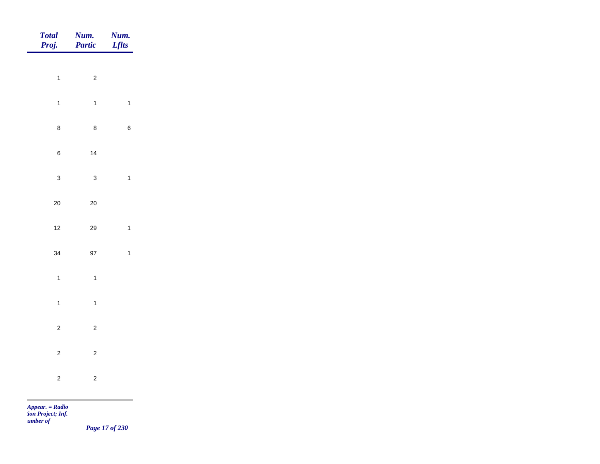| Total<br>Proj.            | <b>Num.</b><br>Partic | <b>Num.</b><br><i>Lflts</i> |
|---------------------------|-----------------------|-----------------------------|
|                           |                       |                             |
| $\overline{1}$            | $\overline{c}$        |                             |
| $\overline{1}$            | $\overline{1}$        | $\mathbf{1}$                |
| $\bf 8$                   | $\bf 8$               | $\,$ 6 $\,$                 |
| $\,6\,$                   | $14$                  |                             |
| $\mathbf{3}$              | $\mathbf{3}$          | $\mathbf{1}$                |
| $20\,$                    | $20\,$                |                             |
| $12$                      | 29                    | $\mathbf{1}$                |
|                           |                       |                             |
| 34                        | 97                    | $\mathbf{1}$                |
| $\overline{1}$            | $\overline{1}$        |                             |
| $\overline{1}$            | $\overline{1}$        |                             |
| $\overline{c}$            | $\overline{c}$        |                             |
| $\overline{2}$            | $\overline{c}$        |                             |
| $\mathbf 2$               | $\overline{c}$        |                             |
| $\mathbf{r}$ $\mathbf{r}$ |                       |                             |

*Page 17 of 230*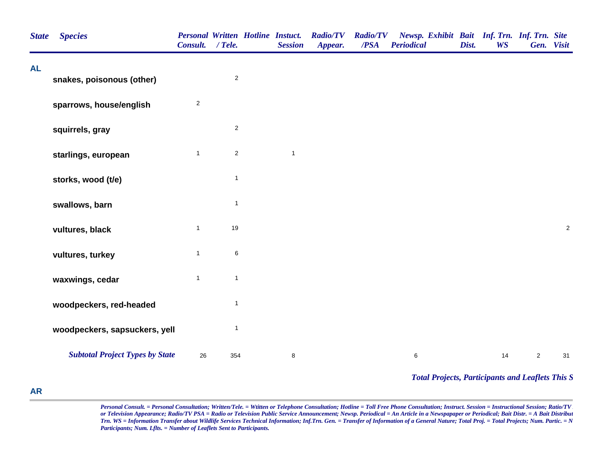| <b>State</b> | <b>Species</b>                         | Consult. / Tele.        |                | <b>Personal Written Hotline Instuct.</b><br><b>Session</b> | <b>Radio/TV</b><br>Appear. | <b>Radio/TV</b><br>/PSA | Newsp. Exhibit Bait Inf. Trn. Inf. Trn. Site<br><b>Periodical</b> | Dist. | <b>WS</b> | Gen. Visit     |            |
|--------------|----------------------------------------|-------------------------|----------------|------------------------------------------------------------|----------------------------|-------------------------|-------------------------------------------------------------------|-------|-----------|----------------|------------|
| <b>AL</b>    | snakes, poisonous (other)              |                         | $\sqrt{2}$     |                                                            |                            |                         |                                                                   |       |           |                |            |
|              | sparrows, house/english                | $\overline{\mathbf{c}}$ |                |                                                            |                            |                         |                                                                   |       |           |                |            |
|              | squirrels, gray                        |                         | $\overline{2}$ |                                                            |                            |                         |                                                                   |       |           |                |            |
|              | starlings, european                    | $\mathbf{1}$            | $\sqrt{2}$     | $\mathbf{1}$                                               |                            |                         |                                                                   |       |           |                |            |
|              | storks, wood (t/e)                     |                         | $\mathbf{1}$   |                                                            |                            |                         |                                                                   |       |           |                |            |
|              | swallows, barn                         |                         | $\mathbf{1}$   |                                                            |                            |                         |                                                                   |       |           |                |            |
|              | vultures, black                        | $\mathbf{1}$            | 19             |                                                            |                            |                         |                                                                   |       |           |                | $\sqrt{2}$ |
|              | vultures, turkey                       | $\mathbf{1}$            | $\,6\,$        |                                                            |                            |                         |                                                                   |       |           |                |            |
|              | waxwings, cedar                        | $\mathbf{1}$            | $\mathbf{1}$   |                                                            |                            |                         |                                                                   |       |           |                |            |
|              | woodpeckers, red-headed                |                         | $\mathbf{1}$   |                                                            |                            |                         |                                                                   |       |           |                |            |
|              | woodpeckers, sapsuckers, yell          |                         | $\mathbf{1}$   |                                                            |                            |                         |                                                                   |       |           |                |            |
|              | <b>Subtotal Project Types by State</b> | 26                      | 354            | $\bf8$                                                     |                            |                         | $6\phantom{.0}$                                                   |       | 14        | $\overline{2}$ | 31         |
|              |                                        |                         |                |                                                            |                            |                         | <b>Total Projects, Participants and Leaflets This S</b>           |       |           |                |            |

## **AR**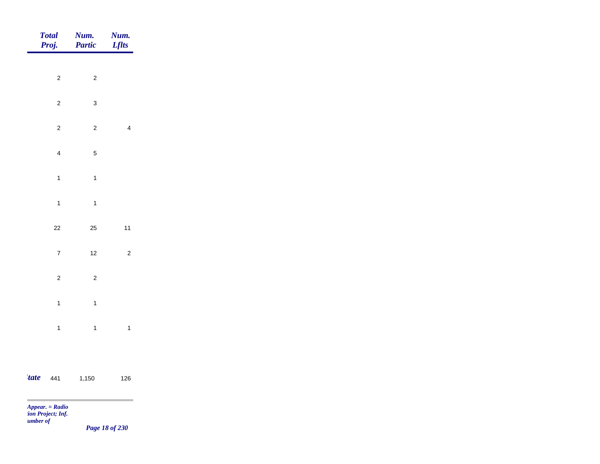|                               | Total<br>Proj.          | Num.<br>Partic | Num.<br>Lflts  |
|-------------------------------|-------------------------|----------------|----------------|
|                               |                         |                |                |
|                               | $\overline{c}$          | $\overline{2}$ |                |
|                               | $\overline{c}$          | $\mathbf{3}$   |                |
|                               | $\overline{c}$          | $\overline{c}$ | $\overline{4}$ |
|                               | $\overline{\mathbf{4}}$ | $\sqrt{5}$     |                |
|                               | $\mathbf{1}$            | $\mathbf{1}$   |                |
|                               | $\mathbf{1}$            | $\mathbf{1}$   |                |
|                               |                         |                |                |
|                               | $22$                    | 25             | $11$           |
|                               | $\overline{7}$          | $12$           | $\overline{c}$ |
|                               | $\overline{c}$          | $\overline{c}$ |                |
|                               | $\mathbf{1}$            | $\mathbf{1}$   |                |
|                               | $\overline{1}$          | $\mathbf{1}$   | $\mathbf{1}$   |
|                               |                         |                |                |
|                               |                         |                |                |
| <i>tate</i><br><b>COLLEGE</b> | 441                     | 1,150          | 126            |

*Page 18 of 230*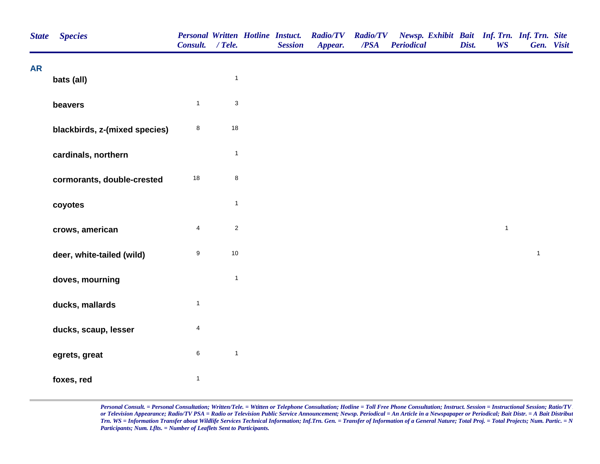| <b>State</b> | <b>Species</b>                | Consult. / Tele.        |                           | <b>Personal Written Hotline Instuct.</b><br><b>Session</b> | <b>Radio/TV</b><br>Appear. | <b>Radio/TV</b><br>/PSA | Newsp. Exhibit Bait Inf. Trn. Inf. Trn. Site<br><b>Periodical</b> | Dist. | <b>WS</b>    | Gen. Visit   |  |
|--------------|-------------------------------|-------------------------|---------------------------|------------------------------------------------------------|----------------------------|-------------------------|-------------------------------------------------------------------|-------|--------------|--------------|--|
| <b>AR</b>    | bats (all)                    |                         | $\mathbf{1}$              |                                                            |                            |                         |                                                                   |       |              |              |  |
|              | beavers                       | $\mathbf{1}$            | $\ensuremath{\mathsf{3}}$ |                                                            |                            |                         |                                                                   |       |              |              |  |
|              | blackbirds, z-(mixed species) | $\bf 8$                 | 18                        |                                                            |                            |                         |                                                                   |       |              |              |  |
|              | cardinals, northern           |                         | $\mathbf{1}$              |                                                            |                            |                         |                                                                   |       |              |              |  |
|              | cormorants, double-crested    | 18                      | $\,$ 8 $\,$               |                                                            |                            |                         |                                                                   |       |              |              |  |
|              | coyotes                       |                         | $\mathbf{1}$              |                                                            |                            |                         |                                                                   |       |              |              |  |
|              | crows, american               | $\overline{\mathbf{4}}$ | $\overline{c}$            |                                                            |                            |                         |                                                                   |       | $\mathbf{1}$ |              |  |
|              | deer, white-tailed (wild)     | $\boldsymbol{9}$        | $10$                      |                                                            |                            |                         |                                                                   |       |              | $\mathbf{1}$ |  |
|              | doves, mourning               |                         | $\mathbf{1}$              |                                                            |                            |                         |                                                                   |       |              |              |  |
|              | ducks, mallards               | $\mathbf{1}$            |                           |                                                            |                            |                         |                                                                   |       |              |              |  |
|              | ducks, scaup, lesser          | $\overline{\mathbf{4}}$ |                           |                                                            |                            |                         |                                                                   |       |              |              |  |
|              | egrets, great                 | $\,6\,$                 | $\overline{1}$            |                                                            |                            |                         |                                                                   |       |              |              |  |
|              | foxes, red                    | $\mathbf{1}$            |                           |                                                            |                            |                         |                                                                   |       |              |              |  |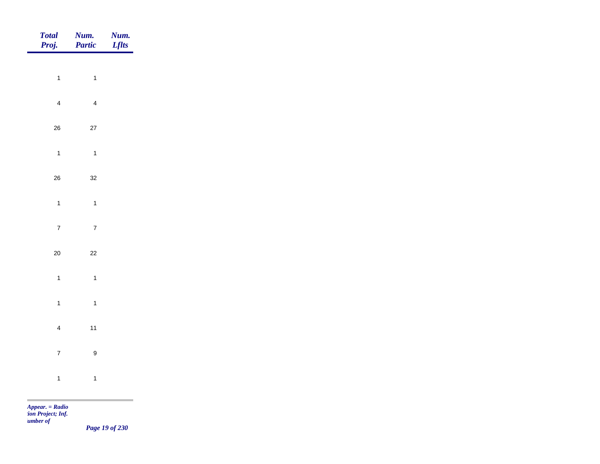| Total<br>Proj. | <b>Num.</b><br>Partic | <b>Num.</b><br>Lflts                       |
|----------------|-----------------------|--------------------------------------------|
|                |                       |                                            |
| $\overline{1}$ | $\overline{1}$        |                                            |
| $\overline{4}$ | $\overline{4}$        |                                            |
| ${\bf 26}$     | $27\,$                |                                            |
| $\mathbf{1}$   | $\mathbf{1}$          |                                            |
| ${\bf 26}$     | $32\,$                |                                            |
| $\overline{1}$ | $\mathbf{1}$          |                                            |
| $\overline{7}$ | $\overline{7}$        |                                            |
|                |                       |                                            |
| $20\,$         | $22\,$                |                                            |
| $\overline{1}$ | $\mathbf{1}$          |                                            |
| $\mathbf{1}$   | $\overline{1}$        |                                            |
| $\overline{4}$ | $11$                  |                                            |
| $\overline{7}$ | $\boldsymbol{9}$      |                                            |
| $\overline{1}$ | $\mathbf{1}$          |                                            |
|                |                       | <u> 1989 - Johann Barnett, mars et al.</u> |

*Page 19 of 230*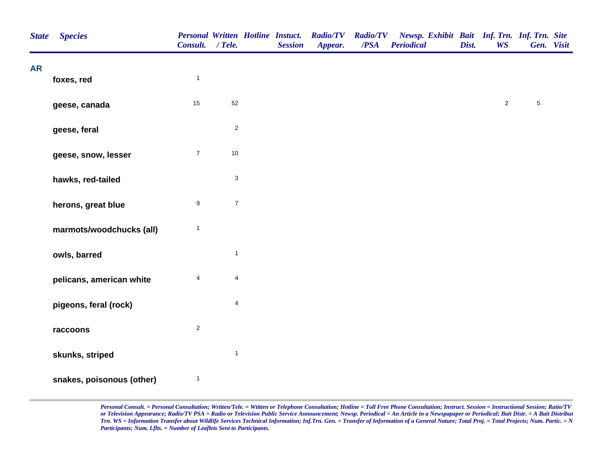| <b>State</b> | <b>Species</b>            | Consult. / Tele. |                         | <b>Personal Written Hotline Instuct.</b><br><b>Session</b> | <b>Radio/TV</b><br>Appear. | <b>Radio/TV</b><br>/PSA | Newsp. Exhibit Bait Inf. Trn. Inf. Trn. Site<br><b>Periodical</b> | Dist. | <b>WS</b>      |             | Gen. Visit |
|--------------|---------------------------|------------------|-------------------------|------------------------------------------------------------|----------------------------|-------------------------|-------------------------------------------------------------------|-------|----------------|-------------|------------|
| <b>AR</b>    | foxes, red                | $\mathbf{1}$     |                         |                                                            |                            |                         |                                                                   |       |                |             |            |
|              | geese, canada             | 15               | 52                      |                                                            |                            |                         |                                                                   |       | $\overline{2}$ | $\mathbf 5$ |            |
|              | geese, feral              |                  | $\sqrt{2}$              |                                                            |                            |                         |                                                                   |       |                |             |            |
|              | geese, snow, lesser       | $\overline{7}$   | $10$                    |                                                            |                            |                         |                                                                   |       |                |             |            |
|              | hawks, red-tailed         |                  | $\sqrt{3}$              |                                                            |                            |                         |                                                                   |       |                |             |            |
|              | herons, great blue        | $\boldsymbol{9}$ | $\boldsymbol{7}$        |                                                            |                            |                         |                                                                   |       |                |             |            |
|              | marmots/woodchucks (all)  | $\mathbf{1}$     |                         |                                                            |                            |                         |                                                                   |       |                |             |            |
|              | owls, barred              |                  | $\mathbf{1}$            |                                                            |                            |                         |                                                                   |       |                |             |            |
|              | pelicans, american white  | $\overline{4}$   | $\overline{4}$          |                                                            |                            |                         |                                                                   |       |                |             |            |
|              | pigeons, feral (rock)     |                  | $\overline{\mathbf{4}}$ |                                                            |                            |                         |                                                                   |       |                |             |            |
|              | raccoons                  | $\mathbf{2}$     |                         |                                                            |                            |                         |                                                                   |       |                |             |            |
|              | skunks, striped           |                  | $\overline{1}$          |                                                            |                            |                         |                                                                   |       |                |             |            |
|              | snakes, poisonous (other) | $\mathbf{1}$     |                         |                                                            |                            |                         |                                                                   |       |                |             |            |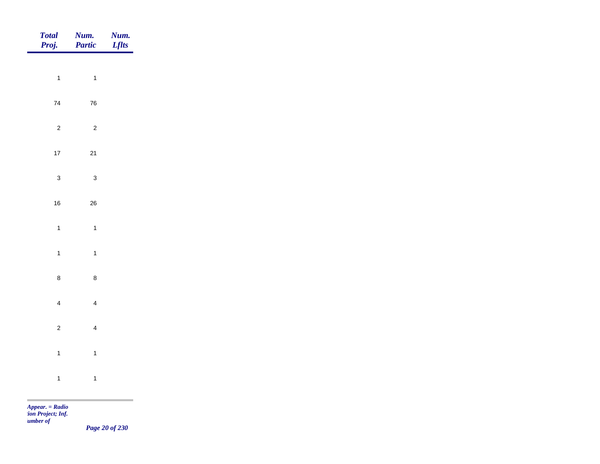| Total<br>Proj. | Num.<br>Partic | <b>Num.</b><br>Lflts |
|----------------|----------------|----------------------|
| $\overline{1}$ | $\overline{1}$ |                      |
|                |                |                      |
| ${\bf 74}$     | ${\bf 76}$     |                      |
| $\overline{c}$ | $\overline{c}$ |                      |
| $17\,$         | $21$           |                      |
| $\mathbf{3}$   | $\mathbf{3}$   |                      |
| $16\,$         | ${\bf 26}$     |                      |
| $\overline{1}$ | $\mathbf{1}$   |                      |
| $\overline{1}$ | $\overline{1}$ |                      |
| $\bf8$         |                |                      |
|                | $\bf 8$        |                      |
| $\overline{4}$ | $\overline{4}$ |                      |
| $\overline{c}$ | $\overline{4}$ |                      |
| $\overline{1}$ | $\mathbf{1}$   |                      |
| $\overline{1}$ | $\overline{1}$ |                      |
|                |                |                      |

*Page 20 of 230*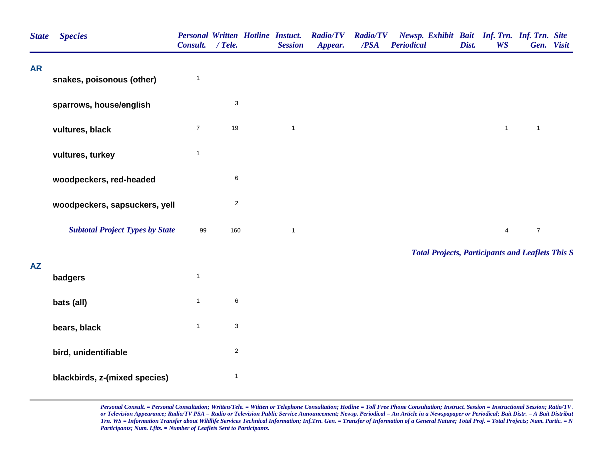| <b>State</b> | <b>Species</b>                         | Consult. / Tele. |                           | <b>Personal Written Hotline Instuct.</b><br><b>Session</b> | <b>Radio/TV</b><br>Appear. | <b>Radio/TV</b><br>/PSA | Newsp. Exhibit Bait Inf. Trn. Inf. Trn. Site<br><b>Periodical</b> | Dist. | <b>WS</b>      | Gen. Visit       |  |
|--------------|----------------------------------------|------------------|---------------------------|------------------------------------------------------------|----------------------------|-------------------------|-------------------------------------------------------------------|-------|----------------|------------------|--|
| <b>AR</b>    | snakes, poisonous (other)              | $\mathbf{1}$     |                           |                                                            |                            |                         |                                                                   |       |                |                  |  |
|              | sparrows, house/english                |                  | $\sqrt{3}$                |                                                            |                            |                         |                                                                   |       |                |                  |  |
|              | vultures, black                        | $\overline{7}$   | 19                        | $\mathbf{1}$                                               |                            |                         |                                                                   |       | $\mathbf{1}$   | $\mathbf{1}$     |  |
|              | vultures, turkey                       | $\mathbf{1}$     |                           |                                                            |                            |                         |                                                                   |       |                |                  |  |
|              | woodpeckers, red-headed                |                  | $\,6\,$                   |                                                            |                            |                         |                                                                   |       |                |                  |  |
|              | woodpeckers, sapsuckers, yell          |                  | $\mathbf 2$               |                                                            |                            |                         |                                                                   |       |                |                  |  |
|              | <b>Subtotal Project Types by State</b> | 99               | 160                       | $\mathbf{1}$                                               |                            |                         |                                                                   |       | $\overline{4}$ | $\boldsymbol{7}$ |  |
|              |                                        |                  |                           |                                                            |                            |                         | <b>Total Projects, Participants and Leaflets This S</b>           |       |                |                  |  |
| <b>AZ</b>    | badgers                                | $\mathbf{1}$     |                           |                                                            |                            |                         |                                                                   |       |                |                  |  |
|              | bats (all)                             | $\mathbf{1}$     | $\,6\,$                   |                                                            |                            |                         |                                                                   |       |                |                  |  |
|              | bears, black                           | $\mathbf{1}$     | $\ensuremath{\mathsf{3}}$ |                                                            |                            |                         |                                                                   |       |                |                  |  |
|              | bird, unidentifiable                   |                  | $\overline{2}$            |                                                            |                            |                         |                                                                   |       |                |                  |  |
|              | blackbirds, z-(mixed species)          |                  | $\mathbf{1}$              |                                                            |                            |                         |                                                                   |       |                |                  |  |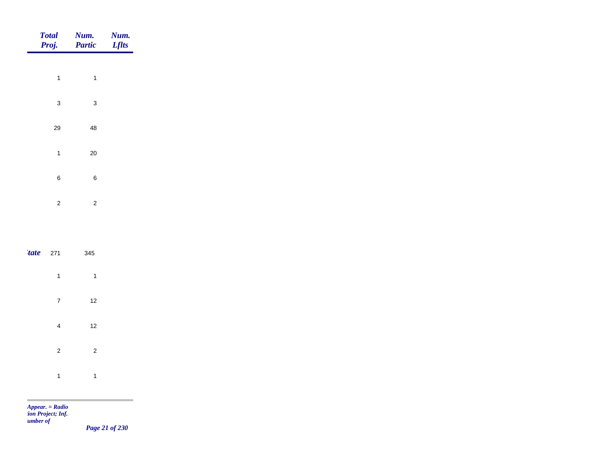| <b>Total</b><br>Proj. | Num.<br>Partic | Num.<br><b>Lflts</b> |
|-----------------------|----------------|----------------------|
|                       |                |                      |
| $\mathbf{1}$          | $\mathbf{1}$   |                      |
| $\sqrt{3}$            | $\mathbf{3}$   |                      |
| 29                    | ${\bf 48}$     |                      |
| $\mathbf{1}$          | $20\,$         |                      |
| $\,6\,$               | $\,6$          |                      |
| $\sqrt{2}$            | $\mathbf 2$    |                      |
|                       |                |                      |
|                       |                |                      |
| 'tate<br>271          | 345            |                      |
| $\mathbf{1}$          | $\mathbf{1}$   |                      |

| 7              | 12 |  |
|----------------|----|--|
| 4              | 12 |  |
| $\overline{2}$ | 2  |  |
| 1              | 1  |  |

÷

*Page 21 of 230*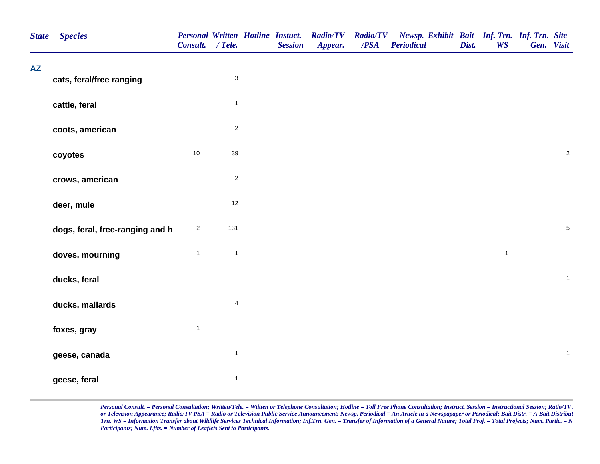| <b>AZ</b><br>$\ensuremath{\mathsf{3}}$<br>cats, feral/free ranging<br>$\mathbf{1}$<br>cattle, feral<br>$\overline{2}$<br>coots, american<br>$10$<br>39<br>coyotes<br>$\mathbf 2$<br>crows, american<br>12<br>deer, mule<br>131<br>$\overline{c}$<br>dogs, feral, free-ranging and h<br>$\mathbf{1}$<br>$\mathbf{1}$<br>$\mathbf{1}$<br>doves, mourning<br>ducks, feral<br>$\overline{\mathbf{4}}$<br>ducks, mallards<br>$\mathbf{1}$<br>foxes, gray<br>$\mathbf{1}$<br>geese, canada<br>$\mathbf{1}$<br>geese, feral | <b>State</b> | <b>Species</b> | Consult. / Tele. |  | <b>Personal Written Hotline Instuct.</b><br><b>Session</b> | <b>Radio/TV</b><br>Appear. | <b>Radio/TV</b><br>$\overline{PSA}$ | Newsp. Exhibit Bait Inf. Trn. Inf. Trn. Site<br><b>Periodical</b> | Dist. | <b>WS</b> | Gen. Visit |              |  |
|----------------------------------------------------------------------------------------------------------------------------------------------------------------------------------------------------------------------------------------------------------------------------------------------------------------------------------------------------------------------------------------------------------------------------------------------------------------------------------------------------------------------|--------------|----------------|------------------|--|------------------------------------------------------------|----------------------------|-------------------------------------|-------------------------------------------------------------------|-------|-----------|------------|--------------|--|
|                                                                                                                                                                                                                                                                                                                                                                                                                                                                                                                      |              |                |                  |  |                                                            |                            |                                     |                                                                   |       |           |            |              |  |
|                                                                                                                                                                                                                                                                                                                                                                                                                                                                                                                      |              |                |                  |  |                                                            |                            |                                     |                                                                   |       |           |            |              |  |
|                                                                                                                                                                                                                                                                                                                                                                                                                                                                                                                      |              |                |                  |  |                                                            |                            |                                     |                                                                   |       |           |            |              |  |
|                                                                                                                                                                                                                                                                                                                                                                                                                                                                                                                      |              |                |                  |  |                                                            |                            |                                     |                                                                   |       |           |            | $\sqrt{2}$   |  |
|                                                                                                                                                                                                                                                                                                                                                                                                                                                                                                                      |              |                |                  |  |                                                            |                            |                                     |                                                                   |       |           |            |              |  |
|                                                                                                                                                                                                                                                                                                                                                                                                                                                                                                                      |              |                |                  |  |                                                            |                            |                                     |                                                                   |       |           |            |              |  |
|                                                                                                                                                                                                                                                                                                                                                                                                                                                                                                                      |              |                |                  |  |                                                            |                            |                                     |                                                                   |       |           |            | $\sqrt{5}$   |  |
|                                                                                                                                                                                                                                                                                                                                                                                                                                                                                                                      |              |                |                  |  |                                                            |                            |                                     |                                                                   |       |           |            |              |  |
|                                                                                                                                                                                                                                                                                                                                                                                                                                                                                                                      |              |                |                  |  |                                                            |                            |                                     |                                                                   |       |           |            | $\mathbf 1$  |  |
|                                                                                                                                                                                                                                                                                                                                                                                                                                                                                                                      |              |                |                  |  |                                                            |                            |                                     |                                                                   |       |           |            |              |  |
|                                                                                                                                                                                                                                                                                                                                                                                                                                                                                                                      |              |                |                  |  |                                                            |                            |                                     |                                                                   |       |           |            |              |  |
|                                                                                                                                                                                                                                                                                                                                                                                                                                                                                                                      |              |                |                  |  |                                                            |                            |                                     |                                                                   |       |           |            | $\mathbf{1}$ |  |
|                                                                                                                                                                                                                                                                                                                                                                                                                                                                                                                      |              |                |                  |  |                                                            |                            |                                     |                                                                   |       |           |            |              |  |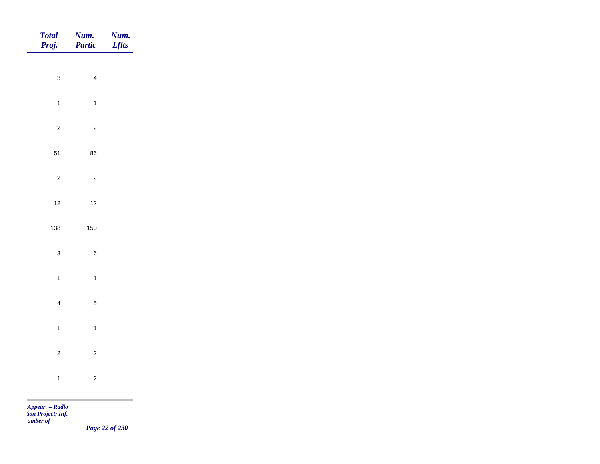| <b>Num.</b><br>Partic | <b>Num.</b><br>Lflts                                                                                                                                                                                                                                                                                                                                                             |
|-----------------------|----------------------------------------------------------------------------------------------------------------------------------------------------------------------------------------------------------------------------------------------------------------------------------------------------------------------------------------------------------------------------------|
|                       |                                                                                                                                                                                                                                                                                                                                                                                  |
|                       |                                                                                                                                                                                                                                                                                                                                                                                  |
| $\overline{1}$        |                                                                                                                                                                                                                                                                                                                                                                                  |
| $\overline{a}$        |                                                                                                                                                                                                                                                                                                                                                                                  |
| 86                    |                                                                                                                                                                                                                                                                                                                                                                                  |
| $\overline{c}$        |                                                                                                                                                                                                                                                                                                                                                                                  |
|                       |                                                                                                                                                                                                                                                                                                                                                                                  |
|                       |                                                                                                                                                                                                                                                                                                                                                                                  |
|                       |                                                                                                                                                                                                                                                                                                                                                                                  |
|                       |                                                                                                                                                                                                                                                                                                                                                                                  |
| $\overline{1}$        |                                                                                                                                                                                                                                                                                                                                                                                  |
| $\sqrt{5}$            |                                                                                                                                                                                                                                                                                                                                                                                  |
| $\overline{1}$        |                                                                                                                                                                                                                                                                                                                                                                                  |
|                       |                                                                                                                                                                                                                                                                                                                                                                                  |
|                       |                                                                                                                                                                                                                                                                                                                                                                                  |
|                       |                                                                                                                                                                                                                                                                                                                                                                                  |
|                       | $\overline{4}$<br>$12$<br>150<br>$\,6\,$<br>$\overline{c}$<br>$\overline{c}$<br>$\mathbf{A}$ and $\mathbf{B}$ and $\mathbf{B}$ and $\mathbf{B}$ and $\mathbf{B}$ and $\mathbf{B}$ and $\mathbf{B}$ and $\mathbf{B}$ and $\mathbf{B}$ and $\mathbf{B}$ and $\mathbf{B}$ and $\mathbf{B}$ and $\mathbf{B}$ and $\mathbf{B}$ and $\mathbf{B}$ and $\mathbf{B}$ and $\mathbf{B}$ and |

*Page 22 of 230*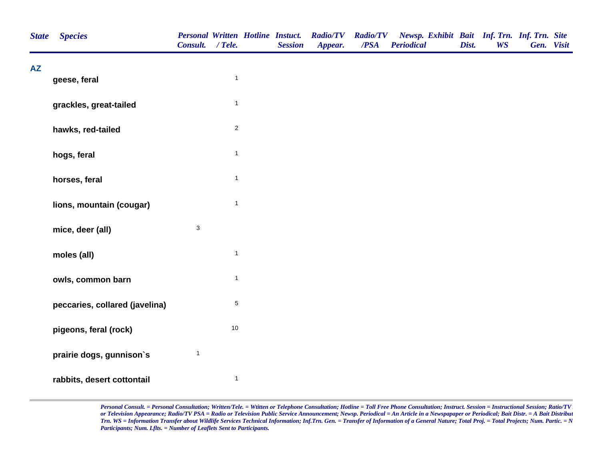| <b>State</b> | <b>Species</b>                 | Consult. / Tele.          |                | <b>Session</b> | Personal Written Hotline Instuct. Radio/TV Radio/TV<br>Appear. | /PSA | Newsp. Exhibit Bait Inf. Trn. Inf. Trn. Site<br><b>Periodical</b> | Dist. | <b>WS</b> | Gen. Visit |  |
|--------------|--------------------------------|---------------------------|----------------|----------------|----------------------------------------------------------------|------|-------------------------------------------------------------------|-------|-----------|------------|--|
| <b>AZ</b>    | geese, feral                   |                           | $\overline{1}$ |                |                                                                |      |                                                                   |       |           |            |  |
|              | grackles, great-tailed         |                           | $\mathbf{1}$   |                |                                                                |      |                                                                   |       |           |            |  |
|              | hawks, red-tailed              |                           | $\overline{2}$ |                |                                                                |      |                                                                   |       |           |            |  |
|              | hogs, feral                    |                           | $\mathbf{1}$   |                |                                                                |      |                                                                   |       |           |            |  |
|              | horses, feral                  |                           | $\overline{1}$ |                |                                                                |      |                                                                   |       |           |            |  |
|              | lions, mountain (cougar)       |                           | $\mathbf{1}$   |                |                                                                |      |                                                                   |       |           |            |  |
|              | mice, deer (all)               | $\ensuremath{\mathsf{3}}$ |                |                |                                                                |      |                                                                   |       |           |            |  |
|              | moles (all)                    |                           | $\overline{1}$ |                |                                                                |      |                                                                   |       |           |            |  |
|              | owls, common barn              |                           | $\mathbf{1}$   |                |                                                                |      |                                                                   |       |           |            |  |
|              | peccaries, collared (javelina) |                           | $\,$ 5 $\,$    |                |                                                                |      |                                                                   |       |           |            |  |
|              | pigeons, feral (rock)          |                           | $10\,$         |                |                                                                |      |                                                                   |       |           |            |  |
|              | prairie dogs, gunnison's       | $\mathbf{1}$              |                |                |                                                                |      |                                                                   |       |           |            |  |
|              | rabbits, desert cottontail     |                           | $\overline{1}$ |                |                                                                |      |                                                                   |       |           |            |  |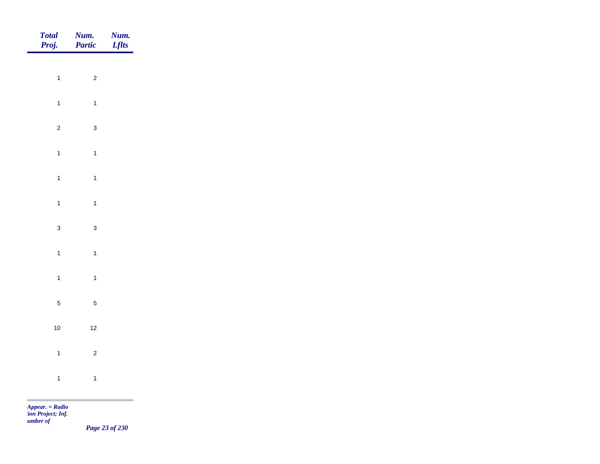| Total<br>Proj. | Num.<br>Partic | <b>Num.</b><br>Lflts |
|----------------|----------------|----------------------|
|                |                |                      |
| $\overline{1}$ | $\sqrt{2}$     |                      |
| $\overline{1}$ | $\mathbf{1}$   |                      |
| $\overline{2}$ | $\mathbf{3}$   |                      |
| $\mathbf{1}$   | $\overline{1}$ |                      |
| $\overline{1}$ | $\mathbf{1}$   |                      |
| $\mathbf{1}$   | $\overline{1}$ |                      |
| $\mathbf{3}$   |                |                      |
|                | $\mathbf{3}$   |                      |
| $\mathbf{1}$   | $\overline{1}$ |                      |
| $\overline{1}$ | $\mathbf{1}$   |                      |
| $\sqrt{5}$     | $\sqrt{5}$     |                      |
| $10\,$         | $12$           |                      |
| $\overline{1}$ | $\overline{c}$ |                      |
| $\overline{1}$ | $\mathbf{1}$   |                      |
|                |                |                      |

*Page 23 of 230*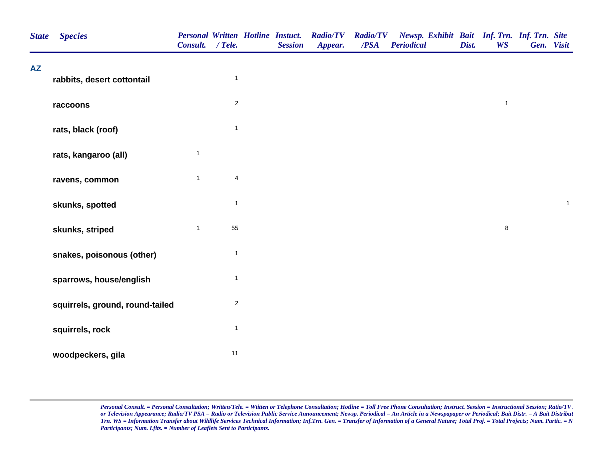| <b>State</b> | <b>Species</b>                  | Consult. / Tele. |                         | <b>Personal Written Hotline Instuct.</b><br><b>Session</b> | <b>Radio/TV</b><br>Appear. | <b>Radio/TV</b><br>$\overline{PSA}$ | Newsp. Exhibit Bait Inf. Trn. Inf. Trn. Site<br><b>Periodical</b> | Dist. | <b>WS</b>    | Gen. Visit |              |  |
|--------------|---------------------------------|------------------|-------------------------|------------------------------------------------------------|----------------------------|-------------------------------------|-------------------------------------------------------------------|-------|--------------|------------|--------------|--|
| <b>AZ</b>    | rabbits, desert cottontail      |                  | $\mathbf{1}$            |                                                            |                            |                                     |                                                                   |       |              |            |              |  |
|              | raccoons                        |                  | $\overline{2}$          |                                                            |                            |                                     |                                                                   |       | $\mathbf{1}$ |            |              |  |
|              | rats, black (roof)              |                  | $\mathbf{1}$            |                                                            |                            |                                     |                                                                   |       |              |            |              |  |
|              | rats, kangaroo (all)            | $\mathbf{1}$     |                         |                                                            |                            |                                     |                                                                   |       |              |            |              |  |
|              | ravens, common                  | $\mathbf{1}$     | $\overline{\mathbf{4}}$ |                                                            |                            |                                     |                                                                   |       |              |            |              |  |
|              | skunks, spotted                 |                  | $\mathbf{1}$            |                                                            |                            |                                     |                                                                   |       |              |            | $\mathbf{1}$ |  |
|              | skunks, striped                 | $\mathbf{1}$     | 55                      |                                                            |                            |                                     |                                                                   |       | $\bf 8$      |            |              |  |
|              | snakes, poisonous (other)       |                  | $\mathbf{1}$            |                                                            |                            |                                     |                                                                   |       |              |            |              |  |
|              | sparrows, house/english         |                  | $\mathbf{1}$            |                                                            |                            |                                     |                                                                   |       |              |            |              |  |
|              | squirrels, ground, round-tailed |                  | $\overline{c}$          |                                                            |                            |                                     |                                                                   |       |              |            |              |  |
|              | squirrels, rock                 |                  | $\mathbf{1}$            |                                                            |                            |                                     |                                                                   |       |              |            |              |  |
|              | woodpeckers, gila               |                  | 11                      |                                                            |                            |                                     |                                                                   |       |              |            |              |  |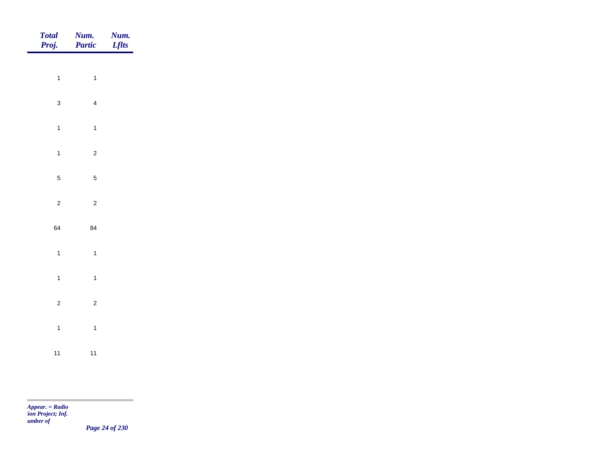| Total<br>Proj. | <b>Num.</b><br>Partic   | <b>Num.</b><br>Lflts |
|----------------|-------------------------|----------------------|
| $\overline{1}$ | $\overline{1}$          |                      |
| $\mathbf{3}$   | $\overline{4}$          |                      |
| $\overline{1}$ | $\overline{1}$          |                      |
| $\overline{1}$ | $\mathbf 2$             |                      |
| $\overline{5}$ | $\overline{5}$          |                      |
| $\overline{c}$ | $\overline{\mathbf{c}}$ |                      |
| 64             | 84                      |                      |
| $\mathbf{1}$   | $\overline{1}$          |                      |
| $\overline{1}$ | $\overline{1}$          |                      |
| $\overline{c}$ | $\overline{c}$          |                      |
| $\overline{1}$ | $\overline{1}$          |                      |
| 11             | 11                      |                      |

m

*Page 24 of 230*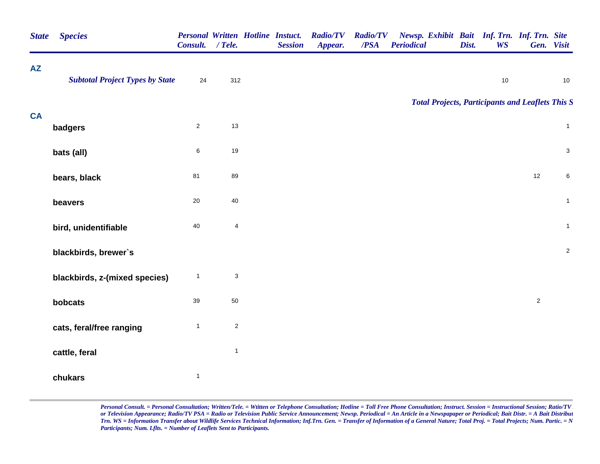| <b>State</b> | <b>Species</b>                         | <b>Personal Written Hotline Instuct.</b><br>Consult. | $/$ Tele.                 | <b>Session</b> | <b>Radio/TV</b><br>Appear. | <b>Radio/TV</b><br>/PSA | Newsp. Exhibit Bait Inf. Trn. Inf. Trn. Site<br><b>Periodical</b> | Dist. | <b>WS</b>                                               |                | Gen. Visit   |
|--------------|----------------------------------------|------------------------------------------------------|---------------------------|----------------|----------------------------|-------------------------|-------------------------------------------------------------------|-------|---------------------------------------------------------|----------------|--------------|
| <b>AZ</b>    | <b>Subtotal Project Types by State</b> | 24                                                   | 312                       |                |                            |                         |                                                                   |       | $10$                                                    |                | $10$         |
|              |                                        |                                                      |                           |                |                            |                         |                                                                   |       | <b>Total Projects, Participants and Leaflets This S</b> |                |              |
| <b>CA</b>    | badgers                                | $\overline{2}$                                       | 13                        |                |                            |                         |                                                                   |       |                                                         |                | $\mathbf{1}$ |
|              | bats (all)                             | 6                                                    | 19                        |                |                            |                         |                                                                   |       |                                                         |                | $\mathbf{3}$ |
|              | bears, black                           | 81                                                   | 89                        |                |                            |                         |                                                                   |       |                                                         | $12\,$         | 6            |
|              | beavers                                | $20\,$                                               | 40                        |                |                            |                         |                                                                   |       |                                                         |                | $\mathbf{1}$ |
|              | bird, unidentifiable                   | $40\,$                                               | $\overline{\mathbf{4}}$   |                |                            |                         |                                                                   |       |                                                         |                | $\mathbf{1}$ |
|              | blackbirds, brewer's                   |                                                      |                           |                |                            |                         |                                                                   |       |                                                         |                | $\mathbf 2$  |
|              | blackbirds, z-(mixed species)          | $\mathbf{1}$                                         | $\ensuremath{\mathsf{3}}$ |                |                            |                         |                                                                   |       |                                                         |                |              |
|              | bobcats                                | 39                                                   | 50                        |                |                            |                         |                                                                   |       |                                                         | $\overline{2}$ |              |
|              | cats, feral/free ranging               | $\mathbf{1}$                                         | $\overline{c}$            |                |                            |                         |                                                                   |       |                                                         |                |              |
|              | cattle, feral                          |                                                      | $\mathbf{1}$              |                |                            |                         |                                                                   |       |                                                         |                |              |
|              | chukars                                | $\mathbf{1}$                                         |                           |                |                            |                         |                                                                   |       |                                                         |                |              |
|              |                                        |                                                      |                           |                |                            |                         |                                                                   |       |                                                         |                |              |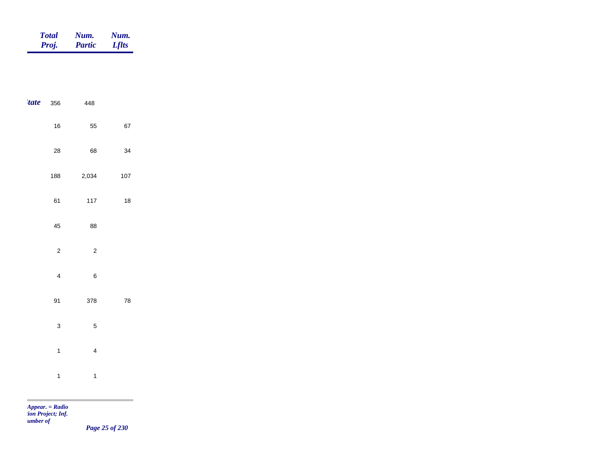| <b>Total</b> | Num.          | Num.         |
|--------------|---------------|--------------|
| Proj.        | <b>Partic</b> | <b>Lflts</b> |

| <i>tate</i> | 356                     | 448                     |            |  |
|-------------|-------------------------|-------------------------|------------|--|
|             | 16                      | 55                      | 67         |  |
|             | 28                      | 68                      | 34         |  |
|             | 188                     | 2,034                   | 107        |  |
|             | 61                      | 117                     | $18\,$     |  |
|             | 45                      | 88                      |            |  |
|             | $\overline{c}$          | $\overline{c}$          |            |  |
|             | $\overline{\mathbf{4}}$ | $\boldsymbol{6}$        |            |  |
|             | 91                      | 378                     | ${\bf 78}$ |  |
|             | 3                       | $\overline{5}$          |            |  |
|             | $\mathbf{1}$            | $\overline{\mathbf{4}}$ |            |  |
|             | $\mathbf{1}$            | $\mathbf{1}$            |            |  |

m

*Page 25 of 230*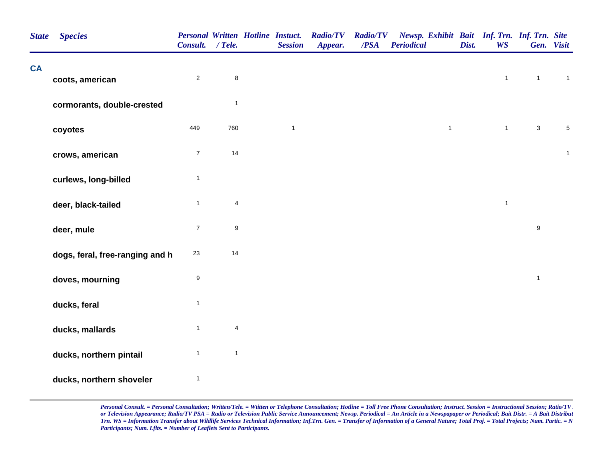| <b>State</b> | <b>Species</b>                  | <b>Personal Written Hotline Instuct.</b><br>Consult. / Tele. |                         | <b>Session</b> | <b>Radio/TV</b><br>Appear. | <b>Radio/TV</b><br>/PSA | Newsp. Exhibit Bait Inf. Trn. Inf. Trn. Site<br><b>Periodical</b> | Dist. | <b>WS</b>    |                  | Gen. Visit   |
|--------------|---------------------------------|--------------------------------------------------------------|-------------------------|----------------|----------------------------|-------------------------|-------------------------------------------------------------------|-------|--------------|------------------|--------------|
| <b>CA</b>    | coots, american                 | $\sqrt{2}$                                                   | $\bf 8$                 |                |                            |                         |                                                                   |       | $\mathbf{1}$ | $\mathbf{1}$     | $\mathbf{1}$ |
|              | cormorants, double-crested      |                                                              | $\mathbf{1}$            |                |                            |                         |                                                                   |       |              |                  |              |
|              | coyotes                         | 449                                                          | 760                     | $\mathbf{1}$   |                            |                         | $\mathbf{1}$                                                      |       | $\mathbf{1}$ | $\sqrt{3}$       | $\sqrt{5}$   |
|              | crows, american                 | $\boldsymbol{7}$                                             | 14                      |                |                            |                         |                                                                   |       |              |                  | $\mathbf{1}$ |
|              | curlews, long-billed            | $\mathbf{1}$                                                 |                         |                |                            |                         |                                                                   |       |              |                  |              |
|              | deer, black-tailed              | $\mathbf{1}$                                                 | $\overline{\mathbf{4}}$ |                |                            |                         |                                                                   |       | $\mathbf{1}$ |                  |              |
|              | deer, mule                      | $\boldsymbol{7}$                                             | $\boldsymbol{9}$        |                |                            |                         |                                                                   |       |              | $\boldsymbol{9}$ |              |
|              | dogs, feral, free-ranging and h | 23                                                           | 14                      |                |                            |                         |                                                                   |       |              |                  |              |
|              | doves, mourning                 | 9                                                            |                         |                |                            |                         |                                                                   |       |              | $\mathbf{1}$     |              |
|              | ducks, feral                    | $\mathbf{1}$                                                 |                         |                |                            |                         |                                                                   |       |              |                  |              |
|              | ducks, mallards                 | $\mathbf{1}$                                                 | $\overline{\mathbf{4}}$ |                |                            |                         |                                                                   |       |              |                  |              |
|              | ducks, northern pintail         | $\mathbf{1}$                                                 | $\mathbf{1}$            |                |                            |                         |                                                                   |       |              |                  |              |
|              | ducks, northern shoveler        | $\mathbf{1}$                                                 |                         |                |                            |                         |                                                                   |       |              |                  |              |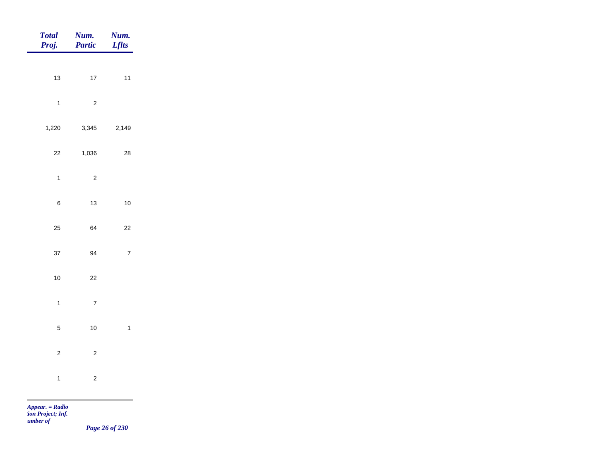| <b>Total</b><br>Proj. | Num.<br><b>Partic</b> | Num.<br><b>Lflts</b> |
|-----------------------|-----------------------|----------------------|
| 13                    | $17\,$                | $11$                 |
| $\mathbf{1}$          | $\mathbf 2$           |                      |
| 1,220                 | 3,345                 | 2,149                |
| $22\,$                | 1,036                 | 28                   |
| $\mathbf{1}$          | $\mathbf 2$           |                      |
| $\,6\,$               | 13                    | $10\,$               |
| 25                    | 64                    | $22\,$               |
| 37                    | 94                    | $\boldsymbol{7}$     |
| $10\,$                | 22                    |                      |
| $\mathbf{1}$          | $\boldsymbol{7}$      |                      |
| $\sqrt{5}$            | $10\,$                | $\mathbf{1}$         |
| $\overline{a}$        | $\mathbf 2$           |                      |
| $\mathbf{1}$          | $\sqrt{2}$            |                      |

*Page 26 of 230*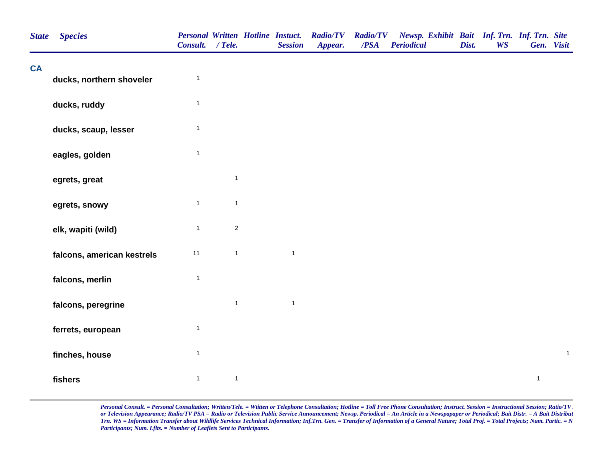| <b>State</b> | <b>Species</b>             | Consult. / Tele. |              | <b>Personal Written Hotline Instuct.</b><br><b>Session</b> | <b>Radio/TV</b><br>Appear. | <b>Radio/TV</b><br>$\overline{PSA}$ | Newsp. Exhibit Bait Inf. Trn. Inf. Trn. Site<br><b>Periodical</b> | Dist. | <b>WS</b> | Gen. Visit   |              |
|--------------|----------------------------|------------------|--------------|------------------------------------------------------------|----------------------------|-------------------------------------|-------------------------------------------------------------------|-------|-----------|--------------|--------------|
| <b>CA</b>    | ducks, northern shoveler   | $\mathbf{1}$     |              |                                                            |                            |                                     |                                                                   |       |           |              |              |
|              |                            |                  |              |                                                            |                            |                                     |                                                                   |       |           |              |              |
|              | ducks, ruddy               | $\mathbf{1}$     |              |                                                            |                            |                                     |                                                                   |       |           |              |              |
|              | ducks, scaup, lesser       | $\mathbf{1}$     |              |                                                            |                            |                                     |                                                                   |       |           |              |              |
|              | eagles, golden             | $\mathbf{1}$     |              |                                                            |                            |                                     |                                                                   |       |           |              |              |
|              | egrets, great              |                  | $\mathbf{1}$ |                                                            |                            |                                     |                                                                   |       |           |              |              |
|              | egrets, snowy              | $\mathbf{1}$     | $\mathbf{1}$ |                                                            |                            |                                     |                                                                   |       |           |              |              |
|              | elk, wapiti (wild)         | $\mathbf{1}$     | $\sqrt{2}$   |                                                            |                            |                                     |                                                                   |       |           |              |              |
|              | falcons, american kestrels | 11               | $\mathbf{1}$ | $\mathbf{1}$                                               |                            |                                     |                                                                   |       |           |              |              |
|              | falcons, merlin            | $\mathbf{1}$     |              |                                                            |                            |                                     |                                                                   |       |           |              |              |
|              | falcons, peregrine         |                  | $\mathbf{1}$ | $\mathbf{1}$                                               |                            |                                     |                                                                   |       |           |              |              |
|              | ferrets, european          | $\mathbf{1}$     |              |                                                            |                            |                                     |                                                                   |       |           |              |              |
|              | finches, house             | $\mathbf{1}$     |              |                                                            |                            |                                     |                                                                   |       |           |              | $\mathbf{1}$ |
|              | fishers                    | $\mathbf{1}$     | $\mathbf{1}$ |                                                            |                            |                                     |                                                                   |       |           | $\mathbf{1}$ |              |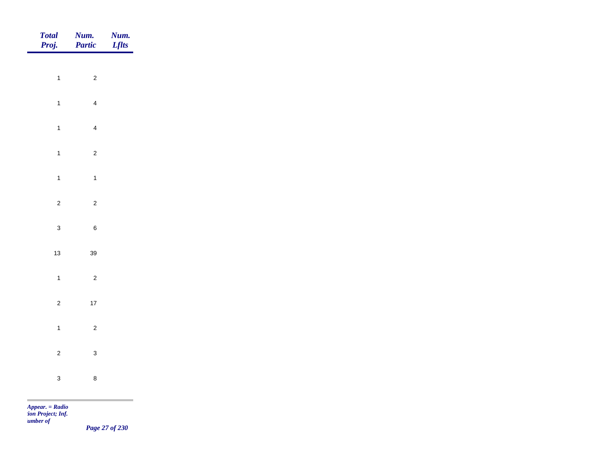| <b>Total</b><br>Proj. | Num.<br>Partic | Num.<br><b>Lflts</b> |
|-----------------------|----------------|----------------------|
|                       |                |                      |
| $\overline{1}$        | $\overline{c}$ |                      |
| $\overline{1}$        | $\overline{4}$ |                      |
| $\mathbf{1}$          | $\overline{4}$ |                      |
| $\mathbf{1}$          | $\overline{2}$ |                      |
| $\overline{1}$        | $\overline{1}$ |                      |
| $\overline{2}$        | $\overline{2}$ |                      |
| $\mathbf{3}$          | $\,6$          |                      |
|                       |                |                      |
| $13$                  | $39\,$         |                      |
| $\mathbf{1}$          | $\overline{2}$ |                      |
| $\overline{c}$        | $17\,$         |                      |
| $\mathbf{1}$          | $\overline{c}$ |                      |
| $\overline{c}$        | $\mathbf{3}$   |                      |
| $\mathbf{3}$          | $\bf 8$        |                      |
|                       |                |                      |

*Page 27 of 230*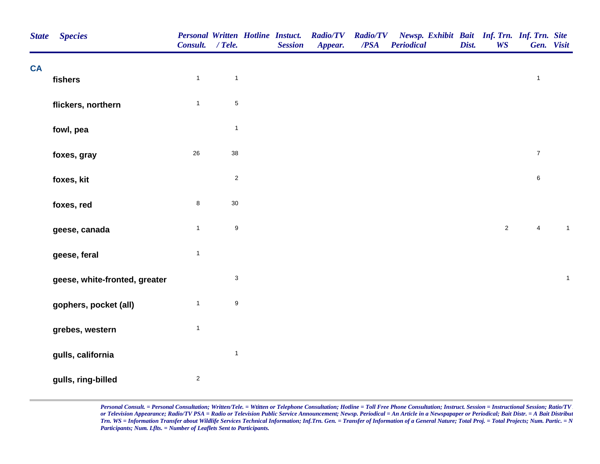| <b>State</b> | <b>Species</b>                | <b>Personal Written Hotline Instuct.</b><br>Consult. / Tele. |                           | <b>Session</b> | <b>Radio/TV</b><br>Appear. | <b>Radio/TV</b><br>/PSA | Newsp. Exhibit Bait Inf. Trn. Inf. Trn. Site<br><b>Periodical</b> | Dist. | <b>WS</b>      | Gen. Visit       |              |
|--------------|-------------------------------|--------------------------------------------------------------|---------------------------|----------------|----------------------------|-------------------------|-------------------------------------------------------------------|-------|----------------|------------------|--------------|
| <b>CA</b>    |                               |                                                              |                           |                |                            |                         |                                                                   |       |                |                  |              |
|              | fishers                       | $\mathbf{1}$                                                 | $\overline{1}$            |                |                            |                         |                                                                   |       |                | $\mathbf{1}$     |              |
|              | flickers, northern            | $\mathbf{1}$                                                 | $\,$ 5 $\,$               |                |                            |                         |                                                                   |       |                |                  |              |
|              | fowl, pea                     |                                                              | $\mathbf{1}$              |                |                            |                         |                                                                   |       |                |                  |              |
|              | foxes, gray                   | 26                                                           | $38\,$                    |                |                            |                         |                                                                   |       |                | $\boldsymbol{7}$ |              |
|              | foxes, kit                    |                                                              | $\mathbf 2$               |                |                            |                         |                                                                   |       |                | $\,6\,$          |              |
|              | foxes, red                    | $\bf 8$                                                      | $30\,$                    |                |                            |                         |                                                                   |       |                |                  |              |
|              | geese, canada                 | $\mathbf{1}$                                                 | $\boldsymbol{9}$          |                |                            |                         |                                                                   |       | $\overline{2}$ | $\overline{4}$   | $\mathbf{1}$ |
|              | geese, feral                  | $\mathbf{1}$                                                 |                           |                |                            |                         |                                                                   |       |                |                  |              |
|              | geese, white-fronted, greater |                                                              | $\ensuremath{\mathsf{3}}$ |                |                            |                         |                                                                   |       |                |                  | $\mathbf{1}$ |
|              | gophers, pocket (all)         | $\mathbf{1}$                                                 | $\boldsymbol{9}$          |                |                            |                         |                                                                   |       |                |                  |              |
|              | grebes, western               | $\mathbf 1$                                                  |                           |                |                            |                         |                                                                   |       |                |                  |              |
|              | gulls, california             |                                                              | $\mathbf{1}$              |                |                            |                         |                                                                   |       |                |                  |              |
|              | gulls, ring-billed            | $\sqrt{2}$                                                   |                           |                |                            |                         |                                                                   |       |                |                  |              |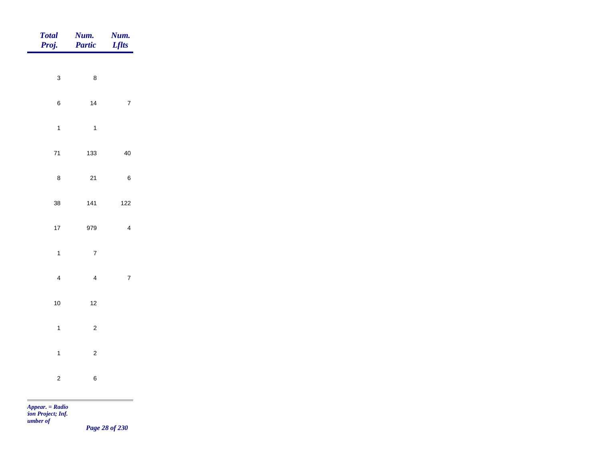| <b>Total</b><br>Proj. |                         | Num.<br>Partic | Num.<br><b>Lflts</b> |
|-----------------------|-------------------------|----------------|----------------------|
|                       | $\mathbf{3}$            | $\bf 8$        |                      |
|                       | $\,6$                   | 14             | $\sqrt{7}$           |
|                       | $\mathbf{1}$            | $\overline{1}$ |                      |
|                       | $\bf 71$                | 133            | 40                   |
|                       | $\bf 8$                 | $21$           | $\,$ 6 $\,$          |
|                       | $38\,$                  | $141$          | $122$                |
|                       | $17\,$                  | 979            | $\overline{4}$       |
|                       | $\mathbf{1}$            | $\overline{7}$ |                      |
|                       | $\overline{\mathbf{4}}$ | $\overline{4}$ | $\overline{7}$       |
|                       | $10$                    | $12$           |                      |
|                       | $\mathbf{1}$            | $\overline{c}$ |                      |
|                       | $\mathbf{1}$            | $\overline{c}$ |                      |
| <b>Contract</b>       | $\overline{c}$          | $\,6\,$        |                      |

*Page 28 of 230*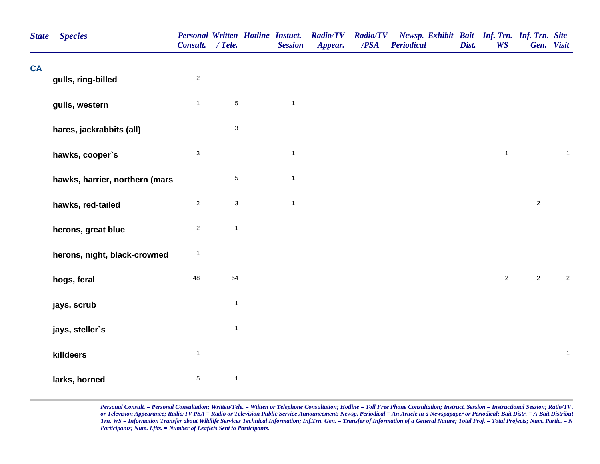| <b>State</b> | <b>Species</b>                 | Consult. / Tele.        |              | <b>Personal Written Hotline Instuct.</b><br><b>Session</b> | <b>Radio/TV</b><br>Appear. | <b>Radio/TV</b><br>/PSA | Newsp. Exhibit Bait Inf. Trn. Inf. Trn. Site<br><b>Periodical</b> | Dist. | <b>WS</b>      | Gen. Visit     |              |
|--------------|--------------------------------|-------------------------|--------------|------------------------------------------------------------|----------------------------|-------------------------|-------------------------------------------------------------------|-------|----------------|----------------|--------------|
| <b>CA</b>    | gulls, ring-billed             | $\overline{\mathbf{c}}$ |              |                                                            |                            |                         |                                                                   |       |                |                |              |
|              | gulls, western                 | $\mathbf{1}$            | $\sqrt{5}$   | $\mathbf{1}$                                               |                            |                         |                                                                   |       |                |                |              |
|              | hares, jackrabbits (all)       |                         | $\sqrt{3}$   |                                                            |                            |                         |                                                                   |       |                |                |              |
|              | hawks, cooper's                | 3                       |              | $\mathbf{1}$                                               |                            |                         |                                                                   |       | $\mathbf{1}$   |                | $\mathbf{1}$ |
|              | hawks, harrier, northern (mars |                         | $\sqrt{5}$   | $\mathbf{1}$                                               |                            |                         |                                                                   |       |                |                |              |
|              | hawks, red-tailed              | $\overline{2}$          | $\mathbf{3}$ | $\mathbf{1}$                                               |                            |                         |                                                                   |       |                | $\overline{2}$ |              |
|              | herons, great blue             | $\overline{\mathbf{c}}$ | $\mathbf{1}$ |                                                            |                            |                         |                                                                   |       |                |                |              |
|              | herons, night, black-crowned   | $\mathbf{1}$            |              |                                                            |                            |                         |                                                                   |       |                |                |              |
|              | hogs, feral                    | 48                      | 54           |                                                            |                            |                         |                                                                   |       | $\overline{2}$ | $\overline{2}$ | $\sqrt{2}$   |
|              | jays, scrub                    |                         | $\mathbf{1}$ |                                                            |                            |                         |                                                                   |       |                |                |              |
|              | jays, steller's                |                         | $\mathbf{1}$ |                                                            |                            |                         |                                                                   |       |                |                |              |
|              | killdeers                      | $\mathbf{1}$            |              |                                                            |                            |                         |                                                                   |       |                |                | $\mathbf{1}$ |
|              | larks, horned                  | $\,$ 5 $\,$             | $\mathbf{1}$ |                                                            |                            |                         |                                                                   |       |                |                |              |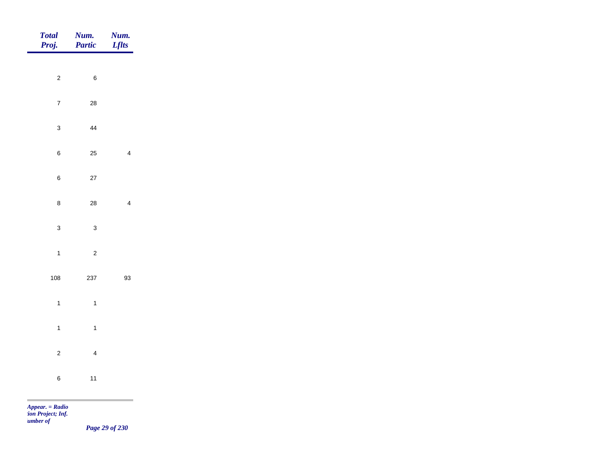| Total<br>Proj. | <b>Num.</b><br>Partic | <b>Num.</b><br>Lflts |
|----------------|-----------------------|----------------------|
| $\overline{c}$ | $\,6\,$               |                      |
|                |                       |                      |
| $\overline{7}$ | ${\bf 28}$            |                      |
| $\mathbf{3}$   | 44                    |                      |
| $\,6\,$        | 25                    | $\overline{4}$       |
| $\,$ 6 $\,$    | $27\,$                |                      |
| $\bf 8$        | ${\bf 28}$            | $\overline{4}$       |
| $\overline{3}$ | $\mathbf{3}$          |                      |
| $\overline{1}$ | $\overline{c}$        |                      |
| 108            | 237                   | 93                   |
|                |                       |                      |
| $\overline{1}$ | $\mathbf{1}$          |                      |
| $\mathbf{1}$   | $\overline{1}$        |                      |
| $\overline{2}$ | $\overline{4}$        |                      |
| $\bf 6$        | $11$                  |                      |
|                |                       |                      |

*Page 29 of 230*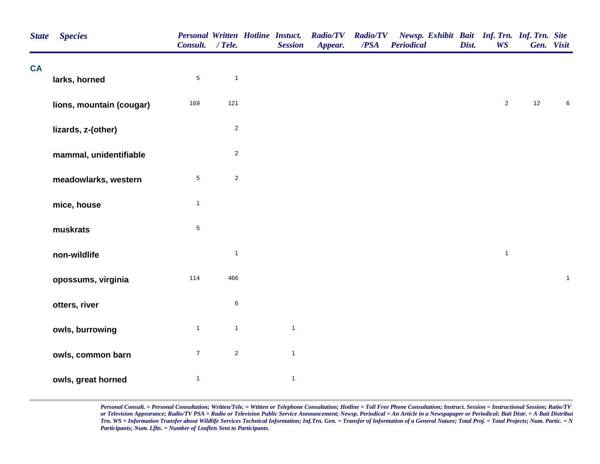| <b>State</b> | <b>Species</b>           | Consult. / Tele. |              | <b>Personal Written Hotline Instuct.</b><br><b>Session</b> | <b>Radio/TV</b><br>Appear. | <b>Radio/TV</b><br>$\overline{PSA}$ | Newsp. Exhibit Bait Inf. Trn. Inf. Trn. Site<br><b>Periodical</b> | Dist. | <b>WS</b>      |    | Gen. Visit   |
|--------------|--------------------------|------------------|--------------|------------------------------------------------------------|----------------------------|-------------------------------------|-------------------------------------------------------------------|-------|----------------|----|--------------|
| <b>CA</b>    | larks, horned            | $\sqrt{5}$       | $\mathbf{1}$ |                                                            |                            |                                     |                                                                   |       |                |    |              |
|              | lions, mountain (cougar) | 169              | 121          |                                                            |                            |                                     |                                                                   |       | $\overline{2}$ | 12 | 6            |
|              | lizards, z-(other)       |                  | $\sqrt{2}$   |                                                            |                            |                                     |                                                                   |       |                |    |              |
|              | mammal, unidentifiable   |                  | $\sqrt{2}$   |                                                            |                            |                                     |                                                                   |       |                |    |              |
|              | meadowlarks, western     | $\sqrt{5}$       | $\sqrt{2}$   |                                                            |                            |                                     |                                                                   |       |                |    |              |
|              | mice, house              | $\mathbf{1}$     |              |                                                            |                            |                                     |                                                                   |       |                |    |              |
|              | muskrats                 | $\,$ 5 $\,$      |              |                                                            |                            |                                     |                                                                   |       |                |    |              |
|              | non-wildlife             |                  | $\mathbf{1}$ |                                                            |                            |                                     |                                                                   |       | $\mathbf{1}$   |    |              |
|              | opossums, virginia       | 114              | 466          |                                                            |                            |                                     |                                                                   |       |                |    | $\mathbf{1}$ |
|              | otters, river            |                  | $\,6\,$      |                                                            |                            |                                     |                                                                   |       |                |    |              |
|              | owls, burrowing          | $\mathbf{1}$     | $\mathbf{1}$ | $\mathbf{1}$                                               |                            |                                     |                                                                   |       |                |    |              |
|              | owls, common barn        | $\overline{7}$   | $\sqrt{2}$   | $\mathbf{1}$                                               |                            |                                     |                                                                   |       |                |    |              |
|              | owls, great horned       | $\mathbf{1}$     |              | $\mathbf{1}$                                               |                            |                                     |                                                                   |       |                |    |              |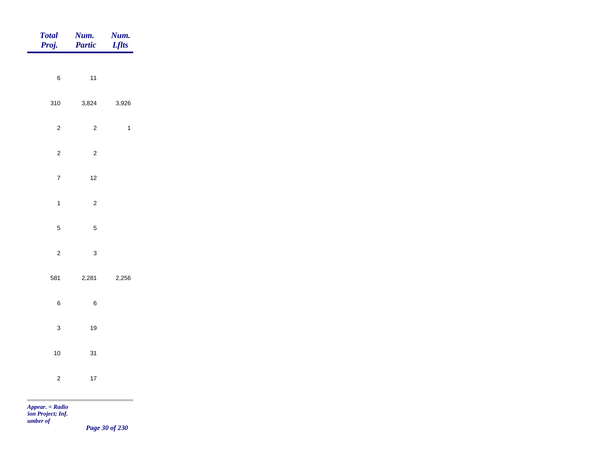| Total<br>Proj.                       | <b>Num.</b><br>Partic | <b>Num.</b><br><i>Lflts</i> |
|--------------------------------------|-----------------------|-----------------------------|
|                                      |                       |                             |
| $\,6$                                | $11$                  |                             |
| 310                                  | 3,824                 | 3,926                       |
| $\overline{c}$                       | $\overline{c}$        | $\overline{1}$              |
| $\overline{c}$                       | $\sqrt{2}$            |                             |
| $\overline{7}$                       | $12$                  |                             |
| $\mathbf{1}$                         | $\overline{c}$        |                             |
|                                      |                       |                             |
| $\overline{5}$                       | $\sqrt{5}$            |                             |
| $\mathbf{2}$                         | $\mathbf{3}$          |                             |
| 581                                  | 2,281                 | 2,256                       |
| $\,6\,$                              | $\, 6$                |                             |
| $\mathbf{3}$                         | $19$                  |                             |
| $10$                                 | 31                    |                             |
|                                      |                       |                             |
| $\sqrt{2}$                           | $17\,$                |                             |
| <b>Contract</b><br>$Appear. = Radio$ |                       |                             |

*tion Project; Inf. Number of* 

*Page 30 of 230*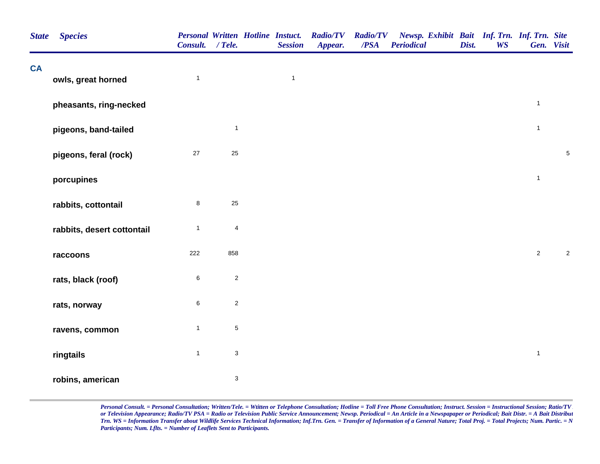| <b>State</b> | <b>Species</b>             | <b>Personal Written Hotline Instuct.</b><br>Consult. / Tele. |                           | <b>Session</b> | <b>Radio/TV</b><br>Appear. | <b>Radio/TV</b><br>/PSA | Newsp. Exhibit Bait Inf. Trn. Inf. Trn. Site<br><b>Periodical</b> | Dist. | <b>WS</b> | Gen. Visit     |             |
|--------------|----------------------------|--------------------------------------------------------------|---------------------------|----------------|----------------------------|-------------------------|-------------------------------------------------------------------|-------|-----------|----------------|-------------|
| <b>CA</b>    | owls, great horned         | $\mathbf{1}$                                                 |                           | $\mathbf{1}$   |                            |                         |                                                                   |       |           |                |             |
|              | pheasants, ring-necked     |                                                              |                           |                |                            |                         |                                                                   |       |           | $\mathbf{1}$   |             |
|              | pigeons, band-tailed       |                                                              | $\overline{1}$            |                |                            |                         |                                                                   |       |           | $\mathbf{1}$   |             |
|              | pigeons, feral (rock)      | $27\,$                                                       | $25\,$                    |                |                            |                         |                                                                   |       |           |                | $\,$ 5 $\,$ |
|              | porcupines                 |                                                              |                           |                |                            |                         |                                                                   |       |           | $\mathbf{1}$   |             |
|              | rabbits, cottontail        | 8                                                            | $25\,$                    |                |                            |                         |                                                                   |       |           |                |             |
|              | rabbits, desert cottontail | $\mathbf{1}$                                                 | 4                         |                |                            |                         |                                                                   |       |           |                |             |
|              | raccoons                   | 222                                                          | 858                       |                |                            |                         |                                                                   |       |           | $\overline{2}$ | $\sqrt{2}$  |
|              | rats, black (roof)         | 6                                                            | $\sqrt{2}$                |                |                            |                         |                                                                   |       |           |                |             |
|              | rats, norway               | 6                                                            | $\overline{2}$            |                |                            |                         |                                                                   |       |           |                |             |
|              | ravens, common             | $\mathbf{1}$                                                 | $\,$ 5 $\,$               |                |                            |                         |                                                                   |       |           |                |             |
|              | ringtails                  | $\mathbf{1}$                                                 | $\ensuremath{\mathsf{3}}$ |                |                            |                         |                                                                   |       |           | $\mathbf{1}$   |             |
|              | robins, american           |                                                              | $\sqrt{3}$                |                |                            |                         |                                                                   |       |           |                |             |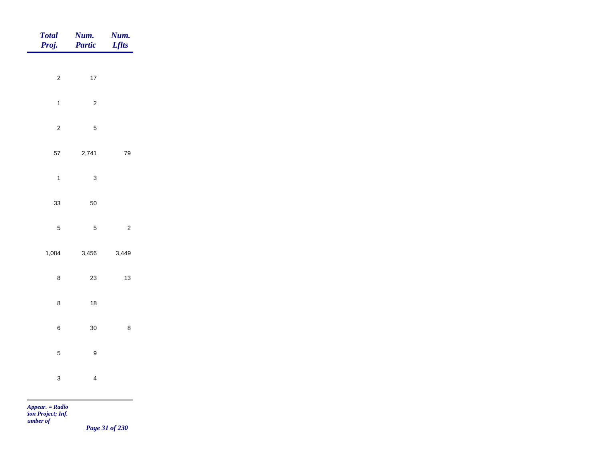| Total<br>Proj. | <b>Num.</b><br><b>Partic</b> | <b>Num.</b><br>Lflts |
|----------------|------------------------------|----------------------|
| $\overline{2}$ | $17\,$                       |                      |
|                |                              |                      |
| $\mathbf{1}$   | $\overline{c}$               |                      |
| $\overline{c}$ | $\overline{5}$               |                      |
| 57             | 2,741                        | 79                   |
| $\overline{1}$ | $\mathbf{3}$                 |                      |
| 33             | 50                           |                      |
| $\overline{5}$ | $\overline{5}$               | $\overline{c}$       |
| 1,084          | 3,456                        | 3,449                |
| $\bf 8$        | 23                           | $13$                 |
| $\bf 8$        | $18$                         |                      |
|                |                              |                      |
| $\,$ 6 $\,$    | $30\,$                       | $\bf 8$              |
| $\overline{5}$ | $\boldsymbol{9}$             |                      |
| $\mathbf{3}$   | $\overline{\mathbf{4}}$      |                      |
|                |                              |                      |

*Page 31 of 230*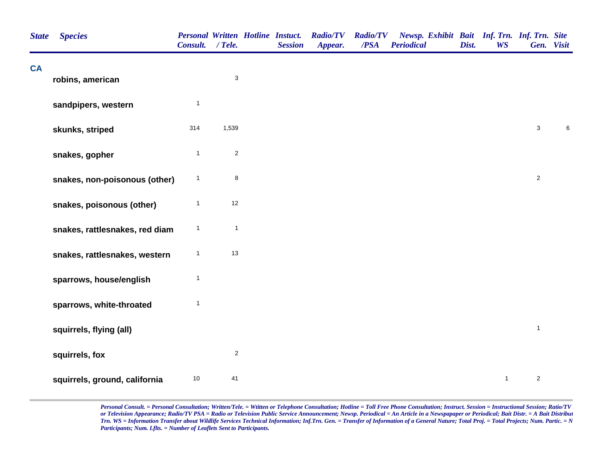| <b>State</b> | <b>Species</b>                 | <b>Personal Written Hotline Instuct.</b><br>Consult. / Tele. |                           | <b>Session</b> | <b>Radio/TV</b><br>Appear. | <b>Radio/TV</b><br>/PSA | Newsp. Exhibit Bait Inf. Trn. Inf. Trn. Site<br><b>Periodical</b> | Dist. | <b>WS</b>    | Gen. Visit     |       |
|--------------|--------------------------------|--------------------------------------------------------------|---------------------------|----------------|----------------------------|-------------------------|-------------------------------------------------------------------|-------|--------------|----------------|-------|
| <b>CA</b>    | robins, american               |                                                              | $\ensuremath{\mathsf{3}}$ |                |                            |                         |                                                                   |       |              |                |       |
|              | sandpipers, western            | $\overline{1}$                                               |                           |                |                            |                         |                                                                   |       |              |                |       |
|              | skunks, striped                | 314                                                          | 1,539                     |                |                            |                         |                                                                   |       |              | $\mathsf 3$    | $\,6$ |
|              | snakes, gopher                 | $\overline{1}$                                               | $\sqrt{2}$                |                |                            |                         |                                                                   |       |              |                |       |
|              | snakes, non-poisonous (other)  | $\overline{1}$                                               | 8                         |                |                            |                         |                                                                   |       |              | $\overline{2}$ |       |
|              | snakes, poisonous (other)      | $\mathbf{1}$                                                 | $12$                      |                |                            |                         |                                                                   |       |              |                |       |
|              | snakes, rattlesnakes, red diam | $\mathbf{1}$                                                 | $\mathbf{1}$              |                |                            |                         |                                                                   |       |              |                |       |
|              | snakes, rattlesnakes, western  | $\mathbf{1}$                                                 | 13                        |                |                            |                         |                                                                   |       |              |                |       |
|              | sparrows, house/english        | $\overline{1}$                                               |                           |                |                            |                         |                                                                   |       |              |                |       |
|              | sparrows, white-throated       | $\mathbf{1}$                                                 |                           |                |                            |                         |                                                                   |       |              |                |       |
|              | squirrels, flying (all)        |                                                              |                           |                |                            |                         |                                                                   |       |              | $\mathbf{1}$   |       |
|              | squirrels, fox                 |                                                              | $\boldsymbol{2}$          |                |                            |                         |                                                                   |       |              |                |       |
|              | squirrels, ground, california  | $10$                                                         | 41                        |                |                            |                         |                                                                   |       | $\mathbf{1}$ | $\overline{2}$ |       |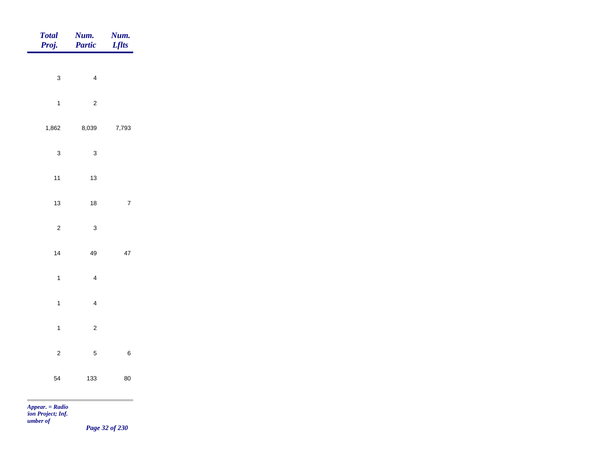| Total<br>Proj.    | Num.<br>Partic          | Num.<br><b>Lflts</b> |
|-------------------|-------------------------|----------------------|
|                   |                         |                      |
| $\mathbf{3}$      | $\overline{4}$          |                      |
| $\overline{1}$    | $\sqrt{2}$              |                      |
| 1,862             | 8,039                   | 7,793                |
| $\mathbf{3}$      | $\mathbf{3}$            |                      |
| $11$              | $13$                    |                      |
| 13                | $18$                    | $\overline{7}$       |
|                   |                         |                      |
| $\overline{c}$    | $\mathbf{3}$            |                      |
| 14                | 49                      | $47\,$               |
| $\overline{1}$    | $\overline{\mathbf{4}}$ |                      |
| $\mathbf{1}$      | $\overline{4}$          |                      |
| $\mathbf{1}$      | $\overline{c}$          |                      |
| $\overline{c}$    | $\overline{5}$          | $\,$ 6 $\,$          |
|                   |                         |                      |
| 54                | 133                     | 80                   |
| $Appear. = Radio$ |                         |                      |

*tion Project; Inf. Number of* 

*Page 32 of 230*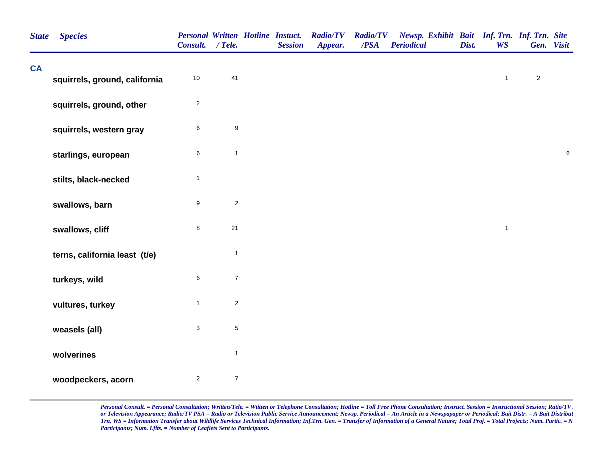| <b>State</b> | <b>Species</b>                | Consult. / Tele. |                  | <b>Personal Written Hotline Instuct.</b><br><b>Session</b> | <b>Radio/TV</b><br>Appear. | <b>Radio/TV</b><br>/PSA | Newsp. Exhibit Bait Inf. Trn. Inf. Trn. Site<br><b>Periodical</b> | Dist. | <b>WS</b>    | Gen. Visit     |        |
|--------------|-------------------------------|------------------|------------------|------------------------------------------------------------|----------------------------|-------------------------|-------------------------------------------------------------------|-------|--------------|----------------|--------|
| <b>CA</b>    | squirrels, ground, california | $10$             | 41               |                                                            |                            |                         |                                                                   |       | $\mathbf{1}$ | $\overline{2}$ |        |
|              | squirrels, ground, other      | $\sqrt{2}$       |                  |                                                            |                            |                         |                                                                   |       |              |                |        |
|              | squirrels, western gray       | $\,6$            | $\boldsymbol{9}$ |                                                            |                            |                         |                                                                   |       |              |                |        |
|              | starlings, european           | $\,6\,$          | $\mathbf{1}$     |                                                            |                            |                         |                                                                   |       |              |                | $\, 6$ |
|              | stilts, black-necked          | $\mathbf{1}$     |                  |                                                            |                            |                         |                                                                   |       |              |                |        |
|              | swallows, barn                | $\boldsymbol{9}$ | $\sqrt{2}$       |                                                            |                            |                         |                                                                   |       |              |                |        |
|              | swallows, cliff               | $\bf 8$          | 21               |                                                            |                            |                         |                                                                   |       | $\mathbf{1}$ |                |        |
|              | terns, california least (t/e) |                  | $\mathbf{1}$     |                                                            |                            |                         |                                                                   |       |              |                |        |
|              | turkeys, wild                 | $\,6$            | $\boldsymbol{7}$ |                                                            |                            |                         |                                                                   |       |              |                |        |
|              | vultures, turkey              | $\mathbf{1}$     | $\sqrt{2}$       |                                                            |                            |                         |                                                                   |       |              |                |        |
|              | weasels (all)                 | $\mathbf{3}$     | $\,$ 5 $\,$      |                                                            |                            |                         |                                                                   |       |              |                |        |
|              | wolverines                    |                  | $\mathbf{1}$     |                                                            |                            |                         |                                                                   |       |              |                |        |
|              | woodpeckers, acorn            | $\overline{2}$   | $\boldsymbol{7}$ |                                                            |                            |                         |                                                                   |       |              |                |        |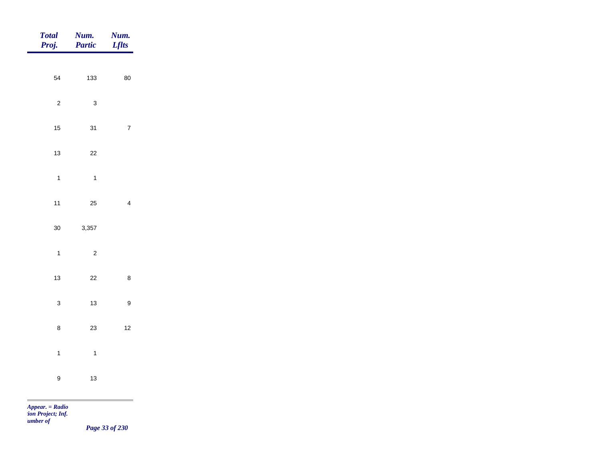| Total<br>Proj.   | <b>Num.</b><br><b>Partic</b> | <b>Num.</b><br>Lflts    |
|------------------|------------------------------|-------------------------|
| 54               | 133                          | 80                      |
|                  |                              |                         |
| $\overline{c}$   | $\mathbf{3}$                 |                         |
| $15$             | 31                           | $\overline{7}$          |
| 13               | $22\,$                       |                         |
| $\overline{1}$   | $\overline{1}$               |                         |
| $11$             | 25                           | $\overline{\mathbf{4}}$ |
| $30\,$           | 3,357                        |                         |
| $\overline{1}$   | $\mathbf 2$                  |                         |
|                  |                              |                         |
| 13               | $22\,$                       | $\bf 8$                 |
| $\mathbf{3}$     | $13$                         | $\mathsf g$             |
| $\bf 8$          | $23\,$                       | $12$                    |
| $\mathbf{1}$     | $\overline{1}$               |                         |
| $\boldsymbol{9}$ | $13$                         |                         |
|                  |                              |                         |

*Page 33 of 230*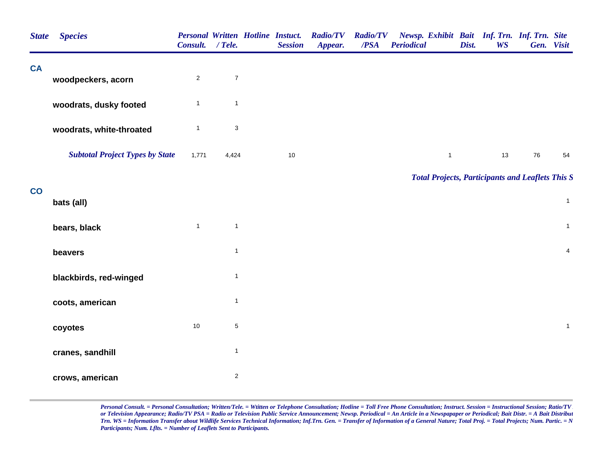| <b>State</b>             | <b>Species</b>                         | Consult. / Tele. |                         | <b>Session</b> | Personal Written Hotline Instuct. Radio/TV<br>Appear. | <b>Radio/TV</b><br>/PSA | Newsp. Exhibit Bait Inf. Trn. Inf. Trn. Site<br><b>Periodical</b> | Dist. | <b>WS</b> | Gen. Visit |                |
|--------------------------|----------------------------------------|------------------|-------------------------|----------------|-------------------------------------------------------|-------------------------|-------------------------------------------------------------------|-------|-----------|------------|----------------|
| <b>CA</b>                | woodpeckers, acorn                     | $\overline{2}$   | $\boldsymbol{7}$        |                |                                                       |                         |                                                                   |       |           |            |                |
|                          | woodrats, dusky footed                 | $\mathbf{1}$     | $\mathbf{1}$            |                |                                                       |                         |                                                                   |       |           |            |                |
|                          | woodrats, white-throated               | $\mathbf{1}$     | 3                       |                |                                                       |                         |                                                                   |       |           |            |                |
|                          | <b>Subtotal Project Types by State</b> | 1,771            | 4,424                   | 10             |                                                       |                         | $\mathbf{1}$                                                      |       | 13        | 76         | 54             |
|                          |                                        |                  |                         |                |                                                       |                         | <b>Total Projects, Participants and Leaflets This S</b>           |       |           |            |                |
| $\overline{\mathbf{co}}$ | bats (all)                             |                  |                         |                |                                                       |                         |                                                                   |       |           |            | $\mathbf{1}$   |
|                          | bears, black                           | $\mathbf{1}$     | $\mathbf{1}$            |                |                                                       |                         |                                                                   |       |           |            | $\mathbf{1}$   |
|                          | beavers                                |                  | $\mathbf{1}$            |                |                                                       |                         |                                                                   |       |           |            | $\overline{4}$ |
|                          | blackbirds, red-winged                 |                  | $\mathbf{1}$            |                |                                                       |                         |                                                                   |       |           |            |                |
|                          | coots, american                        |                  | $\mathbf{1}$            |                |                                                       |                         |                                                                   |       |           |            |                |
|                          | coyotes                                | $10$             | $\,$ 5 $\,$             |                |                                                       |                         |                                                                   |       |           |            | $\mathbf{1}$   |
|                          | cranes, sandhill                       |                  | $\mathbf{1}$            |                |                                                       |                         |                                                                   |       |           |            |                |
|                          | crows, american                        |                  | $\overline{\mathbf{c}}$ |                |                                                       |                         |                                                                   |       |           |            |                |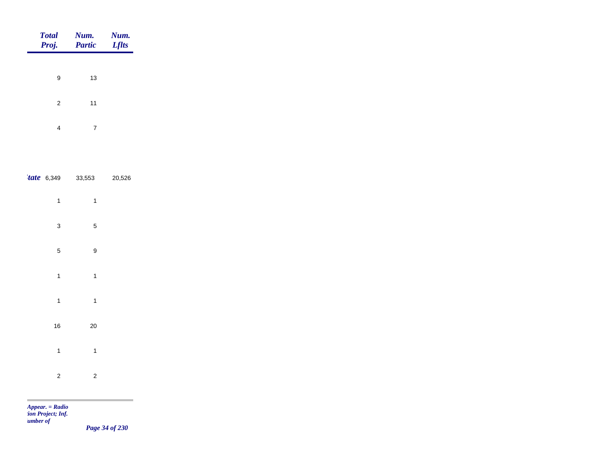| <b>Total</b>      | Num.<br>Proj. Partic | Num.<br><b>Lflts</b> |
|-------------------|----------------------|----------------------|
|                   |                      |                      |
| 9                 | 13                   |                      |
| 2                 | 11                   |                      |
| 4                 | 7                    |                      |
|                   |                      |                      |
| <i>tate</i> 6,349 | 33,553               | 20,526               |
|                   |                      |                      |

| $\mathbf{1}$            | $\mathbf{1}$            |  |
|-------------------------|-------------------------|--|
| $\mathsf 3$             | 5                       |  |
| 5                       | 9                       |  |
| $\mathbf{1}$            | $\mathbf{1}$            |  |
| $\overline{\mathbf{1}}$ | $\mathbf{1}$            |  |
| 16                      | 20                      |  |
| $\mathbf{1}$            | $\mathbf{1}$            |  |
| $\overline{\mathbf{c}}$ | $\overline{\mathbf{c}}$ |  |

m

*Page 34 of 230*

۰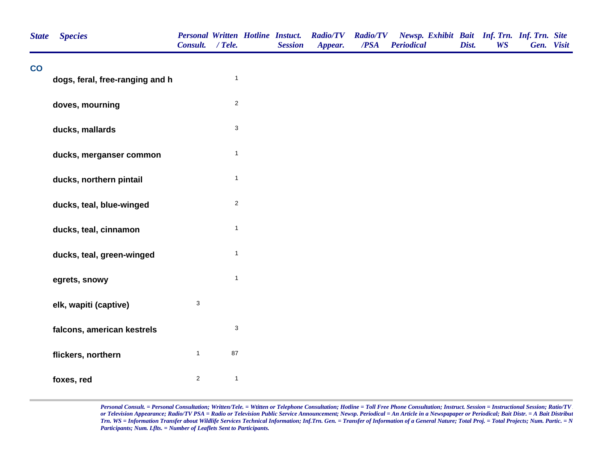| <b>State</b> | <b>Species</b>                  | Consult. / Tele.          |                           | <b>Personal Written Hotline Instuct.</b><br><b>Session</b> | <b>Radio/TV Radio/TV</b><br>Appear. | $\overline{PSA}$ | Newsp. Exhibit Bait Inf. Trn. Inf. Trn. Site<br><b>Periodical</b> | Dist. | <b>WS</b> | Gen. Visit |  |
|--------------|---------------------------------|---------------------------|---------------------------|------------------------------------------------------------|-------------------------------------|------------------|-------------------------------------------------------------------|-------|-----------|------------|--|
| co           | dogs, feral, free-ranging and h |                           | $\mathbf{1}$              |                                                            |                                     |                  |                                                                   |       |           |            |  |
|              | doves, mourning                 |                           | $\sqrt{2}$                |                                                            |                                     |                  |                                                                   |       |           |            |  |
|              | ducks, mallards                 |                           | $\ensuremath{\mathsf{3}}$ |                                                            |                                     |                  |                                                                   |       |           |            |  |
|              | ducks, merganser common         |                           | $\mathbf{1}$              |                                                            |                                     |                  |                                                                   |       |           |            |  |
|              | ducks, northern pintail         |                           | $\mathbf{1}$              |                                                            |                                     |                  |                                                                   |       |           |            |  |
|              | ducks, teal, blue-winged        |                           | $\overline{2}$            |                                                            |                                     |                  |                                                                   |       |           |            |  |
|              | ducks, teal, cinnamon           |                           | $\mathbf{1}$              |                                                            |                                     |                  |                                                                   |       |           |            |  |
|              | ducks, teal, green-winged       |                           | $\mathbf{1}$              |                                                            |                                     |                  |                                                                   |       |           |            |  |
|              | egrets, snowy                   |                           | $\mathbf{1}$              |                                                            |                                     |                  |                                                                   |       |           |            |  |
|              | elk, wapiti (captive)           | $\ensuremath{\mathsf{3}}$ |                           |                                                            |                                     |                  |                                                                   |       |           |            |  |
|              | falcons, american kestrels      |                           | $\ensuremath{\mathsf{3}}$ |                                                            |                                     |                  |                                                                   |       |           |            |  |
|              | flickers, northern              | $\mathbf{1}$              | 87                        |                                                            |                                     |                  |                                                                   |       |           |            |  |
|              | foxes, red                      | $\mathbf{2}$              | $\mathbf{1}$              |                                                            |                                     |                  |                                                                   |       |           |            |  |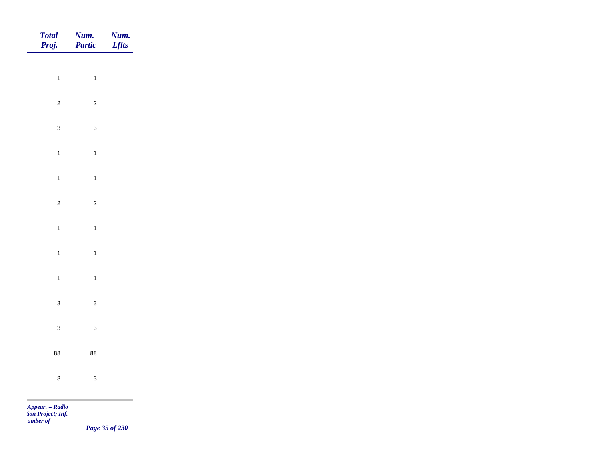| Total<br>Proj.                                                                                                                                                                                                                                                                                                                        | <b>Num.</b><br><b>Partic</b> | <b>Num.</b><br>Lflts |
|---------------------------------------------------------------------------------------------------------------------------------------------------------------------------------------------------------------------------------------------------------------------------------------------------------------------------------------|------------------------------|----------------------|
|                                                                                                                                                                                                                                                                                                                                       |                              |                      |
| $\overline{1}$                                                                                                                                                                                                                                                                                                                        | $\mathbf{1}$                 |                      |
| $\overline{c}$                                                                                                                                                                                                                                                                                                                        | $\overline{c}$               |                      |
| $\mathbf{3}$                                                                                                                                                                                                                                                                                                                          | $\mathbf{3}$                 |                      |
| $\mathbf{1}$                                                                                                                                                                                                                                                                                                                          | $\overline{1}$               |                      |
| $\overline{1}$                                                                                                                                                                                                                                                                                                                        | $\overline{1}$               |                      |
| $\overline{c}$                                                                                                                                                                                                                                                                                                                        | $\overline{c}$               |                      |
|                                                                                                                                                                                                                                                                                                                                       |                              |                      |
| $\mathbf{1}$                                                                                                                                                                                                                                                                                                                          | $\overline{1}$               |                      |
| $\overline{1}$                                                                                                                                                                                                                                                                                                                        | $\mathbf{1}$                 |                      |
| $\overline{1}$                                                                                                                                                                                                                                                                                                                        | $\overline{1}$               |                      |
| $\mathbf{3}$                                                                                                                                                                                                                                                                                                                          | $\mathbf{3}$                 |                      |
| $\mathbf{3}$                                                                                                                                                                                                                                                                                                                          | $\mathbf{3}$                 |                      |
|                                                                                                                                                                                                                                                                                                                                       |                              |                      |
| 88                                                                                                                                                                                                                                                                                                                                    | 88                           |                      |
| $\mathbf{3}$                                                                                                                                                                                                                                                                                                                          | $\mathbf{3}$                 |                      |
| <b>Contract Contract Contract</b><br>$\mathbf{A}$ and $\mathbf{B}$ and $\mathbf{B}$ and $\mathbf{B}$ and $\mathbf{B}$ and $\mathbf{B}$ and $\mathbf{B}$ and $\mathbf{B}$ and $\mathbf{B}$ and $\mathbf{B}$ and $\mathbf{B}$ and $\mathbf{B}$ and $\mathbf{B}$ and $\mathbf{B}$ and $\mathbf{B}$ and $\mathbf{B}$ and $\mathbf{B}$ and |                              |                      |

*Page 35 of 230*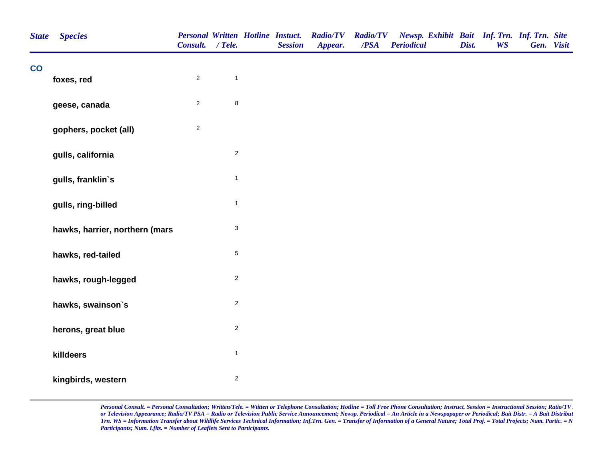| <b>State</b> | <b>Species</b>                 | Consult. / Tele. |                  | <b>Personal Written Hotline Instuct.</b><br><b>Session</b> | <b>Radio/TV</b><br>Appear. | <b>Radio/TV</b><br>$\overline{PSA}$ | Newsp. Exhibit Bait Inf. Trn. Inf. Trn. Site<br><b>Periodical</b> | Dist. | <b>WS</b> | Gen. Visit |  |
|--------------|--------------------------------|------------------|------------------|------------------------------------------------------------|----------------------------|-------------------------------------|-------------------------------------------------------------------|-------|-----------|------------|--|
| co           | foxes, red                     | $\overline{2}$   | $\mathbf{1}$     |                                                            |                            |                                     |                                                                   |       |           |            |  |
|              | geese, canada                  | $\overline{2}$   | $\bf8$           |                                                            |                            |                                     |                                                                   |       |           |            |  |
|              | gophers, pocket (all)          | $\sqrt{2}$       |                  |                                                            |                            |                                     |                                                                   |       |           |            |  |
|              | gulls, california              |                  | $\boldsymbol{2}$ |                                                            |                            |                                     |                                                                   |       |           |            |  |
|              | gulls, franklin's              |                  | $\mathbf{1}$     |                                                            |                            |                                     |                                                                   |       |           |            |  |
|              | gulls, ring-billed             |                  | $\mathbf{1}$     |                                                            |                            |                                     |                                                                   |       |           |            |  |
|              | hawks, harrier, northern (mars |                  | 3                |                                                            |                            |                                     |                                                                   |       |           |            |  |
|              | hawks, red-tailed              |                  | $\,$ 5 $\,$      |                                                            |                            |                                     |                                                                   |       |           |            |  |
|              | hawks, rough-legged            |                  | $\sqrt{2}$       |                                                            |                            |                                     |                                                                   |       |           |            |  |
|              | hawks, swainson's              |                  | $\boldsymbol{2}$ |                                                            |                            |                                     |                                                                   |       |           |            |  |
|              | herons, great blue             |                  | $\sqrt{2}$       |                                                            |                            |                                     |                                                                   |       |           |            |  |
|              | killdeers                      |                  | $\mathbf{1}$     |                                                            |                            |                                     |                                                                   |       |           |            |  |
|              | kingbirds, western             |                  | $\sqrt{2}$       |                                                            |                            |                                     |                                                                   |       |           |            |  |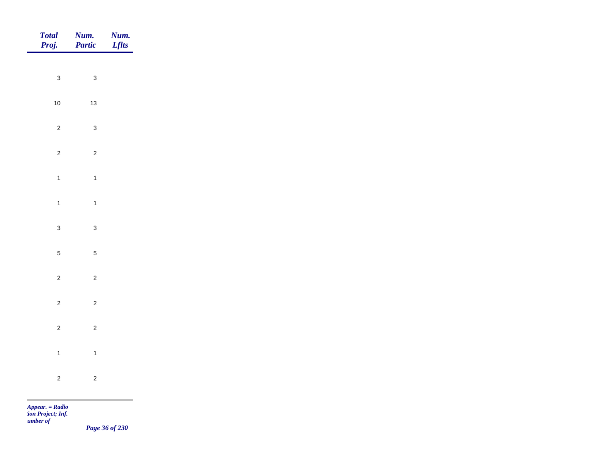| Total<br>Proj. | <b>Num.</b><br>Partic | <b>Num.</b><br>Lflts                         |
|----------------|-----------------------|----------------------------------------------|
| $\mathbf{3}$   | $\mathbf{3}$          |                                              |
|                |                       |                                              |
| $10$           | $13$                  |                                              |
| $\overline{2}$ | $\mathbf{3}$          |                                              |
| $\overline{2}$ | $\overline{2}$        |                                              |
| $\overline{1}$ | $\overline{1}$        |                                              |
| $\overline{1}$ | $\mathbf{1}$          |                                              |
| $\mathbf{3}$   | $\mathbf{3}$          |                                              |
| $\overline{5}$ | $\overline{5}$        |                                              |
|                |                       |                                              |
| $\overline{c}$ | $\sqrt{2}$            |                                              |
| $\overline{2}$ | $\overline{c}$        |                                              |
| $\overline{2}$ | $\overline{c}$        |                                              |
| $\overline{1}$ | $\mathbf{1}$          |                                              |
| $\overline{2}$ | $\overline{c}$        |                                              |
|                |                       | the control of the control of the control of |

*Page 36 of 230*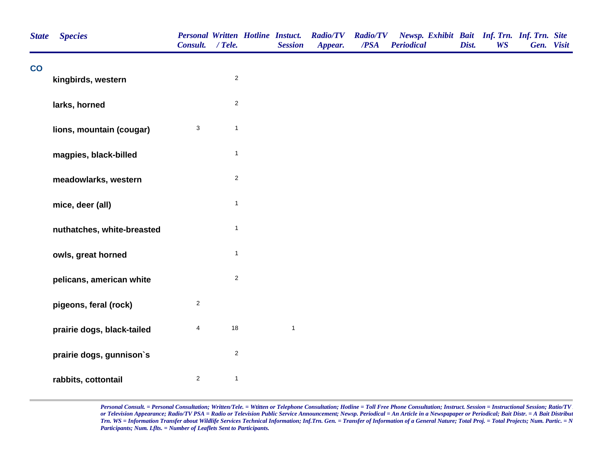| <b>State</b>  | <b>Species</b>             | <b>Personal Written Hotline Instuct.</b><br>Consult. / Tele. |              | <b>Session</b> | <b>Radio/TV</b><br>Appear. | <b>Radio/TV</b><br>/PSA | Newsp. Exhibit Bait Inf. Trn. Inf. Trn. Site<br><b>Periodical</b> | Dist. | <b>WS</b> | Gen. Visit |  |
|---------------|----------------------------|--------------------------------------------------------------|--------------|----------------|----------------------------|-------------------------|-------------------------------------------------------------------|-------|-----------|------------|--|
| $\mathbf{CO}$ | kingbirds, western         |                                                              | $\sqrt{2}$   |                |                            |                         |                                                                   |       |           |            |  |
|               | larks, horned              |                                                              | $\mathbf 2$  |                |                            |                         |                                                                   |       |           |            |  |
|               | lions, mountain (cougar)   | $\sqrt{3}$                                                   | $\mathbf{1}$ |                |                            |                         |                                                                   |       |           |            |  |
|               | magpies, black-billed      |                                                              | $\mathbf{1}$ |                |                            |                         |                                                                   |       |           |            |  |
|               | meadowlarks, western       |                                                              | $\sqrt{2}$   |                |                            |                         |                                                                   |       |           |            |  |
|               | mice, deer (all)           |                                                              | $\mathbf{1}$ |                |                            |                         |                                                                   |       |           |            |  |
|               | nuthatches, white-breasted |                                                              | $\mathbf{1}$ |                |                            |                         |                                                                   |       |           |            |  |
|               | owls, great horned         |                                                              | $\mathbf{1}$ |                |                            |                         |                                                                   |       |           |            |  |
|               | pelicans, american white   |                                                              | $\mathbf 2$  |                |                            |                         |                                                                   |       |           |            |  |
|               | pigeons, feral (rock)      | $\sqrt{2}$                                                   |              |                |                            |                         |                                                                   |       |           |            |  |
|               | prairie dogs, black-tailed | $\overline{4}$                                               | 18           | $\mathbf{1}$   |                            |                         |                                                                   |       |           |            |  |
|               | prairie dogs, gunnison's   |                                                              | $\mathbf 2$  |                |                            |                         |                                                                   |       |           |            |  |
|               | rabbits, cottontail        | $\overline{2}$                                               | $\mathbf{1}$ |                |                            |                         |                                                                   |       |           |            |  |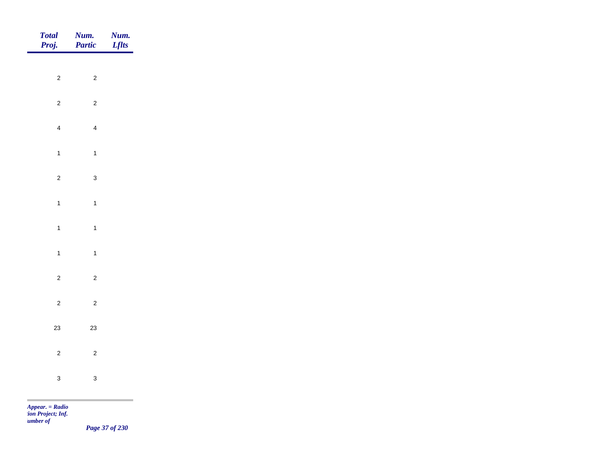| Total<br>Proj. | <b>Num.</b><br>Partic | <b>Num.</b><br>Lflts |
|----------------|-----------------------|----------------------|
|                |                       |                      |
| $\overline{2}$ | $\overline{c}$        |                      |
| $\overline{2}$ | $\overline{2}$        |                      |
| $\overline{4}$ | $\overline{4}$        |                      |
| $\overline{1}$ | $\overline{1}$        |                      |
| $\overline{c}$ | $\mathbf{3}$          |                      |
|                |                       |                      |
| $\overline{1}$ | $\overline{1}$        |                      |
| $\overline{1}$ | $\overline{1}$        |                      |
| $\overline{1}$ | $\overline{1}$        |                      |
| $\overline{c}$ | $\overline{c}$        |                      |
| $\overline{c}$ | $\overline{c}$        |                      |
| 23             | $23\,$                |                      |
|                |                       |                      |
| $\overline{c}$ | $\overline{2}$        |                      |
| $\mathbf{3}$   | $\mathbf{3}$          |                      |
|                |                       |                      |

*Page 37 of 230*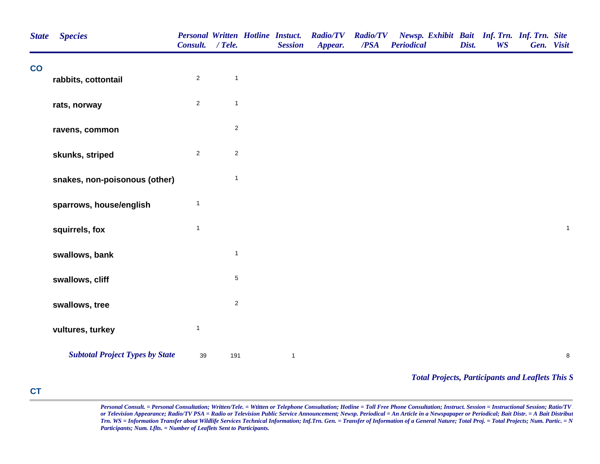| <b>State</b>             | <b>Species</b>                         | Consult.       | $/$ Tele.      | <b>Personal Written Hotline Instuct.</b><br><b>Session</b> | <b>Radio/TV</b><br>Appear. | <b>Radio/TV</b><br>/PSA | Newsp. Exhibit Bait Inf. Trn. Inf. Trn. Site<br><b>Periodical</b> | Dist. | <b>WS</b> | Gen. Visit |              |
|--------------------------|----------------------------------------|----------------|----------------|------------------------------------------------------------|----------------------------|-------------------------|-------------------------------------------------------------------|-------|-----------|------------|--------------|
| $\overline{\mathbf{co}}$ | rabbits, cottontail                    | $\overline{2}$ | $\mathbf{1}$   |                                                            |                            |                         |                                                                   |       |           |            |              |
|                          |                                        |                |                |                                                            |                            |                         |                                                                   |       |           |            |              |
|                          | rats, norway                           | $\overline{c}$ | $\mathbf{1}$   |                                                            |                            |                         |                                                                   |       |           |            |              |
|                          | ravens, common                         |                | $\overline{c}$ |                                                            |                            |                         |                                                                   |       |           |            |              |
|                          | skunks, striped                        | $\overline{c}$ | $\sqrt{2}$     |                                                            |                            |                         |                                                                   |       |           |            |              |
|                          | snakes, non-poisonous (other)          |                | $\mathbf{1}$   |                                                            |                            |                         |                                                                   |       |           |            |              |
|                          | sparrows, house/english                | $\overline{1}$ |                |                                                            |                            |                         |                                                                   |       |           |            |              |
|                          | squirrels, fox                         | $\overline{1}$ |                |                                                            |                            |                         |                                                                   |       |           |            | $\mathbf{1}$ |
|                          | swallows, bank                         |                | $\mathbf{1}$   |                                                            |                            |                         |                                                                   |       |           |            |              |
|                          | swallows, cliff                        |                | $\,$ 5 $\,$    |                                                            |                            |                         |                                                                   |       |           |            |              |
|                          | swallows, tree                         |                | $\sqrt{2}$     |                                                            |                            |                         |                                                                   |       |           |            |              |
|                          | vultures, turkey                       | $\mathbf{1}$   |                |                                                            |                            |                         |                                                                   |       |           |            |              |
|                          | <b>Subtotal Project Types by State</b> | 39             | 191            | $\mathbf{1}$                                               |                            |                         |                                                                   |       |           |            | $\bf 8$      |
|                          |                                        |                |                |                                                            |                            |                         | <b>Total Projects, Participants and Leaflets This S</b>           |       |           |            |              |

## **CT**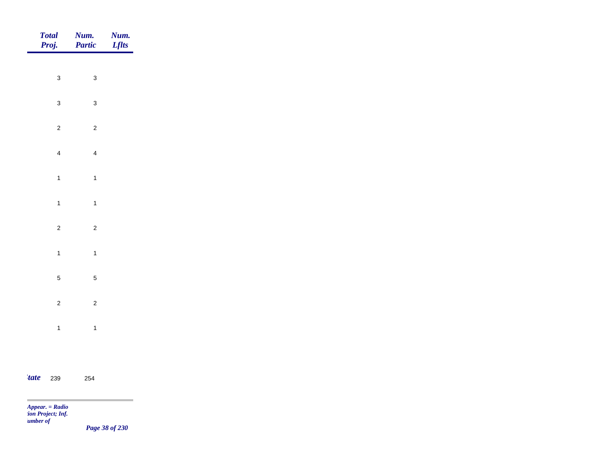| <b>Total</b><br>Proj. | <b>Num.</b><br>Partic | Num.<br><b>Lflts</b> |
|-----------------------|-----------------------|----------------------|
|                       |                       |                      |
| $\mathbf{3}$          | $\mathbf{3}$          |                      |
| $\mathbf{3}$          | $\mathbf{3}$          |                      |
| $\overline{c}$        | $\overline{c}$        |                      |
| $\overline{4}$        | $\overline{4}$        |                      |
| $\overline{1}$        | $\overline{1}$        |                      |
| $\overline{1}$        | $\overline{1}$        |                      |
| $\overline{c}$        | $\overline{c}$        |                      |
|                       |                       |                      |
| $\overline{1}$        | $\overline{1}$        |                      |
| $\overline{5}$        | $\sqrt{5}$            |                      |
| $\overline{c}$        | $\overline{c}$        |                      |
| $\overline{1}$        | $\overline{1}$        |                      |
|                       |                       |                      |

*state* 239 254 254

*Appear. = Radio tion Project; Inf. Number of* 

 $\sim$ 

*Page 38 of 230*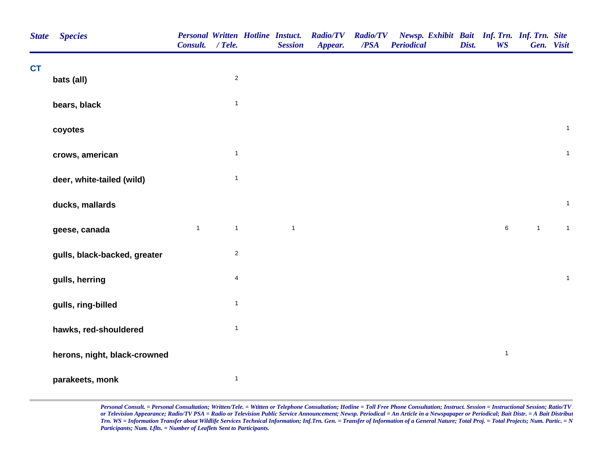| <b>State</b> | <b>Species</b>               | Consult. / Tele. |                         | <b>Personal Written Hotline Instuct.</b><br><b>Session</b> | <b>Radio/TV</b><br>Appear. | <b>Radio/TV</b><br>/PSA | Newsp. Exhibit Bait Inf. Trn. Inf. Trn. Site<br><b>Periodical</b> | Dist. | <b>WS</b>    |                | Gen. Visit   |
|--------------|------------------------------|------------------|-------------------------|------------------------------------------------------------|----------------------------|-------------------------|-------------------------------------------------------------------|-------|--------------|----------------|--------------|
| <b>CT</b>    | bats (all)                   |                  | $\sqrt{2}$              |                                                            |                            |                         |                                                                   |       |              |                |              |
|              |                              |                  |                         |                                                            |                            |                         |                                                                   |       |              |                |              |
|              | bears, black                 |                  | $\mathbf{1}$            |                                                            |                            |                         |                                                                   |       |              |                |              |
|              | coyotes                      |                  |                         |                                                            |                            |                         |                                                                   |       |              |                | $\mathbf{1}$ |
|              | crows, american              |                  | $\mathbf{1}$            |                                                            |                            |                         |                                                                   |       |              |                | $\mathbf{1}$ |
|              | deer, white-tailed (wild)    |                  | $\mathbf{1}$            |                                                            |                            |                         |                                                                   |       |              |                |              |
|              | ducks, mallards              |                  |                         |                                                            |                            |                         |                                                                   |       |              |                | $\mathbf{1}$ |
|              | geese, canada                | $\mathbf{1}$     | $\mathbf{1}$            | $\mathbf{1}$                                               |                            |                         |                                                                   |       | 6            | $\overline{1}$ | $\mathbf{1}$ |
|              | gulls, black-backed, greater |                  | $\sqrt{2}$              |                                                            |                            |                         |                                                                   |       |              |                |              |
|              | gulls, herring               |                  | $\overline{\mathbf{4}}$ |                                                            |                            |                         |                                                                   |       |              |                | $\mathbf{1}$ |
|              | gulls, ring-billed           |                  | $\mathbf{1}$            |                                                            |                            |                         |                                                                   |       |              |                |              |
|              | hawks, red-shouldered        |                  | $\mathbf{1}$            |                                                            |                            |                         |                                                                   |       |              |                |              |
|              | herons, night, black-crowned |                  |                         |                                                            |                            |                         |                                                                   |       | $\mathbf{1}$ |                |              |
|              | parakeets, monk              |                  | $\mathbf{1}$            |                                                            |                            |                         |                                                                   |       |              |                |              |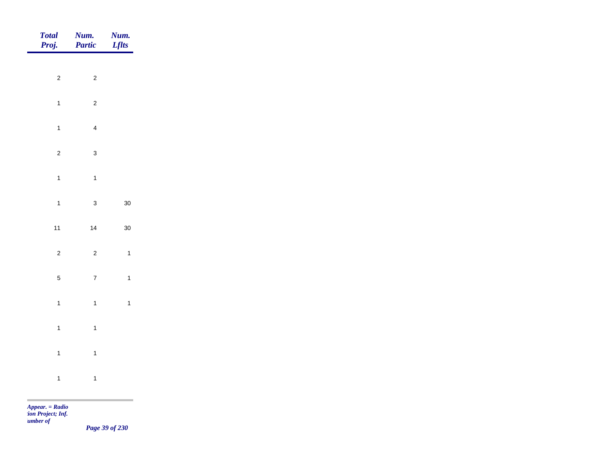| Total<br>Proj. | Num.<br>Partic | Num.<br><b>Lflts</b> |
|----------------|----------------|----------------------|
|                |                |                      |
| $\overline{2}$ | $\overline{c}$ |                      |
| $\overline{1}$ | $\overline{c}$ |                      |
| $\mathbf{1}$   | $\overline{4}$ |                      |
| $\overline{c}$ | $\mathbf{3}$   |                      |
| $\mathbf{1}$   | $\overline{1}$ |                      |
| $\mathbf{1}$   | $\mathbf{3}$   | $30\,$               |
| $11$           | 14             | $30\,$               |
| $\mathbf{2}$   | $\overline{c}$ | $\mathbf{1}$         |
|                |                |                      |
| $\overline{5}$ | $\overline{7}$ | $\mathbf{1}$         |
| $\mathbf{1}$   | $\overline{1}$ | $\mathbf{1}$         |
| $\mathbf{1}$   | $\overline{1}$ |                      |
| $\mathbf{1}$   | $\overline{1}$ |                      |
| $\mathbf{1}$   | $\overline{1}$ |                      |
|                |                |                      |

m

*Page 39 of 230*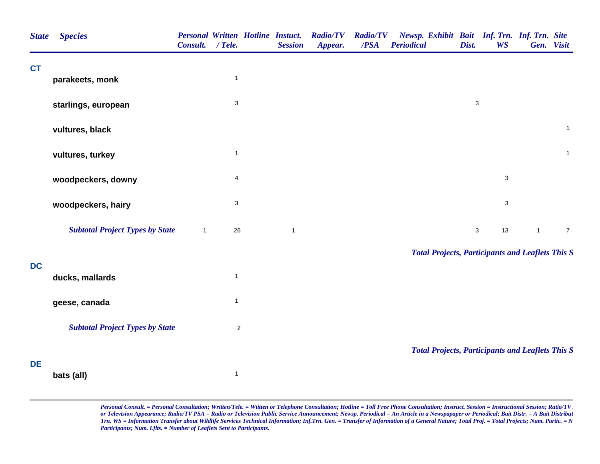| <b>State</b> | <b>Species</b>                         | Consult.     | $/$ Tele.                 | <b>Personal Written Hotline Instuct.</b><br><b>Session</b> | <b>Radio/TV</b><br>Appear. | <b>Radio/TV</b><br>/PSA | Newsp. Exhibit Bait Inf. Trn. Inf. Trn. Site<br><b>Periodical</b> | Dist.        | <b>WS</b>                 |              | Gen. Visit     |
|--------------|----------------------------------------|--------------|---------------------------|------------------------------------------------------------|----------------------------|-------------------------|-------------------------------------------------------------------|--------------|---------------------------|--------------|----------------|
| <b>CT</b>    |                                        |              | $\mathbf{1}$              |                                                            |                            |                         |                                                                   |              |                           |              |                |
|              | parakeets, monk                        |              |                           |                                                            |                            |                         |                                                                   |              |                           |              |                |
|              | starlings, european                    |              | $\ensuremath{\mathsf{3}}$ |                                                            |                            |                         |                                                                   | $\mathbf{3}$ |                           |              |                |
|              | vultures, black                        |              |                           |                                                            |                            |                         |                                                                   |              |                           |              | $\mathbf{1}$   |
|              | vultures, turkey                       |              | $\mathbf{1}$              |                                                            |                            |                         |                                                                   |              |                           |              | $\mathbf{1}$   |
|              | woodpeckers, downy                     |              | 4                         |                                                            |                            |                         |                                                                   |              | 3                         |              |                |
|              | woodpeckers, hairy                     |              | $\ensuremath{\mathsf{3}}$ |                                                            |                            |                         |                                                                   |              | $\ensuremath{\mathsf{3}}$ |              |                |
|              | <b>Subtotal Project Types by State</b> | $\mathbf{1}$ | 26                        | $\mathbf{1}$                                               |                            |                         |                                                                   | $\mathbf{3}$ | 13                        | $\mathbf{1}$ | $\overline{7}$ |
|              |                                        |              |                           |                                                            |                            |                         | <b>Total Projects, Participants and Leaflets This S</b>           |              |                           |              |                |
| <b>DC</b>    | ducks, mallards                        |              | $\mathbf{1}$              |                                                            |                            |                         |                                                                   |              |                           |              |                |
|              | geese, canada                          |              | $\mathbf{1}$              |                                                            |                            |                         |                                                                   |              |                           |              |                |
|              | <b>Subtotal Project Types by State</b> |              | $\sqrt{2}$                |                                                            |                            |                         |                                                                   |              |                           |              |                |
|              |                                        |              |                           |                                                            |                            |                         | <b>Total Projects, Participants and Leaflets This S</b>           |              |                           |              |                |
| DE           | bats (all)                             |              | $\mathbf{1}$              |                                                            |                            |                         |                                                                   |              |                           |              |                |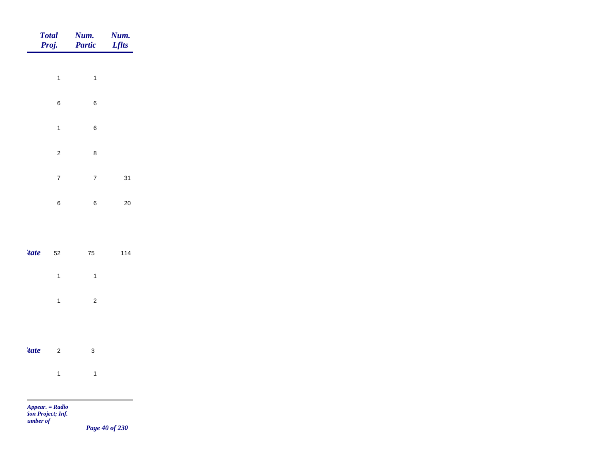|             | <b>Total</b><br>Proj.   | Num.<br>Partic          | Num.<br><b>Lflts</b> |
|-------------|-------------------------|-------------------------|----------------------|
|             | $\overline{1}$          | $\mathbf{1}$            |                      |
|             | $\boldsymbol{6}$        | 6                       |                      |
|             | $\overline{1}$          | 6                       |                      |
|             | $\mathbf 2$             | 8                       |                      |
|             | $\overline{\mathbf{7}}$ | $\boldsymbol{7}$        | 31                   |
|             | $\boldsymbol{6}$        | 6                       | 20                   |
|             |                         |                         |                      |
| <i>tate</i> | 52                      | ${\bf 75}$              | 114                  |
|             | $\mathbf{1}$            | $\mathbf{1}$            |                      |
|             | $\mathbf{1}$            | $\overline{\mathbf{c}}$ |                      |
|             |                         |                         |                      |
| <i>tate</i> | $\mathbf 2$             | $\mathbf{3}$            |                      |
|             | $\mathbf{1}$            | $\mathbf{1}$            |                      |

m

*Page 40 of 230*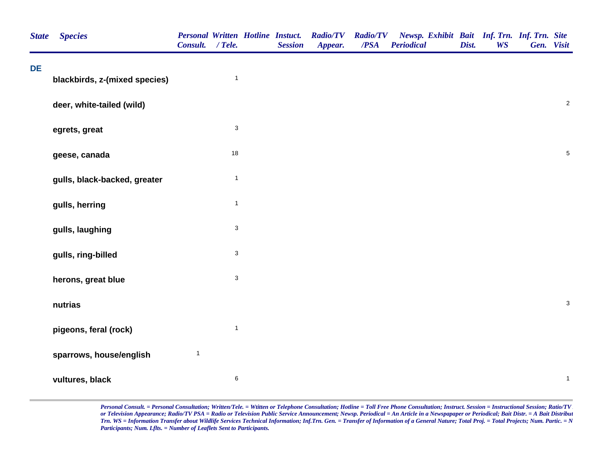| <b>State</b> | <b>Species</b>                | Consult. / Tele. |                           | <b>Personal Written Hotline Instuct.</b><br><b>Session</b> | <b>Radio/TV</b><br>Appear. | <b>Radio/TV</b><br>/PSA | Newsp. Exhibit Bait Inf. Trn. Inf. Trn. Site<br><b>Periodical</b> | Dist. | <b>WS</b> | Gen. Visit |                           |
|--------------|-------------------------------|------------------|---------------------------|------------------------------------------------------------|----------------------------|-------------------------|-------------------------------------------------------------------|-------|-----------|------------|---------------------------|
| DE           | blackbirds, z-(mixed species) |                  | $\overline{1}$            |                                                            |                            |                         |                                                                   |       |           |            |                           |
|              | deer, white-tailed (wild)     |                  |                           |                                                            |                            |                         |                                                                   |       |           |            | $\sqrt{2}$                |
|              | egrets, great                 |                  | $\ensuremath{\mathsf{3}}$ |                                                            |                            |                         |                                                                   |       |           |            |                           |
|              | geese, canada                 |                  | 18                        |                                                            |                            |                         |                                                                   |       |           |            | $\,$ 5 $\,$               |
|              | gulls, black-backed, greater  |                  | $\mathbf{1}$              |                                                            |                            |                         |                                                                   |       |           |            |                           |
|              | gulls, herring                |                  | $\mathbf{1}$              |                                                            |                            |                         |                                                                   |       |           |            |                           |
|              | gulls, laughing               |                  | $\ensuremath{\mathsf{3}}$ |                                                            |                            |                         |                                                                   |       |           |            |                           |
|              | gulls, ring-billed            |                  | $\sqrt{3}$                |                                                            |                            |                         |                                                                   |       |           |            |                           |
|              | herons, great blue            |                  | $\mathbf 3$               |                                                            |                            |                         |                                                                   |       |           |            |                           |
|              | nutrias                       |                  |                           |                                                            |                            |                         |                                                                   |       |           |            | $\ensuremath{\mathsf{3}}$ |
|              | pigeons, feral (rock)         |                  | $\mathbf{1}$              |                                                            |                            |                         |                                                                   |       |           |            |                           |
|              | sparrows, house/english       | $\mathbf{1}$     |                           |                                                            |                            |                         |                                                                   |       |           |            |                           |
|              | vultures, black               |                  | $\,6$                     |                                                            |                            |                         |                                                                   |       |           |            | $\mathbf{1}$              |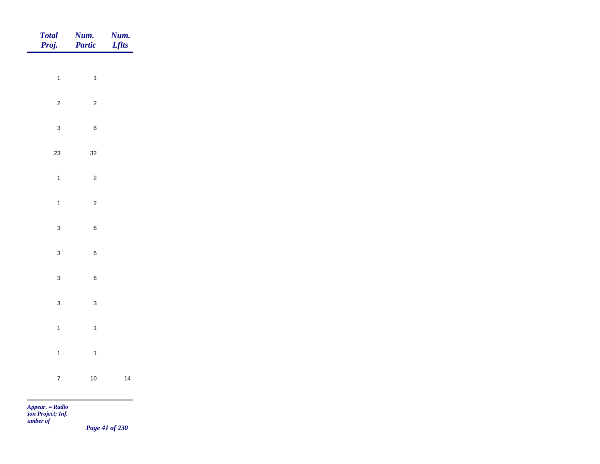| Total<br>Proj. | <b>Num.</b><br>Partic   | <b>Num.</b><br>Lflts |
|----------------|-------------------------|----------------------|
| $\overline{1}$ | $\overline{1}$          |                      |
|                |                         |                      |
| $\overline{2}$ | $\overline{c}$          |                      |
| $\mathbf{3}$   | $\,6\,$                 |                      |
| $23\,$         | $32\,$                  |                      |
| $\overline{1}$ | $\overline{c}$          |                      |
| $\mathbf{1}$   | $\overline{c}$          |                      |
| $\mathbf{3}$   | $\,6\,$                 |                      |
| $\mathbf{3}$   | $\,6\,$                 |                      |
|                |                         |                      |
| $\mathbf{3}$   | $\, 6$                  |                      |
| $\mathbf{3}$   | $\mathbf{3}$            |                      |
| $\mathbf{1}$   | $\overline{1}$          |                      |
| $\overline{1}$ | $\overline{\mathbf{1}}$ |                      |
| $\overline{7}$ | $10$                    | 14                   |
|                |                         |                      |

*Page 41 of 230*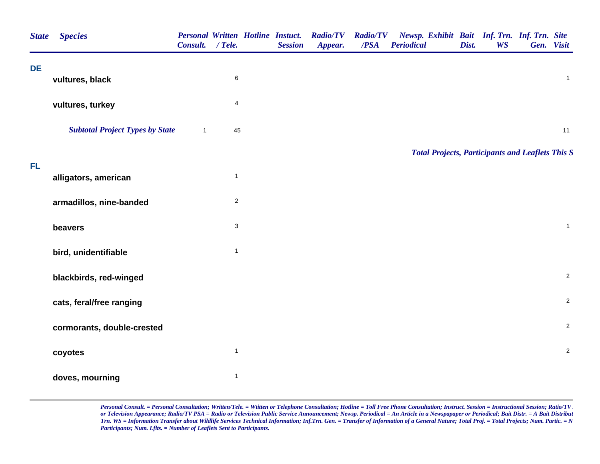| <b>State</b> | <b>Species</b>                         | Consult.     | $/$ Tele.               | <b>Session</b> | Personal Written Hotline Instuct. Radio/TV<br>Appear. | <b>Radio/TV</b><br>/PSA | Newsp. Exhibit Bait Inf. Trn. Inf. Trn. Site<br><b>Periodical</b> | Dist. | <b>WS</b> | Gen. Visit |                |
|--------------|----------------------------------------|--------------|-------------------------|----------------|-------------------------------------------------------|-------------------------|-------------------------------------------------------------------|-------|-----------|------------|----------------|
| DE           | vultures, black                        |              | 6                       |                |                                                       |                         |                                                                   |       |           |            | $\mathbf{1}$   |
|              | vultures, turkey                       |              | $\overline{\mathbf{4}}$ |                |                                                       |                         |                                                                   |       |           |            |                |
|              | <b>Subtotal Project Types by State</b> | $\mathbf{1}$ | 45                      |                |                                                       |                         |                                                                   |       |           |            | 11             |
|              |                                        |              |                         |                |                                                       |                         | <b>Total Projects, Participants and Leaflets This S</b>           |       |           |            |                |
| FL           | alligators, american                   |              | $\mathbf{1}$            |                |                                                       |                         |                                                                   |       |           |            |                |
|              | armadillos, nine-banded                |              | $\overline{c}$          |                |                                                       |                         |                                                                   |       |           |            |                |
|              | beavers                                |              | $\mathbf{3}$            |                |                                                       |                         |                                                                   |       |           |            | $\mathbf{1}$   |
|              | bird, unidentifiable                   |              | $\mathbf{1}$            |                |                                                       |                         |                                                                   |       |           |            |                |
|              | blackbirds, red-winged                 |              |                         |                |                                                       |                         |                                                                   |       |           |            | $\overline{c}$ |
|              | cats, feral/free ranging               |              |                         |                |                                                       |                         |                                                                   |       |           |            | $\overline{c}$ |
|              | cormorants, double-crested             |              |                         |                |                                                       |                         |                                                                   |       |           |            | $\overline{c}$ |
|              | coyotes                                |              | $\mathbf{1}$            |                |                                                       |                         |                                                                   |       |           |            | $\overline{c}$ |
|              | doves, mourning                        |              | $\mathbf{1}$            |                |                                                       |                         |                                                                   |       |           |            |                |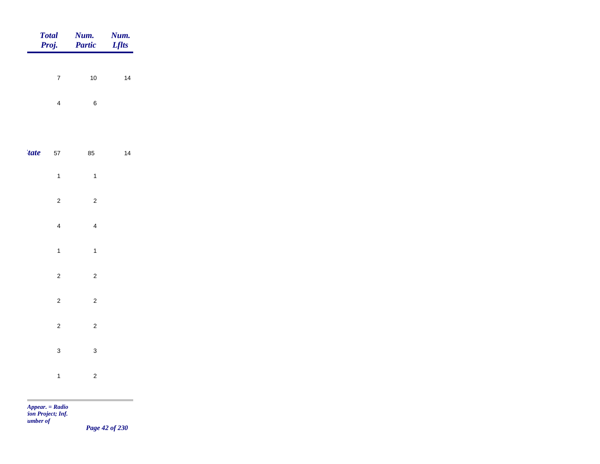|             | <b>Total</b><br>Proj. | Num.<br>Partic | Num.<br><b>Lflts</b> |
|-------------|-----------------------|----------------|----------------------|
|             | $\overline{7}$        | $10\,$         | 14                   |
|             |                       |                |                      |
|             | $\overline{4}$        | $\,6\,$        |                      |
|             |                       |                |                      |
| <i>tate</i> | $57\,$                | 85             | 14                   |
|             | $\mathbf{1}$          | $\overline{1}$ |                      |
|             | $\overline{2}$        | $\overline{2}$ |                      |
|             | $\overline{4}$        | $\overline{4}$ |                      |
|             | $\overline{1}$        | $\mathbf{1}$   |                      |
|             | $\overline{c}$        | $\overline{c}$ |                      |
|             |                       |                |                      |
|             | $\overline{2}$        | $\overline{c}$ |                      |
|             | $\overline{c}$        | $\overline{c}$ |                      |
|             | $\mathbf{3}$          | $\mathbf{3}$   |                      |
|             | $\overline{1}$        | $\overline{a}$ |                      |
|             |                       |                |                      |

*Page 42 of 230*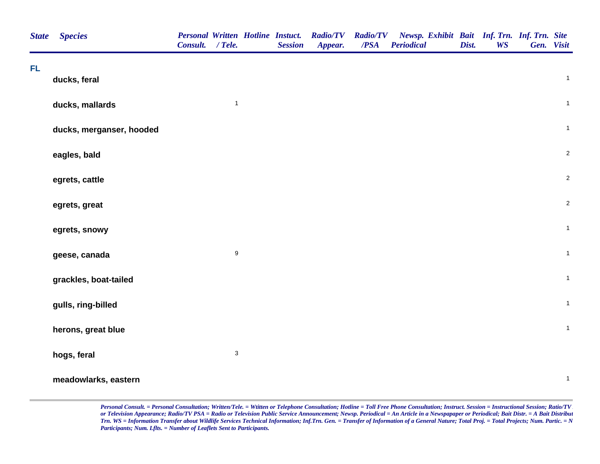| <b>State</b> | <b>Species</b>           | <b>Personal Written Hotline Instuct.</b><br>Consult. / Tele. |                           | <b>Session</b> | <b>Radio/TV</b><br>Appear. | <b>Radio/TV</b><br>$\overline{PSA}$ | Newsp. Exhibit Bait Inf. Trn. Inf. Trn. Site<br><b>Periodical</b> | Dist. | <b>WS</b> | Gen. Visit   |
|--------------|--------------------------|--------------------------------------------------------------|---------------------------|----------------|----------------------------|-------------------------------------|-------------------------------------------------------------------|-------|-----------|--------------|
| <b>FL</b>    | ducks, feral             |                                                              |                           |                |                            |                                     |                                                                   |       |           | $\mathbf{1}$ |
|              | ducks, mallards          |                                                              | $\mathbf{1}$              |                |                            |                                     |                                                                   |       |           | $\mathbf{1}$ |
|              | ducks, merganser, hooded |                                                              |                           |                |                            |                                     |                                                                   |       |           | $\mathbf{1}$ |
|              | eagles, bald             |                                                              |                           |                |                            |                                     |                                                                   |       |           | $\sqrt{2}$   |
|              | egrets, cattle           |                                                              |                           |                |                            |                                     |                                                                   |       |           | $\sqrt{2}$   |
|              | egrets, great            |                                                              |                           |                |                            |                                     |                                                                   |       |           | $\sqrt{2}$   |
|              | egrets, snowy            |                                                              |                           |                |                            |                                     |                                                                   |       |           | $\mathbf{1}$ |
|              | geese, canada            |                                                              | $\boldsymbol{9}$          |                |                            |                                     |                                                                   |       |           | $\mathbf{1}$ |
|              | grackles, boat-tailed    |                                                              |                           |                |                            |                                     |                                                                   |       |           | $\mathbf{1}$ |
|              | gulls, ring-billed       |                                                              |                           |                |                            |                                     |                                                                   |       |           | $\mathbf{1}$ |
|              | herons, great blue       |                                                              |                           |                |                            |                                     |                                                                   |       |           | $\mathbf{1}$ |
|              | hogs, feral              |                                                              | $\ensuremath{\mathsf{3}}$ |                |                            |                                     |                                                                   |       |           |              |
|              | meadowlarks, eastern     |                                                              |                           |                |                            |                                     |                                                                   |       |           | $\mathbf{1}$ |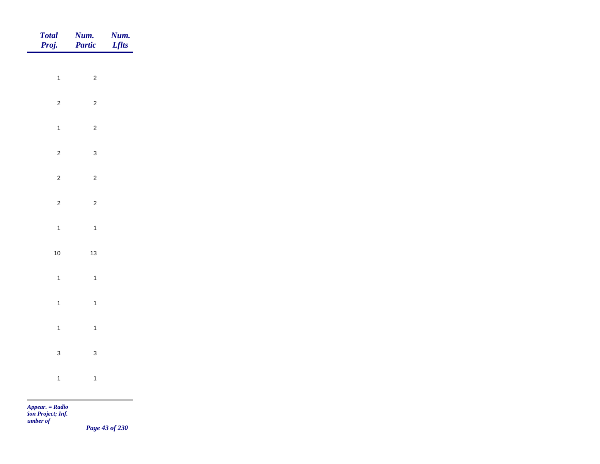|                | <b>Num.</b><br>Lflts                                                                                               |
|----------------|--------------------------------------------------------------------------------------------------------------------|
|                |                                                                                                                    |
|                |                                                                                                                    |
| $\overline{c}$ |                                                                                                                    |
| $\overline{c}$ |                                                                                                                    |
| $\mathbf{3}$   |                                                                                                                    |
| $\overline{c}$ |                                                                                                                    |
|                |                                                                                                                    |
|                |                                                                                                                    |
|                |                                                                                                                    |
| $13$           |                                                                                                                    |
| $\mathbf{1}$   |                                                                                                                    |
| $\mathbf{1}$   |                                                                                                                    |
| $\mathbf{1}$   |                                                                                                                    |
|                |                                                                                                                    |
|                |                                                                                                                    |
|                |                                                                                                                    |
|                | <b>Num.</b><br><b>Partic</b><br>$\overline{c}$<br>$\overline{c}$<br>$\mathbf{1}$<br>$\mathbf{3}$<br>$\overline{1}$ |

*Page 43 of 230*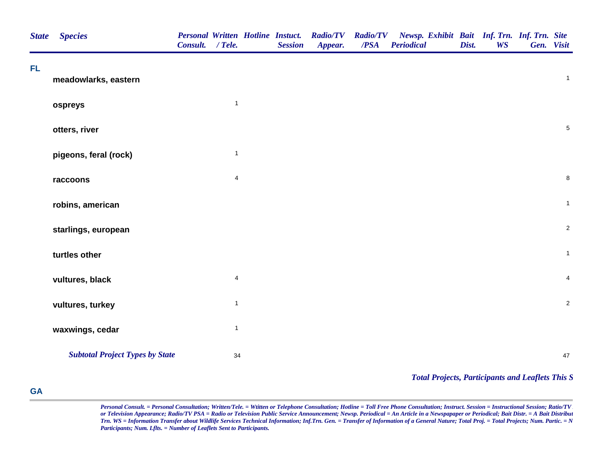| <b>State</b> | <b>Species</b>                         | Consult. / Tele. |                         | <b>Personal Written Hotline Instuct.</b><br><b>Session</b> | <b>Radio/TV</b><br>Appear. | <b>Radio/TV</b><br>$\overline{PSA}$ | Newsp. Exhibit Bait Inf. Trn. Inf. Trn. Site<br><b>Periodical</b> | Dist. | <b>WS</b> | Gen. Visit     |
|--------------|----------------------------------------|------------------|-------------------------|------------------------------------------------------------|----------------------------|-------------------------------------|-------------------------------------------------------------------|-------|-----------|----------------|
| FL           | meadowlarks, eastern                   |                  |                         |                                                            |                            |                                     |                                                                   |       |           | $\mathbf{1}$   |
|              | ospreys                                |                  | $\mathbf{1}$            |                                                            |                            |                                     |                                                                   |       |           |                |
|              | otters, river                          |                  |                         |                                                            |                            |                                     |                                                                   |       |           | $\sqrt{5}$     |
|              | pigeons, feral (rock)                  |                  | $\mathbf{1}$            |                                                            |                            |                                     |                                                                   |       |           |                |
|              | raccoons                               |                  | $\overline{\mathbf{4}}$ |                                                            |                            |                                     |                                                                   |       |           | $\bf 8$        |
|              | robins, american                       |                  |                         |                                                            |                            |                                     |                                                                   |       |           | $\mathbf{1}$   |
|              | starlings, european                    |                  |                         |                                                            |                            |                                     |                                                                   |       |           | $\overline{2}$ |
|              | turtles other                          |                  |                         |                                                            |                            |                                     |                                                                   |       |           | $\mathbf{1}$   |
|              | vultures, black                        |                  | $\overline{\mathbf{4}}$ |                                                            |                            |                                     |                                                                   |       |           | $\overline{4}$ |
|              | vultures, turkey                       |                  | $\mathbf{1}$            |                                                            |                            |                                     |                                                                   |       |           | $\overline{2}$ |
|              | waxwings, cedar                        |                  | $\mathbf{1}$            |                                                            |                            |                                     |                                                                   |       |           |                |
|              | <b>Subtotal Project Types by State</b> |                  | 34                      |                                                            |                            |                                     |                                                                   |       |           | 47             |
|              |                                        |                  |                         |                                                            |                            |                                     | <b>Total Projects, Participants and Leaflets This S</b>           |       |           |                |

## **GA**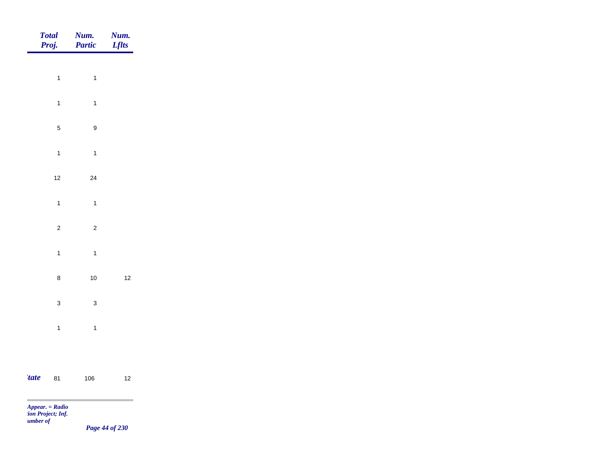|       | <b>Total</b><br>Proj. | Num.<br>Partic          | Num.<br><b>Lflts</b> |
|-------|-----------------------|-------------------------|----------------------|
|       |                       |                         |                      |
|       | $\mathbf{1}$          | $\overline{1}$          |                      |
|       | $\mathbf{1}$          | $\overline{1}$          |                      |
|       | $\mathbf 5$           | $\boldsymbol{9}$        |                      |
|       | $\mathbf{1}$          | $\overline{1}$          |                      |
|       | $12$                  | $24\,$                  |                      |
|       | $\mathbf{1}$          | $\overline{\mathbf{1}}$ |                      |
|       | $\overline{c}$        | $\overline{c}$          |                      |
|       | $\mathbf{1}$          |                         |                      |
|       |                       | $\overline{1}$          |                      |
|       | $\bf 8$               | $10$                    | $12$                 |
|       | $\mathbf{3}$          | $\mathbf 3$             |                      |
|       | $\mathbf{1}$          | $\overline{1}$          |                      |
|       |                       |                         |                      |
| 'tate | 81                    | 106                     | $12$                 |
|       | $Appear. = Radio$     |                         | ۰                    |

*tion Project; Inf. Number of* 

*Page 44 of 230*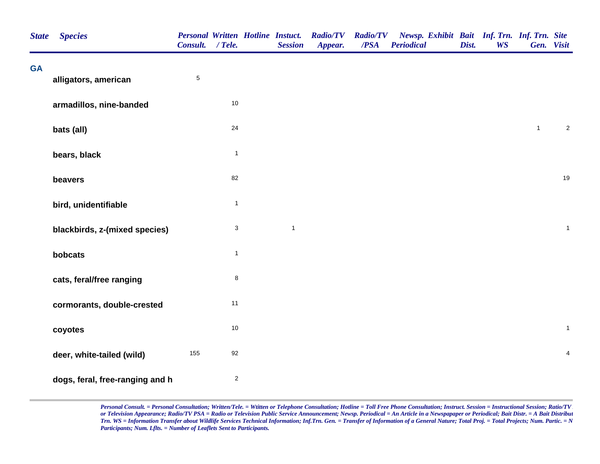| <b>State</b> | <b>Species</b>                  | Consult. / Tele. |                | <b>Personal Written Hotline Instuct.</b><br><b>Session</b> | <b>Radio/TV</b><br>Appear. | <b>Radio/TV</b><br>/PSA | Newsp. Exhibit Bait Inf. Trn. Inf. Trn. Site<br><b>Periodical</b> | Dist. | <b>WS</b> |                | Gen. Visit       |
|--------------|---------------------------------|------------------|----------------|------------------------------------------------------------|----------------------------|-------------------------|-------------------------------------------------------------------|-------|-----------|----------------|------------------|
| <b>GA</b>    | alligators, american            | $\sqrt{5}$       |                |                                                            |                            |                         |                                                                   |       |           |                |                  |
|              | armadillos, nine-banded         |                  | $10$           |                                                            |                            |                         |                                                                   |       |           |                |                  |
|              | bats (all)                      |                  | 24             |                                                            |                            |                         |                                                                   |       |           | $\overline{1}$ | $\boldsymbol{2}$ |
|              | bears, black                    |                  | $\mathbf{1}$   |                                                            |                            |                         |                                                                   |       |           |                |                  |
|              | beavers                         |                  | 82             |                                                            |                            |                         |                                                                   |       |           |                | 19               |
|              | bird, unidentifiable            |                  | $\mathbf{1}$   |                                                            |                            |                         |                                                                   |       |           |                |                  |
|              | blackbirds, z-(mixed species)   |                  | $\mathbf{3}$   | $\mathbf{1}$                                               |                            |                         |                                                                   |       |           |                | $\mathbf{1}$     |
|              | bobcats                         |                  | $\mathbf{1}$   |                                                            |                            |                         |                                                                   |       |           |                |                  |
|              | cats, feral/free ranging        |                  | 8              |                                                            |                            |                         |                                                                   |       |           |                |                  |
|              | cormorants, double-crested      |                  | 11             |                                                            |                            |                         |                                                                   |       |           |                |                  |
|              | coyotes                         |                  | $10$           |                                                            |                            |                         |                                                                   |       |           |                | $\mathbf{1}$     |
|              | deer, white-tailed (wild)       | 155              | 92             |                                                            |                            |                         |                                                                   |       |           |                | $\overline{4}$   |
|              | dogs, feral, free-ranging and h |                  | $\overline{a}$ |                                                            |                            |                         |                                                                   |       |           |                |                  |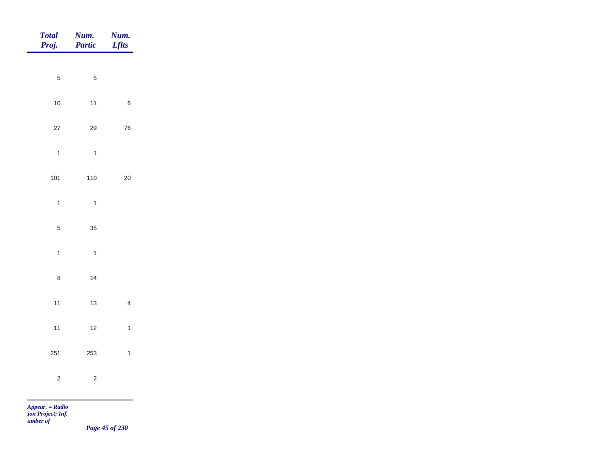| <b>Total</b><br>Proj.   | Num.<br>Partic | Num.<br><b>Lflts</b>    |
|-------------------------|----------------|-------------------------|
| $\sqrt{5}$              | $\sqrt{5}$     |                         |
|                         |                |                         |
| $10\,$                  | $11$           | $\,6$                   |
| $27\,$                  | 29             | ${\bf 76}$              |
| $\overline{\mathbf{1}}$ | $\overline{1}$ |                         |
| 101                     | 110            | $20\,$                  |
| $\mathbf{1}$            | $\overline{1}$ |                         |
| $\overline{5}$          | 35             |                         |
|                         |                |                         |
| $\mathbf{1}$            | $\overline{1}$ |                         |
| $\bf8$                  | 14             |                         |
| $11$                    | $13$           | $\overline{\mathbf{4}}$ |
| $11$                    | $12$           | $\mathbf{1}$            |
| 251                     | 253            | $\mathbf{1}$            |
|                         |                |                         |
| $\sqrt{2}$              | $\overline{c}$ |                         |
| $Appear. = Radio$       |                |                         |

*tion Project; Inf. Number of* 

*Page 45 of 230*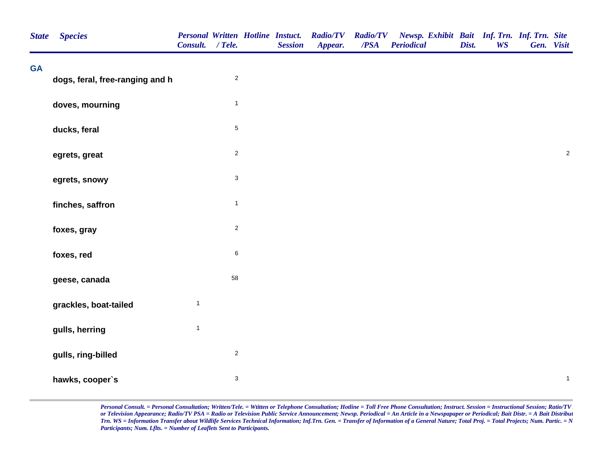| <b>State</b> | <b>Species</b>                  | Consult. / Tele. |                | <b>Personal Written Hotline Instuct.</b><br><b>Session</b> | <b>Radio/TV</b><br>Appear. | <b>Radio/TV</b><br>/PSA | Newsp. Exhibit Bait Inf. Trn. Inf. Trn. Site<br><b>Periodical</b> | Dist. | <b>WS</b> | Gen. Visit |              |
|--------------|---------------------------------|------------------|----------------|------------------------------------------------------------|----------------------------|-------------------------|-------------------------------------------------------------------|-------|-----------|------------|--------------|
| <b>GA</b>    | dogs, feral, free-ranging and h |                  | $\sqrt{2}$     |                                                            |                            |                         |                                                                   |       |           |            |              |
|              |                                 |                  |                |                                                            |                            |                         |                                                                   |       |           |            |              |
|              | doves, mourning                 |                  | $\overline{1}$ |                                                            |                            |                         |                                                                   |       |           |            |              |
|              | ducks, feral                    |                  | $\sqrt{5}$     |                                                            |                            |                         |                                                                   |       |           |            |              |
|              | egrets, great                   |                  | $\mathbf 2$    |                                                            |                            |                         |                                                                   |       |           |            | $\sqrt{2}$   |
|              | egrets, snowy                   |                  | $\mathbf{3}$   |                                                            |                            |                         |                                                                   |       |           |            |              |
|              | finches, saffron                |                  | $\mathbf{1}$   |                                                            |                            |                         |                                                                   |       |           |            |              |
|              | foxes, gray                     |                  | $\sqrt{2}$     |                                                            |                            |                         |                                                                   |       |           |            |              |
|              | foxes, red                      |                  | $\,6\,$        |                                                            |                            |                         |                                                                   |       |           |            |              |
|              | geese, canada                   |                  | 58             |                                                            |                            |                         |                                                                   |       |           |            |              |
|              | grackles, boat-tailed           | $\mathbf{1}$     |                |                                                            |                            |                         |                                                                   |       |           |            |              |
|              | gulls, herring                  | $\mathbf{1}$     |                |                                                            |                            |                         |                                                                   |       |           |            |              |
|              | gulls, ring-billed              |                  | $\sqrt{2}$     |                                                            |                            |                         |                                                                   |       |           |            |              |
|              | hawks, cooper's                 |                  | $\sqrt{3}$     |                                                            |                            |                         |                                                                   |       |           |            | $\mathbf{1}$ |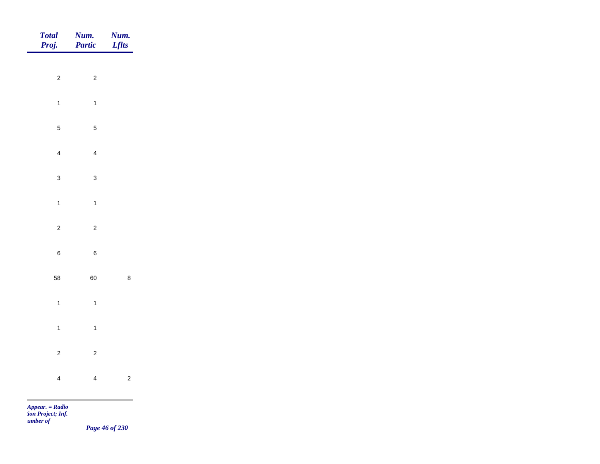|                  | Num.<br>Lflts                                                                                                        |
|------------------|----------------------------------------------------------------------------------------------------------------------|
|                  |                                                                                                                      |
|                  |                                                                                                                      |
| $\mathbf{1}$     |                                                                                                                      |
| $\mathbf 5$      |                                                                                                                      |
| $\overline{4}$   |                                                                                                                      |
| $\mathbf{3}$     |                                                                                                                      |
|                  |                                                                                                                      |
|                  |                                                                                                                      |
|                  |                                                                                                                      |
| $\boldsymbol{6}$ |                                                                                                                      |
| 60               | $\bf 8$                                                                                                              |
| $\overline{1}$   |                                                                                                                      |
| $\mathbf{1}$     |                                                                                                                      |
|                  |                                                                                                                      |
|                  | $\overline{c}$                                                                                                       |
|                  |                                                                                                                      |
|                  | <b>Num.</b><br><b>Partic</b><br>$\overline{2}$<br>$\mathbf{1}$<br>$\overline{c}$<br>$\overline{c}$<br>$\overline{4}$ |

*tion Project; Inf. Number of* 

*Page 46 of 230*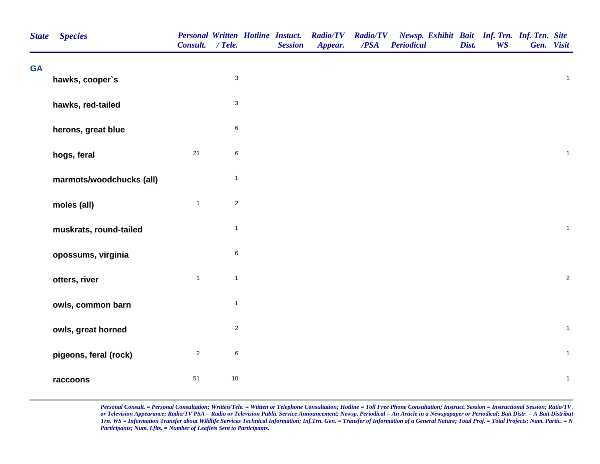| <b>State</b> | <b>Species</b>           | Consult. / Tele. |                | <b>Personal Written Hotline Instuct.</b><br><b>Session</b> | <b>Radio/TV</b><br>Appear. | <b>Radio/TV</b><br>/PSA | Newsp. Exhibit Bait Inf. Trn. Inf. Trn. Site<br><b>Periodical</b> | Dist. | <b>WS</b> | Gen. Visit |                |  |
|--------------|--------------------------|------------------|----------------|------------------------------------------------------------|----------------------------|-------------------------|-------------------------------------------------------------------|-------|-----------|------------|----------------|--|
| <b>GA</b>    | hawks, cooper's          |                  | $\mathbf 3$    |                                                            |                            |                         |                                                                   |       |           |            | $\mathbf{1}$   |  |
|              | hawks, red-tailed        |                  | $\sqrt{3}$     |                                                            |                            |                         |                                                                   |       |           |            |                |  |
|              | herons, great blue       |                  | $\,6$          |                                                            |                            |                         |                                                                   |       |           |            |                |  |
|              | hogs, feral              | 21               | $\,6\,$        |                                                            |                            |                         |                                                                   |       |           |            | $\mathbf{1}$   |  |
|              | marmots/woodchucks (all) |                  | $\overline{1}$ |                                                            |                            |                         |                                                                   |       |           |            |                |  |
|              | moles (all)              | $\mathbf{1}$     | $\overline{2}$ |                                                            |                            |                         |                                                                   |       |           |            |                |  |
|              | muskrats, round-tailed   |                  | $\mathbf{1}$   |                                                            |                            |                         |                                                                   |       |           |            | $\overline{1}$ |  |
|              | opossums, virginia       |                  | $\,6\,$        |                                                            |                            |                         |                                                                   |       |           |            |                |  |
|              | otters, river            | $\mathbf{1}$     | $\mathbf{1}$   |                                                            |                            |                         |                                                                   |       |           |            | $\sqrt{2}$     |  |
|              | owls, common barn        |                  | $\mathbf{1}$   |                                                            |                            |                         |                                                                   |       |           |            |                |  |
|              | owls, great horned       |                  | $\sqrt{2}$     |                                                            |                            |                         |                                                                   |       |           |            | $\mathbf{1}$   |  |
|              | pigeons, feral (rock)    | $\overline{2}$   | $\,6\,$        |                                                            |                            |                         |                                                                   |       |           |            | $\mathbf{1}$   |  |
|              | raccoons                 | 51               | 10             |                                                            |                            |                         |                                                                   |       |           |            | $\mathbf{1}$   |  |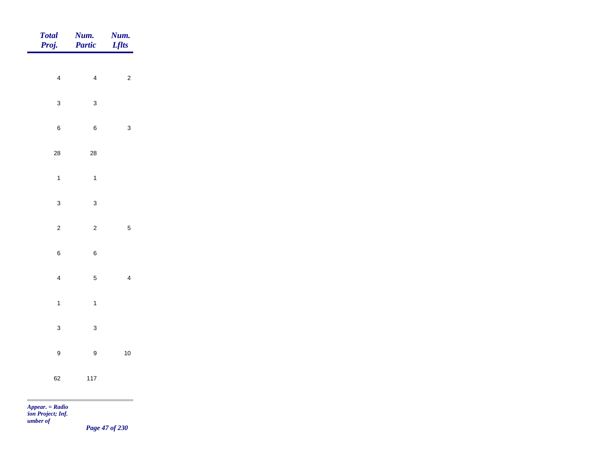| <b>Total</b><br>Proj. | Num.<br>Partic   | Num.<br><b>Lflts</b>                                        |
|-----------------------|------------------|-------------------------------------------------------------|
| $\overline{4}$        | $\overline{4}$   | $\overline{c}$                                              |
|                       |                  |                                                             |
| $\mathbf{3}$          | $\mathbf 3$      |                                                             |
| $\boldsymbol{6}$      | $\,6$            | $\mathbf{3}$                                                |
| ${\bf 28}$            | ${\bf 28}$       |                                                             |
| $\overline{1}$        | $\overline{1}$   |                                                             |
| $\mathbf{3}$          | $\mathbf{3}$     |                                                             |
| $\mathbf 2$           | $\overline{2}$   | $\overline{5}$                                              |
| $\,6\,$               |                  |                                                             |
|                       | $\,6\,$          |                                                             |
| $\overline{4}$        | $\mathbf 5$      | $\overline{4}$                                              |
| $\overline{1}$        | $\mathbf{1}$     |                                                             |
| $\mathbf{3}$          | $\mathbf{3}$     |                                                             |
| $\boldsymbol{9}$      | $\boldsymbol{9}$ | $10$                                                        |
| 62                    | $117$            |                                                             |
|                       |                  | the control of the control of the control of the control of |

*Page 47 of 230*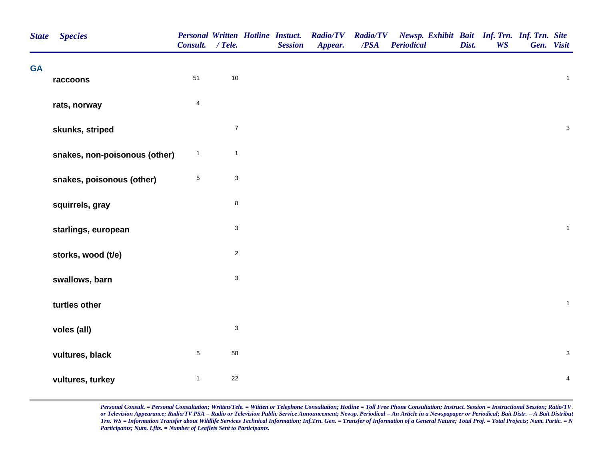| <b>State</b> | <b>Species</b>                | Consult. / Tele. |                           | <b>Personal Written Hotline Instuct.</b><br><b>Session</b> | <b>Radio/TV</b><br>Appear. | <b>Radio/TV</b><br>$\overline{PSA}$ | Newsp. Exhibit Bait Inf. Trn. Inf. Trn. Site<br><b>Periodical</b> | Dist. | <b>WS</b> | Gen. Visit |                         |  |
|--------------|-------------------------------|------------------|---------------------------|------------------------------------------------------------|----------------------------|-------------------------------------|-------------------------------------------------------------------|-------|-----------|------------|-------------------------|--|
| <b>GA</b>    | raccoons                      | 51               | 10                        |                                                            |                            |                                     |                                                                   |       |           |            | $\mathbf{1}$            |  |
|              | rats, norway                  | $\overline{4}$   |                           |                                                            |                            |                                     |                                                                   |       |           |            |                         |  |
|              | skunks, striped               |                  | $\boldsymbol{7}$          |                                                            |                            |                                     |                                                                   |       |           |            | $\mathbf{3}$            |  |
|              | snakes, non-poisonous (other) | $\mathbf{1}$     | $\mathbf{1}$              |                                                            |                            |                                     |                                                                   |       |           |            |                         |  |
|              | snakes, poisonous (other)     | $\overline{5}$   | $\mathbf{3}$              |                                                            |                            |                                     |                                                                   |       |           |            |                         |  |
|              | squirrels, gray               |                  | 8                         |                                                            |                            |                                     |                                                                   |       |           |            |                         |  |
|              | starlings, european           |                  | $\mathsf 3$               |                                                            |                            |                                     |                                                                   |       |           |            | $\mathbf{1}$            |  |
|              | storks, wood (t/e)            |                  | $\overline{\mathbf{c}}$   |                                                            |                            |                                     |                                                                   |       |           |            |                         |  |
|              | swallows, barn                |                  | $\mathsf 3$               |                                                            |                            |                                     |                                                                   |       |           |            |                         |  |
|              | turtles other                 |                  |                           |                                                            |                            |                                     |                                                                   |       |           |            | $\mathbf{1}$            |  |
|              | voles (all)                   |                  | $\ensuremath{\mathsf{3}}$ |                                                            |                            |                                     |                                                                   |       |           |            |                         |  |
|              | vultures, black               | $\sqrt{5}$       | 58                        |                                                            |                            |                                     |                                                                   |       |           |            | $\mathbf{3}$            |  |
|              | vultures, turkey              | $\mathbf{1}$     | 22                        |                                                            |                            |                                     |                                                                   |       |           |            | $\overline{\mathbf{4}}$ |  |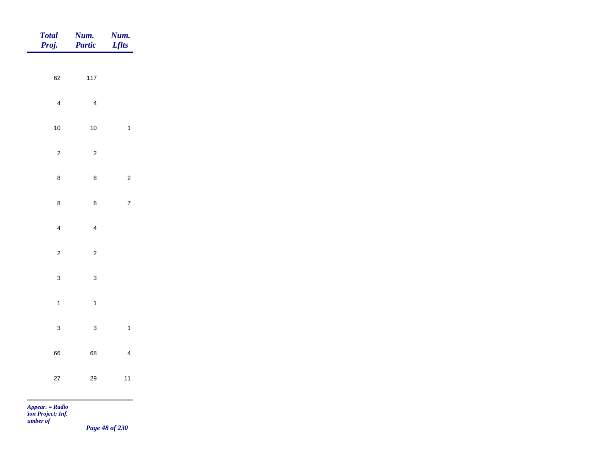| Total<br>Proj.              | <b>Num.</b><br>Partic   | <b>Num.</b><br><i>Lflts</i> |
|-----------------------------|-------------------------|-----------------------------|
| 62                          | $117$                   |                             |
|                             |                         |                             |
| $\overline{4}$              | $\overline{4}$          |                             |
| $10$                        | $10\,$                  | $\overline{1}$              |
| $\overline{c}$              | $\overline{c}$          |                             |
| $\bf 8$                     | $\bf 8$                 | $\overline{c}$              |
| $\bf 8$                     | $\bf8$                  | $\overline{7}$              |
| $\overline{4}$              | $\overline{\mathbf{4}}$ |                             |
|                             |                         |                             |
| $\overline{c}$              | $\overline{c}$          |                             |
| $\mathbf{3}$                | $\mathbf{3}$            |                             |
| $\overline{1}$              | $\mathbf{1}$            |                             |
| $\mathbf{3}$                | $\mathbf{3}$            | $\overline{\mathbf{1}}$     |
| 66                          | 68                      | $\overline{4}$              |
| 27                          | $29\,$                  | $11$                        |
| $\sim$<br>$Appear. = Radio$ |                         |                             |

*tion Project; Inf. Number of* 

*Page 48 of 230*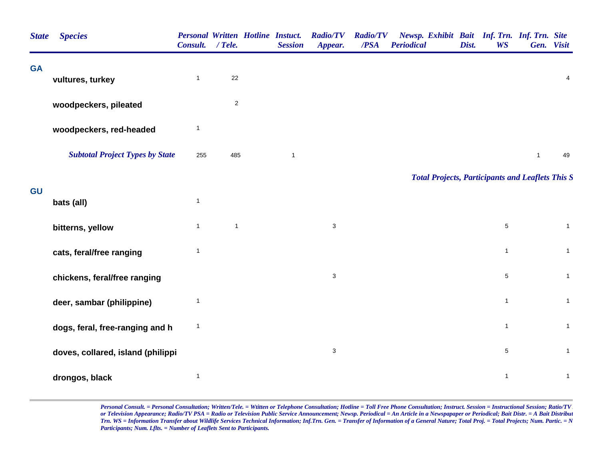| <b>State</b> | <b>Species</b>                         | <b>Personal Written Hotline Instuct.</b><br>Consult. / Tele. |                | <b>Session</b> | <b>Radio/TV</b><br>Appear. | <b>Radio/TV</b><br>/PSA | Newsp. Exhibit Bait Inf. Trn. Inf. Trn. Site<br><b>Periodical</b> | Dist. | <b>WS</b>    | Gen. Visit   |                         |
|--------------|----------------------------------------|--------------------------------------------------------------|----------------|----------------|----------------------------|-------------------------|-------------------------------------------------------------------|-------|--------------|--------------|-------------------------|
| <b>GA</b>    | vultures, turkey                       | $\mathbf{1}$                                                 | 22             |                |                            |                         |                                                                   |       |              |              | $\overline{\mathbf{4}}$ |
|              | woodpeckers, pileated                  |                                                              | $\overline{c}$ |                |                            |                         |                                                                   |       |              |              |                         |
|              | woodpeckers, red-headed                | $\mathbf{1}$                                                 |                |                |                            |                         |                                                                   |       |              |              |                         |
|              | <b>Subtotal Project Types by State</b> | 255                                                          | 485            | $\mathbf{1}$   |                            |                         |                                                                   |       |              | $\mathbf{1}$ | 49                      |
|              |                                        |                                                              |                |                |                            |                         | <b>Total Projects, Participants and Leaflets This S</b>           |       |              |              |                         |
| GU           | bats (all)                             | $\mathbf{1}$                                                 |                |                |                            |                         |                                                                   |       |              |              |                         |
|              | bitterns, yellow                       | $\mathbf{1}$                                                 | $\mathbf{1}$   |                | $\mathbf{3}$               |                         |                                                                   |       | $\sqrt{5}$   |              | $\mathbf{1}$            |
|              | cats, feral/free ranging               | $\mathbf{1}$                                                 |                |                |                            |                         |                                                                   |       | $\mathbf{1}$ |              | $\mathbf{1}$            |
|              | chickens, feral/free ranging           |                                                              |                |                | $\ensuremath{\mathsf{3}}$  |                         |                                                                   |       | $\,$ 5 $\,$  |              | $\mathbf{1}$            |
|              | deer, sambar (philippine)              | $\mathbf{1}$                                                 |                |                |                            |                         |                                                                   |       | $\mathbf{1}$ |              | $\mathbf{1}$            |
|              | dogs, feral, free-ranging and h        | $\mathbf{1}$                                                 |                |                |                            |                         |                                                                   |       | $\mathbf{1}$ |              | $\mathbf{1}$            |
|              | doves, collared, island (philippi      |                                                              |                |                | $\mathsf 3$                |                         |                                                                   |       | $\,$ 5 $\,$  |              | $\mathbf{1}$            |
|              | drongos, black                         | $\mathbf{1}$                                                 |                |                |                            |                         |                                                                   |       | $\mathbf{1}$ |              | $\mathbf{1}$            |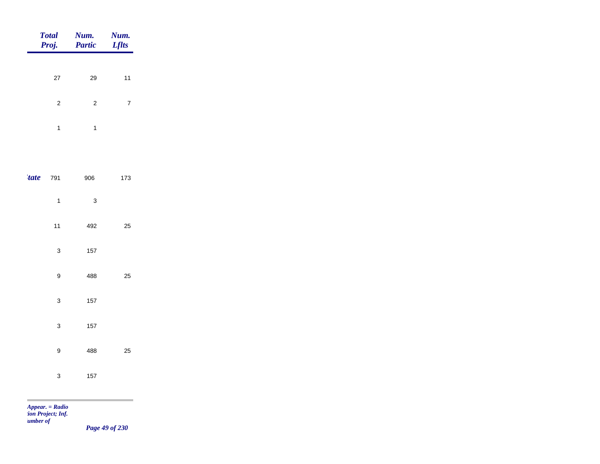|             | <b>Total</b><br>Proj.     | Num.<br><b>Partic</b> | Num.<br><b>Lflts</b> |
|-------------|---------------------------|-----------------------|----------------------|
|             | 27                        | 29                    | 11                   |
|             | $\overline{\mathbf{c}}$   | $\sqrt{2}$            | $\overline{7}$       |
|             | $\mathbf{1}$              | $\mathbf{1}$          |                      |
|             |                           |                       |                      |
| <i>tate</i> | 791                       | 906                   | 173                  |
|             | $\mathbf{1}$              | $\mathsf 3$           |                      |
|             | 11                        | 492                   | 25                   |
|             | $\mathsf 3$               | 157                   |                      |
|             | $\mathsf g$               | 488                   | 25                   |
|             | $\mathsf 3$               | 157                   |                      |
|             | $\ensuremath{\mathsf{3}}$ | 157                   |                      |
|             | $\mathsf g$               | 488                   | 25                   |
|             | $\ensuremath{\mathsf{3}}$ | 157                   |                      |

m

*Page 49 of 230*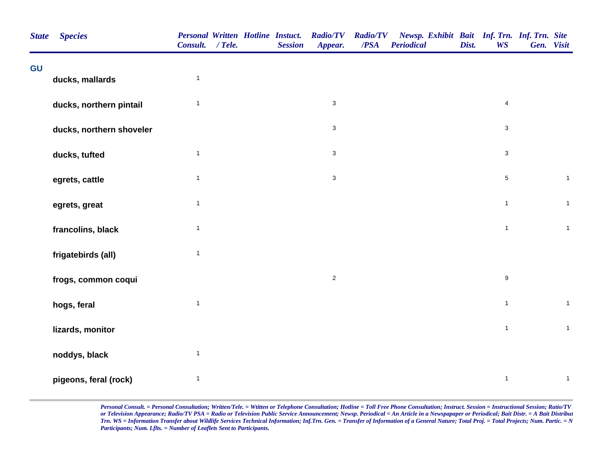| <b>State</b> | <b>Species</b>           | Consult. / Tele. |  | <b>Personal Written Hotline Instuct.</b><br><b>Session</b> | <b>Radio/TV</b><br>Appear. | <b>Radio/TV</b><br>$\overline{PSA}$ | Newsp. Exhibit Bait Inf. Trn. Inf. Trn. Site<br><b>Periodical</b> | Dist. | <b>WS</b>        | Gen. Visit |              |
|--------------|--------------------------|------------------|--|------------------------------------------------------------|----------------------------|-------------------------------------|-------------------------------------------------------------------|-------|------------------|------------|--------------|
| GU           | ducks, mallards          | $\mathbf{1}$     |  |                                                            |                            |                                     |                                                                   |       |                  |            |              |
|              | ducks, northern pintail  | $\mathbf{1}$     |  |                                                            | $\mathbf{3}$               |                                     |                                                                   |       | $\overline{4}$   |            |              |
|              | ducks, northern shoveler |                  |  |                                                            | $\mathbf{3}$               |                                     |                                                                   |       | 3                |            |              |
|              | ducks, tufted            | $\mathbf{1}$     |  |                                                            | $\mathbf{3}$               |                                     |                                                                   |       | $\mathbf{3}$     |            |              |
|              | egrets, cattle           | $\mathbf{1}$     |  |                                                            | $\mathsf 3$                |                                     |                                                                   |       | $5\phantom{.0}$  |            | $\mathbf{1}$ |
|              | egrets, great            | $\mathbf{1}$     |  |                                                            |                            |                                     |                                                                   |       | $\mathbf{1}$     |            | $\mathbf{1}$ |
|              | francolins, black        | $\mathbf{1}$     |  |                                                            |                            |                                     |                                                                   |       | $\mathbf{1}$     |            | $\mathbf{1}$ |
|              | frigatebirds (all)       | $\mathbf{1}$     |  |                                                            |                            |                                     |                                                                   |       |                  |            |              |
|              | frogs, common coqui      |                  |  |                                                            | $\overline{2}$             |                                     |                                                                   |       | $\boldsymbol{9}$ |            |              |
|              | hogs, feral              | $\mathbf{1}$     |  |                                                            |                            |                                     |                                                                   |       | $\mathbf{1}$     |            | $\mathbf{1}$ |
|              | lizards, monitor         |                  |  |                                                            |                            |                                     |                                                                   |       | $\mathbf{1}$     |            | $\mathbf{1}$ |
|              | noddys, black            | $\mathbf{1}$     |  |                                                            |                            |                                     |                                                                   |       |                  |            |              |
|              | pigeons, feral (rock)    | $\mathbf{1}$     |  |                                                            |                            |                                     |                                                                   |       | $\mathbf{1}$     |            | $\mathbf{1}$ |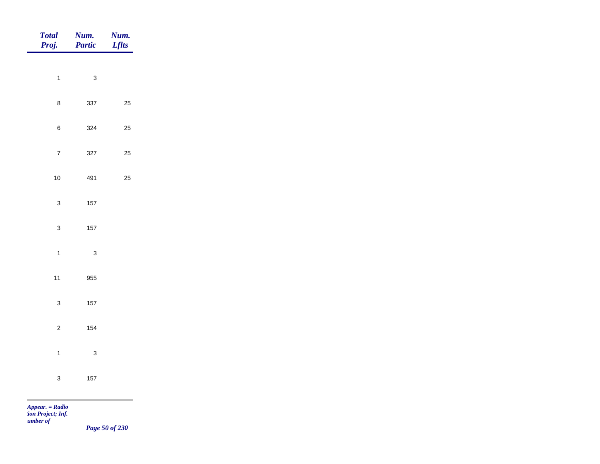| <b>Total</b><br>Proj.    | Num.<br>Partic | Num.<br><b>Lflts</b>                         |
|--------------------------|----------------|----------------------------------------------|
| $\mathbf{1}$             | $\mathbf{3}$   |                                              |
|                          |                |                                              |
| $\bf8$                   | 337            | 25                                           |
| $\,6\,$                  | 324            | 25                                           |
| $\overline{7}$           | 327            | 25                                           |
| $10$                     | 491            | 25                                           |
| $\mathbf{3}$             | $157\,$        |                                              |
| $\mathbf{3}$             | $157\,$        |                                              |
|                          |                |                                              |
| $\mathbf{1}$             | $\mathbf{3}$   |                                              |
| $11$                     | 955            |                                              |
| $\mathbf{3}$             | $157\,$        |                                              |
| $\overline{c}$           | 154            |                                              |
| $\mathbf{1}$             | $\mathbf{3}$   |                                              |
| $\mathbf 3$              | $157$          |                                              |
| <b>Contract Contract</b> |                | the control of the control of the control of |

*Page 50 of 230*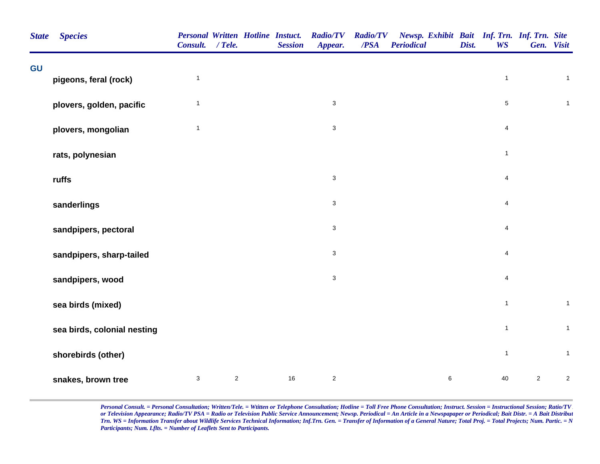| GU<br>$\mathbf{1}$<br>pigeons, feral (rock)<br>plovers, golden, pacific<br>$\mathbf{1}$<br>$\mathbf{1}$<br>plovers, mongolian<br>rats, polynesian<br>ruffs<br>sanderlings<br>sandpipers, pectoral<br>sandpipers, sharp-tailed<br>sandpipers, wood<br>sea birds (mixed)<br>sea birds, colonial nesting<br>shorebirds (other) | <b>Personal Written Hotline Instuct.</b><br>Newsp. Exhibit Bait Inf. Trn. Inf. Trn. Site<br><b>Radio/TV</b><br><b>Radio/TV</b><br>/PSA<br><b>Periodical</b><br><b>Session</b><br>Appear. | Dist.<br><b>WS</b> | Gen. Visit      |
|-----------------------------------------------------------------------------------------------------------------------------------------------------------------------------------------------------------------------------------------------------------------------------------------------------------------------------|------------------------------------------------------------------------------------------------------------------------------------------------------------------------------------------|--------------------|-----------------|
|                                                                                                                                                                                                                                                                                                                             |                                                                                                                                                                                          |                    |                 |
|                                                                                                                                                                                                                                                                                                                             |                                                                                                                                                                                          | $\mathbf{1}$       | $\mathbf{1}$    |
|                                                                                                                                                                                                                                                                                                                             | $\mathbf{3}$                                                                                                                                                                             | $\sqrt{5}$         | $\mathbf{1}$    |
|                                                                                                                                                                                                                                                                                                                             | $\mathsf 3$                                                                                                                                                                              | 4                  |                 |
|                                                                                                                                                                                                                                                                                                                             |                                                                                                                                                                                          | $\mathbf{1}$       |                 |
|                                                                                                                                                                                                                                                                                                                             | $\mathbf{3}$                                                                                                                                                                             | 4                  |                 |
|                                                                                                                                                                                                                                                                                                                             | $\mathbf{3}$                                                                                                                                                                             | 4                  |                 |
|                                                                                                                                                                                                                                                                                                                             | $\mathbf{3}$                                                                                                                                                                             | $\overline{4}$     |                 |
|                                                                                                                                                                                                                                                                                                                             | 3                                                                                                                                                                                        | $\overline{4}$     |                 |
|                                                                                                                                                                                                                                                                                                                             | $\mathbf{3}$                                                                                                                                                                             | 4                  |                 |
|                                                                                                                                                                                                                                                                                                                             |                                                                                                                                                                                          | $\mathbf{1}$       | $\mathbf{1}$    |
|                                                                                                                                                                                                                                                                                                                             |                                                                                                                                                                                          | $\overline{1}$     | $\mathbf 1$     |
|                                                                                                                                                                                                                                                                                                                             |                                                                                                                                                                                          | $\mathbf{1}$       | $\mathbf{1}$    |
| $\mathbf{3}$<br>$\overline{c}$<br>snakes, brown tree                                                                                                                                                                                                                                                                        | 16<br>$\overline{c}$<br>6                                                                                                                                                                | 40                 | $\sqrt{2}$<br>2 |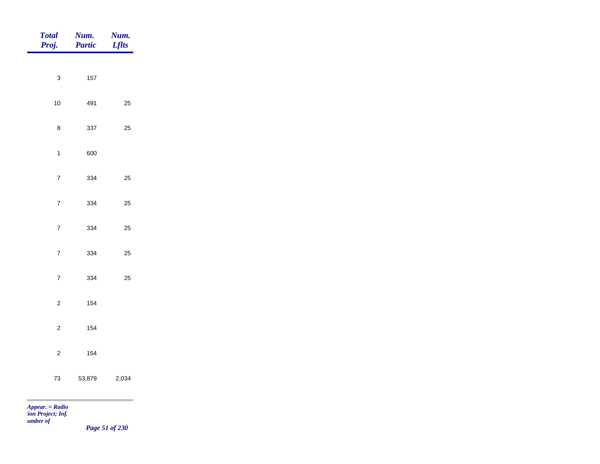| <b>Total</b><br>Proj. | <b>Num.</b><br>Partic | <b>Num.</b><br><i>Lflts</i> |
|-----------------------|-----------------------|-----------------------------|
|                       |                       |                             |
| $\mathbf{3}$          | 157                   |                             |
| $10$                  | 491                   | $25\,$                      |
| $\bf 8$               | 337                   | $25\,$                      |
| $\mathbf{1}$          | 600                   |                             |
| $\overline{7}$        | 334                   | $25\,$                      |
| $\overline{7}$        | 334                   | 25                          |
| $\overline{7}$        | 334                   | 25                          |
|                       |                       |                             |
| $\overline{7}$        | 334                   | 25                          |
| $\overline{7}$        | 334                   | $25\,$                      |
| $\overline{c}$        | 154                   |                             |
| $\overline{c}$        | 154                   |                             |
| $\overline{c}$        | 154                   |                             |
| $73\,$                | 53,879                | 2,034                       |
| $Appear. = Radio$     |                       |                             |

*tion Project; Inf. Number of* 

*Page 51 of 230*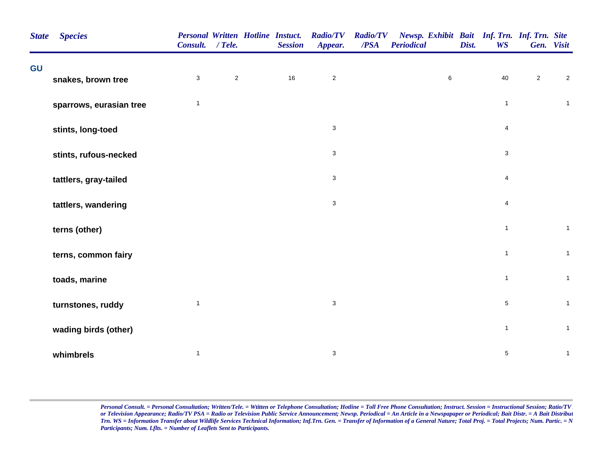| <b>State</b> | <b>Species</b>          | <b>Personal Written Hotline Instuct.</b><br>Consult. / Tele. |            | <b>Session</b> | <b>Radio/TV</b><br>Appear. | <b>Radio/TV</b><br>/PSA | Newsp. Exhibit Bait Inf. Trn. Inf. Trn. Site<br><b>Periodical</b> | Dist. | <b>WS</b>      |                | Gen. Visit     |
|--------------|-------------------------|--------------------------------------------------------------|------------|----------------|----------------------------|-------------------------|-------------------------------------------------------------------|-------|----------------|----------------|----------------|
| GU           | snakes, brown tree      | $\mathbf{3}$                                                 | $\sqrt{2}$ | 16             | $\overline{c}$             |                         | $\,6\,$                                                           |       | 40             | $\overline{c}$ | $\sqrt{2}$     |
|              |                         |                                                              |            |                |                            |                         |                                                                   |       |                |                |                |
|              | sparrows, eurasian tree | $\mathbf{1}$                                                 |            |                |                            |                         |                                                                   |       | $\overline{1}$ |                | $\mathbf{1}$   |
|              | stints, long-toed       |                                                              |            |                | $\mathbf{3}$               |                         |                                                                   |       | $\overline{4}$ |                |                |
|              | stints, rufous-necked   |                                                              |            |                | 3                          |                         |                                                                   |       | 3              |                |                |
|              | tattlers, gray-tailed   |                                                              |            |                | $\mathbf{3}$               |                         |                                                                   |       | $\overline{4}$ |                |                |
|              | tattlers, wandering     |                                                              |            |                | 3                          |                         |                                                                   |       | 4              |                |                |
|              | terns (other)           |                                                              |            |                |                            |                         |                                                                   |       | $\overline{1}$ |                | $\mathbf{1}$   |
|              | terns, common fairy     |                                                              |            |                |                            |                         |                                                                   |       | $\mathbf{1}$   |                | $\mathbf{1}$   |
|              | toads, marine           |                                                              |            |                |                            |                         |                                                                   |       | $\mathbf{1}$   |                | $\overline{1}$ |
|              | turnstones, ruddy       | $\mathbf{1}$                                                 |            |                | $\mathbf{3}$               |                         |                                                                   |       | $\sqrt{5}$     |                | $\overline{1}$ |
|              | wading birds (other)    |                                                              |            |                |                            |                         |                                                                   |       | $\mathbf{1}$   |                | $\overline{1}$ |
|              | whimbrels               | $\mathbf{1}$                                                 |            |                | 3                          |                         |                                                                   |       | $\sqrt{5}$     |                | $\mathbf{1}$   |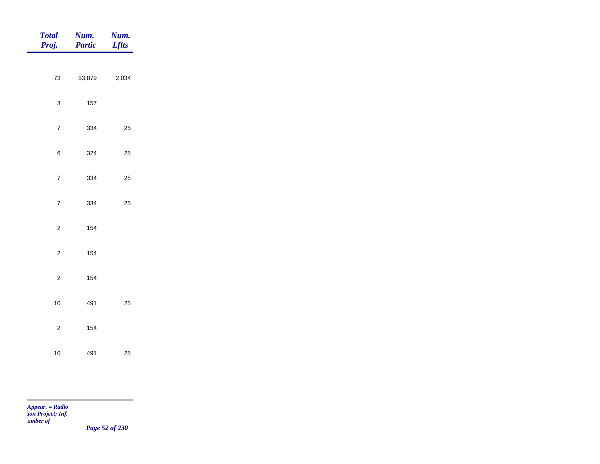| <b>Total</b><br>Proj.   | Num.<br><b>Partic</b> | Num.<br><b>Lflts</b> |
|-------------------------|-----------------------|----------------------|
|                         |                       |                      |
| $73\,$                  | 53,879                | 2,034                |
| $\mathbf{3}$            | 157                   |                      |
| $\overline{7}$          | 334                   | $25\,$               |
| $\,6$                   | 324                   | $25\,$               |
| $\boldsymbol{7}$        | 334                   | $25\,$               |
| $\overline{\mathbf{7}}$ | 334                   | $25\,$               |
|                         |                       |                      |
| $\mathbf 2$             | 154                   |                      |
| $\mathbf 2$             | 154                   |                      |
| $\mathbf 2$             | 154                   |                      |
| $10\,$                  | 491                   | $25\,$               |
| $\overline{c}$          | 154                   |                      |
| $10\,$                  | 491                   | $25\,$               |

÷

*Page 52 of 230*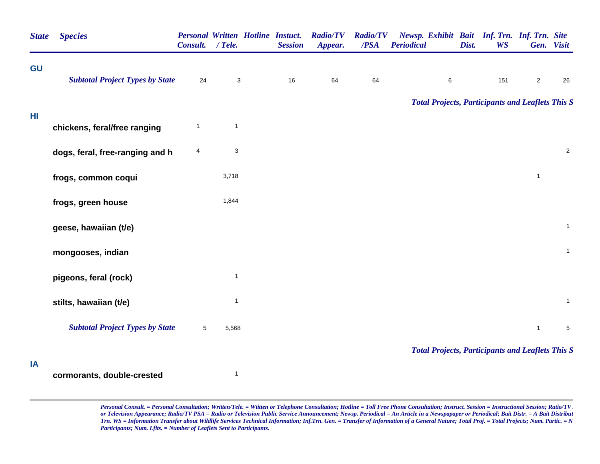| <b>State</b> | <b>Species</b>                         | Personal Written Hotline Instuct.<br>Consult. | $/$ Tele.    | <b>Session</b> | <b>Radio/TV</b><br>Appear. | <b>Radio/TV</b><br>/PSA | Newsp. Exhibit Bait Inf. Trn. Inf. Trn. Site<br><b>Periodical</b> | Dist. | <b>WS</b> |                | Gen. Visit   |
|--------------|----------------------------------------|-----------------------------------------------|--------------|----------------|----------------------------|-------------------------|-------------------------------------------------------------------|-------|-----------|----------------|--------------|
| GU           | <b>Subtotal Project Types by State</b> | 24                                            | $\sqrt{3}$   | $16\,$         | 64                         | 64                      | $\,6\,$                                                           |       | 151       | $\overline{2}$ | 26           |
|              |                                        |                                               |              |                |                            |                         | <b>Total Projects, Participants and Leaflets This S</b>           |       |           |                |              |
| HI           | chickens, feral/free ranging           | 1                                             | $\mathbf{1}$ |                |                            |                         |                                                                   |       |           |                |              |
|              | dogs, feral, free-ranging and h        | 4                                             | $\sqrt{3}$   |                |                            |                         |                                                                   |       |           |                | $\sqrt{2}$   |
|              | frogs, common coqui                    |                                               | 3,718        |                |                            |                         |                                                                   |       |           | $\mathbf{1}$   |              |
|              | frogs, green house                     |                                               | 1,844        |                |                            |                         |                                                                   |       |           |                |              |
|              | geese, hawaiian (t/e)                  |                                               |              |                |                            |                         |                                                                   |       |           |                | $\mathbf{1}$ |
|              | mongooses, indian                      |                                               |              |                |                            |                         |                                                                   |       |           |                | $\mathbf{1}$ |
|              | pigeons, feral (rock)                  |                                               | $\mathbf{1}$ |                |                            |                         |                                                                   |       |           |                |              |
|              | stilts, hawaiian (t/e)                 |                                               | $\mathbf{1}$ |                |                            |                         |                                                                   |       |           |                | $\mathbf{1}$ |
|              | <b>Subtotal Project Types by State</b> | $\sqrt{5}$                                    | 5,568        |                |                            |                         |                                                                   |       |           | $\mathbf{1}$   | $\,$ 5 $\,$  |
|              |                                        |                                               |              |                |                            |                         | <b>Total Projects, Participants and Leaflets This S</b>           |       |           |                |              |
| IA           | cormorants, double-crested             |                                               | $\mathbf{1}$ |                |                            |                         |                                                                   |       |           |                |              |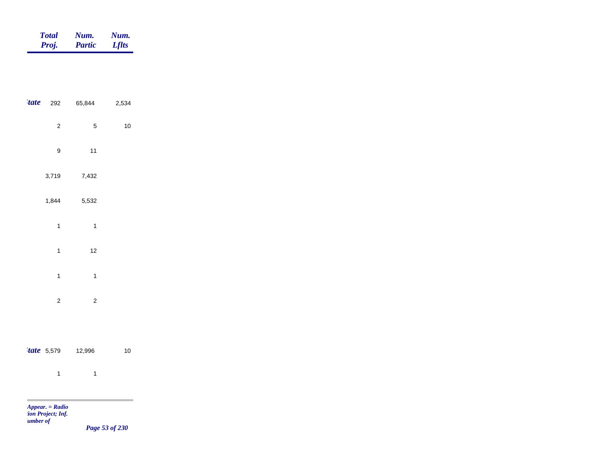| <b>Total</b> | Num.          | Num.         |
|--------------|---------------|--------------|
| Proj.        | <b>Partic</b> | <b>Lflts</b> |

|                         | <b>tate</b> 292 65,844  | 2,534 |  |
|-------------------------|-------------------------|-------|--|
| $\overline{\mathbf{c}}$ | 5                       | $10$  |  |
| 9                       | 11                      |       |  |
| 3,719                   | 7,432                   |       |  |
| 1,844                   | 5,532                   |       |  |
| $\mathbf{1}$            | $\mathbf{1}$            |       |  |
| $\mathbf{1}$            | 12                      |       |  |
| $\mathbf{1}$            | $\mathbf{1}$            |       |  |
| $\overline{\mathbf{c}}$ | $\overline{\mathbf{c}}$ |       |  |
|                         |                         |       |  |
|                         | $'$ tate 5,579 12,996   | $10$  |  |
| $\mathbf{1}$            | $\mathbf{1}$            |       |  |
|                         |                         |       |  |

m

*Page 53 of 230*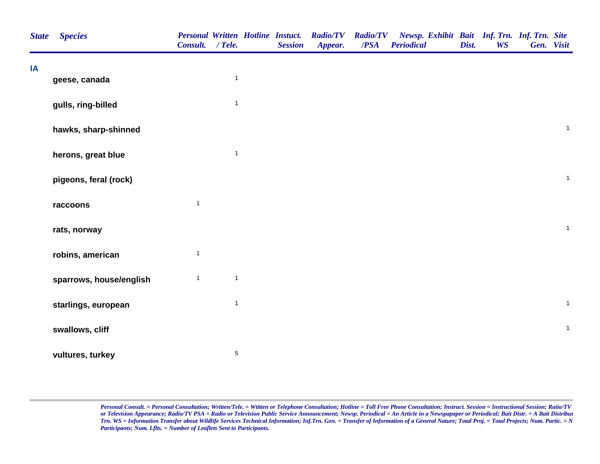| <b>State</b> | <b>Species</b>          | <b>Personal Written Hotline Instuct.</b><br>Consult. / Tele. |              | <b>Session</b> | <b>Radio/TV</b><br>Appear. | <b>Radio/TV</b><br>$\overline{PSA}$ | Newsp. Exhibit Bait Inf. Trn. Inf. Trn. Site<br><b>Periodical</b> | Dist. | <b>WS</b> | Gen. Visit |              |
|--------------|-------------------------|--------------------------------------------------------------|--------------|----------------|----------------------------|-------------------------------------|-------------------------------------------------------------------|-------|-----------|------------|--------------|
| IA           |                         |                                                              |              |                |                            |                                     |                                                                   |       |           |            |              |
|              | geese, canada           |                                                              | $\mathbf{1}$ |                |                            |                                     |                                                                   |       |           |            |              |
|              | gulls, ring-billed      |                                                              | $\mathbf{1}$ |                |                            |                                     |                                                                   |       |           |            |              |
|              | hawks, sharp-shinned    |                                                              |              |                |                            |                                     |                                                                   |       |           |            | $\mathbf{1}$ |
|              | herons, great blue      |                                                              | $\mathbf{1}$ |                |                            |                                     |                                                                   |       |           |            |              |
|              | pigeons, feral (rock)   |                                                              |              |                |                            |                                     |                                                                   |       |           |            | $\mathbf{1}$ |
|              | raccoons                | $\mathbf{1}$                                                 |              |                |                            |                                     |                                                                   |       |           |            |              |
|              | rats, norway            |                                                              |              |                |                            |                                     |                                                                   |       |           |            | $\mathbf 1$  |
|              | robins, american        | $\mathbf{1}$                                                 |              |                |                            |                                     |                                                                   |       |           |            |              |
|              | sparrows, house/english | $\mathbf{1}$                                                 | $\mathbf{1}$ |                |                            |                                     |                                                                   |       |           |            |              |
|              | starlings, european     |                                                              | $\mathbf{1}$ |                |                            |                                     |                                                                   |       |           |            | $\mathbf{1}$ |
|              | swallows, cliff         |                                                              |              |                |                            |                                     |                                                                   |       |           |            | $\mathbf{1}$ |
|              | vultures, turkey        |                                                              | $\sqrt{5}$   |                |                            |                                     |                                                                   |       |           |            |              |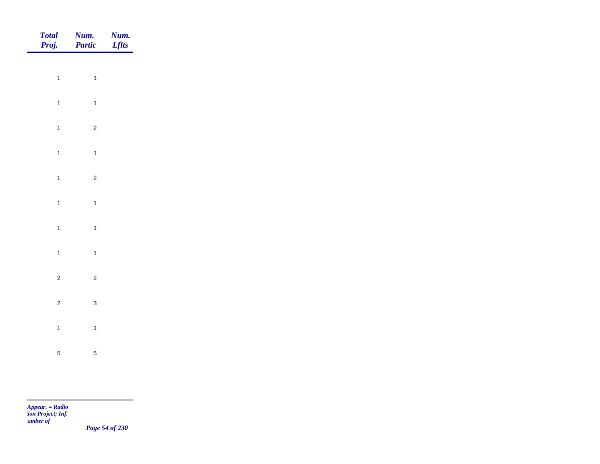| Total<br>Proj. | <b>Num.</b><br>Partic   | <b>Num.</b><br>Lflts |
|----------------|-------------------------|----------------------|
| $\overline{1}$ | $\overline{1}$          |                      |
|                |                         |                      |
| $\overline{1}$ | $\overline{\mathbf{1}}$ |                      |
| $\overline{1}$ | $\overline{c}$          |                      |
| $\overline{1}$ | $\overline{1}$          |                      |
| $\overline{1}$ | $\overline{c}$          |                      |
| $\overline{1}$ | $\overline{1}$          |                      |
|                |                         |                      |
| $\overline{1}$ | $\overline{1}$          |                      |
| $\overline{1}$ | $\overline{\mathbf{1}}$ |                      |
| $\overline{c}$ | $\overline{2}$          |                      |
| $\overline{c}$ | $\mathbf{3}$            |                      |
| $\overline{1}$ | $\overline{1}$          |                      |
|                |                         |                      |
| $\sqrt{5}$     | $\overline{5}$          |                      |

m

*Page 54 of 230*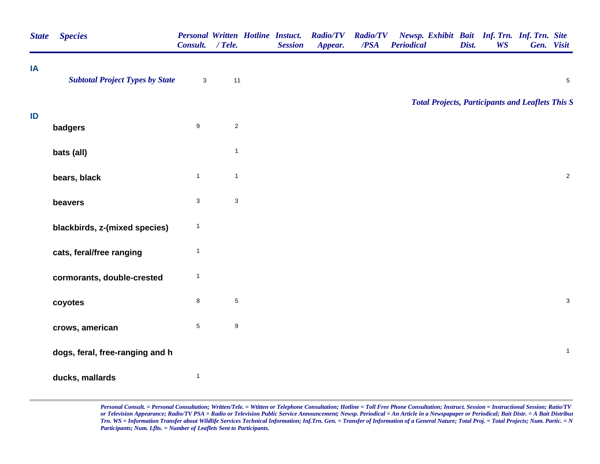| <b>State</b> | <b>Species</b>                         | <b>Personal Written Hotline Instuct.</b><br>Consult. | $/$ Tele.        | <b>Session</b> | <b>Radio/TV</b><br>Appear. | <b>Radio/TV</b><br>/PSA | Newsp. Exhibit Bait Inf. Trn. Inf. Trn. Site<br><b>Periodical</b> | Dist. | <b>WS</b> | Gen. Visit     |
|--------------|----------------------------------------|------------------------------------------------------|------------------|----------------|----------------------------|-------------------------|-------------------------------------------------------------------|-------|-----------|----------------|
| ΙA           | <b>Subtotal Project Types by State</b> | $\mathbf{3}$                                         | 11               |                |                            |                         |                                                                   |       |           | $\overline{5}$ |
|              |                                        |                                                      |                  |                |                            |                         | <b>Total Projects, Participants and Leaflets This S</b>           |       |           |                |
| ID           | badgers                                | $\boldsymbol{9}$                                     | $\overline{2}$   |                |                            |                         |                                                                   |       |           |                |
|              | bats (all)                             |                                                      | $\mathbf{1}$     |                |                            |                         |                                                                   |       |           |                |
|              | bears, black                           | $\mathbf{1}$                                         | $\mathbf{1}$     |                |                            |                         |                                                                   |       |           | $\overline{2}$ |
|              | beavers                                | $\mathbf{3}$                                         | $\sqrt{3}$       |                |                            |                         |                                                                   |       |           |                |
|              | blackbirds, z-(mixed species)          | $\mathbf{1}$                                         |                  |                |                            |                         |                                                                   |       |           |                |
|              | cats, feral/free ranging               | $\mathbf{1}$                                         |                  |                |                            |                         |                                                                   |       |           |                |
|              | cormorants, double-crested             | $\mathbf{1}$                                         |                  |                |                            |                         |                                                                   |       |           |                |
|              | coyotes                                | 8                                                    | $\,$ 5 $\,$      |                |                            |                         |                                                                   |       |           | $\mathbf{3}$   |
|              | crows, american                        | $\sqrt{5}$                                           | $\boldsymbol{9}$ |                |                            |                         |                                                                   |       |           |                |
|              | dogs, feral, free-ranging and h        |                                                      |                  |                |                            |                         |                                                                   |       |           | $\mathbf{1}$   |
|              | ducks, mallards                        | $\mathbf{1}$                                         |                  |                |                            |                         |                                                                   |       |           |                |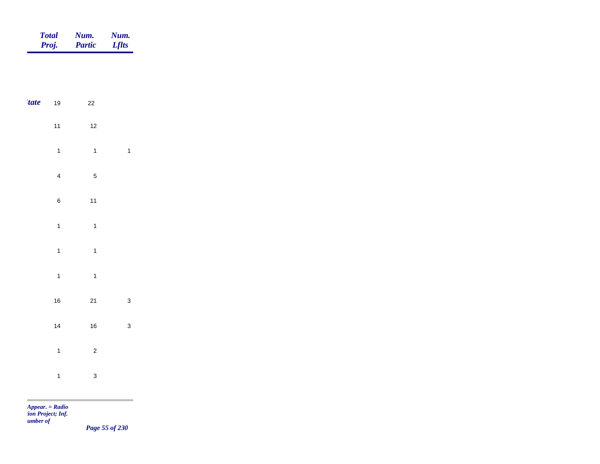|             | <b>Total</b><br>Proj.   | Num.<br>Partic | Num.<br><b>Lflts</b>     |
|-------------|-------------------------|----------------|--------------------------|
|             |                         |                |                          |
| <i>tate</i> | $19$                    | $22\,$         |                          |
|             | $11$                    | $12$           |                          |
|             | $\mathbf{1}$            | $\overline{1}$ | $\overline{\phantom{a}}$ |
|             | $\overline{\mathbf{4}}$ | $\sqrt{5}$     |                          |
|             | $\,$ 6 $\,$             | $11$           |                          |
|             | $\mathbf{1}$            | $\mathbf{1}$   |                          |
|             | $\mathbf{1}$            | $\mathbf{1}$   |                          |
|             | $\mathbf{1}$            | $\mathbf{1}$   |                          |
|             | $16\,$                  | $21$           | $\mathbf{3}$             |
|             | $14$                    | $16\,$         | $\mathbf{3}$             |
|             | $\mathbf{1}$            | $\mathbf 2$    |                          |
|             | $\mathbf{1}$            | $\mathbf{3}$   |                          |
|             |                         |                |                          |

*Appear. = Radio tion Project; Inf. Number of* 

m

*Page 55 of 230*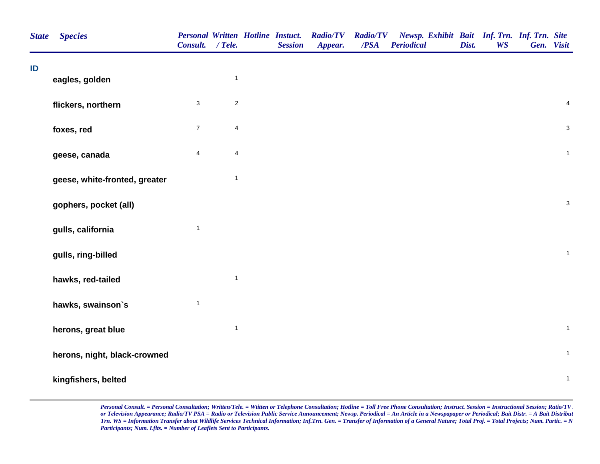| <b>State</b> | <b>Species</b>                | Personal Written Hotline Instuct.<br>Consult. / Tele. |                         | <b>Session</b> | <b>Radio/TV</b><br>Appear. | <b>Radio/TV</b><br>/PSA | Newsp. Exhibit Bait Inf. Trn. Inf. Trn. Site<br><b>Periodical</b> | Dist. | <b>WS</b> | Gen. Visit                |
|--------------|-------------------------------|-------------------------------------------------------|-------------------------|----------------|----------------------------|-------------------------|-------------------------------------------------------------------|-------|-----------|---------------------------|
| ID           |                               |                                                       |                         |                |                            |                         |                                                                   |       |           |                           |
|              | eagles, golden                |                                                       | $\mathbf{1}$            |                |                            |                         |                                                                   |       |           |                           |
|              | flickers, northern            | $\mathsf 3$                                           | $\sqrt{2}$              |                |                            |                         |                                                                   |       |           | $\overline{\mathbf{4}}$   |
|              | foxes, red                    | $\overline{7}$                                        | $\overline{\mathbf{4}}$ |                |                            |                         |                                                                   |       |           | $\mathbf{3}$              |
|              | geese, canada                 | $\overline{\mathbf{4}}$                               | $\overline{\mathbf{4}}$ |                |                            |                         |                                                                   |       |           | $\mathbf{1}$              |
|              | geese, white-fronted, greater |                                                       | $\mathbf{1}$            |                |                            |                         |                                                                   |       |           |                           |
|              | gophers, pocket (all)         |                                                       |                         |                |                            |                         |                                                                   |       |           | $\ensuremath{\mathsf{3}}$ |
|              | gulls, california             | $\mathbf{1}$                                          |                         |                |                            |                         |                                                                   |       |           |                           |
|              | gulls, ring-billed            |                                                       |                         |                |                            |                         |                                                                   |       |           | $\mathbf{1}$              |
|              | hawks, red-tailed             |                                                       | $\mathbf{1}$            |                |                            |                         |                                                                   |       |           |                           |
|              | hawks, swainson's             | $\mathbf{1}$                                          |                         |                |                            |                         |                                                                   |       |           |                           |
|              | herons, great blue            |                                                       | $\mathbf{1}$            |                |                            |                         |                                                                   |       |           | $\mathbf 1$               |
|              | herons, night, black-crowned  |                                                       |                         |                |                            |                         |                                                                   |       |           | $\mathbf{1}$              |
|              | kingfishers, belted           |                                                       |                         |                |                            |                         |                                                                   |       |           | $\mathbf 1$               |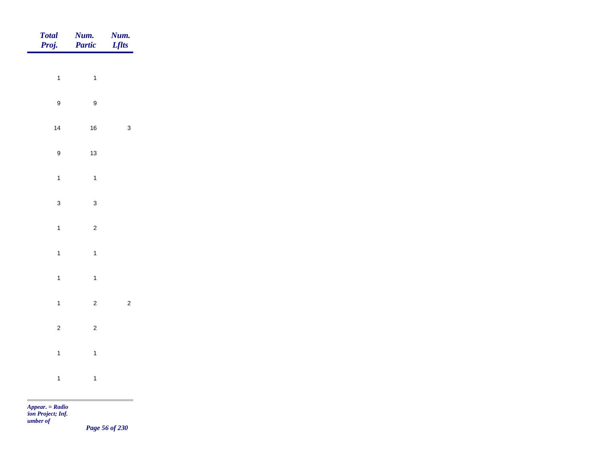| Total<br>Proj.   | <b>Num.</b><br>Partic | <b>Num.</b><br>Lflts |
|------------------|-----------------------|----------------------|
|                  |                       |                      |
| $\mathbf{1}$     | $\overline{1}$        |                      |
| $\boldsymbol{9}$ | $\boldsymbol{9}$      |                      |
| $14$             | $16\,$                | $\mathbf{3}$         |
| $\boldsymbol{9}$ | $13$                  |                      |
| $\mathbf{1}$     | $\overline{1}$        |                      |
| $\mathbf{3}$     | $\mathbf{3}$          |                      |
|                  |                       |                      |
| $\overline{1}$   | $\overline{c}$        |                      |
| $\overline{1}$   | $\overline{1}$        |                      |
| $\overline{1}$   | $\overline{1}$        |                      |
| $\overline{1}$   | $\overline{2}$        | $\overline{c}$       |
| $\overline{c}$   | $\overline{c}$        |                      |
| $\mathbf{1}$     | $\mathbf{1}$          |                      |
| $\mathbf{1}$     | $\overline{1}$        |                      |
|                  |                       |                      |

*Appear. = Radio tion Project; Inf. <u>umber</u> of* 

*Page 56 of 230*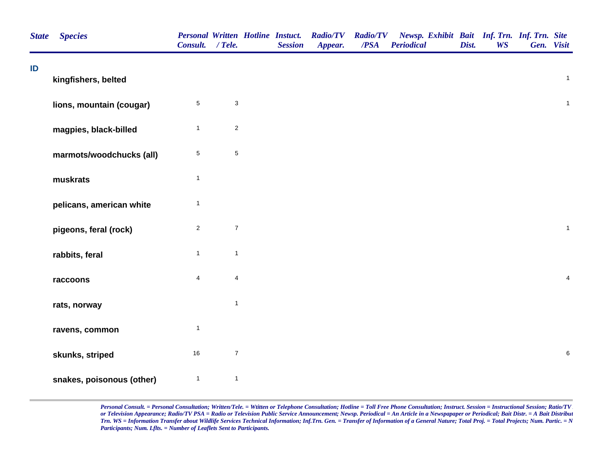| <b>State</b> | <b>Species</b>            | <b>Personal Written Hotline Instuct.</b><br>Consult. / Tele. |                           | <b>Session</b> | <b>Radio/TV</b><br>Appear. | <b>Radio/TV</b><br>/PSA | Newsp. Exhibit Bait Inf. Trn. Inf. Trn. Site<br><b>Periodical</b> | Dist. | <b>WS</b> | Gen. Visit              |
|--------------|---------------------------|--------------------------------------------------------------|---------------------------|----------------|----------------------------|-------------------------|-------------------------------------------------------------------|-------|-----------|-------------------------|
| ID           | kingfishers, belted       |                                                              |                           |                |                            |                         |                                                                   |       |           | $\mathbf{1}$            |
|              | lions, mountain (cougar)  | $\,$ 5 $\,$                                                  | $\ensuremath{\mathsf{3}}$ |                |                            |                         |                                                                   |       |           | $\mathbf{1}$            |
|              | magpies, black-billed     | $\mathbf{1}$                                                 | $\overline{2}$            |                |                            |                         |                                                                   |       |           |                         |
|              | marmots/woodchucks (all)  | $\,$ 5 $\,$                                                  | $\,$ 5 $\,$               |                |                            |                         |                                                                   |       |           |                         |
|              | muskrats                  | $\mathbf{1}$                                                 |                           |                |                            |                         |                                                                   |       |           |                         |
|              | pelicans, american white  | $\mathbf{1}$                                                 |                           |                |                            |                         |                                                                   |       |           |                         |
|              | pigeons, feral (rock)     | $\overline{2}$                                               | $\boldsymbol{7}$          |                |                            |                         |                                                                   |       |           | $\mathbf{1}$            |
|              | rabbits, feral            | $\mathbf{1}$                                                 | $\mathbf{1}$              |                |                            |                         |                                                                   |       |           |                         |
|              | raccoons                  | $\overline{4}$                                               | $\overline{\mathbf{4}}$   |                |                            |                         |                                                                   |       |           | $\overline{\mathbf{4}}$ |
|              | rats, norway              |                                                              | $\mathbf{1}$              |                |                            |                         |                                                                   |       |           |                         |
|              | ravens, common            | $\mathbf{1}$                                                 |                           |                |                            |                         |                                                                   |       |           |                         |
|              | skunks, striped           | $16\,$                                                       | $\boldsymbol{7}$          |                |                            |                         |                                                                   |       |           | $\,6$                   |
|              | snakes, poisonous (other) | $\mathbf{1}$                                                 | $\mathbf{1}$              |                |                            |                         |                                                                   |       |           |                         |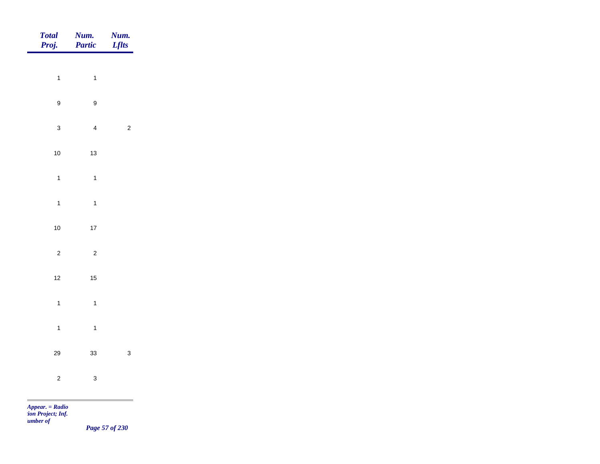|            | Total<br>Proj.                 | <b>Num.</b><br>Partic   | <b>Num.</b><br><i>Lflts</i> |
|------------|--------------------------------|-------------------------|-----------------------------|
|            | $\overline{1}$                 | $\overline{1}$          |                             |
|            |                                |                         |                             |
|            | $\boldsymbol{9}$               | $\boldsymbol{9}$        |                             |
|            | $\mathbf{3}$                   | $\overline{4}$          | $\sqrt{2}$                  |
|            | $10\,$                         | $13$                    |                             |
|            | $\overline{1}$                 | $\mathbf{1}$            |                             |
|            | $\mathbf{1}$                   | $\overline{1}$          |                             |
|            | $10\,$                         | $17$                    |                             |
|            | $\overline{c}$                 | $\overline{\mathbf{c}}$ |                             |
|            | $12$                           | $15$                    |                             |
|            | $\mathbf{1}$                   | $\mathbf{1}$            |                             |
|            |                                |                         |                             |
|            | $\mathbf{1}$                   | $\overline{1}$          |                             |
|            | $29\,$                         | 33                      | $\mathbf{3}$                |
|            | $\overline{c}$                 | $\mathbf{3}$            |                             |
| <b>COL</b> | <b>Contract Contract State</b> |                         |                             |

*Appear. = Radio tion Project; Inf. Number of* 

*Page 57 of 230*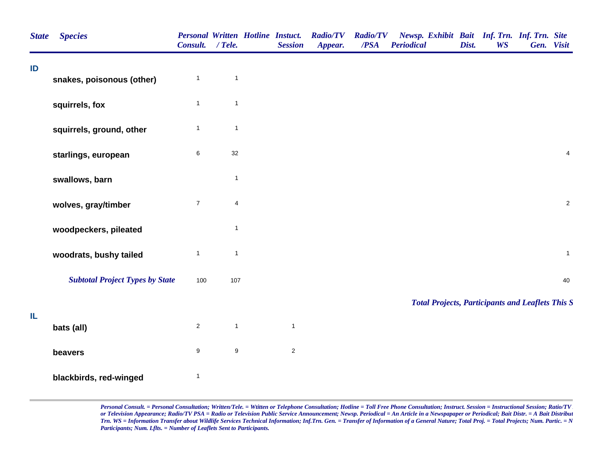| <b>Species</b>            |                  |                                        |                  | <b>Session</b> | <b>Radio/TV</b><br>Appear.               | /PSA | <b>Periodical</b> | Dist.           | <b>WS</b> | Gen. Visit |                                                                                                         |
|---------------------------|------------------|----------------------------------------|------------------|----------------|------------------------------------------|------|-------------------|-----------------|-----------|------------|---------------------------------------------------------------------------------------------------------|
| snakes, poisonous (other) | $\mathbf{1}$     | $\mathbf{1}$                           |                  |                |                                          |      |                   |                 |           |            |                                                                                                         |
| squirrels, fox            | $\mathbf{1}$     | $\mathbf{1}$                           |                  |                |                                          |      |                   |                 |           |            |                                                                                                         |
| squirrels, ground, other  | $\mathbf{1}$     | $\mathbf{1}$                           |                  |                |                                          |      |                   |                 |           |            |                                                                                                         |
| starlings, european       | 6                | $32\,$                                 |                  |                |                                          |      |                   |                 |           |            | $\overline{4}$                                                                                          |
| swallows, barn            |                  | $\mathbf{1}$                           |                  |                |                                          |      |                   |                 |           |            |                                                                                                         |
| wolves, gray/timber       | $\boldsymbol{7}$ | 4                                      |                  |                |                                          |      |                   |                 |           |            | $\sqrt{2}$                                                                                              |
| woodpeckers, pileated     |                  | $\mathbf{1}$                           |                  |                |                                          |      |                   |                 |           |            |                                                                                                         |
| woodrats, bushy tailed    | $\mathbf{1}$     | $\mathbf{1}$                           |                  |                |                                          |      |                   |                 |           |            | $\mathbf{1}$                                                                                            |
|                           | 100              |                                        |                  |                |                                          |      |                   |                 |           |            | 40                                                                                                      |
|                           |                  |                                        |                  |                |                                          |      |                   |                 |           |            |                                                                                                         |
| bats (all)                | $\overline{a}$   | $\mathbf{1}$                           |                  | $\mathbf{1}$   |                                          |      |                   |                 |           |            |                                                                                                         |
| beavers                   | 9                | $\boldsymbol{9}$                       |                  | $\overline{2}$ |                                          |      |                   |                 |           |            |                                                                                                         |
| blackbirds, red-winged    | $\mathbf{1}$     |                                        |                  |                |                                          |      |                   |                 |           |            |                                                                                                         |
|                           |                  | <b>Subtotal Project Types by State</b> | Consult. / Tele. | 107            | <b>Personal Written Hotline Instact.</b> |      |                   | <b>Radio/TV</b> |           |            | Newsp. Exhibit Bait Inf. Trn. Inf. Trn. Site<br><b>Total Projects, Participants and Leaflets This S</b> |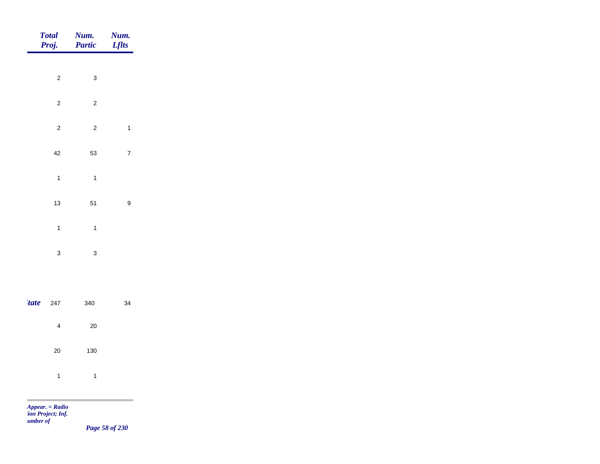| Total<br>Proj.          | Num.<br>Partic                   | <b>Num.</b><br>Lflts |
|-------------------------|----------------------------------|----------------------|
|                         |                                  |                      |
|                         | $\overline{c}$<br>$\mathbf{3}$   |                      |
|                         | $\overline{c}$<br>$\overline{c}$ |                      |
|                         | $\overline{c}$<br>$\overline{c}$ | $\mathbf{1}$         |
| 42                      | 53                               | $\overline{7}$       |
| $\overline{1}$          | $\overline{1}$                   |                      |
| $13$                    | 51                               | $\boldsymbol{9}$     |
|                         |                                  |                      |
| $\overline{1}$          | $\overline{1}$                   |                      |
| $\mathbf{3}$            | $\mathbf{3}$                     |                      |
|                         |                                  |                      |
| <i>tate</i><br>247      | 340                              | 34                   |
| $\overline{\mathbf{4}}$ | $20\,$                           |                      |
| 20                      | 130                              |                      |
| $\overline{1}$          | $\overline{1}$                   |                      |
|                         |                                  |                      |
| $Appear. = Radio$       |                                  |                      |

*tion Project; Inf. Number of* 

*Page 58 of 230*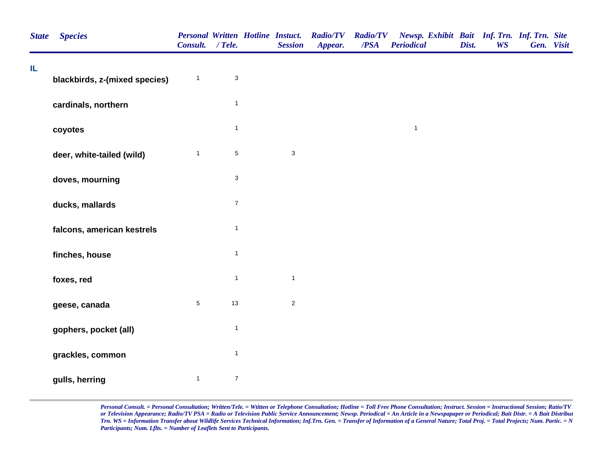| <b>State</b> | <b>Species</b>                | Consult. / Tele. |                           | <b>Personal Written Hotline Instuct.</b><br><b>Session</b> | <b>Radio/TV</b><br>Appear. | <b>Radio/TV</b><br>$\overline{PSA}$ | Newsp. Exhibit Bait Inf. Trn. Inf. Trn. Site<br><b>Periodical</b> | Dist. | <b>WS</b> | Gen. Visit |  |
|--------------|-------------------------------|------------------|---------------------------|------------------------------------------------------------|----------------------------|-------------------------------------|-------------------------------------------------------------------|-------|-----------|------------|--|
| IL           | blackbirds, z-(mixed species) | $\mathbf{1}$     | $\ensuremath{\mathsf{3}}$ |                                                            |                            |                                     |                                                                   |       |           |            |  |
|              | cardinals, northern           |                  | $\mathbf{1}$              |                                                            |                            |                                     |                                                                   |       |           |            |  |
|              | coyotes                       |                  | $\mathbf{1}$              |                                                            |                            |                                     | $\overline{1}$                                                    |       |           |            |  |
|              | deer, white-tailed (wild)     | $\mathbf{1}$     | $\,$ 5 $\,$               | $\mathsf 3$                                                |                            |                                     |                                                                   |       |           |            |  |
|              | doves, mourning               |                  | $\ensuremath{\mathsf{3}}$ |                                                            |                            |                                     |                                                                   |       |           |            |  |
|              | ducks, mallards               |                  | $\boldsymbol{7}$          |                                                            |                            |                                     |                                                                   |       |           |            |  |
|              | falcons, american kestrels    |                  | $\overline{1}$            |                                                            |                            |                                     |                                                                   |       |           |            |  |
|              | finches, house                |                  | $\mathbf{1}$              |                                                            |                            |                                     |                                                                   |       |           |            |  |
|              | foxes, red                    |                  | $\mathbf{1}$              | $\mathbf{1}$                                               |                            |                                     |                                                                   |       |           |            |  |
|              | geese, canada                 | $\sqrt{5}$       | 13                        | $\sqrt{2}$                                                 |                            |                                     |                                                                   |       |           |            |  |
|              | gophers, pocket (all)         |                  | $\overline{\mathbf{1}}$   |                                                            |                            |                                     |                                                                   |       |           |            |  |
|              | grackles, common              |                  | $\mathbf{1}$              |                                                            |                            |                                     |                                                                   |       |           |            |  |
|              | gulls, herring                | $\mathbf{1}$     | $\boldsymbol{7}$          |                                                            |                            |                                     |                                                                   |       |           |            |  |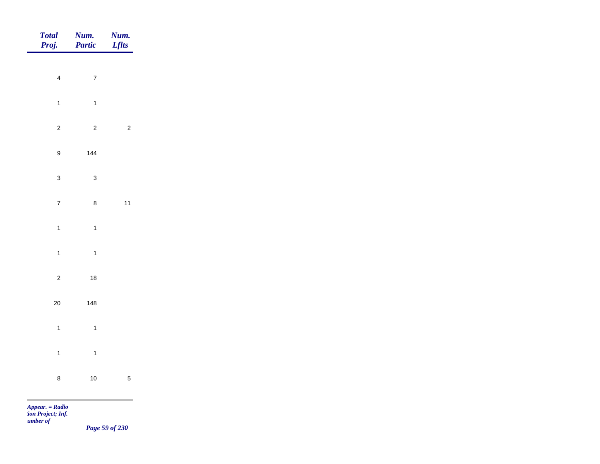| Total<br>Proj.   | Num.<br>Partic | Num.<br><b>Lflts</b> |
|------------------|----------------|----------------------|
|                  |                |                      |
| $\overline{4}$   | $\overline{7}$ |                      |
| $\mathbf{1}$     | $\overline{1}$ |                      |
| $\overline{c}$   | $\overline{c}$ | $\overline{c}$       |
| $\boldsymbol{9}$ | $144$          |                      |
| $\mathbf{3}$     | $\mathbf{3}$   |                      |
| $\overline{7}$   | $\bf8$         | $11$                 |
| $\mathbf{1}$     | $\mathbf{1}$   |                      |
| $\mathbf{1}$     | $\overline{1}$ |                      |
| $\overline{2}$   | $18\,$         |                      |
|                  |                |                      |
| $20\,$           | 148            |                      |
| $\overline{1}$   | $\mathbf{1}$   |                      |
| $\mathbf{1}$     | $\overline{1}$ |                      |
| $\bf 8$          | $10$           | $\sqrt{5}$           |
|                  |                |                      |

*Appear. = Radio tion Project; Inf. Number of* 

*Page 59 of 230*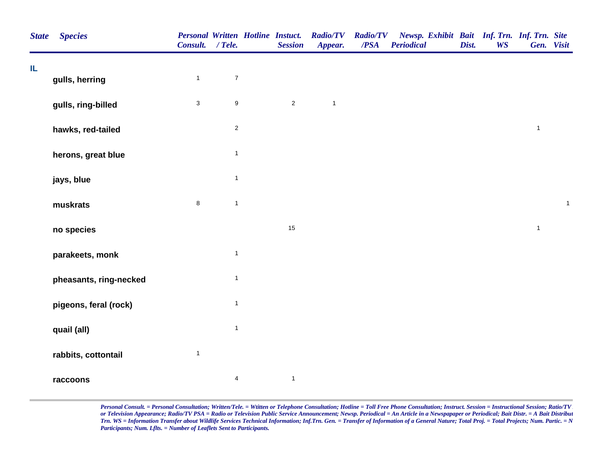| <b>State</b> | <b>Species</b>         | Consult. / Tele. |                         | <b>Personal Written Hotline Instuct.</b><br><b>Session</b> | <b>Radio/TV</b><br>Appear. | <b>Radio/TV</b><br>/PSA | Newsp. Exhibit Bait Inf. Trn. Inf. Trn. Site<br>Periodical | Dist. | <b>WS</b> |              | Gen. Visit   |
|--------------|------------------------|------------------|-------------------------|------------------------------------------------------------|----------------------------|-------------------------|------------------------------------------------------------|-------|-----------|--------------|--------------|
| IL.          | gulls, herring         | $\mathbf{1}$     | $\boldsymbol{7}$        |                                                            |                            |                         |                                                            |       |           |              |              |
|              | gulls, ring-billed     | $\mathbf{3}$     | $\boldsymbol{9}$        | $\sqrt{2}$                                                 | $\mathbf{1}$               |                         |                                                            |       |           |              |              |
|              | hawks, red-tailed      |                  | $\mathbf 2$             |                                                            |                            |                         |                                                            |       |           | $\mathbf{1}$ |              |
|              | herons, great blue     |                  | $\mathbf{1}$            |                                                            |                            |                         |                                                            |       |           |              |              |
|              | jays, blue             |                  | $\mathbf{1}$            |                                                            |                            |                         |                                                            |       |           |              |              |
|              | muskrats               | $\bf 8$          | $\mathbf{1}$            |                                                            |                            |                         |                                                            |       |           |              | $\mathbf{1}$ |
|              | no species             |                  |                         | 15                                                         |                            |                         |                                                            |       |           | $\mathbf{1}$ |              |
|              | parakeets, monk        |                  | $\mathbf{1}$            |                                                            |                            |                         |                                                            |       |           |              |              |
|              | pheasants, ring-necked |                  | $\mathbf{1}$            |                                                            |                            |                         |                                                            |       |           |              |              |
|              | pigeons, feral (rock)  |                  | $\mathbf{1}$            |                                                            |                            |                         |                                                            |       |           |              |              |
|              | quail (all)            |                  | $\mathbf{1}$            |                                                            |                            |                         |                                                            |       |           |              |              |
|              | rabbits, cottontail    | $\mathbf{1}$     |                         |                                                            |                            |                         |                                                            |       |           |              |              |
|              | raccoons               |                  | $\overline{\mathbf{4}}$ | $\mathbf{1}$                                               |                            |                         |                                                            |       |           |              |              |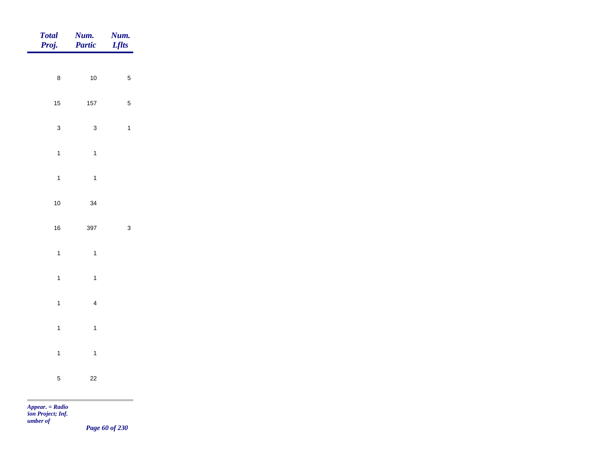| Total<br>Proj. | Num.<br>Partic | Num.<br><b>Lflts</b> |
|----------------|----------------|----------------------|
|                |                |                      |
| $\bf 8$        | $10\,$         | $\sqrt{5}$           |
| $15$           | $157\,$        | $\sqrt{5}$           |
| $\mathbf{3}$   | $\mathbf{3}$   | $\mathbf{1}$         |
| $\overline{1}$ | $\mathbf{1}$   |                      |
| $\mathbf{1}$   | $\overline{1}$ |                      |
| $10\,$         | 34             |                      |
| $16\,$         | 397            | $\mathbf{3}$         |
| $\overline{1}$ | $\overline{1}$ |                      |
|                |                |                      |
| $\overline{1}$ | $\overline{1}$ |                      |
| $\overline{1}$ | $\overline{4}$ |                      |
| $\mathbf{1}$   | $\overline{1}$ |                      |
| $\overline{1}$ | $\overline{1}$ |                      |
| $\overline{5}$ | $22\,$         |                      |
|                |                |                      |

*Appear. = Radio tion Project; Inf. <u>umber</u> of* 

*Page 60 of 230*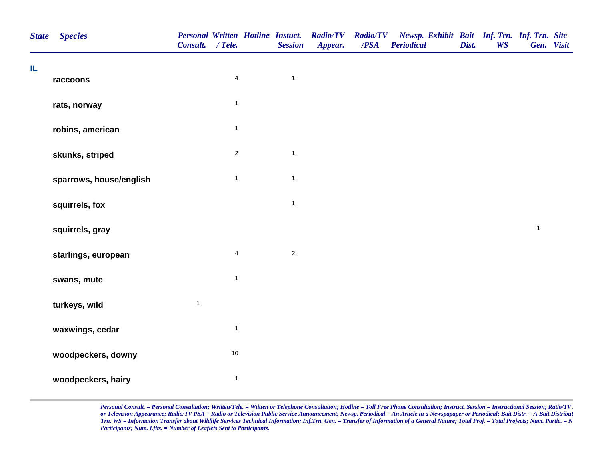| <b>State</b> | <b>Species</b>          | <b>Personal Written Hotline Instuct.</b><br>Consult. / Tele. |                         | <b>Session</b> | <b>Radio/TV</b><br>Appear. | <b>Radio/TV</b><br>/PSA | Newsp. Exhibit Bait Inf. Trn. Inf. Trn. Site<br><b>Periodical</b> | Dist. | <b>WS</b> | Gen. Visit   |  |
|--------------|-------------------------|--------------------------------------------------------------|-------------------------|----------------|----------------------------|-------------------------|-------------------------------------------------------------------|-------|-----------|--------------|--|
| IL           | raccoons                |                                                              | $\overline{\mathbf{4}}$ | $\mathbf{1}$   |                            |                         |                                                                   |       |           |              |  |
|              | rats, norway            |                                                              | $\mathbf{1}$            |                |                            |                         |                                                                   |       |           |              |  |
|              | robins, american        |                                                              | $\mathbf{1}$            |                |                            |                         |                                                                   |       |           |              |  |
|              | skunks, striped         |                                                              | $\overline{2}$          | $\mathbf{1}$   |                            |                         |                                                                   |       |           |              |  |
|              | sparrows, house/english |                                                              | $\mathbf{1}$            | $\mathbf{1}$   |                            |                         |                                                                   |       |           |              |  |
|              | squirrels, fox          |                                                              |                         | $\mathbf{1}$   |                            |                         |                                                                   |       |           |              |  |
|              | squirrels, gray         |                                                              |                         |                |                            |                         |                                                                   |       |           | $\mathbf{1}$ |  |
|              | starlings, european     |                                                              | $\overline{4}$          | $\sqrt{2}$     |                            |                         |                                                                   |       |           |              |  |
|              | swans, mute             |                                                              | $\mathbf{1}$            |                |                            |                         |                                                                   |       |           |              |  |
|              | turkeys, wild           | $\mathbf{1}$                                                 |                         |                |                            |                         |                                                                   |       |           |              |  |
|              | waxwings, cedar         |                                                              | $\mathbf{1}$            |                |                            |                         |                                                                   |       |           |              |  |
|              | woodpeckers, downy      |                                                              | $10$                    |                |                            |                         |                                                                   |       |           |              |  |
|              | woodpeckers, hairy      |                                                              | $\mathbf{1}$            |                |                            |                         |                                                                   |       |           |              |  |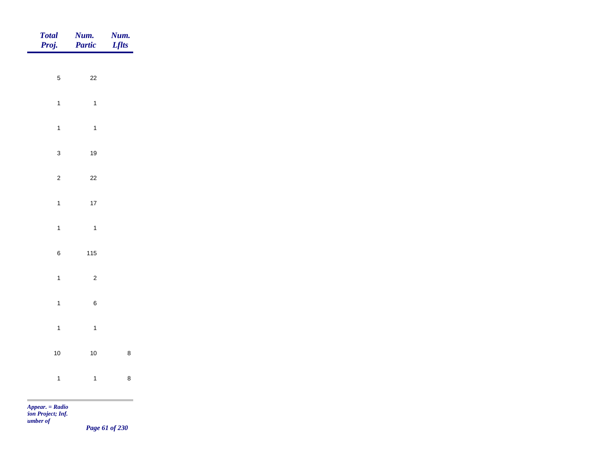| Total<br>Proj.                                                                                                                                                                                                                                                                                                                        | Num.<br>Partic | <b>Num.</b><br>Lflts |
|---------------------------------------------------------------------------------------------------------------------------------------------------------------------------------------------------------------------------------------------------------------------------------------------------------------------------------------|----------------|----------------------|
|                                                                                                                                                                                                                                                                                                                                       |                |                      |
| $\sqrt{5}$                                                                                                                                                                                                                                                                                                                            | $22\,$         |                      |
| $\overline{1}$                                                                                                                                                                                                                                                                                                                        | $\overline{1}$ |                      |
| $\mathbf{1}$                                                                                                                                                                                                                                                                                                                          | $\overline{1}$ |                      |
| $\mathbf{3}$                                                                                                                                                                                                                                                                                                                          | 19             |                      |
| $\overline{c}$                                                                                                                                                                                                                                                                                                                        | $22\,$         |                      |
| $\mathbf{1}$                                                                                                                                                                                                                                                                                                                          | $17$           |                      |
|                                                                                                                                                                                                                                                                                                                                       |                |                      |
| $\mathbf{1}$                                                                                                                                                                                                                                                                                                                          | $\overline{1}$ |                      |
| $\,6\,$                                                                                                                                                                                                                                                                                                                               | $115$          |                      |
| $\overline{1}$                                                                                                                                                                                                                                                                                                                        | $\overline{c}$ |                      |
| $\overline{1}$                                                                                                                                                                                                                                                                                                                        | $\,6\,$        |                      |
| $\overline{1}$                                                                                                                                                                                                                                                                                                                        | $\overline{1}$ |                      |
| $10\,$                                                                                                                                                                                                                                                                                                                                | $10$           | $\bf 8$              |
| $\overline{1}$                                                                                                                                                                                                                                                                                                                        | $\overline{1}$ | $\bf 8$              |
| <b>Contract Contract Contract</b><br>$\mathbf{A}$ and $\mathbf{B}$ and $\mathbf{B}$ and $\mathbf{B}$ and $\mathbf{B}$ and $\mathbf{B}$ and $\mathbf{B}$ and $\mathbf{B}$ and $\mathbf{B}$ and $\mathbf{B}$ and $\mathbf{B}$ and $\mathbf{B}$ and $\mathbf{B}$ and $\mathbf{B}$ and $\mathbf{B}$ and $\mathbf{B}$ and $\mathbf{B}$ and |                |                      |

*Appear. = Radio tion Project; Inf. Number of* 

*Page 61 of 230*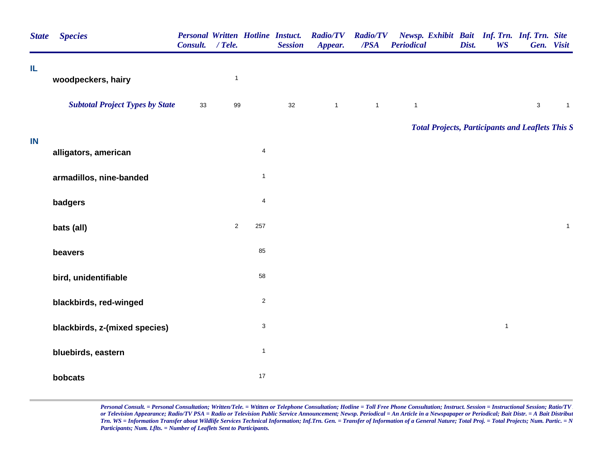| <b>State</b> | <b>Species</b>                         | <b>Personal Written Hotline Instuct.</b><br>Consult. / Tele. |              |                           | <b>Session</b> | <b>Radio/TV</b><br>Appear. | <b>Radio/TV</b><br>/PSA | Newsp. Exhibit Bait Inf. Trn. Inf. Trn. Site<br><b>Periodical</b> | Dist. | <b>WS</b>    |             | Gen. Visit     |
|--------------|----------------------------------------|--------------------------------------------------------------|--------------|---------------------------|----------------|----------------------------|-------------------------|-------------------------------------------------------------------|-------|--------------|-------------|----------------|
| IL           | woodpeckers, hairy                     |                                                              | $\mathbf{1}$ |                           |                |                            |                         |                                                                   |       |              |             |                |
|              | <b>Subtotal Project Types by State</b> | 33                                                           | 99           |                           | 32             | $\overline{1}$             | $\mathbf{1}$            | $\mathbf{1}$                                                      |       |              | $\mathsf 3$ | $\overline{1}$ |
| IN           |                                        |                                                              |              |                           |                |                            |                         | <b>Total Projects, Participants and Leaflets This S</b>           |       |              |             |                |
|              | alligators, american                   |                                                              |              | $\overline{\mathbf{4}}$   |                |                            |                         |                                                                   |       |              |             |                |
|              | armadillos, nine-banded                |                                                              |              | $\mathbf{1}$              |                |                            |                         |                                                                   |       |              |             |                |
|              | badgers                                |                                                              |              | $\overline{\mathbf{4}}$   |                |                            |                         |                                                                   |       |              |             |                |
|              | bats (all)                             |                                                              | $\sqrt{2}$   | 257                       |                |                            |                         |                                                                   |       |              |             | $\mathbf{1}$   |
|              | beavers                                |                                                              |              | 85                        |                |                            |                         |                                                                   |       |              |             |                |
|              | bird, unidentifiable                   |                                                              |              | 58                        |                |                            |                         |                                                                   |       |              |             |                |
|              | blackbirds, red-winged                 |                                                              |              | $\sqrt{2}$                |                |                            |                         |                                                                   |       |              |             |                |
|              | blackbirds, z-(mixed species)          |                                                              |              | $\ensuremath{\mathsf{3}}$ |                |                            |                         |                                                                   |       | $\mathbf{1}$ |             |                |
|              | bluebirds, eastern                     |                                                              |              | $\mathbf{1}$              |                |                            |                         |                                                                   |       |              |             |                |
|              | bobcats                                |                                                              |              | 17                        |                |                            |                         |                                                                   |       |              |             |                |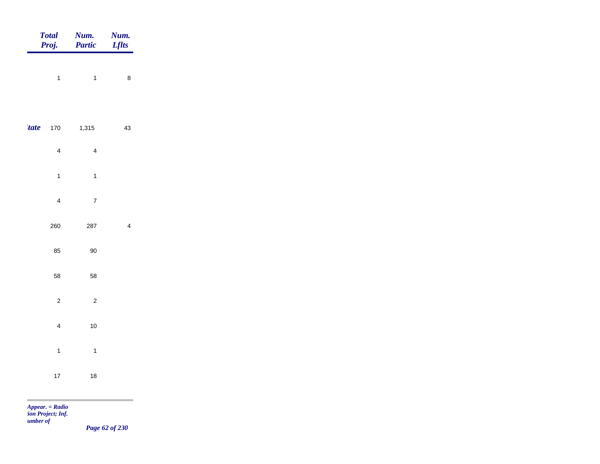|             | <b>Total</b><br>Proj.          | Num.<br>Partic                   | Num.<br><b>Lflts</b> |
|-------------|--------------------------------|----------------------------------|----------------------|
|             | $\overline{1}$                 | $\overline{1}$                   | $\bf 8$              |
| <i>tate</i> | 170                            | 1,315                            | $43\,$               |
|             | $\overline{4}$<br>$\mathbf{1}$ | $\overline{4}$<br>$\overline{1}$ |                      |
|             | $\overline{\mathbf{4}}$        | $\overline{7}$                   |                      |
|             | 260                            | 287                              | $\overline{4}$       |
|             | 85                             | $90\,$                           |                      |
|             | 58                             | 58                               |                      |
|             | $\sqrt{2}$<br>$\overline{4}$   | $\overline{c}$<br>$10\,$         |                      |
|             | $\mathbf{1}$                   | $\overline{\mathbf{1}}$          |                      |
|             | $17\,$                         | 18                               |                      |
|             | $Appear. = Radio$              |                                  |                      |

*tion Project; Inf. Number of* 

*Page 62 of 230*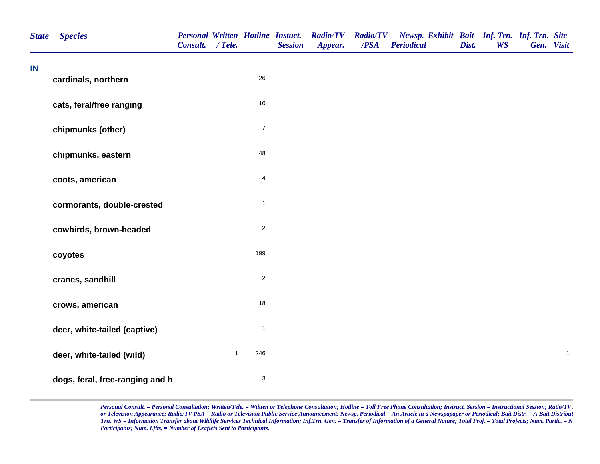| <b>State</b> | <b>Species</b>                  | <b>Personal Written Hotline Instuct.</b><br>Consult. / Tele. |              |                           | <b>Session</b> | <b>Radio/TV</b><br>Appear. | <b>Radio/TV</b><br>/PSA | Newsp. Exhibit Bait Inf. Trn. Inf. Trn. Site<br><b>Periodical</b> | Dist. | <b>WS</b> | Gen. Visit |              |
|--------------|---------------------------------|--------------------------------------------------------------|--------------|---------------------------|----------------|----------------------------|-------------------------|-------------------------------------------------------------------|-------|-----------|------------|--------------|
| IN           | cardinals, northern             |                                                              |              | 26                        |                |                            |                         |                                                                   |       |           |            |              |
|              | cats, feral/free ranging        |                                                              |              | $10$                      |                |                            |                         |                                                                   |       |           |            |              |
|              | chipmunks (other)               |                                                              |              | $\overline{7}$            |                |                            |                         |                                                                   |       |           |            |              |
|              | chipmunks, eastern              |                                                              |              | 48                        |                |                            |                         |                                                                   |       |           |            |              |
|              | coots, american                 |                                                              |              | $\overline{4}$            |                |                            |                         |                                                                   |       |           |            |              |
|              | cormorants, double-crested      |                                                              |              | $\mathbf{1}$              |                |                            |                         |                                                                   |       |           |            |              |
|              | cowbirds, brown-headed          |                                                              |              | $\overline{2}$            |                |                            |                         |                                                                   |       |           |            |              |
|              | coyotes                         |                                                              |              | 199                       |                |                            |                         |                                                                   |       |           |            |              |
|              | cranes, sandhill                |                                                              |              | $\overline{2}$            |                |                            |                         |                                                                   |       |           |            |              |
|              | crows, american                 |                                                              |              | 18                        |                |                            |                         |                                                                   |       |           |            |              |
|              | deer, white-tailed (captive)    |                                                              |              | $\mathbf{1}$              |                |                            |                         |                                                                   |       |           |            |              |
|              | deer, white-tailed (wild)       |                                                              | $\mathbf{1}$ | 246                       |                |                            |                         |                                                                   |       |           |            | $\mathbf{1}$ |
|              | dogs, feral, free-ranging and h |                                                              |              | $\ensuremath{\mathsf{3}}$ |                |                            |                         |                                                                   |       |           |            |              |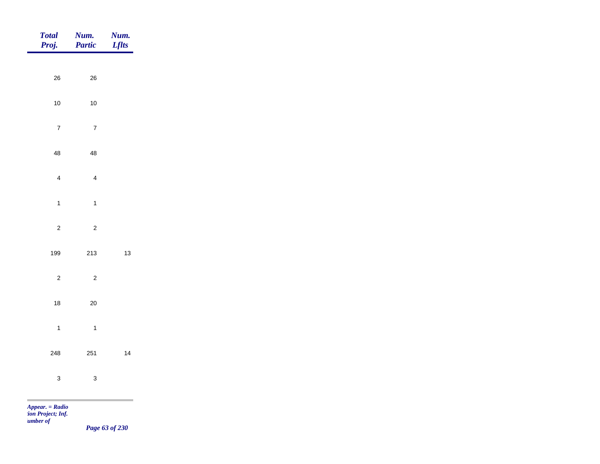| <b>Total</b><br>Proj.                            | Num.<br>Partic            | Num.<br><b>Lflts</b> |
|--------------------------------------------------|---------------------------|----------------------|
|                                                  |                           |                      |
| ${\bf 26}$                                       | $26\,$                    |                      |
| $10\,$                                           | $10\,$                    |                      |
| $\overline{7}$                                   | $\sqrt{7}$                |                      |
| 48                                               | 48                        |                      |
| $\overline{4}$                                   | $\overline{4}$            |                      |
| $\mathbf{1}$                                     | $\mathbf{1}$              |                      |
| $\sqrt{2}$                                       | $\mathbf 2$               |                      |
|                                                  |                           |                      |
| 199                                              | $213\,$                   | $13\,$               |
| $\overline{c}$                                   | $\mathbf 2$               |                      |
| $18\,$                                           | $20\,$                    |                      |
| $\mathbf{1}$                                     | $\mathbf{1}$              |                      |
| 248                                              | 251                       | 14                   |
| $\mathbf{3}$                                     | $\ensuremath{\mathsf{3}}$ |                      |
| <b>The Contract</b>                              |                           |                      |
| Appear. = Radio<br>ion Project; Inf.<br>umber of |                           |                      |

*Page 63 of 230*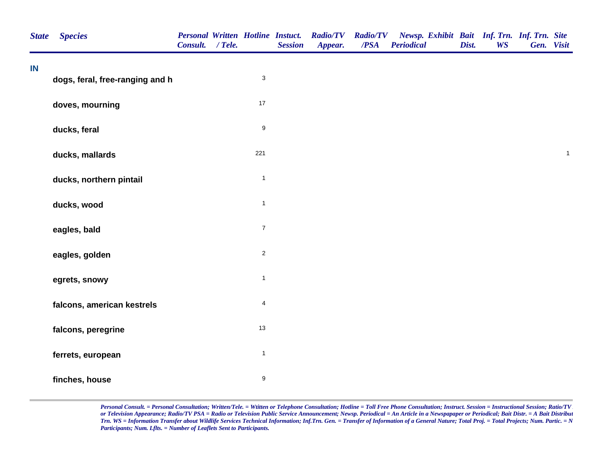| <b>State</b> | <b>Species</b>                  | <b>Personal Written Hotline Instuct.</b><br>Consult. / Tele. |                  | <b>Session</b> | <b>Radio/TV</b><br>Appear. | <b>Radio/TV</b><br>/PSA | Newsp. Exhibit Bait Inf. Trn. Inf. Trn. Site<br><b>Periodical</b> | Dist. | <b>WS</b> | Gen. Visit |              |
|--------------|---------------------------------|--------------------------------------------------------------|------------------|----------------|----------------------------|-------------------------|-------------------------------------------------------------------|-------|-----------|------------|--------------|
| IN           | dogs, feral, free-ranging and h |                                                              | 3                |                |                            |                         |                                                                   |       |           |            |              |
|              | doves, mourning                 |                                                              | $17$             |                |                            |                         |                                                                   |       |           |            |              |
|              | ducks, feral                    |                                                              | $\boldsymbol{9}$ |                |                            |                         |                                                                   |       |           |            |              |
|              | ducks, mallards                 |                                                              | 221              |                |                            |                         |                                                                   |       |           |            | $\mathbf{1}$ |
|              | ducks, northern pintail         |                                                              | $\mathbf 1$      |                |                            |                         |                                                                   |       |           |            |              |
|              | ducks, wood                     |                                                              | $\mathbf{1}$     |                |                            |                         |                                                                   |       |           |            |              |
|              | eagles, bald                    |                                                              | $\overline{7}$   |                |                            |                         |                                                                   |       |           |            |              |
|              | eagles, golden                  |                                                              | $\mathbf 2$      |                |                            |                         |                                                                   |       |           |            |              |
|              | egrets, snowy                   |                                                              | $\mathbf{1}$     |                |                            |                         |                                                                   |       |           |            |              |
|              | falcons, american kestrels      |                                                              | 4                |                |                            |                         |                                                                   |       |           |            |              |
|              | falcons, peregrine              |                                                              | 13               |                |                            |                         |                                                                   |       |           |            |              |
|              | ferrets, european               |                                                              | $\mathbf{1}$     |                |                            |                         |                                                                   |       |           |            |              |
|              | finches, house                  |                                                              | 9                |                |                            |                         |                                                                   |       |           |            |              |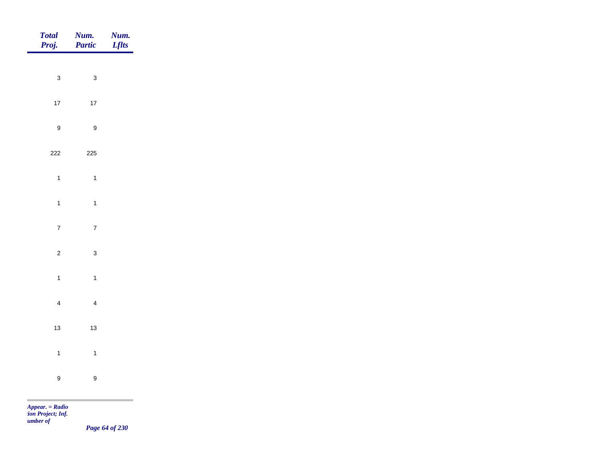| Total<br>Proj.   | <b>Num.</b><br>Partic     | <b>Num.</b><br>Lflts |
|------------------|---------------------------|----------------------|
|                  |                           |                      |
| $\mathbf{3}$     | $\ensuremath{\mathsf{3}}$ |                      |
| $17\,$           | $17\,$                    |                      |
| $\boldsymbol{9}$ | $\boldsymbol{9}$          |                      |
| 222              | 225                       |                      |
| $\overline{1}$   | $\overline{1}$            |                      |
| $\overline{1}$   | $\overline{1}$            |                      |
|                  |                           |                      |
| $\overline{7}$   | $\overline{7}$            |                      |
| $\overline{c}$   | $\mathbf{3}$              |                      |
| $\mathbf{1}$     | $\mathbf{1}$              |                      |
| $\overline{4}$   | $\overline{4}$            |                      |
| $13$             | $13$                      |                      |
|                  |                           |                      |
| $\mathbf{1}$     | $\overline{1}$            |                      |
| $\boldsymbol{9}$ | $\boldsymbol{9}$          |                      |
|                  |                           |                      |

*Appear. = Radio tion Project; Inf. Number of* 

*Page 64 of 230*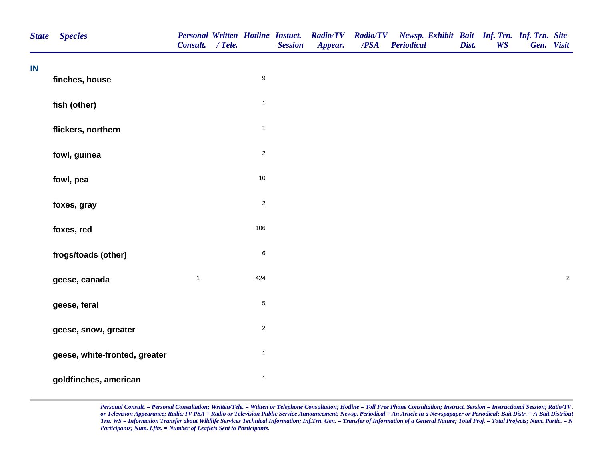| <b>State</b> | <b>Species</b>                | Consult. / Tele. |                         | <b>Personal Written Hotline Instuct.</b><br><b>Session</b> | <b>Radio/TV</b><br>Appear. | <b>Radio/TV</b><br>/PSA | Newsp. Exhibit Bait Inf. Trn. Inf. Trn. Site<br><b>Periodical</b> | Dist. | <b>WS</b> | Gen. Visit |            |
|--------------|-------------------------------|------------------|-------------------------|------------------------------------------------------------|----------------------------|-------------------------|-------------------------------------------------------------------|-------|-----------|------------|------------|
| IN           | finches, house                |                  | $\boldsymbol{9}$        |                                                            |                            |                         |                                                                   |       |           |            |            |
|              | fish (other)                  |                  | $\mathbf{1}$            |                                                            |                            |                         |                                                                   |       |           |            |            |
|              | flickers, northern            |                  | $\mathbf 1$             |                                                            |                            |                         |                                                                   |       |           |            |            |
|              | fowl, guinea                  |                  | $\overline{2}$          |                                                            |                            |                         |                                                                   |       |           |            |            |
|              | fowl, pea                     |                  | $10\,$                  |                                                            |                            |                         |                                                                   |       |           |            |            |
|              | foxes, gray                   |                  | $\overline{\mathbf{c}}$ |                                                            |                            |                         |                                                                   |       |           |            |            |
|              | foxes, red                    |                  | 106                     |                                                            |                            |                         |                                                                   |       |           |            |            |
|              | frogs/toads (other)           |                  | $\,6\,$                 |                                                            |                            |                         |                                                                   |       |           |            |            |
|              | geese, canada                 | $\mathbf{1}$     | 424                     |                                                            |                            |                         |                                                                   |       |           |            | $\sqrt{2}$ |
|              | geese, feral                  |                  | 5                       |                                                            |                            |                         |                                                                   |       |           |            |            |
|              | geese, snow, greater          |                  | $\sqrt{2}$              |                                                            |                            |                         |                                                                   |       |           |            |            |
|              | geese, white-fronted, greater |                  | $\mathbf{1}$            |                                                            |                            |                         |                                                                   |       |           |            |            |
|              | goldfinches, american         |                  | $\mathbf 1$             |                                                            |                            |                         |                                                                   |       |           |            |            |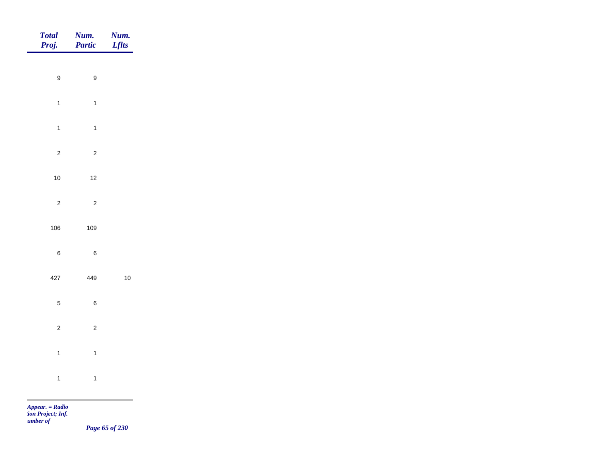| <b>Total</b><br>Proj. | Num.<br>Partic   | Num.<br><b>Lflts</b>              |
|-----------------------|------------------|-----------------------------------|
|                       |                  |                                   |
| $\boldsymbol{9}$      | $\boldsymbol{9}$ |                                   |
| $\overline{1}$        | $\overline{1}$   |                                   |
| $\overline{1}$        | $\overline{1}$   |                                   |
| $\overline{c}$        | $\overline{2}$   |                                   |
| $10$                  | $12$             |                                   |
| $\overline{c}$        | $\overline{c}$   |                                   |
| 106                   | 109              |                                   |
|                       |                  |                                   |
| $\,6\,$               | $\,6\,$          |                                   |
| 427                   | 449              | $10\,$                            |
| $\sqrt{5}$            | $\,6\,$          |                                   |
| $\overline{c}$        | $\overline{c}$   |                                   |
| $\overline{1}$        | $\mathbf{1}$     |                                   |
| $\mathbf{1}$          | $\overline{1}$   |                                   |
|                       |                  | and the control of the control of |

*Appear. = Radio tion Project; Inf. Number of* 

*Page 65 of 230*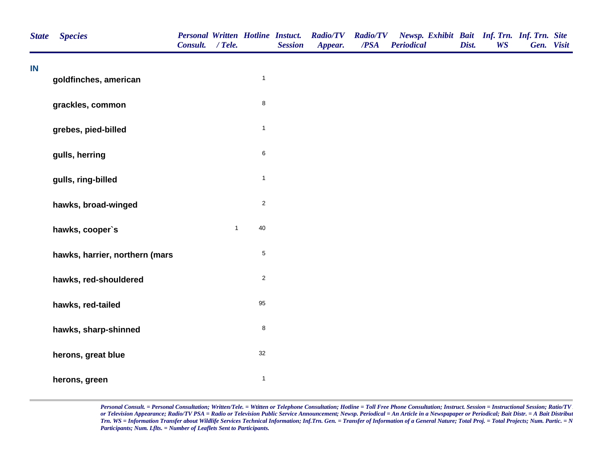| <b>State</b> | <b>Species</b>                 | <b>Personal Written Hotline Instuct.</b><br>Consult. / Tele. |              |              | <b>Session</b> | <b>Radio/TV</b><br>Appear. | <b>Radio/TV</b><br>/PSA | Newsp. Exhibit Bait Inf. Trn. Inf. Trn. Site<br><b>Periodical</b> | Dist. | <b>WS</b> | Gen. Visit |  |
|--------------|--------------------------------|--------------------------------------------------------------|--------------|--------------|----------------|----------------------------|-------------------------|-------------------------------------------------------------------|-------|-----------|------------|--|
| IN           | goldfinches, american          |                                                              |              | $\mathbf{1}$ |                |                            |                         |                                                                   |       |           |            |  |
|              | grackles, common               |                                                              |              | $\bf 8$      |                |                            |                         |                                                                   |       |           |            |  |
|              | grebes, pied-billed            |                                                              |              | $\mathbf{1}$ |                |                            |                         |                                                                   |       |           |            |  |
|              | gulls, herring                 |                                                              |              | $\,6\,$      |                |                            |                         |                                                                   |       |           |            |  |
|              | gulls, ring-billed             |                                                              |              | $\mathbf{1}$ |                |                            |                         |                                                                   |       |           |            |  |
|              | hawks, broad-winged            |                                                              |              | $\sqrt{2}$   |                |                            |                         |                                                                   |       |           |            |  |
|              | hawks, cooper's                |                                                              | $\mathbf{1}$ | 40           |                |                            |                         |                                                                   |       |           |            |  |
|              | hawks, harrier, northern (mars |                                                              |              | $\mathbf 5$  |                |                            |                         |                                                                   |       |           |            |  |
|              | hawks, red-shouldered          |                                                              |              | $\sqrt{2}$   |                |                            |                         |                                                                   |       |           |            |  |
|              | hawks, red-tailed              |                                                              |              | 95           |                |                            |                         |                                                                   |       |           |            |  |
|              | hawks, sharp-shinned           |                                                              |              | $\bf 8$      |                |                            |                         |                                                                   |       |           |            |  |
|              | herons, great blue             |                                                              |              | 32           |                |                            |                         |                                                                   |       |           |            |  |
|              | herons, green                  |                                                              |              | $\mathbf{1}$ |                |                            |                         |                                                                   |       |           |            |  |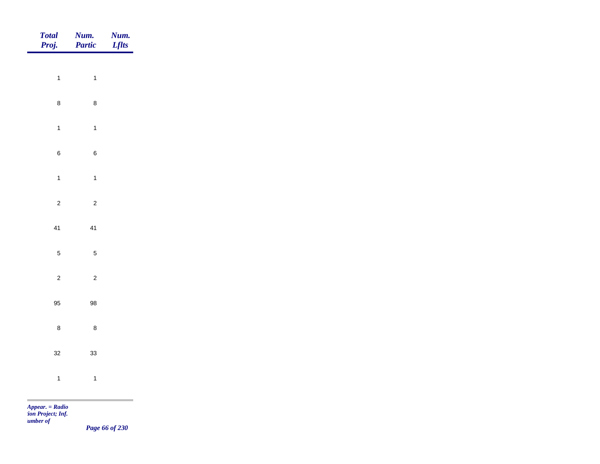| Total<br>Proj.              | Num.<br>Partic | <b>Num.</b><br>Lflts |
|-----------------------------|----------------|----------------------|
|                             |                |                      |
| $\mathbf{1}$                | $\mathbf{1}$   |                      |
| $\bf 8$                     | $\bf 8$        |                      |
| $\overline{1}$              | $\mathbf{1}$   |                      |
| $\bf 6$                     | $\,6\,$        |                      |
| $\mathbf{1}$                | $\mathbf{1}$   |                      |
|                             |                |                      |
| $\overline{c}$              | $\overline{c}$ |                      |
| 41                          | 41             |                      |
| $\sqrt{5}$                  | $\sqrt{5}$     |                      |
| $\overline{c}$              | $\overline{c}$ |                      |
| 95                          | 98             |                      |
|                             |                |                      |
| $\bf 8$                     | $\bf 8$        |                      |
| $32\,$                      | 33             |                      |
| $\overline{1}$              | $\overline{1}$ |                      |
| $\sim$<br>$Appear. = Radio$ |                |                      |

*tion Project; Inf. Number of* 

*Page 66 of 230*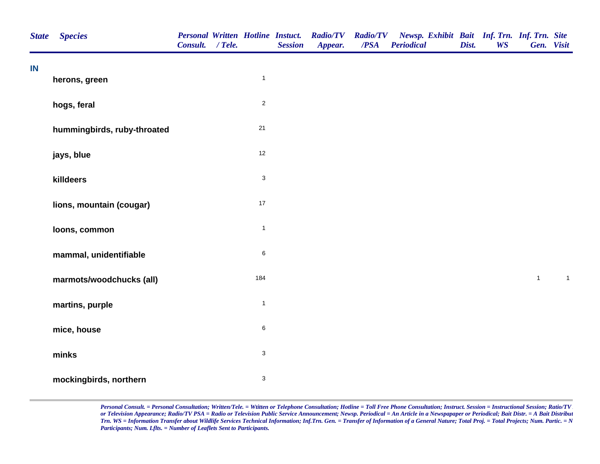| <b>State</b> | <b>Species</b>              | <b>Personal Written Hotline Instuct.</b><br>Consult. / Tele. |                           | <b>Session</b> | <b>Radio/TV</b><br>Appear. | <b>Radio/TV</b><br>$\overline{PSA}$ | Newsp. Exhibit Bait Inf. Trn. Inf. Trn. Site<br><b>Periodical</b> | Dist. | <b>WS</b> | Gen. Visit   |              |
|--------------|-----------------------------|--------------------------------------------------------------|---------------------------|----------------|----------------------------|-------------------------------------|-------------------------------------------------------------------|-------|-----------|--------------|--------------|
| IN           | herons, green               |                                                              | $\mathbf{1}$              |                |                            |                                     |                                                                   |       |           |              |              |
|              | hogs, feral                 |                                                              | $\overline{c}$            |                |                            |                                     |                                                                   |       |           |              |              |
|              | hummingbirds, ruby-throated |                                                              | 21                        |                |                            |                                     |                                                                   |       |           |              |              |
|              | jays, blue                  |                                                              | 12                        |                |                            |                                     |                                                                   |       |           |              |              |
|              | killdeers                   |                                                              | $\ensuremath{\mathsf{3}}$ |                |                            |                                     |                                                                   |       |           |              |              |
|              | lions, mountain (cougar)    |                                                              | $17$                      |                |                            |                                     |                                                                   |       |           |              |              |
|              | loons, common               |                                                              | $\mathbf{1}$              |                |                            |                                     |                                                                   |       |           |              |              |
|              | mammal, unidentifiable      |                                                              | 6                         |                |                            |                                     |                                                                   |       |           |              |              |
|              | marmots/woodchucks (all)    |                                                              | 184                       |                |                            |                                     |                                                                   |       |           | $\mathbf{1}$ | $\mathbf{1}$ |
|              | martins, purple             |                                                              | $\mathbf{1}$              |                |                            |                                     |                                                                   |       |           |              |              |
|              | mice, house                 |                                                              | 6                         |                |                            |                                     |                                                                   |       |           |              |              |
|              | minks                       |                                                              | $\ensuremath{\mathsf{3}}$ |                |                            |                                     |                                                                   |       |           |              |              |
|              | mockingbirds, northern      |                                                              | $\ensuremath{\mathsf{3}}$ |                |                            |                                     |                                                                   |       |           |              |              |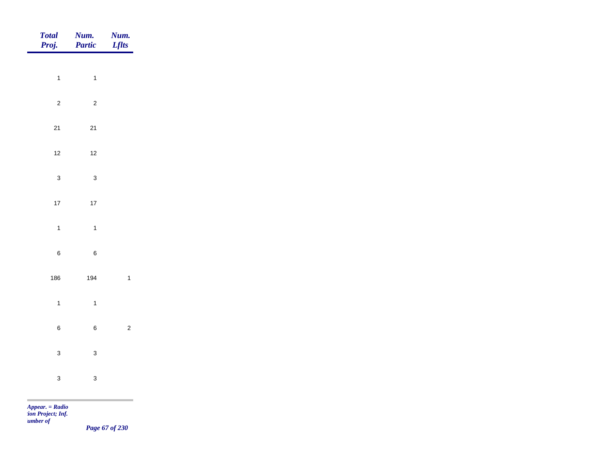| Total<br>Proj.              | <b>Num.</b><br>Partic | <b>Num.</b><br><i>Lflts</i> |
|-----------------------------|-----------------------|-----------------------------|
|                             |                       |                             |
| $\mathbf{1}$                | $\overline{1}$        |                             |
| $\overline{c}$              | $\overline{c}$        |                             |
| $21$                        | $21$                  |                             |
| $12$                        | $12$                  |                             |
| $\mathbf{3}$                | $\mathbf{3}$          |                             |
| $17\,$                      | $17$                  |                             |
|                             |                       |                             |
| $\mathbf{1}$                | $\overline{1}$        |                             |
| $\bf 6$                     | $\,6\,$               |                             |
| 186                         | 194                   | $\mathbf{1}$                |
| $\mathbf{1}$                | $\overline{1}$        |                             |
| $\, 6$                      | $\,6\,$               | $\overline{c}$              |
|                             |                       |                             |
| $\mathbf{3}$                | $\mathbf{3}$          |                             |
| $\mathbf{3}$                | $\mathbf{3}$          |                             |
| $\sim$<br>$Appear. = Radio$ |                       |                             |

*tion Project; Inf. Number of* 

*Page 67 of 230*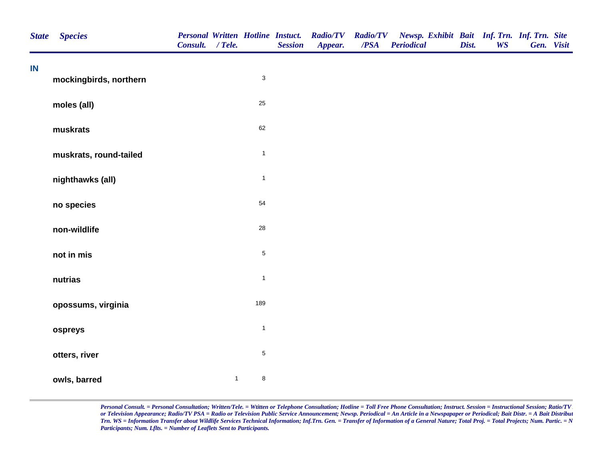| <b>State</b> | <b>Species</b>         | Consult. / Tele. |              |                           | <b>Session</b> | Personal Written Hotline Instuct. Radio/TV<br>Appear. | /PSA | Radio/TV Newsp. Exhibit Bait Inf. Trn. Inf. Trn. Site<br><b>Periodical</b> | Dist. | <b>WS</b> | Gen. Visit |  |
|--------------|------------------------|------------------|--------------|---------------------------|----------------|-------------------------------------------------------|------|----------------------------------------------------------------------------|-------|-----------|------------|--|
| IN           | mockingbirds, northern |                  |              | $\ensuremath{\mathsf{3}}$ |                |                                                       |      |                                                                            |       |           |            |  |
|              | moles (all)            |                  |              | 25                        |                |                                                       |      |                                                                            |       |           |            |  |
|              | muskrats               |                  |              | 62                        |                |                                                       |      |                                                                            |       |           |            |  |
|              | muskrats, round-tailed |                  |              | $\mathbf{1}$              |                |                                                       |      |                                                                            |       |           |            |  |
|              | nighthawks (all)       |                  |              | $\mathbf{1}$              |                |                                                       |      |                                                                            |       |           |            |  |
|              | no species             |                  |              | 54                        |                |                                                       |      |                                                                            |       |           |            |  |
|              | non-wildlife           |                  |              | 28                        |                |                                                       |      |                                                                            |       |           |            |  |
|              | not in mis             |                  |              | $\sqrt{5}$                |                |                                                       |      |                                                                            |       |           |            |  |
|              | nutrias                |                  |              | $\mathbf{1}$              |                |                                                       |      |                                                                            |       |           |            |  |
|              | opossums, virginia     |                  |              | 189                       |                |                                                       |      |                                                                            |       |           |            |  |
|              | ospreys                |                  |              | $\mathbf{1}$              |                |                                                       |      |                                                                            |       |           |            |  |
|              | otters, river          |                  |              | $\,$ 5 $\,$               |                |                                                       |      |                                                                            |       |           |            |  |
|              | owls, barred           |                  | $\mathbf{1}$ | $\bf 8$                   |                |                                                       |      |                                                                            |       |           |            |  |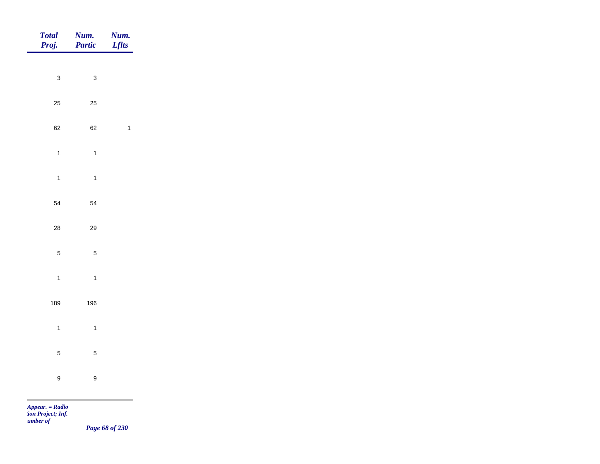| Num.<br>Partic   | Num.<br><b>Lflts</b>       |
|------------------|----------------------------|
|                  |                            |
| $\mathbf{3}$     |                            |
| 25               |                            |
| 62               | $\mathbf{1}$               |
| $\overline{1}$   |                            |
| $\overline{1}$   |                            |
|                  |                            |
|                  |                            |
|                  |                            |
| $\sqrt{5}$       |                            |
| $\mathbf{1}$     |                            |
| 196              |                            |
| $\overline{1}$   |                            |
|                  |                            |
|                  |                            |
| $\boldsymbol{9}$ |                            |
|                  | 54<br>$29\,$<br>$\sqrt{5}$ |

*tion Project; Inf. Number of* 

*Page 68 of 230*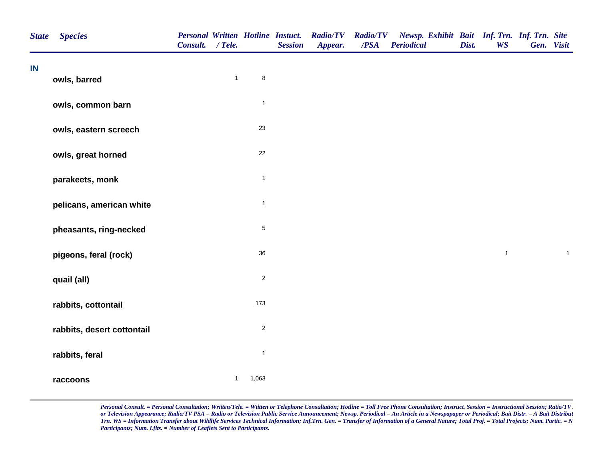| <b>State</b> | <b>Species</b>             | <b>Personal Written Hotline Instuct.</b><br>Consult. / Tele. |              |                | <b>Session</b> | <b>Radio/TV</b><br>Appear. | <b>Radio/TV</b><br>/PSA | Newsp. Exhibit Bait Inf. Trn. Inf. Trn. Site<br><b>Periodical</b> | Dist. | <b>WS</b>    | Gen. Visit |              |
|--------------|----------------------------|--------------------------------------------------------------|--------------|----------------|----------------|----------------------------|-------------------------|-------------------------------------------------------------------|-------|--------------|------------|--------------|
| IN           | owls, barred               |                                                              | $\mathbf{1}$ | 8              |                |                            |                         |                                                                   |       |              |            |              |
|              | owls, common barn          |                                                              |              | $\mathbf{1}$   |                |                            |                         |                                                                   |       |              |            |              |
|              | owls, eastern screech      |                                                              |              | 23             |                |                            |                         |                                                                   |       |              |            |              |
|              | owls, great horned         |                                                              |              | 22             |                |                            |                         |                                                                   |       |              |            |              |
|              | parakeets, monk            |                                                              |              | $\mathbf{1}$   |                |                            |                         |                                                                   |       |              |            |              |
|              | pelicans, american white   |                                                              |              | $\mathbf{1}$   |                |                            |                         |                                                                   |       |              |            |              |
|              | pheasants, ring-necked     |                                                              |              | $\,$ 5 $\,$    |                |                            |                         |                                                                   |       |              |            |              |
|              | pigeons, feral (rock)      |                                                              |              | $36\,$         |                |                            |                         |                                                                   |       | $\mathbf{1}$ |            | $\mathbf{1}$ |
|              | quail (all)                |                                                              |              | $\overline{c}$ |                |                            |                         |                                                                   |       |              |            |              |
|              | rabbits, cottontail        |                                                              |              | 173            |                |                            |                         |                                                                   |       |              |            |              |
|              | rabbits, desert cottontail |                                                              |              | $\overline{c}$ |                |                            |                         |                                                                   |       |              |            |              |
|              | rabbits, feral             |                                                              |              | $\mathbf{1}$   |                |                            |                         |                                                                   |       |              |            |              |
|              | raccoons                   |                                                              | $\mathbf{1}$ | 1,063          |                |                            |                         |                                                                   |       |              |            |              |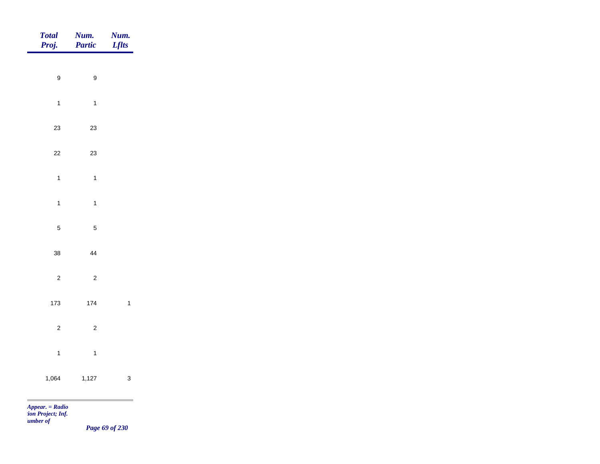| <b>Total</b><br>Proj.                | Num.<br>Partic   | Num.<br><b>Lflts</b> |
|--------------------------------------|------------------|----------------------|
|                                      |                  |                      |
| $\boldsymbol{9}$                     | $\boldsymbol{9}$ |                      |
| $\mathbf{1}$                         | $\mathbf{1}$     |                      |
| 23                                   | $23\,$           |                      |
| $22\,$                               | $23\,$           |                      |
| $\mathbf{1}$                         | $\overline{1}$   |                      |
| $\mathbf{1}$                         | $\overline{1}$   |                      |
| $\sqrt{5}$                           | $\sqrt{5}$       |                      |
|                                      |                  |                      |
| 38                                   | 44               |                      |
| $\mathbf 2$                          | $\overline{c}$   |                      |
| 173                                  | 174              | $\overline{1}$       |
| $\overline{c}$                       | $\mathbf 2$      |                      |
| $\mathbf{1}$                         | $\overline{1}$   |                      |
| 1,064                                | 1,127            | $\mathbf{3}$         |
|                                      |                  |                      |
| Appear. = Radio<br>ion Project; Inf. |                  |                      |

*Number of* 

*Page 69 of 230*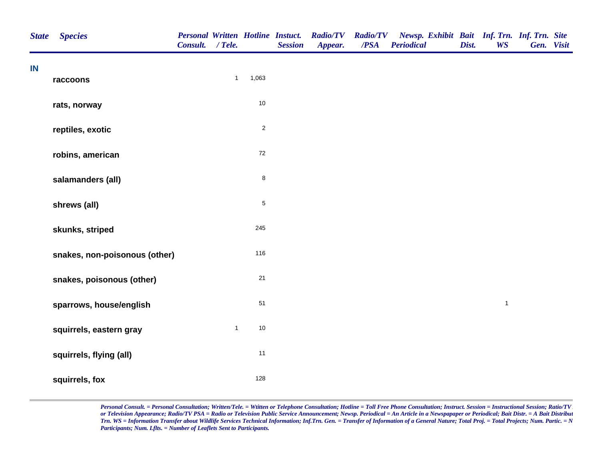| <b>State</b> | <b>Species</b>                | <b>Personal Written Hotline Instuct.</b><br>Consult. / Tele. |              |             | <b>Session</b> | <b>Radio/TV</b><br>Appear. | <b>Radio/TV</b><br>/PSA | Newsp. Exhibit Bait Inf. Trn. Inf. Trn. Site<br><b>Periodical</b> | Dist. | <b>WS</b>    | Gen. Visit |  |
|--------------|-------------------------------|--------------------------------------------------------------|--------------|-------------|----------------|----------------------------|-------------------------|-------------------------------------------------------------------|-------|--------------|------------|--|
| IN           | raccoons                      |                                                              | $\mathbf{1}$ | 1,063       |                |                            |                         |                                                                   |       |              |            |  |
|              | rats, norway                  |                                                              |              | $10\,$      |                |                            |                         |                                                                   |       |              |            |  |
|              | reptiles, exotic              |                                                              |              | $\sqrt{2}$  |                |                            |                         |                                                                   |       |              |            |  |
|              | robins, american              |                                                              |              | $72\,$      |                |                            |                         |                                                                   |       |              |            |  |
|              | salamanders (all)             |                                                              |              | $\bf 8$     |                |                            |                         |                                                                   |       |              |            |  |
|              | shrews (all)                  |                                                              |              | $\mathbf 5$ |                |                            |                         |                                                                   |       |              |            |  |
|              | skunks, striped               |                                                              |              | 245         |                |                            |                         |                                                                   |       |              |            |  |
|              | snakes, non-poisonous (other) |                                                              |              | 116         |                |                            |                         |                                                                   |       |              |            |  |
|              | snakes, poisonous (other)     |                                                              |              | 21          |                |                            |                         |                                                                   |       |              |            |  |
|              | sparrows, house/english       |                                                              |              | 51          |                |                            |                         |                                                                   |       | $\mathbf{1}$ |            |  |
|              | squirrels, eastern gray       |                                                              | $\mathbf{1}$ | $10$        |                |                            |                         |                                                                   |       |              |            |  |
|              | squirrels, flying (all)       |                                                              |              | 11          |                |                            |                         |                                                                   |       |              |            |  |
|              | squirrels, fox                |                                                              |              | 128         |                |                            |                         |                                                                   |       |              |            |  |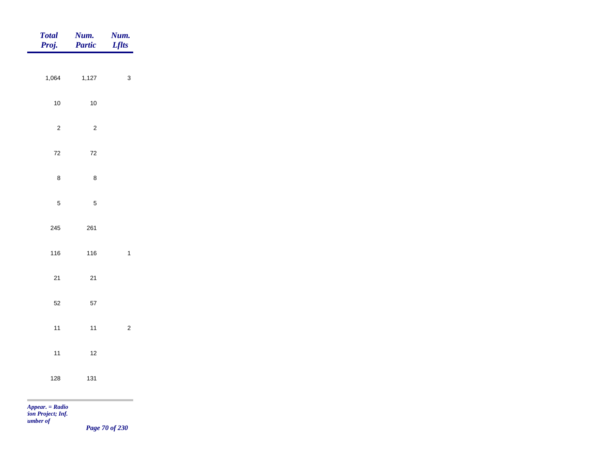| <b>Total</b><br>Proj.         | Num.<br>Partic | Num.<br><b>Lflts</b> |
|-------------------------------|----------------|----------------------|
|                               |                |                      |
| 1,064                         | 1,127          | $\mathbf{3}$         |
| $10$                          | $10\,$         |                      |
| $\overline{2}$                | $\sqrt{2}$     |                      |
| $72\,$                        | $72\,$         |                      |
| $\bf 8$                       | $\bf 8$        |                      |
| $\overline{5}$                | $\mathbf 5$    |                      |
|                               |                |                      |
| 245                           | 261            |                      |
| 116                           | 116            | $\mathbf 1$          |
| $21$                          | $21$           |                      |
| $52\,$                        | $57\,$         |                      |
| $11$                          | $11$           | $\sqrt{2}$           |
| $11$                          | $12$           |                      |
|                               |                |                      |
| 128                           | 131            |                      |
| <b>COL</b><br>Appear. = Radio |                |                      |

*tion Project; Inf. Number of* 

*Page 70 of 230*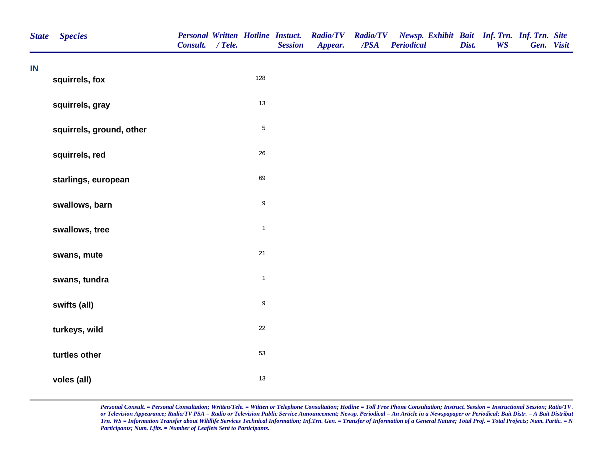| <b>State</b>  | <b>Species</b>           | <b>Personal Written Hotline Instuct.</b><br>Consult. / Tele. |                  | <b>Session</b> | <b>Radio/TV</b><br>Appear. | <b>Radio/TV</b><br>/PSA | Newsp. Exhibit Bait Inf. Trn. Inf. Trn. Site<br><b>Periodical</b> | Dist. | <b>WS</b> | Gen. Visit |  |
|---------------|--------------------------|--------------------------------------------------------------|------------------|----------------|----------------------------|-------------------------|-------------------------------------------------------------------|-------|-----------|------------|--|
| $\mathsf{IN}$ | squirrels, fox           |                                                              | 128              |                |                            |                         |                                                                   |       |           |            |  |
|               | squirrels, gray          |                                                              | 13               |                |                            |                         |                                                                   |       |           |            |  |
|               | squirrels, ground, other |                                                              | $\sqrt{5}$       |                |                            |                         |                                                                   |       |           |            |  |
|               | squirrels, red           |                                                              | 26               |                |                            |                         |                                                                   |       |           |            |  |
|               | starlings, european      |                                                              | 69               |                |                            |                         |                                                                   |       |           |            |  |
|               | swallows, barn           |                                                              | $\boldsymbol{9}$ |                |                            |                         |                                                                   |       |           |            |  |
|               | swallows, tree           |                                                              | $\mathbf{1}$     |                |                            |                         |                                                                   |       |           |            |  |
|               | swans, mute              |                                                              | $21$             |                |                            |                         |                                                                   |       |           |            |  |
|               | swans, tundra            |                                                              | $\mathbf{1}$     |                |                            |                         |                                                                   |       |           |            |  |
|               | swifts (all)             |                                                              | $\boldsymbol{9}$ |                |                            |                         |                                                                   |       |           |            |  |
|               | turkeys, wild            |                                                              | $22\,$           |                |                            |                         |                                                                   |       |           |            |  |
|               | turtles other            |                                                              | 53               |                |                            |                         |                                                                   |       |           |            |  |
|               | voles (all)              |                                                              | 13               |                |                            |                         |                                                                   |       |           |            |  |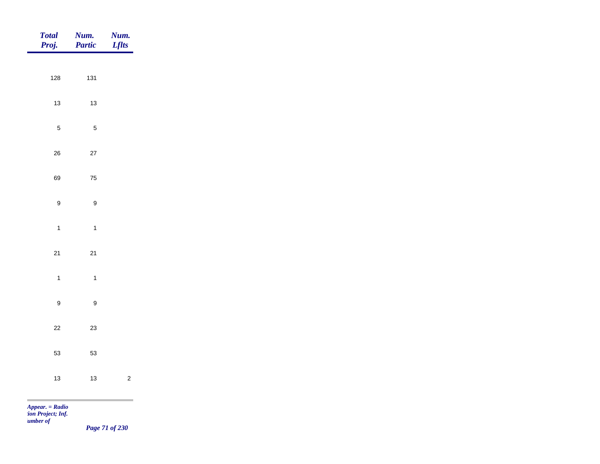| Total<br>Proj.              | Num.<br>Partic                       | <b>Num.</b><br>Lflts |
|-----------------------------|--------------------------------------|----------------------|
|                             |                                      |                      |
| 128                         | 131                                  |                      |
| $13$                        | $13$                                 |                      |
|                             | $\sqrt{5}$<br>$\sqrt{5}$             |                      |
| $26\,$                      | $27\,$                               |                      |
| 69                          | ${\bf 75}$                           |                      |
|                             | $\boldsymbol{9}$<br>$\boldsymbol{9}$ |                      |
|                             |                                      |                      |
|                             | $\mathbf{1}$<br>$\overline{1}$       |                      |
| $21$                        | $21$                                 |                      |
|                             | $\mathbf{1}$<br>$\overline{1}$       |                      |
|                             | $\boldsymbol{9}$<br>$\boldsymbol{9}$ |                      |
| $22\,$                      | $23\,$                               |                      |
|                             |                                      |                      |
| 53                          | 53                                   |                      |
| $13$                        | $13$                                 | $\sqrt{2}$           |
| $\sim$<br>$Appear. = Radio$ |                                      | ۰                    |

*tion Project; Inf. Number of* 

*Page 71 of 230*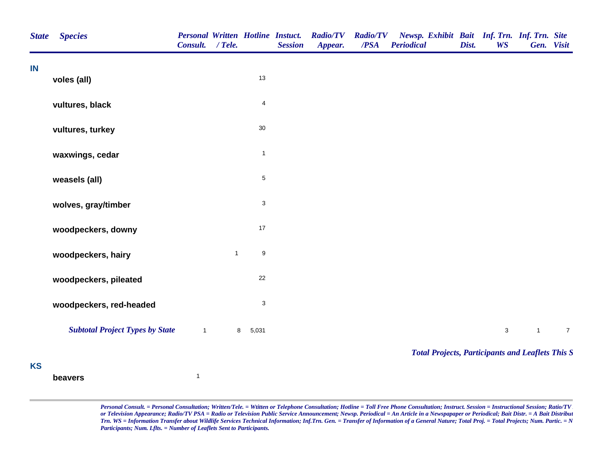| <b>State</b> | <b>Species</b>                         | Consult. / Tele. |              |                         | <b>Personal Written Hotline Instuct.</b><br><b>Session</b> | <b>Radio/TV</b><br>Appear. | <b>Radio/TV</b><br>/PSA | Newsp. Exhibit Bait Inf. Trn. Inf. Trn. Site<br><b>Periodical</b> | Dist. | <b>WS</b>   |              | Gen. Visit       |
|--------------|----------------------------------------|------------------|--------------|-------------------------|------------------------------------------------------------|----------------------------|-------------------------|-------------------------------------------------------------------|-------|-------------|--------------|------------------|
| IN           | voles (all)                            |                  |              | 13                      |                                                            |                            |                         |                                                                   |       |             |              |                  |
|              | vultures, black                        |                  |              | $\overline{\mathbf{4}}$ |                                                            |                            |                         |                                                                   |       |             |              |                  |
|              | vultures, turkey                       |                  |              | $30\,$                  |                                                            |                            |                         |                                                                   |       |             |              |                  |
|              | waxwings, cedar                        |                  |              | $\mathbf{1}$            |                                                            |                            |                         |                                                                   |       |             |              |                  |
|              | weasels (all)                          |                  |              | $\mathbf 5$             |                                                            |                            |                         |                                                                   |       |             |              |                  |
|              | wolves, gray/timber                    |                  |              | 3                       |                                                            |                            |                         |                                                                   |       |             |              |                  |
|              | woodpeckers, downy                     |                  |              | 17                      |                                                            |                            |                         |                                                                   |       |             |              |                  |
|              | woodpeckers, hairy                     |                  | $\mathbf{1}$ | $\boldsymbol{9}$        |                                                            |                            |                         |                                                                   |       |             |              |                  |
|              | woodpeckers, pileated                  |                  |              | 22                      |                                                            |                            |                         |                                                                   |       |             |              |                  |
|              | woodpeckers, red-headed                |                  |              | 3                       |                                                            |                            |                         |                                                                   |       |             |              |                  |
|              | <b>Subtotal Project Types by State</b> | $\mathbf{1}$     | 8            | 5,031                   |                                                            |                            |                         |                                                                   |       | $\mathsf 3$ | $\mathbf{1}$ | $\boldsymbol{7}$ |
| <b>KS</b>    |                                        |                  |              |                         |                                                            |                            |                         | <b>Total Projects, Participants and Leaflets This S</b>           |       |             |              |                  |
|              | beavers                                | $\mathbf{1}$     |              |                         |                                                            |                            |                         |                                                                   |       |             |              |                  |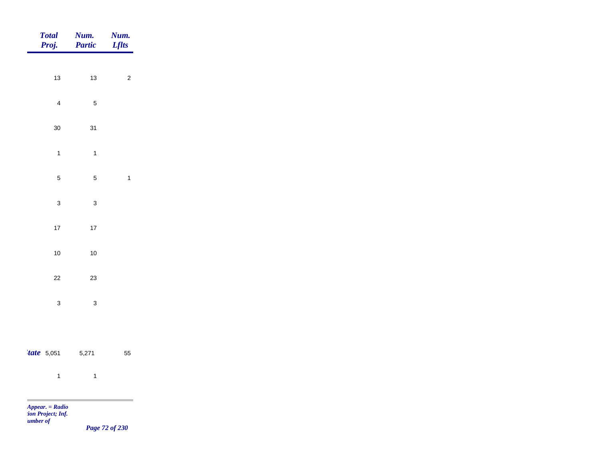| <b>Total</b><br>Proj.                                          | Num.<br>Partic            | <b>Num.</b><br>Lflts                                |
|----------------------------------------------------------------|---------------------------|-----------------------------------------------------|
|                                                                |                           |                                                     |
| 13                                                             | $13$                      | $\overline{2}$                                      |
| $\overline{4}$                                                 | $\mathbf 5$               |                                                     |
| $30\,$                                                         | 31                        |                                                     |
| $\mathbf{1}$                                                   | $\mathbf{1}$              |                                                     |
| $\overline{\mathbf{5}}$                                        | $\overline{5}$            | $\overline{1}$                                      |
|                                                                |                           |                                                     |
| $\mathbf{3}$                                                   | $\ensuremath{\mathsf{3}}$ |                                                     |
| 17                                                             | $17\,$                    |                                                     |
| $10$                                                           | $10\,$                    |                                                     |
| $22\,$                                                         | $23\,$                    |                                                     |
| $\mathbf{3}$                                                   | $\mathbf 3$               |                                                     |
|                                                                |                           |                                                     |
| $\textit{tate}$ 5,051                                          | 5,271                     | 55                                                  |
|                                                                |                           |                                                     |
| $\overline{\mathbf{1}}$                                        | $\overline{1}$            |                                                     |
| <b>COL</b><br>Appear. = Radio<br>ion Project; Inf.<br>umber of |                           | $\mathbf{r}$ $\mathbf{r}$ $\mathbf{r}$ $\mathbf{r}$ |

*Page 72 of 230*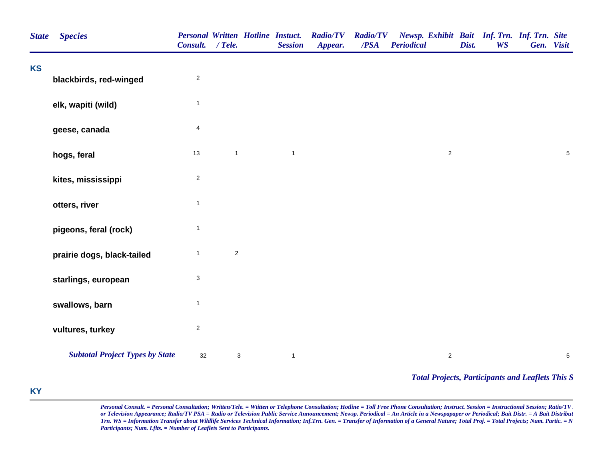| <b>State</b> | <b>Species</b>                         | Consult. / Tele.        |                           | <b>Personal Written Hotline Instuct.</b><br><b>Session</b> | <b>Radio/TV</b><br>Appear. | <b>Radio/TV</b><br>/PSA | Newsp. Exhibit Bait Inf. Trn. Inf. Trn. Site<br><b>Periodical</b> | Dist.<br><b>WS</b> | Gen. Visit                                              |
|--------------|----------------------------------------|-------------------------|---------------------------|------------------------------------------------------------|----------------------------|-------------------------|-------------------------------------------------------------------|--------------------|---------------------------------------------------------|
| <b>KS</b>    | blackbirds, red-winged                 | $\sqrt{2}$              |                           |                                                            |                            |                         |                                                                   |                    |                                                         |
|              | elk, wapiti (wild)                     | $\mathbf{1}$            |                           |                                                            |                            |                         |                                                                   |                    |                                                         |
|              | geese, canada                          | 4                       |                           |                                                            |                            |                         |                                                                   |                    |                                                         |
|              | hogs, feral                            | 13                      | $\mathbf{1}$              | $\mathbf{1}$                                               |                            |                         | $\sqrt{2}$                                                        |                    | $\sqrt{5}$                                              |
|              | kites, mississippi                     | $\overline{c}$          |                           |                                                            |                            |                         |                                                                   |                    |                                                         |
|              | otters, river                          | $\mathbf{1}$            |                           |                                                            |                            |                         |                                                                   |                    |                                                         |
|              | pigeons, feral (rock)                  | $\mathbf{1}$            |                           |                                                            |                            |                         |                                                                   |                    |                                                         |
|              | prairie dogs, black-tailed             | $\mathbf{1}$            | $\overline{c}$            |                                                            |                            |                         |                                                                   |                    |                                                         |
|              | starlings, european                    | 3                       |                           |                                                            |                            |                         |                                                                   |                    |                                                         |
|              | swallows, barn                         | $\mathbf{1}$            |                           |                                                            |                            |                         |                                                                   |                    |                                                         |
|              | vultures, turkey                       | $\overline{\mathbf{c}}$ |                           |                                                            |                            |                         |                                                                   |                    |                                                         |
|              | <b>Subtotal Project Types by State</b> | $32\,$                  | $\ensuremath{\mathsf{3}}$ | $\mathbf{1}$                                               |                            |                         | $\overline{2}$                                                    |                    | $\,$ 5 $\,$                                             |
|              |                                        |                         |                           |                                                            |                            |                         |                                                                   |                    | <b>Total Projects, Participants and Leaflets This S</b> |

## **KY**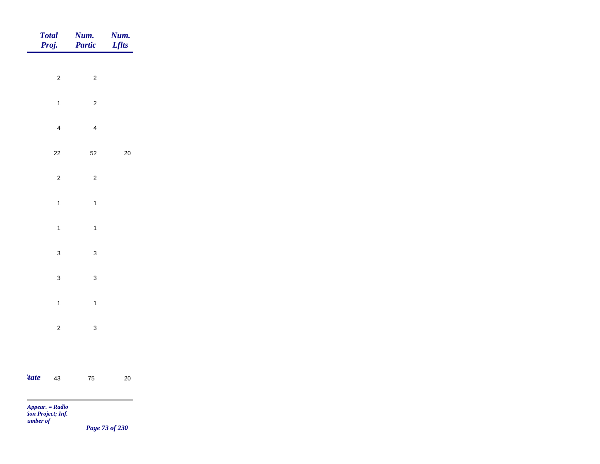|                          | Total<br>Proj.           | <b>Num.</b><br><b>Partic</b> | <b>Num.</b><br><i>Lflts</i> |
|--------------------------|--------------------------|------------------------------|-----------------------------|
|                          |                          |                              |                             |
|                          | $\overline{c}$           | $\mathbf 2$                  |                             |
|                          | $\mathbf{1}$             | $\overline{c}$               |                             |
|                          | $\overline{4}$           | $\overline{4}$               |                             |
|                          | $22\,$                   | $52\,$                       | $20\,$                      |
|                          | $\overline{c}$           | $\overline{c}$               |                             |
|                          | $\mathbf{1}$             | $\mathbf{1}$                 |                             |
|                          | $\mathbf{1}$             | $\mathbf{1}$                 |                             |
|                          | $\mathbf{3}$             | $\mathbf{3}$                 |                             |
|                          |                          |                              |                             |
|                          | $\mathbf{3}$             | $\mathbf{3}$                 |                             |
|                          | $\mathbf{1}$             | $\mathbf{1}$                 |                             |
|                          | $\overline{c}$           | $\mathbf{3}$                 |                             |
|                          |                          |                              |                             |
| <i>tate</i>              | 43                       | ${\bf 75}$                   | $20\,$                      |
| <b>Contract Contract</b> | <b>Contract Contract</b> |                              |                             |

*Page 73 of 230*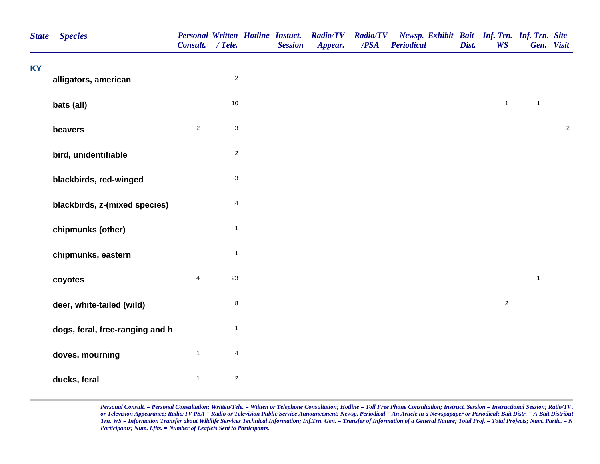| <b>State</b> | <b>Species</b>                  | <b>Personal Written Hotline Instuct.</b><br>Consult. / Tele. |                  | <b>Session</b> | <b>Radio/TV</b><br>Appear. | <b>Radio/TV</b><br>/PSA | Newsp. Exhibit Bait Inf. Trn. Inf. Trn. Site<br><b>Periodical</b> | Dist. | <b>WS</b>      |              | Gen. Visit |
|--------------|---------------------------------|--------------------------------------------------------------|------------------|----------------|----------------------------|-------------------------|-------------------------------------------------------------------|-------|----------------|--------------|------------|
| <b>KY</b>    | alligators, american            |                                                              | $\boldsymbol{2}$ |                |                            |                         |                                                                   |       |                |              |            |
|              |                                 |                                                              |                  |                |                            |                         |                                                                   |       |                |              |            |
|              | bats (all)                      |                                                              | 10               |                |                            |                         |                                                                   |       | $\mathbf{1}$   | $\mathbf{1}$ |            |
|              | beavers                         | $\sqrt{2}$                                                   | 3                |                |                            |                         |                                                                   |       |                |              | $\sqrt{2}$ |
|              | bird, unidentifiable            |                                                              | $\boldsymbol{2}$ |                |                            |                         |                                                                   |       |                |              |            |
|              | blackbirds, red-winged          |                                                              | $\mathsf 3$      |                |                            |                         |                                                                   |       |                |              |            |
|              | blackbirds, z-(mixed species)   |                                                              | 4                |                |                            |                         |                                                                   |       |                |              |            |
|              | chipmunks (other)               |                                                              | $\mathbf{1}$     |                |                            |                         |                                                                   |       |                |              |            |
|              | chipmunks, eastern              |                                                              | $\mathbf{1}$     |                |                            |                         |                                                                   |       |                |              |            |
|              | coyotes                         | $\overline{\mathbf{4}}$                                      | 23               |                |                            |                         |                                                                   |       |                | $\mathbf{1}$ |            |
|              | deer, white-tailed (wild)       |                                                              | 8                |                |                            |                         |                                                                   |       | $\overline{a}$ |              |            |
|              | dogs, feral, free-ranging and h |                                                              | $\mathbf{1}$     |                |                            |                         |                                                                   |       |                |              |            |
|              | doves, mourning                 | $\mathbf{1}$                                                 | 4                |                |                            |                         |                                                                   |       |                |              |            |
|              | ducks, feral                    | $\mathbf{1}$                                                 | $\boldsymbol{2}$ |                |                            |                         |                                                                   |       |                |              |            |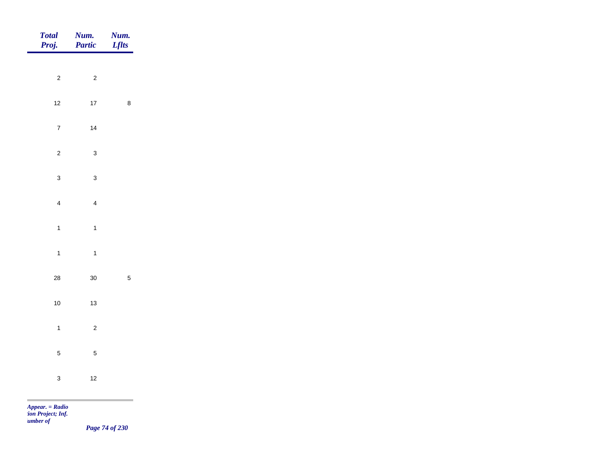| Total<br>Proj.              | <b>Num.</b><br>Partic | <b>Num.</b><br><i>Lflts</i> |
|-----------------------------|-----------------------|-----------------------------|
|                             |                       |                             |
| $\overline{\mathbf{c}}$     | $\mathbf 2$           |                             |
| $12$                        | $17\,$                | $\bf 8$                     |
| $\overline{7}$              | $14$                  |                             |
| $\overline{c}$              | $\mathbf{3}$          |                             |
| $\mathbf{3}$                | $\mathbf{3}$          |                             |
| $\overline{4}$              | $\overline{4}$        |                             |
|                             |                       |                             |
| $\mathbf{1}$                | $\mathbf{1}$          |                             |
| $\mathbf{1}$                | $\mathbf{1}$          |                             |
| ${\bf 28}$                  | $30\,$                | $\sqrt{5}$                  |
| $10$                        | $13$                  |                             |
| $\mathbf{1}$                | $\sqrt{2}$            |                             |
| $\overline{5}$              | $\sqrt{5}$            |                             |
|                             |                       |                             |
| $\mathbf{3}$                | $12$                  |                             |
| $\sim$<br>$Appear. = Radio$ |                       |                             |

*Page 74 of 230*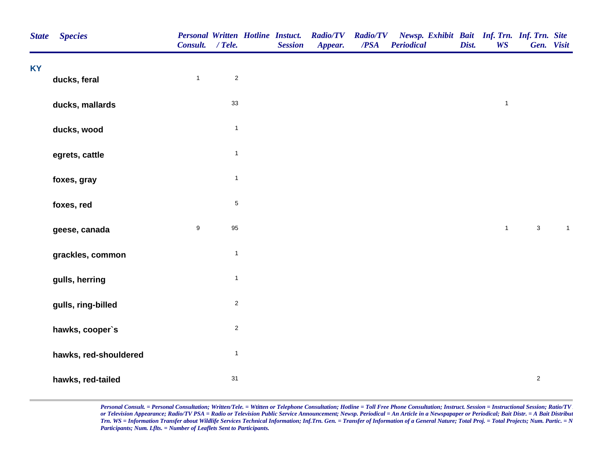| <b>State</b> | <b>Species</b>        | Consult. / Tele. |                | <b>Personal Written Hotline Instuct.</b><br><b>Session</b> | <b>Radio/TV</b><br>Appear. | <b>Radio/TV</b><br>/PSA | Newsp. Exhibit Bait Inf. Trn. Inf. Trn. Site<br><b>Periodical</b> | Dist. | <b>WS</b>    |                | Gen. Visit     |  |
|--------------|-----------------------|------------------|----------------|------------------------------------------------------------|----------------------------|-------------------------|-------------------------------------------------------------------|-------|--------------|----------------|----------------|--|
| <b>KY</b>    | ducks, feral          | $\mathbf{1}$     | $\overline{2}$ |                                                            |                            |                         |                                                                   |       |              |                |                |  |
|              | ducks, mallards       |                  | 33             |                                                            |                            |                         |                                                                   |       | $\mathbf{1}$ |                |                |  |
|              | ducks, wood           |                  | $\mathbf{1}$   |                                                            |                            |                         |                                                                   |       |              |                |                |  |
|              |                       |                  | $\mathbf{1}$   |                                                            |                            |                         |                                                                   |       |              |                |                |  |
|              | egrets, cattle        |                  | $\mathbf{1}$   |                                                            |                            |                         |                                                                   |       |              |                |                |  |
|              | foxes, gray           |                  |                |                                                            |                            |                         |                                                                   |       |              |                |                |  |
|              | foxes, red            |                  | $\,$ 5 $\,$    |                                                            |                            |                         |                                                                   |       |              |                |                |  |
|              | geese, canada         | $\boldsymbol{9}$ | 95             |                                                            |                            |                         |                                                                   |       | $\mathbf{1}$ | $\mathbf{3}$   | $\overline{1}$ |  |
|              | grackles, common      |                  | $\mathbf{1}$   |                                                            |                            |                         |                                                                   |       |              |                |                |  |
|              | gulls, herring        |                  | $\mathbf{1}$   |                                                            |                            |                         |                                                                   |       |              |                |                |  |
|              | gulls, ring-billed    |                  | $\overline{2}$ |                                                            |                            |                         |                                                                   |       |              |                |                |  |
|              | hawks, cooper's       |                  | $\mathbf 2$    |                                                            |                            |                         |                                                                   |       |              |                |                |  |
|              | hawks, red-shouldered |                  | $\mathbf{1}$   |                                                            |                            |                         |                                                                   |       |              |                |                |  |
|              | hawks, red-tailed     |                  | 31             |                                                            |                            |                         |                                                                   |       |              | $\overline{2}$ |                |  |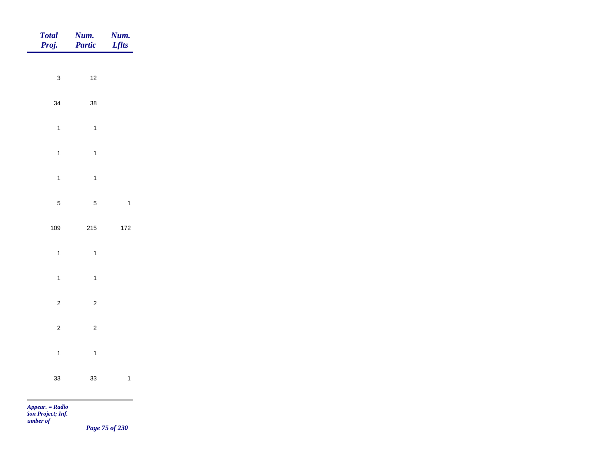| Total<br>Proj. | Num.<br>Partic | <b>Num.</b><br><i>Lflts</i> |
|----------------|----------------|-----------------------------|
|                |                |                             |
| $\mathbf{3}$   | $12\,$         |                             |
| 34             | $38\,$         |                             |
| $\overline{1}$ | $\overline{1}$ |                             |
| $\overline{1}$ | $\mathbf{1}$   |                             |
| $\overline{1}$ | $\mathbf{1}$   |                             |
| $\sqrt{5}$     | $\sqrt{5}$     | $\mathbf{1}$                |
|                |                |                             |
| 109            | 215            | $172$                       |
| $\mathbf{1}$   | $\mathbf{1}$   |                             |
| $\mathbf{1}$   | $\overline{1}$ |                             |
| $\overline{c}$ | $\overline{c}$ |                             |
| $\overline{c}$ | $\overline{c}$ |                             |
| $\overline{1}$ | $\mathbf{1}$   |                             |
|                |                |                             |
| 33             | 33             | $\mathbf{1}$                |
|                |                |                             |

*Page 75 of 230*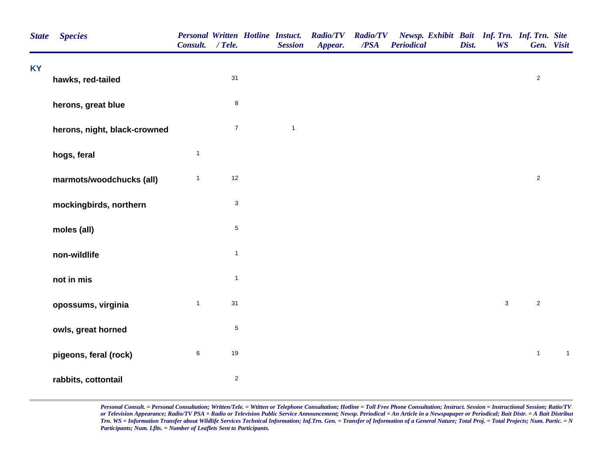| <b>State</b> | <b>Species</b>               | <b>Personal Written Hotline Instuct.</b><br>Consult. / Tele. |                           | <b>Session</b> | <b>Radio/TV</b><br>Appear. | <b>Radio/TV</b><br>/PSA | Newsp. Exhibit Bait Inf. Trn. Inf. Trn. Site<br><b>Periodical</b> | Dist. | <b>WS</b>   | Gen. Visit     |             |
|--------------|------------------------------|--------------------------------------------------------------|---------------------------|----------------|----------------------------|-------------------------|-------------------------------------------------------------------|-------|-------------|----------------|-------------|
| <b>KY</b>    | hawks, red-tailed            |                                                              | 31                        |                |                            |                         |                                                                   |       |             | $\sqrt{2}$     |             |
|              | herons, great blue           |                                                              | $\bf 8$                   |                |                            |                         |                                                                   |       |             |                |             |
|              | herons, night, black-crowned |                                                              | $\overline{7}$            | $\mathbf{1}$   |                            |                         |                                                                   |       |             |                |             |
|              | hogs, feral                  | $\mathbf{1}$                                                 |                           |                |                            |                         |                                                                   |       |             |                |             |
|              | marmots/woodchucks (all)     | $\mathbf{1}$                                                 | 12                        |                |                            |                         |                                                                   |       |             | $\sqrt{2}$     |             |
|              | mockingbirds, northern       |                                                              | $\ensuremath{\mathsf{3}}$ |                |                            |                         |                                                                   |       |             |                |             |
|              | moles (all)                  |                                                              | $\sqrt{5}$                |                |                            |                         |                                                                   |       |             |                |             |
|              | non-wildlife                 |                                                              | $\mathbf{1}$              |                |                            |                         |                                                                   |       |             |                |             |
|              | not in mis                   |                                                              | $\mathbf{1}$              |                |                            |                         |                                                                   |       |             |                |             |
|              | opossums, virginia           | $\mathbf{1}$                                                 | 31                        |                |                            |                         |                                                                   |       | $\mathsf 3$ | $\sqrt{2}$     |             |
|              | owls, great horned           |                                                              | $\,$ 5 $\,$               |                |                            |                         |                                                                   |       |             |                |             |
|              | pigeons, feral (rock)        | $\,6\,$                                                      | 19                        |                |                            |                         |                                                                   |       |             | $\overline{1}$ | $\mathbf 1$ |
|              | rabbits, cottontail          |                                                              | $\sqrt{2}$                |                |                            |                         |                                                                   |       |             |                |             |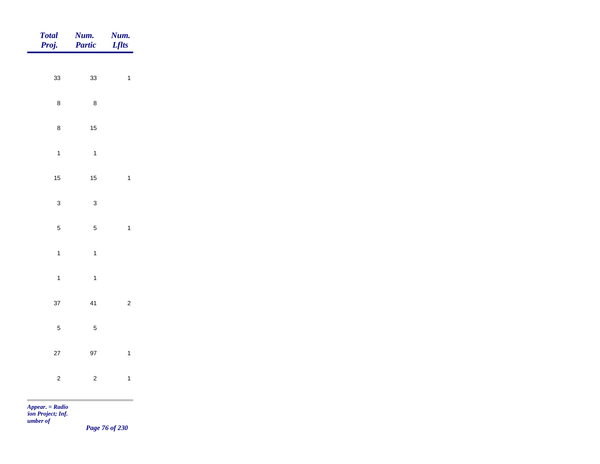| Total<br>Proj.                                                                                                                                                                                                                                            | <b>Num.</b><br>Partic | Num.<br><b>Lflts</b>     |
|-----------------------------------------------------------------------------------------------------------------------------------------------------------------------------------------------------------------------------------------------------------|-----------------------|--------------------------|
|                                                                                                                                                                                                                                                           |                       |                          |
| 33                                                                                                                                                                                                                                                        | 33                    | $\overline{\mathbf{1}}$  |
| $\bf 8$                                                                                                                                                                                                                                                   | $\bf 8$               |                          |
| $\bf 8$                                                                                                                                                                                                                                                   | $15\,$                |                          |
| $\overline{1}$                                                                                                                                                                                                                                            | $\overline{1}$        |                          |
| 15                                                                                                                                                                                                                                                        | $15$                  | $\overline{\phantom{a}}$ |
| $\mathbf{3}$                                                                                                                                                                                                                                              | $\mathbf{3}$          |                          |
| $\overline{5}$                                                                                                                                                                                                                                            | $\sqrt{5}$            | $\overline{\phantom{a}}$ |
|                                                                                                                                                                                                                                                           |                       |                          |
| $\overline{1}$                                                                                                                                                                                                                                            | $\overline{1}$        |                          |
| $\overline{1}$                                                                                                                                                                                                                                            | $\overline{1}$        |                          |
| 37                                                                                                                                                                                                                                                        | 41                    | $\overline{c}$           |
| $\overline{5}$                                                                                                                                                                                                                                            | $\overline{5}$        |                          |
| 27                                                                                                                                                                                                                                                        | $97\,$                | $\overline{1}$           |
| $\overline{c}$                                                                                                                                                                                                                                            | $\overline{c}$        | $\overline{1}$           |
| <b>The Contract of the Contract of the Contract of the Contract of the Contract of The Contract of The Contract of The Contract of The Contract of The Contract of The Contract of The Contract of The Contract of The Contract </b><br>$Appear. = Radio$ |                       |                          |

*Page 76 of 230*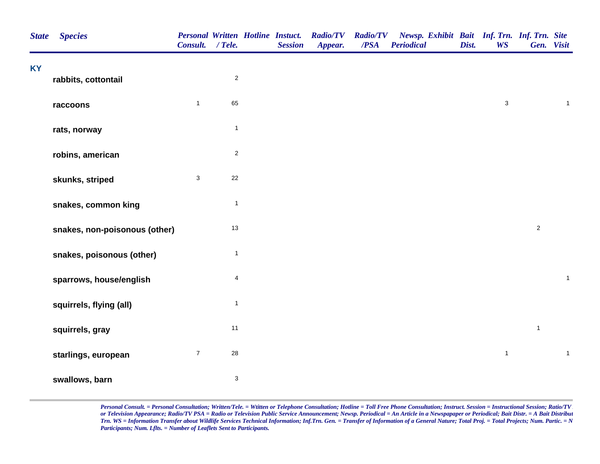| <b>State</b> | <b>Species</b>                | <b>Personal Written Hotline Instuct.</b><br>Consult. / Tele. |                           | <b>Session</b> | <b>Radio/TV</b><br>Appear. | <b>Radio/TV</b><br>/PSA | Newsp. Exhibit Bait Inf. Trn. Inf. Trn. Site<br><b>Periodical</b> | Dist. | <b>WS</b>    | Gen. Visit     |              |
|--------------|-------------------------------|--------------------------------------------------------------|---------------------------|----------------|----------------------------|-------------------------|-------------------------------------------------------------------|-------|--------------|----------------|--------------|
| <b>KY</b>    | rabbits, cottontail           |                                                              | $\overline{2}$            |                |                            |                         |                                                                   |       |              |                |              |
|              | raccoons                      | $\mathbf{1}$                                                 | 65                        |                |                            |                         |                                                                   |       | $\mathbf 3$  |                | $\mathbf{1}$ |
|              | rats, norway                  |                                                              | $\mathbf{1}$              |                |                            |                         |                                                                   |       |              |                |              |
|              | robins, american              |                                                              | $\sqrt{2}$                |                |                            |                         |                                                                   |       |              |                |              |
|              | skunks, striped               | $\mathbf{3}$                                                 | 22                        |                |                            |                         |                                                                   |       |              |                |              |
|              | snakes, common king           |                                                              | $\mathbf{1}$              |                |                            |                         |                                                                   |       |              |                |              |
|              | snakes, non-poisonous (other) |                                                              | $13$                      |                |                            |                         |                                                                   |       |              | $\overline{c}$ |              |
|              | snakes, poisonous (other)     |                                                              | $\overline{1}$            |                |                            |                         |                                                                   |       |              |                |              |
|              | sparrows, house/english       |                                                              | $\overline{4}$            |                |                            |                         |                                                                   |       |              |                | $\mathbf{1}$ |
|              | squirrels, flying (all)       |                                                              | $\mathbf{1}$              |                |                            |                         |                                                                   |       |              |                |              |
|              | squirrels, gray               |                                                              | 11                        |                |                            |                         |                                                                   |       |              | $\mathbf{1}$   |              |
|              | starlings, european           | $\overline{7}$                                               | ${\bf 28}$                |                |                            |                         |                                                                   |       | $\mathbf{1}$ |                | $\mathbf{1}$ |
|              | swallows, barn                |                                                              | $\ensuremath{\mathsf{3}}$ |                |                            |                         |                                                                   |       |              |                |              |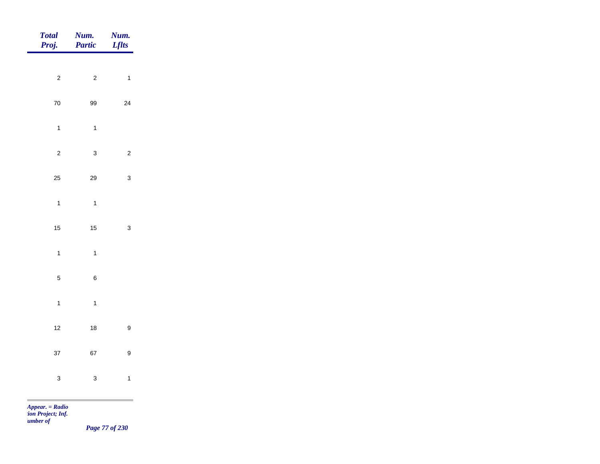| <b>Total</b><br>Proj. | Num.<br>Partic   | Num.<br><b>Lflts</b> |
|-----------------------|------------------|----------------------|
| $\mathbf 2$           | $\overline{c}$   | $\overline{1}$       |
|                       |                  |                      |
| ${\bf 70}$            | 99               | 24                   |
| $\overline{1}$        | $\mathbf{1}$     |                      |
| $\mathbf 2$           | $\mathbf{3}$     | $\overline{2}$       |
| 25                    | 29               | $\mathbf{3}$         |
| $\mathbf{1}$          | $\mathbf{1}$     |                      |
| 15                    | $15\,$           | $\mathbf{3}$         |
| $\mathbf{1}$          | $\mathbf{1}$     |                      |
|                       |                  |                      |
| $\sqrt{5}$            | $\boldsymbol{6}$ |                      |
| $\mathbf{1}$          | $\mathbf{1}$     |                      |
| $12$                  | $18$             | $\boldsymbol{9}$     |
| 37                    | 67               | $\boldsymbol{9}$     |
| $\mathbf{3}$          | $\mathbf{3}$     | $\mathbf{1}$         |
|                       |                  |                      |

*Page 77 of 230*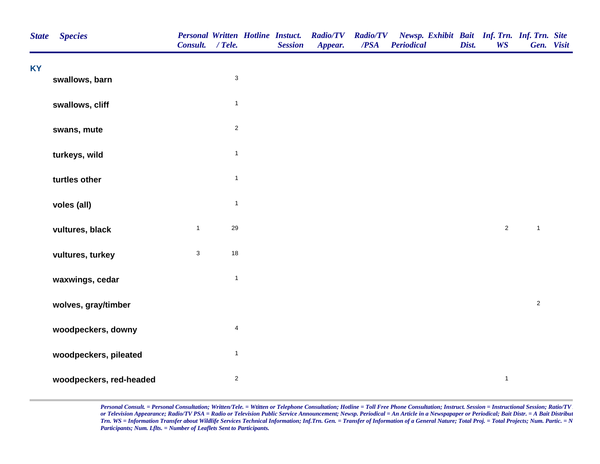| <b>State</b> | <b>Species</b>          | Consult. / Tele. |              | <b>Personal Written Hotline Instuct.</b><br><b>Session</b> | <b>Radio/TV</b><br>Appear. | <b>Radio/TV</b><br>/PSA | Newsp. Exhibit Bait Inf. Trn. Inf. Trn. Site<br><b>Periodical</b> | Dist. | <b>WS</b>      | Gen. Visit   |  |
|--------------|-------------------------|------------------|--------------|------------------------------------------------------------|----------------------------|-------------------------|-------------------------------------------------------------------|-------|----------------|--------------|--|
| <b>KY</b>    | swallows, barn          |                  | $\sqrt{3}$   |                                                            |                            |                         |                                                                   |       |                |              |  |
|              |                         |                  |              |                                                            |                            |                         |                                                                   |       |                |              |  |
|              | swallows, cliff         |                  | $\mathbf{1}$ |                                                            |                            |                         |                                                                   |       |                |              |  |
|              | swans, mute             |                  | $\sqrt{2}$   |                                                            |                            |                         |                                                                   |       |                |              |  |
|              | turkeys, wild           |                  | $\mathbf{1}$ |                                                            |                            |                         |                                                                   |       |                |              |  |
|              | turtles other           |                  | $\mathbf{1}$ |                                                            |                            |                         |                                                                   |       |                |              |  |
|              | voles (all)             |                  | $\mathbf{1}$ |                                                            |                            |                         |                                                                   |       |                |              |  |
|              | vultures, black         | $\mathbf{1}$     | 29           |                                                            |                            |                         |                                                                   |       | $\overline{2}$ | $\mathbf{1}$ |  |
|              | vultures, turkey        | $\mathsf 3$      | $18$         |                                                            |                            |                         |                                                                   |       |                |              |  |
|              | waxwings, cedar         |                  | $\mathbf{1}$ |                                                            |                            |                         |                                                                   |       |                |              |  |
|              | wolves, gray/timber     |                  |              |                                                            |                            |                         |                                                                   |       |                | $\mathbf{2}$ |  |
|              | woodpeckers, downy      |                  | 4            |                                                            |                            |                         |                                                                   |       |                |              |  |
|              | woodpeckers, pileated   |                  | $\mathbf{1}$ |                                                            |                            |                         |                                                                   |       |                |              |  |
|              | woodpeckers, red-headed |                  | $\sqrt{2}$   |                                                            |                            |                         |                                                                   |       | $\mathbf{1}$   |              |  |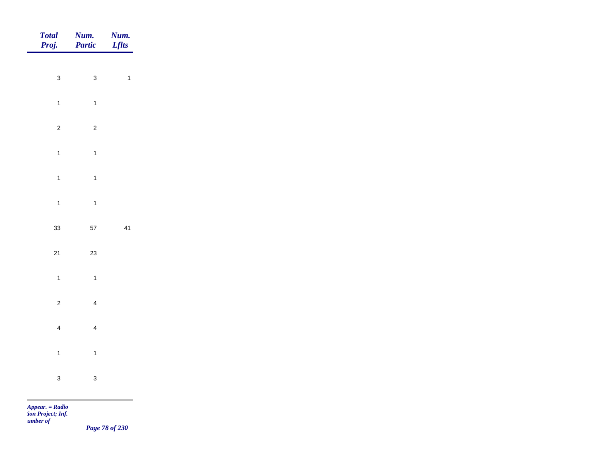| Total<br>Proj. | Num.<br>Partic | Num.<br><b>Lflts</b> |
|----------------|----------------|----------------------|
| $\mathbf{3}$   | $\mathbf{3}$   | $\overline{1}$       |
|                |                |                      |
| $\overline{1}$ | $\overline{1}$ |                      |
| $\overline{2}$ | $\overline{2}$ |                      |
| $\overline{1}$ | $\overline{1}$ |                      |
| $\overline{1}$ | $\overline{1}$ |                      |
| $\overline{1}$ | $\overline{1}$ |                      |
| 33             | 57             | 41                   |
|                |                |                      |
| $21$           | 23             |                      |
| $\mathbf{1}$   | $\overline{1}$ |                      |
| $\overline{c}$ | $\overline{4}$ |                      |
| $\overline{4}$ | $\overline{4}$ |                      |
| $\mathbf{1}$   | $\overline{1}$ |                      |
|                |                |                      |
| $\mathbf{3}$   | $\mathbf{3}$   |                      |

*Page 78 of 230*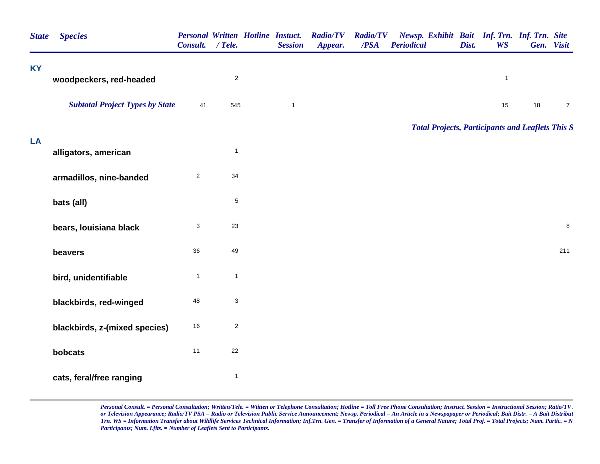| <b>State</b> | <b>Species</b>                         | <b>Personal Written Hotline Instuct.</b><br>Consult. / Tele. |                  | <b>Session</b> | <b>Radio/TV</b><br>Appear. | <b>Radio/TV</b><br>/PSA | Newsp. Exhibit Bait Inf. Trn. Inf. Trn. Site<br><b>Periodical</b> | Dist. | <b>WS</b>    | Gen. Visit |                |
|--------------|----------------------------------------|--------------------------------------------------------------|------------------|----------------|----------------------------|-------------------------|-------------------------------------------------------------------|-------|--------------|------------|----------------|
| ΚY           | woodpeckers, red-headed                |                                                              | $\mathbf 2$      |                |                            |                         |                                                                   |       | $\mathbf{1}$ |            |                |
|              | <b>Subtotal Project Types by State</b> | 41                                                           | 545              | $\mathbf{1}$   |                            |                         |                                                                   |       | 15           | 18         | $\overline{7}$ |
|              |                                        |                                                              |                  |                |                            |                         | <b>Total Projects, Participants and Leaflets This S</b>           |       |              |            |                |
| LA           | alligators, american                   |                                                              | $\mathbf{1}$     |                |                            |                         |                                                                   |       |              |            |                |
|              | armadillos, nine-banded                | $\overline{2}$                                               | 34               |                |                            |                         |                                                                   |       |              |            |                |
|              | bats (all)                             |                                                              | $\mathbf 5$      |                |                            |                         |                                                                   |       |              |            |                |
|              | bears, louisiana black                 | 3                                                            | 23               |                |                            |                         |                                                                   |       |              |            | $\,8\,$        |
|              | beavers                                | 36                                                           | 49               |                |                            |                         |                                                                   |       |              |            | 211            |
|              | bird, unidentifiable                   | $\mathbf{1}$                                                 | $\mathbf{1}$     |                |                            |                         |                                                                   |       |              |            |                |
|              | blackbirds, red-winged                 | 48                                                           | 3                |                |                            |                         |                                                                   |       |              |            |                |
|              | blackbirds, z-(mixed species)          | 16                                                           | $\boldsymbol{2}$ |                |                            |                         |                                                                   |       |              |            |                |
|              | bobcats                                | 11                                                           | 22               |                |                            |                         |                                                                   |       |              |            |                |
|              | cats, feral/free ranging               |                                                              | $\mathbf{1}$     |                |                            |                         |                                                                   |       |              |            |                |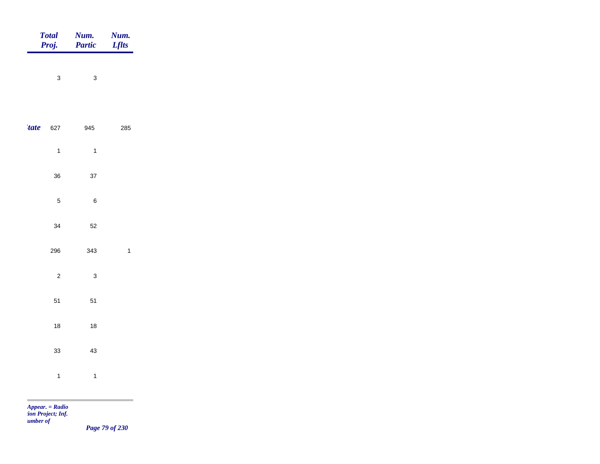|             | Total<br>Proj. | Num.<br>Partic | <b>Num.</b><br><i>Lflts</i> |
|-------------|----------------|----------------|-----------------------------|
|             | $\mathbf{3}$   | $\mathbf{3}$   |                             |
| <i>tate</i> | 627            | 945            | 285                         |
|             | $\overline{1}$ | $\overline{1}$ |                             |
|             | 36             | 37             |                             |
|             | $\sqrt{5}$     | $\,6\,$        |                             |
|             | 34             | 52             |                             |
|             | 296            | 343            | $\mathbf{1}$                |
|             | $\overline{c}$ | $\mathbf{3}$   |                             |
|             | 51             | 51             |                             |
|             | $18\,$         | $18\,$         |                             |
|             | 33             | 43             |                             |
|             | $\overline{1}$ | $\mathbf{1}$   |                             |
|             |                |                |                             |

*Page 79 of 230*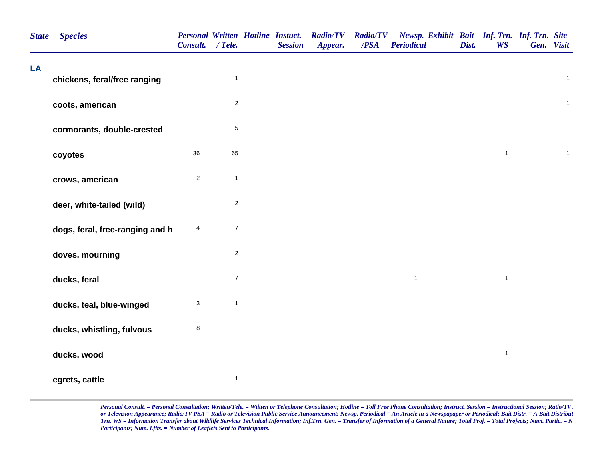| <b>State</b> | <b>Species</b>                  | <b>Personal Written Hotline Instuct.</b><br>Consult. / Tele. |                         | <b>Session</b> | <b>Radio/TV</b><br>Appear. | <b>Radio/TV</b><br>/PSA | Newsp. Exhibit Bait Inf. Trn. Inf. Trn. Site<br><b>Periodical</b> | Dist. | <b>WS</b>    | Gen. Visit |              |
|--------------|---------------------------------|--------------------------------------------------------------|-------------------------|----------------|----------------------------|-------------------------|-------------------------------------------------------------------|-------|--------------|------------|--------------|
| LA           | chickens, feral/free ranging    |                                                              | $\mathbf{1}$            |                |                            |                         |                                                                   |       |              |            | $\mathbf{1}$ |
|              | coots, american                 |                                                              | $\overline{2}$          |                |                            |                         |                                                                   |       |              |            | $\mathbf{1}$ |
|              | cormorants, double-crested      |                                                              | $\,$ 5 $\,$             |                |                            |                         |                                                                   |       |              |            |              |
|              | coyotes                         | 36                                                           | 65                      |                |                            |                         |                                                                   |       | $\mathbf{1}$ |            | $\mathbf{1}$ |
|              | crows, american                 | $\overline{2}$                                               | $\mathbf{1}$            |                |                            |                         |                                                                   |       |              |            |              |
|              | deer, white-tailed (wild)       |                                                              | $\overline{\mathbf{c}}$ |                |                            |                         |                                                                   |       |              |            |              |
|              | dogs, feral, free-ranging and h | 4                                                            | $\boldsymbol{7}$        |                |                            |                         |                                                                   |       |              |            |              |
|              | doves, mourning                 |                                                              | $\mathbf 2$             |                |                            |                         |                                                                   |       |              |            |              |
|              | ducks, feral                    |                                                              | $\boldsymbol{7}$        |                |                            |                         | $\mathbf{1}$                                                      |       | $\mathbf{1}$ |            |              |
|              | ducks, teal, blue-winged        | $\mathbf{3}$                                                 | $\mathbf{1}$            |                |                            |                         |                                                                   |       |              |            |              |
|              | ducks, whistling, fulvous       | $\bf8$                                                       |                         |                |                            |                         |                                                                   |       |              |            |              |
|              | ducks, wood                     |                                                              |                         |                |                            |                         |                                                                   |       | $\mathbf{1}$ |            |              |
|              | egrets, cattle                  |                                                              | $\mathbf{1}$            |                |                            |                         |                                                                   |       |              |            |              |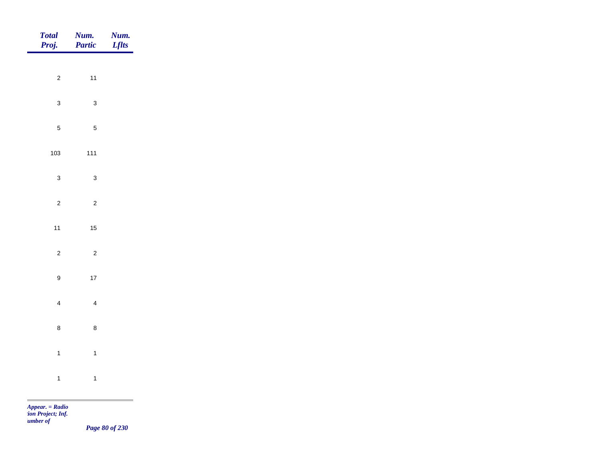| Total<br>Proj.   | Num.<br>Partic | <b>Num.</b><br>Lflts                         |
|------------------|----------------|----------------------------------------------|
| $\overline{2}$   | $11$           |                                              |
|                  |                |                                              |
| $\mathbf{3}$     | $\mathbf{3}$   |                                              |
| $\overline{5}$   | $\sqrt{5}$     |                                              |
| 103              | $111$          |                                              |
| $\mathbf{3}$     | $\mathbf{3}$   |                                              |
| $\overline{2}$   | $\sqrt{2}$     |                                              |
| $11$             | $15\,$         |                                              |
| $\overline{2}$   | $\overline{c}$ |                                              |
| $\boldsymbol{9}$ | $17$           |                                              |
|                  |                |                                              |
| $\overline{4}$   | $\overline{4}$ |                                              |
| $\bf 8$          | $\bf 8$        |                                              |
| $\overline{1}$   | $\mathbf{1}$   |                                              |
| $\overline{1}$   | $\mathbf{1}$   |                                              |
|                  |                | the control of the control of the control of |

*Page 80 of 230*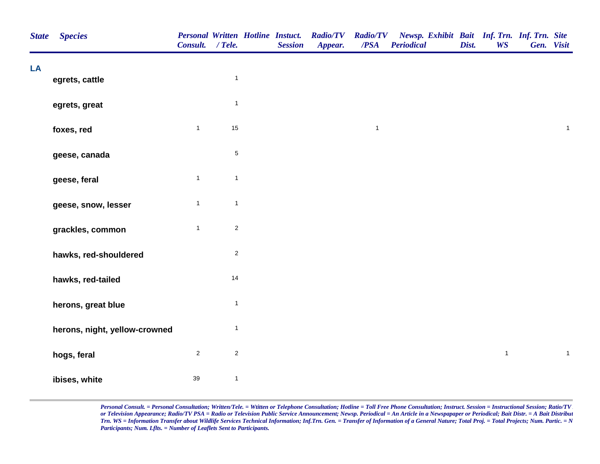| <b>State</b> | <b>Species</b>                | Consult. / Tele. |                | <b>Personal Written Hotline Instuct.</b><br><b>Session</b> | <b>Radio/TV Radio/TV</b><br>Appear. | /PSA         | Newsp. Exhibit Bait Inf. Trn. Inf. Trn. Site<br><b>Periodical</b> | Dist. | <b>WS</b>    | Gen. Visit |              |  |
|--------------|-------------------------------|------------------|----------------|------------------------------------------------------------|-------------------------------------|--------------|-------------------------------------------------------------------|-------|--------------|------------|--------------|--|
| LA           | egrets, cattle                |                  | $\mathbf{1}$   |                                                            |                                     |              |                                                                   |       |              |            |              |  |
|              |                               |                  |                |                                                            |                                     |              |                                                                   |       |              |            |              |  |
|              | egrets, great                 |                  | $\mathbf{1}$   |                                                            |                                     |              |                                                                   |       |              |            |              |  |
|              | foxes, red                    | $\mathbf{1}$     | 15             |                                                            |                                     | $\mathbf{1}$ |                                                                   |       |              |            | $\mathbf{1}$ |  |
|              | geese, canada                 |                  | $\,$ 5 $\,$    |                                                            |                                     |              |                                                                   |       |              |            |              |  |
|              | geese, feral                  | $\mathbf{1}$     | $\overline{1}$ |                                                            |                                     |              |                                                                   |       |              |            |              |  |
|              | geese, snow, lesser           | $\mathbf{1}$     | $\mathbf{1}$   |                                                            |                                     |              |                                                                   |       |              |            |              |  |
|              | grackles, common              | $\mathbf{1}$     | $\sqrt{2}$     |                                                            |                                     |              |                                                                   |       |              |            |              |  |
|              | hawks, red-shouldered         |                  | $\overline{c}$ |                                                            |                                     |              |                                                                   |       |              |            |              |  |
|              | hawks, red-tailed             |                  | 14             |                                                            |                                     |              |                                                                   |       |              |            |              |  |
|              | herons, great blue            |                  | $\mathbf{1}$   |                                                            |                                     |              |                                                                   |       |              |            |              |  |
|              | herons, night, yellow-crowned |                  | $\mathbf{1}$   |                                                            |                                     |              |                                                                   |       |              |            |              |  |
|              | hogs, feral                   | $\overline{c}$   | $\sqrt{2}$     |                                                            |                                     |              |                                                                   |       | $\mathbf{1}$ |            | $\mathbf{1}$ |  |
|              | ibises, white                 | 39               | $\mathbf{1}$   |                                                            |                                     |              |                                                                   |       |              |            |              |  |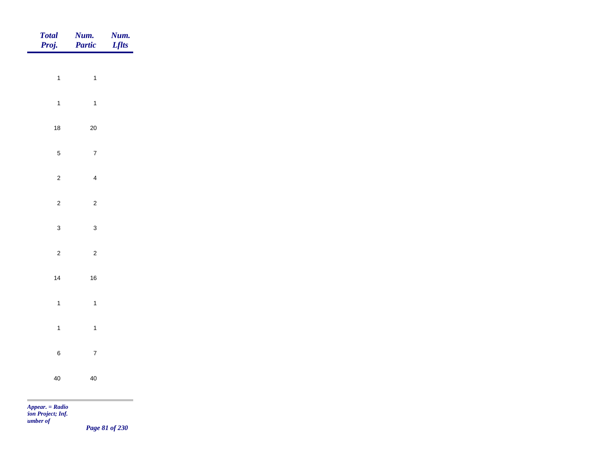| Total<br>Proj.    | <b>Num.</b><br>Partic | <b>Num.</b><br><b>Lflts</b> |
|-------------------|-----------------------|-----------------------------|
|                   |                       |                             |
| $\overline{1}$    | $\overline{1}$        |                             |
| $\overline{1}$    | $\mathbf{1}$          |                             |
| $18$              | $20\,$                |                             |
| $\overline{5}$    | $\overline{7}$        |                             |
| $\overline{c}$    | $\overline{4}$        |                             |
| $\overline{c}$    | $\overline{c}$        |                             |
|                   |                       |                             |
| $\mathbf{3}$      | $\mathbf{3}$          |                             |
| $\overline{c}$    | $\sqrt{2}$            |                             |
| $14$              | $16\,$                |                             |
| $\overline{1}$    | $\overline{1}$        |                             |
| $\mathbf{1}$      | $\mathbf{1}$          |                             |
| $\,6\,$           | $\bf 7$               |                             |
|                   |                       |                             |
| $40\,$            | $40\,$                |                             |
| $Appear. = Radio$ |                       |                             |

*Page 81 of 230*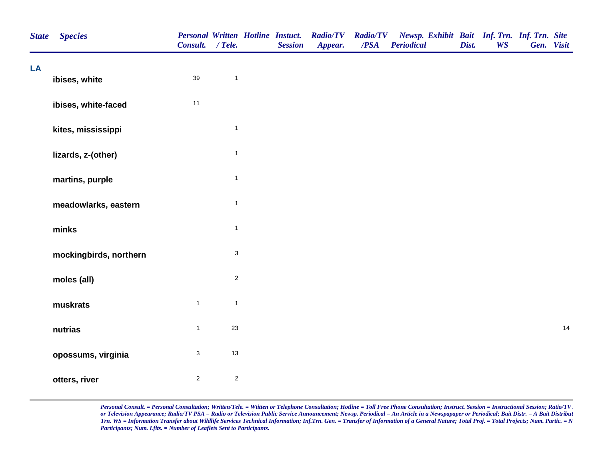| <b>State</b> | <b>Species</b>         | Consult. / Tele.          |                | <b>Personal Written Hotline Instuct.</b><br><b>Session</b> | <b>Radio/TV</b><br>Appear. | <b>Radio/TV</b><br>$\overline{PSA}$ | Newsp. Exhibit Bait Inf. Trn. Inf. Trn. Site<br>Periodical | Dist. | <b>WS</b> | Gen. Visit |    |
|--------------|------------------------|---------------------------|----------------|------------------------------------------------------------|----------------------------|-------------------------------------|------------------------------------------------------------|-------|-----------|------------|----|
| LA           | ibises, white          | $39\,$                    | $\mathbf{1}$   |                                                            |                            |                                     |                                                            |       |           |            |    |
|              | ibises, white-faced    | $11$                      |                |                                                            |                            |                                     |                                                            |       |           |            |    |
|              | kites, mississippi     |                           | $\mathbf{1}$   |                                                            |                            |                                     |                                                            |       |           |            |    |
|              | lizards, z-(other)     |                           | $\mathbf{1}$   |                                                            |                            |                                     |                                                            |       |           |            |    |
|              | martins, purple        |                           | $\overline{1}$ |                                                            |                            |                                     |                                                            |       |           |            |    |
|              | meadowlarks, eastern   |                           | $\mathbf{1}$   |                                                            |                            |                                     |                                                            |       |           |            |    |
|              | minks                  |                           | $\mathbf{1}$   |                                                            |                            |                                     |                                                            |       |           |            |    |
|              | mockingbirds, northern |                           | $\sqrt{3}$     |                                                            |                            |                                     |                                                            |       |           |            |    |
|              | moles (all)            |                           | $\sqrt{2}$     |                                                            |                            |                                     |                                                            |       |           |            |    |
|              | muskrats               | $\mathbf{1}$              | $\mathbf{1}$   |                                                            |                            |                                     |                                                            |       |           |            |    |
|              | nutrias                | $\mathbf{1}$              | $23\,$         |                                                            |                            |                                     |                                                            |       |           |            | 14 |
|              | opossums, virginia     | $\ensuremath{\mathsf{3}}$ | $13$           |                                                            |                            |                                     |                                                            |       |           |            |    |
|              | otters, river          | $\overline{2}$            | $\sqrt{2}$     |                                                            |                            |                                     |                                                            |       |           |            |    |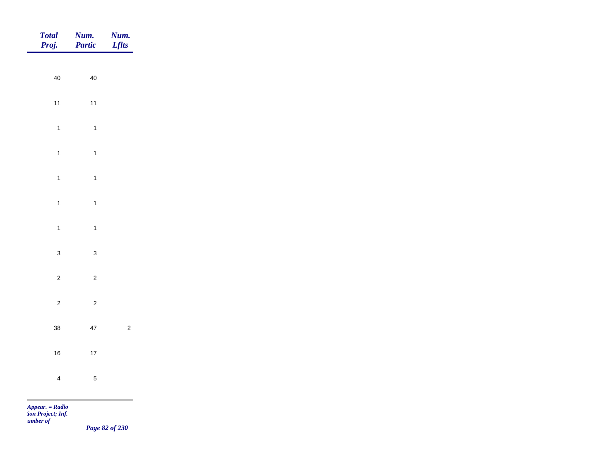| <b>Total</b><br>Proj.           | Num.<br>Partic | Num.<br><i>Lflts</i> |
|---------------------------------|----------------|----------------------|
|                                 |                |                      |
| $40\,$                          | $40\,$         |                      |
| $11$                            | $11$           |                      |
| $\mathbf{1}$                    | $\overline{1}$ |                      |
| $\mathbf{1}$                    | $\mathbf{1}$   |                      |
| $\overline{1}$                  | $\overline{1}$ |                      |
| $\mathbf{1}$                    | $\mathbf{1}$   |                      |
|                                 |                |                      |
| $\overline{1}$                  | $\mathbf{1}$   |                      |
| $\mathsf 3$                     | $\mathbf{3}$   |                      |
| $\overline{c}$                  | $\overline{c}$ |                      |
| $\overline{c}$                  | $\overline{c}$ |                      |
| $38\,$                          | $47\,$         | $\overline{c}$       |
| 16                              | $17$           |                      |
|                                 |                |                      |
| $\overline{4}$                  | $\sqrt{5}$     |                      |
| <b>COL</b><br>$Appear. = Radio$ |                |                      |

*Page 82 of 230*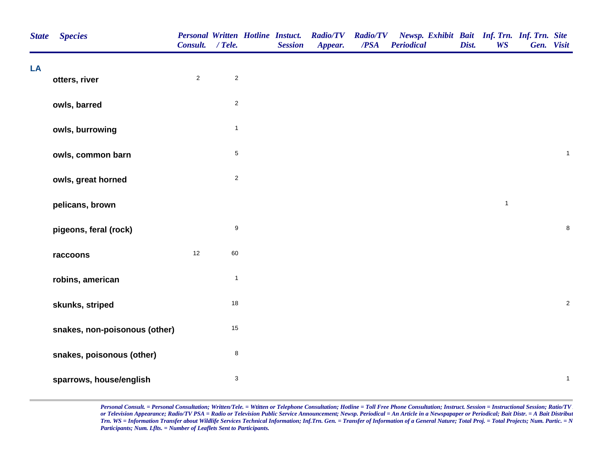| <b>State</b> | <b>Species</b>                | <b>Personal Written Hotline Instuct.</b><br>Consult. / Tele. |                           | <b>Session</b> | <b>Radio/TV</b><br>Appear. | <b>Radio/TV</b><br>/PSA | Newsp. Exhibit Bait Inf. Trn. Inf. Trn. Site<br><b>Periodical</b> | Dist. | <b>WS</b>    | Gen. Visit   |
|--------------|-------------------------------|--------------------------------------------------------------|---------------------------|----------------|----------------------------|-------------------------|-------------------------------------------------------------------|-------|--------------|--------------|
| LA           | otters, river                 | $\overline{2}$                                               | $\mathbf 2$               |                |                            |                         |                                                                   |       |              |              |
|              | owls, barred                  |                                                              | $\sqrt{2}$                |                |                            |                         |                                                                   |       |              |              |
|              | owls, burrowing               |                                                              | $\mathbf{1}$              |                |                            |                         |                                                                   |       |              |              |
|              | owls, common barn             |                                                              | $\mathbf 5$               |                |                            |                         |                                                                   |       |              | $\mathbf{1}$ |
|              | owls, great horned            |                                                              | $\overline{\mathbf{c}}$   |                |                            |                         |                                                                   |       |              |              |
|              | pelicans, brown               |                                                              |                           |                |                            |                         |                                                                   |       | $\mathbf{1}$ |              |
|              | pigeons, feral (rock)         |                                                              | $\boldsymbol{9}$          |                |                            |                         |                                                                   |       |              | $\bf 8$      |
|              | raccoons                      | $12$                                                         | 60                        |                |                            |                         |                                                                   |       |              |              |
|              | robins, american              |                                                              | $\mathbf{1}$              |                |                            |                         |                                                                   |       |              |              |
|              | skunks, striped               |                                                              | 18                        |                |                            |                         |                                                                   |       |              | $\sqrt{2}$   |
|              | snakes, non-poisonous (other) |                                                              | 15                        |                |                            |                         |                                                                   |       |              |              |
|              | snakes, poisonous (other)     |                                                              | $\bf8$                    |                |                            |                         |                                                                   |       |              |              |
|              | sparrows, house/english       |                                                              | $\ensuremath{\mathsf{3}}$ |                |                            |                         |                                                                   |       |              | $\mathbf{1}$ |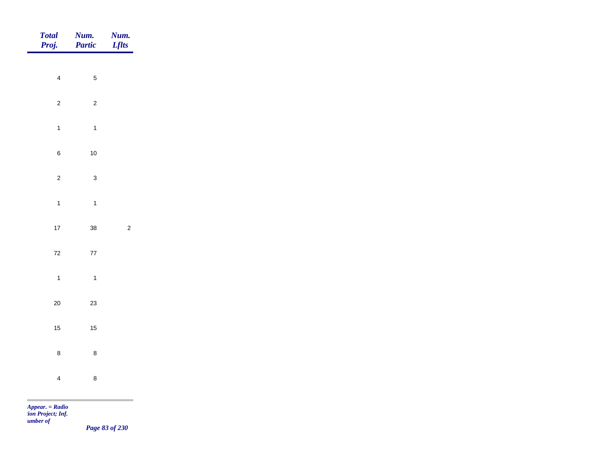| Total<br>Proj. | Num.<br>Partic | <b>Num.</b><br>Lflts                         |
|----------------|----------------|----------------------------------------------|
|                |                |                                              |
| $\overline{4}$ | $\sqrt{5}$     |                                              |
| $\overline{2}$ | $\overline{c}$ |                                              |
| $\overline{1}$ | $\overline{1}$ |                                              |
| $\bf 6$        | $10$           |                                              |
| $\overline{2}$ | $\mathbf{3}$   |                                              |
| $\overline{1}$ | $\overline{1}$ |                                              |
| $17\,$         | 38             | $\overline{c}$                               |
| $\bf 72$       |                |                                              |
|                | $77\,$         |                                              |
| $\overline{1}$ | $\overline{1}$ |                                              |
| $20\,$         | 23             |                                              |
| $15\,$         | $15$           |                                              |
| $\bf 8$        | $\bf8$         |                                              |
| $\overline{4}$ | $\bf 8$        |                                              |
|                |                | the control of the control of the control of |

*Page 83 of 230*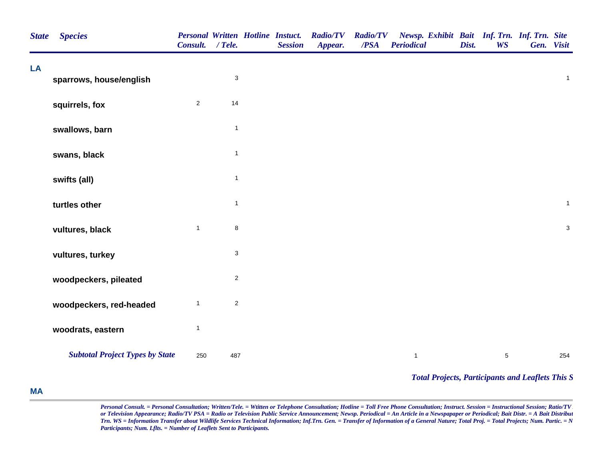| <b>State</b> | <b>Species</b>                         | Consult. / Tele. |                           | <b>Personal Written Hotline Instuct.</b><br><b>Session</b> | <b>Radio/TV</b><br>Appear. | <b>Radio/TV</b><br>/PSA | Newsp. Exhibit Bait Inf. Trn. Inf. Trn. Site<br><b>Periodical</b> | Dist. | <b>WS</b>  | Gen. Visit   |
|--------------|----------------------------------------|------------------|---------------------------|------------------------------------------------------------|----------------------------|-------------------------|-------------------------------------------------------------------|-------|------------|--------------|
| LA           | sparrows, house/english                |                  | $\ensuremath{\mathsf{3}}$ |                                                            |                            |                         |                                                                   |       |            | $\mathbf{1}$ |
|              | squirrels, fox                         | $\overline{2}$   | 14                        |                                                            |                            |                         |                                                                   |       |            |              |
|              | swallows, barn                         |                  | $\mathbf{1}$              |                                                            |                            |                         |                                                                   |       |            |              |
|              | swans, black                           |                  | $\mathbf{1}$              |                                                            |                            |                         |                                                                   |       |            |              |
|              | swifts (all)                           |                  | $\mathbf{1}$              |                                                            |                            |                         |                                                                   |       |            |              |
|              | turtles other                          |                  | $\mathbf{1}$              |                                                            |                            |                         |                                                                   |       |            | $\mathbf{1}$ |
|              | vultures, black                        | $\mathbf{1}$     | $\bf 8$                   |                                                            |                            |                         |                                                                   |       |            | $\mathbf{3}$ |
|              | vultures, turkey                       |                  | $\ensuremath{\mathsf{3}}$ |                                                            |                            |                         |                                                                   |       |            |              |
|              | woodpeckers, pileated                  |                  | $\overline{c}$            |                                                            |                            |                         |                                                                   |       |            |              |
|              | woodpeckers, red-headed                | $\mathbf{1}$     | $\mathbf{2}$              |                                                            |                            |                         |                                                                   |       |            |              |
|              | woodrats, eastern                      | $\mathbf{1}$     |                           |                                                            |                            |                         |                                                                   |       |            |              |
|              | <b>Subtotal Project Types by State</b> | 250              | 487                       |                                                            |                            |                         | $\mathbf{1}$                                                      |       | $\sqrt{5}$ | 254          |
|              |                                        |                  |                           |                                                            |                            |                         | <b>Total Projects, Participants and Leaflets This S</b>           |       |            |              |

## **MA**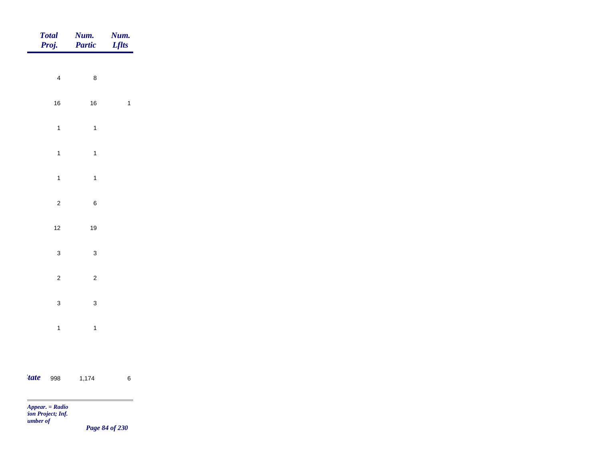|             | Total<br>Proj. | Num.<br>Partic   | <b>Num.</b><br><i>Lflts</i> |
|-------------|----------------|------------------|-----------------------------|
|             |                |                  |                             |
|             | $\overline{4}$ | $\boldsymbol{8}$ |                             |
|             | $16\,$         | $16\,$           | $\mathbf{1}$                |
|             | $\overline{1}$ | $\overline{1}$   |                             |
|             | $\mathbf{1}$   | $\overline{1}$   |                             |
|             | $\overline{1}$ | $\overline{1}$   |                             |
|             | $\overline{c}$ | $\boldsymbol{6}$ |                             |
|             | $12$           | 19               |                             |
|             | $\mathbf{3}$   | $\mathbf{3}$     |                             |
|             |                |                  |                             |
|             | $\overline{c}$ | $\overline{c}$   |                             |
|             | $\mathbf{3}$   | $\mathbf{3}$     |                             |
|             | $\overline{1}$ | $\overline{1}$   |                             |
|             |                |                  |                             |
| <i>tate</i> | 998            | 1,174            | $\,6\,$                     |

m

*Page 84 of 230*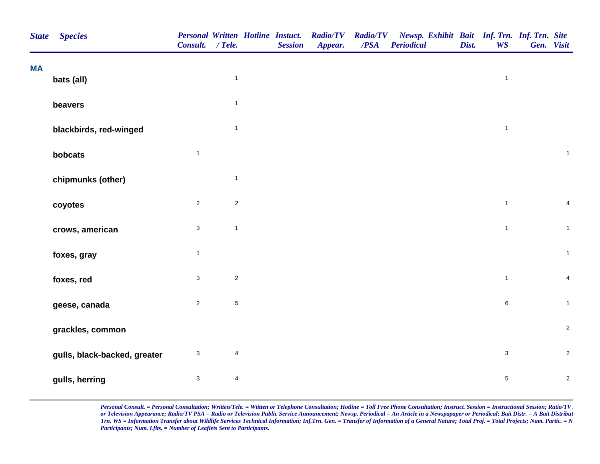| <b>State</b> | <b>Species</b>               | Consult. / Tele.          |                         | <b>Personal Written Hotline Instuct.</b><br><b>Session</b> | <b>Radio/TV</b><br>Appear. | $\overline{PSA}$ | Radio/TV Newsp. Exhibit Bait Inf. Trn. Inf. Trn. Site<br><b>Periodical</b> | Dist. | <b>WS</b>      | Gen. Visit              |
|--------------|------------------------------|---------------------------|-------------------------|------------------------------------------------------------|----------------------------|------------------|----------------------------------------------------------------------------|-------|----------------|-------------------------|
| <b>MA</b>    | bats (all)                   |                           | $\mathbf{1}$            |                                                            |                            |                  |                                                                            |       | $\mathbf{1}$   |                         |
|              |                              |                           | $\mathbf{1}$            |                                                            |                            |                  |                                                                            |       |                |                         |
|              | beavers                      |                           |                         |                                                            |                            |                  |                                                                            |       |                |                         |
|              | blackbirds, red-winged       |                           | $\mathbf{1}$            |                                                            |                            |                  |                                                                            |       | $\overline{1}$ |                         |
|              | bobcats                      | $\overline{1}$            |                         |                                                            |                            |                  |                                                                            |       |                | $\mathbf{1}$            |
|              | chipmunks (other)            |                           | $\mathbf{1}$            |                                                            |                            |                  |                                                                            |       |                |                         |
|              | coyotes                      | $\overline{2}$            | $\sqrt{2}$              |                                                            |                            |                  |                                                                            |       | $\mathbf{1}$   | $\overline{\mathbf{4}}$ |
|              | crows, american              | $\sqrt{3}$                | $\mathbf{1}$            |                                                            |                            |                  |                                                                            |       | $\mathbf{1}$   | $\mathbf{1}$            |
|              | foxes, gray                  | $\mathbf{1}$              |                         |                                                            |                            |                  |                                                                            |       |                | $\mathbf{1}$            |
|              | foxes, red                   | $\mathbf{3}$              | $\mathbf 2$             |                                                            |                            |                  |                                                                            |       | $\mathbf{1}$   | $\overline{\mathbf{4}}$ |
|              | geese, canada                | $\sqrt{2}$                | $\mathbf 5$             |                                                            |                            |                  |                                                                            |       | $\,6\,$        | $\mathbf{1}$            |
|              | grackles, common             |                           |                         |                                                            |                            |                  |                                                                            |       |                | $\mathbf 2$             |
|              | gulls, black-backed, greater | $\ensuremath{\mathsf{3}}$ | $\overline{\mathbf{4}}$ |                                                            |                            |                  |                                                                            |       | $\mathbf{3}$   | $\mathbf 2$             |
|              | gulls, herring               | $\sqrt{3}$                | $\overline{\mathbf{4}}$ |                                                            |                            |                  |                                                                            |       | $\sqrt{5}$     | $\sqrt{2}$              |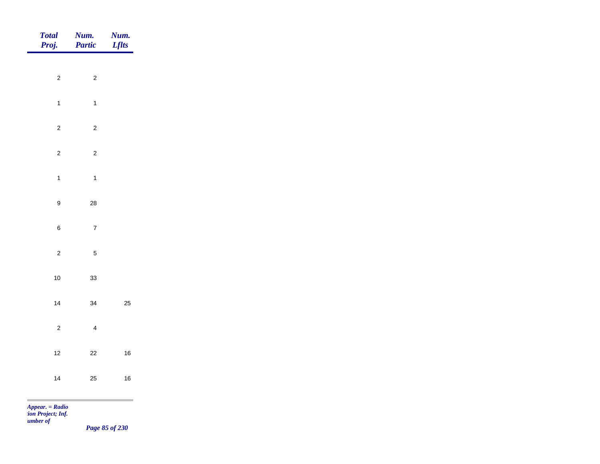| Total<br>Proj.                  | Num.<br>Partic          | <b>Num.</b><br>Lflts |
|---------------------------------|-------------------------|----------------------|
|                                 |                         |                      |
| $\overline{c}$                  | $\overline{c}$          |                      |
| $\overline{1}$                  | $\overline{1}$          |                      |
| $\overline{c}$                  | $\overline{c}$          |                      |
| $\sqrt{2}$                      | $\sqrt{2}$              |                      |
| $\overline{1}$                  | $\overline{1}$          |                      |
| $\boldsymbol{9}$                | 28                      |                      |
|                                 |                         |                      |
| $\,6\,$                         | $\overline{7}$          |                      |
| $\overline{c}$                  | $\sqrt{5}$              |                      |
| $10$                            | 33                      |                      |
| 14                              | 34                      | 25                   |
| $\overline{c}$                  | $\overline{\mathbf{4}}$ |                      |
| $12$                            | $22\,$                  | $16\,$               |
|                                 |                         |                      |
| 14                              | 25                      | $16\,$               |
| <b>COL</b><br>$Appear. = Radio$ |                         |                      |

*Page 85 of 230*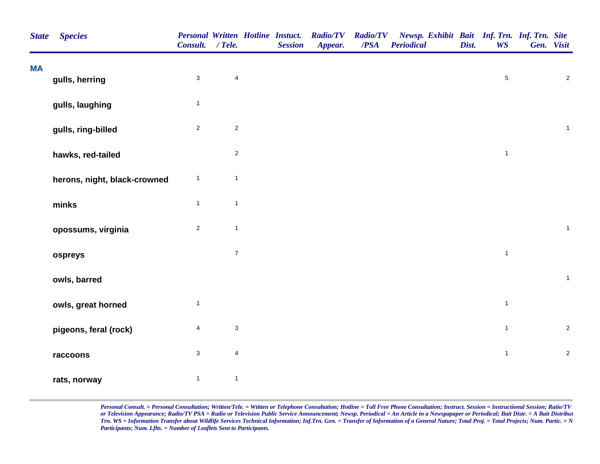| <b>State</b> | <b>Species</b>               | <b>Personal Written Hotline Instuct.</b><br>Consult. / Tele. |                           | <b>Session</b> | <b>Radio/TV</b><br>Appear. | <b>Radio/TV</b><br>/PSA | Newsp. Exhibit Bait Inf. Trn. Inf. Trn. Site<br>Periodical | Dist. | <b>WS</b>    | Gen. Visit |              |
|--------------|------------------------------|--------------------------------------------------------------|---------------------------|----------------|----------------------------|-------------------------|------------------------------------------------------------|-------|--------------|------------|--------------|
| <b>MA</b>    | gulls, herring               | $\sqrt{3}$                                                   | $\overline{\mathbf{4}}$   |                |                            |                         |                                                            |       | $\sqrt{5}$   |            | $\sqrt{2}$   |
|              | gulls, laughing              | $\mathbf{1}$                                                 |                           |                |                            |                         |                                                            |       |              |            |              |
|              | gulls, ring-billed           | $\sqrt{2}$                                                   | $\sqrt{2}$                |                |                            |                         |                                                            |       |              |            | $\mathbf{1}$ |
|              | hawks, red-tailed            |                                                              | $\mathbf 2$               |                |                            |                         |                                                            |       | $\mathbf{1}$ |            |              |
|              | herons, night, black-crowned | $\mathbf{1}$                                                 | $\mathbf{1}$              |                |                            |                         |                                                            |       |              |            |              |
|              | minks                        | $\mathbf{1}$                                                 | $\mathbf{1}$              |                |                            |                         |                                                            |       |              |            |              |
|              | opossums, virginia           | $\overline{c}$                                               | $\mathbf{1}$              |                |                            |                         |                                                            |       |              |            | $\mathbf{1}$ |
|              | ospreys                      |                                                              | $\boldsymbol{7}$          |                |                            |                         |                                                            |       | $\mathbf{1}$ |            |              |
|              | owls, barred                 |                                                              |                           |                |                            |                         |                                                            |       |              |            | $\mathbf{1}$ |
|              | owls, great horned           | $\mathbf{1}$                                                 |                           |                |                            |                         |                                                            |       | $\mathbf{1}$ |            |              |
|              | pigeons, feral (rock)        | $\overline{4}$                                               | $\ensuremath{\mathsf{3}}$ |                |                            |                         |                                                            |       | $\mathbf{1}$ |            | $\sqrt{2}$   |
|              | raccoons                     | $\mathbf{3}$                                                 | $\overline{\mathbf{4}}$   |                |                            |                         |                                                            |       | $\mathbf{1}$ |            | $\sqrt{2}$   |
|              | rats, norway                 | $\mathbf{1}$                                                 | $\mathbf{1}$              |                |                            |                         |                                                            |       |              |            |              |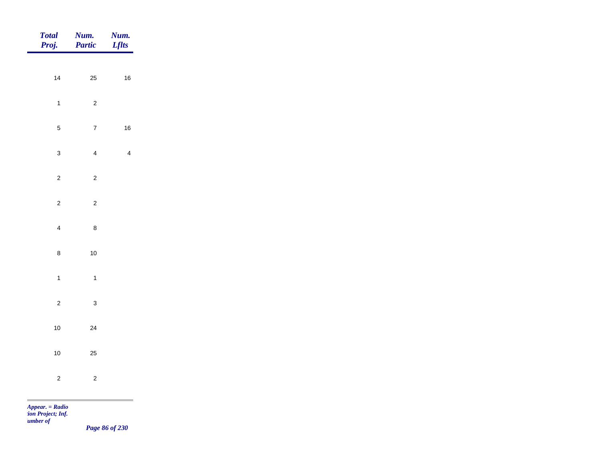| Total<br>Proj.                  | <b>Num.</b><br>Partic | <b>Num.</b><br><i>Lflts</i> |
|---------------------------------|-----------------------|-----------------------------|
|                                 |                       |                             |
| $14$                            | $25\,$                | $16\,$                      |
| $\overline{1}$                  | $\overline{c}$        |                             |
| $\sqrt{5}$                      | $\overline{7}$        | $16\,$                      |
| $\mathbf{3}$                    | $\overline{4}$        | $\overline{4}$              |
| $\overline{2}$                  | $\overline{c}$        |                             |
| $\overline{c}$                  | $\overline{c}$        |                             |
|                                 |                       |                             |
| $\overline{4}$                  | $\bf 8$               |                             |
| $\bf8$                          | $10\,$                |                             |
| $\mathbf{1}$                    | $\overline{1}$        |                             |
| $\overline{c}$                  | $\mathbf{3}$          |                             |
| $10$                            | $24\,$                |                             |
| $10\,$                          | 25                    |                             |
|                                 |                       |                             |
| $\overline{c}$                  | $\overline{c}$        |                             |
| <b>COL</b><br>$Appear. = Radio$ |                       |                             |

*Page 86 of 230*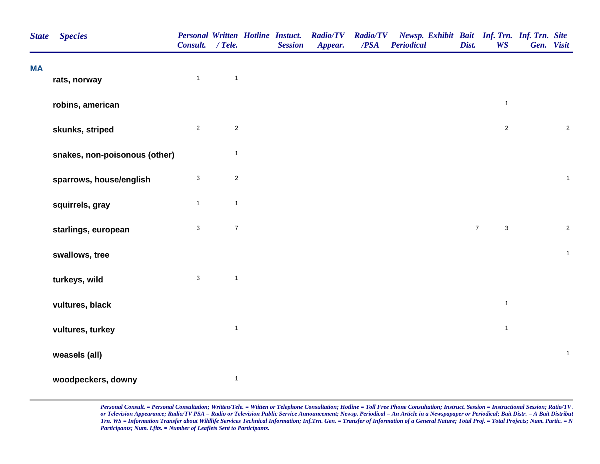| <b>State</b> | <b>Species</b>                | <b>Personal Written Hotline Instuct.</b><br>Consult. / Tele. |                | <b>Session</b> | <b>Radio/TV</b><br>Appear. | <b>Radio/TV</b><br>$\overline{PSA}$ | Newsp. Exhibit Bait Inf. Trn. Inf. Trn. Site<br><b>Periodical</b> | Dist.          | <b>WS</b>      | Gen. Visit |                |
|--------------|-------------------------------|--------------------------------------------------------------|----------------|----------------|----------------------------|-------------------------------------|-------------------------------------------------------------------|----------------|----------------|------------|----------------|
| <b>MA</b>    |                               | $\mathbf{1}$                                                 | $\mathbf{1}$   |                |                            |                                     |                                                                   |                |                |            |                |
|              | rats, norway                  |                                                              |                |                |                            |                                     |                                                                   |                |                |            |                |
|              | robins, american              |                                                              |                |                |                            |                                     |                                                                   |                | $\mathbf{1}$   |            |                |
|              | skunks, striped               | $\overline{2}$                                               | $\overline{2}$ |                |                            |                                     |                                                                   |                | $\overline{2}$ |            | $\overline{2}$ |
|              | snakes, non-poisonous (other) |                                                              | $\mathbf{1}$   |                |                            |                                     |                                                                   |                |                |            |                |
|              | sparrows, house/english       | $\mathbf{3}$                                                 | $\overline{2}$ |                |                            |                                     |                                                                   |                |                |            | $\mathbf{1}$   |
|              | squirrels, gray               | $\mathbf{1}$                                                 | $\mathbf{1}$   |                |                            |                                     |                                                                   |                |                |            |                |
|              | starlings, european           | $\mathbf{3}$                                                 | $\overline{7}$ |                |                            |                                     |                                                                   | $\overline{7}$ | $\mathbf{3}$   |            | $\overline{c}$ |
|              | swallows, tree                |                                                              |                |                |                            |                                     |                                                                   |                |                |            | $\mathbf{1}$   |
|              | turkeys, wild                 | $\mathbf{3}$                                                 | $\mathbf{1}$   |                |                            |                                     |                                                                   |                |                |            |                |
|              | vultures, black               |                                                              |                |                |                            |                                     |                                                                   |                | $\mathbf{1}$   |            |                |
|              | vultures, turkey              |                                                              | $\mathbf{1}$   |                |                            |                                     |                                                                   |                | $\mathbf{1}$   |            |                |
|              | weasels (all)                 |                                                              |                |                |                            |                                     |                                                                   |                |                |            | $\mathbf 1$    |
|              | woodpeckers, downy            |                                                              | $\mathbf{1}$   |                |                            |                                     |                                                                   |                |                |            |                |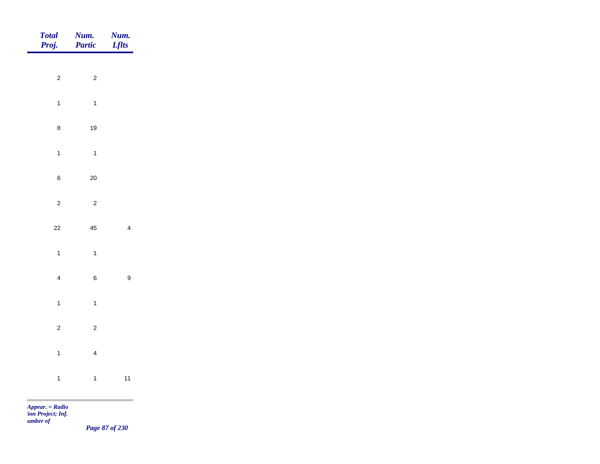| Total<br>Proj. | <b>Num.</b><br>Partic | <b>Num.</b><br>Lflts |
|----------------|-----------------------|----------------------|
|                |                       |                      |
| $\overline{c}$ | $\overline{c}$        |                      |
| $\mathbf{1}$   | $\overline{1}$        |                      |
| $\bf 8$        | $19$                  |                      |
| $\mathbf{1}$   | $\overline{1}$        |                      |
| $\, 6$         | $20\,$                |                      |
| $\overline{c}$ | $\overline{c}$        |                      |
| $22\,$         | $\bf 45$              | $\overline{4}$       |
| $\mathbf{1}$   | $\overline{1}$        |                      |
|                |                       |                      |
| $\overline{4}$ | $\,$ 6 $\,$           | $\boldsymbol{9}$     |
| $\mathbf{1}$   | $\overline{1}$        |                      |
| $\overline{c}$ | $\overline{c}$        |                      |
| $\mathbf{1}$   | $\overline{4}$        |                      |
| $\overline{1}$ | $\overline{1}$        | $11$                 |
|                |                       |                      |

*Page 87 of 230*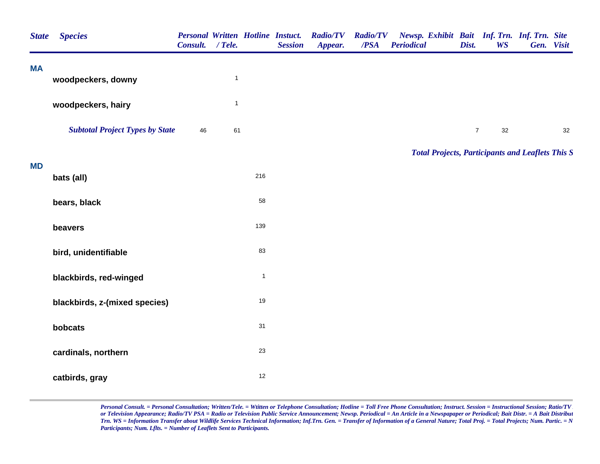| <b>State</b> | <b>Species</b>                         | Consult. | $/$ Tele.    |              | <b>Personal Written Hotline Instuct.</b><br><b>Session</b> | <b>Radio/TV</b><br>Appear. | <b>Radio/TV</b><br>/PSA | <b>Periodical</b> | Dist.          | <b>WS</b> | Newsp. Exhibit Bait Inf. Trn. Inf. Trn. Site<br>Gen. Visit |    |
|--------------|----------------------------------------|----------|--------------|--------------|------------------------------------------------------------|----------------------------|-------------------------|-------------------|----------------|-----------|------------------------------------------------------------|----|
| <b>MA</b>    | woodpeckers, downy                     |          | $\mathbf{1}$ |              |                                                            |                            |                         |                   |                |           |                                                            |    |
|              | woodpeckers, hairy                     |          | $\mathbf{1}$ |              |                                                            |                            |                         |                   |                |           |                                                            |    |
|              | <b>Subtotal Project Types by State</b> | 46       | 61           |              |                                                            |                            |                         |                   | $\overline{7}$ | 32        |                                                            | 32 |
|              |                                        |          |              |              |                                                            |                            |                         |                   |                |           | <b>Total Projects, Participants and Leaflets This S</b>    |    |
| <b>MD</b>    | bats (all)                             |          |              | 216          |                                                            |                            |                         |                   |                |           |                                                            |    |
|              | bears, black                           |          |              | 58           |                                                            |                            |                         |                   |                |           |                                                            |    |
|              | beavers                                |          |              | 139          |                                                            |                            |                         |                   |                |           |                                                            |    |
|              | bird, unidentifiable                   |          |              | 83           |                                                            |                            |                         |                   |                |           |                                                            |    |
|              | blackbirds, red-winged                 |          |              | $\mathbf{1}$ |                                                            |                            |                         |                   |                |           |                                                            |    |
|              | blackbirds, z-(mixed species)          |          |              | $19$         |                                                            |                            |                         |                   |                |           |                                                            |    |
|              | bobcats                                |          |              | 31           |                                                            |                            |                         |                   |                |           |                                                            |    |
|              | cardinals, northern                    |          |              | $23\,$       |                                                            |                            |                         |                   |                |           |                                                            |    |
|              | catbirds, gray                         |          |              | 12           |                                                            |                            |                         |                   |                |           |                                                            |    |
|              |                                        |          |              |              |                                                            |                            |                         |                   |                |           |                                                            |    |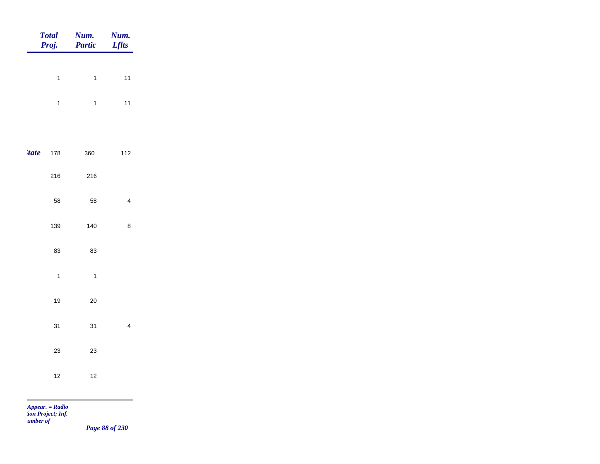|             | <b>Total</b><br>Proj. | Num.<br>Partic | <b>Num.</b><br>Lflts |
|-------------|-----------------------|----------------|----------------------|
|             | $\mathbf{1}$          | $\mathbf{1}$   | $11$                 |
|             |                       |                |                      |
|             | $\mathbf{1}$          | $\overline{1}$ | $11$                 |
|             |                       |                |                      |
| <i>tate</i> | 178                   | 360            | 112                  |
|             | 216                   | 216            |                      |
|             | 58                    | 58             | $\overline{4}$       |
|             | 139                   | 140            | $\bf 8$              |
|             | 83                    | 83             |                      |
|             | $\overline{1}$        | $\overline{1}$ |                      |
|             |                       |                |                      |
|             | 19                    | $20\,$         |                      |
|             | 31                    | 31             | $\overline{4}$       |
|             | $23\,$                | $23\,$         |                      |
|             | $12$                  | $12$           |                      |
|             |                       |                | m.                   |

*Page 88 of 230*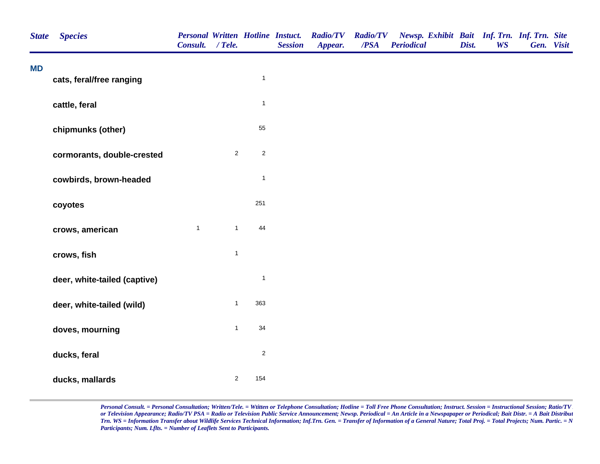| <b>State</b> | <b>Species</b>               | Consult.     | $/$ Tele.      |              | <b>Personal Written Hotline Instuct.</b><br><b>Session</b> | <b>Radio/TV</b><br>Appear. | <b>Radio/TV</b><br>/PSA | Newsp. Exhibit Bait Inf. Trn. Inf. Trn. Site<br><b>Periodical</b> | Dist. | <b>WS</b> | Gen. Visit |  |
|--------------|------------------------------|--------------|----------------|--------------|------------------------------------------------------------|----------------------------|-------------------------|-------------------------------------------------------------------|-------|-----------|------------|--|
| <b>MD</b>    | cats, feral/free ranging     |              |                | $\mathbf{1}$ |                                                            |                            |                         |                                                                   |       |           |            |  |
|              | cattle, feral                |              |                | $\mathbf{1}$ |                                                            |                            |                         |                                                                   |       |           |            |  |
|              | chipmunks (other)            |              |                | 55           |                                                            |                            |                         |                                                                   |       |           |            |  |
|              | cormorants, double-crested   |              | $\overline{2}$ | $\mathbf 2$  |                                                            |                            |                         |                                                                   |       |           |            |  |
|              | cowbirds, brown-headed       |              |                | $\mathbf{1}$ |                                                            |                            |                         |                                                                   |       |           |            |  |
|              | coyotes                      |              |                | 251          |                                                            |                            |                         |                                                                   |       |           |            |  |
|              | crows, american              | $\mathbf{1}$ | $\mathbf{1}$   | 44           |                                                            |                            |                         |                                                                   |       |           |            |  |
|              | crows, fish                  |              | $\mathbf{1}$   |              |                                                            |                            |                         |                                                                   |       |           |            |  |
|              | deer, white-tailed (captive) |              |                | $\mathbf{1}$ |                                                            |                            |                         |                                                                   |       |           |            |  |
|              | deer, white-tailed (wild)    |              | $\mathbf{1}$   | 363          |                                                            |                            |                         |                                                                   |       |           |            |  |
|              | doves, mourning              |              | $\mathbf{1}$   | 34           |                                                            |                            |                         |                                                                   |       |           |            |  |
|              | ducks, feral                 |              |                | $\mathbf 2$  |                                                            |                            |                         |                                                                   |       |           |            |  |
|              | ducks, mallards              |              | $\overline{2}$ | 154          |                                                            |                            |                         |                                                                   |       |           |            |  |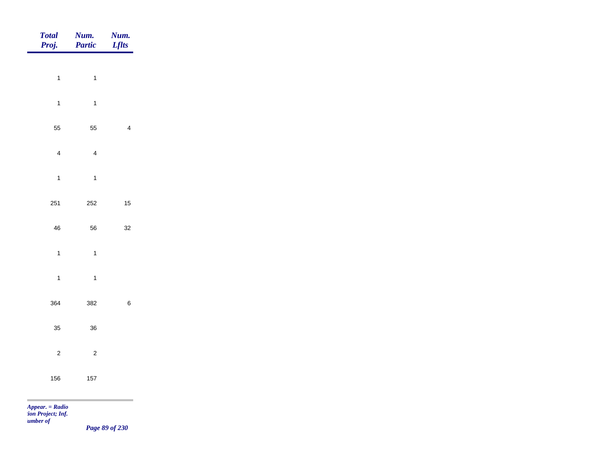| $\mathbf{1}$<br>$\overline{1}$<br>$\mathbf{1}$<br>$\overline{\mathbf{1}}$<br>55<br>55<br>$\overline{\mathbf{4}}$<br>$\overline{4}$<br>$\mathbf{1}$<br>$\overline{1}$<br>251<br>252<br>56<br>${\bf 46}$ | $\overline{\mathbf{4}}$ |
|--------------------------------------------------------------------------------------------------------------------------------------------------------------------------------------------------------|-------------------------|
|                                                                                                                                                                                                        | $15\,$                  |
|                                                                                                                                                                                                        |                         |
|                                                                                                                                                                                                        |                         |
|                                                                                                                                                                                                        |                         |
|                                                                                                                                                                                                        |                         |
|                                                                                                                                                                                                        |                         |
|                                                                                                                                                                                                        |                         |
|                                                                                                                                                                                                        | $32\,$                  |
| $\mathbf{1}$<br>$\overline{1}$                                                                                                                                                                         |                         |
| $\mathbf{1}$<br>$\overline{1}$                                                                                                                                                                         |                         |
| 364<br>382                                                                                                                                                                                             | $\,$ 6 $\,$             |
|                                                                                                                                                                                                        |                         |
| 35<br>36                                                                                                                                                                                               |                         |
| $\overline{c}$<br>$\sqrt{2}$                                                                                                                                                                           |                         |
| 156<br>157                                                                                                                                                                                             |                         |

*Page 89 of 230*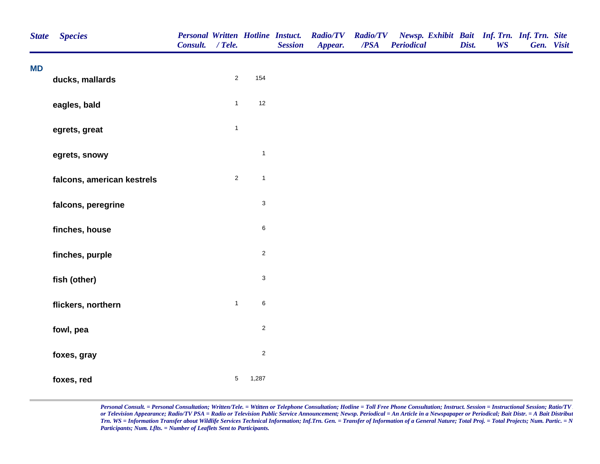| <b>State</b> | <b>Species</b>             | Consult. / Tele. |                 |                           | <b>Session</b> | Personal Written Hotline Instuct. Radio/TV<br>Appear. | <b>Radio/TV</b><br>/PSA | Newsp. Exhibit Bait Inf. Trn. Inf. Trn. Site<br><b>Periodical</b> | Dist. | <b>WS</b> | Gen. Visit |  |
|--------------|----------------------------|------------------|-----------------|---------------------------|----------------|-------------------------------------------------------|-------------------------|-------------------------------------------------------------------|-------|-----------|------------|--|
| <b>MD</b>    | ducks, mallards            |                  | $\overline{2}$  | 154                       |                |                                                       |                         |                                                                   |       |           |            |  |
|              | eagles, bald               |                  | $\mathbf{1}$    | $12\,$                    |                |                                                       |                         |                                                                   |       |           |            |  |
|              | egrets, great              |                  | $\mathbf{1}$    |                           |                |                                                       |                         |                                                                   |       |           |            |  |
|              | egrets, snowy              |                  |                 | $\mathbf 1$               |                |                                                       |                         |                                                                   |       |           |            |  |
|              | falcons, american kestrels |                  | $\overline{2}$  | $\mathbf{1}$              |                |                                                       |                         |                                                                   |       |           |            |  |
|              | falcons, peregrine         |                  |                 | $\ensuremath{\mathsf{3}}$ |                |                                                       |                         |                                                                   |       |           |            |  |
|              | finches, house             |                  |                 | $\,6\,$                   |                |                                                       |                         |                                                                   |       |           |            |  |
|              | finches, purple            |                  |                 | $\overline{2}$            |                |                                                       |                         |                                                                   |       |           |            |  |
|              | fish (other)               |                  |                 | $\mathbf{3}$              |                |                                                       |                         |                                                                   |       |           |            |  |
|              | flickers, northern         |                  | $\mathbf{1}$    | $\,6\,$                   |                |                                                       |                         |                                                                   |       |           |            |  |
|              | fowl, pea                  |                  |                 | $\overline{a}$            |                |                                                       |                         |                                                                   |       |           |            |  |
|              | foxes, gray                |                  |                 | $\sqrt{2}$                |                |                                                       |                         |                                                                   |       |           |            |  |
|              | foxes, red                 |                  | $5\phantom{.0}$ | 1,287                     |                |                                                       |                         |                                                                   |       |           |            |  |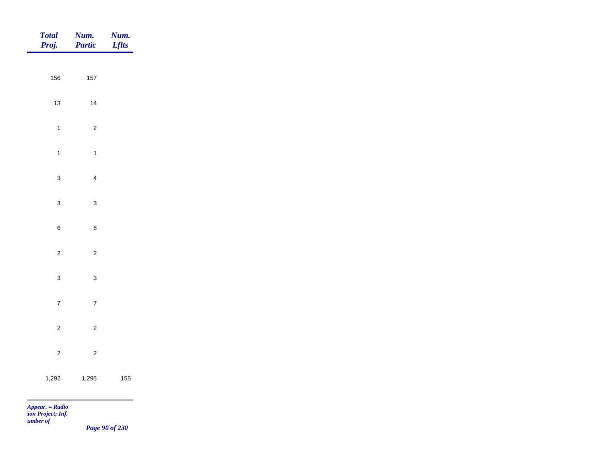| Total<br>Proj.                       | Num.<br>Partic          | <b>Num.</b><br>Lflts |
|--------------------------------------|-------------------------|----------------------|
|                                      |                         |                      |
| 156                                  | $157\,$                 |                      |
| $13$                                 | $14$                    |                      |
| $\overline{1}$                       | $\overline{c}$          |                      |
| $\overline{1}$                       | $\mathbf{1}$            |                      |
| $\mathbf{3}$                         | $\overline{4}$          |                      |
|                                      |                         |                      |
| $\mathbf{3}$                         | $\mathbf 3$             |                      |
| $\,6\,$                              | $\, 6$                  |                      |
| $\overline{c}$                       | $\overline{c}$          |                      |
| $\mathbf{3}$                         | $\mathbf{3}$            |                      |
| $\overline{7}$                       | $\overline{7}$          |                      |
|                                      |                         |                      |
| $\overline{c}$                       | $\overline{c}$          |                      |
| $\overline{c}$                       | $\overline{\mathbf{c}}$ |                      |
| 1,292                                | 1,295                   | 155                  |
| <b>Contract</b><br>$Appear. = Radio$ |                         | a sa sala            |

*Page 90 of 230*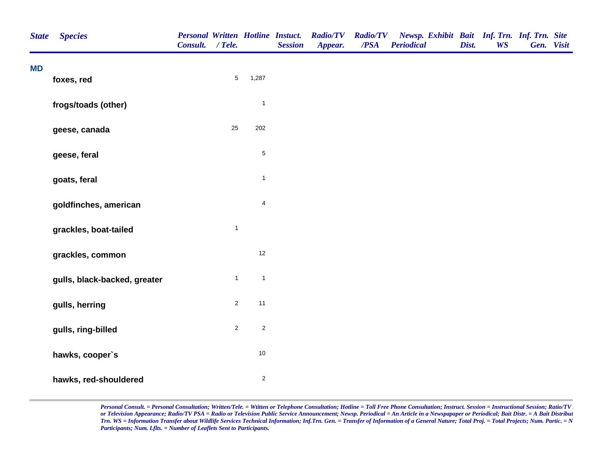| <b>State</b> | <b>Species</b>               | <b>Personal Written Hotline Instuct.</b><br>Consult. / Tele. |                |                         | <b>Session</b> | <b>Radio/TV</b><br>Appear. | <b>Radio/TV</b><br>/PSA | Newsp. Exhibit Bait Inf. Trn. Inf. Trn. Site<br><b>Periodical</b> | Dist. | <b>WS</b> | Gen. Visit |  |
|--------------|------------------------------|--------------------------------------------------------------|----------------|-------------------------|----------------|----------------------------|-------------------------|-------------------------------------------------------------------|-------|-----------|------------|--|
| <b>MD</b>    | foxes, red                   |                                                              | $\overline{5}$ | 1,287                   |                |                            |                         |                                                                   |       |           |            |  |
|              |                              |                                                              |                |                         |                |                            |                         |                                                                   |       |           |            |  |
|              | frogs/toads (other)          |                                                              |                | $\overline{1}$          |                |                            |                         |                                                                   |       |           |            |  |
|              | geese, canada                |                                                              | $25\,$         | 202                     |                |                            |                         |                                                                   |       |           |            |  |
|              | geese, feral                 |                                                              |                | $\,$ 5 $\,$             |                |                            |                         |                                                                   |       |           |            |  |
|              | goats, feral                 |                                                              |                | $\mathbf{1}$            |                |                            |                         |                                                                   |       |           |            |  |
|              | goldfinches, american        |                                                              |                | $\overline{\mathbf{4}}$ |                |                            |                         |                                                                   |       |           |            |  |
|              | grackles, boat-tailed        |                                                              | $\mathbf{1}$   |                         |                |                            |                         |                                                                   |       |           |            |  |
|              | grackles, common             |                                                              |                | 12                      |                |                            |                         |                                                                   |       |           |            |  |
|              | gulls, black-backed, greater |                                                              | $\mathbf{1}$   | $\overline{1}$          |                |                            |                         |                                                                   |       |           |            |  |
|              | gulls, herring               |                                                              | $\sqrt{2}$     | 11                      |                |                            |                         |                                                                   |       |           |            |  |
|              | gulls, ring-billed           |                                                              | $\sqrt{2}$     | $\sqrt{2}$              |                |                            |                         |                                                                   |       |           |            |  |
|              | hawks, cooper's              |                                                              |                | $10\,$                  |                |                            |                         |                                                                   |       |           |            |  |
|              | hawks, red-shouldered        |                                                              |                | $\sqrt{2}$              |                |                            |                         |                                                                   |       |           |            |  |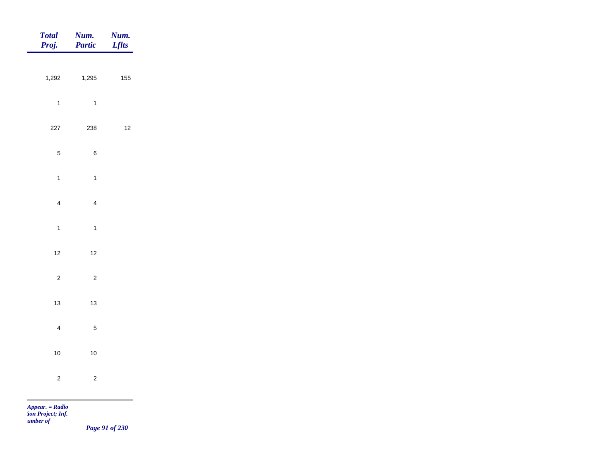| <b>Total</b><br>Proj. | Num.<br>Partic | Num.<br><b>Lflts</b> |
|-----------------------|----------------|----------------------|
|                       |                |                      |
| 1,292                 | 1,295          | 155                  |
| $\overline{1}$        | $\overline{1}$ |                      |
| 227                   | 238            | $12\,$               |
| $\sqrt{5}$            | $\,6\,$        |                      |
| $\overline{1}$        | $\mathbf{1}$   |                      |
|                       |                |                      |
| $\overline{4}$        | $\overline{4}$ |                      |
| $\overline{1}$        | $\mathbf{1}$   |                      |
| $12$                  | $12$           |                      |
| $\overline{c}$        | $\overline{c}$ |                      |
| $13$                  | $13\,$         |                      |
|                       |                |                      |
| $\overline{4}$        | $\sqrt{5}$     |                      |
| $10$                  | $10\,$         |                      |
| $\overline{2}$        | $\overline{c}$ |                      |
| $Appear. = Radio$     |                |                      |

*tion Project; Inf. Number of* 

*Page 91 of 230*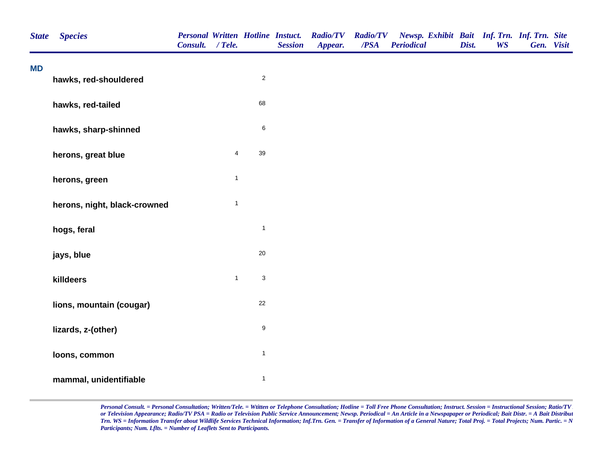| <b>State</b> | <b>Species</b>               | <b>Personal Written Hotline Instuct.</b><br>Consult. / Tele. |              |                           | <b>Session</b> | <b>Radio/TV</b><br>Appear. | <b>Radio/TV</b><br>/PSA | Newsp. Exhibit Bait Inf. Trn. Inf. Trn. Site<br><b>Periodical</b> | Dist. | <b>WS</b> | Gen. Visit |  |
|--------------|------------------------------|--------------------------------------------------------------|--------------|---------------------------|----------------|----------------------------|-------------------------|-------------------------------------------------------------------|-------|-----------|------------|--|
| <b>MD</b>    | hawks, red-shouldered        |                                                              |              | $\sqrt{2}$                |                |                            |                         |                                                                   |       |           |            |  |
|              |                              |                                                              |              |                           |                |                            |                         |                                                                   |       |           |            |  |
|              | hawks, red-tailed            |                                                              |              | 68                        |                |                            |                         |                                                                   |       |           |            |  |
|              | hawks, sharp-shinned         |                                                              |              | $\,6$                     |                |                            |                         |                                                                   |       |           |            |  |
|              | herons, great blue           |                                                              | 4            | 39                        |                |                            |                         |                                                                   |       |           |            |  |
|              | herons, green                |                                                              | $\mathbf{1}$ |                           |                |                            |                         |                                                                   |       |           |            |  |
|              | herons, night, black-crowned |                                                              | $\mathbf{1}$ |                           |                |                            |                         |                                                                   |       |           |            |  |
|              | hogs, feral                  |                                                              |              | $\mathbf{1}$              |                |                            |                         |                                                                   |       |           |            |  |
|              | jays, blue                   |                                                              |              | $20\,$                    |                |                            |                         |                                                                   |       |           |            |  |
|              | killdeers                    |                                                              | $\mathbf{1}$ | $\ensuremath{\mathsf{3}}$ |                |                            |                         |                                                                   |       |           |            |  |
|              | lions, mountain (cougar)     |                                                              |              | 22                        |                |                            |                         |                                                                   |       |           |            |  |
|              | lizards, z-(other)           |                                                              |              | $\boldsymbol{9}$          |                |                            |                         |                                                                   |       |           |            |  |
|              | loons, common                |                                                              |              | $\mathbf{1}$              |                |                            |                         |                                                                   |       |           |            |  |
|              | mammal, unidentifiable       |                                                              |              | $\mathbf{1}$              |                |                            |                         |                                                                   |       |           |            |  |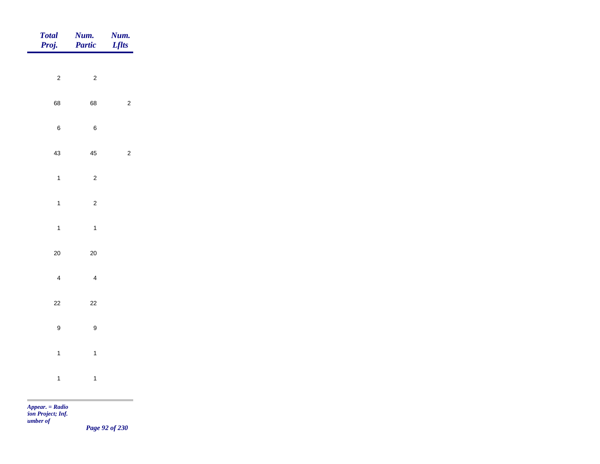| Total<br>Proj.   | Num.<br>Partic          | Num.<br><b>Lflts</b> |
|------------------|-------------------------|----------------------|
| $\overline{c}$   | $\overline{c}$          |                      |
| 68               | 68                      | $\overline{2}$       |
|                  |                         |                      |
| $\boldsymbol{6}$ | $\,6\,$                 |                      |
| 43               | $\bf 45$                | $\overline{c}$       |
| $\overline{1}$   | $\overline{c}$          |                      |
| $\overline{1}$   | $\mathbf 2$             |                      |
| $\overline{1}$   | $\mathbf{1}$            |                      |
| $20\,$           | $20\,$                  |                      |
| $\overline{4}$   | $\overline{\mathbf{4}}$ |                      |
| $22\,$           | $22\,$                  |                      |
| $\boldsymbol{9}$ | $\boldsymbol{9}$        |                      |
|                  |                         |                      |
| $\overline{1}$   | $\mathbf{1}$            |                      |
| $\overline{1}$   | $\mathbf{1}$            |                      |

m

*Page 92 of 230*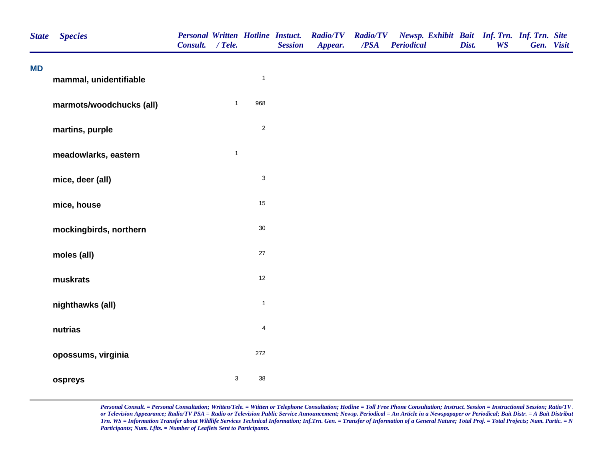| <b>State</b> | <b>Species</b>           | Consult. / Tele. |              |                           | <b>Session</b> | Personal Written Hotline Instuct. Radio/TV<br>Appear. | <b>Radio/TV</b><br>/PSA | Newsp. Exhibit Bait Inf. Trn. Inf. Trn. Site<br><b>Periodical</b> | Dist. | <b>WS</b> | Gen. Visit |  |
|--------------|--------------------------|------------------|--------------|---------------------------|----------------|-------------------------------------------------------|-------------------------|-------------------------------------------------------------------|-------|-----------|------------|--|
| <b>MD</b>    | mammal, unidentifiable   |                  |              | $\mathbf{1}$              |                |                                                       |                         |                                                                   |       |           |            |  |
|              | marmots/woodchucks (all) |                  | $\mathbf{1}$ | 968                       |                |                                                       |                         |                                                                   |       |           |            |  |
|              | martins, purple          |                  |              | $\mathbf 2$               |                |                                                       |                         |                                                                   |       |           |            |  |
|              | meadowlarks, eastern     |                  | $\mathbf{1}$ |                           |                |                                                       |                         |                                                                   |       |           |            |  |
|              | mice, deer (all)         |                  |              | $\ensuremath{\mathsf{3}}$ |                |                                                       |                         |                                                                   |       |           |            |  |
|              | mice, house              |                  |              | 15                        |                |                                                       |                         |                                                                   |       |           |            |  |
|              | mockingbirds, northern   |                  |              | $30\,$                    |                |                                                       |                         |                                                                   |       |           |            |  |
|              | moles (all)              |                  |              | 27                        |                |                                                       |                         |                                                                   |       |           |            |  |
|              | muskrats                 |                  |              | 12                        |                |                                                       |                         |                                                                   |       |           |            |  |
|              | nighthawks (all)         |                  |              | $\mathbf{1}$              |                |                                                       |                         |                                                                   |       |           |            |  |
|              | nutrias                  |                  |              | $\overline{\mathbf{4}}$   |                |                                                       |                         |                                                                   |       |           |            |  |
|              | opossums, virginia       |                  |              | 272                       |                |                                                       |                         |                                                                   |       |           |            |  |
|              | ospreys                  |                  | $\mathsf 3$  | 38                        |                |                                                       |                         |                                                                   |       |           |            |  |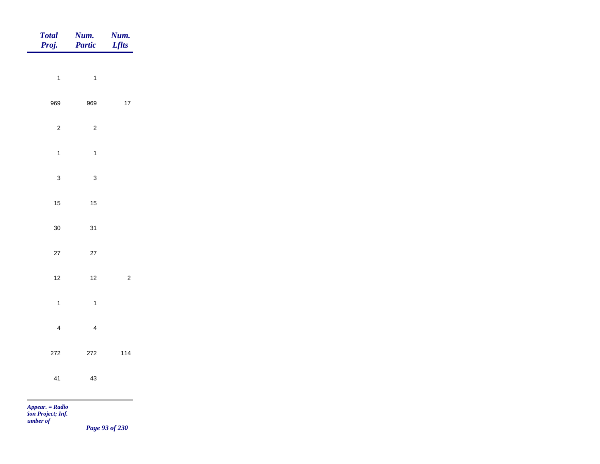| <b>Total</b><br>Proj.                            | Num.<br>Partic | Num.<br><b>Lflts</b> |
|--------------------------------------------------|----------------|----------------------|
|                                                  |                |                      |
| $\mathbf{1}$                                     | $\mathbf{1}$   |                      |
| 969                                              | 969            | $17\,$               |
| $\sqrt{2}$                                       | $\sqrt{2}$     |                      |
| $\mathbf{1}$                                     | $\mathbf{1}$   |                      |
| $\mathbf{3}$                                     | $\mathsf 3$    |                      |
| 15                                               | $15\,$         |                      |
| $30\,$                                           | 31             |                      |
| $27\,$                                           | $27\,$         |                      |
|                                                  |                |                      |
| $12$                                             | $12$           | $\sqrt{2}$           |
| $\mathbf{1}$                                     | $\mathbf{1}$   |                      |
| $\overline{\mathbf{4}}$                          | $\overline{4}$ |                      |
| 272                                              | $272\,$        | 114                  |
| 41                                               | $43\,$         |                      |
| <b>The State</b>                                 |                |                      |
| Appear. = Radio<br>ion Project; Inf.<br>umber of |                |                      |

*Page 93 of 230*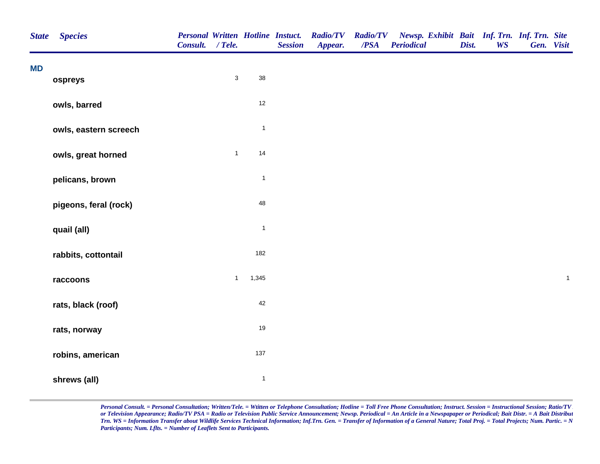| <b>State</b> | <b>Species</b>        | Consult. / Tele. |              |              | <b>Personal Written Hotline Instuct.</b><br><b>Session</b> | <b>Radio/TV</b><br>Appear. | <b>Radio/TV</b><br>$\overline{PSA}$ | Newsp. Exhibit Bait Inf. Trn. Inf. Trn. Site<br><b>Periodical</b> | Dist. | <b>WS</b> | Gen. Visit |              |
|--------------|-----------------------|------------------|--------------|--------------|------------------------------------------------------------|----------------------------|-------------------------------------|-------------------------------------------------------------------|-------|-----------|------------|--------------|
| <b>MD</b>    | ospreys               |                  | $\mathbf{3}$ | 38           |                                                            |                            |                                     |                                                                   |       |           |            |              |
|              | owls, barred          |                  |              | $12\,$       |                                                            |                            |                                     |                                                                   |       |           |            |              |
|              | owls, eastern screech |                  |              | $\mathbf{1}$ |                                                            |                            |                                     |                                                                   |       |           |            |              |
|              | owls, great horned    |                  | $\mathbf{1}$ | 14           |                                                            |                            |                                     |                                                                   |       |           |            |              |
|              | pelicans, brown       |                  |              | $\mathbf{1}$ |                                                            |                            |                                     |                                                                   |       |           |            |              |
|              | pigeons, feral (rock) |                  |              | 48           |                                                            |                            |                                     |                                                                   |       |           |            |              |
|              | quail (all)           |                  |              | $\mathbf{1}$ |                                                            |                            |                                     |                                                                   |       |           |            |              |
|              | rabbits, cottontail   |                  |              | 182          |                                                            |                            |                                     |                                                                   |       |           |            |              |
|              | raccoons              |                  | $\mathbf{1}$ | 1,345        |                                                            |                            |                                     |                                                                   |       |           |            | $\mathbf{1}$ |
|              | rats, black (roof)    |                  |              | 42           |                                                            |                            |                                     |                                                                   |       |           |            |              |
|              | rats, norway          |                  |              | 19           |                                                            |                            |                                     |                                                                   |       |           |            |              |
|              | robins, american      |                  |              | 137          |                                                            |                            |                                     |                                                                   |       |           |            |              |
|              | shrews (all)          |                  |              | $\mathbf{1}$ |                                                            |                            |                                     |                                                                   |       |           |            |              |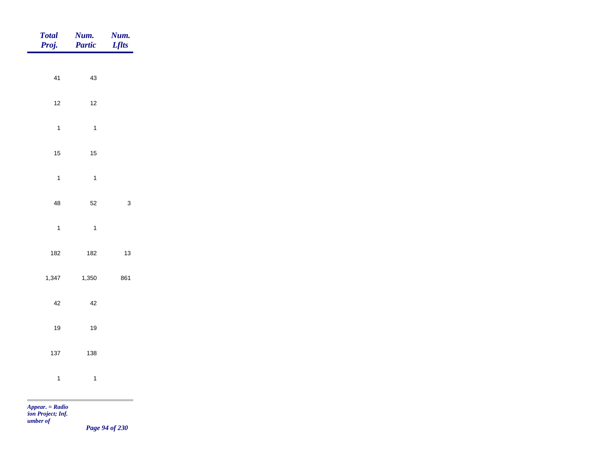| <b>Total</b><br>Proj. | Num.<br>Partic | Num.<br><b>Lflts</b> |
|-----------------------|----------------|----------------------|
|                       |                |                      |
| 41                    | 43             |                      |
| $12$                  | $12\,$         |                      |
| $\mathbf{1}$          | $\overline{1}$ |                      |
| $15$                  | $15\,$         |                      |
| $\mathbf{1}$          | $\overline{1}$ |                      |
| $\bf 48$              | 52             | $\mathbf{3}$         |
|                       | $\overline{1}$ |                      |
| $\mathbf{1}$          |                |                      |
| 182                   | 182            | $13$                 |
| 1,347                 | 1,350          | 861                  |
| $42\,$                | $42\,$         |                      |
| $19$                  | $19$           |                      |
| 137                   | 138            |                      |
| $\mathbf{1}$          | $\mathbf{1}$   |                      |
| Appear. = Radio       |                |                      |

*tion Project; Inf. Number of* 

*Page 94 of 230*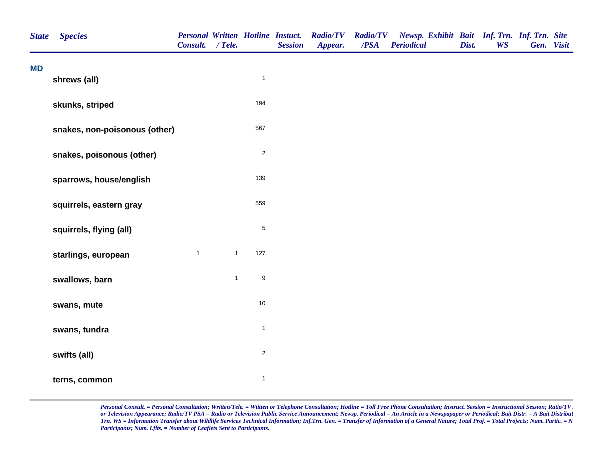| <b>State</b> | <b>Species</b>                | <b>Personal Written Hotline Instuct.</b><br>Consult. / Tele. |              |                  | <b>Session</b> | <b>Radio/TV</b><br>Appear. | <b>Radio/TV</b><br>/PSA | Newsp. Exhibit Bait Inf. Trn. Inf. Trn. Site<br><b>Periodical</b> | Dist. | <b>WS</b> | Gen. Visit |  |
|--------------|-------------------------------|--------------------------------------------------------------|--------------|------------------|----------------|----------------------------|-------------------------|-------------------------------------------------------------------|-------|-----------|------------|--|
| <b>MD</b>    | shrews (all)                  |                                                              |              | $\mathbf{1}$     |                |                            |                         |                                                                   |       |           |            |  |
|              | skunks, striped               |                                                              |              | 194              |                |                            |                         |                                                                   |       |           |            |  |
|              | snakes, non-poisonous (other) |                                                              |              | 567              |                |                            |                         |                                                                   |       |           |            |  |
|              | snakes, poisonous (other)     |                                                              |              | $\overline{2}$   |                |                            |                         |                                                                   |       |           |            |  |
|              | sparrows, house/english       |                                                              |              | 139              |                |                            |                         |                                                                   |       |           |            |  |
|              | squirrels, eastern gray       |                                                              |              | 559              |                |                            |                         |                                                                   |       |           |            |  |
|              | squirrels, flying (all)       |                                                              |              | $\mathbf 5$      |                |                            |                         |                                                                   |       |           |            |  |
|              | starlings, european           | $\mathbf{1}$                                                 | $\mathbf{1}$ | 127              |                |                            |                         |                                                                   |       |           |            |  |
|              | swallows, barn                |                                                              | $\mathbf{1}$ | $\boldsymbol{9}$ |                |                            |                         |                                                                   |       |           |            |  |
|              | swans, mute                   |                                                              |              | $10$             |                |                            |                         |                                                                   |       |           |            |  |
|              | swans, tundra                 |                                                              |              | $\mathbf{1}$     |                |                            |                         |                                                                   |       |           |            |  |
|              | swifts (all)                  |                                                              |              | $\overline{c}$   |                |                            |                         |                                                                   |       |           |            |  |
|              | terns, common                 |                                                              |              | $\mathbf{1}$     |                |                            |                         |                                                                   |       |           |            |  |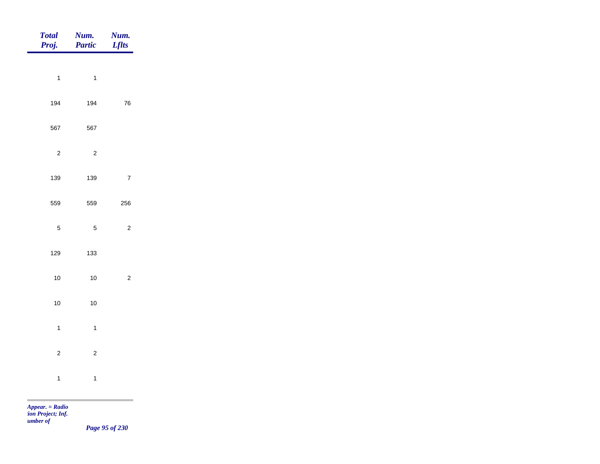| <b>Total</b><br>Proj. | Num.<br>Partic | Num.<br><b>Lflts</b> |
|-----------------------|----------------|----------------------|
|                       |                |                      |
| $\overline{1}$        | $\overline{1}$ |                      |
| 194                   | 194            | ${\bf 76}$           |
| 567                   | 567            |                      |
| $\sqrt{2}$            | $\sqrt{2}$     |                      |
| 139                   | 139            | $\overline{7}$       |
| 559                   | 559            | 256                  |
| $\sqrt{5}$            | $\sqrt{5}$     | $\sqrt{2}$           |
|                       |                |                      |
| 129                   | 133            |                      |
| $10\,$                | $10$           | $\sqrt{2}$           |
| $10\,$                | $10$           |                      |
| $\mathbf{1}$          | $\overline{1}$ |                      |
| $\overline{2}$        | $\mathbf 2$    |                      |
| $\mathbf{1}$          | $\mathbf{1}$   |                      |
|                       |                |                      |

*Page 95 of 230*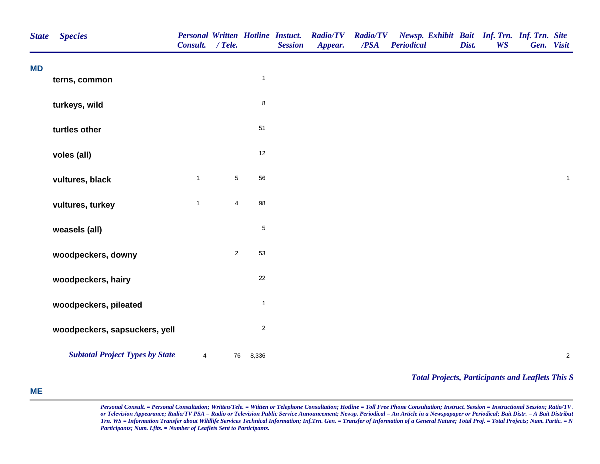| <b>State</b> | <b>Species</b>                         | <b>Personal Written Hotline Instuct.</b><br>Consult. / Tele. |                |              | <b>Session</b> | <b>Radio/TV</b><br>Appear. | <b>Radio/TV</b><br>$\overline{PSA}$ | Newsp. Exhibit Bait Inf. Trn. Inf. Trn. Site<br><b>Periodical</b> | Dist. | <b>WS</b> | Gen. Visit |             |
|--------------|----------------------------------------|--------------------------------------------------------------|----------------|--------------|----------------|----------------------------|-------------------------------------|-------------------------------------------------------------------|-------|-----------|------------|-------------|
| <b>MD</b>    | terns, common                          |                                                              |                | $\mathbf{1}$ |                |                            |                                     |                                                                   |       |           |            |             |
|              | turkeys, wild                          |                                                              |                | $\bf 8$      |                |                            |                                     |                                                                   |       |           |            |             |
|              | turtles other                          |                                                              |                | 51           |                |                            |                                     |                                                                   |       |           |            |             |
|              | voles (all)                            |                                                              |                | 12           |                |                            |                                     |                                                                   |       |           |            |             |
|              | vultures, black                        | $\mathbf{1}$                                                 | $\sqrt{5}$     | 56           |                |                            |                                     |                                                                   |       |           |            | $\mathbf 1$ |
|              | vultures, turkey                       | $\mathbf{1}$                                                 | $\overline{4}$ | 98           |                |                            |                                     |                                                                   |       |           |            |             |
|              | weasels (all)                          |                                                              |                | $\,$ 5 $\,$  |                |                            |                                     |                                                                   |       |           |            |             |
|              | woodpeckers, downy                     |                                                              | $\overline{2}$ | 53           |                |                            |                                     |                                                                   |       |           |            |             |
|              | woodpeckers, hairy                     |                                                              |                | 22           |                |                            |                                     |                                                                   |       |           |            |             |
|              | woodpeckers, pileated                  |                                                              |                | $\mathbf{1}$ |                |                            |                                     |                                                                   |       |           |            |             |
|              | woodpeckers, sapsuckers, yell          |                                                              |                | $\sqrt{2}$   |                |                            |                                     |                                                                   |       |           |            |             |
|              | <b>Subtotal Project Types by State</b> | $\overline{4}$                                               | 76             | 8,336        |                |                            |                                     |                                                                   |       |           |            | $\sqrt{2}$  |

*Total Projects, Participants and Leaflets This S*

## **ME**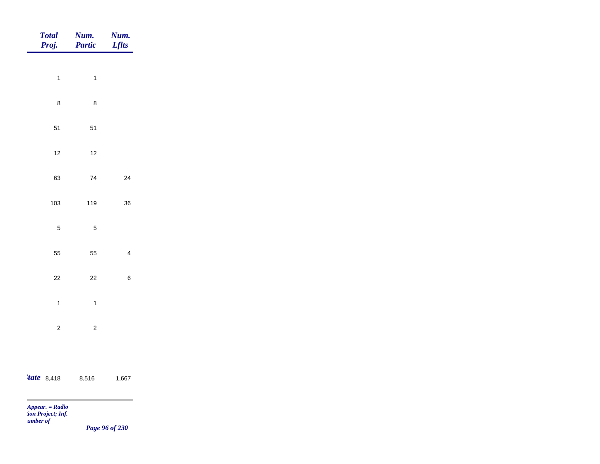| <b>Total</b><br>Proj. | Num.<br>Partic | Num.<br><b>Lflts</b> |
|-----------------------|----------------|----------------------|
| $\mathbf{1}$          | $\mathbf{1}$   |                      |
| $\bf 8$               | $\bf 8$        |                      |
| 51                    | $51$           |                      |
| $12$                  | $12$           |                      |
| 63                    | ${\bf 74}$     | 24                   |
| 103                   | 119            | 36                   |
| $\sqrt{5}$            | $\sqrt{5}$     |                      |
| 55                    | 55             | $\overline{4}$       |
| $22\,$                | $22\,$         | $\,6\,$              |
| $\overline{1}$        | $\mathbf{1}$   |                      |
| $\overline{c}$        | $\overline{c}$ |                      |
|                       |                |                      |
| <i>tate</i> 8,418     | 8,516          | 1,667                |

 $\sim$ 

*Page 96 of 230*

÷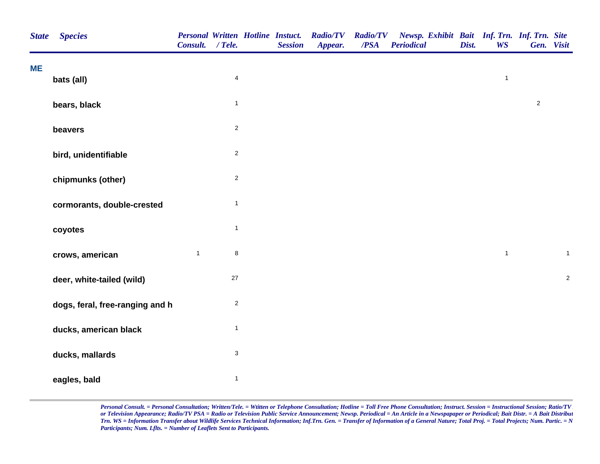| <b>State</b> | <b>Species</b>                  | Consult. / Tele. |                | <b>Personal Written Hotline Instuct.</b><br><b>Session</b> | <b>Radio/TV</b><br>Appear. | <b>Radio/TV</b><br>/PSA | Newsp. Exhibit Bait Inf. Trn. Inf. Trn. Site<br><b>Periodical</b> | Dist. | <b>WS</b>    | Gen. Visit     |                |
|--------------|---------------------------------|------------------|----------------|------------------------------------------------------------|----------------------------|-------------------------|-------------------------------------------------------------------|-------|--------------|----------------|----------------|
| <b>ME</b>    | bats (all)                      |                  | $\overline{4}$ |                                                            |                            |                         |                                                                   |       | $\mathbf{1}$ |                |                |
|              | bears, black                    |                  | $\overline{1}$ |                                                            |                            |                         |                                                                   |       |              | $\overline{c}$ |                |
|              | beavers                         |                  | $\mathbf{2}$   |                                                            |                            |                         |                                                                   |       |              |                |                |
|              | bird, unidentifiable            |                  | $\mathbf{2}$   |                                                            |                            |                         |                                                                   |       |              |                |                |
|              | chipmunks (other)               |                  | $\mathbf 2$    |                                                            |                            |                         |                                                                   |       |              |                |                |
|              | cormorants, double-crested      |                  | $\mathbf{1}$   |                                                            |                            |                         |                                                                   |       |              |                |                |
|              | coyotes                         |                  | $\mathbf{1}$   |                                                            |                            |                         |                                                                   |       |              |                |                |
|              | crows, american                 | $\mathbf{1}$     | $\bf 8$        |                                                            |                            |                         |                                                                   |       | $\mathbf{1}$ |                | $\mathbf{1}$   |
|              | deer, white-tailed (wild)       |                  | $27\,$         |                                                            |                            |                         |                                                                   |       |              |                | $\overline{c}$ |
|              | dogs, feral, free-ranging and h |                  | $\sqrt{2}$     |                                                            |                            |                         |                                                                   |       |              |                |                |
|              | ducks, american black           |                  | $\mathbf{1}$   |                                                            |                            |                         |                                                                   |       |              |                |                |
|              | ducks, mallards                 |                  | $\sqrt{3}$     |                                                            |                            |                         |                                                                   |       |              |                |                |
|              | eagles, bald                    |                  | $\mathbf{1}$   |                                                            |                            |                         |                                                                   |       |              |                |                |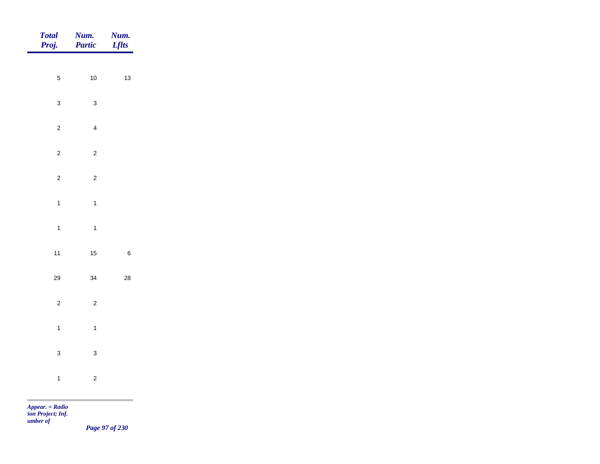|                | <b>Num.</b><br>Lflts                                                                    |
|----------------|-----------------------------------------------------------------------------------------|
|                |                                                                                         |
|                | $13$                                                                                    |
| $\mathbf{3}$   |                                                                                         |
| $\overline{4}$ |                                                                                         |
| $\overline{c}$ |                                                                                         |
| $\overline{c}$ |                                                                                         |
|                |                                                                                         |
|                |                                                                                         |
|                |                                                                                         |
|                | $\,6\,$                                                                                 |
| $34\,$         | ${\bf 28}$                                                                              |
| $\overline{c}$ |                                                                                         |
| $\mathbf{1}$   |                                                                                         |
| $\mathbf{3}$   |                                                                                         |
|                |                                                                                         |
|                |                                                                                         |
|                | <b>Num.</b><br>Partic<br>$10$<br>$\overline{1}$<br>$\mathbf{1}$<br>15<br>$\overline{c}$ |

*Page 97 of 230*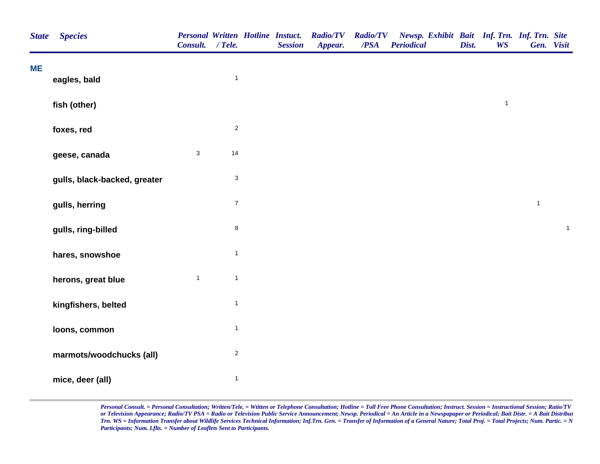| <b>State</b> | <b>Species</b>               | Consult. / Tele. |                           | <b>Personal Written Hotline Instuct.</b><br><b>Session</b> | <b>Radio/TV</b><br>Appear. | <b>Radio/TV</b><br>/PSA | Newsp. Exhibit Bait Inf. Trn. Inf. Trn. Site<br><b>Periodical</b> | Dist. | <b>WS</b>    |              | Gen. Visit   |
|--------------|------------------------------|------------------|---------------------------|------------------------------------------------------------|----------------------------|-------------------------|-------------------------------------------------------------------|-------|--------------|--------------|--------------|
| <b>ME</b>    | eagles, bald                 |                  | $\overline{1}$            |                                                            |                            |                         |                                                                   |       |              |              |              |
|              | fish (other)                 |                  |                           |                                                            |                            |                         |                                                                   |       | $\mathbf{1}$ |              |              |
|              | foxes, red                   |                  | $\sqrt{2}$                |                                                            |                            |                         |                                                                   |       |              |              |              |
|              | geese, canada                | $\mathsf 3$      | 14                        |                                                            |                            |                         |                                                                   |       |              |              |              |
|              | gulls, black-backed, greater |                  | $\ensuremath{\mathsf{3}}$ |                                                            |                            |                         |                                                                   |       |              |              |              |
|              | gulls, herring               |                  | $\boldsymbol{7}$          |                                                            |                            |                         |                                                                   |       |              | $\mathbf{1}$ |              |
|              | gulls, ring-billed           |                  | $\,8\,$                   |                                                            |                            |                         |                                                                   |       |              |              | $\mathbf{1}$ |
|              | hares, snowshoe              |                  | $\overline{1}$            |                                                            |                            |                         |                                                                   |       |              |              |              |
|              | herons, great blue           | $\mathbf{1}$     | $\overline{1}$            |                                                            |                            |                         |                                                                   |       |              |              |              |
|              | kingfishers, belted          |                  | $\overline{1}$            |                                                            |                            |                         |                                                                   |       |              |              |              |
|              | loons, common                |                  | $\overline{1}$            |                                                            |                            |                         |                                                                   |       |              |              |              |
|              | marmots/woodchucks (all)     |                  | $\mathbf 2$               |                                                            |                            |                         |                                                                   |       |              |              |              |
|              | mice, deer (all)             |                  | $\mathbf{1}$              |                                                            |                            |                         |                                                                   |       |              |              |              |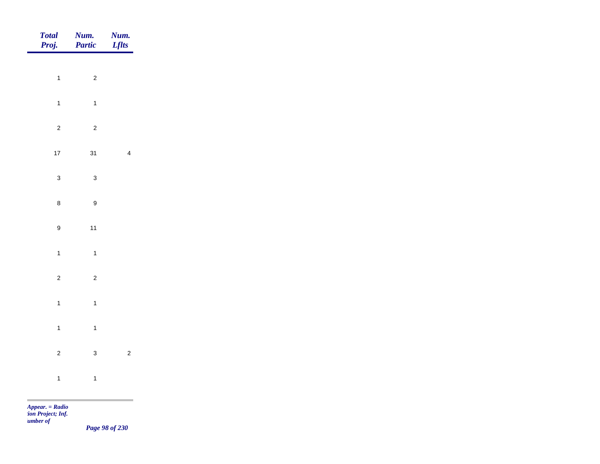| Total<br>Proj.   | <b>Num.</b><br><b>Partic</b> | <b>Num.</b><br>Lflts |
|------------------|------------------------------|----------------------|
| $\overline{1}$   | $\overline{\mathbf{c}}$      |                      |
|                  |                              |                      |
| $\mathbf{1}$     | $\overline{1}$               |                      |
| $\overline{c}$   | $\overline{c}$               |                      |
| $17\,$           | 31                           | $\overline{4}$       |
| $\mathbf{3}$     | $\mathbf{3}$                 |                      |
| $\bf 8$          | $\boldsymbol{9}$             |                      |
| $\boldsymbol{9}$ | $11$                         |                      |
| $\mathbf{1}$     | $\overline{1}$               |                      |
|                  |                              |                      |
| $\overline{2}$   | $\overline{c}$               |                      |
| $\mathbf{1}$     | $\overline{1}$               |                      |
| $\overline{1}$   | $\overline{1}$               |                      |
| $\overline{c}$   | $\mathbf{3}$                 | $\overline{c}$       |
| $\mathbf{1}$     | $\overline{1}$               |                      |
|                  |                              |                      |

*Page 98 of 230*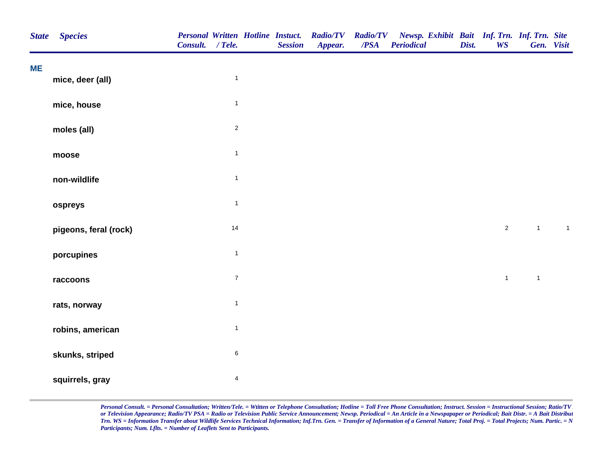| <b>State</b> | <b>Species</b>        | Consult. / Tele. |                         | <b>Personal Written Hotline Instuct.</b><br><b>Session</b> | <b>Radio/TV</b><br>Appear. | <b>Radio/TV</b><br>/PSA | Newsp. Exhibit Bait Inf. Trn. Inf. Trn. Site<br><b>Periodical</b> | Dist. | <b>WS</b>      | Gen. Visit   |                |  |
|--------------|-----------------------|------------------|-------------------------|------------------------------------------------------------|----------------------------|-------------------------|-------------------------------------------------------------------|-------|----------------|--------------|----------------|--|
| ME           | mice, deer (all)      |                  | $\mathbf{1}$            |                                                            |                            |                         |                                                                   |       |                |              |                |  |
|              | mice, house           |                  | $\mathbf{1}$            |                                                            |                            |                         |                                                                   |       |                |              |                |  |
|              | moles (all)           |                  | $\sqrt{2}$              |                                                            |                            |                         |                                                                   |       |                |              |                |  |
|              | moose                 |                  | $\mathbf{1}$            |                                                            |                            |                         |                                                                   |       |                |              |                |  |
|              | non-wildlife          |                  | $\mathbf{1}$            |                                                            |                            |                         |                                                                   |       |                |              |                |  |
|              | ospreys               |                  | $\mathbf{1}$            |                                                            |                            |                         |                                                                   |       |                |              |                |  |
|              | pigeons, feral (rock) |                  | 14                      |                                                            |                            |                         |                                                                   |       | $\overline{2}$ | $\mathbf{1}$ | $\overline{1}$ |  |
|              | porcupines            |                  | $\mathbf{1}$            |                                                            |                            |                         |                                                                   |       |                |              |                |  |
|              | raccoons              |                  | $\overline{7}$          |                                                            |                            |                         |                                                                   |       | $\mathbf{1}$   | $\mathbf{1}$ |                |  |
|              | rats, norway          |                  | $\mathbf{1}$            |                                                            |                            |                         |                                                                   |       |                |              |                |  |
|              | robins, american      |                  | $\overline{1}$          |                                                            |                            |                         |                                                                   |       |                |              |                |  |
|              | skunks, striped       |                  | $\,6$                   |                                                            |                            |                         |                                                                   |       |                |              |                |  |
|              | squirrels, gray       |                  | $\overline{\mathbf{4}}$ |                                                            |                            |                         |                                                                   |       |                |              |                |  |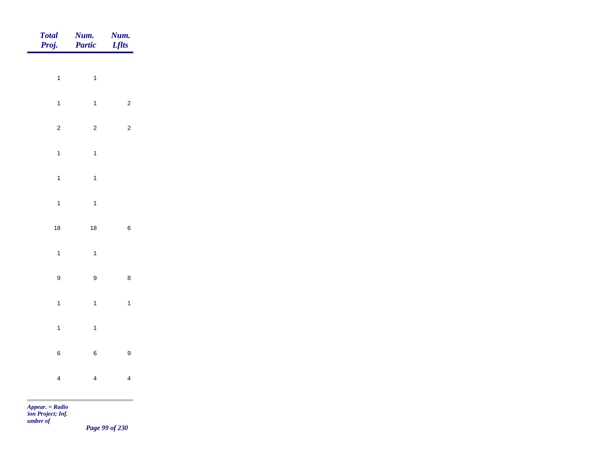| Total<br>Proj.       | <b>Num.</b><br>Partic   | Num.<br>Lflts           |
|----------------------|-------------------------|-------------------------|
|                      |                         |                         |
| $\overline{1}$       | $\overline{1}$          |                         |
| $\mathbf{1}$         | $\mathbf{1}$            | $\overline{c}$          |
| $\overline{a}$       | $\overline{c}$          | $\overline{c}$          |
| $\mathbf{1}$         | $\mathbf{1}$            |                         |
| $\overline{1}$       | $\mathbf{1}$            |                         |
| $\ddot{\phantom{a}}$ | $\overline{1}$          |                         |
| 18                   | 18                      | $\, 6$                  |
|                      |                         |                         |
| $\mathbf{1}$         | $\mathbf{1}$            |                         |
| 9                    | $\mathsf g$             | $\bf8$                  |
| $\mathbf{1}$         | $\mathbf{1}$            | $\mathbf{1}$            |
| $\overline{1}$       | $\mathbf{1}$            |                         |
| 6                    | $\, 6$                  | $\boldsymbol{9}$        |
| $\overline{4}$       | $\overline{\mathbf{4}}$ | $\overline{\mathbf{4}}$ |
|                      |                         |                         |

*Page 99 of 230*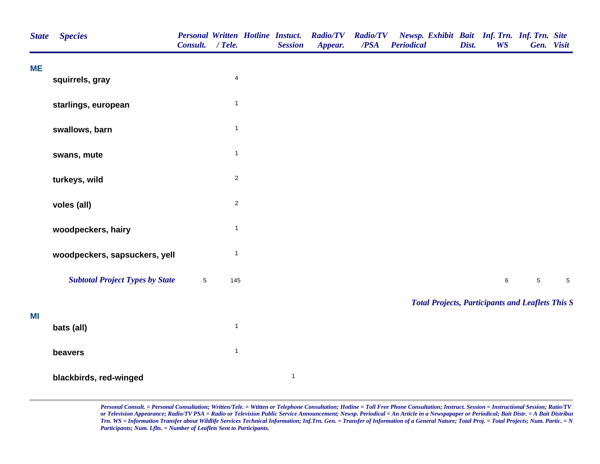| <b>State</b> | <b>Species</b>                         | Consult. | $/$ Tele.               | <b>Personal Written Hotline Instuct.</b><br><b>Session</b> | <b>Radio/TV</b><br>Appear. | <b>Radio/TV</b><br>/PSA | Newsp. Exhibit Bait Inf. Trn. Inf. Trn. Site<br><b>Periodical</b> | Dist. | <b>WS</b> |            | Gen. Visit  |
|--------------|----------------------------------------|----------|-------------------------|------------------------------------------------------------|----------------------------|-------------------------|-------------------------------------------------------------------|-------|-----------|------------|-------------|
| <b>ME</b>    | squirrels, gray                        |          | $\overline{\mathbf{4}}$ |                                                            |                            |                         |                                                                   |       |           |            |             |
|              |                                        |          |                         |                                                            |                            |                         |                                                                   |       |           |            |             |
|              | starlings, european                    |          | $\mathbf{1}$            |                                                            |                            |                         |                                                                   |       |           |            |             |
|              | swallows, barn                         |          | $\mathbf{1}$            |                                                            |                            |                         |                                                                   |       |           |            |             |
|              | swans, mute                            |          | $\mathbf{1}$            |                                                            |                            |                         |                                                                   |       |           |            |             |
|              | turkeys, wild                          |          | $\sqrt{2}$              |                                                            |                            |                         |                                                                   |       |           |            |             |
|              | voles (all)                            |          | $\mathbf 2$             |                                                            |                            |                         |                                                                   |       |           |            |             |
|              | woodpeckers, hairy                     |          | $\overline{1}$          |                                                            |                            |                         |                                                                   |       |           |            |             |
|              | woodpeckers, sapsuckers, yell          |          | $\mathbf{1}$            |                                                            |                            |                         |                                                                   |       |           |            |             |
|              | <b>Subtotal Project Types by State</b> | 5        | 145                     |                                                            |                            |                         |                                                                   |       | $\,6\,$   | $\sqrt{5}$ | $\,$ 5 $\,$ |
|              |                                        |          |                         |                                                            |                            |                         | <b>Total Projects, Participants and Leaflets This S</b>           |       |           |            |             |
| MI           | bats (all)                             |          | $\mathbf{1}$            |                                                            |                            |                         |                                                                   |       |           |            |             |
|              | beavers                                |          | $\mathbf{1}$            |                                                            |                            |                         |                                                                   |       |           |            |             |
|              | blackbirds, red-winged                 |          |                         | $\mathbf{1}$                                               |                            |                         |                                                                   |       |           |            |             |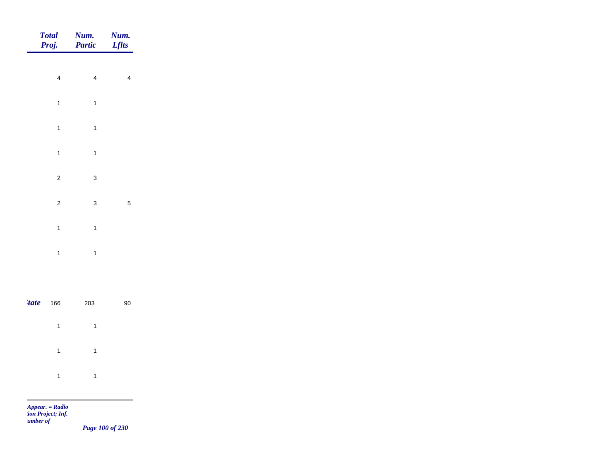|             | <b>Total</b><br>Proj.   | Num.<br>Partic          | Num.<br><b>Lflts</b>    |
|-------------|-------------------------|-------------------------|-------------------------|
|             | $\overline{\mathbf{4}}$ | $\overline{\mathbf{4}}$ | $\overline{\mathbf{4}}$ |
|             | $\mathbf{1}$            | $\mathbf{1}$            |                         |
|             | $\overline{1}$          | $\mathbf{1}$            |                         |
|             | $\overline{1}$          | $\mathbf{1}$            |                         |
|             | $\overline{c}$          | $\mathsf 3$             |                         |
|             | $\overline{c}$          | $\mathsf 3$             | $\mathbf 5$             |
|             | $\mathbf{1}$            | $\overline{1}$          |                         |
|             | $\mathbf{1}$            | $\mathbf{1}$            |                         |
|             |                         |                         |                         |
| <i>tate</i> | 166                     | 203                     | $90\,$                  |

| $1 \quad 1$         |  |
|---------------------|--|
| $1 \qquad \qquad 1$ |  |
|                     |  |

m

*Page 100 of 230*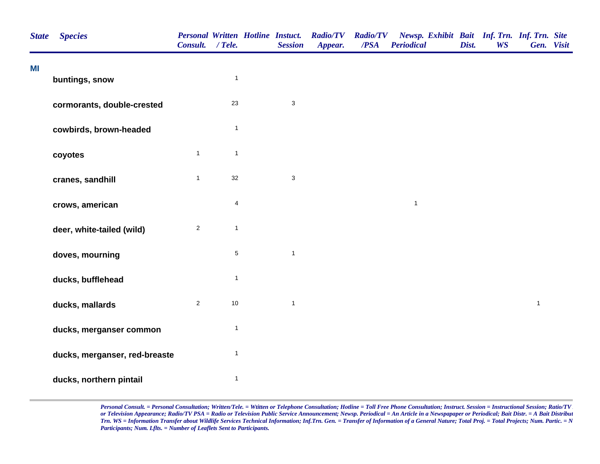| <b>State</b> | <b>Species</b>                | <b>Personal Written Hotline Instuct.</b><br>Consult. / Tele. |              | <b>Session</b>            | <b>Radio/TV</b><br>Appear. | <b>Radio/TV</b><br>/PSA | Newsp. Exhibit Bait Inf. Trn. Inf. Trn. Site<br><b>Periodical</b> | Dist. | <b>WS</b> | Gen. Visit   |  |
|--------------|-------------------------------|--------------------------------------------------------------|--------------|---------------------------|----------------------------|-------------------------|-------------------------------------------------------------------|-------|-----------|--------------|--|
| MI           | buntings, snow                |                                                              | $\mathbf{1}$ |                           |                            |                         |                                                                   |       |           |              |  |
|              | cormorants, double-crested    |                                                              | 23           | $\ensuremath{\mathsf{3}}$ |                            |                         |                                                                   |       |           |              |  |
|              | cowbirds, brown-headed        |                                                              | $\mathbf{1}$ |                           |                            |                         |                                                                   |       |           |              |  |
|              | coyotes                       | $\mathbf{1}$                                                 | $\mathbf{1}$ |                           |                            |                         |                                                                   |       |           |              |  |
|              | cranes, sandhill              | $\mathbf{1}$                                                 | 32           | $\mathsf 3$               |                            |                         |                                                                   |       |           |              |  |
|              | crows, american               |                                                              | 4            |                           |                            |                         | $\mathbf{1}$                                                      |       |           |              |  |
|              | deer, white-tailed (wild)     | $\overline{2}$                                               | $\mathbf{1}$ |                           |                            |                         |                                                                   |       |           |              |  |
|              | doves, mourning               |                                                              | $\,$ 5 $\,$  | $\mathbf{1}$              |                            |                         |                                                                   |       |           |              |  |
|              | ducks, bufflehead             |                                                              | $\mathbf{1}$ |                           |                            |                         |                                                                   |       |           |              |  |
|              | ducks, mallards               | $\overline{2}$                                               | $10$         | $\mathbf{1}$              |                            |                         |                                                                   |       |           | $\mathbf{1}$ |  |
|              | ducks, merganser common       |                                                              | $\mathbf{1}$ |                           |                            |                         |                                                                   |       |           |              |  |
|              | ducks, merganser, red-breaste |                                                              | $\mathbf{1}$ |                           |                            |                         |                                                                   |       |           |              |  |
|              | ducks, northern pintail       |                                                              | $\mathbf{1}$ |                           |                            |                         |                                                                   |       |           |              |  |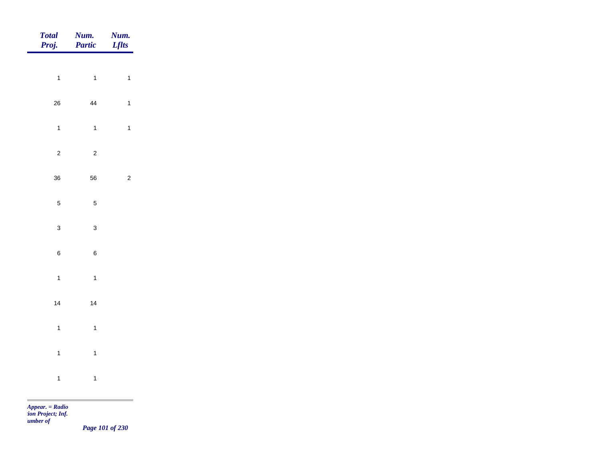| Total<br>Proj. | Num.<br>Partic | Num.<br><b>Lflts</b> |
|----------------|----------------|----------------------|
| $\mathbf{1}$   | $\mathbf{1}$   | $\mathbf{1}$         |
|                |                |                      |
| 26             | 44             | $\mathbf{1}$         |
| $\mathbf{1}$   | $\overline{1}$ | $\mathbf{1}$         |
| $\overline{c}$ | $\overline{c}$ |                      |
| 36             | 56             | $\mathbf 2$          |
| $\overline{5}$ | $\overline{5}$ |                      |
| $\mathbf{3}$   | $\mathbf{3}$   |                      |
|                |                |                      |
| $\,$ 6 $\,$    | $\bf 6$        |                      |
| $\mathbf{1}$   | $\mathbf{1}$   |                      |
| 14             | 14             |                      |
| $\mathbf{1}$   | $\mathbf{1}$   |                      |
| $\mathbf{1}$   | $\mathbf{1}$   |                      |
|                |                |                      |
| $\mathbf{1}$   | $\overline{1}$ |                      |

m

*Page 101 of 230*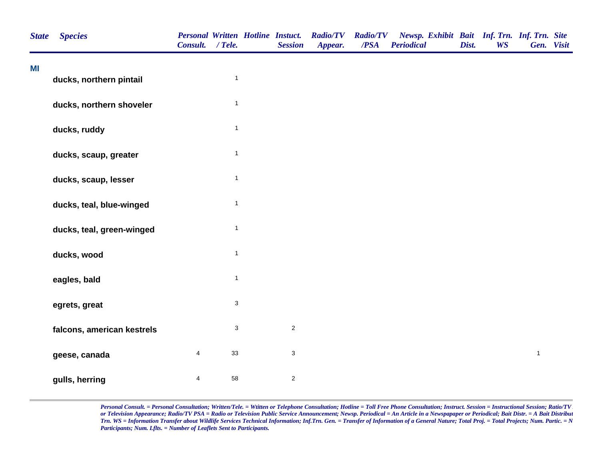| <b>State</b> | <b>Species</b>             | <b>Personal Written Hotline Instuct.</b><br>Consult. / Tele. |                           | <b>Session</b> | <b>Radio/TV</b><br>Appear. | <b>Radio/TV</b><br>$\overline{PSA}$ | Newsp. Exhibit Bait Inf. Trn. Inf. Trn. Site<br><b>Periodical</b> | Dist. | <b>WS</b> | Gen. Visit   |  |
|--------------|----------------------------|--------------------------------------------------------------|---------------------------|----------------|----------------------------|-------------------------------------|-------------------------------------------------------------------|-------|-----------|--------------|--|
| MI           | ducks, northern pintail    |                                                              | $\mathbf{1}$              |                |                            |                                     |                                                                   |       |           |              |  |
|              |                            |                                                              |                           |                |                            |                                     |                                                                   |       |           |              |  |
|              | ducks, northern shoveler   |                                                              | $\mathbf{1}$              |                |                            |                                     |                                                                   |       |           |              |  |
|              | ducks, ruddy               |                                                              | $\mathbf{1}$              |                |                            |                                     |                                                                   |       |           |              |  |
|              | ducks, scaup, greater      |                                                              | $\mathbf{1}$              |                |                            |                                     |                                                                   |       |           |              |  |
|              | ducks, scaup, lesser       |                                                              | $\mathbf{1}$              |                |                            |                                     |                                                                   |       |           |              |  |
|              | ducks, teal, blue-winged   |                                                              | $\mathbf{1}$              |                |                            |                                     |                                                                   |       |           |              |  |
|              | ducks, teal, green-winged  |                                                              | $\mathbf{1}$              |                |                            |                                     |                                                                   |       |           |              |  |
|              | ducks, wood                |                                                              | $\mathbf{1}$              |                |                            |                                     |                                                                   |       |           |              |  |
|              | eagles, bald               |                                                              | $\mathbf{1}$              |                |                            |                                     |                                                                   |       |           |              |  |
|              | egrets, great              |                                                              | $\ensuremath{\mathsf{3}}$ |                |                            |                                     |                                                                   |       |           |              |  |
|              | falcons, american kestrels |                                                              | $\ensuremath{\mathsf{3}}$ | $\overline{2}$ |                            |                                     |                                                                   |       |           |              |  |
|              | geese, canada              | $\overline{4}$                                               | 33                        | $\mathbf{3}$   |                            |                                     |                                                                   |       |           | $\mathbf{1}$ |  |
|              | gulls, herring             | 4                                                            | 58                        | $\sqrt{2}$     |                            |                                     |                                                                   |       |           |              |  |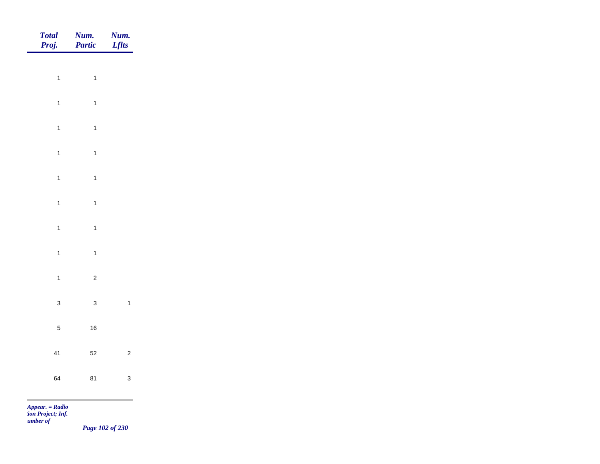| Total<br>Proj. | <b>Num.</b><br>Partic | <b>Num.</b><br>Lflts    |
|----------------|-----------------------|-------------------------|
|                |                       |                         |
| $\overline{1}$ | $\overline{1}$        |                         |
| $\overline{1}$ | $\mathbf{1}$          |                         |
| $\overline{1}$ | $\overline{1}$        |                         |
| $\overline{1}$ | $\mathbf{1}$          |                         |
| $\overline{1}$ | $\mathbf{1}$          |                         |
| $\overline{1}$ | $\mathbf{1}$          |                         |
|                |                       |                         |
| $\overline{1}$ | $\mathbf{1}$          |                         |
| $\mathbf{1}$   | $\overline{1}$        |                         |
| $\mathbf{1}$   | $\overline{c}$        |                         |
| $\mathbf{3}$   | $\mathbf{3}$          | $\overline{\mathbf{1}}$ |
| $\overline{5}$ | $16\,$                |                         |
| 41             | $52\,$                | $\overline{c}$          |
|                |                       |                         |
| 64             | 81                    | $\mathbf{3}$            |

*Page 102 of 230*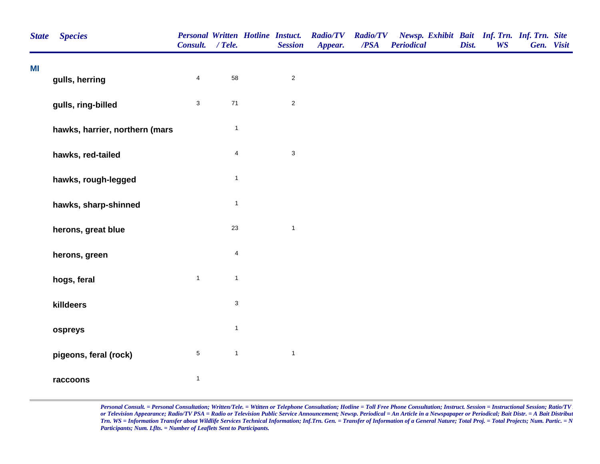| <b>State</b> | <b>Species</b>                 | <b>Personal Written Hotline Instuct.</b><br>Consult. / Tele. |                           | <b>Session</b> | <b>Radio/TV</b><br>Appear. | <b>Radio/TV</b><br>$\overline{PSA}$ | Newsp. Exhibit Bait Inf. Trn. Inf. Trn. Site<br><b>Periodical</b> | Dist. | <b>WS</b> | Gen. Visit |  |
|--------------|--------------------------------|--------------------------------------------------------------|---------------------------|----------------|----------------------------|-------------------------------------|-------------------------------------------------------------------|-------|-----------|------------|--|
| MI           | gulls, herring                 | $\overline{\mathbf{4}}$                                      | 58                        | $\overline{c}$ |                            |                                     |                                                                   |       |           |            |  |
|              | gulls, ring-billed             | $\sqrt{3}$                                                   | $71$                      | $\overline{2}$ |                            |                                     |                                                                   |       |           |            |  |
|              | hawks, harrier, northern (mars |                                                              | $\mathbf{1}$              |                |                            |                                     |                                                                   |       |           |            |  |
|              | hawks, red-tailed              |                                                              | 4                         | $\mathbf{3}$   |                            |                                     |                                                                   |       |           |            |  |
|              | hawks, rough-legged            |                                                              | $\mathbf{1}$              |                |                            |                                     |                                                                   |       |           |            |  |
|              | hawks, sharp-shinned           |                                                              | $\mathbf{1}$              |                |                            |                                     |                                                                   |       |           |            |  |
|              | herons, great blue             |                                                              | 23                        | $\mathbf{1}$   |                            |                                     |                                                                   |       |           |            |  |
|              | herons, green                  |                                                              | 4                         |                |                            |                                     |                                                                   |       |           |            |  |
|              | hogs, feral                    | $\mathbf{1}$                                                 | $\mathbf{1}$              |                |                            |                                     |                                                                   |       |           |            |  |
|              | killdeers                      |                                                              | $\ensuremath{\mathsf{3}}$ |                |                            |                                     |                                                                   |       |           |            |  |
|              | ospreys                        |                                                              | $\mathbf{1}$              |                |                            |                                     |                                                                   |       |           |            |  |
|              | pigeons, feral (rock)          | $\sqrt{5}$                                                   | $\mathbf{1}$              | $\mathbf{1}$   |                            |                                     |                                                                   |       |           |            |  |
|              | raccoons                       | $\overline{\mathbf{1}}$                                      |                           |                |                            |                                     |                                                                   |       |           |            |  |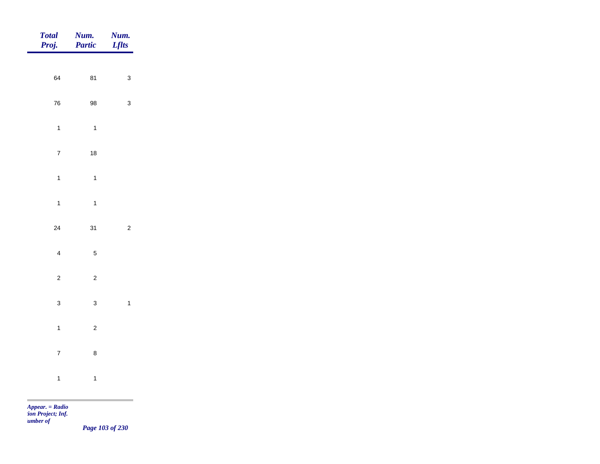| Total<br>Proj. | <b>Num.</b><br><b>Partic</b> | <b>Num.</b><br>Lflts |
|----------------|------------------------------|----------------------|
| 64             | 81                           | $\mathbf{3}$         |
|                |                              |                      |
| ${\bf 76}$     | 98                           | $\mathbf{3}$         |
| $\mathbf{1}$   | $\overline{1}$               |                      |
| $\overline{7}$ | $18$                         |                      |
| $\mathbf{1}$   | $\overline{\mathbf{1}}$      |                      |
| $\mathbf{1}$   | $\overline{1}$               |                      |
| $24\,$         | 31                           | $\overline{c}$       |
| $\overline{4}$ | $\sqrt{5}$                   |                      |
| $\overline{c}$ | $\overline{c}$               |                      |
|                |                              |                      |
| $\mathbf{3}$   | $\mathbf{3}$                 | $\overline{1}$       |
| $\mathbf{1}$   | $\overline{c}$               |                      |
| $\overline{7}$ | $\bf8$                       |                      |
| $\mathbf{1}$   | $\mathbf{1}$                 |                      |
|                |                              |                      |

*Page 103 of 230*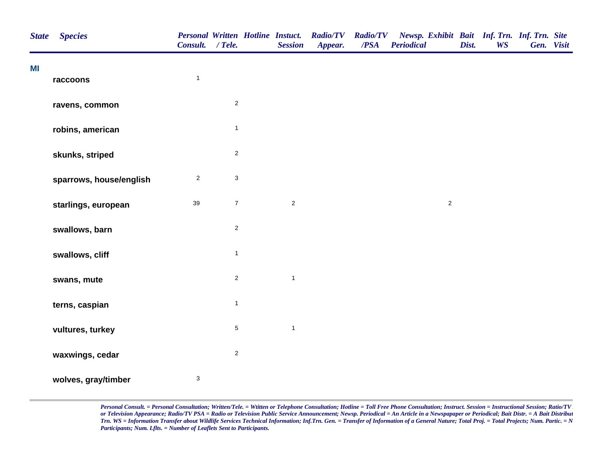| <b>State</b> | <b>Species</b>          | <b>Personal Written Hotline Instuct.</b><br>Consult. / Tele. |                  | <b>Session</b> | <b>Radio/TV</b><br>Appear. | <b>Radio/TV</b><br>/PSA | Newsp. Exhibit Bait Inf. Trn. Inf. Trn. Site<br><b>Periodical</b> | Dist. | <b>WS</b> | Gen. Visit |  |
|--------------|-------------------------|--------------------------------------------------------------|------------------|----------------|----------------------------|-------------------------|-------------------------------------------------------------------|-------|-----------|------------|--|
| MI           | raccoons                | $\mathbf{1}$                                                 |                  |                |                            |                         |                                                                   |       |           |            |  |
|              | ravens, common          |                                                              | $\mathbf 2$      |                |                            |                         |                                                                   |       |           |            |  |
|              | robins, american        |                                                              | $\mathbf{1}$     |                |                            |                         |                                                                   |       |           |            |  |
|              | skunks, striped         |                                                              | $\sqrt{2}$       |                |                            |                         |                                                                   |       |           |            |  |
|              | sparrows, house/english | $\sqrt{2}$                                                   | $\mathsf 3$      |                |                            |                         |                                                                   |       |           |            |  |
|              | starlings, european     | 39                                                           | $\boldsymbol{7}$ | $\overline{2}$ |                            |                         | $\overline{c}$                                                    |       |           |            |  |
|              | swallows, barn          |                                                              | $\sqrt{2}$       |                |                            |                         |                                                                   |       |           |            |  |
|              | swallows, cliff         |                                                              | $\mathbf{1}$     |                |                            |                         |                                                                   |       |           |            |  |
|              | swans, mute             |                                                              | $\mathbf 2$      | $\mathbf{1}$   |                            |                         |                                                                   |       |           |            |  |
|              | terns, caspian          |                                                              | $\mathbf{1}$     |                |                            |                         |                                                                   |       |           |            |  |
|              | vultures, turkey        |                                                              | $\sqrt{5}$       | $\mathbf{1}$   |                            |                         |                                                                   |       |           |            |  |
|              | waxwings, cedar         |                                                              | $\sqrt{2}$       |                |                            |                         |                                                                   |       |           |            |  |
|              | wolves, gray/timber     | $\sqrt{3}$                                                   |                  |                |                            |                         |                                                                   |       |           |            |  |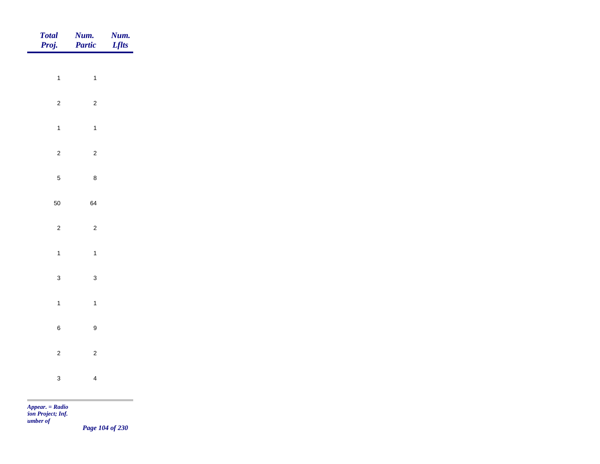| Total<br>Proj. | Num.<br>Partic          | Num.<br><b>Lflts</b> |
|----------------|-------------------------|----------------------|
|                |                         |                      |
| $\overline{1}$ | $\overline{1}$          |                      |
| $\overline{c}$ | $\overline{c}$          |                      |
| $\mathbf{1}$   | $\overline{1}$          |                      |
| $\overline{c}$ | $\overline{c}$          |                      |
| $\overline{5}$ | $\bf 8$                 |                      |
| 50             | 64                      |                      |
| $\overline{c}$ | $\overline{c}$          |                      |
|                |                         |                      |
| $\mathbf{1}$   | $\overline{1}$          |                      |
| $\mathbf{3}$   | $\mathbf{3}$            |                      |
| $\mathbf{1}$   | $\overline{1}$          |                      |
| $\,$ 6 $\,$    | $\boldsymbol{9}$        |                      |
| $\overline{c}$ | $\overline{c}$          |                      |
| $\mathbf{3}$   | $\overline{\mathbf{4}}$ |                      |
|                |                         |                      |

*Page 104 of 230*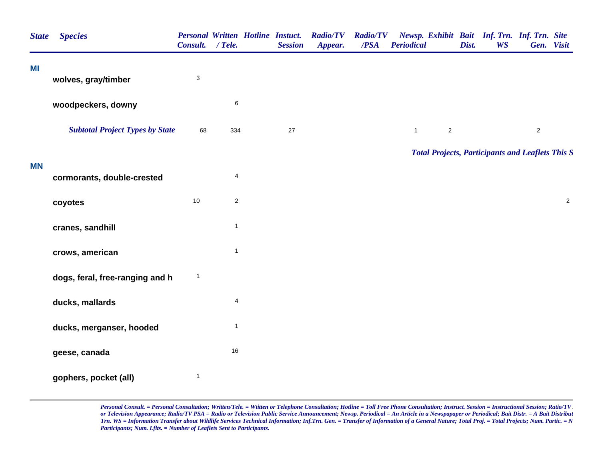| <b>State</b> | <b>Species</b>                         | Consult. / Tele. | <b>Personal Written Hotline Instuct.</b> | <b>Session</b> | <b>Radio/TV</b><br>Appear. | <b>Radio/TV</b><br>/PSA | <b>Periodical</b>              | Newsp. Exhibit Bait Inf. Trn. Inf. Trn. Site<br>Dist.<br><b>WS</b> | Gen. Visit |
|--------------|----------------------------------------|------------------|------------------------------------------|----------------|----------------------------|-------------------------|--------------------------------|--------------------------------------------------------------------|------------|
| MI           | wolves, gray/timber                    | $\sqrt{3}$       |                                          |                |                            |                         |                                |                                                                    |            |
|              | woodpeckers, downy                     |                  | $\,6$                                    |                |                            |                         |                                |                                                                    |            |
|              | <b>Subtotal Project Types by State</b> | 68               | 334                                      | 27             |                            |                         | $\overline{2}$<br>$\mathbf{1}$ |                                                                    | $\sqrt{2}$ |
|              |                                        |                  |                                          |                |                            |                         |                                | <b>Total Projects, Participants and Leaflets This S</b>            |            |
| <b>MN</b>    | cormorants, double-crested             |                  | $\overline{\mathbf{4}}$                  |                |                            |                         |                                |                                                                    |            |
|              | coyotes                                | $10$             | $\sqrt{2}$                               |                |                            |                         |                                |                                                                    | $\sqrt{2}$ |
|              | cranes, sandhill                       |                  | $\overline{1}$                           |                |                            |                         |                                |                                                                    |            |
|              | crows, american                        |                  | $\mathbf{1}$                             |                |                            |                         |                                |                                                                    |            |
|              | dogs, feral, free-ranging and h        | $\mathbf{1}$     |                                          |                |                            |                         |                                |                                                                    |            |
|              | ducks, mallards                        |                  | $\overline{\mathbf{4}}$                  |                |                            |                         |                                |                                                                    |            |
|              | ducks, merganser, hooded               |                  | $\mathbf{1}$                             |                |                            |                         |                                |                                                                    |            |
|              | geese, canada                          |                  | $16\,$                                   |                |                            |                         |                                |                                                                    |            |
|              | gophers, pocket (all)                  | $\mathbf{1}$     |                                          |                |                            |                         |                                |                                                                    |            |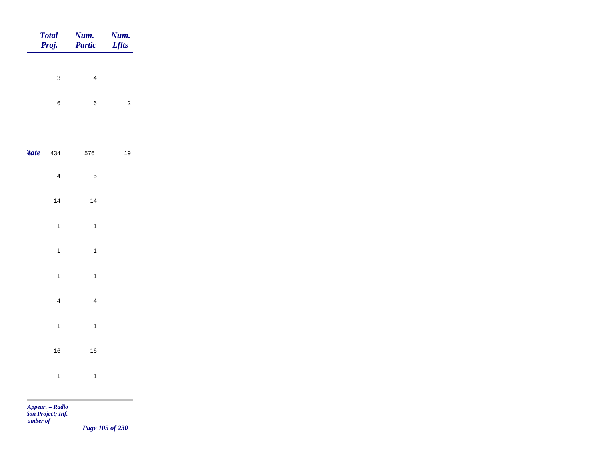| <b>Total</b><br>Proj. | Num.<br>Partic          | Num.<br><b>Lflts</b> |
|-----------------------|-------------------------|----------------------|
| $\mathbf{3}$          | $\overline{4}$          |                      |
|                       |                         |                      |
| $\, 6$                | $\bf 6$                 | $\overline{c}$       |
|                       |                         |                      |
| <i>tate</i><br>434    | 576                     | 19                   |
| $\overline{4}$        | $\sqrt{5}$              |                      |
| 14                    | $14$                    |                      |
| $\mathbf{1}$          | $\overline{1}$          |                      |
| $\mathbf{1}$          | $\overline{1}$          |                      |
| $\mathbf{1}$          | $\overline{1}$          |                      |
| $\overline{4}$        | $\overline{4}$          |                      |
|                       |                         |                      |
| $\mathbf{1}$          | $\overline{\mathbf{1}}$ |                      |
| $16\,$                | $16\,$                  |                      |
| $\mathbf{1}$          | $\overline{\mathbf{1}}$ |                      |
|                       |                         |                      |

*Page 105 of 230*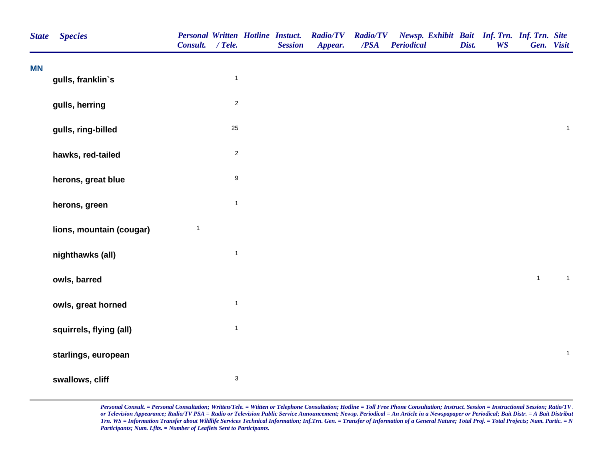| <b>State</b> | <b>Species</b>           | Consult. / Tele. |                           | <b>Personal Written Hotline Instuct.</b><br><b>Session</b> | <b>Radio/TV</b><br>Appear. | <b>Radio/TV</b><br>/PSA | Newsp. Exhibit Bait Inf. Trn. Inf. Trn. Site<br><b>Periodical</b> | Dist. | <b>WS</b> | Gen. Visit   |                |  |
|--------------|--------------------------|------------------|---------------------------|------------------------------------------------------------|----------------------------|-------------------------|-------------------------------------------------------------------|-------|-----------|--------------|----------------|--|
| <b>MN</b>    | gulls, franklin's        |                  | $\mathbf{1}$              |                                                            |                            |                         |                                                                   |       |           |              |                |  |
|              | gulls, herring           |                  | $\overline{2}$            |                                                            |                            |                         |                                                                   |       |           |              |                |  |
|              | gulls, ring-billed       |                  | 25                        |                                                            |                            |                         |                                                                   |       |           |              | $\mathbf{1}$   |  |
|              | hawks, red-tailed        |                  | $\overline{2}$            |                                                            |                            |                         |                                                                   |       |           |              |                |  |
|              | herons, great blue       |                  | $\boldsymbol{9}$          |                                                            |                            |                         |                                                                   |       |           |              |                |  |
|              | herons, green            |                  | $\overline{1}$            |                                                            |                            |                         |                                                                   |       |           |              |                |  |
|              | lions, mountain (cougar) | $\mathbf{1}$     |                           |                                                            |                            |                         |                                                                   |       |           |              |                |  |
|              | nighthawks (all)         |                  | $\mathbf{1}$              |                                                            |                            |                         |                                                                   |       |           |              |                |  |
|              | owls, barred             |                  |                           |                                                            |                            |                         |                                                                   |       |           | $\mathbf{1}$ | $\overline{1}$ |  |
|              | owls, great horned       |                  | $\mathbf{1}$              |                                                            |                            |                         |                                                                   |       |           |              |                |  |
|              | squirrels, flying (all)  |                  | $\mathbf{1}$              |                                                            |                            |                         |                                                                   |       |           |              |                |  |
|              | starlings, european      |                  |                           |                                                            |                            |                         |                                                                   |       |           |              | $\mathbf{1}$   |  |
|              | swallows, cliff          |                  | $\ensuremath{\mathsf{3}}$ |                                                            |                            |                         |                                                                   |       |           |              |                |  |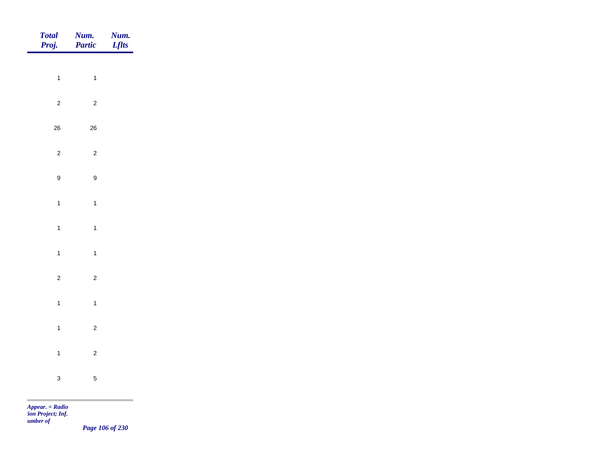| Total<br>Proj.   | Num.<br>Partic   | <b>Num.</b><br>Lflts |
|------------------|------------------|----------------------|
| $\overline{1}$   |                  |                      |
|                  | $\overline{1}$   |                      |
| $\overline{2}$   | $\overline{c}$   |                      |
| $26\,$           | ${\bf 26}$       |                      |
| $\sqrt{2}$       | $\overline{c}$   |                      |
| $\boldsymbol{9}$ | $\boldsymbol{9}$ |                      |
| $\mathbf{1}$     | $\mathbf{1}$     |                      |
| $\overline{1}$   | $\overline{1}$   |                      |
| $\overline{1}$   | $\overline{1}$   |                      |
|                  |                  |                      |
| $\overline{2}$   | $\overline{c}$   |                      |
| $\overline{1}$   | $\overline{1}$   |                      |
| $\overline{1}$   | $\overline{c}$   |                      |
| $\mathbf{1}$     | $\overline{c}$   |                      |
| $\mathbf{3}$     | $\sqrt{5}$       |                      |
|                  |                  |                      |

*Page 106 of 230*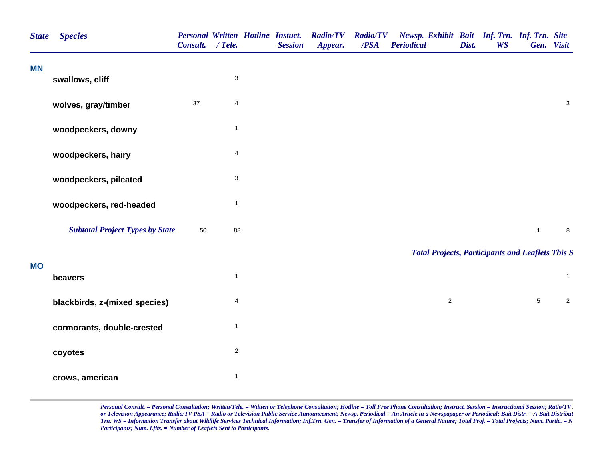| <b>State</b> | <b>Species</b>                         | <b>Personal Written Hotline Instuct.</b><br>Consult. / Tele. |                           | <b>Session</b> | <b>Radio/TV</b><br>Appear. | <b>Radio/TV</b><br>$\overline{PSA}$ | Newsp. Exhibit Bait Inf. Trn. Inf. Trn. Site<br><b>Periodical</b> | Dist. | <b>WS</b> |                 | Gen. Visit                |
|--------------|----------------------------------------|--------------------------------------------------------------|---------------------------|----------------|----------------------------|-------------------------------------|-------------------------------------------------------------------|-------|-----------|-----------------|---------------------------|
| <b>MN</b>    | swallows, cliff                        |                                                              | $\ensuremath{\mathsf{3}}$ |                |                            |                                     |                                                                   |       |           |                 |                           |
|              | wolves, gray/timber                    | 37                                                           | 4                         |                |                            |                                     |                                                                   |       |           |                 | $\ensuremath{\mathsf{3}}$ |
|              | woodpeckers, downy                     |                                                              | $\mathbf{1}$              |                |                            |                                     |                                                                   |       |           |                 |                           |
|              | woodpeckers, hairy                     |                                                              | $\overline{\mathbf{4}}$   |                |                            |                                     |                                                                   |       |           |                 |                           |
|              | woodpeckers, pileated                  |                                                              | $\ensuremath{\mathsf{3}}$ |                |                            |                                     |                                                                   |       |           |                 |                           |
|              | woodpeckers, red-headed                |                                                              | $\mathbf{1}$              |                |                            |                                     |                                                                   |       |           |                 |                           |
|              | <b>Subtotal Project Types by State</b> | 50                                                           | 88                        |                |                            |                                     |                                                                   |       |           | $\mathbf{1}$    | $\bf8$                    |
| <b>MO</b>    |                                        |                                                              |                           |                |                            |                                     | <b>Total Projects, Participants and Leaflets This S</b>           |       |           |                 |                           |
|              | beavers                                |                                                              | $\mathbf{1}$              |                |                            |                                     |                                                                   |       |           |                 | $\overline{1}$            |
|              | blackbirds, z-(mixed species)          |                                                              | 4                         |                |                            |                                     | $\overline{2}$                                                    |       |           | $5\phantom{.0}$ | $\sqrt{2}$                |
|              | cormorants, double-crested             |                                                              | $\mathbf{1}$              |                |                            |                                     |                                                                   |       |           |                 |                           |
|              | coyotes                                |                                                              | $\sqrt{2}$                |                |                            |                                     |                                                                   |       |           |                 |                           |
|              | crows, american                        |                                                              | $\mathbf{1}$              |                |                            |                                     |                                                                   |       |           |                 |                           |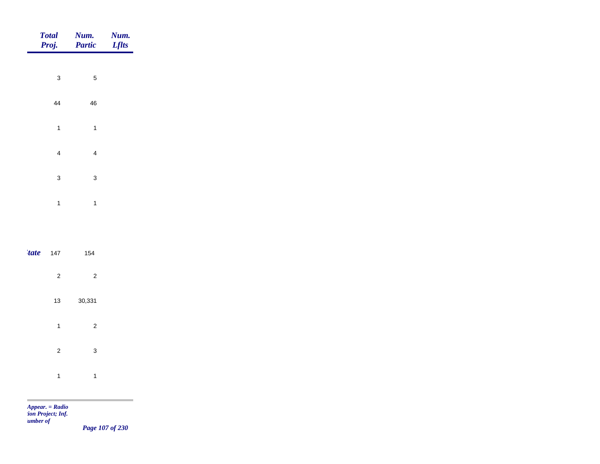| Total<br>Proj. | <b>Num.</b><br>Partic   | <b>Num.</b><br>Lflts |
|----------------|-------------------------|----------------------|
| $\mathbf{3}$   | $\sqrt{5}$              |                      |
|                |                         |                      |
| 44             | $\sqrt{46}$             |                      |
| $\overline{1}$ | $\overline{1}$          |                      |
| $\overline{4}$ | $\overline{4}$          |                      |
| $\mathbf{3}$   | $\mathbf{3}$            |                      |
| $\overline{1}$ | $\overline{1}$          |                      |
|                |                         |                      |
| 'tate<br>147   | 154                     |                      |
|                |                         |                      |
| $\overline{c}$ | $\overline{\mathbf{c}}$ |                      |
| 13             | 30,331                  |                      |
| $\overline{1}$ | $\mathbf 2$             |                      |
| $\overline{c}$ | $\mathbf{3}$            |                      |
| $\mathbf{1}$   | $\overline{1}$          |                      |

×

*Page 107 of 230*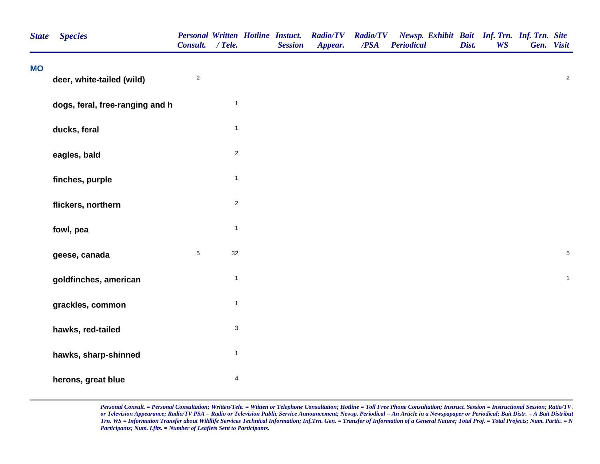| <b>State</b> | <b>Species</b>                  | <b>Personal Written Hotline Instuct.</b><br>Consult. / Tele. |                           | <b>Session</b> | <b>Radio/TV</b><br>Appear. | <b>Radio/TV</b><br>/PSA | Newsp. Exhibit Bait Inf. Trn. Inf. Trn. Site<br><b>Periodical</b> | Dist. | <b>WS</b> | Gen. Visit |                  |
|--------------|---------------------------------|--------------------------------------------------------------|---------------------------|----------------|----------------------------|-------------------------|-------------------------------------------------------------------|-------|-----------|------------|------------------|
| <b>MO</b>    | deer, white-tailed (wild)       | $\sqrt{2}$                                                   |                           |                |                            |                         |                                                                   |       |           |            | $\boldsymbol{2}$ |
|              | dogs, feral, free-ranging and h |                                                              | $\mathbf{1}$              |                |                            |                         |                                                                   |       |           |            |                  |
|              | ducks, feral                    |                                                              | $\mathbf{1}$              |                |                            |                         |                                                                   |       |           |            |                  |
|              | eagles, bald                    |                                                              | $\mathbf 2$               |                |                            |                         |                                                                   |       |           |            |                  |
|              | finches, purple                 |                                                              | $\mathbf{1}$              |                |                            |                         |                                                                   |       |           |            |                  |
|              | flickers, northern              |                                                              | $\overline{2}$            |                |                            |                         |                                                                   |       |           |            |                  |
|              | fowl, pea                       |                                                              | $\mathbf{1}$              |                |                            |                         |                                                                   |       |           |            |                  |
|              | geese, canada                   | $\sqrt{5}$                                                   | 32                        |                |                            |                         |                                                                   |       |           |            | $\mathbf 5$      |
|              | goldfinches, american           |                                                              | $\mathbf{1}$              |                |                            |                         |                                                                   |       |           |            | $\mathbf{1}$     |
|              | grackles, common                |                                                              | $\mathbf{1}$              |                |                            |                         |                                                                   |       |           |            |                  |
|              | hawks, red-tailed               |                                                              | $\ensuremath{\mathsf{3}}$ |                |                            |                         |                                                                   |       |           |            |                  |
|              | hawks, sharp-shinned            |                                                              | $\mathbf{1}$              |                |                            |                         |                                                                   |       |           |            |                  |
|              | herons, great blue              |                                                              | $\overline{\mathbf{4}}$   |                |                            |                         |                                                                   |       |           |            |                  |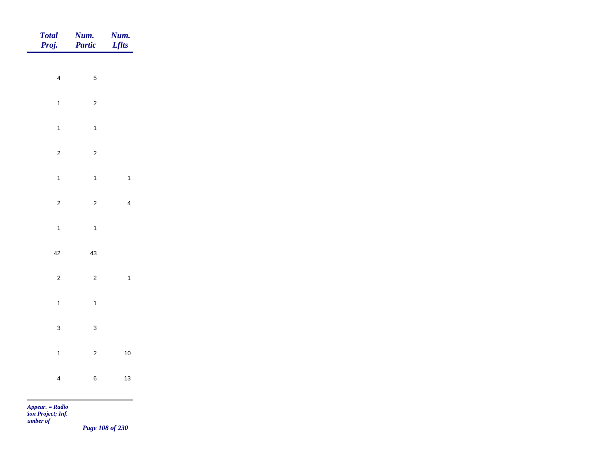| Total<br>Proj. | <b>Num.</b><br>Partic | <b>Num.</b><br><b>Lflts</b> |
|----------------|-----------------------|-----------------------------|
|                |                       |                             |
| $\overline{4}$ | $\sqrt{5}$            |                             |
| $\overline{1}$ | $\sqrt{2}$            |                             |
| $\mathbf{1}$   | $\overline{1}$        |                             |
| $\overline{2}$ | $\overline{2}$        |                             |
| $\overline{1}$ | $\overline{1}$        | $\mathbf{1}$                |
| $\overline{2}$ | $\overline{2}$        | $\overline{4}$              |
| $\mathbf{1}$   | $\overline{1}$        |                             |
| $42\,$         |                       |                             |
|                | $43\,$                |                             |
| $\overline{c}$ | $\overline{2}$        | $\overline{\mathbf{1}}$     |
| $\mathbf{1}$   | $\overline{1}$        |                             |
| $\mathbf{3}$   | $\mathbf 3$           |                             |
| $\overline{1}$ | $\overline{c}$        | $10$                        |
| $\overline{4}$ | $\,6\,$               | $13$                        |
|                |                       |                             |

*Page 108 of 230*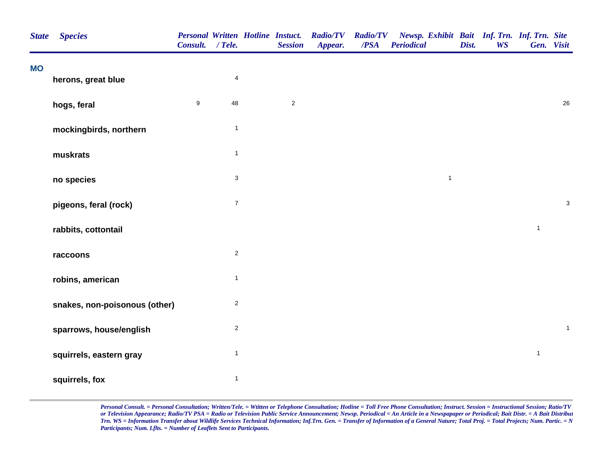| <b>State</b> | <b>Species</b>                | Consult. / Tele. |                           | <b>Personal Written Hotline Instuct.</b><br><b>Session</b> | <b>Radio/TV</b><br>Appear. | <b>Radio/TV</b><br>$\overline{PSA}$ | Newsp. Exhibit Bait Inf. Trn. Inf. Trn. Site<br><b>Periodical</b> | Dist. | <b>WS</b> | Gen. Visit   |              |
|--------------|-------------------------------|------------------|---------------------------|------------------------------------------------------------|----------------------------|-------------------------------------|-------------------------------------------------------------------|-------|-----------|--------------|--------------|
| <b>MO</b>    | herons, great blue            |                  | $\overline{4}$            |                                                            |                            |                                     |                                                                   |       |           |              |              |
|              | hogs, feral                   | $\boldsymbol{9}$ | 48                        | $\overline{2}$                                             |                            |                                     |                                                                   |       |           |              | 26           |
|              | mockingbirds, northern        |                  | $\mathbf{1}$              |                                                            |                            |                                     |                                                                   |       |           |              |              |
|              | muskrats                      |                  | $\mathbf{1}$              |                                                            |                            |                                     |                                                                   |       |           |              |              |
|              | no species                    |                  | $\ensuremath{\mathsf{3}}$ |                                                            |                            |                                     | $\mathbf{1}$                                                      |       |           |              |              |
|              | pigeons, feral (rock)         |                  | $\boldsymbol{7}$          |                                                            |                            |                                     |                                                                   |       |           |              | $\mathsf 3$  |
|              | rabbits, cottontail           |                  |                           |                                                            |                            |                                     |                                                                   |       |           | $\mathbf{1}$ |              |
|              | raccoons                      |                  | $\overline{2}$            |                                                            |                            |                                     |                                                                   |       |           |              |              |
|              | robins, american              |                  | $\mathbf{1}$              |                                                            |                            |                                     |                                                                   |       |           |              |              |
|              | snakes, non-poisonous (other) |                  | $\sqrt{2}$                |                                                            |                            |                                     |                                                                   |       |           |              |              |
|              | sparrows, house/english       |                  | $\sqrt{2}$                |                                                            |                            |                                     |                                                                   |       |           |              | $\mathbf{1}$ |
|              | squirrels, eastern gray       |                  | $\mathbf{1}$              |                                                            |                            |                                     |                                                                   |       |           | $\mathbf{1}$ |              |
|              | squirrels, fox                |                  | $\mathbf{1}$              |                                                            |                            |                                     |                                                                   |       |           |              |              |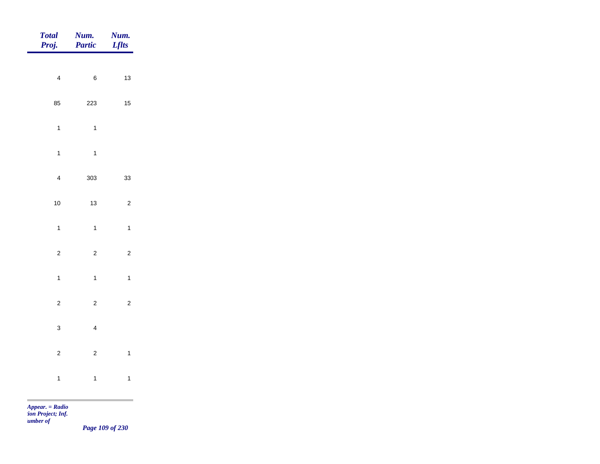| <b>Total</b><br>Proj.   | Num.<br>Partic          | Num.<br><b>Lflts</b> |
|-------------------------|-------------------------|----------------------|
|                         |                         |                      |
| $\overline{\mathbf{4}}$ | $\, 6$                  | 13                   |
| 85                      | 223                     | $15\,$               |
| $\mathbf{1}$            | $\mathbf{1}$            |                      |
| $\mathbf{1}$            | $\mathbf{1}$            |                      |
| $\overline{\mathbf{4}}$ | 303                     | 33                   |
| 10                      | 13                      | $\overline{c}$       |
|                         |                         |                      |
| $\mathbf{1}$            | $\mathbf{1}$            | $\mathbf{1}$         |
| $\overline{c}$          | $\sqrt{2}$              | $\mathbf 2$          |
| $\overline{1}$          | $\overline{1}$          | $\mathbf{1}$         |
| $\overline{c}$          | $\sqrt{2}$              | $\mathbf 2$          |
| $\mathbf{3}$            | $\overline{\mathbf{4}}$ |                      |
| $\overline{c}$          | $\sqrt{2}$              | $\mathbf{1}$         |
|                         |                         |                      |
| $\mathbf{1}$            | $\mathbf{1}$            | $\mathbf{1}$         |

m

*Page 109 of 230*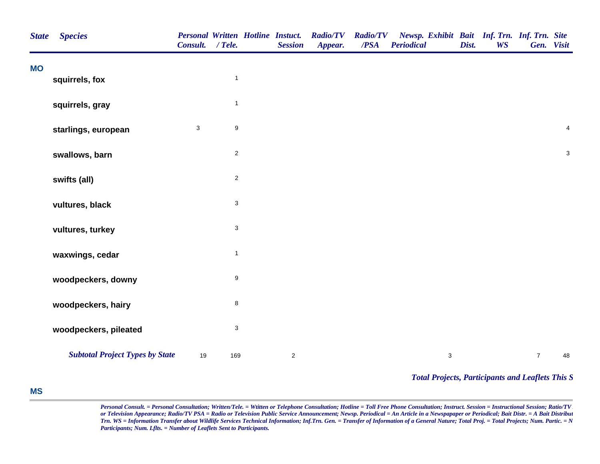| <b>State</b> | <b>Species</b>                         | <b>Personal Written Hotline Instuct.</b><br>Consult. | $/$ Tele.                 | <b>Session</b> | <b>Radio/TV</b><br>Appear. | <b>Radio/TV</b><br>/PSA | Newsp. Exhibit Bait Inf. Trn. Inf. Trn. Site<br><b>Periodical</b> | Dist. | <b>WS</b> | Gen. Visit     |                |
|--------------|----------------------------------------|------------------------------------------------------|---------------------------|----------------|----------------------------|-------------------------|-------------------------------------------------------------------|-------|-----------|----------------|----------------|
| <b>MO</b>    | squirrels, fox                         |                                                      | $\mathbf{1}$              |                |                            |                         |                                                                   |       |           |                |                |
|              | squirrels, gray                        |                                                      | $\mathbf{1}$              |                |                            |                         |                                                                   |       |           |                |                |
|              | starlings, european                    | 3                                                    | $\boldsymbol{9}$          |                |                            |                         |                                                                   |       |           |                | $\overline{4}$ |
|              | swallows, barn                         |                                                      | $\overline{2}$            |                |                            |                         |                                                                   |       |           |                | $\mathbf{3}$   |
|              | swifts (all)                           |                                                      | $\overline{c}$            |                |                            |                         |                                                                   |       |           |                |                |
|              | vultures, black                        |                                                      | $\ensuremath{\mathsf{3}}$ |                |                            |                         |                                                                   |       |           |                |                |
|              | vultures, turkey                       |                                                      | $\ensuremath{\mathsf{3}}$ |                |                            |                         |                                                                   |       |           |                |                |
|              | waxwings, cedar                        |                                                      | $\mathbf{1}$              |                |                            |                         |                                                                   |       |           |                |                |
|              | woodpeckers, downy                     |                                                      | 9                         |                |                            |                         |                                                                   |       |           |                |                |
|              | woodpeckers, hairy                     |                                                      | $\bf8$                    |                |                            |                         |                                                                   |       |           |                |                |
|              | woodpeckers, pileated                  |                                                      | $\ensuremath{\mathsf{3}}$ |                |                            |                         |                                                                   |       |           |                |                |
|              | <b>Subtotal Project Types by State</b> | 19                                                   | 169                       | $\overline{2}$ |                            |                         | $\ensuremath{\mathsf{3}}$                                         |       |           | $\overline{7}$ | 48             |

*Total Projects, Participants and Leaflets This S*

## **MS**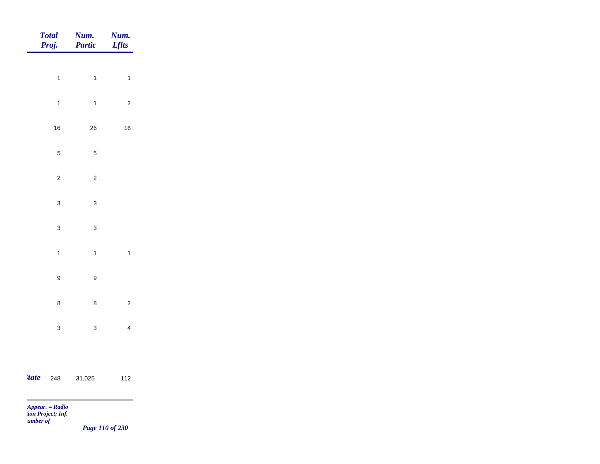|             | <b>Total</b><br>Proj. | Num.<br>Partic   | Num.<br><b>Lflts</b>    |
|-------------|-----------------------|------------------|-------------------------|
|             |                       |                  |                         |
|             | $\ddot{\phantom{a}}$  | $\mathbf{1}$     | $\mathbf{1}$            |
|             | $\mathbf{1}$          | $\mathbf{1}$     | $\mathbf 2$             |
|             | $16\,$                | $26\,$           | $16\,$                  |
|             | $\mathbf 5$           | $\sqrt{5}$       |                         |
|             | $\mathbf 2$           | $\sqrt{2}$       |                         |
|             |                       |                  |                         |
|             | $\mathbf 3$           | $\mathbf{3}$     |                         |
|             | $\overline{3}$        | $\mathsf 3$      |                         |
|             | $\mathbf{1}$          | $\mathbf{1}$     | $\mathbf{1}$            |
|             | $\boldsymbol{9}$      | $\boldsymbol{9}$ |                         |
|             | $\bf 8$               | $\bf8$           | $\mathbf 2$             |
|             |                       |                  |                         |
|             | $\mathbf{3}$          | $\mathbf{3}$     | $\overline{\mathbf{4}}$ |
|             |                       |                  |                         |
| <i>tate</i> | 248                   | 31,025           | 112                     |

 $\sim$ 

*Page 110 of 230*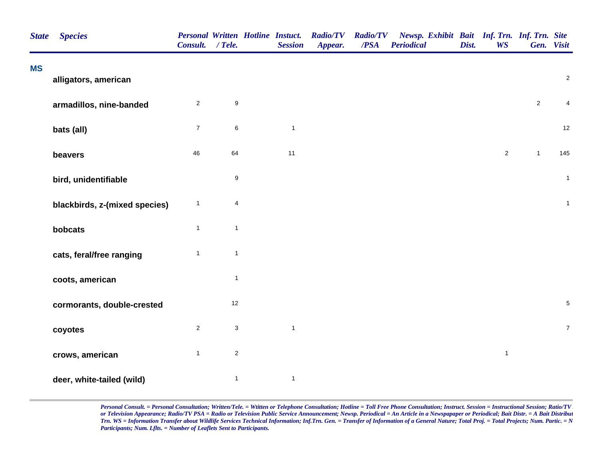| <b>State</b> | <b>Species</b>                | Consult. / Tele. |                           | <b>Personal Written Hotline Instuct.</b><br><b>Session</b> | <b>Radio/TV</b><br>Appear. | <b>Radio/TV</b><br>/PSA | Newsp. Exhibit Bait Inf. Trn. Inf. Trn. Site<br><b>Periodical</b> | Dist. | <b>WS</b>      |              | Gen. Visit       |
|--------------|-------------------------------|------------------|---------------------------|------------------------------------------------------------|----------------------------|-------------------------|-------------------------------------------------------------------|-------|----------------|--------------|------------------|
| <b>MS</b>    | alligators, american          |                  |                           |                                                            |                            |                         |                                                                   |       |                |              | $\overline{c}$   |
|              | armadillos, nine-banded       | $\overline{2}$   | $\boldsymbol{9}$          |                                                            |                            |                         |                                                                   |       |                | $\sqrt{2}$   | 4                |
|              | bats (all)                    | $\overline{7}$   | $\,6\,$                   | $\mathbf{1}$                                               |                            |                         |                                                                   |       |                |              | 12               |
|              | beavers                       | 46               | 64                        | 11                                                         |                            |                         |                                                                   |       | $\overline{2}$ | $\mathbf{1}$ | 145              |
|              | bird, unidentifiable          |                  | $\boldsymbol{9}$          |                                                            |                            |                         |                                                                   |       |                |              | $\mathbf{1}$     |
|              | blackbirds, z-(mixed species) | $\mathbf{1}$     | 4                         |                                                            |                            |                         |                                                                   |       |                |              | $\mathbf{1}$     |
|              | bobcats                       | $\mathbf{1}$     | $\mathbf{1}$              |                                                            |                            |                         |                                                                   |       |                |              |                  |
|              | cats, feral/free ranging      | $\mathbf{1}$     | $\overline{1}$            |                                                            |                            |                         |                                                                   |       |                |              |                  |
|              | coots, american               |                  | $\mathbf{1}$              |                                                            |                            |                         |                                                                   |       |                |              |                  |
|              | cormorants, double-crested    |                  | $12\,$                    |                                                            |                            |                         |                                                                   |       |                |              | $\mathbf 5$      |
|              | coyotes                       | $\sqrt{2}$       | $\ensuremath{\mathsf{3}}$ | $\mathbf 1$                                                |                            |                         |                                                                   |       |                |              | $\boldsymbol{7}$ |
|              | crows, american               | $\mathbf{1}$     | $\sqrt{2}$                |                                                            |                            |                         |                                                                   |       | $\mathbf{1}$   |              |                  |
|              | deer, white-tailed (wild)     |                  | $\mathbf{1}$              | $\mathbf{1}$                                               |                            |                         |                                                                   |       |                |              |                  |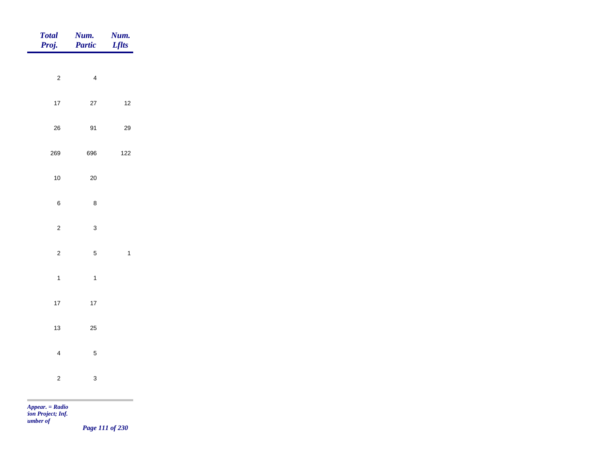| <b>Total</b><br>Proj.                                            | Num.<br>Partic | Num.<br><b>Lflts</b>    |
|------------------------------------------------------------------|----------------|-------------------------|
|                                                                  |                |                         |
| $\overline{c}$                                                   | $\overline{4}$ |                         |
| $17$                                                             | $27\,$         | $12$                    |
| ${\bf 26}$                                                       | 91             | $29\,$                  |
| 269                                                              | 696            | $122$                   |
| $10\,$                                                           | $20\,$         |                         |
| $\bf 6$                                                          | $\bf 8$        |                         |
| $\sqrt{2}$                                                       | $\mathbf{3}$   |                         |
|                                                                  |                |                         |
| $\overline{c}$                                                   | $\overline{5}$ | $\overline{\mathbf{1}}$ |
| $\overline{1}$                                                   | $\overline{1}$ |                         |
| $17\,$                                                           | $17\,$         |                         |
| $13$                                                             | $25\,$         |                         |
| $\overline{4}$                                                   | $\sqrt{5}$     |                         |
| $\overline{c}$                                                   | $\mathbf{3}$   |                         |
|                                                                  |                |                         |
| <b>College</b><br>$\mathbf{r}$ and $\mathbf{r}$ and $\mathbf{r}$ |                |                         |

*Page 111 of 230*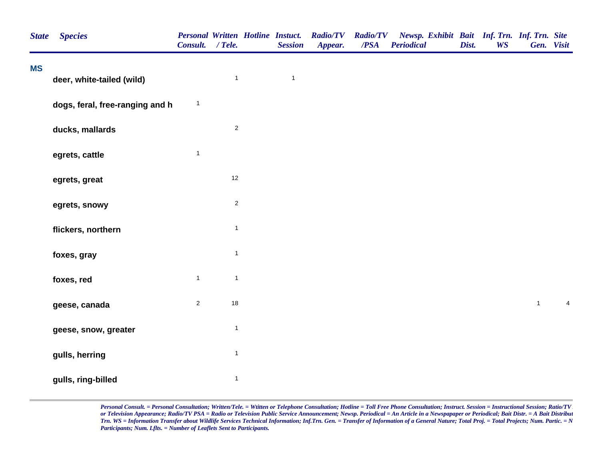| <b>MS</b><br>$\mathbf{1}$<br>$\mathbf{1}$<br>deer, white-tailed (wild)<br>$\mathbf{1}$<br>dogs, feral, free-ranging and h<br>$\overline{c}$<br>ducks, mallards<br>$\mathbf{1}$<br>egrets, cattle<br>12<br>egrets, great<br>$\sqrt{2}$<br>egrets, snowy<br>$\mathbf{1}$<br>flickers, northern<br>$\mathbf{1}$<br>foxes, gray<br>$\mathbf{1}$<br>$\mathbf{1}$<br>foxes, red<br>$\overline{2}$<br>18<br>geese, canada<br>$\mathbf{1}$<br>geese, snow, greater<br>$\mathbf{1}$<br>gulls, herring | Newsp. Exhibit Bait Inf. Trn. Inf. Trn. Site<br>Gen. Visit |            |  |
|----------------------------------------------------------------------------------------------------------------------------------------------------------------------------------------------------------------------------------------------------------------------------------------------------------------------------------------------------------------------------------------------------------------------------------------------------------------------------------------------|------------------------------------------------------------|------------|--|
|                                                                                                                                                                                                                                                                                                                                                                                                                                                                                              |                                                            |            |  |
|                                                                                                                                                                                                                                                                                                                                                                                                                                                                                              |                                                            |            |  |
|                                                                                                                                                                                                                                                                                                                                                                                                                                                                                              |                                                            |            |  |
|                                                                                                                                                                                                                                                                                                                                                                                                                                                                                              |                                                            |            |  |
|                                                                                                                                                                                                                                                                                                                                                                                                                                                                                              |                                                            |            |  |
|                                                                                                                                                                                                                                                                                                                                                                                                                                                                                              |                                                            |            |  |
|                                                                                                                                                                                                                                                                                                                                                                                                                                                                                              |                                                            |            |  |
|                                                                                                                                                                                                                                                                                                                                                                                                                                                                                              |                                                            |            |  |
|                                                                                                                                                                                                                                                                                                                                                                                                                                                                                              |                                                            |            |  |
|                                                                                                                                                                                                                                                                                                                                                                                                                                                                                              | $\mathbf{1}$                                               | $\sqrt{4}$ |  |
|                                                                                                                                                                                                                                                                                                                                                                                                                                                                                              |                                                            |            |  |
|                                                                                                                                                                                                                                                                                                                                                                                                                                                                                              |                                                            |            |  |
| $\mathbf{1}$<br>gulls, ring-billed                                                                                                                                                                                                                                                                                                                                                                                                                                                           |                                                            |            |  |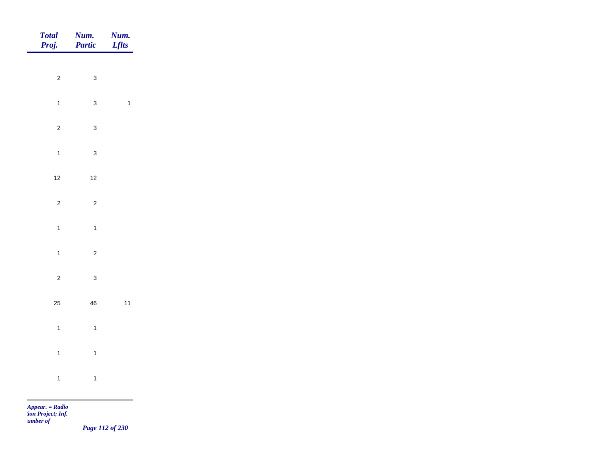| Total<br>Proj. | Num.<br>Partic | Num.<br><b>Lflts</b> |
|----------------|----------------|----------------------|
|                |                |                      |
| $\overline{c}$ | $\mathbf{3}$   |                      |
| $\overline{1}$ | $\mathbf{3}$   | $\overline{1}$       |
| $\overline{2}$ | $\mathbf{3}$   |                      |
| $\overline{1}$ | $\mathbf{3}$   |                      |
| $12$           | $12$           |                      |
| $\overline{c}$ | $\overline{c}$ |                      |
|                |                |                      |
| $\overline{1}$ | $\overline{1}$ |                      |
| $\overline{1}$ | $\overline{c}$ |                      |
| $\overline{c}$ | $\mathbf{3}$   |                      |
| 25             | $\bf 46$       | $11$                 |
| $\mathbf{1}$   | $\overline{1}$ |                      |
| $\mathbf{1}$   | $\mathbf{1}$   |                      |
| $\overline{1}$ | $\overline{1}$ |                      |
|                |                |                      |

*Page 112 of 230*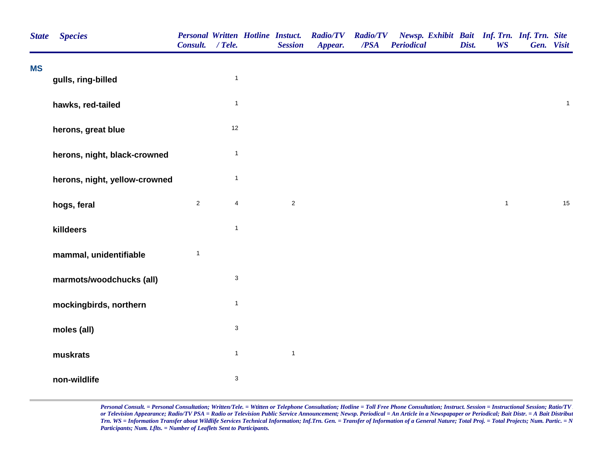| <b>State</b> | <b>Species</b>                | Consult. / Tele. |                           | <b>Personal Written Hotline Instuct.</b><br><b>Session</b> | <b>Radio/TV Radio/TV</b><br>Appear. | $\overline{PSA}$ | Newsp. Exhibit Bait Inf. Trn. Inf. Trn. Site<br><b>Periodical</b> | Dist. | <b>WS</b>    | Gen. Visit |              |
|--------------|-------------------------------|------------------|---------------------------|------------------------------------------------------------|-------------------------------------|------------------|-------------------------------------------------------------------|-------|--------------|------------|--------------|
| <b>MS</b>    | gulls, ring-billed            |                  | $\mathbf{1}$              |                                                            |                                     |                  |                                                                   |       |              |            |              |
|              | hawks, red-tailed             |                  | $\mathbf{1}$              |                                                            |                                     |                  |                                                                   |       |              |            | $\mathbf{1}$ |
|              | herons, great blue            |                  | 12                        |                                                            |                                     |                  |                                                                   |       |              |            |              |
|              | herons, night, black-crowned  |                  | $\mathbf{1}$              |                                                            |                                     |                  |                                                                   |       |              |            |              |
|              | herons, night, yellow-crowned |                  | $\overline{1}$            |                                                            |                                     |                  |                                                                   |       |              |            |              |
|              | hogs, feral                   | $\overline{c}$   | $\overline{4}$            | $\sqrt{2}$                                                 |                                     |                  |                                                                   |       | $\mathbf{1}$ |            | 15           |
|              | killdeers                     |                  | $\mathbf{1}$              |                                                            |                                     |                  |                                                                   |       |              |            |              |
|              | mammal, unidentifiable        | $\mathbf{1}$     |                           |                                                            |                                     |                  |                                                                   |       |              |            |              |
|              | marmots/woodchucks (all)      |                  | $\ensuremath{\mathsf{3}}$ |                                                            |                                     |                  |                                                                   |       |              |            |              |
|              | mockingbirds, northern        |                  | $\mathbf{1}$              |                                                            |                                     |                  |                                                                   |       |              |            |              |
|              | moles (all)                   |                  | $\ensuremath{\mathsf{3}}$ |                                                            |                                     |                  |                                                                   |       |              |            |              |
|              | muskrats                      |                  | $\mathbf{1}$              | $\mathbf{1}$                                               |                                     |                  |                                                                   |       |              |            |              |
|              | non-wildlife                  |                  | $\mathbf 3$               |                                                            |                                     |                  |                                                                   |       |              |            |              |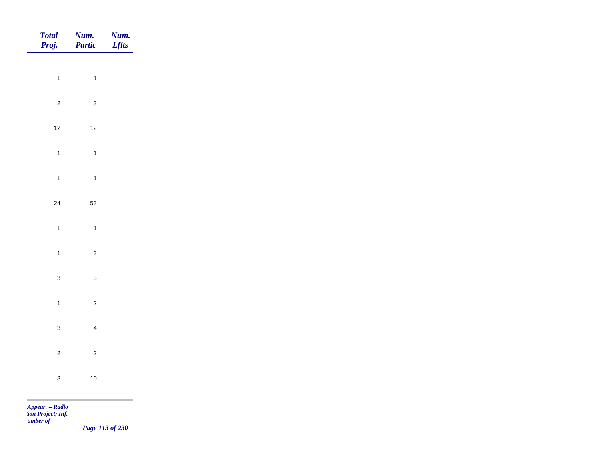| Total<br>Proj. | Num.<br>Partic | <b>Num.</b><br>Lflts |
|----------------|----------------|----------------------|
|                |                |                      |
| $\overline{1}$ | $\overline{1}$ |                      |
| $\overline{2}$ | $\mathbf{3}$   |                      |
| $12$           | $12$           |                      |
| $\overline{1}$ | $\mathbf{1}$   |                      |
| $\overline{1}$ | $\overline{1}$ |                      |
| $24\,$         | 53             |                      |
| $\mathbf{1}$   | $\overline{1}$ |                      |
|                |                |                      |
| $\mathbf{1}$   | $\mathbf{3}$   |                      |
| $\mathbf{3}$   | $\mathbf{3}$   |                      |
| $\overline{1}$ | $\overline{c}$ |                      |
| $\mathbf{3}$   | $\overline{4}$ |                      |
| $\overline{2}$ | $\overline{c}$ |                      |
| $\mathbf{3}$   | $10$           |                      |
|                |                |                      |

*Page 113 of 230*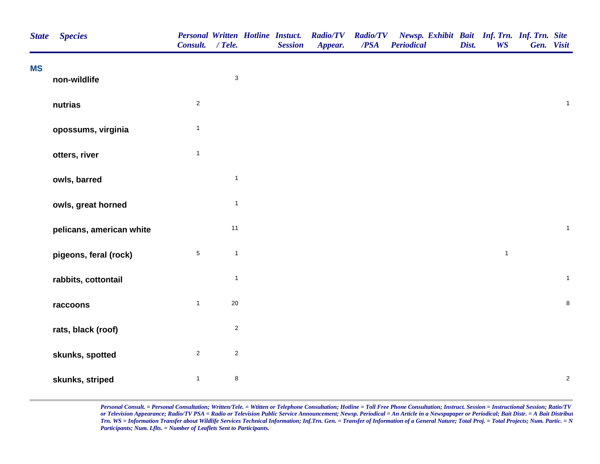| <b>State</b> | <b>Species</b>           | Consult. / Tele. |              | <b>Personal Written Hotline Instuct.</b><br><b>Session</b> | <b>Radio/TV</b><br>Appear. | <b>Radio/TV</b><br>/PSA | Newsp. Exhibit Bait Inf. Trn. Inf. Trn. Site<br><b>Periodical</b> | Dist. | <b>WS</b>    | Gen. Visit |                |
|--------------|--------------------------|------------------|--------------|------------------------------------------------------------|----------------------------|-------------------------|-------------------------------------------------------------------|-------|--------------|------------|----------------|
| <b>MS</b>    | non-wildlife             |                  | $\mathbf 3$  |                                                            |                            |                         |                                                                   |       |              |            |                |
|              | nutrias                  | $\overline{2}$   |              |                                                            |                            |                         |                                                                   |       |              |            | $\mathbf{1}$   |
|              | opossums, virginia       | $\mathbf{1}$     |              |                                                            |                            |                         |                                                                   |       |              |            |                |
|              | otters, river            | $\mathbf{1}$     |              |                                                            |                            |                         |                                                                   |       |              |            |                |
|              | owls, barred             |                  | $\mathbf{1}$ |                                                            |                            |                         |                                                                   |       |              |            |                |
|              | owls, great horned       |                  | $\mathbf{1}$ |                                                            |                            |                         |                                                                   |       |              |            |                |
|              | pelicans, american white |                  | 11           |                                                            |                            |                         |                                                                   |       |              |            | $\overline{1}$ |
|              | pigeons, feral (rock)    | $\,$ 5 $\,$      | $\mathbf{1}$ |                                                            |                            |                         |                                                                   |       | $\mathbf{1}$ |            |                |
|              | rabbits, cottontail      |                  | $\mathbf{1}$ |                                                            |                            |                         |                                                                   |       |              |            | $\overline{1}$ |
|              | raccoons                 | $\mathbf{1}$     | $20\,$       |                                                            |                            |                         |                                                                   |       |              |            | $\bf8$         |
|              | rats, black (roof)       |                  | $\sqrt{2}$   |                                                            |                            |                         |                                                                   |       |              |            |                |
|              | skunks, spotted          | $\overline{c}$   | $\mathbf{2}$ |                                                            |                            |                         |                                                                   |       |              |            |                |
|              | skunks, striped          | $\mathbf{1}$     | $\bf 8$      |                                                            |                            |                         |                                                                   |       |              |            | $\sqrt{2}$     |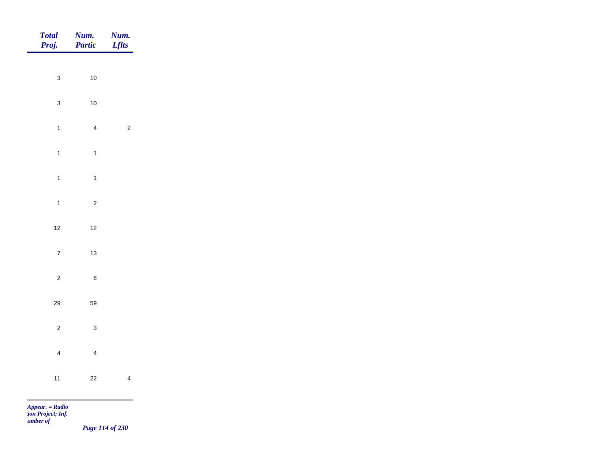| $\mathbf{3}$<br>$10$<br>$\mathbf{3}$<br>$10$ |
|----------------------------------------------|
|                                              |
|                                              |
|                                              |
| $\mathbf{1}$<br>$\overline{4}$               |
| $\overline{1}$<br>$\overline{1}$             |
| $\overline{1}$<br>$\mathbf{1}$               |
| $\overline{1}$<br>$\overline{c}$             |
|                                              |
| $12$<br>$12$                                 |
| $\overline{7}$<br>$13$                       |
| $\overline{c}$<br>$\, 6$                     |
| 29<br>59                                     |
| $\overline{c}$<br>$\mathbf{3}$               |
| $\overline{4}$<br>$\overline{4}$             |
|                                              |
| $11$<br>$22\,$                               |

*Page 114 of 230*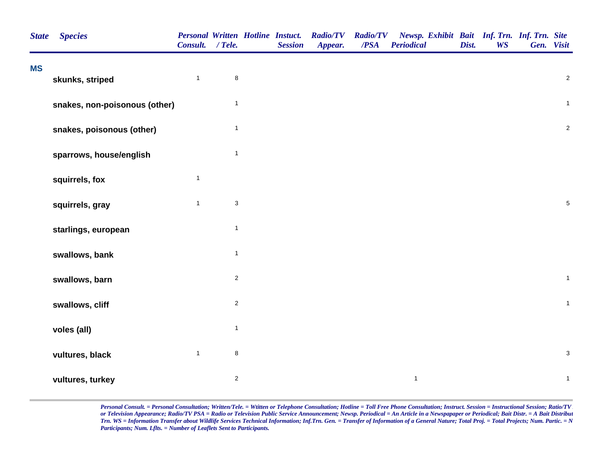| <b>MS</b><br>$\mathbf{1}$<br>$\bf 8$<br>skunks, striped<br>$\mathbf{1}$<br>snakes, non-poisonous (other)<br>snakes, poisonous (other)<br>$\mathbf{1}$<br>$\mathbf{1}$<br>sparrows, house/english<br>$\mathbf{1}$<br>squirrels, fox<br>$\ensuremath{\mathsf{3}}$<br>$\mathbf{1}$<br>squirrels, gray<br>$\mathbf{1}$<br>starlings, european<br>$\mathbf{1}$<br>swallows, bank<br>$\overline{c}$<br>swallows, barn<br>$\overline{c}$<br>swallows, cliff<br>$\mathbf{1}$<br>voles (all)<br>$\bf8$<br>$\mathbf{1}$<br>vultures, black | <b>State</b> | <b>Species</b> | Consult. / Tele. |  | <b>Personal Written Hotline Instuct.</b><br><b>Session</b> | <b>Radio/TV</b><br>Appear. | <b>Radio/TV</b><br>/PSA | Newsp. Exhibit Bait Inf. Trn. Inf. Trn. Site<br><b>Periodical</b> | Dist. | <b>WS</b> | Gen. Visit |                |  |
|----------------------------------------------------------------------------------------------------------------------------------------------------------------------------------------------------------------------------------------------------------------------------------------------------------------------------------------------------------------------------------------------------------------------------------------------------------------------------------------------------------------------------------|--------------|----------------|------------------|--|------------------------------------------------------------|----------------------------|-------------------------|-------------------------------------------------------------------|-------|-----------|------------|----------------|--|
|                                                                                                                                                                                                                                                                                                                                                                                                                                                                                                                                  |              |                |                  |  |                                                            |                            |                         |                                                                   |       |           |            | $\overline{2}$ |  |
|                                                                                                                                                                                                                                                                                                                                                                                                                                                                                                                                  |              |                |                  |  |                                                            |                            |                         |                                                                   |       |           |            | $\mathbf{1}$   |  |
|                                                                                                                                                                                                                                                                                                                                                                                                                                                                                                                                  |              |                |                  |  |                                                            |                            |                         |                                                                   |       |           |            | $\sqrt{2}$     |  |
|                                                                                                                                                                                                                                                                                                                                                                                                                                                                                                                                  |              |                |                  |  |                                                            |                            |                         |                                                                   |       |           |            |                |  |
|                                                                                                                                                                                                                                                                                                                                                                                                                                                                                                                                  |              |                |                  |  |                                                            |                            |                         |                                                                   |       |           |            |                |  |
|                                                                                                                                                                                                                                                                                                                                                                                                                                                                                                                                  |              |                |                  |  |                                                            |                            |                         |                                                                   |       |           |            | $\sqrt{5}$     |  |
|                                                                                                                                                                                                                                                                                                                                                                                                                                                                                                                                  |              |                |                  |  |                                                            |                            |                         |                                                                   |       |           |            |                |  |
|                                                                                                                                                                                                                                                                                                                                                                                                                                                                                                                                  |              |                |                  |  |                                                            |                            |                         |                                                                   |       |           |            |                |  |
|                                                                                                                                                                                                                                                                                                                                                                                                                                                                                                                                  |              |                |                  |  |                                                            |                            |                         |                                                                   |       |           |            | $\mathbf{1}$   |  |
|                                                                                                                                                                                                                                                                                                                                                                                                                                                                                                                                  |              |                |                  |  |                                                            |                            |                         |                                                                   |       |           |            | $\mathbf{1}$   |  |
|                                                                                                                                                                                                                                                                                                                                                                                                                                                                                                                                  |              |                |                  |  |                                                            |                            |                         |                                                                   |       |           |            |                |  |
|                                                                                                                                                                                                                                                                                                                                                                                                                                                                                                                                  |              |                |                  |  |                                                            |                            |                         |                                                                   |       |           |            | $\mathbf{3}$   |  |
| $\overline{c}$<br>$\mathbf{1}$<br>vultures, turkey                                                                                                                                                                                                                                                                                                                                                                                                                                                                               |              |                |                  |  |                                                            |                            |                         |                                                                   |       |           |            | $\mathbf{1}$   |  |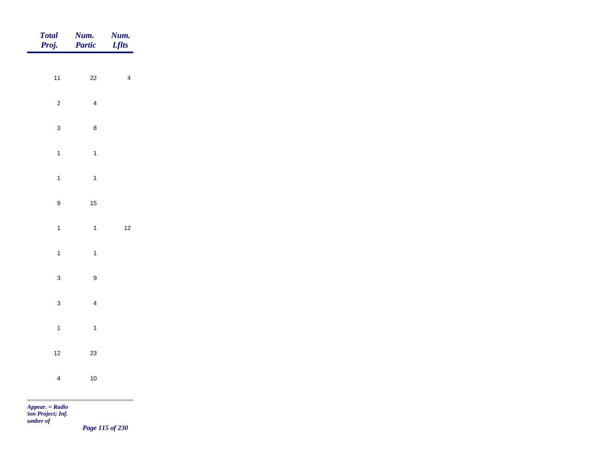| Total<br>Proj.   | Num.<br>Partic   | Num.<br><b>Lflts</b> |
|------------------|------------------|----------------------|
| $11$             |                  |                      |
|                  | $22\,$           | $\overline{4}$       |
| $\overline{c}$   | $\overline{4}$   |                      |
| $\mathbf{3}$     | $\bf 8$          |                      |
| $\mathbf{1}$     | $\mathbf{1}$     |                      |
| $\mathbf{1}$     | $\mathbf{1}$     |                      |
| $\boldsymbol{9}$ | $15$             |                      |
| $\mathbf{1}$     | $\overline{1}$   | $12$                 |
|                  |                  |                      |
| $\mathbf{1}$     | $\overline{1}$   |                      |
| $\mathbf{3}$     | $\boldsymbol{9}$ |                      |
| $\mathbf{3}$     | $\overline{4}$   |                      |
| $\mathbf{1}$     | $\mathbf{1}$     |                      |
| $12$             | $23\,$           |                      |
| $\overline{4}$   | $10$             |                      |
|                  |                  | <b>College</b>       |

*Page 115 of 230*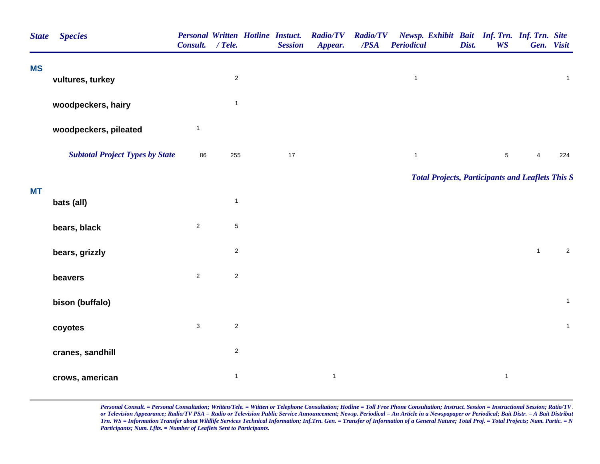| <b>State</b> | <b>Species</b>                         | Consult. / Tele.          |                | <b>Session</b> | Personal Written Hotline Instuct. Radio/TV<br>Appear. | <b>Radio/TV</b><br>/PSA | Newsp. Exhibit Bait Inf. Trn. Inf. Trn. Site<br><b>Periodical</b> | Dist. | <b>WS</b>    | Gen. Visit   |                |
|--------------|----------------------------------------|---------------------------|----------------|----------------|-------------------------------------------------------|-------------------------|-------------------------------------------------------------------|-------|--------------|--------------|----------------|
| <b>MS</b>    | vultures, turkey                       |                           | $\overline{c}$ |                |                                                       |                         | $\mathbf{1}$                                                      |       |              |              | $\mathbf{1}$   |
|              | woodpeckers, hairy                     |                           | $\mathbf{1}$   |                |                                                       |                         |                                                                   |       |              |              |                |
|              | woodpeckers, pileated                  | $\mathbf{1}$              |                |                |                                                       |                         |                                                                   |       |              |              |                |
|              | <b>Subtotal Project Types by State</b> | 86                        | 255            | 17             |                                                       |                         | $\mathbf{1}$                                                      |       | $\sqrt{5}$   | 4            | 224            |
|              |                                        |                           |                |                |                                                       |                         | <b>Total Projects, Participants and Leaflets This S</b>           |       |              |              |                |
| МT           | bats (all)                             |                           | $\mathbf{1}$   |                |                                                       |                         |                                                                   |       |              |              |                |
|              | bears, black                           | $\overline{2}$            | $\sqrt{5}$     |                |                                                       |                         |                                                                   |       |              |              |                |
|              | bears, grizzly                         |                           | $\overline{c}$ |                |                                                       |                         |                                                                   |       |              | $\mathbf{1}$ | $\overline{2}$ |
|              | beavers                                | $\overline{2}$            | $\overline{c}$ |                |                                                       |                         |                                                                   |       |              |              |                |
|              | bison (buffalo)                        |                           |                |                |                                                       |                         |                                                                   |       |              |              | $\mathbf{1}$   |
|              | coyotes                                | $\ensuremath{\mathsf{3}}$ | $\overline{c}$ |                |                                                       |                         |                                                                   |       |              |              | $\mathbf{1}$   |
|              | cranes, sandhill                       |                           | $\overline{c}$ |                |                                                       |                         |                                                                   |       |              |              |                |
|              | crows, american                        |                           | $\mathbf{1}$   |                | $\mathbf{1}$                                          |                         |                                                                   |       | $\mathbf{1}$ |              |                |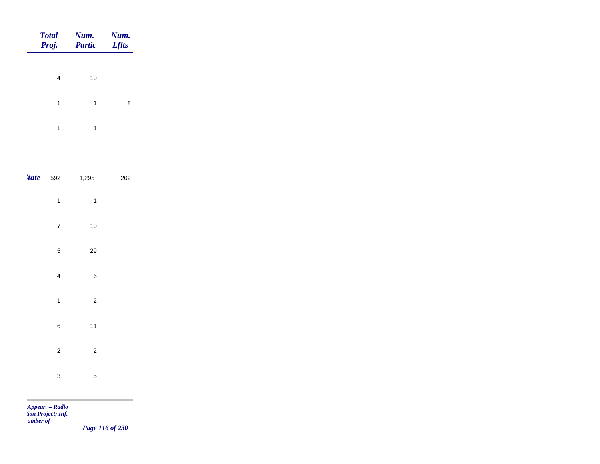|       | <b>Total</b><br>Proj.   | Num.<br><b>Partic</b>   | Num.<br><b>Lflts</b> |
|-------|-------------------------|-------------------------|----------------------|
|       | 4                       | 10                      |                      |
|       | $\mathbf{1}$            | $\mathbf{1}$            | 8                    |
|       | $\mathbf{1}$            | $\mathbf{1}$            |                      |
|       |                         |                         |                      |
| 'tate | 592                     | 1,295                   | 202                  |
|       | $\mathbf{1}$            | $\mathbf{1}$            |                      |
|       | $\overline{7}$          | 10                      |                      |
|       | 5                       | 29                      |                      |
|       | $\overline{\mathbf{4}}$ | 6                       |                      |
|       | $\mathbf{1}$            | $\overline{\mathbf{c}}$ |                      |
|       | 6                       | 11                      |                      |
|       | $\overline{\mathbf{c}}$ | $\overline{\mathbf{c}}$ |                      |
|       | 3                       | 5                       |                      |

m

*Page 116 of 230*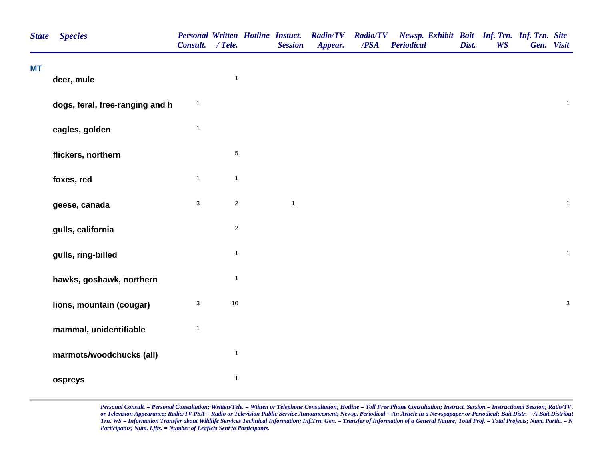| <b>State</b> | <b>Species</b>                  | Personal Written Hotline Instuct.<br>Consult. / Tele. |              | <b>Session</b> | <b>Radio/TV</b><br>Appear. | <b>Radio/TV</b><br>/PSA | Newsp. Exhibit Bait Inf. Trn. Inf. Trn. Site<br><b>Periodical</b> | Dist. | <b>WS</b> | Gen. Visit |                           |
|--------------|---------------------------------|-------------------------------------------------------|--------------|----------------|----------------------------|-------------------------|-------------------------------------------------------------------|-------|-----------|------------|---------------------------|
| <b>MT</b>    | deer, mule                      |                                                       | $\mathbf{1}$ |                |                            |                         |                                                                   |       |           |            |                           |
|              | dogs, feral, free-ranging and h | $\mathbf{1}$                                          |              |                |                            |                         |                                                                   |       |           |            | $\mathbf{1}$              |
|              | eagles, golden                  | $\mathbf{1}$                                          |              |                |                            |                         |                                                                   |       |           |            |                           |
|              | flickers, northern              |                                                       | $\mathbf 5$  |                |                            |                         |                                                                   |       |           |            |                           |
|              | foxes, red                      | $\mathbf{1}$                                          | $\mathbf{1}$ |                |                            |                         |                                                                   |       |           |            |                           |
|              | geese, canada                   | $\sqrt{3}$                                            | $\sqrt{2}$   | $\mathbf{1}$   |                            |                         |                                                                   |       |           |            | $\mathbf{1}$              |
|              | gulls, california               |                                                       | $\mathbf 2$  |                |                            |                         |                                                                   |       |           |            |                           |
|              | gulls, ring-billed              |                                                       | $\mathbf{1}$ |                |                            |                         |                                                                   |       |           |            | $\mathbf{1}$              |
|              | hawks, goshawk, northern        |                                                       | $\mathbf{1}$ |                |                            |                         |                                                                   |       |           |            |                           |
|              | lions, mountain (cougar)        | $\ensuremath{\mathsf{3}}$                             | 10           |                |                            |                         |                                                                   |       |           |            | $\ensuremath{\mathsf{3}}$ |
|              | mammal, unidentifiable          | $\mathbf{1}$                                          |              |                |                            |                         |                                                                   |       |           |            |                           |
|              | marmots/woodchucks (all)        |                                                       | $\mathbf{1}$ |                |                            |                         |                                                                   |       |           |            |                           |
|              | ospreys                         |                                                       | $\mathbf{1}$ |                |                            |                         |                                                                   |       |           |            |                           |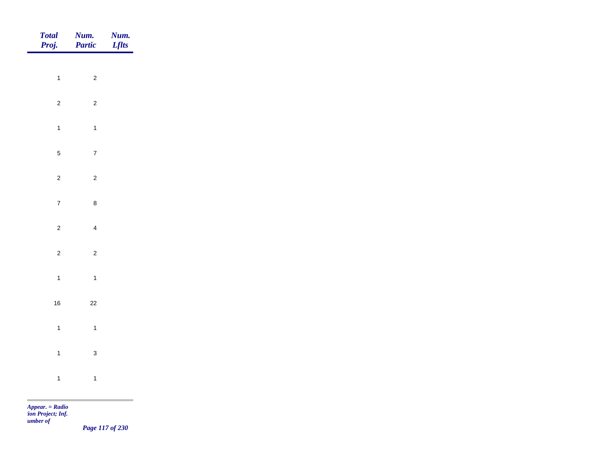| Total<br>Proj. | <b>Num.</b><br>Partic | <b>Num.</b><br>Lflts |
|----------------|-----------------------|----------------------|
|                |                       |                      |
| $\overline{1}$ | $\overline{c}$        |                      |
| $\overline{2}$ | $\overline{2}$        |                      |
| $\overline{1}$ | $\overline{1}$        |                      |
| $\overline{5}$ | $\overline{7}$        |                      |
| $\mathbf 2$    | $\overline{2}$        |                      |
| $\overline{7}$ | $\bf 8$               |                      |
| $\overline{c}$ | $\overline{4}$        |                      |
|                |                       |                      |
| $\overline{c}$ | $\overline{c}$        |                      |
| $\overline{1}$ | $\overline{1}$        |                      |
| $16\,$         | $22\,$                |                      |
| $\overline{1}$ | $\overline{1}$        |                      |
| $\overline{1}$ | $\mathbf{3}$          |                      |
|                |                       |                      |
| $\overline{1}$ | $\mathbf{1}$          |                      |

m

*Page 117 of 230*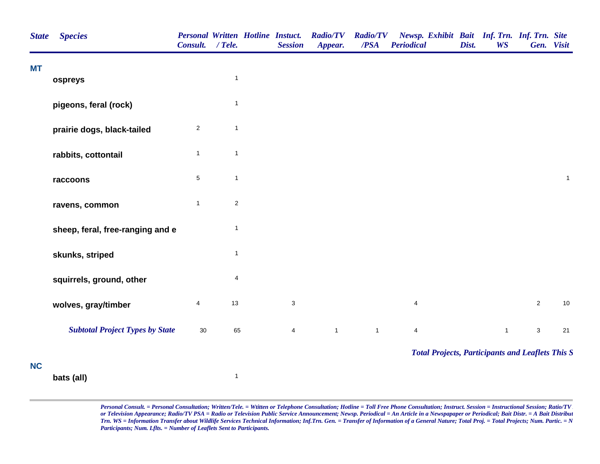| <b>State</b> | <b>Species</b>                         | <b>Personal Written Hotline Instuct.</b><br>Consult. / Tele. |              | <b>Session</b>            | <b>Radio/TV</b><br>Appear. | <b>Radio/TV</b><br>/PSA | Newsp. Exhibit Bait Inf. Trn. Inf. Trn. Site<br><b>Periodical</b> | Dist. | <b>WS</b>    | Gen. Visit     |              |
|--------------|----------------------------------------|--------------------------------------------------------------|--------------|---------------------------|----------------------------|-------------------------|-------------------------------------------------------------------|-------|--------------|----------------|--------------|
| МT           | ospreys                                |                                                              | $\mathbf{1}$ |                           |                            |                         |                                                                   |       |              |                |              |
|              | pigeons, feral (rock)                  |                                                              | 1            |                           |                            |                         |                                                                   |       |              |                |              |
|              | prairie dogs, black-tailed             | $\overline{2}$                                               | $\mathbf{1}$ |                           |                            |                         |                                                                   |       |              |                |              |
|              | rabbits, cottontail                    | $\mathbf{1}$                                                 | $\mathbf{1}$ |                           |                            |                         |                                                                   |       |              |                |              |
|              | raccoons                               | $\,$ 5 $\,$                                                  | $\mathbf{1}$ |                           |                            |                         |                                                                   |       |              |                | $\mathbf{1}$ |
|              | ravens, common                         | $\mathbf{1}$                                                 | $\sqrt{2}$   |                           |                            |                         |                                                                   |       |              |                |              |
|              | sheep, feral, free-ranging and e       |                                                              | $\mathbf{1}$ |                           |                            |                         |                                                                   |       |              |                |              |
|              | skunks, striped                        |                                                              | $\mathbf{1}$ |                           |                            |                         |                                                                   |       |              |                |              |
|              | squirrels, ground, other               |                                                              | 4            |                           |                            |                         |                                                                   |       |              |                |              |
|              | wolves, gray/timber                    | 4                                                            | 13           | $\ensuremath{\mathsf{3}}$ |                            |                         | $\overline{\mathbf{4}}$                                           |       |              | $\overline{2}$ | $10$         |
|              | <b>Subtotal Project Types by State</b> | 30                                                           | 65           | $\overline{4}$            | $\mathbf{1}$               | $\mathbf{1}$            | $\overline{\mathbf{4}}$                                           |       | $\mathbf{1}$ | $\mathbf{3}$   | 21           |
| <b>NC</b>    |                                        |                                                              |              |                           |                            |                         | <b>Total Projects, Participants and Leaflets This S</b>           |       |              |                |              |
|              | bats (all)                             |                                                              | $\mathbf{1}$ |                           |                            |                         |                                                                   |       |              |                |              |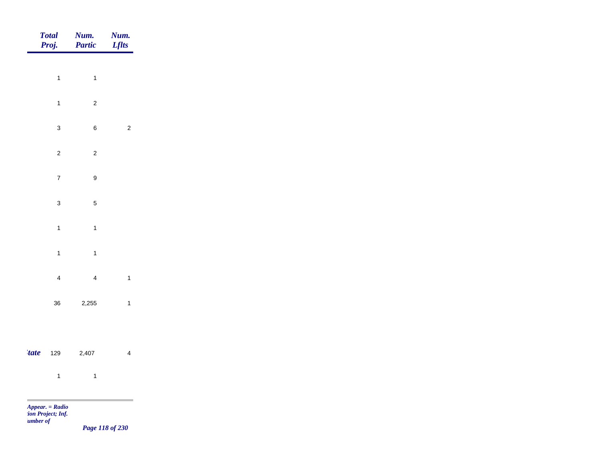|             | <b>Total</b><br>Proj. | Num.<br>Partic           | Num.<br><b>Lflts</b> |
|-------------|-----------------------|--------------------------|----------------------|
|             | $\overline{1}$        | $\overline{1}$           |                      |
|             |                       |                          |                      |
|             | $\overline{1}$        | $\sqrt{2}$               |                      |
|             | $\mathbf{3}$          | $\,$ 6 $\,$              | $\mathbf 2$          |
|             | $\overline{c}$        | $\overline{c}$           |                      |
|             | $\overline{7}$        | $\boldsymbol{9}$         |                      |
|             | $\mathbf{3}$          | $\sqrt{5}$               |                      |
|             | $\overline{1}$        | $\mathbf{1}$             |                      |
|             |                       |                          |                      |
|             | $\overline{1}$        | $\overline{1}$           |                      |
|             | $\overline{4}$        | $\overline{4}$           | $\mathbf{1}$         |
|             | $36\,$                | 2,255                    | $\mathbf{1}$         |
|             |                       |                          |                      |
| <i>tate</i> | 129                   | 2,407                    | $\overline{4}$       |
|             | $\overline{1}$        | $\overline{\phantom{a}}$ |                      |
|             | Appear. = Radio       |                          |                      |

*tion Project; Inf. Number of* 

*Page 118 of 230*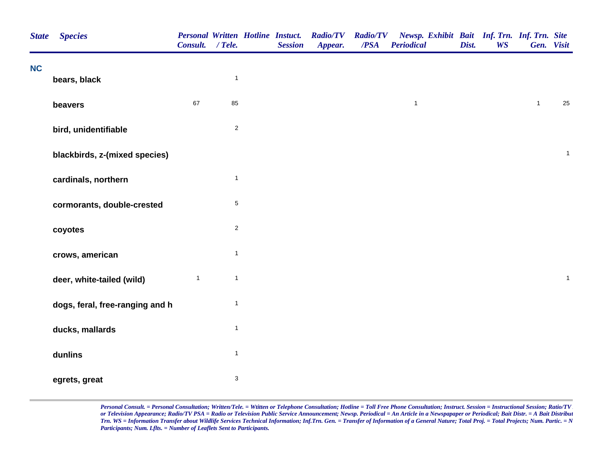| <b>State</b> | <b>Species</b>                  | Consult. / Tele. |              | <b>Personal Written Hotline Instuct.</b><br><b>Session</b> | <b>Radio/TV</b><br>Appear. | <b>Radio/TV</b><br>/PSA | Newsp. Exhibit Bait Inf. Trn. Inf. Trn. Site<br><b>Periodical</b> | Dist. | <b>WS</b> | Gen. Visit   |              |
|--------------|---------------------------------|------------------|--------------|------------------------------------------------------------|----------------------------|-------------------------|-------------------------------------------------------------------|-------|-----------|--------------|--------------|
| <b>NC</b>    | bears, black                    |                  | $\mathbf{1}$ |                                                            |                            |                         |                                                                   |       |           |              |              |
|              | beavers                         | 67               | 85           |                                                            |                            |                         | $\mathbf{1}$                                                      |       |           | $\mathbf{1}$ | 25           |
|              | bird, unidentifiable            |                  | $\sqrt{2}$   |                                                            |                            |                         |                                                                   |       |           |              |              |
|              | blackbirds, z-(mixed species)   |                  |              |                                                            |                            |                         |                                                                   |       |           |              | $\mathbf{1}$ |
|              | cardinals, northern             |                  | $\mathbf{1}$ |                                                            |                            |                         |                                                                   |       |           |              |              |
|              | cormorants, double-crested      |                  | $\sqrt{5}$   |                                                            |                            |                         |                                                                   |       |           |              |              |
|              | coyotes                         |                  | $\sqrt{2}$   |                                                            |                            |                         |                                                                   |       |           |              |              |
|              | crows, american                 |                  | $\mathbf{1}$ |                                                            |                            |                         |                                                                   |       |           |              |              |
|              | deer, white-tailed (wild)       | $\mathbf{1}$     | $\mathbf{1}$ |                                                            |                            |                         |                                                                   |       |           |              | $\mathbf{1}$ |
|              | dogs, feral, free-ranging and h |                  | $\mathbf{1}$ |                                                            |                            |                         |                                                                   |       |           |              |              |
|              | ducks, mallards                 |                  | $\mathbf{1}$ |                                                            |                            |                         |                                                                   |       |           |              |              |
|              | dunlins                         |                  | $\mathbf{1}$ |                                                            |                            |                         |                                                                   |       |           |              |              |
|              | egrets, great                   |                  | $\sqrt{3}$   |                                                            |                            |                         |                                                                   |       |           |              |              |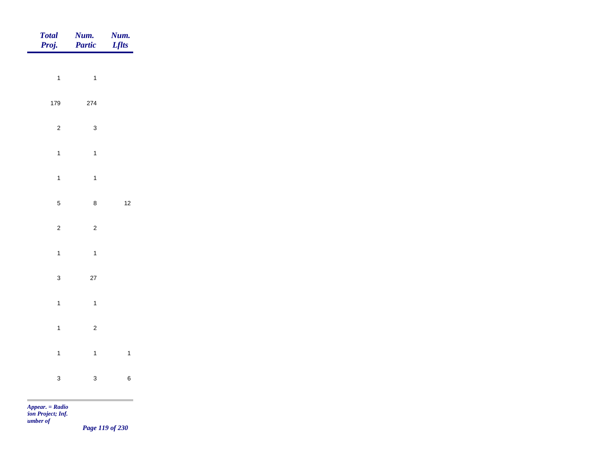| Total<br>Proj.     | Num.<br>Partic           | <b>Num.</b><br><i>Lflts</i> |
|--------------------|--------------------------|-----------------------------|
|                    |                          |                             |
| $\overline{1}$     | $\overline{\phantom{a}}$ |                             |
| 179                | 274                      |                             |
| $\overline{c}$     | $\mathbf{3}$             |                             |
| $\overline{1}$     | $\overline{1}$           |                             |
| $\overline{1}$     | $\mathbf{1}$             |                             |
| $5\phantom{.0}$    | $\bf 8$                  | $12$                        |
| $\overline{c}$     | $\overline{c}$           |                             |
|                    |                          |                             |
| $\overline{1}$     | $\overline{1}$           |                             |
| $\mathbf{3}$       | $27\,$                   |                             |
| $\overline{1}$     | $\overline{1}$           |                             |
| $\overline{1}$     | $\overline{c}$           |                             |
| $\mathbf{1}$       | $\overline{1}$           | $\overline{\mathbf{1}}$     |
| $\mathbf{3}$       | $\mathbf{3}$             | $\,$ 6 $\,$                 |
| <b>The College</b> |                          |                             |

*Page 119 of 230*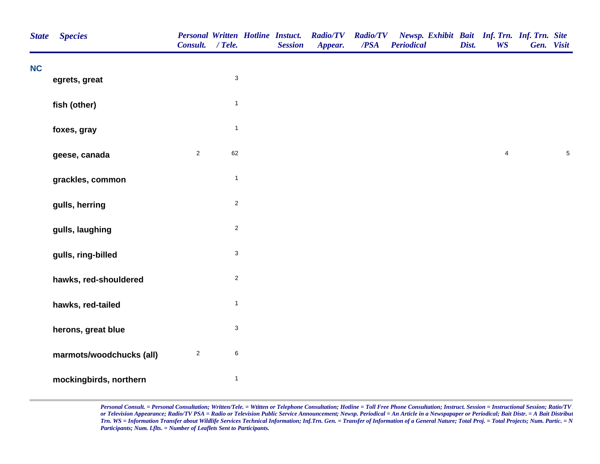| <b>State</b> | <b>Species</b>           | Consult. / Tele. |                           | <b>Personal Written Hotline Instuct.</b><br><b>Session</b> | <b>Radio/TV</b><br>Appear. | <b>Radio/TV</b><br>/PSA | Newsp. Exhibit Bait Inf. Trn. Inf. Trn. Site<br><b>Periodical</b> | Dist. | <b>WS</b>      | Gen. Visit |            |
|--------------|--------------------------|------------------|---------------------------|------------------------------------------------------------|----------------------------|-------------------------|-------------------------------------------------------------------|-------|----------------|------------|------------|
| <b>NC</b>    | egrets, great            |                  | $\sqrt{3}$                |                                                            |                            |                         |                                                                   |       |                |            |            |
|              | fish (other)             |                  | $\mathbf{1}$              |                                                            |                            |                         |                                                                   |       |                |            |            |
|              | foxes, gray              |                  | $\mathbf{1}$              |                                                            |                            |                         |                                                                   |       |                |            |            |
|              | geese, canada            | $\overline{2}$   | 62                        |                                                            |                            |                         |                                                                   |       | $\overline{4}$ |            | $\sqrt{5}$ |
|              | grackles, common         |                  | $\mathbf{1}$              |                                                            |                            |                         |                                                                   |       |                |            |            |
|              | gulls, herring           |                  | $\sqrt{2}$                |                                                            |                            |                         |                                                                   |       |                |            |            |
|              | gulls, laughing          |                  | $\sqrt{2}$                |                                                            |                            |                         |                                                                   |       |                |            |            |
|              | gulls, ring-billed       |                  | $\ensuremath{\mathsf{3}}$ |                                                            |                            |                         |                                                                   |       |                |            |            |
|              | hawks, red-shouldered    |                  | $\sqrt{2}$                |                                                            |                            |                         |                                                                   |       |                |            |            |
|              | hawks, red-tailed        |                  | $\mathbf{1}$              |                                                            |                            |                         |                                                                   |       |                |            |            |
|              | herons, great blue       |                  | $\ensuremath{\mathsf{3}}$ |                                                            |                            |                         |                                                                   |       |                |            |            |
|              | marmots/woodchucks (all) | $\sqrt{2}$       | $\,6$                     |                                                            |                            |                         |                                                                   |       |                |            |            |
|              | mockingbirds, northern   |                  | $\mathbf{1}$              |                                                            |                            |                         |                                                                   |       |                |            |            |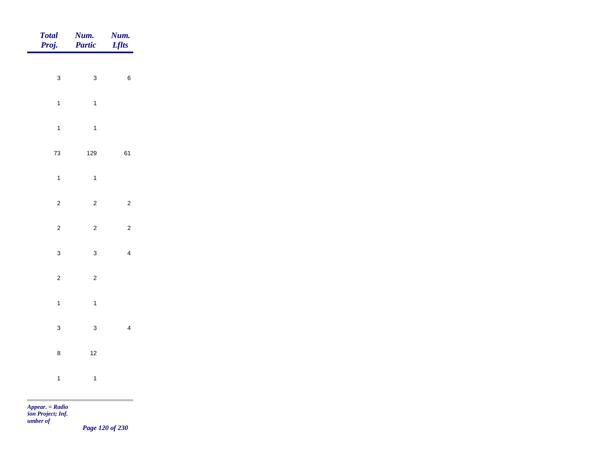| Total<br>Proj. | <b>Num.</b><br><b>Partic</b> | <b>Num.</b><br>Lflts |
|----------------|------------------------------|----------------------|
|                |                              |                      |
| $\mathbf{3}$   | $\mathbf{3}$                 | $\,$ 6 $\,$          |
| $\overline{1}$ | $\overline{1}$               |                      |
| $\overline{1}$ | $\overline{1}$               |                      |
| $73\,$         | 129                          | 61                   |
| $\mathbf{1}$   | $\overline{1}$               |                      |
| $\overline{c}$ | $\overline{2}$               | $\overline{2}$       |
|                |                              |                      |
| $\overline{c}$ | $\overline{c}$               | $\overline{2}$       |
| $\mathbf{3}$   | $\mathbf{3}$                 | $\overline{4}$       |
| $\overline{c}$ | $\overline{c}$               |                      |
| $\overline{1}$ | $\overline{1}$               |                      |
| $\mathbf{3}$   | $\mathbf{3}$                 | $\overline{4}$       |
|                |                              |                      |
| $\bf 8$        | $12$                         |                      |
| $\overline{1}$ | $\overline{1}$               |                      |
|                |                              |                      |

*Page 120 of 230*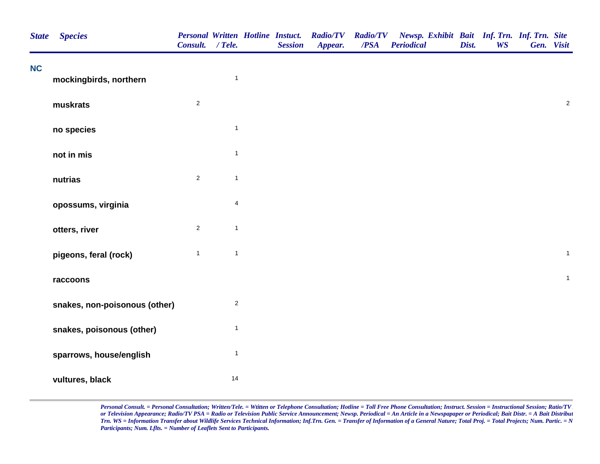| <b>State</b> | <b>Species</b>                | Consult. / Tele. |                         | <b>Personal Written Hotline Instuct.</b><br><b>Session</b> | <b>Radio/TV</b><br>Appear. | /PSA | Radio/TV Newsp. Exhibit Bait Inf. Trn. Inf. Trn. Site<br><b>Periodical</b> | Dist. | <b>WS</b> | Gen. Visit |              |
|--------------|-------------------------------|------------------|-------------------------|------------------------------------------------------------|----------------------------|------|----------------------------------------------------------------------------|-------|-----------|------------|--------------|
| <b>NC</b>    | mockingbirds, northern        |                  | $\mathbf{1}$            |                                                            |                            |      |                                                                            |       |           |            |              |
|              | muskrats                      | $\overline{2}$   |                         |                                                            |                            |      |                                                                            |       |           |            | $\sqrt{2}$   |
|              | no species                    |                  | $\mathbf{1}$            |                                                            |                            |      |                                                                            |       |           |            |              |
|              | not in mis                    |                  | $\mathbf{1}$            |                                                            |                            |      |                                                                            |       |           |            |              |
|              | nutrias                       | $\overline{a}$   | $\mathbf{1}$            |                                                            |                            |      |                                                                            |       |           |            |              |
|              | opossums, virginia            |                  | $\overline{\mathbf{4}}$ |                                                            |                            |      |                                                                            |       |           |            |              |
|              | otters, river                 | $\overline{2}$   | $\mathbf{1}$            |                                                            |                            |      |                                                                            |       |           |            |              |
|              | pigeons, feral (rock)         | $\mathbf{1}$     | $\mathbf{1}$            |                                                            |                            |      |                                                                            |       |           |            | $\mathbf{1}$ |
|              | raccoons                      |                  |                         |                                                            |                            |      |                                                                            |       |           |            | $\mathbf{1}$ |
|              | snakes, non-poisonous (other) |                  | $\overline{c}$          |                                                            |                            |      |                                                                            |       |           |            |              |
|              | snakes, poisonous (other)     |                  | $\mathbf{1}$            |                                                            |                            |      |                                                                            |       |           |            |              |
|              | sparrows, house/english       |                  | $\mathbf{1}$            |                                                            |                            |      |                                                                            |       |           |            |              |
|              | vultures, black               |                  | 14                      |                                                            |                            |      |                                                                            |       |           |            |              |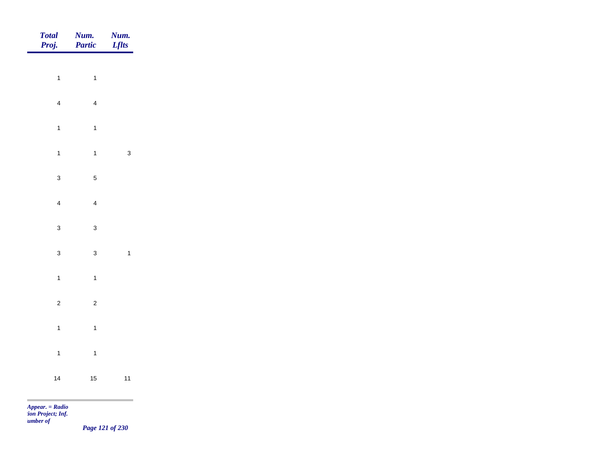| Total<br>Proj.           | <b>Num.</b><br>Partic | <b>Num.</b><br><i>Lflts</i> |
|--------------------------|-----------------------|-----------------------------|
| $\overline{1}$           | $\mathbf{1}$          |                             |
|                          |                       |                             |
| $\overline{4}$           | $\overline{4}$        |                             |
| $\overline{1}$           | $\overline{1}$        |                             |
| $\overline{1}$           | $\mathbf{1}$          | $\mathbf{3}$                |
| $\mathbf{3}$             | $\sqrt{5}$            |                             |
| $\overline{4}$           | $\overline{4}$        |                             |
| $\mathbf{3}$             | $\mathbf{3}$          |                             |
| $\mathbf{3}$             | $\mathbf{3}$          | $\overline{1}$              |
|                          |                       |                             |
| $\overline{1}$           | $\mathbf{1}$          |                             |
| $\overline{c}$           | $\overline{c}$        |                             |
| $\overline{1}$           | $\overline{1}$        |                             |
| $\overline{1}$           | $\overline{1}$        |                             |
| 14                       | $15$                  | $11$                        |
| <b>Contract Contract</b> |                       |                             |

*Page 121 of 230*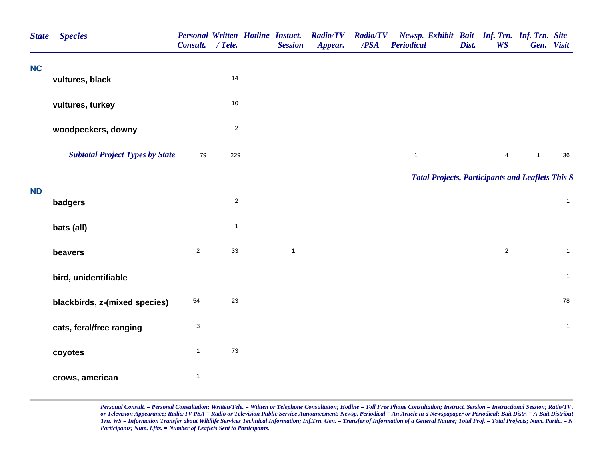| <b>State</b> | <b>Species</b>                         | Consult.       | $/$ Tele.      | <b>Personal Written Hotline Instuct.</b><br><b>Session</b> | <b>Radio/TV</b><br>Appear. | <b>Radio/TV</b><br>/PSA | Newsp. Exhibit Bait Inf. Trn. Inf. Trn. Site<br><b>Periodical</b> | Dist. | <b>WS</b>      |                | Gen. Visit     |
|--------------|----------------------------------------|----------------|----------------|------------------------------------------------------------|----------------------------|-------------------------|-------------------------------------------------------------------|-------|----------------|----------------|----------------|
| <b>NC</b>    | vultures, black                        |                | 14             |                                                            |                            |                         |                                                                   |       |                |                |                |
|              |                                        |                |                |                                                            |                            |                         |                                                                   |       |                |                |                |
|              | vultures, turkey                       |                | $10$           |                                                            |                            |                         |                                                                   |       |                |                |                |
|              | woodpeckers, downy                     |                | $\overline{c}$ |                                                            |                            |                         |                                                                   |       |                |                |                |
|              | <b>Subtotal Project Types by State</b> | 79             | 229            |                                                            |                            |                         | $\mathbf{1}$                                                      |       | $\overline{4}$ | $\overline{1}$ | 36             |
|              |                                        |                |                |                                                            |                            |                         | <b>Total Projects, Participants and Leaflets This S</b>           |       |                |                |                |
| <b>ND</b>    | badgers                                |                | $\overline{c}$ |                                                            |                            |                         |                                                                   |       |                |                | $\mathbf{1}$   |
|              | bats (all)                             |                | $\mathbf{1}$   |                                                            |                            |                         |                                                                   |       |                |                |                |
|              | beavers                                | $\overline{2}$ | 33             | $\mathbf{1}$                                               |                            |                         |                                                                   |       | $\overline{2}$ |                | $\overline{1}$ |
|              | bird, unidentifiable                   |                |                |                                                            |                            |                         |                                                                   |       |                |                | $\mathbf{1}$   |
|              | blackbirds, z-(mixed species)          | 54             | 23             |                                                            |                            |                         |                                                                   |       |                |                | 78             |
|              | cats, feral/free ranging               | 3              |                |                                                            |                            |                         |                                                                   |       |                |                | $\mathbf{1}$   |
|              | coyotes                                | $\mathbf{1}$   | 73             |                                                            |                            |                         |                                                                   |       |                |                |                |
|              | crows, american                        | $\mathbf{1}$   |                |                                                            |                            |                         |                                                                   |       |                |                |                |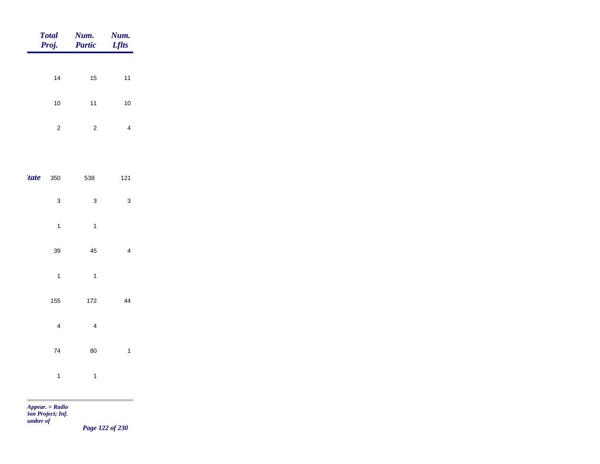|             | <b>Total</b><br>Proj.   | Num.<br><b>Partic</b>   | Num.<br><b>Lflts</b>    |
|-------------|-------------------------|-------------------------|-------------------------|
|             | 14                      | 15                      | $11$                    |
|             | $10\,$                  | $11$                    | $10$                    |
|             | $\sqrt{2}$              | $\mathbf 2$             | $\overline{4}$          |
|             |                         |                         |                         |
| <i>tate</i> | 350                     | 538                     | $121$                   |
|             | $\mathsf 3$             | $\mathsf 3$             | $\mathbf 3$             |
|             | $\overline{1}$          | $\mathbf{1}$            |                         |
|             | 39                      | 45                      | $\overline{\mathbf{4}}$ |
|             | $\overline{1}$          | $\mathbf{1}$            |                         |
|             | 155                     | 172                     | 44                      |
|             | $\overline{\mathbf{4}}$ | $\overline{\mathbf{4}}$ |                         |
|             | $\bf 74$                | 80                      | $\mathbf{1}$            |
|             | $\mathbf{1}$            | $\mathbf{1}$            |                         |
|             |                         |                         |                         |

*Page 122 of 230*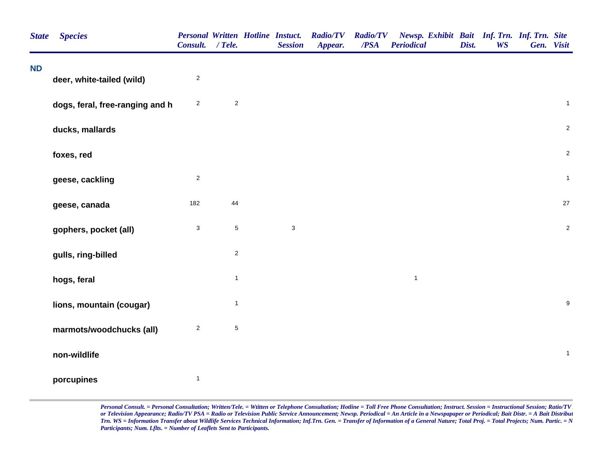| <b>State</b> | <b>Species</b>                  | <b>Personal Written Hotline Instuct.</b><br><b>Consult.</b> | $/$ Tele.      | <b>Session</b> | <b>Radio/TV</b><br>Appear. | <b>Radio/TV</b><br>/PSA | Newsp. Exhibit Bait Inf. Trn. Inf. Trn. Site<br><b>Periodical</b> | Dist. | <b>WS</b> | Gen. Visit       |
|--------------|---------------------------------|-------------------------------------------------------------|----------------|----------------|----------------------------|-------------------------|-------------------------------------------------------------------|-------|-----------|------------------|
| <b>ND</b>    | deer, white-tailed (wild)       | $\overline{c}$                                              |                |                |                            |                         |                                                                   |       |           |                  |
|              | dogs, feral, free-ranging and h | $\mathbf{2}$                                                | $\overline{c}$ |                |                            |                         |                                                                   |       |           | $\mathbf{1}$     |
|              | ducks, mallards                 |                                                             |                |                |                            |                         |                                                                   |       |           | $\overline{2}$   |
|              | foxes, red                      |                                                             |                |                |                            |                         |                                                                   |       |           | $\overline{2}$   |
|              | geese, cackling                 | $\overline{c}$                                              |                |                |                            |                         |                                                                   |       |           | $\mathbf{1}$     |
|              | geese, canada                   | 182                                                         | $44\,$         |                |                            |                         |                                                                   |       |           | $27\,$           |
|              | gophers, pocket (all)           | $\mathsf 3$                                                 | $\,$ 5 $\,$    | $\mathsf 3$    |                            |                         |                                                                   |       |           | $\sqrt{2}$       |
|              | gulls, ring-billed              |                                                             | $\overline{c}$ |                |                            |                         |                                                                   |       |           |                  |
|              | hogs, feral                     |                                                             | $\mathbf{1}$   |                |                            |                         | $\mathbf{1}$                                                      |       |           |                  |
|              | lions, mountain (cougar)        |                                                             | $\mathbf{1}$   |                |                            |                         |                                                                   |       |           | $\boldsymbol{9}$ |
|              | marmots/woodchucks (all)        | $\boldsymbol{2}$                                            | $\,$ 5 $\,$    |                |                            |                         |                                                                   |       |           |                  |
|              | non-wildlife                    |                                                             |                |                |                            |                         |                                                                   |       |           | $\mathbf{1}$     |
|              | porcupines                      | $\mathbf{1}$                                                |                |                |                            |                         |                                                                   |       |           |                  |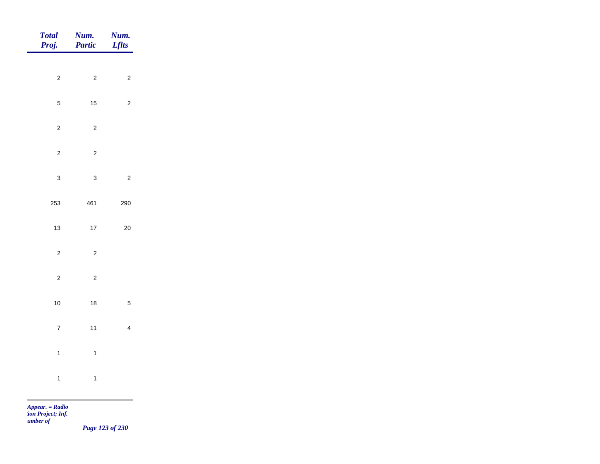| $\overline{\mathbf{c}}$<br>$\overline{\mathbf{c}}$<br>$\overline{\mathbf{c}}$ |
|-------------------------------------------------------------------------------|
| 5<br>15<br>$\overline{\mathbf{c}}$                                            |
| $\overline{\mathbf{c}}$<br>$\overline{\mathbf{c}}$                            |
| $\overline{\mathbf{c}}$<br>$\overline{\mathbf{c}}$                            |
| 3<br>3<br>$\overline{\mathbf{c}}$                                             |
| 253<br>461<br>290                                                             |
| 17<br>13<br>20                                                                |
| $\overline{\mathbf{c}}$<br>$\overline{\mathbf{c}}$                            |
| $\overline{\mathbf{c}}$<br>$\overline{\mathbf{c}}$                            |
| 10<br>5<br>$18$                                                               |
| $\overline{7}$<br>11<br>$\overline{\mathbf{4}}$                               |
| $\mathbf{1}$<br>$\mathbf{1}$                                                  |
| $\mathbf{1}$<br>$\mathbf{1}$                                                  |

m

*Page 123 of 230*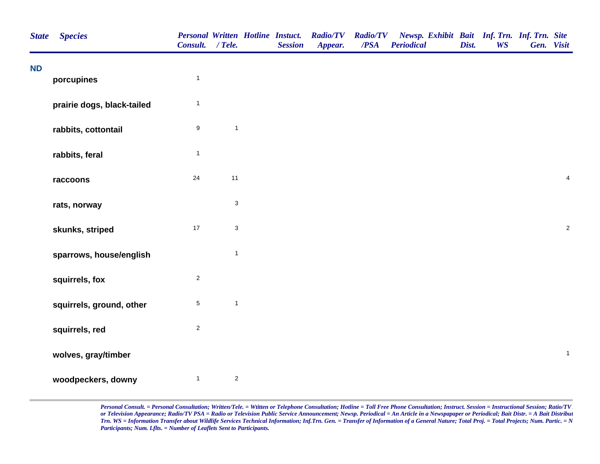| <b>State</b> | <b>Species</b>             | Consult. / Tele. |                           | <b>Personal Written Hotline Instuct.</b><br><b>Session</b> | <b>Radio/TV</b><br>Appear. | <b>Radio/TV</b><br>$\overline{PSA}$ | Newsp. Exhibit Bait Inf. Trn. Inf. Trn. Site<br><b>Periodical</b> | Dist. | <b>WS</b> | Gen. Visit |                         |
|--------------|----------------------------|------------------|---------------------------|------------------------------------------------------------|----------------------------|-------------------------------------|-------------------------------------------------------------------|-------|-----------|------------|-------------------------|
| <b>ND</b>    | porcupines                 | $\mathbf{1}$     |                           |                                                            |                            |                                     |                                                                   |       |           |            |                         |
|              | prairie dogs, black-tailed | $\mathbf{1}$     |                           |                                                            |                            |                                     |                                                                   |       |           |            |                         |
|              | rabbits, cottontail        | $\boldsymbol{9}$ | $\mathbf{1}$              |                                                            |                            |                                     |                                                                   |       |           |            |                         |
|              | rabbits, feral             | $\mathbf{1}$     |                           |                                                            |                            |                                     |                                                                   |       |           |            |                         |
|              | raccoons                   | 24               | 11                        |                                                            |                            |                                     |                                                                   |       |           |            | $\overline{\mathbf{4}}$ |
|              | rats, norway               |                  | $\ensuremath{\mathsf{3}}$ |                                                            |                            |                                     |                                                                   |       |           |            |                         |
|              | skunks, striped            | $17$             | $\mathbf{3}$              |                                                            |                            |                                     |                                                                   |       |           |            | $\sqrt{2}$              |
|              | sparrows, house/english    |                  | $\mathbf{1}$              |                                                            |                            |                                     |                                                                   |       |           |            |                         |
|              | squirrels, fox             | $\mathbf 2$      |                           |                                                            |                            |                                     |                                                                   |       |           |            |                         |
|              | squirrels, ground, other   | $\mathbf 5$      | $\mathbf{1}$              |                                                            |                            |                                     |                                                                   |       |           |            |                         |
|              | squirrels, red             | $\overline{c}$   |                           |                                                            |                            |                                     |                                                                   |       |           |            |                         |
|              | wolves, gray/timber        |                  |                           |                                                            |                            |                                     |                                                                   |       |           |            | $\mathbf{1}$            |
|              | woodpeckers, downy         | $\mathbf{1}$     | $\sqrt{2}$                |                                                            |                            |                                     |                                                                   |       |           |            |                         |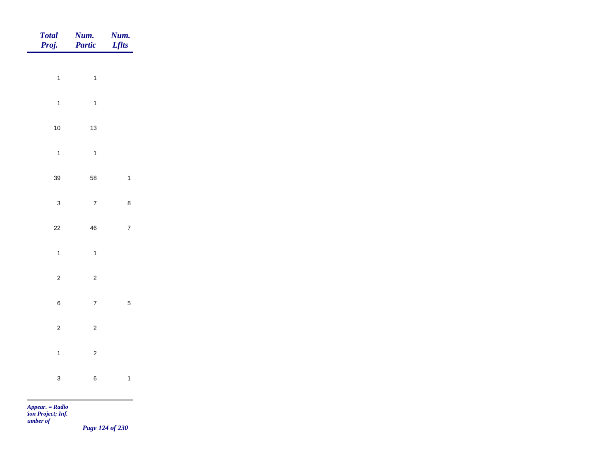| Total<br>Proj. | Num.<br>Partic                            | <b>Num.</b><br><i>Lflts</i>      |
|----------------|-------------------------------------------|----------------------------------|
|                | $\overline{1}$                            |                                  |
|                | $\mathbf{1}$                              |                                  |
|                | $\overline{1}$<br>$\mathbf{1}$            |                                  |
|                | $10$<br>$13\,$                            |                                  |
|                | $\overline{1}$<br>$\mathbf{1}$            |                                  |
|                | 39<br>58                                  | $\mathbf{1}$                     |
|                | $\overline{7}$<br>$\mathbf{3}$            | $\bf 8$                          |
|                | $22\,$<br>${\bf 46}$                      | $\bar{7}$                        |
|                | $\overline{1}$<br>$\overline{1}$          |                                  |
|                |                                           |                                  |
|                | $\overline{c}$<br>$\overline{\mathbf{c}}$ |                                  |
|                | $\bf 6$                                   | $\overline{5}$<br>$\overline{7}$ |
|                | $\overline{c}$<br>$\overline{c}$          |                                  |
|                | $\overline{1}$<br>$\overline{c}$          |                                  |
|                | $\mathbf{3}$<br>$\, 6$                    | $\overline{1}$                   |
|                |                                           |                                  |

*Page 124 of 230*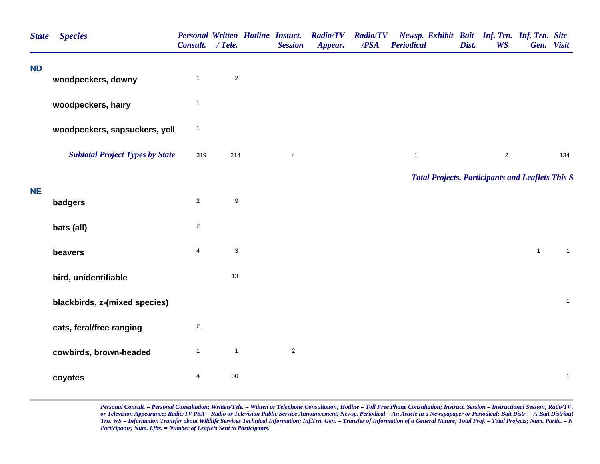| <b>State</b> | <b>Species</b>                         | Consult. / Tele. |                | <b>Personal Written Hotline Instuct.</b><br><b>Session</b> | <b>Radio/TV</b><br>Appear. | <b>Radio/TV</b><br>/PSA | Newsp. Exhibit Bait Inf. Trn. Inf. Trn. Site<br><b>Periodical</b> | Dist. | <b>WS</b>      |                | Gen. Visit   |
|--------------|----------------------------------------|------------------|----------------|------------------------------------------------------------|----------------------------|-------------------------|-------------------------------------------------------------------|-------|----------------|----------------|--------------|
| <b>ND</b>    | woodpeckers, downy                     | $\mathbf{1}$     | $\overline{c}$ |                                                            |                            |                         |                                                                   |       |                |                |              |
|              | woodpeckers, hairy                     | $\mathbf{1}$     |                |                                                            |                            |                         |                                                                   |       |                |                |              |
|              | woodpeckers, sapsuckers, yell          | $\mathbf{1}$     |                |                                                            |                            |                         |                                                                   |       |                |                |              |
|              | <b>Subtotal Project Types by State</b> | 319              | 214            | $\overline{\mathbf{4}}$                                    |                            |                         | $\mathbf{1}$                                                      |       | $\overline{2}$ |                | 134          |
|              |                                        |                  |                |                                                            |                            |                         | <b>Total Projects, Participants and Leaflets This S</b>           |       |                |                |              |
| <b>NE</b>    | badgers                                | $\mathbf{2}$     | $\mathsf g$    |                                                            |                            |                         |                                                                   |       |                |                |              |
|              | bats (all)                             | $\overline{c}$   |                |                                                            |                            |                         |                                                                   |       |                |                |              |
|              | beavers                                | $\overline{4}$   | $\mathsf 3$    |                                                            |                            |                         |                                                                   |       |                | $\overline{1}$ | $\mathbf{1}$ |
|              | bird, unidentifiable                   |                  | 13             |                                                            |                            |                         |                                                                   |       |                |                |              |
|              | blackbirds, z-(mixed species)          |                  |                |                                                            |                            |                         |                                                                   |       |                |                | $\mathbf{1}$ |
|              | cats, feral/free ranging               | 2                |                |                                                            |                            |                         |                                                                   |       |                |                |              |
|              | cowbirds, brown-headed                 | $\mathbf{1}$     | $\mathbf{1}$   | $\overline{2}$                                             |                            |                         |                                                                   |       |                |                |              |
|              | coyotes                                | 4                | 30             |                                                            |                            |                         |                                                                   |       |                |                | $\mathbf{1}$ |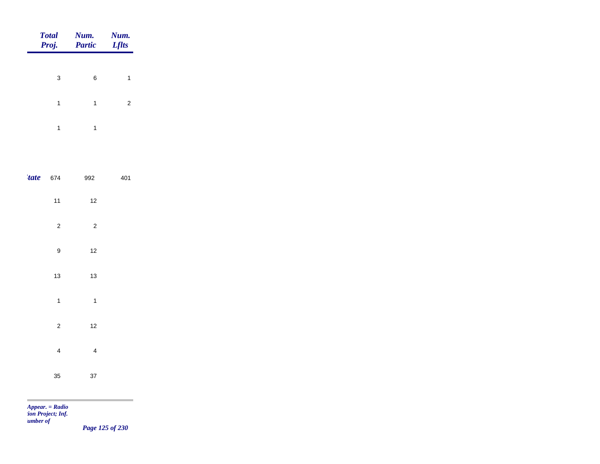|       | <b>Total</b><br>Proj.   | Num.<br><b>Partic</b>   | Num.<br><b>Lflts</b>    |
|-------|-------------------------|-------------------------|-------------------------|
|       |                         |                         |                         |
|       | 3                       | 6                       | 1                       |
|       | $\mathbf{1}$            | $\mathbf{1}$            | $\overline{\mathbf{c}}$ |
|       | $\mathbf{1}$            | $\mathbf{1}$            |                         |
|       |                         |                         |                         |
| 'tate | 674                     | 992                     | 401                     |
|       | 11                      | 12                      |                         |
|       | $\overline{\mathbf{c}}$ | $\overline{\mathbf{c}}$ |                         |
|       | 9                       | 12                      |                         |
|       | 13                      | 13                      |                         |
|       | $\mathbf{1}$            | $\mathbf{1}$            |                         |
|       | $\overline{c}$          | 12                      |                         |
|       | $\overline{\mathbf{4}}$ | $\overline{\mathbf{4}}$ |                         |
|       | 35                      | 37                      |                         |

m

*Page 125 of 230*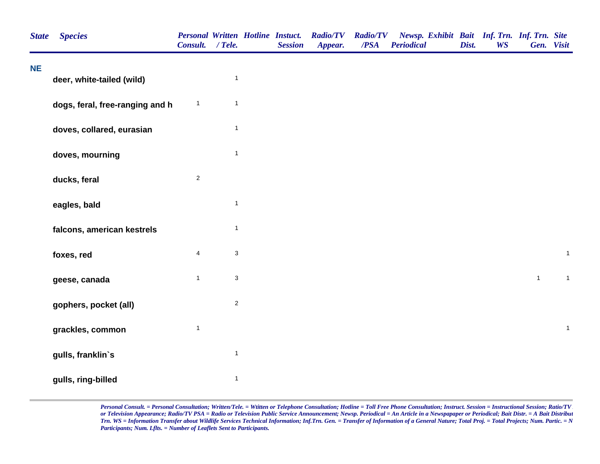| <b>State</b> | <b>Species</b>                  | Consult. / Tele.        |                           | <b>Personal Written Hotline Instuct.</b><br><b>Session</b> | <b>Radio/TV</b><br>Appear. | <b>Radio/TV</b><br>/PSA | Newsp. Exhibit Bait Inf. Trn. Inf. Trn. Site<br><b>Periodical</b> | Dist. | <b>WS</b> | Gen. Visit   |              |
|--------------|---------------------------------|-------------------------|---------------------------|------------------------------------------------------------|----------------------------|-------------------------|-------------------------------------------------------------------|-------|-----------|--------------|--------------|
| <b>NE</b>    | deer, white-tailed (wild)       |                         | $\mathbf{1}$              |                                                            |                            |                         |                                                                   |       |           |              |              |
|              | dogs, feral, free-ranging and h | $\mathbf{1}$            | $\mathbf{1}$              |                                                            |                            |                         |                                                                   |       |           |              |              |
|              | doves, collared, eurasian       |                         | $\mathbf{1}$              |                                                            |                            |                         |                                                                   |       |           |              |              |
|              | doves, mourning                 |                         | $\mathbf{1}$              |                                                            |                            |                         |                                                                   |       |           |              |              |
|              | ducks, feral                    | $\overline{2}$          |                           |                                                            |                            |                         |                                                                   |       |           |              |              |
|              | eagles, bald                    |                         | $\mathbf{1}$              |                                                            |                            |                         |                                                                   |       |           |              |              |
|              | falcons, american kestrels      |                         | $\mathbf{1}$              |                                                            |                            |                         |                                                                   |       |           |              |              |
|              | foxes, red                      | $\overline{\mathbf{4}}$ | $\ensuremath{\mathsf{3}}$ |                                                            |                            |                         |                                                                   |       |           |              | $\mathbf{1}$ |
|              | geese, canada                   | $\mathbf{1}$            | $\ensuremath{\mathsf{3}}$ |                                                            |                            |                         |                                                                   |       |           | $\mathbf{1}$ | $\mathbf{1}$ |
|              | gophers, pocket (all)           |                         | $\sqrt{2}$                |                                                            |                            |                         |                                                                   |       |           |              |              |
|              | grackles, common                | $\mathbf{1}$            |                           |                                                            |                            |                         |                                                                   |       |           |              | $\mathbf{1}$ |
|              | gulls, franklin's               |                         | $\mathbf{1}$              |                                                            |                            |                         |                                                                   |       |           |              |              |
|              | gulls, ring-billed              |                         | $\mathbf{1}$              |                                                            |                            |                         |                                                                   |       |           |              |              |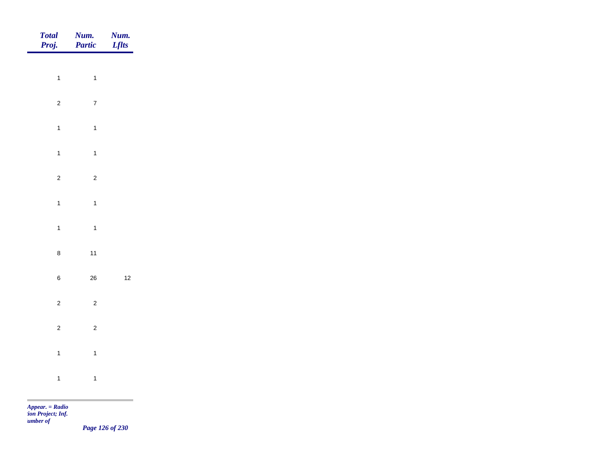| Total<br>Proj. | <b>Num.</b><br>Partic | <b>Num.</b><br>Lflts |
|----------------|-----------------------|----------------------|
|                |                       |                      |
| $\overline{1}$ | $\mathbf{1}$          |                      |
| $\overline{2}$ | $\mathbf 7$           |                      |
| $\mathbf{1}$   | $\overline{1}$        |                      |
| $\mathbf{1}$   | $\mathbf{1}$          |                      |
| $\overline{c}$ | $\overline{c}$        |                      |
|                | $\mathbf{1}$          |                      |
| $\mathbf{1}$   |                       |                      |
| $\overline{1}$ | $\mathbf{1}$          |                      |
| $\bf 8$        | $11$                  |                      |
| $\,$ 6 $\,$    | ${\bf 26}$            | $12$                 |
| $\overline{2}$ | $\overline{2}$        |                      |
| $\overline{2}$ | $\overline{2}$        |                      |
|                |                       |                      |
| $\mathbf{1}$   | $\overline{1}$        |                      |
| $\overline{1}$ | $\mathbf{1}$          |                      |
|                |                       |                      |

*Page 126 of 230*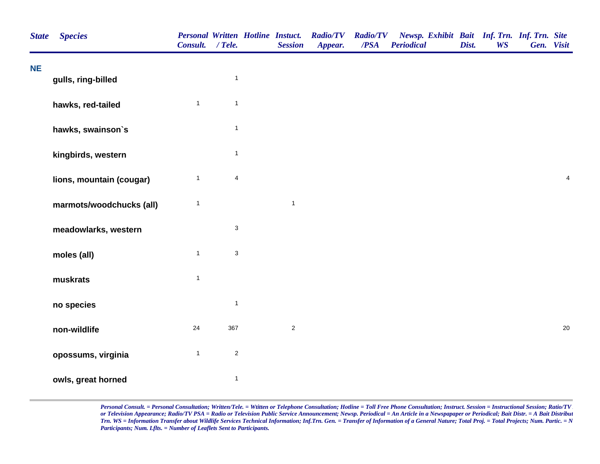| <b>State</b> | <b>Species</b>           | <b>Personal Written Hotline Instuct.</b><br>Consult. / Tele. |                | <b>Session</b> | <b>Radio/TV</b><br>Appear. | <b>Radio/TV</b><br>/PSA | Newsp. Exhibit Bait Inf. Trn. Inf. Trn. Site<br><b>Periodical</b> | Dist. | <b>WS</b> | Gen. Visit |                         |
|--------------|--------------------------|--------------------------------------------------------------|----------------|----------------|----------------------------|-------------------------|-------------------------------------------------------------------|-------|-----------|------------|-------------------------|
| <b>NE</b>    | gulls, ring-billed       |                                                              | $\mathbf{1}$   |                |                            |                         |                                                                   |       |           |            |                         |
|              | hawks, red-tailed        | $\mathbf{1}$                                                 | $\mathbf{1}$   |                |                            |                         |                                                                   |       |           |            |                         |
|              | hawks, swainson's        |                                                              | $\mathbf{1}$   |                |                            |                         |                                                                   |       |           |            |                         |
|              | kingbirds, western       |                                                              | $\mathbf{1}$   |                |                            |                         |                                                                   |       |           |            |                         |
|              | lions, mountain (cougar) | $\mathbf{1}$                                                 | $\overline{4}$ |                |                            |                         |                                                                   |       |           |            | $\overline{\mathbf{4}}$ |
|              | marmots/woodchucks (all) | $\mathbf{1}$                                                 |                | $\mathbf{1}$   |                            |                         |                                                                   |       |           |            |                         |
|              | meadowlarks, western     |                                                              | $\sqrt{3}$     |                |                            |                         |                                                                   |       |           |            |                         |
|              | moles (all)              | $\mathbf{1}$                                                 | $\mathsf 3$    |                |                            |                         |                                                                   |       |           |            |                         |
|              | muskrats                 | $\mathbf{1}$                                                 |                |                |                            |                         |                                                                   |       |           |            |                         |
|              | no species               |                                                              | $\mathbf{1}$   |                |                            |                         |                                                                   |       |           |            |                         |
|              | non-wildlife             | 24                                                           | 367            | $\sqrt{2}$     |                            |                         |                                                                   |       |           |            | $20\,$                  |
|              | opossums, virginia       | $\mathbf{1}$                                                 | $\overline{2}$ |                |                            |                         |                                                                   |       |           |            |                         |
|              | owls, great horned       |                                                              | $\mathbf{1}$   |                |                            |                         |                                                                   |       |           |            |                         |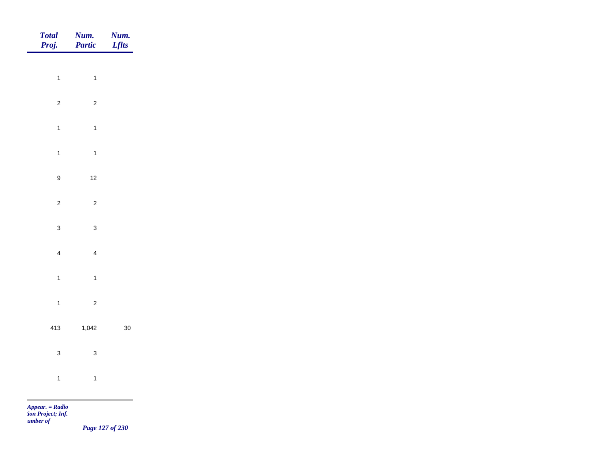| Total<br>Proj.                                                                                                                                                                                                                                            | Num.<br>Partic          | <b>Num.</b><br>Lflts |
|-----------------------------------------------------------------------------------------------------------------------------------------------------------------------------------------------------------------------------------------------------------|-------------------------|----------------------|
|                                                                                                                                                                                                                                                           |                         |                      |
| $\overline{1}$                                                                                                                                                                                                                                            | $\mathbf{1}$            |                      |
| $\overline{c}$                                                                                                                                                                                                                                            | $\overline{c}$          |                      |
| $\overline{1}$                                                                                                                                                                                                                                            | $\mathbf{1}$            |                      |
| $\mathbf{1}$                                                                                                                                                                                                                                              | $\mathbf{1}$            |                      |
| $\boldsymbol{9}$                                                                                                                                                                                                                                          | $12$                    |                      |
| $\overline{2}$                                                                                                                                                                                                                                            | $\overline{c}$          |                      |
|                                                                                                                                                                                                                                                           |                         |                      |
| $\mathbf{3}$                                                                                                                                                                                                                                              | $\mathbf{3}$            |                      |
| $\overline{4}$                                                                                                                                                                                                                                            | $\overline{\mathbf{4}}$ |                      |
| $\overline{1}$                                                                                                                                                                                                                                            | $\mathbf{1}$            |                      |
| $\overline{1}$                                                                                                                                                                                                                                            | $\sqrt{2}$              |                      |
| 413                                                                                                                                                                                                                                                       | 1,042                   | $30\,$               |
|                                                                                                                                                                                                                                                           |                         |                      |
| $\mathbf{3}$                                                                                                                                                                                                                                              | $\mathbf{3}$            |                      |
| $\overline{1}$                                                                                                                                                                                                                                            | $\mathbf{1}$            |                      |
| <b>The Contract of the Contract of the Contract of the Contract of the Contract of the Contract of The Contract of The Contract of The Contract of The Contract of The Contract of The Contract of The Contract of The Contract </b><br>$Appear. = Radio$ |                         |                      |

*tion Project; Inf. Number of* 

*Page 127 of 230*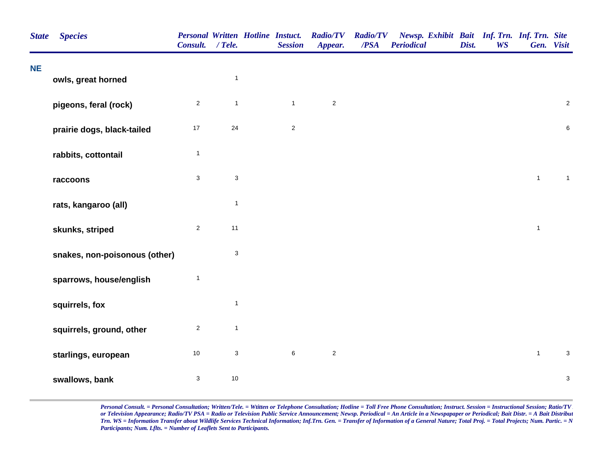| <b>State</b> | <b>Species</b>                | <b>Personal Written Hotline Instuct.</b><br>Consult. / Tele. |                           | <b>Session</b> | <b>Radio/TV</b><br>Appear. | <b>Radio/TV</b><br>/PSA | Newsp. Exhibit Bait Inf. Trn. Inf. Trn. Site<br><b>Periodical</b> | Dist. | <b>WS</b> | Gen. Visit   |                           |
|--------------|-------------------------------|--------------------------------------------------------------|---------------------------|----------------|----------------------------|-------------------------|-------------------------------------------------------------------|-------|-----------|--------------|---------------------------|
| <b>NE</b>    | owls, great horned            |                                                              | $\mathbf{1}$              |                |                            |                         |                                                                   |       |           |              |                           |
|              |                               |                                                              |                           |                |                            |                         |                                                                   |       |           |              |                           |
|              | pigeons, feral (rock)         | $\overline{2}$                                               | $\mathbf{1}$              | $\mathbf{1}$   | $\overline{2}$             |                         |                                                                   |       |           |              | $\overline{2}$            |
|              | prairie dogs, black-tailed    | $17$                                                         | 24                        | $\sqrt{2}$     |                            |                         |                                                                   |       |           |              | $\,6$                     |
|              | rabbits, cottontail           | $\mathbf{1}$                                                 |                           |                |                            |                         |                                                                   |       |           |              |                           |
|              | raccoons                      | $\mathbf{3}$                                                 | $\sqrt{3}$                |                |                            |                         |                                                                   |       |           | $\mathbf{1}$ | $\mathbf{1}$              |
|              | rats, kangaroo (all)          |                                                              | $\mathbf{1}$              |                |                            |                         |                                                                   |       |           |              |                           |
|              | skunks, striped               | $\overline{2}$                                               | 11                        |                |                            |                         |                                                                   |       |           | $\mathbf{1}$ |                           |
|              | snakes, non-poisonous (other) |                                                              | $\ensuremath{\mathsf{3}}$ |                |                            |                         |                                                                   |       |           |              |                           |
|              | sparrows, house/english       | $\mathbf{1}$                                                 |                           |                |                            |                         |                                                                   |       |           |              |                           |
|              | squirrels, fox                |                                                              | $\mathbf{1}$              |                |                            |                         |                                                                   |       |           |              |                           |
|              | squirrels, ground, other      | $\sqrt{2}$                                                   | $\mathbf{1}$              |                |                            |                         |                                                                   |       |           |              |                           |
|              | starlings, european           | $10$                                                         | $\ensuremath{\mathsf{3}}$ | $\,6$          | $\overline{c}$             |                         |                                                                   |       |           | $\mathbf{1}$ | $\mathbf{3}$              |
|              | swallows, bank                | $\mathsf 3$                                                  | $10\,$                    |                |                            |                         |                                                                   |       |           |              | $\ensuremath{\mathsf{3}}$ |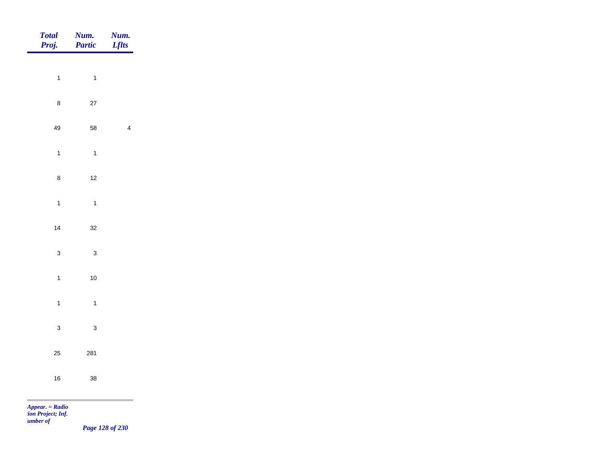| <b>Num.</b><br>Partic | <b>Num.</b><br>Lflts                           |
|-----------------------|------------------------------------------------|
|                       |                                                |
|                       |                                                |
| $27\,$                |                                                |
| 58                    | $\overline{4}$                                 |
| $\overline{1}$        |                                                |
| $12$                  |                                                |
| $\overline{1}$        |                                                |
|                       |                                                |
|                       |                                                |
|                       |                                                |
| $10\,$                |                                                |
| $\overline{1}$        |                                                |
| $\mathbf{3}$          |                                                |
| 281                   |                                                |
|                       |                                                |
|                       |                                                |
|                       | $\overline{1}$<br>$32\,$<br>$\mathbf{3}$<br>38 |

*tion Project; Inf. Number of* 

*Page 128 of 230*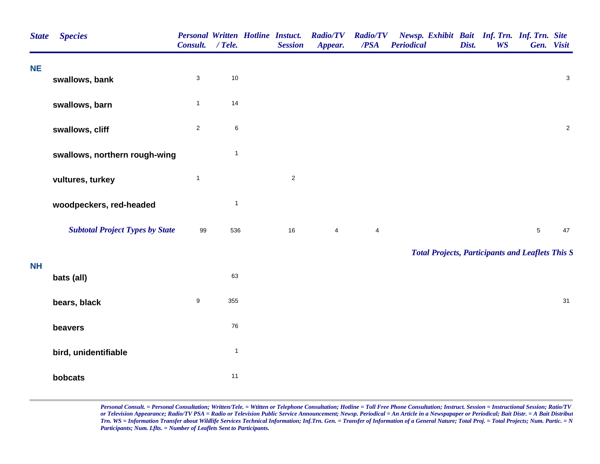| <b>State</b> | <b>Species</b>                         | <b>Personal Written Hotline Instuct.</b><br>Consult. / Tele. |              | <b>Session</b> | <b>Radio/TV</b><br>Appear. | <b>Radio/TV</b><br>/PSA | Newsp. Exhibit Bait Inf. Trn. Inf. Trn. Site<br><b>Periodical</b> | Dist. | <b>WS</b> | Gen. Visit     |                           |
|--------------|----------------------------------------|--------------------------------------------------------------|--------------|----------------|----------------------------|-------------------------|-------------------------------------------------------------------|-------|-----------|----------------|---------------------------|
| <b>NE</b>    | swallows, bank                         | $\mathbf{3}$                                                 | $10$         |                |                            |                         |                                                                   |       |           |                | $\ensuremath{\mathsf{3}}$ |
|              | swallows, barn                         | $\mathbf{1}$                                                 | 14           |                |                            |                         |                                                                   |       |           |                |                           |
|              | swallows, cliff                        | $\mathbf{2}$                                                 | 6            |                |                            |                         |                                                                   |       |           |                | $\mathbf 2$               |
|              | swallows, northern rough-wing          |                                                              | $\mathbf{1}$ |                |                            |                         |                                                                   |       |           |                |                           |
|              | vultures, turkey                       | $\mathbf{1}$                                                 |              | $\overline{2}$ |                            |                         |                                                                   |       |           |                |                           |
|              | woodpeckers, red-headed                |                                                              | $\mathbf{1}$ |                |                            |                         |                                                                   |       |           |                |                           |
|              | <b>Subtotal Project Types by State</b> | 99                                                           | 536          | 16             | $\overline{\mathbf{4}}$    | 4                       |                                                                   |       |           | $\overline{5}$ | 47                        |
| <b>NH</b>    |                                        |                                                              |              |                |                            |                         | <b>Total Projects, Participants and Leaflets This S</b>           |       |           |                |                           |
|              | bats (all)                             |                                                              | 63           |                |                            |                         |                                                                   |       |           |                |                           |
|              | bears, black                           | $\boldsymbol{9}$                                             | 355          |                |                            |                         |                                                                   |       |           |                | 31                        |
|              | beavers                                |                                                              | 76           |                |                            |                         |                                                                   |       |           |                |                           |
|              | bird, unidentifiable                   |                                                              | $\mathbf{1}$ |                |                            |                         |                                                                   |       |           |                |                           |
|              | bobcats                                |                                                              | 11           |                |                            |                         |                                                                   |       |           |                |                           |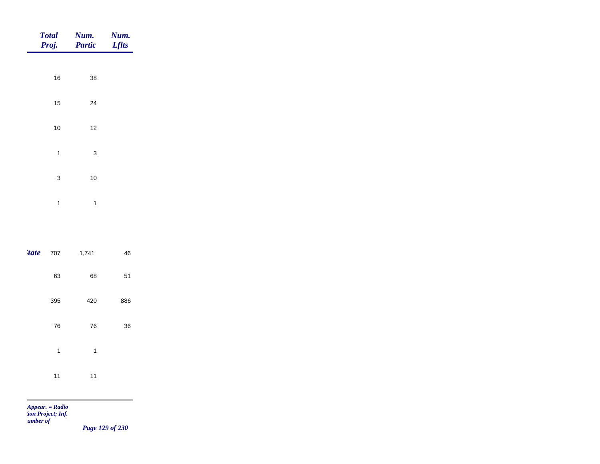| Proj.        | Total Num.<br><b>Partic</b> | Num.<br><b>Lflts</b> |
|--------------|-----------------------------|----------------------|
|              |                             |                      |
| 16           | 38                          |                      |
| 15           | 24                          |                      |
| 10           | 12                          |                      |
| $\mathbf{1}$ | 3                           |                      |
| 3            | 10                          |                      |
| 1            | 1                           |                      |
|              |                             |                      |

| tate 707 |     | 1,741 | 46  |
|----------|-----|-------|-----|
|          | 63  | 68    | 51  |
|          | 395 | 420   | 886 |
|          | 76  | 76    | 36  |
|          | 1   | 1     |     |
|          | 11  | 11    |     |

m

*Page 129 of 230*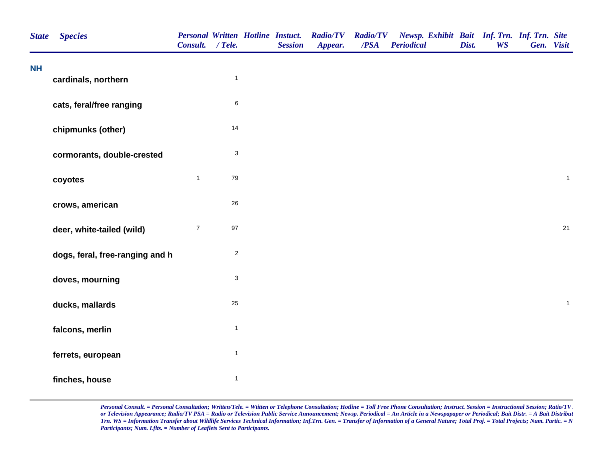| <b>State</b> | <b>Species</b>                  | Consult. / Tele. |                           | <b>Personal Written Hotline Instuct.</b><br><b>Session</b> | <b>Radio/TV</b><br>Appear. | <b>Radio/TV</b><br>/PSA | Newsp. Exhibit Bait Inf. Trn. Inf. Trn. Site<br><b>Periodical</b> | Dist. | <b>WS</b> | Gen. Visit |              |
|--------------|---------------------------------|------------------|---------------------------|------------------------------------------------------------|----------------------------|-------------------------|-------------------------------------------------------------------|-------|-----------|------------|--------------|
| <b>NH</b>    | cardinals, northern             |                  | $\mathbf{1}$              |                                                            |                            |                         |                                                                   |       |           |            |              |
|              | cats, feral/free ranging        |                  | $\,6\,$                   |                                                            |                            |                         |                                                                   |       |           |            |              |
|              | chipmunks (other)               |                  | 14                        |                                                            |                            |                         |                                                                   |       |           |            |              |
|              | cormorants, double-crested      |                  | $\ensuremath{\mathsf{3}}$ |                                                            |                            |                         |                                                                   |       |           |            |              |
|              | coyotes                         | $\mathbf{1}$     | $\bf 79$                  |                                                            |                            |                         |                                                                   |       |           |            | $\mathbf{1}$ |
|              | crows, american                 |                  | $26\,$                    |                                                            |                            |                         |                                                                   |       |           |            |              |
|              | deer, white-tailed (wild)       | $\overline{7}$   | $97\,$                    |                                                            |                            |                         |                                                                   |       |           |            | 21           |
|              | dogs, feral, free-ranging and h |                  | $\sqrt{2}$                |                                                            |                            |                         |                                                                   |       |           |            |              |
|              | doves, mourning                 |                  | $\sqrt{3}$                |                                                            |                            |                         |                                                                   |       |           |            |              |
|              | ducks, mallards                 |                  | 25                        |                                                            |                            |                         |                                                                   |       |           |            | $\mathbf{1}$ |
|              | falcons, merlin                 |                  | $\mathbf{1}$              |                                                            |                            |                         |                                                                   |       |           |            |              |
|              | ferrets, european               |                  | $\mathbf{1}$              |                                                            |                            |                         |                                                                   |       |           |            |              |
|              | finches, house                  |                  | $\mathbf{1}$              |                                                            |                            |                         |                                                                   |       |           |            |              |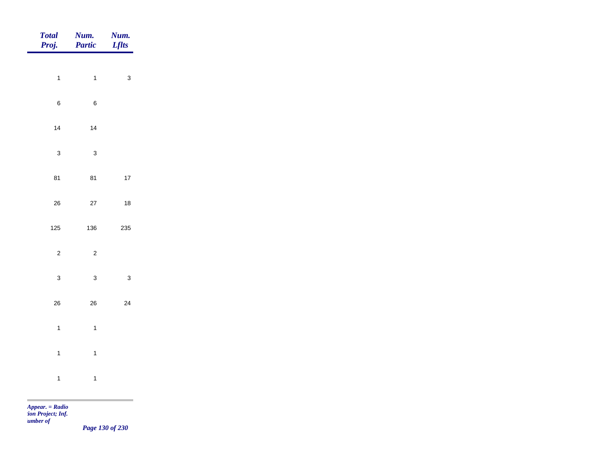| <b>Total</b><br>Proj. | Num.<br>Partic | Num.<br><b>Lflts</b> |
|-----------------------|----------------|----------------------|
| $\overline{1}$        | $\mathbf{1}$   | $\mathbf{3}$         |
|                       |                |                      |
| $\,$ 6 $\,$           | $\,$ 6 $\,$    |                      |
| 14                    | 14             |                      |
| $\mathbf{3}$          | $\mathbf 3$    |                      |
| 81                    | 81             | $17\,$               |
| ${\bf 26}$            | $27\,$         | $18\,$               |
| 125                   | 136            | 235                  |
|                       |                |                      |
| $\sqrt{2}$            | $\sqrt{2}$     |                      |
| $\mathbf{3}$          | $\mathbf{3}$   | $\mathbf{3}$         |
| 26                    | ${\bf 26}$     | 24                   |
| $\overline{1}$        | $\overline{1}$ |                      |
| $\mathbf{1}$          | $\mathbf{1}$   |                      |
| $\mathbf{1}$          | $\mathbf{1}$   |                      |
|                       |                |                      |

m

*Page 130 of 230*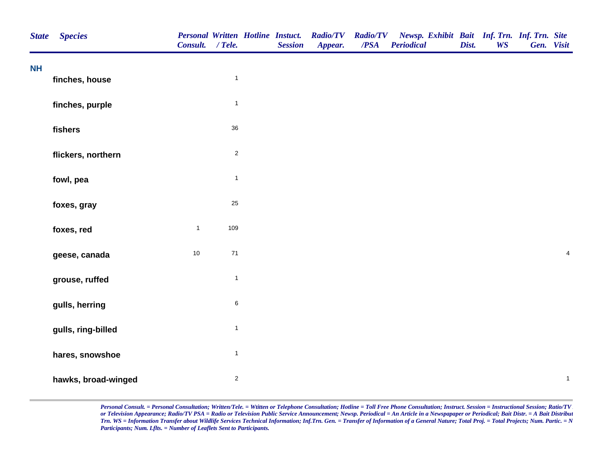| <b>State</b> | <b>Species</b>      | Consult. / Tele. |                | <b>Personal Written Hotline Instuct.</b><br><b>Session</b> | <b>Radio/TV</b><br>Appear. | <b>Radio/TV</b><br>/PSA | Newsp. Exhibit Bait Inf. Trn. Inf. Trn. Site<br><b>Periodical</b> | Dist. | <b>WS</b> | Gen. Visit |                         |
|--------------|---------------------|------------------|----------------|------------------------------------------------------------|----------------------------|-------------------------|-------------------------------------------------------------------|-------|-----------|------------|-------------------------|
| <b>NH</b>    | finches, house      |                  | $\mathbf{1}$   |                                                            |                            |                         |                                                                   |       |           |            |                         |
|              |                     |                  |                |                                                            |                            |                         |                                                                   |       |           |            |                         |
|              | finches, purple     |                  | $\mathbf{1}$   |                                                            |                            |                         |                                                                   |       |           |            |                         |
|              | fishers             |                  | 36             |                                                            |                            |                         |                                                                   |       |           |            |                         |
|              | flickers, northern  |                  | $\sqrt{2}$     |                                                            |                            |                         |                                                                   |       |           |            |                         |
|              | fowl, pea           |                  | $\mathbf{1}$   |                                                            |                            |                         |                                                                   |       |           |            |                         |
|              | foxes, gray         |                  | $25\,$         |                                                            |                            |                         |                                                                   |       |           |            |                         |
|              | foxes, red          | $\mathbf{1}$     | 109            |                                                            |                            |                         |                                                                   |       |           |            |                         |
|              | geese, canada       | $10$             | $71$           |                                                            |                            |                         |                                                                   |       |           |            | $\overline{\mathbf{4}}$ |
|              | grouse, ruffed      |                  | $\mathbf{1}$   |                                                            |                            |                         |                                                                   |       |           |            |                         |
|              | gulls, herring      |                  | $\,6\,$        |                                                            |                            |                         |                                                                   |       |           |            |                         |
|              | gulls, ring-billed  |                  | $\mathbf{1}$   |                                                            |                            |                         |                                                                   |       |           |            |                         |
|              | hares, snowshoe     |                  | $\mathbf{1}$   |                                                            |                            |                         |                                                                   |       |           |            |                         |
|              | hawks, broad-winged |                  | $\overline{2}$ |                                                            |                            |                         |                                                                   |       |           |            | $\mathbf{1}$            |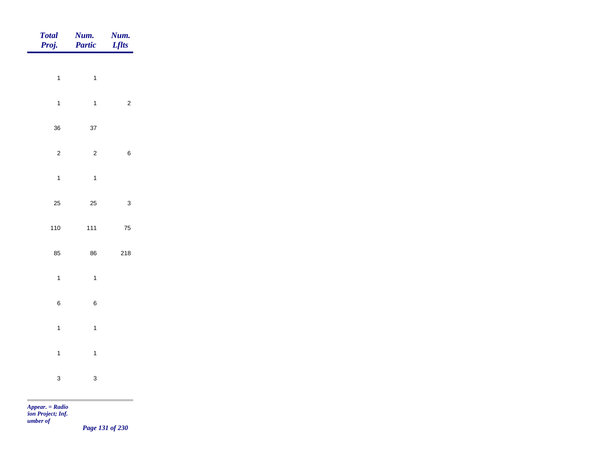| Total<br>Proj.          | Num.<br>Partic          | Num.<br><b>Lflts</b>    |
|-------------------------|-------------------------|-------------------------|
| $\mathbf{1}$            | $\mathbf{1}$            |                         |
| $\mathbf{1}$            | $\mathbf{1}$            | $\overline{\mathbf{c}}$ |
|                         |                         |                         |
| 36                      | 37                      |                         |
| $\overline{\mathbf{c}}$ | $\overline{\mathbf{c}}$ | 6                       |
| $\mathbf{1}$            | $\mathbf{1}$            |                         |
| 25                      | 25                      | 3                       |
| 110                     | $111$                   | ${\bf 75}$              |
| 85                      | 86                      | 218                     |
| $\mathbf{1}$            | $\mathbf{1}$            |                         |
| 6                       | 6                       |                         |
| $\overline{1}$          | $\mathbf{1}$            |                         |
| $\mathbf{1}$            | $\mathbf{1}$            |                         |
|                         |                         |                         |
| 3                       | 3                       |                         |

m

*Page 131 of 230*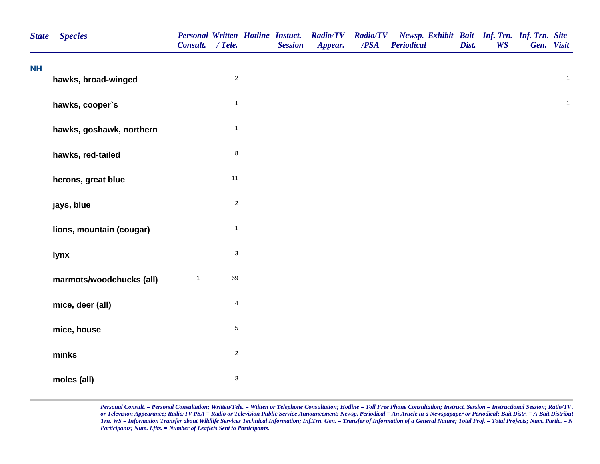| <b>NH</b><br>$\sqrt{2}$<br>$\mathbf{1}$<br>hawks, broad-winged<br>$\mathbf{1}$<br>hawks, cooper's<br>$\mathbf{1}$<br>hawks, goshawk, northern<br>$\bf 8$<br>hawks, red-tailed<br>11<br>herons, great blue<br>$\mathbf 2$<br>jays, blue<br>$\mathbf{1}$<br>lions, mountain (cougar)<br>3<br>lynx<br>69<br>marmots/woodchucks (all)<br>$\mathbf{1}$<br>$\overline{\mathbf{4}}$<br>mice, deer (all)<br>5<br>mice, house<br>$\sqrt{2}$<br>minks<br>$\ensuremath{\mathsf{3}}$<br>moles (all) | <b>State</b> | <b>Species</b> | Consult. / Tele. |  | <b>Personal Written Hotline Instuct.</b><br><b>Session</b> | <b>Radio/TV</b><br>Appear. | <b>Radio/TV</b><br>$\overline{PSA}$ | Newsp. Exhibit Bait Inf. Trn. Inf. Trn. Site<br><b>Periodical</b> | Dist. | <b>WS</b> | Gen. Visit |              |
|-----------------------------------------------------------------------------------------------------------------------------------------------------------------------------------------------------------------------------------------------------------------------------------------------------------------------------------------------------------------------------------------------------------------------------------------------------------------------------------------|--------------|----------------|------------------|--|------------------------------------------------------------|----------------------------|-------------------------------------|-------------------------------------------------------------------|-------|-----------|------------|--------------|
|                                                                                                                                                                                                                                                                                                                                                                                                                                                                                         |              |                |                  |  |                                                            |                            |                                     |                                                                   |       |           |            |              |
|                                                                                                                                                                                                                                                                                                                                                                                                                                                                                         |              |                |                  |  |                                                            |                            |                                     |                                                                   |       |           |            |              |
|                                                                                                                                                                                                                                                                                                                                                                                                                                                                                         |              |                |                  |  |                                                            |                            |                                     |                                                                   |       |           |            | $\mathbf{1}$ |
|                                                                                                                                                                                                                                                                                                                                                                                                                                                                                         |              |                |                  |  |                                                            |                            |                                     |                                                                   |       |           |            |              |
|                                                                                                                                                                                                                                                                                                                                                                                                                                                                                         |              |                |                  |  |                                                            |                            |                                     |                                                                   |       |           |            |              |
|                                                                                                                                                                                                                                                                                                                                                                                                                                                                                         |              |                |                  |  |                                                            |                            |                                     |                                                                   |       |           |            |              |
|                                                                                                                                                                                                                                                                                                                                                                                                                                                                                         |              |                |                  |  |                                                            |                            |                                     |                                                                   |       |           |            |              |
|                                                                                                                                                                                                                                                                                                                                                                                                                                                                                         |              |                |                  |  |                                                            |                            |                                     |                                                                   |       |           |            |              |
|                                                                                                                                                                                                                                                                                                                                                                                                                                                                                         |              |                |                  |  |                                                            |                            |                                     |                                                                   |       |           |            |              |
|                                                                                                                                                                                                                                                                                                                                                                                                                                                                                         |              |                |                  |  |                                                            |                            |                                     |                                                                   |       |           |            |              |
|                                                                                                                                                                                                                                                                                                                                                                                                                                                                                         |              |                |                  |  |                                                            |                            |                                     |                                                                   |       |           |            |              |
|                                                                                                                                                                                                                                                                                                                                                                                                                                                                                         |              |                |                  |  |                                                            |                            |                                     |                                                                   |       |           |            |              |
|                                                                                                                                                                                                                                                                                                                                                                                                                                                                                         |              |                |                  |  |                                                            |                            |                                     |                                                                   |       |           |            |              |
|                                                                                                                                                                                                                                                                                                                                                                                                                                                                                         |              |                |                  |  |                                                            |                            |                                     |                                                                   |       |           |            |              |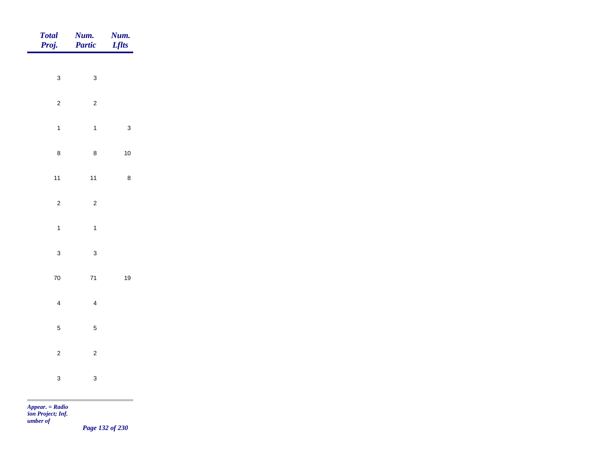| Total<br>Proj.          | <b>Num.</b><br>Partic | <b>Num.</b><br><i>Lflts</i> |
|-------------------------|-----------------------|-----------------------------|
| $\mathbf{3}$            | $\mathbf{3}$          |                             |
|                         |                       |                             |
| $\overline{2}$          | $\overline{c}$        |                             |
| $\mathbf{1}$            | $\overline{1}$        | $\mathbf{3}$                |
| $\bf 8$                 | $\bf 8$               | $10\,$                      |
| $11$                    | $11$                  | $\bf 8$                     |
| $\overline{c}$          | $\overline{c}$        |                             |
| $\overline{1}$          | $\overline{1}$        |                             |
| $\mathbf{3}$            | $\overline{3}$        |                             |
|                         |                       |                             |
| ${\bf 70}$              | $71$                  | $19$                        |
| $\overline{\mathbf{4}}$ | $\overline{4}$        |                             |
| $\overline{5}$          | $\overline{5}$        |                             |
| $\overline{c}$          | $\overline{c}$        |                             |
| $\mathbf{3}$            | $\mathbf{3}$          |                             |
|                         |                       |                             |

*Page 132 of 230*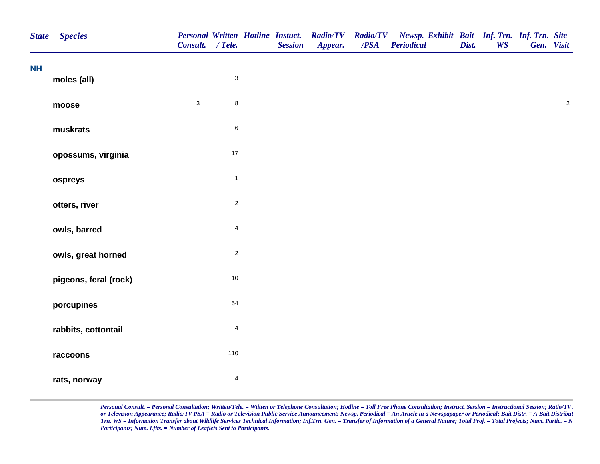| <b>State</b> | <b>Species</b>        | Consult. / Tele. |                         | <b>Personal Written Hotline Instuct.</b><br><b>Session</b> | <b>Radio/TV Radio/TV</b><br>Appear. | /PSA | Newsp. Exhibit Bait Inf. Trn. Inf. Trn. Site<br><b>Periodical</b> | Dist. | <b>WS</b> | Gen. Visit |            |
|--------------|-----------------------|------------------|-------------------------|------------------------------------------------------------|-------------------------------------|------|-------------------------------------------------------------------|-------|-----------|------------|------------|
| <b>NH</b>    | moles (all)           |                  | $\mathbf{3}$            |                                                            |                                     |      |                                                                   |       |           |            |            |
|              | moose                 | $\mathbf 3$      | $\bf 8$                 |                                                            |                                     |      |                                                                   |       |           |            | $\sqrt{2}$ |
|              | muskrats              |                  | $\,6\,$                 |                                                            |                                     |      |                                                                   |       |           |            |            |
|              | opossums, virginia    |                  | $17\,$                  |                                                            |                                     |      |                                                                   |       |           |            |            |
|              | ospreys               |                  | $\mathbf{1}$            |                                                            |                                     |      |                                                                   |       |           |            |            |
|              | otters, river         |                  | $\sqrt{2}$              |                                                            |                                     |      |                                                                   |       |           |            |            |
|              | owls, barred          |                  | $\overline{4}$          |                                                            |                                     |      |                                                                   |       |           |            |            |
|              | owls, great horned    |                  | $\overline{c}$          |                                                            |                                     |      |                                                                   |       |           |            |            |
|              | pigeons, feral (rock) |                  | $10\,$                  |                                                            |                                     |      |                                                                   |       |           |            |            |
|              | porcupines            |                  | 54                      |                                                            |                                     |      |                                                                   |       |           |            |            |
|              | rabbits, cottontail   |                  | $\overline{4}$          |                                                            |                                     |      |                                                                   |       |           |            |            |
|              | raccoons              |                  | 110                     |                                                            |                                     |      |                                                                   |       |           |            |            |
|              | rats, norway          |                  | $\overline{\mathbf{4}}$ |                                                            |                                     |      |                                                                   |       |           |            |            |
|              |                       |                  |                         |                                                            |                                     |      |                                                                   |       |           |            |            |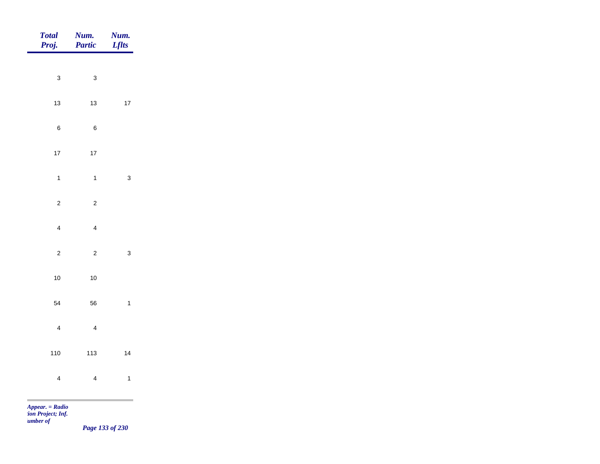| Total<br>Proj.          | Num.<br>Partic | Num.<br><b>Lflts</b> |
|-------------------------|----------------|----------------------|
|                         |                |                      |
| $\mathbf{3}$            | $\mathbf{3}$   |                      |
| $13$                    | $13$           | $17\,$               |
| $\,$ 6 $\,$             | $\, 6$         |                      |
| $17$                    | $17\,$         |                      |
| $\mathbf{1}$            | $\overline{1}$ | $\mathbf{3}$         |
| $\mathbf 2$             | $\overline{c}$ |                      |
| $\overline{4}$          | $\overline{4}$ |                      |
|                         |                |                      |
| $\overline{c}$          | $\overline{c}$ | $\mathbf{3}$         |
| $10$                    | $10$           |                      |
| 54                      | 56             | $\mathbf{1}$         |
| $\overline{\mathbf{4}}$ | $\overline{4}$ |                      |
| 110                     | 113            | 14                   |
| $\overline{\mathbf{4}}$ | $\overline{4}$ | $\mathbf{1}$         |
| $Appear. = Radio$       |                |                      |

*tion Project; Inf. Number of* 

*Page 133 of 230*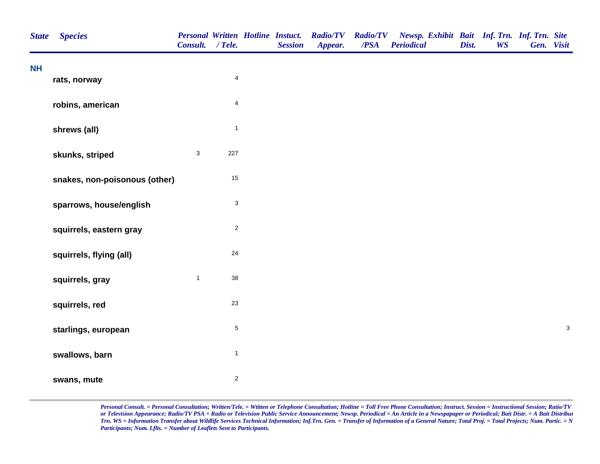| <b>State</b> | <b>Species</b>                | <b>Personal Written Hotline Instuct.</b><br>Consult. / Tele. |                | <b>Session</b> | <b>Radio/TV</b><br>Appear. | <b>Radio/TV</b><br>$\overline{PSA}$ | Newsp. Exhibit Bait Inf. Trn. Inf. Trn. Site<br><b>Periodical</b> | Dist. | <b>WS</b> | Gen. Visit |              |
|--------------|-------------------------------|--------------------------------------------------------------|----------------|----------------|----------------------------|-------------------------------------|-------------------------------------------------------------------|-------|-----------|------------|--------------|
| <b>NH</b>    | rats, norway                  |                                                              | $\overline{4}$ |                |                            |                                     |                                                                   |       |           |            |              |
|              | robins, american              |                                                              | $\overline{4}$ |                |                            |                                     |                                                                   |       |           |            |              |
|              | shrews (all)                  |                                                              | $\mathbf{1}$   |                |                            |                                     |                                                                   |       |           |            |              |
|              | skunks, striped               | $\mathbf{3}$                                                 | 227            |                |                            |                                     |                                                                   |       |           |            |              |
|              | snakes, non-poisonous (other) |                                                              | $15\,$         |                |                            |                                     |                                                                   |       |           |            |              |
|              | sparrows, house/english       |                                                              | $\mathbf{3}$   |                |                            |                                     |                                                                   |       |           |            |              |
|              | squirrels, eastern gray       |                                                              | $\mathbf 2$    |                |                            |                                     |                                                                   |       |           |            |              |
|              | squirrels, flying (all)       |                                                              | 24             |                |                            |                                     |                                                                   |       |           |            |              |
|              | squirrels, gray               | $\mathbf{1}$                                                 | 38             |                |                            |                                     |                                                                   |       |           |            |              |
|              | squirrels, red                |                                                              | 23             |                |                            |                                     |                                                                   |       |           |            |              |
|              | starlings, european           |                                                              | $\,$ 5 $\,$    |                |                            |                                     |                                                                   |       |           |            | $\mathbf{3}$ |
|              | swallows, barn                |                                                              | $\mathbf{1}$   |                |                            |                                     |                                                                   |       |           |            |              |
|              | swans, mute                   |                                                              | $\mathbf{2}$   |                |                            |                                     |                                                                   |       |           |            |              |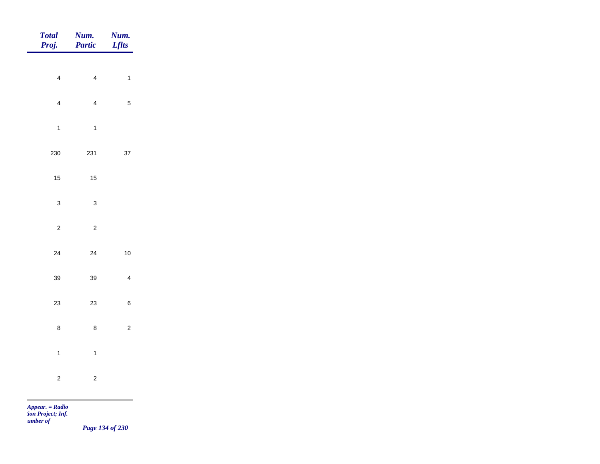| <b>Total</b><br>Proj.   | Num.<br>Partic | Num.<br><b>Lflts</b>    |
|-------------------------|----------------|-------------------------|
|                         |                |                         |
| $\overline{\mathbf{4}}$ | $\overline{4}$ | $\mathbf{1}$            |
| $\overline{4}$          | $\overline{4}$ | $\sqrt{5}$              |
| $\mathbf{1}$            | $\mathbf{1}$   |                         |
| 230                     | 231            | $37\,$                  |
| 15                      | $15\,$         |                         |
| $\mathbf 3$             | $\mathsf 3$    |                         |
| $\overline{2}$          | $\mathbf 2$    |                         |
| $24\,$                  | $24\,$         | $10$                    |
| 39                      | 39             | $\overline{\mathbf{4}}$ |
| 23                      | 23             | $\,6\,$                 |
| $\bf 8$                 | $\bf 8$        | $\sqrt{2}$              |
| $\mathbf{1}$            | $\mathbf{1}$   |                         |
| $\overline{c}$          | $\mathbf 2$    |                         |
|                         |                |                         |

*Page 134 of 230*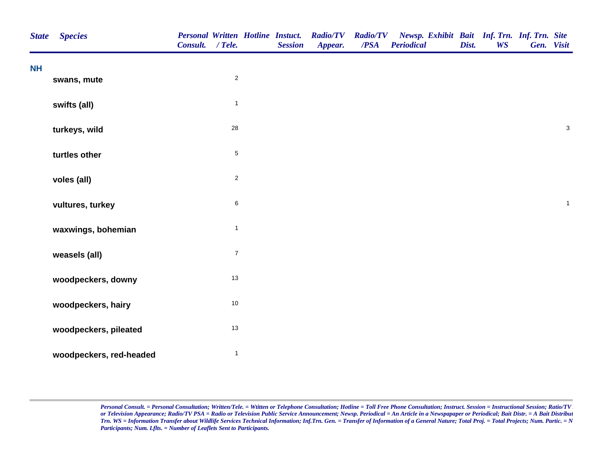| <b>State</b> | <b>Species</b>          | <b>Personal Written Hotline Instuct.</b><br>Consult. / Tele. |                         | <b>Session</b> | <b>Radio/TV</b><br>Appear. | <b>Radio/TV</b><br>/PSA | Newsp. Exhibit Bait Inf. Trn. Inf. Trn. Site<br><b>Periodical</b> | Dist. | <b>WS</b> | Gen. Visit   |
|--------------|-------------------------|--------------------------------------------------------------|-------------------------|----------------|----------------------------|-------------------------|-------------------------------------------------------------------|-------|-----------|--------------|
| <b>NH</b>    |                         |                                                              |                         |                |                            |                         |                                                                   |       |           |              |
|              | swans, mute             |                                                              | $\overline{\mathbf{c}}$ |                |                            |                         |                                                                   |       |           |              |
|              | swifts (all)            |                                                              | $\mathbf{1}$            |                |                            |                         |                                                                   |       |           |              |
|              | turkeys, wild           |                                                              | 28                      |                |                            |                         |                                                                   |       |           | $\mathbf{3}$ |
|              | turtles other           |                                                              | 5                       |                |                            |                         |                                                                   |       |           |              |
|              | voles (all)             |                                                              | $\overline{a}$          |                |                            |                         |                                                                   |       |           |              |
|              | vultures, turkey        |                                                              | 6                       |                |                            |                         |                                                                   |       |           | $\mathbf{1}$ |
|              | waxwings, bohemian      |                                                              | $\mathbf{1}$            |                |                            |                         |                                                                   |       |           |              |
|              | weasels (all)           |                                                              | $\boldsymbol{7}$        |                |                            |                         |                                                                   |       |           |              |
|              | woodpeckers, downy      |                                                              | $13$                    |                |                            |                         |                                                                   |       |           |              |
|              | woodpeckers, hairy      |                                                              | $10\,$                  |                |                            |                         |                                                                   |       |           |              |
|              | woodpeckers, pileated   |                                                              | 13                      |                |                            |                         |                                                                   |       |           |              |
|              | woodpeckers, red-headed |                                                              | $\mathbf{1}$            |                |                            |                         |                                                                   |       |           |              |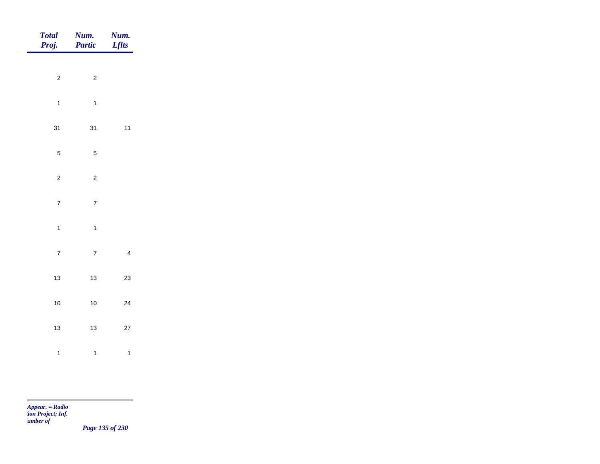| Total<br>Proj. | <b>Num.</b><br>Partic | <b>Num.</b><br>Lflts |
|----------------|-----------------------|----------------------|
|                |                       |                      |
| $\overline{2}$ | $\overline{c}$        |                      |
| $\overline{1}$ | $\overline{1}$        |                      |
| 31             | 31                    | $11$                 |
| $\overline{5}$ | $\sqrt{5}$            |                      |
| $\overline{2}$ | $\overline{c}$        |                      |
| $\overline{7}$ | $\overline{7}$        |                      |
| $\mathbf{1}$   | $\overline{1}$        |                      |
|                |                       |                      |
| $\overline{7}$ | $\overline{7}$        | $\overline{4}$       |
| $13$           | $13$                  | 23                   |
| $10$           | $10\,$                | 24                   |
| $13$           | $13$                  | $27\,$               |
| $\mathbf{1}$   | $\overline{1}$        | $\mathbf{1}$         |

m.

*Page 135 of 230*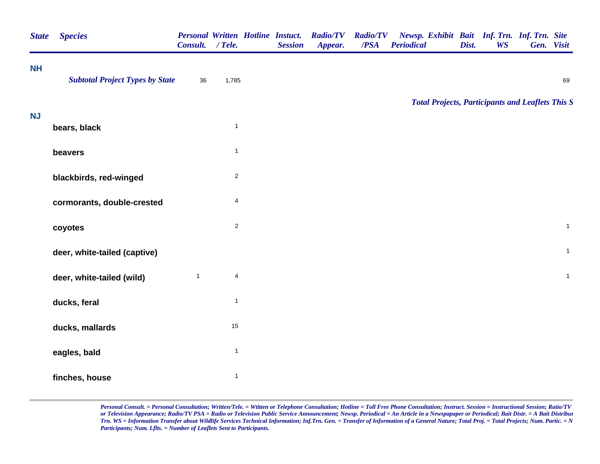| <b>State</b> | <b>Species</b>                         | Personal Written Hotline Instuct.<br>Consult. | / Tele.                 | <b>Session</b> | <b>Radio/TV</b><br>Appear. | <b>Radio/TV</b><br>/PSA | <b>Periodical</b> | Dist. | Newsp. Exhibit Bait Inf. Trn. Inf. Trn. Site<br><b>WS</b> | Gen. Visit   |
|--------------|----------------------------------------|-----------------------------------------------|-------------------------|----------------|----------------------------|-------------------------|-------------------|-------|-----------------------------------------------------------|--------------|
| <b>NH</b>    | <b>Subtotal Project Types by State</b> | 36                                            | 1,785                   |                |                            |                         |                   |       |                                                           | 69           |
|              |                                        |                                               |                         |                |                            |                         |                   |       | <b>Total Projects, Participants and Leaflets This S</b>   |              |
| <b>NJ</b>    | bears, black                           |                                               | $\mathbf{1}$            |                |                            |                         |                   |       |                                                           |              |
|              | beavers                                |                                               | $\mathbf{1}$            |                |                            |                         |                   |       |                                                           |              |
|              | blackbirds, red-winged                 |                                               | $\overline{\mathbf{c}}$ |                |                            |                         |                   |       |                                                           |              |
|              | cormorants, double-crested             |                                               | $\overline{4}$          |                |                            |                         |                   |       |                                                           |              |
|              | coyotes                                |                                               | $\overline{c}$          |                |                            |                         |                   |       |                                                           | $\mathbf{1}$ |
|              | deer, white-tailed (captive)           |                                               |                         |                |                            |                         |                   |       |                                                           | $\mathbf{1}$ |
|              | deer, white-tailed (wild)              | $\mathbf{1}$                                  | 4                       |                |                            |                         |                   |       |                                                           | $\mathbf{1}$ |
|              | ducks, feral                           |                                               | $\mathbf{1}$            |                |                            |                         |                   |       |                                                           |              |
|              | ducks, mallards                        |                                               | 15                      |                |                            |                         |                   |       |                                                           |              |
|              | eagles, bald                           |                                               | $\mathbf{1}$            |                |                            |                         |                   |       |                                                           |              |
|              | finches, house                         |                                               | $\mathbf{1}$            |                |                            |                         |                   |       |                                                           |              |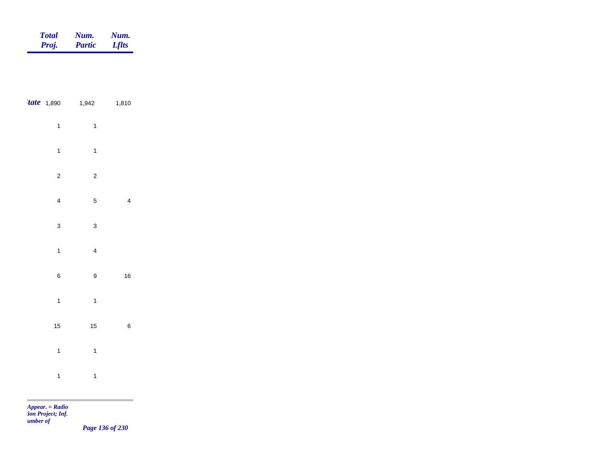| <b>Total</b> | Num.          | Num.         |
|--------------|---------------|--------------|
| Proj.        | <b>Partic</b> | <b>Lflts</b> |

| <i>tate</i> 1,890       | 1,942                   | 1,810                    |  |
|-------------------------|-------------------------|--------------------------|--|
| $\mathbf{1}$            | $\mathbf{1}$            |                          |  |
| $\mathbf{1}$            | $\mathbf{1}$            |                          |  |
| $\overline{\mathbf{c}}$ | $\overline{\mathbf{c}}$ |                          |  |
| $\overline{\mathbf{4}}$ | 5                       | $\overline{\mathcal{L}}$ |  |
| 3                       | 3                       |                          |  |
| $\mathbf{1}$            | $\overline{\mathbf{r}}$ |                          |  |
| $\overline{6}$          | 9                       | 16                       |  |
| $\mathbf{1}$            | $\mathbf{1}$            |                          |  |
| 15                      | 15                      | 6                        |  |
| $\mathbf{1}$            | $\mathbf{1}$            |                          |  |
| $\mathbf{1}$            | $\mathbf{1}$            |                          |  |

m

*Page 136 of 230*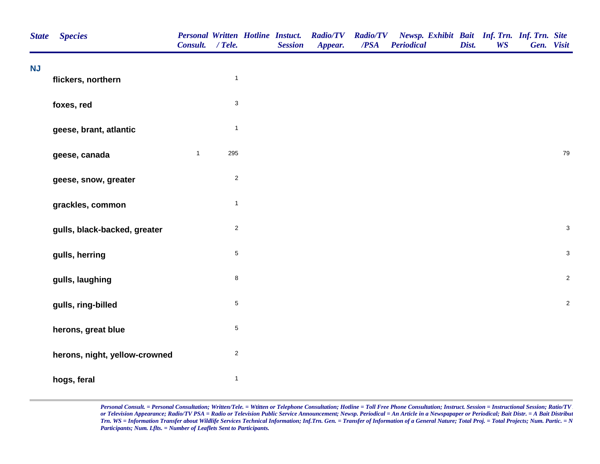| <b>State</b> | <b>Species</b>                | Consult. / Tele. |                | <b>Personal Written Hotline Instuct.</b><br><b>Session</b> | <b>Radio/TV</b><br>Appear. | <b>Radio/TV</b><br>/PSA | Newsp. Exhibit Bait Inf. Trn. Inf. Trn. Site<br><b>Periodical</b> | Dist. | <b>WS</b> | Gen. Visit |                           |
|--------------|-------------------------------|------------------|----------------|------------------------------------------------------------|----------------------------|-------------------------|-------------------------------------------------------------------|-------|-----------|------------|---------------------------|
| <b>NJ</b>    | flickers, northern            |                  | $\overline{1}$ |                                                            |                            |                         |                                                                   |       |           |            |                           |
|              |                               |                  |                |                                                            |                            |                         |                                                                   |       |           |            |                           |
|              | foxes, red                    |                  | $\sqrt{3}$     |                                                            |                            |                         |                                                                   |       |           |            |                           |
|              | geese, brant, atlantic        |                  | $\mathbf{1}$   |                                                            |                            |                         |                                                                   |       |           |            |                           |
|              | geese, canada                 | $\mathbf{1}$     | 295            |                                                            |                            |                         |                                                                   |       |           |            | 79                        |
|              | geese, snow, greater          |                  | $\mathbf 2$    |                                                            |                            |                         |                                                                   |       |           |            |                           |
|              | grackles, common              |                  | $\mathbf{1}$   |                                                            |                            |                         |                                                                   |       |           |            |                           |
|              | gulls, black-backed, greater  |                  | $\overline{2}$ |                                                            |                            |                         |                                                                   |       |           |            | $\ensuremath{\mathsf{3}}$ |
|              | gulls, herring                |                  | $\,$ 5 $\,$    |                                                            |                            |                         |                                                                   |       |           |            | $\ensuremath{\mathsf{3}}$ |
|              | gulls, laughing               |                  | $\bf 8$        |                                                            |                            |                         |                                                                   |       |           |            | $\sqrt{2}$                |
|              | gulls, ring-billed            |                  | $\,$ 5 $\,$    |                                                            |                            |                         |                                                                   |       |           |            | $\sqrt{2}$                |
|              | herons, great blue            |                  | $\sqrt{5}$     |                                                            |                            |                         |                                                                   |       |           |            |                           |
|              | herons, night, yellow-crowned |                  | $\overline{2}$ |                                                            |                            |                         |                                                                   |       |           |            |                           |
|              | hogs, feral                   |                  | $\mathbf{1}$   |                                                            |                            |                         |                                                                   |       |           |            |                           |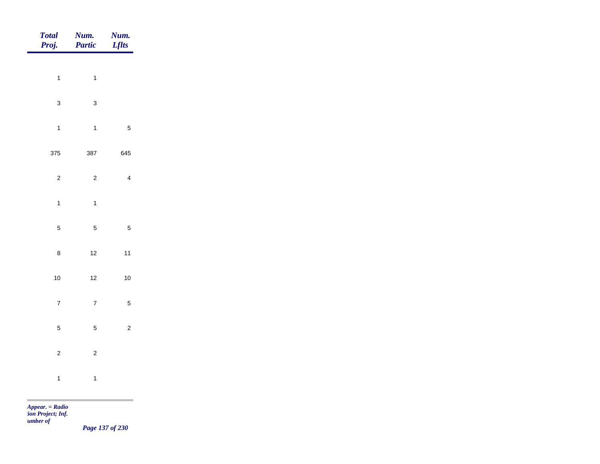| Total<br>Proj. | Num.<br>Partic | <b>Num.</b><br><i>Lflts</i> |
|----------------|----------------|-----------------------------|
| $\overline{1}$ | $\overline{1}$ |                             |
|                |                |                             |
| $\mathbf{3}$   | $\mathbf{3}$   |                             |
| $\overline{1}$ | $\mathbf{1}$   | $\sqrt{5}$                  |
| 375            | 387            | 645                         |
| $\mathbf 2$    | $\overline{c}$ | $\overline{4}$              |
| $\overline{1}$ | $\overline{1}$ |                             |
| $\sqrt{5}$     | $5\phantom{a}$ | $\sqrt{5}$                  |
| $\bf 8$        | $12$           | $11$                        |
|                |                |                             |
| $10\,$         | $12$           | $10$                        |
| $\overline{7}$ | $\overline{7}$ | $\sqrt{5}$                  |
| $\overline{5}$ | $\overline{5}$ | $\overline{2}$              |
| $\overline{c}$ | $\overline{c}$ |                             |
| $\overline{1}$ | $\overline{1}$ |                             |
|                |                |                             |

*Page 137 of 230*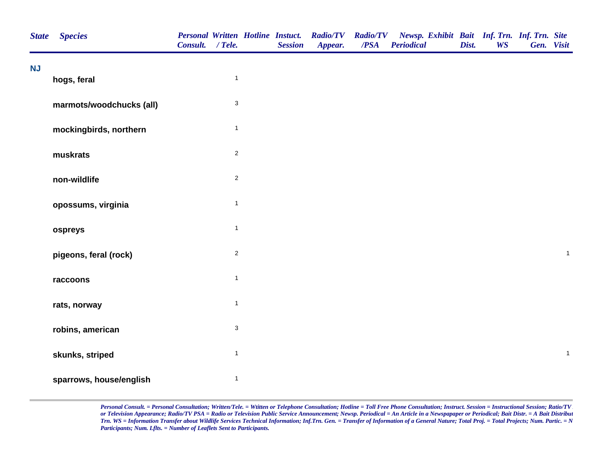| <b>State</b> | <b>Species</b>           | Consult. / Tele. |                           | <b>Session</b> | Personal Written Hotline Instuct. Radio/TV<br>Appear. | $\overline{PSA}$ | Radio/TV Newsp. Exhibit Bait Inf. Trn. Inf. Trn. Site<br><b>Periodical</b> | Dist. | <b>WS</b> | Gen. Visit |              |
|--------------|--------------------------|------------------|---------------------------|----------------|-------------------------------------------------------|------------------|----------------------------------------------------------------------------|-------|-----------|------------|--------------|
| <b>NJ</b>    | hogs, feral              |                  | $\mathbf{1}$              |                |                                                       |                  |                                                                            |       |           |            |              |
|              | marmots/woodchucks (all) |                  | $\mathsf 3$               |                |                                                       |                  |                                                                            |       |           |            |              |
|              | mockingbirds, northern   |                  | $\mathbf{1}$              |                |                                                       |                  |                                                                            |       |           |            |              |
|              | muskrats                 |                  | $\sqrt{2}$                |                |                                                       |                  |                                                                            |       |           |            |              |
|              | non-wildlife             |                  | $\overline{2}$            |                |                                                       |                  |                                                                            |       |           |            |              |
|              | opossums, virginia       |                  | $\mathbf{1}$              |                |                                                       |                  |                                                                            |       |           |            |              |
|              | ospreys                  |                  | $\mathbf{1}$              |                |                                                       |                  |                                                                            |       |           |            |              |
|              | pigeons, feral (rock)    |                  | $\overline{2}$            |                |                                                       |                  |                                                                            |       |           |            | $\mathbf{1}$ |
|              | raccoons                 |                  | $\mathbf{1}$              |                |                                                       |                  |                                                                            |       |           |            |              |
|              | rats, norway             |                  | $\mathbf{1}$              |                |                                                       |                  |                                                                            |       |           |            |              |
|              | robins, american         |                  | $\ensuremath{\mathsf{3}}$ |                |                                                       |                  |                                                                            |       |           |            |              |
|              | skunks, striped          |                  | $\mathbf{1}$              |                |                                                       |                  |                                                                            |       |           |            | $\mathbf{1}$ |
|              | sparrows, house/english  |                  | $\mathbf{1}$              |                |                                                       |                  |                                                                            |       |           |            |              |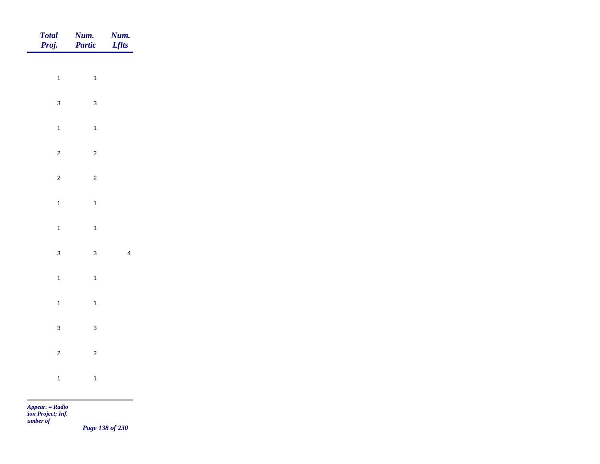| Total<br>Proj.                         |                | <b>Num.</b><br>Partic | <b>Num.</b><br><i>Lflts</i> |
|----------------------------------------|----------------|-----------------------|-----------------------------|
|                                        | $\overline{1}$ |                       |                             |
|                                        |                | $\mathbf{1}$          |                             |
|                                        | $\mathbf{3}$   | $\mathbf{3}$          |                             |
|                                        | $\overline{1}$ | $\mathbf{1}$          |                             |
|                                        | $\overline{c}$ | $\overline{c}$        |                             |
|                                        | $\overline{c}$ | $\overline{c}$        |                             |
|                                        | $\mathbf{1}$   | $\mathbf{1}$          |                             |
|                                        | $\mathbf{1}$   |                       |                             |
|                                        |                | $\mathbf{1}$          |                             |
|                                        | $\mathbf{3}$   | $\mathbf{3}$          | $\overline{\mathbf{4}}$     |
|                                        | $\overline{1}$ | $\mathbf{1}$          |                             |
|                                        | $\overline{1}$ | $\mathbf{1}$          |                             |
|                                        | $\mathbf{3}$   | $\mathbf{3}$          |                             |
|                                        | $\overline{c}$ | $\mathbf 2$           |                             |
|                                        |                |                       |                             |
|                                        | $\overline{1}$ | $\mathbf{1}$          |                             |
| <b>COLLECTION</b><br>$Appear. = Radio$ |                |                       |                             |

*tion Project; Inf. Number of* 

*Page 138 of 230*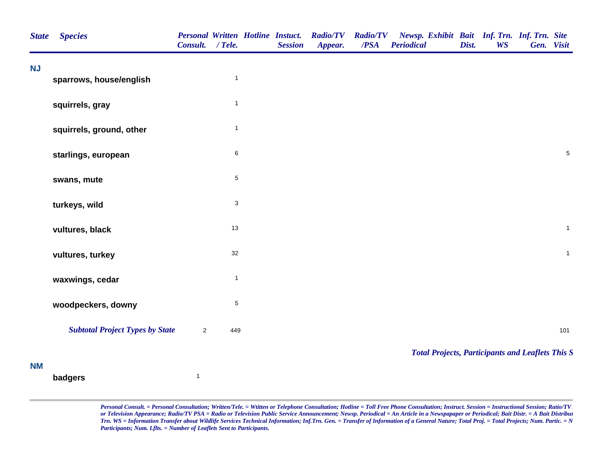| <b>State</b> | <b>Species</b>                         | Consult. / Tele. |              | <b>Personal Written Hotline Instuct.</b><br><b>Session</b> | <b>Radio/TV</b><br>Appear. | <b>Radio/TV</b><br>/PSA | Newsp. Exhibit Bait Inf. Trn. Inf. Trn. Site<br><b>Periodical</b> | Dist. | <b>WS</b> | Gen. Visit |              |
|--------------|----------------------------------------|------------------|--------------|------------------------------------------------------------|----------------------------|-------------------------|-------------------------------------------------------------------|-------|-----------|------------|--------------|
| <b>NJ</b>    | sparrows, house/english                |                  | $\mathbf{1}$ |                                                            |                            |                         |                                                                   |       |           |            |              |
|              | squirrels, gray                        |                  | $\mathbf{1}$ |                                                            |                            |                         |                                                                   |       |           |            |              |
|              | squirrels, ground, other               |                  | $\mathbf{1}$ |                                                            |                            |                         |                                                                   |       |           |            |              |
|              | starlings, european                    |                  | $\,6$        |                                                            |                            |                         |                                                                   |       |           |            | $\sqrt{5}$   |
|              | swans, mute                            |                  | $\,$ 5 $\,$  |                                                            |                            |                         |                                                                   |       |           |            |              |
|              | turkeys, wild                          |                  | $\mathbf{3}$ |                                                            |                            |                         |                                                                   |       |           |            |              |
|              | vultures, black                        |                  | 13           |                                                            |                            |                         |                                                                   |       |           |            | $\mathbf 1$  |
|              | vultures, turkey                       |                  | 32           |                                                            |                            |                         |                                                                   |       |           |            | $\mathbf{1}$ |
|              | waxwings, cedar                        |                  | $\mathbf{1}$ |                                                            |                            |                         |                                                                   |       |           |            |              |
|              | woodpeckers, downy                     |                  | $\,$ 5 $\,$  |                                                            |                            |                         |                                                                   |       |           |            |              |
|              | <b>Subtotal Project Types by State</b> | $\overline{2}$   | 449          |                                                            |                            |                         |                                                                   |       |           |            | 101          |
| <b>NM</b>    |                                        |                  |              |                                                            |                            |                         | <b>Total Projects, Participants and Leaflets This S</b>           |       |           |            |              |
|              | badgers                                | $\mathbf{1}$     |              |                                                            |                            |                         |                                                                   |       |           |            |              |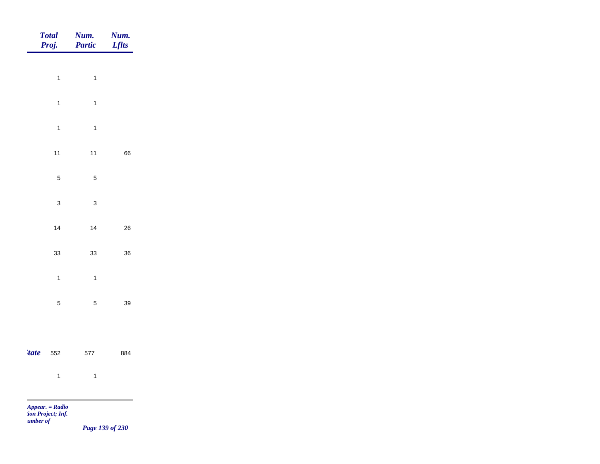|             | <b>Total</b><br>Proj. | Num.<br><b>Partic</b> | Num.<br><b>Lflts</b> |
|-------------|-----------------------|-----------------------|----------------------|
|             |                       |                       |                      |
|             | $\mathbf{1}$          | $\mathbf{1}$          |                      |
|             | $\mathbf{1}$          | $\mathbf{1}$          |                      |
|             | $\mathbf{1}$          | $\mathbf{1}$          |                      |
|             | $11$                  | $11$                  | 66                   |
|             | $\,$ 5 $\,$           | $\sqrt{5}$            |                      |
|             | $\mathbf{3}$          | $\mathbf{3}$          |                      |
|             | 14                    | 14                    | 26                   |
|             | 33                    | $33\,$                | 36                   |
|             |                       |                       |                      |
|             | $\mathbf{1}$          | $\mathbf{1}$          |                      |
|             | $\sqrt{5}$            | $\sqrt{5}$            | 39                   |
|             |                       |                       |                      |
| <i>tate</i> | 552                   | 577                   | 884                  |
|             | $\overline{1}$        | $\overline{1}$        |                      |
|             | $Appear. = Radio$     |                       |                      |

*tion Project; Inf. <u>umber</u> of* 

*Page 139 of 230*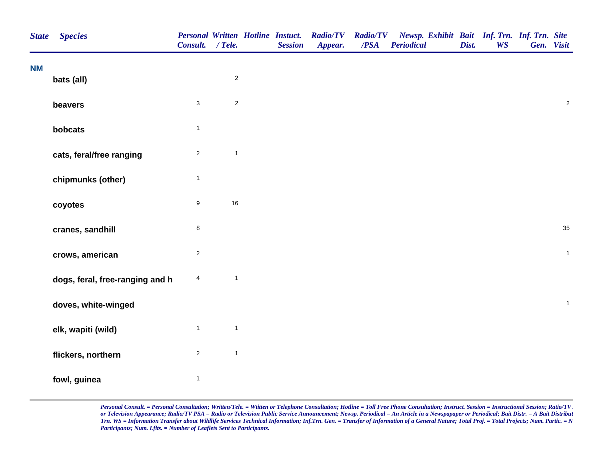| <b>State</b> | <b>Species</b>                  | <b>Personal Written Hotline Instuct.</b><br>Consult. / Tele. |              | <b>Session</b> | <b>Radio/TV</b><br>Appear. | <b>Radio/TV</b><br>/PSA | Newsp. Exhibit Bait Inf. Trn. Inf. Trn. Site<br><b>Periodical</b> | Dist. | <b>WS</b> | Gen. Visit |                |
|--------------|---------------------------------|--------------------------------------------------------------|--------------|----------------|----------------------------|-------------------------|-------------------------------------------------------------------|-------|-----------|------------|----------------|
| <b>NM</b>    | bats (all)                      |                                                              | $\sqrt{2}$   |                |                            |                         |                                                                   |       |           |            |                |
|              |                                 |                                                              |              |                |                            |                         |                                                                   |       |           |            |                |
|              | beavers                         | $\sqrt{3}$                                                   | $\sqrt{2}$   |                |                            |                         |                                                                   |       |           |            | $\overline{c}$ |
|              | bobcats                         | $\mathbf{1}$                                                 |              |                |                            |                         |                                                                   |       |           |            |                |
|              | cats, feral/free ranging        | $\overline{2}$                                               | $\mathbf{1}$ |                |                            |                         |                                                                   |       |           |            |                |
|              | chipmunks (other)               | $\overline{1}$                                               |              |                |                            |                         |                                                                   |       |           |            |                |
|              | coyotes                         | $\boldsymbol{9}$                                             | 16           |                |                            |                         |                                                                   |       |           |            |                |
|              | cranes, sandhill                | $\bf8$                                                       |              |                |                            |                         |                                                                   |       |           |            | 35             |
|              | crows, american                 | $\sqrt{2}$                                                   |              |                |                            |                         |                                                                   |       |           |            | $\mathbf{1}$   |
|              | dogs, feral, free-ranging and h | $\overline{\mathbf{4}}$                                      | $\mathbf{1}$ |                |                            |                         |                                                                   |       |           |            |                |
|              | doves, white-winged             |                                                              |              |                |                            |                         |                                                                   |       |           |            | $\mathbf{1}$   |
|              | elk, wapiti (wild)              | $\mathbf{1}$                                                 | $\mathbf{1}$ |                |                            |                         |                                                                   |       |           |            |                |
|              | flickers, northern              | $\overline{2}$                                               | $\mathbf{1}$ |                |                            |                         |                                                                   |       |           |            |                |
|              | fowl, guinea                    | $\overline{1}$                                               |              |                |                            |                         |                                                                   |       |           |            |                |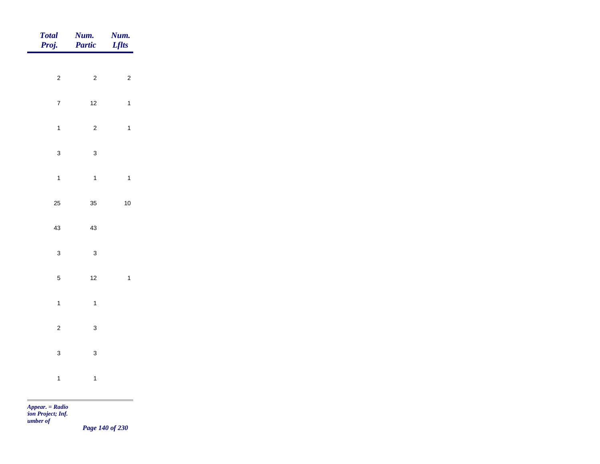| <b>Total</b><br>Proj. | Num.<br>Partic | Num.<br><b>Lflts</b> |
|-----------------------|----------------|----------------------|
| $\overline{c}$        | $\overline{c}$ | $\overline{c}$       |
|                       |                |                      |
| $\overline{7}$        | $12$           | $\mathbf{1}$         |
| $\mathbf{1}$          | $\overline{c}$ | $\mathbf{1}$         |
| $\mathbf{3}$          | $\mathbf{3}$   |                      |
| $\mathbf{1}$          | $\overline{1}$ | $\mathbf{1}$         |
| 25                    | 35             | $10$                 |
| 43                    | 43             |                      |
| $\mathbf{3}$          | $\mathbf{3}$   |                      |
| $\overline{5}$        | $12$           | $\mathbf{1}$         |
|                       |                |                      |
| $\overline{1}$        | $\mathbf{1}$   |                      |
| $\mathbf 2$           | $\mathbf{3}$   |                      |
| $\mathbf{3}$          | $\mathbf{3}$   |                      |
| $\mathbf{1}$          | $\mathbf{1}$   |                      |
|                       |                |                      |

*Page 140 of 230*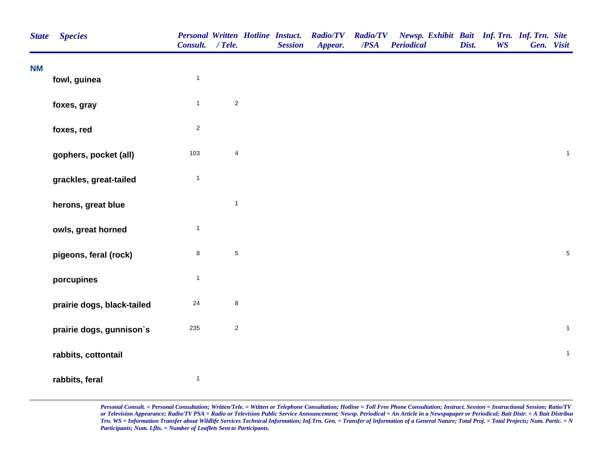| <b>State</b> | <b>Species</b>             | <b>Personal Written Hotline Instuct.</b><br>Consult. / Tele. |                | <b>Session</b> | <b>Radio/TV</b><br>Appear. | <b>Radio/TV</b><br>/PSA | Newsp. Exhibit Bait Inf. Trn. Inf. Trn. Site<br><b>Periodical</b> | Dist. | <b>WS</b> | Gen. Visit   |
|--------------|----------------------------|--------------------------------------------------------------|----------------|----------------|----------------------------|-------------------------|-------------------------------------------------------------------|-------|-----------|--------------|
| <b>NM</b>    | fowl, guinea               | $\mathbf{1}$                                                 |                |                |                            |                         |                                                                   |       |           |              |
|              | foxes, gray                | $\mathbf{1}$                                                 | $\sqrt{2}$     |                |                            |                         |                                                                   |       |           |              |
|              | foxes, red                 | $\overline{\mathbf{c}}$                                      |                |                |                            |                         |                                                                   |       |           |              |
|              | gophers, pocket (all)      | 103                                                          | $\overline{4}$ |                |                            |                         |                                                                   |       |           | $\mathbf{1}$ |
|              | grackles, great-tailed     | $\mathbf{1}$                                                 |                |                |                            |                         |                                                                   |       |           |              |
|              | herons, great blue         |                                                              | $\mathbf{1}$   |                |                            |                         |                                                                   |       |           |              |
|              | owls, great horned         | $\mathbf{1}$                                                 |                |                |                            |                         |                                                                   |       |           |              |
|              | pigeons, feral (rock)      | 8                                                            | $\overline{5}$ |                |                            |                         |                                                                   |       |           | $\sqrt{5}$   |
|              | porcupines                 | $\mathbf{1}$                                                 |                |                |                            |                         |                                                                   |       |           |              |
|              | prairie dogs, black-tailed | $24\,$                                                       | $\bf 8$        |                |                            |                         |                                                                   |       |           |              |
|              | prairie dogs, gunnison's   | 235                                                          | $\sqrt{2}$     |                |                            |                         |                                                                   |       |           | $\mathbf{1}$ |
|              | rabbits, cottontail        |                                                              |                |                |                            |                         |                                                                   |       |           | $\mathbf{1}$ |
|              | rabbits, feral             | $\mathbf{1}$                                                 |                |                |                            |                         |                                                                   |       |           |              |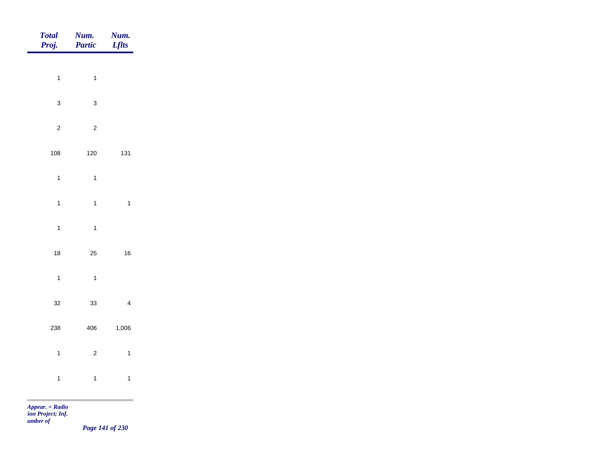| Total<br>Proj.                                              | Partic                                 | <b>Num.</b><br><i>Lflts</i> |
|-------------------------------------------------------------|----------------------------------------|-----------------------------|
|                                                             |                                        |                             |
| $\overline{1}$                                              | $\mathbf{1}$                           |                             |
| $\mathbf{3}$                                                | $\mathbf 3$                            |                             |
| $\sqrt{2}$                                                  | $\overline{c}$                         |                             |
| $108\,$                                                     | $120\,$                                | 131                         |
| $\overline{1}$                                              | $\mathbf{1}$                           |                             |
| $\overline{1}$                                              | $\mathbf{1}$                           | $\overline{1}$              |
|                                                             |                                        |                             |
|                                                             |                                        |                             |
|                                                             |                                        | 16                          |
| $\overline{1}$                                              | $\overline{1}$                         |                             |
| $32\,$                                                      | $33\,$                                 | $\overline{\mathbf{4}}$     |
| 238                                                         | 406                                    | 1,006                       |
| $\overline{1}$                                              | $\overline{c}$                         | $\mathbf{1}$                |
|                                                             |                                        | $\mathbf{1}$                |
| <b>COL</b>                                                  |                                        | ۰                           |
| $\overline{1}$<br>18<br>$\overline{1}$<br>$Appear. = Radio$ | $\mathbf{1}$<br>$25\,$<br>$\mathbf{1}$ |                             |

*tion Project; Inf. Number of* 

*Page 141 of 230*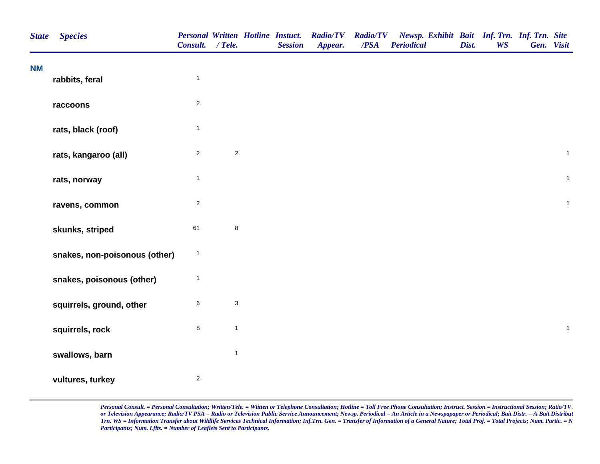| <b>State</b> | <b>Species</b>                | <b>Personal Written Hotline Instuct.</b><br>Consult. / Tele. |                           | <b>Session</b> | <b>Radio/TV</b><br>Appear. | <b>Radio/TV</b><br>$\overline{PSA}$ | Newsp. Exhibit Bait Inf. Trn. Inf. Trn. Site<br><b>Periodical</b> | Dist. | <b>WS</b> | Gen. Visit |              |
|--------------|-------------------------------|--------------------------------------------------------------|---------------------------|----------------|----------------------------|-------------------------------------|-------------------------------------------------------------------|-------|-----------|------------|--------------|
| <b>NM</b>    | rabbits, feral                | $\mathbf{1}$                                                 |                           |                |                            |                                     |                                                                   |       |           |            |              |
|              | raccoons                      | $\boldsymbol{2}$                                             |                           |                |                            |                                     |                                                                   |       |           |            |              |
|              | rats, black (roof)            | $\mathbf{1}$                                                 |                           |                |                            |                                     |                                                                   |       |           |            |              |
|              | rats, kangaroo (all)          | $\boldsymbol{2}$                                             | $\mathbf 2$               |                |                            |                                     |                                                                   |       |           |            | $\mathbf{1}$ |
|              | rats, norway                  | $\mathbf{1}$                                                 |                           |                |                            |                                     |                                                                   |       |           |            | $\mathbf{1}$ |
|              | ravens, common                | $\boldsymbol{2}$                                             |                           |                |                            |                                     |                                                                   |       |           |            | $\mathbf{1}$ |
|              | skunks, striped               | 61                                                           | $\bf 8$                   |                |                            |                                     |                                                                   |       |           |            |              |
|              | snakes, non-poisonous (other) | $\mathbf{1}$                                                 |                           |                |                            |                                     |                                                                   |       |           |            |              |
|              | snakes, poisonous (other)     | $\mathbf{1}$                                                 |                           |                |                            |                                     |                                                                   |       |           |            |              |
|              | squirrels, ground, other      | 6                                                            | $\ensuremath{\mathsf{3}}$ |                |                            |                                     |                                                                   |       |           |            |              |
|              | squirrels, rock               | 8                                                            | $\mathbf{1}$              |                |                            |                                     |                                                                   |       |           |            | $\mathbf{1}$ |
|              | swallows, barn                |                                                              | $\mathbf{1}$              |                |                            |                                     |                                                                   |       |           |            |              |
|              | vultures, turkey              | $\overline{c}$                                               |                           |                |                            |                                     |                                                                   |       |           |            |              |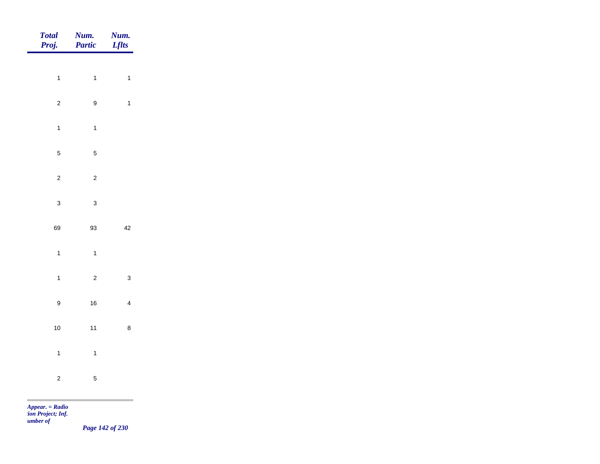| Num.<br>Partic   | Num.<br><b>Lflts</b>                                                 |
|------------------|----------------------------------------------------------------------|
|                  |                                                                      |
|                  | $\mathbf{1}$                                                         |
| $\boldsymbol{9}$ | $\mathbf{1}$                                                         |
| $\mathbf{1}$     |                                                                      |
| $\overline{5}$   |                                                                      |
| $\mathbf 2$      |                                                                      |
|                  |                                                                      |
|                  |                                                                      |
|                  | 42                                                                   |
| $\mathbf{1}$     |                                                                      |
| $\overline{c}$   | $\mathbf{3}$                                                         |
| $16\,$           | $\overline{4}$                                                       |
| $11$             | $\bf8$                                                               |
|                  |                                                                      |
|                  |                                                                      |
|                  |                                                                      |
|                  | $\mathbf{1}$<br>$\mathbf{3}$<br>93<br>$\mathbf{1}$<br>$\overline{5}$ |

*Page 142 of 230*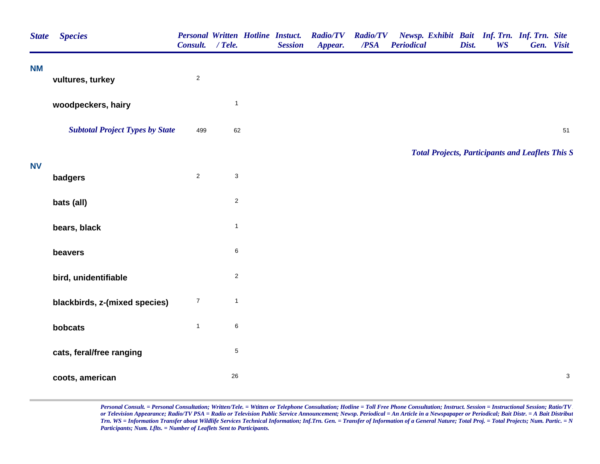| <b>NM</b><br>$\sqrt{2}$<br>vultures, turkey<br>$\mathbf{1}$<br>woodpeckers, hairy<br><b>Subtotal Project Types by State</b><br>62<br>499<br><b>Total Projects, Participants and Leaflets This S</b><br><b>NV</b><br>$\overline{2}$<br>$\mathbf{3}$<br>badgers<br>$\overline{c}$<br>bats (all)<br>$\mathbf{1}$<br>bears, black<br>6<br>beavers<br>$\overline{c}$<br>bird, unidentifiable<br>$\boldsymbol{7}$<br>$\mathbf{1}$<br>blackbirds, z-(mixed species)<br>6<br>$\mathbf{1}$<br>bobcats<br>$\,$ 5 $\,$<br>cats, feral/free ranging<br>26<br>coots, american | <b>State</b> | <b>Species</b> | Consult. / Tele. |  | <b>Session</b> | Personal Written Hotline Instuct. Radio/TV<br>Appear. | <b>Radio/TV</b><br>/PSA | Newsp. Exhibit Bait Inf. Trn. Inf. Trn. Site<br><b>Periodical</b> | Dist. | <b>WS</b> | Gen. Visit |
|------------------------------------------------------------------------------------------------------------------------------------------------------------------------------------------------------------------------------------------------------------------------------------------------------------------------------------------------------------------------------------------------------------------------------------------------------------------------------------------------------------------------------------------------------------------|--------------|----------------|------------------|--|----------------|-------------------------------------------------------|-------------------------|-------------------------------------------------------------------|-------|-----------|------------|
|                                                                                                                                                                                                                                                                                                                                                                                                                                                                                                                                                                  |              |                |                  |  |                |                                                       |                         |                                                                   |       |           |            |
|                                                                                                                                                                                                                                                                                                                                                                                                                                                                                                                                                                  |              |                |                  |  |                |                                                       |                         |                                                                   |       |           |            |
|                                                                                                                                                                                                                                                                                                                                                                                                                                                                                                                                                                  |              |                |                  |  |                |                                                       |                         |                                                                   |       |           | 51         |
|                                                                                                                                                                                                                                                                                                                                                                                                                                                                                                                                                                  |              |                |                  |  |                |                                                       |                         |                                                                   |       |           |            |
|                                                                                                                                                                                                                                                                                                                                                                                                                                                                                                                                                                  |              |                |                  |  |                |                                                       |                         |                                                                   |       |           |            |
|                                                                                                                                                                                                                                                                                                                                                                                                                                                                                                                                                                  |              |                |                  |  |                |                                                       |                         |                                                                   |       |           |            |
|                                                                                                                                                                                                                                                                                                                                                                                                                                                                                                                                                                  |              |                |                  |  |                |                                                       |                         |                                                                   |       |           |            |
|                                                                                                                                                                                                                                                                                                                                                                                                                                                                                                                                                                  |              |                |                  |  |                |                                                       |                         |                                                                   |       |           |            |
|                                                                                                                                                                                                                                                                                                                                                                                                                                                                                                                                                                  |              |                |                  |  |                |                                                       |                         |                                                                   |       |           |            |
|                                                                                                                                                                                                                                                                                                                                                                                                                                                                                                                                                                  |              |                |                  |  |                |                                                       |                         |                                                                   |       |           |            |
|                                                                                                                                                                                                                                                                                                                                                                                                                                                                                                                                                                  |              |                |                  |  |                |                                                       |                         |                                                                   |       |           |            |
|                                                                                                                                                                                                                                                                                                                                                                                                                                                                                                                                                                  |              |                |                  |  |                |                                                       |                         |                                                                   |       |           |            |
|                                                                                                                                                                                                                                                                                                                                                                                                                                                                                                                                                                  |              |                |                  |  |                |                                                       |                         |                                                                   |       |           | $\sqrt{3}$ |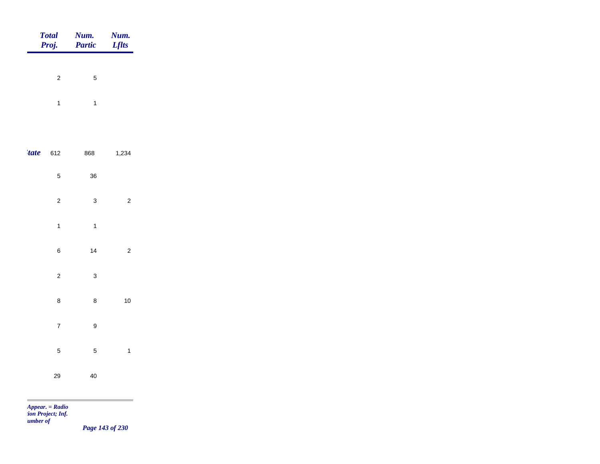|             | Total<br>Proj. | <b>Num.</b><br>Partic | <b>Num.</b><br>Lflts |
|-------------|----------------|-----------------------|----------------------|
|             |                |                       |                      |
|             | $\overline{2}$ | $\mathbf 5$           |                      |
|             | $\overline{1}$ | $\overline{1}$        |                      |
|             |                |                       |                      |
| <i>tate</i> | 612            | 868                   | 1,234                |
|             | $\sqrt{5}$     | $36\,$                |                      |
|             | $\sqrt{2}$     | $\mathbf{3}$          | $\overline{c}$       |
|             | $\mathbf{1}$   | $\overline{1}$        |                      |
|             | $\bf 6$        | $14$                  | $\sqrt{2}$           |
|             | $\mathbf 2$    | $\mathbf{3}$          |                      |
|             |                | $\bf 8$               | $10\,$               |
|             | $\bf 8$        |                       |                      |
|             | $\overline{7}$ | $\boldsymbol{9}$      |                      |
|             | $\sqrt{5}$     | $\sqrt{5}$            | $\overline{1}$       |
|             | 29             | $40\,$                |                      |
|             |                |                       | $\sim 10^{-1}$       |

*Page 143 of 230*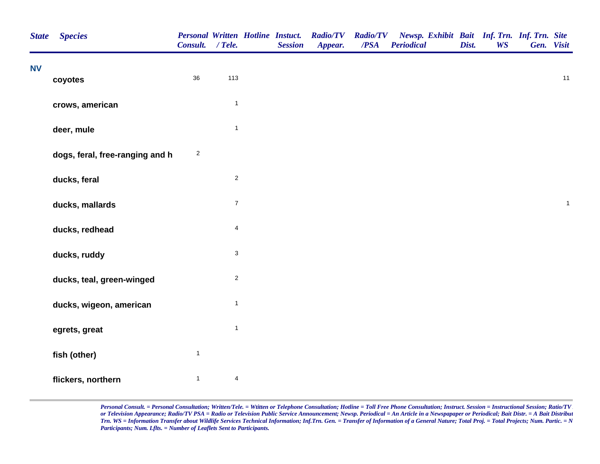| <b>State</b> | <b>Species</b>                  | <b>Personal Written Hotline Instuct.</b><br>Consult. / Tele. |                           | <b>Session</b> | <b>Radio/TV</b><br>Appear. | <b>Radio/TV</b><br>/PSA | Newsp. Exhibit Bait Inf. Trn. Inf. Trn. Site<br><b>Periodical</b> | Dist. | <b>WS</b> | Gen. Visit |              |
|--------------|---------------------------------|--------------------------------------------------------------|---------------------------|----------------|----------------------------|-------------------------|-------------------------------------------------------------------|-------|-----------|------------|--------------|
| <b>NV</b>    | coyotes                         | 36                                                           | 113                       |                |                            |                         |                                                                   |       |           |            | 11           |
|              | crows, american                 |                                                              | $\mathbf{1}$              |                |                            |                         |                                                                   |       |           |            |              |
|              | deer, mule                      |                                                              | $\mathbf{1}$              |                |                            |                         |                                                                   |       |           |            |              |
|              | dogs, feral, free-ranging and h | $\overline{c}$                                               |                           |                |                            |                         |                                                                   |       |           |            |              |
|              | ducks, feral                    |                                                              | $\mathbf 2$               |                |                            |                         |                                                                   |       |           |            |              |
|              | ducks, mallards                 |                                                              | $\boldsymbol{7}$          |                |                            |                         |                                                                   |       |           |            | $\mathbf{1}$ |
|              | ducks, redhead                  |                                                              | $\overline{\mathbf{4}}$   |                |                            |                         |                                                                   |       |           |            |              |
|              | ducks, ruddy                    |                                                              | $\ensuremath{\mathsf{3}}$ |                |                            |                         |                                                                   |       |           |            |              |
|              | ducks, teal, green-winged       |                                                              | $\sqrt{2}$                |                |                            |                         |                                                                   |       |           |            |              |
|              | ducks, wigeon, american         |                                                              | $\mathbf{1}$              |                |                            |                         |                                                                   |       |           |            |              |
|              | egrets, great                   |                                                              | $\mathbf{1}$              |                |                            |                         |                                                                   |       |           |            |              |
|              | fish (other)                    | $\mathbf{1}$                                                 |                           |                |                            |                         |                                                                   |       |           |            |              |
|              | flickers, northern              | $\mathbf{1}$                                                 | 4                         |                |                            |                         |                                                                   |       |           |            |              |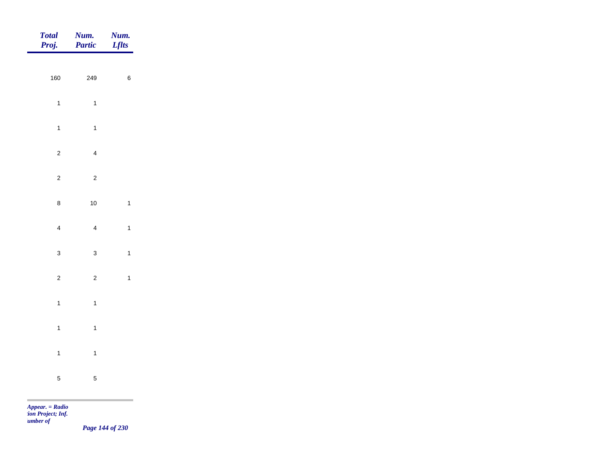| Total<br>Proj. | <b>Num.</b><br>Partic | <b>Num.</b><br>Lflts |
|----------------|-----------------------|----------------------|
| 160            | 249                   | $\,6\,$              |
| $\overline{1}$ | $\mathbf{1}$          |                      |
| $\mathbf{1}$   | $\overline{1}$        |                      |
| $\overline{c}$ | $\overline{4}$        |                      |
| $\overline{c}$ | $\sqrt{2}$            |                      |
| $\bf 8$        | $10$                  | $\mathbf{1}$         |
| $\overline{4}$ | $\overline{4}$        | $\mathbf{1}$         |
| $\mathbf{3}$   | $\mathbf{3}$          | $\mathbf{1}$         |
| $\overline{c}$ | $\overline{2}$        | $\mathbf{1}$         |
| $\overline{1}$ | $\overline{1}$        |                      |
| $\overline{1}$ | $\mathbf{1}$          |                      |
| $\overline{1}$ | $\overline{1}$        |                      |
| $\overline{5}$ | $\sqrt{5}$            |                      |

*Page 144 of 230*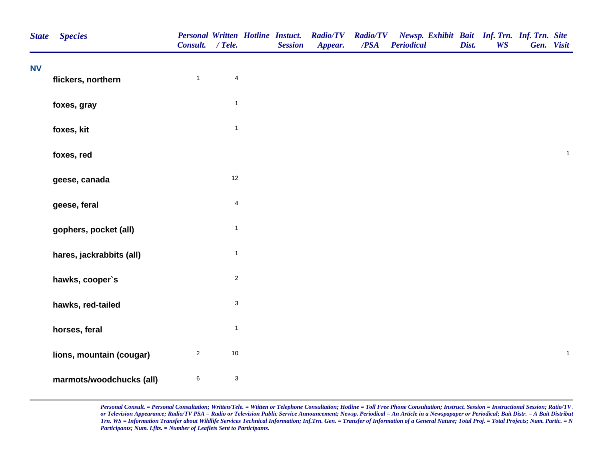| <b>State</b> | <b>Species</b>           | <b>Personal Written Hotline Instuct.</b><br>Consult. / Tele. |                           | <b>Session</b> | <b>Radio/TV</b><br>Appear. | <b>Radio/TV</b><br>$\overline{PSA}$ | Newsp. Exhibit Bait Inf. Trn. Inf. Trn. Site<br><b>Periodical</b> | Dist. | <b>WS</b> | Gen. Visit |              |
|--------------|--------------------------|--------------------------------------------------------------|---------------------------|----------------|----------------------------|-------------------------------------|-------------------------------------------------------------------|-------|-----------|------------|--------------|
| <b>NV</b>    | flickers, northern       | $\mathbf{1}$                                                 | $\overline{4}$            |                |                            |                                     |                                                                   |       |           |            |              |
|              |                          |                                                              | $\mathbf{1}$              |                |                            |                                     |                                                                   |       |           |            |              |
|              | foxes, gray              |                                                              |                           |                |                            |                                     |                                                                   |       |           |            |              |
|              | foxes, kit               |                                                              | $\mathbf{1}$              |                |                            |                                     |                                                                   |       |           |            |              |
|              | foxes, red               |                                                              |                           |                |                            |                                     |                                                                   |       |           |            | $\mathbf{1}$ |
|              | geese, canada            |                                                              | $12$                      |                |                            |                                     |                                                                   |       |           |            |              |
|              | geese, feral             |                                                              | $\overline{\mathbf{4}}$   |                |                            |                                     |                                                                   |       |           |            |              |
|              | gophers, pocket (all)    |                                                              | $\mathbf{1}$              |                |                            |                                     |                                                                   |       |           |            |              |
|              | hares, jackrabbits (all) |                                                              | $\mathbf{1}$              |                |                            |                                     |                                                                   |       |           |            |              |
|              | hawks, cooper's          |                                                              | $\sqrt{2}$                |                |                            |                                     |                                                                   |       |           |            |              |
|              | hawks, red-tailed        |                                                              | $\ensuremath{\mathsf{3}}$ |                |                            |                                     |                                                                   |       |           |            |              |
|              | horses, feral            |                                                              | $\mathbf{1}$              |                |                            |                                     |                                                                   |       |           |            |              |
|              | lions, mountain (cougar) | $\overline{c}$                                               | $10\,$                    |                |                            |                                     |                                                                   |       |           |            | $\mathbf{1}$ |
|              | marmots/woodchucks (all) | $\,6$                                                        | $\mathsf 3$               |                |                            |                                     |                                                                   |       |           |            |              |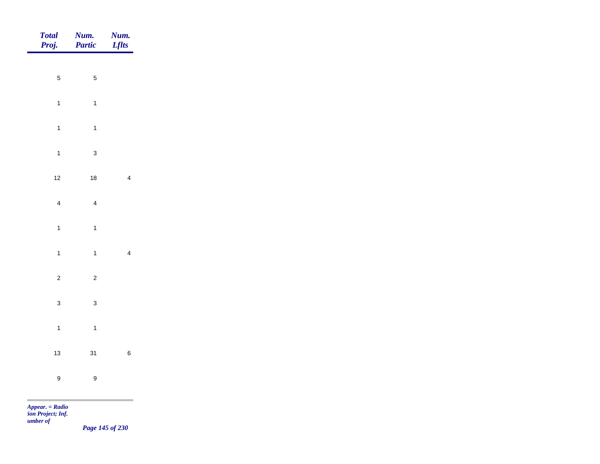| Total<br>Proj.   | <b>Num.</b><br><b>Partic</b> | <b>Num.</b><br>Lflts |
|------------------|------------------------------|----------------------|
|                  |                              |                      |
| $\overline{5}$   | $\sqrt{5}$                   |                      |
| $\mathbf{1}$     | $\mathbf{1}$                 |                      |
| $\mathbf{1}$     | $\mathbf{1}$                 |                      |
| $\overline{1}$   | $\mathbf 3$                  |                      |
| $12$             | $18$                         | $\overline{4}$       |
| $\overline{4}$   | $\overline{4}$               |                      |
| $\mathbf{1}$     | $\mathbf{1}$                 |                      |
|                  |                              |                      |
| $\mathbf{1}$     | $\overline{1}$               | $\overline{4}$       |
| $\overline{c}$   | $\overline{c}$               |                      |
| $\mathbf{3}$     | $\mathbf{3}$                 |                      |
| $\mathbf{1}$     | $\overline{1}$               |                      |
| $13$             | 31                           | $\,$ 6 $\,$          |
| $\boldsymbol{9}$ | $\boldsymbol{9}$             |                      |
|                  |                              |                      |

*Page 145 of 230*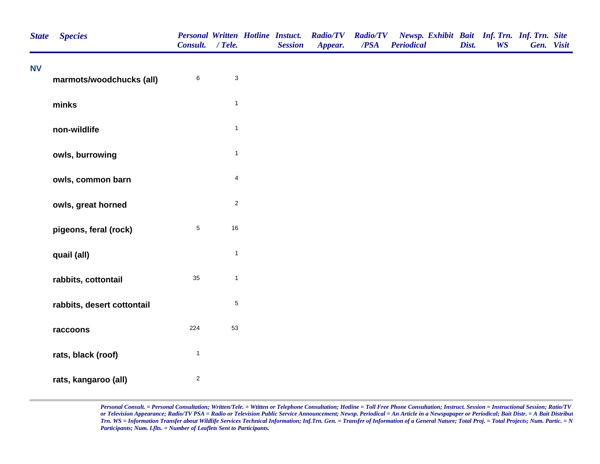| <b>State</b> | <b>Species</b>             | Consult. / Tele.        |                           | <b>Session</b> | Personal Written Hotline Instuct. Radio/TV Radio/TV<br>Appear. | /PSA | Newsp. Exhibit Bait Inf. Trn. Inf. Trn. Site<br><b>Periodical</b> | Dist. | <b>WS</b> | Gen. Visit |  |
|--------------|----------------------------|-------------------------|---------------------------|----------------|----------------------------------------------------------------|------|-------------------------------------------------------------------|-------|-----------|------------|--|
| <b>NV</b>    | marmots/woodchucks (all)   | 6                       | $\ensuremath{\mathsf{3}}$ |                |                                                                |      |                                                                   |       |           |            |  |
|              | minks                      |                         | $\mathbf{1}$              |                |                                                                |      |                                                                   |       |           |            |  |
|              | non-wildlife               |                         | $\mathbf{1}$              |                |                                                                |      |                                                                   |       |           |            |  |
|              | owls, burrowing            |                         | $\mathbf{1}$              |                |                                                                |      |                                                                   |       |           |            |  |
|              | owls, common barn          |                         | $\overline{4}$            |                |                                                                |      |                                                                   |       |           |            |  |
|              | owls, great horned         |                         | $\overline{2}$            |                |                                                                |      |                                                                   |       |           |            |  |
|              | pigeons, feral (rock)      | $\sqrt{5}$              | 16                        |                |                                                                |      |                                                                   |       |           |            |  |
|              | quail (all)                |                         | $\mathbf{1}$              |                |                                                                |      |                                                                   |       |           |            |  |
|              | rabbits, cottontail        | $35\,$                  | $\mathbf{1}$              |                |                                                                |      |                                                                   |       |           |            |  |
|              | rabbits, desert cottontail |                         | $\,$ 5 $\,$               |                |                                                                |      |                                                                   |       |           |            |  |
|              | raccoons                   | 224                     | 53                        |                |                                                                |      |                                                                   |       |           |            |  |
|              | rats, black (roof)         | $\mathbf{1}$            |                           |                |                                                                |      |                                                                   |       |           |            |  |
|              | rats, kangaroo (all)       | $\overline{\mathbf{c}}$ |                           |                |                                                                |      |                                                                   |       |           |            |  |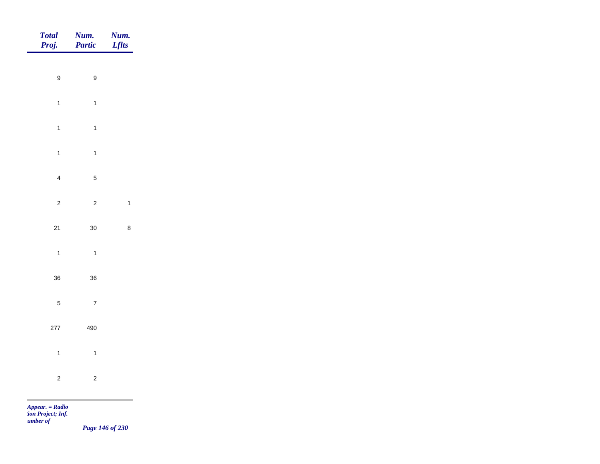|                                                     | <b>Num.</b><br>Lflts |
|-----------------------------------------------------|----------------------|
|                                                     |                      |
| $\boldsymbol{9}$<br>$\boldsymbol{9}$                |                      |
| $\mathbf{1}$<br>$\overline{1}$                      |                      |
| $\overline{1}$<br>$\mathbf{1}$                      |                      |
| $\mathbf{1}$<br>$\mathbf{1}$                        |                      |
| $\overline{4}$<br>$\sqrt{5}$                        |                      |
| $\overline{c}$<br>$\sqrt{2}$                        | $\mathbf{1}$         |
|                                                     |                      |
| $21$<br>$30\,$                                      | $\bf 8$              |
| $\overline{1}$<br>$\overline{1}$                    |                      |
| $36\,$<br>$36\,$                                    |                      |
| $\sqrt{5}$<br>$\overline{7}$                        |                      |
| 277<br>490                                          |                      |
| $\overline{1}$<br>$\overline{1}$                    |                      |
|                                                     |                      |
| $\overline{c}$<br>$\overline{c}$<br><b>Contract</b> |                      |

*Page 146 of 230*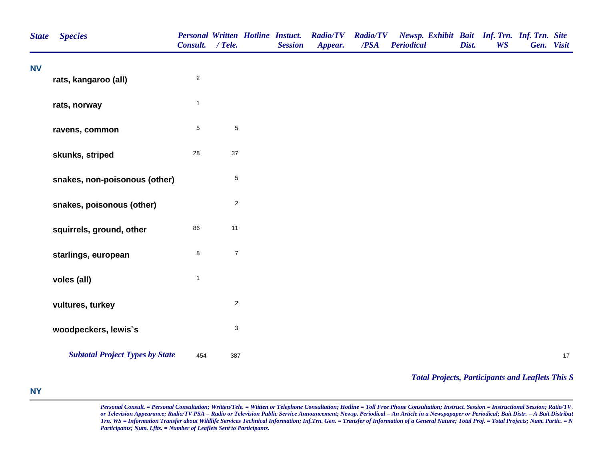| <b>State</b> | <b>Species</b>                         | <b>Personal Written Hotline Instuct.</b><br>Consult. / Tele. |                           | <b>Session</b> | <b>Radio/TV</b><br>Appear. | <b>Radio/TV</b><br>$\overline{PSA}$ | Newsp. Exhibit Bait Inf. Trn. Inf. Trn. Site<br><b>Periodical</b> | Dist. | <b>WS</b> | Gen. Visit |    |
|--------------|----------------------------------------|--------------------------------------------------------------|---------------------------|----------------|----------------------------|-------------------------------------|-------------------------------------------------------------------|-------|-----------|------------|----|
| <b>NV</b>    | rats, kangaroo (all)                   | $\overline{2}$                                               |                           |                |                            |                                     |                                                                   |       |           |            |    |
|              | rats, norway                           | $\mathbf{1}$                                                 |                           |                |                            |                                     |                                                                   |       |           |            |    |
|              | ravens, common                         | $\,$ 5 $\,$                                                  | $\,$ 5 $\,$               |                |                            |                                     |                                                                   |       |           |            |    |
|              | skunks, striped                        | 28                                                           | $37\,$                    |                |                            |                                     |                                                                   |       |           |            |    |
|              | snakes, non-poisonous (other)          |                                                              | $\mathbf 5$               |                |                            |                                     |                                                                   |       |           |            |    |
|              | snakes, poisonous (other)              |                                                              | $\overline{2}$            |                |                            |                                     |                                                                   |       |           |            |    |
|              | squirrels, ground, other               | 86                                                           | 11                        |                |                            |                                     |                                                                   |       |           |            |    |
|              | starlings, european                    | $\bf8$                                                       | $\boldsymbol{7}$          |                |                            |                                     |                                                                   |       |           |            |    |
|              | voles (all)                            | $\mathbf{1}$                                                 |                           |                |                            |                                     |                                                                   |       |           |            |    |
|              | vultures, turkey                       |                                                              | $\overline{2}$            |                |                            |                                     |                                                                   |       |           |            |    |
|              | woodpeckers, lewis's                   |                                                              | $\ensuremath{\mathsf{3}}$ |                |                            |                                     |                                                                   |       |           |            |    |
|              | <b>Subtotal Project Types by State</b> | 454                                                          | 387                       |                |                            |                                     |                                                                   |       |           |            | 17 |

## *Total Projects, Participants and Leaflets This S*

## **NY**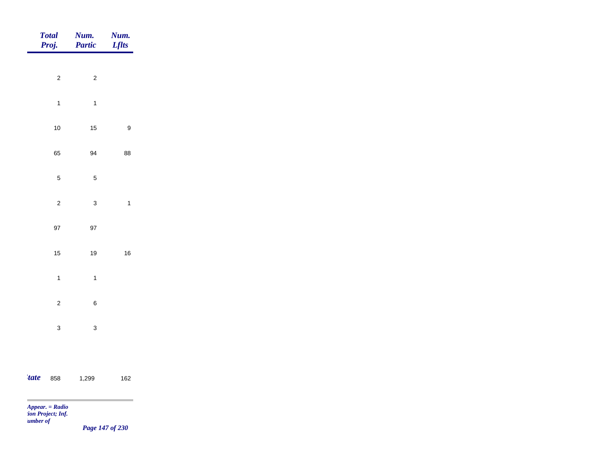|             | Total<br>Proj. | Num.<br>Partic | <b>Num.</b><br><i>Lflts</i> |
|-------------|----------------|----------------|-----------------------------|
|             |                |                |                             |
|             | $\overline{c}$ | $\overline{c}$ |                             |
|             | $\overline{1}$ | $\overline{1}$ |                             |
|             | $10$           | 15             | $\boldsymbol{9}$            |
|             | 65             | 94             | 88                          |
|             | $\overline{5}$ | $\sqrt{5}$     |                             |
|             | $\overline{c}$ | $\mathbf{3}$   | $\mathbf{1}$                |
|             | $97\,$         | $97\,$         |                             |
|             |                |                |                             |
|             | $15\,$         | 19             | $16\,$                      |
|             | $\mathbf{1}$   | $\overline{1}$ |                             |
|             | $\overline{c}$ | $\,$ 6 $\,$    |                             |
|             | $\mathbf{3}$   | $\mathbf{3}$   |                             |
|             |                |                |                             |
| <i>tate</i> | 858            | 1,299          | $162$                       |
|             |                |                |                             |

**COL** 

*Page 147 of 230*

and the control of the control of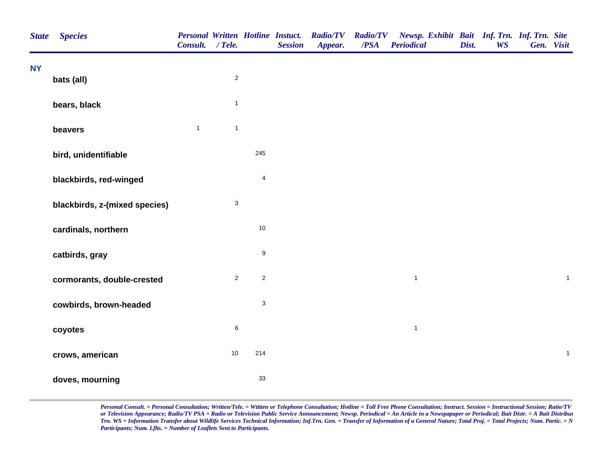| <b>State</b> | <b>Species</b>                | <b>Personal Written Hotline Instuct.</b><br>Consult. / Tele. |                |                           | <b>Session</b> | <b>Radio/TV</b><br>Appear. | $\overline{PSA}$ | Radio/TV Newsp. Exhibit Bait Inf. Trn. Inf. Trn. Site<br><b>Periodical</b> | Dist. | <b>WS</b> | Gen. Visit |                |
|--------------|-------------------------------|--------------------------------------------------------------|----------------|---------------------------|----------------|----------------------------|------------------|----------------------------------------------------------------------------|-------|-----------|------------|----------------|
| <b>NY</b>    | bats (all)                    |                                                              | $\overline{2}$ |                           |                |                            |                  |                                                                            |       |           |            |                |
|              | bears, black                  |                                                              | $\mathbf{1}$   |                           |                |                            |                  |                                                                            |       |           |            |                |
|              | beavers                       | $\mathbf{1}$                                                 | $\mathbf{1}$   |                           |                |                            |                  |                                                                            |       |           |            |                |
|              | bird, unidentifiable          |                                                              |                | 245                       |                |                            |                  |                                                                            |       |           |            |                |
|              | blackbirds, red-winged        |                                                              |                | $\overline{\mathbf{4}}$   |                |                            |                  |                                                                            |       |           |            |                |
|              | blackbirds, z-(mixed species) |                                                              | $\sqrt{3}$     |                           |                |                            |                  |                                                                            |       |           |            |                |
|              | cardinals, northern           |                                                              |                | $10$                      |                |                            |                  |                                                                            |       |           |            |                |
|              | catbirds, gray                |                                                              |                | $\boldsymbol{9}$          |                |                            |                  |                                                                            |       |           |            |                |
|              | cormorants, double-crested    |                                                              | $\overline{2}$ | $\overline{2}$            |                |                            |                  | $\mathbf{1}$                                                               |       |           |            | $\overline{1}$ |
|              | cowbirds, brown-headed        |                                                              |                | $\ensuremath{\mathsf{3}}$ |                |                            |                  |                                                                            |       |           |            |                |
|              | coyotes                       |                                                              | $\,6\,$        |                           |                |                            |                  | $\overline{1}$                                                             |       |           |            |                |
|              | crows, american               |                                                              | 10             | 214                       |                |                            |                  |                                                                            |       |           |            | $\mathbf{1}$   |
|              | doves, mourning               |                                                              |                | 33                        |                |                            |                  |                                                                            |       |           |            |                |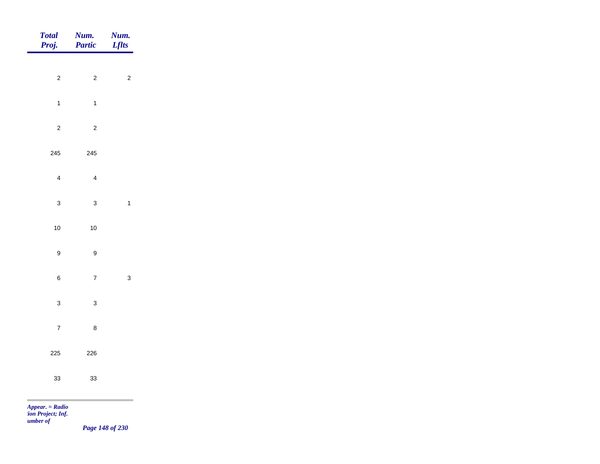| Total<br>Proj.                                                       | Num.<br>Partic            | Num.<br><b>Lflts</b> |
|----------------------------------------------------------------------|---------------------------|----------------------|
|                                                                      |                           |                      |
| $\mathbf 2$                                                          | $\overline{2}$            | $\sqrt{2}$           |
| $\mathbf{1}$                                                         | $\overline{1}$            |                      |
| $\sqrt{2}$                                                           | $\sqrt{2}$                |                      |
| 245                                                                  | 245                       |                      |
| $\overline{\mathbf{4}}$                                              | $\overline{4}$            |                      |
| $\mathbf{3}$                                                         |                           |                      |
|                                                                      | $\mathbf{3}$              | $\mathbf{1}$         |
| 10                                                                   | $10$                      |                      |
| $\boldsymbol{9}$                                                     | $\boldsymbol{9}$          |                      |
| $\,$ 6 $\,$                                                          | $\overline{7}$            | $\mathbf{3}$         |
| $\mathbf{3}$                                                         | $\ensuremath{\mathsf{3}}$ |                      |
| $\overline{7}$                                                       | $\bf 8$                   |                      |
| 225                                                                  | 226                       |                      |
|                                                                      |                           |                      |
| $33\,$                                                               | $33\,$                    |                      |
| <b>The State</b><br>Appear. = Radio<br>ion Project; Inf.<br>umber of |                           |                      |

*Page 148 of 230*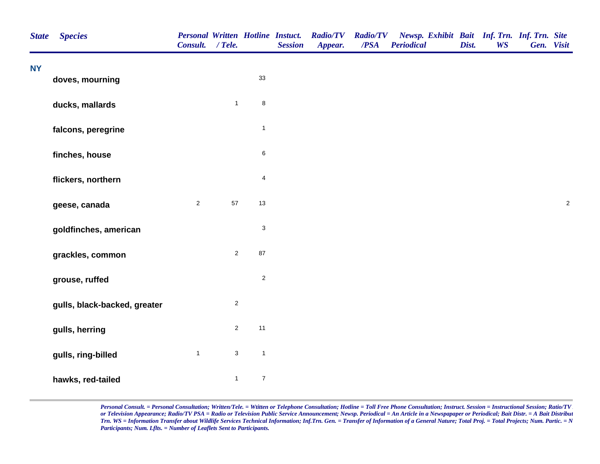| <b>State</b> | <b>Species</b>               | <b>Personal Written Hotline Instuct.</b><br>Consult. / Tele. |                           |                  | <b>Session</b> | <b>Radio/TV</b><br>Appear. | <b>Radio/TV</b><br>/PSA | Newsp. Exhibit Bait Inf. Trn. Inf. Trn. Site<br><b>Periodical</b> | Dist. | <b>WS</b> | Gen. Visit |            |
|--------------|------------------------------|--------------------------------------------------------------|---------------------------|------------------|----------------|----------------------------|-------------------------|-------------------------------------------------------------------|-------|-----------|------------|------------|
| <b>NY</b>    | doves, mourning              |                                                              |                           | 33               |                |                            |                         |                                                                   |       |           |            |            |
|              |                              |                                                              |                           |                  |                |                            |                         |                                                                   |       |           |            |            |
|              | ducks, mallards              |                                                              | $\mathbf{1}$              | $\bf8$           |                |                            |                         |                                                                   |       |           |            |            |
|              | falcons, peregrine           |                                                              |                           | $\mathbf 1$      |                |                            |                         |                                                                   |       |           |            |            |
|              | finches, house               |                                                              |                           | $\,6\,$          |                |                            |                         |                                                                   |       |           |            |            |
|              | flickers, northern           |                                                              |                           | 4                |                |                            |                         |                                                                   |       |           |            |            |
|              | geese, canada                | $\sqrt{2}$                                                   | 57                        | 13               |                |                            |                         |                                                                   |       |           |            | $\sqrt{2}$ |
|              | goldfinches, american        |                                                              |                           | 3                |                |                            |                         |                                                                   |       |           |            |            |
|              | grackles, common             |                                                              | $\mathbf 2$               | 87               |                |                            |                         |                                                                   |       |           |            |            |
|              | grouse, ruffed               |                                                              |                           | $\mathbf 2$      |                |                            |                         |                                                                   |       |           |            |            |
|              | gulls, black-backed, greater |                                                              | $\sqrt{2}$                |                  |                |                            |                         |                                                                   |       |           |            |            |
|              | gulls, herring               |                                                              | $\sqrt{2}$                | 11               |                |                            |                         |                                                                   |       |           |            |            |
|              | gulls, ring-billed           | $\mathbf{1}$                                                 | $\ensuremath{\mathsf{3}}$ | $\mathbf{1}$     |                |                            |                         |                                                                   |       |           |            |            |
|              | hawks, red-tailed            |                                                              | $\mathbf{1}$              | $\boldsymbol{7}$ |                |                            |                         |                                                                   |       |           |            |            |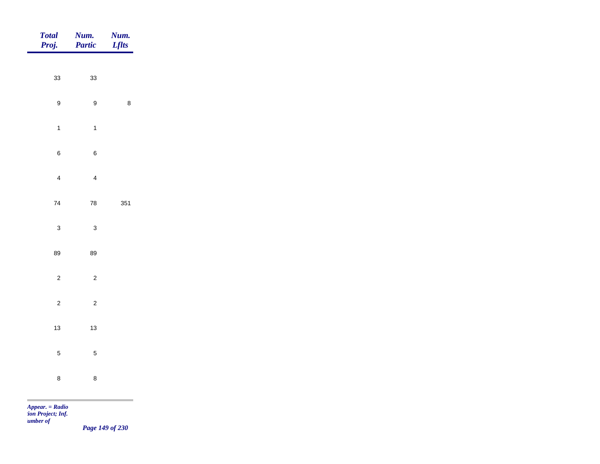| Total<br>Proj.   | <b>Num.</b><br><b>Partic</b> | <b>Num.</b><br>Lflts                         |
|------------------|------------------------------|----------------------------------------------|
|                  |                              |                                              |
| 33               | 33                           |                                              |
| $\boldsymbol{9}$ | $\boldsymbol{9}$             | $\bf 8$                                      |
| $\overline{1}$   | $\overline{1}$               |                                              |
| $\bf 6$          | $\,6\,$                      |                                              |
| $\overline{4}$   | $\overline{4}$               |                                              |
| $\bf 74$         | ${\bf 78}$                   | 351                                          |
| $\mathbf{3}$     | $\mathbf 3$                  |                                              |
|                  |                              |                                              |
| 89               | 89                           |                                              |
| $\overline{c}$   | $\overline{c}$               |                                              |
| $\overline{c}$   | $\overline{c}$               |                                              |
| $13$             | $13$                         |                                              |
| $\overline{5}$   | $\overline{5}$               |                                              |
| $\bf 8$          | $\bf 8$                      |                                              |
|                  |                              | the control of the control of the control of |

*Page 149 of 230*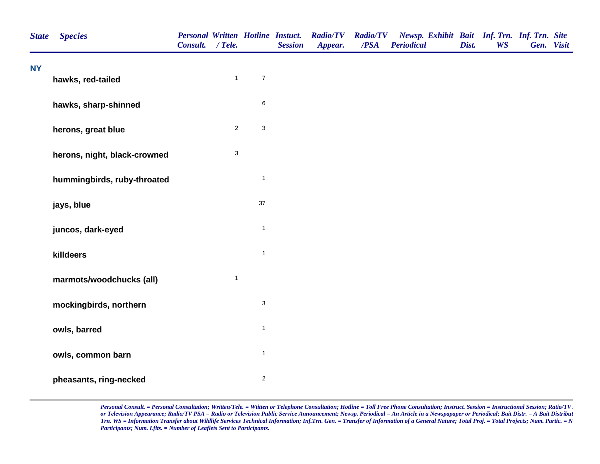| <b>State</b> | <b>Species</b>               | <b>Personal Written Hotline Instuct.</b><br>Consult. / Tele. |                           |                           | <b>Session</b> | <b>Radio/TV</b><br>Appear. | <b>Radio/TV</b><br>/PSA | Newsp. Exhibit Bait Inf. Trn. Inf. Trn. Site<br><b>Periodical</b> | Dist. | <b>WS</b> | Gen. Visit |  |
|--------------|------------------------------|--------------------------------------------------------------|---------------------------|---------------------------|----------------|----------------------------|-------------------------|-------------------------------------------------------------------|-------|-----------|------------|--|
| <b>NY</b>    | hawks, red-tailed            |                                                              | $\mathbf{1}$              | $\overline{7}$            |                |                            |                         |                                                                   |       |           |            |  |
|              | hawks, sharp-shinned         |                                                              |                           | $\,6\,$                   |                |                            |                         |                                                                   |       |           |            |  |
|              | herons, great blue           |                                                              | $\overline{c}$            | $\ensuremath{\mathsf{3}}$ |                |                            |                         |                                                                   |       |           |            |  |
|              | herons, night, black-crowned |                                                              | $\ensuremath{\mathsf{3}}$ |                           |                |                            |                         |                                                                   |       |           |            |  |
|              | hummingbirds, ruby-throated  |                                                              |                           | $\mathbf{1}$              |                |                            |                         |                                                                   |       |           |            |  |
|              | jays, blue                   |                                                              |                           | 37                        |                |                            |                         |                                                                   |       |           |            |  |
|              | juncos, dark-eyed            |                                                              |                           | $\mathbf{1}$              |                |                            |                         |                                                                   |       |           |            |  |
|              | killdeers                    |                                                              |                           | $\mathbf{1}$              |                |                            |                         |                                                                   |       |           |            |  |
|              | marmots/woodchucks (all)     |                                                              | $\mathbf{1}$              |                           |                |                            |                         |                                                                   |       |           |            |  |
|              | mockingbirds, northern       |                                                              |                           | $\mathbf{3}$              |                |                            |                         |                                                                   |       |           |            |  |
|              | owls, barred                 |                                                              |                           | $\mathbf{1}$              |                |                            |                         |                                                                   |       |           |            |  |
|              | owls, common barn            |                                                              |                           | $\mathbf{1}$              |                |                            |                         |                                                                   |       |           |            |  |
|              | pheasants, ring-necked       |                                                              |                           | $\overline{c}$            |                |                            |                         |                                                                   |       |           |            |  |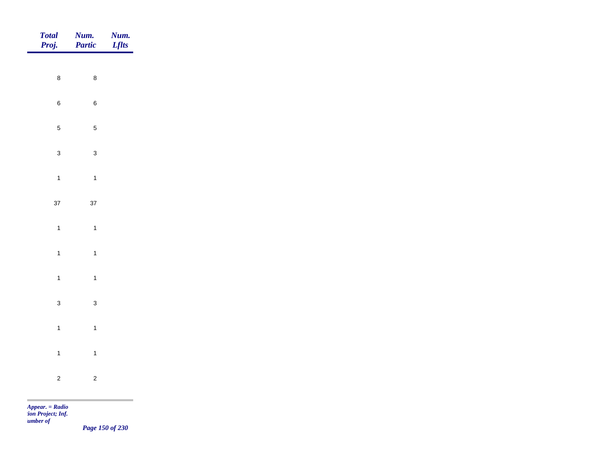| Total<br>Proj. | <b>Num.</b><br>Partic | <b>Num.</b><br>Lflts |
|----------------|-----------------------|----------------------|
| $\bf 8$        | $\bf 8$               |                      |
| $\,$ 6 $\,$    | $\,6\,$               |                      |
|                |                       |                      |
| $\sqrt{5}$     | $\sqrt{5}$            |                      |
| $\mathbf{3}$   | $\mathbf{3}$          |                      |
| $\overline{1}$ | $\mathbf{1}$          |                      |
| $37\,$         | $37\,$                |                      |
| $\overline{1}$ | $\mathbf{1}$          |                      |
| $\overline{1}$ | $\mathbf{1}$          |                      |
| $\overline{1}$ | $\overline{1}$        |                      |
| $\mathbf{3}$   | $\mathbf{3}$          |                      |
| $\overline{1}$ | $\mathbf{1}$          |                      |
|                |                       |                      |
| $\mathbf{1}$   | $\mathbf{1}$          |                      |
| $\overline{c}$ | $\sqrt{2}$            |                      |

*Page 150 of 230*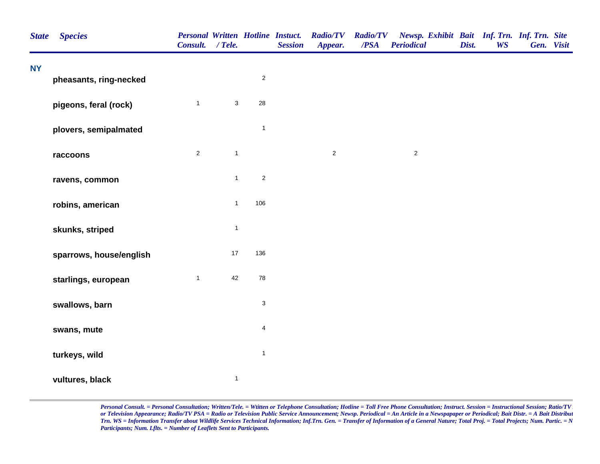| <b>State</b> | <b>Species</b>          | Personal Written Hotline Instuct.<br>Consult. / Tele. |              |                         | <b>Session</b> | <b>Radio/TV</b><br>Appear. | <b>Radio/TV</b><br>/PSA | Newsp. Exhibit Bait Inf. Trn. Inf. Trn. Site<br><b>Periodical</b> | Dist. | <b>WS</b> | Gen. Visit |  |
|--------------|-------------------------|-------------------------------------------------------|--------------|-------------------------|----------------|----------------------------|-------------------------|-------------------------------------------------------------------|-------|-----------|------------|--|
| <b>NY</b>    | pheasants, ring-necked  |                                                       |              | $\overline{c}$          |                |                            |                         |                                                                   |       |           |            |  |
|              | pigeons, feral (rock)   | $\mathbf{1}$                                          | $\sqrt{3}$   | 28                      |                |                            |                         |                                                                   |       |           |            |  |
|              | plovers, semipalmated   |                                                       |              | $\mathbf{1}$            |                |                            |                         |                                                                   |       |           |            |  |
|              | raccoons                | $\overline{2}$                                        | $\mathbf{1}$ |                         |                | $\sqrt{2}$                 |                         | $\sqrt{2}$                                                        |       |           |            |  |
|              | ravens, common          |                                                       | $\mathbf 1$  | $\sqrt{2}$              |                |                            |                         |                                                                   |       |           |            |  |
|              | robins, american        |                                                       | $\mathbf{1}$ | 106                     |                |                            |                         |                                                                   |       |           |            |  |
|              | skunks, striped         |                                                       | $\mathbf{1}$ |                         |                |                            |                         |                                                                   |       |           |            |  |
|              | sparrows, house/english |                                                       | 17           | 136                     |                |                            |                         |                                                                   |       |           |            |  |
|              | starlings, european     | $\mathbf{1}$                                          | 42           | 78                      |                |                            |                         |                                                                   |       |           |            |  |
|              | swallows, barn          |                                                       |              | 3                       |                |                            |                         |                                                                   |       |           |            |  |
|              | swans, mute             |                                                       |              | $\overline{\mathbf{4}}$ |                |                            |                         |                                                                   |       |           |            |  |
|              | turkeys, wild           |                                                       |              | $\mathbf{1}$            |                |                            |                         |                                                                   |       |           |            |  |
|              | vultures, black         |                                                       | $\mathbf{1}$ |                         |                |                            |                         |                                                                   |       |           |            |  |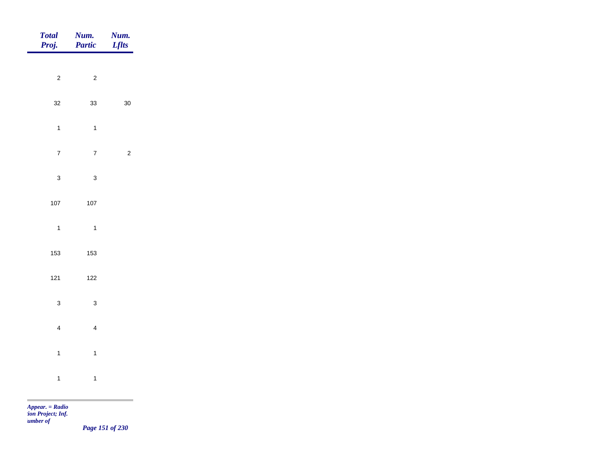| <b>Total</b><br>Proj. | Num.<br>Partic          | Num.<br><b>Lflts</b> |
|-----------------------|-------------------------|----------------------|
| $\overline{c}$        | $\overline{c}$          |                      |
|                       |                         |                      |
| $32\,$                | 33                      | $30\,$               |
| $\overline{1}$        | $\mathbf{1}$            |                      |
| $\overline{7}$        | $\mathbf 7$             | $\overline{c}$       |
| $\mathbf{3}$          | $\mathbf{3}$            |                      |
| $107\,$               | $107$                   |                      |
| $\overline{1}$        | $\overline{\mathbf{1}}$ |                      |
| 153                   | 153                     |                      |
|                       |                         |                      |
| $121$                 | $122$                   |                      |
| $\mathbf{3}$          | $\mathbf{3}$            |                      |
| $\overline{4}$        | $\overline{4}$          |                      |
| $\mathbf{1}$          | $\overline{1}$          |                      |
| $\mathbf{1}$          | $\overline{1}$          |                      |
|                       |                         |                      |

m

*Page 151 of 230*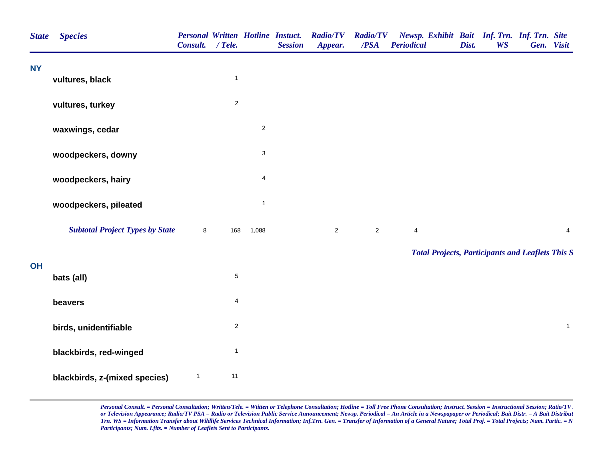| <b>State</b> | <b>Species</b>                         | Consult. / Tele. |                         |                         | <b>Personal Written Hotline Instuct.</b><br><b>Session</b> | <b>Radio/TV</b><br>Appear. | <b>Radio/TV</b><br>/PSA | Newsp. Exhibit Bait Inf. Trn. Inf. Trn. Site<br><b>Periodical</b> | Dist. | <b>WS</b> | Gen. Visit |              |
|--------------|----------------------------------------|------------------|-------------------------|-------------------------|------------------------------------------------------------|----------------------------|-------------------------|-------------------------------------------------------------------|-------|-----------|------------|--------------|
| <b>NY</b>    | vultures, black                        |                  | $\mathbf{1}$            |                         |                                                            |                            |                         |                                                                   |       |           |            |              |
|              |                                        |                  |                         |                         |                                                            |                            |                         |                                                                   |       |           |            |              |
|              | vultures, turkey                       |                  | $\overline{\mathbf{c}}$ |                         |                                                            |                            |                         |                                                                   |       |           |            |              |
|              | waxwings, cedar                        |                  |                         | $\overline{c}$          |                                                            |                            |                         |                                                                   |       |           |            |              |
|              | woodpeckers, downy                     |                  |                         | $\mathsf 3$             |                                                            |                            |                         |                                                                   |       |           |            |              |
|              | woodpeckers, hairy                     |                  |                         | $\overline{\mathbf{4}}$ |                                                            |                            |                         |                                                                   |       |           |            |              |
|              | woodpeckers, pileated                  |                  |                         | $\mathbf{1}$            |                                                            |                            |                         |                                                                   |       |           |            |              |
|              | <b>Subtotal Project Types by State</b> | $\bf{8}$         | 168                     | 1,088                   |                                                            | $\overline{c}$             | $\overline{2}$          | 4                                                                 |       |           |            | 4            |
|              |                                        |                  |                         |                         |                                                            |                            |                         | <b>Total Projects, Participants and Leaflets This S</b>           |       |           |            |              |
| <b>OH</b>    | bats (all)                             |                  | $\mathbf 5$             |                         |                                                            |                            |                         |                                                                   |       |           |            |              |
|              | beavers                                |                  | $\overline{4}$          |                         |                                                            |                            |                         |                                                                   |       |           |            |              |
|              | birds, unidentifiable                  |                  | $\overline{c}$          |                         |                                                            |                            |                         |                                                                   |       |           |            | $\mathbf{1}$ |
|              | blackbirds, red-winged                 |                  | $\mathbf{1}$            |                         |                                                            |                            |                         |                                                                   |       |           |            |              |
|              | blackbirds, z-(mixed species)          | $\mathbf{1}$     | 11                      |                         |                                                            |                            |                         |                                                                   |       |           |            |              |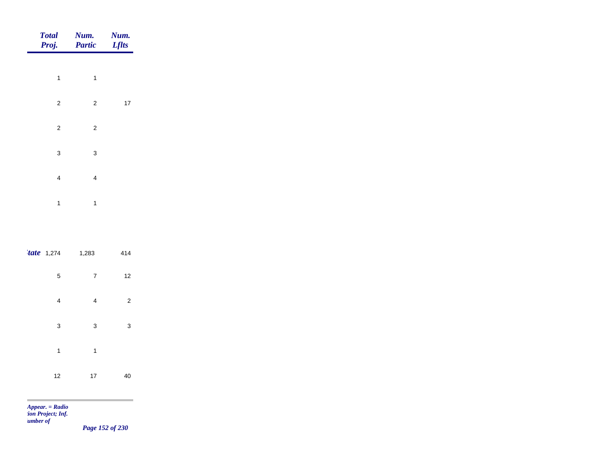| <b>Total</b><br>Proj. | Num.<br><b>Partic</b>   | Num.<br><b>Lflts</b> |
|-----------------------|-------------------------|----------------------|
|                       |                         |                      |
| 1                     | 1                       |                      |
| $\mathbf 2$           | $\overline{\mathbf{c}}$ | $17\,$               |
| $\mathbf 2$           | $\mathbf 2$             |                      |
| 3                     | 3                       |                      |
| 4                     | 4                       |                      |
| 1                     | 1                       |                      |
|                       |                         |                      |

| <i>tate</i> 1,274 | 1,283          | 414            |  |
|-------------------|----------------|----------------|--|
| 5                 | $\overline{7}$ | 12             |  |
| 4                 | 4              | $\overline{2}$ |  |
| 3                 | 3              | 3              |  |
| 1                 | 1              |                |  |
| 12                | 17             | 40             |  |

m

*Page 152 of 230*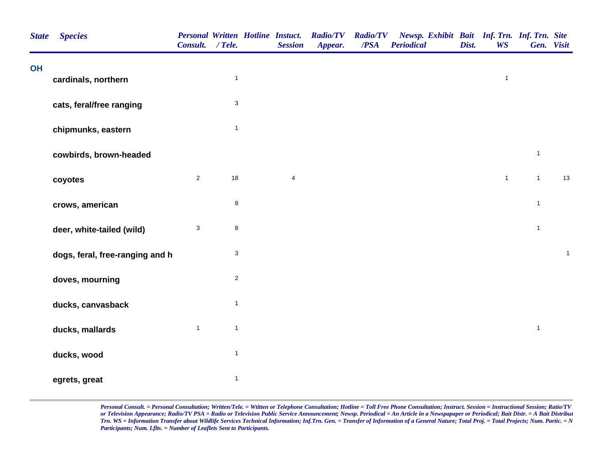| <b>State</b> | <b>Species</b>                  | <b>Personal Written Hotline Instuct.</b><br>Consult. / Tele. |                           | <b>Session</b> | <b>Radio/TV</b><br>Appear. | <b>Radio/TV</b><br>/PSA | Newsp. Exhibit Bait Inf. Trn. Inf. Trn. Site<br><b>Periodical</b> | Dist. | <b>WS</b>    |              | Gen. Visit   |
|--------------|---------------------------------|--------------------------------------------------------------|---------------------------|----------------|----------------------------|-------------------------|-------------------------------------------------------------------|-------|--------------|--------------|--------------|
| OH           | cardinals, northern             |                                                              | $\mathbf{1}$              |                |                            |                         |                                                                   |       | $\mathbf{1}$ |              |              |
|              | cats, feral/free ranging        |                                                              | $\ensuremath{\mathsf{3}}$ |                |                            |                         |                                                                   |       |              |              |              |
|              | chipmunks, eastern              |                                                              | $\mathbf{1}$              |                |                            |                         |                                                                   |       |              |              |              |
|              | cowbirds, brown-headed          |                                                              |                           |                |                            |                         |                                                                   |       |              | $\mathbf{1}$ |              |
|              | coyotes                         | $\overline{2}$                                               | 18                        | $\overline{4}$ |                            |                         |                                                                   |       | $\mathbf{1}$ | $\mathbf{1}$ | 13           |
|              | crows, american                 |                                                              | $\bf 8$                   |                |                            |                         |                                                                   |       |              | $\mathbf{1}$ |              |
|              | deer, white-tailed (wild)       | $\sqrt{3}$                                                   | $\bf8$                    |                |                            |                         |                                                                   |       |              | $\mathbf{1}$ |              |
|              | dogs, feral, free-ranging and h |                                                              | 3                         |                |                            |                         |                                                                   |       |              |              | $\mathbf{1}$ |
|              | doves, mourning                 |                                                              | $\sqrt{2}$                |                |                            |                         |                                                                   |       |              |              |              |
|              | ducks, canvasback               |                                                              | $\mathbf{1}$              |                |                            |                         |                                                                   |       |              |              |              |
|              | ducks, mallards                 | $\mathbf{1}$                                                 | $\mathbf{1}$              |                |                            |                         |                                                                   |       |              | $\mathbf{1}$ |              |
|              | ducks, wood                     |                                                              | $\mathbf{1}$              |                |                            |                         |                                                                   |       |              |              |              |
|              | egrets, great                   |                                                              | $\mathbf{1}$              |                |                            |                         |                                                                   |       |              |              |              |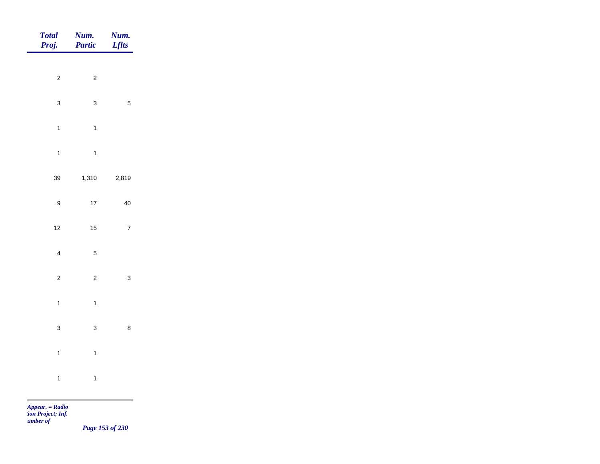| <b>Total</b><br>Proj. | Num.<br>Partic | <b>Num.</b><br><i>Lflts</i> |
|-----------------------|----------------|-----------------------------|
| $\overline{c}$        | $\overline{c}$ |                             |
| $\mathbf{3}$          | $\mathbf{3}$   | $\sqrt{5}$                  |
| $\mathbf{1}$          | $\overline{1}$ |                             |
| $\overline{1}$        | $\overline{1}$ |                             |
| 39                    | 1,310          | 2,819                       |
| $\boldsymbol{9}$      | $17\,$         | $40\,$                      |
| 12                    | $15$           | $\overline{7}$              |
| $\overline{4}$        | $\overline{5}$ |                             |
| $\overline{a}$        | $\overline{c}$ | $\mathbf 3$                 |
| $\mathbf{1}$          | $\mathbf{1}$   |                             |
| $\mathbf{3}$          | $\mathbf{3}$   | $\bf 8$                     |
| $\mathbf{1}$          | $\mathbf{1}$   |                             |
| $\mathbf{1}$          | $\mathbf{1}$   |                             |

*Page 153 of 230*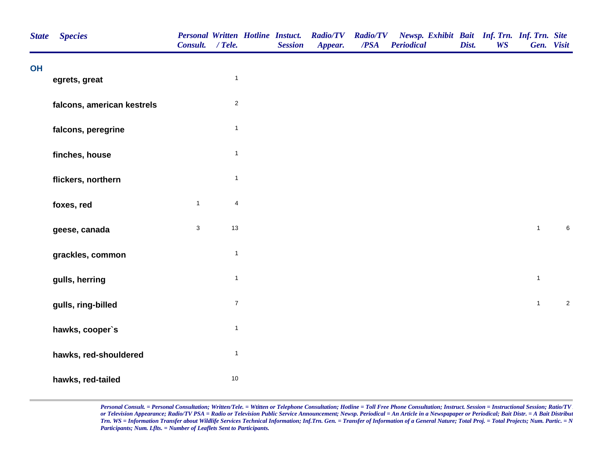| <b>State</b> | <b>Species</b>             | Consult. / Tele. |                         | <b>Personal Written Hotline Instuct.</b><br><b>Session</b> | <b>Radio/TV</b><br>Appear. | <b>Radio/TV</b><br>/PSA | Newsp. Exhibit Bait Inf. Trn. Inf. Trn. Site<br><b>Periodical</b> | Dist. | <b>WS</b> | Gen. Visit   |            |
|--------------|----------------------------|------------------|-------------------------|------------------------------------------------------------|----------------------------|-------------------------|-------------------------------------------------------------------|-------|-----------|--------------|------------|
| <b>OH</b>    | egrets, great              |                  | $\mathbf{1}$            |                                                            |                            |                         |                                                                   |       |           |              |            |
|              | falcons, american kestrels |                  | $\sqrt{2}$              |                                                            |                            |                         |                                                                   |       |           |              |            |
|              | falcons, peregrine         |                  | $\mathbf{1}$            |                                                            |                            |                         |                                                                   |       |           |              |            |
|              | finches, house             |                  | $\mathbf{1}$            |                                                            |                            |                         |                                                                   |       |           |              |            |
|              | flickers, northern         |                  | $\mathbf{1}$            |                                                            |                            |                         |                                                                   |       |           |              |            |
|              | foxes, red                 | $\mathbf{1}$     | $\overline{\mathbf{4}}$ |                                                            |                            |                         |                                                                   |       |           |              |            |
|              | geese, canada              | $\mathbf{3}$     | 13                      |                                                            |                            |                         |                                                                   |       |           | $\mathbf{1}$ | $\,6\,$    |
|              | grackles, common           |                  | $\mathbf{1}$            |                                                            |                            |                         |                                                                   |       |           |              |            |
|              | gulls, herring             |                  | $\mathbf{1}$            |                                                            |                            |                         |                                                                   |       |           | $\mathbf{1}$ |            |
|              | gulls, ring-billed         |                  | $\boldsymbol{7}$        |                                                            |                            |                         |                                                                   |       |           | $\mathbf{1}$ | $\sqrt{2}$ |
|              | hawks, cooper's            |                  | $\mathbf{1}$            |                                                            |                            |                         |                                                                   |       |           |              |            |
|              | hawks, red-shouldered      |                  | $\mathbf{1}$            |                                                            |                            |                         |                                                                   |       |           |              |            |
|              | hawks, red-tailed          |                  | 10                      |                                                            |                            |                         |                                                                   |       |           |              |            |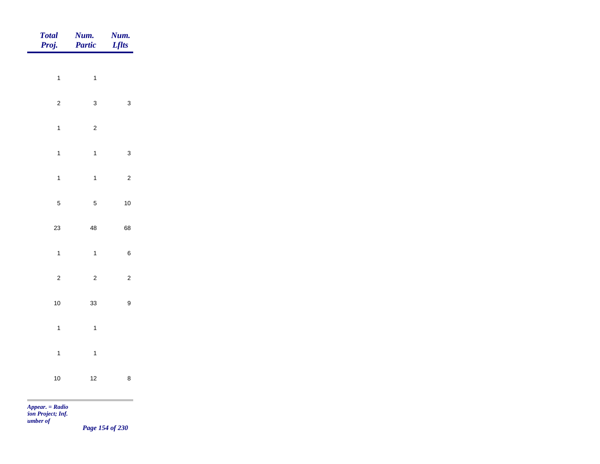| <b>Total</b><br>Proj.   | Num.<br>Partic          | Num.<br><b>Lflts</b>    |
|-------------------------|-------------------------|-------------------------|
|                         |                         |                         |
| $\mathbf{1}$            | $\mathbf{1}$            |                         |
| $\overline{\mathbf{c}}$ | 3                       | 3                       |
| $\mathbf{1}$            | $\overline{\mathbf{c}}$ |                         |
| $\mathbf{1}$            | $\mathbf{1}$            | 3                       |
| $\mathbf{1}$            | $\mathbf{1}$            | $\overline{\mathbf{c}}$ |
| 5                       | 5                       | 10                      |
| 23                      | 48                      | 68                      |
| $\mathbf{1}$            | $\mathbf{1}$            | 6                       |
| $\overline{\mathbf{c}}$ | $\overline{\mathbf{c}}$ | $\overline{\mathbf{c}}$ |
| 10                      | 33                      | 9                       |
| $\mathbf{1}$            | $\mathbf{1}$            |                         |
| $\mathbf{1}$            | $\mathbf{1}$            |                         |
|                         |                         |                         |
| 10                      | 12                      | 8                       |

m

*Page 154 of 230*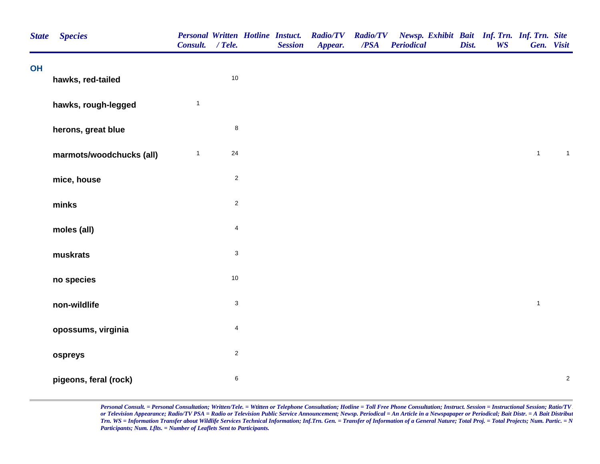| <b>State</b> | <b>Species</b>           | Consult. / Tele. |                           | <b>Session</b> | Personal Written Hotline Instuct. Radio/TV<br>Appear. | <b>Radio/TV</b><br>/PSA | Newsp. Exhibit Bait Inf. Trn. Inf. Trn. Site<br><b>Periodical</b> | Dist. | <b>WS</b> | Gen. Visit   |                  |
|--------------|--------------------------|------------------|---------------------------|----------------|-------------------------------------------------------|-------------------------|-------------------------------------------------------------------|-------|-----------|--------------|------------------|
| OH           | hawks, red-tailed        |                  | $10$                      |                |                                                       |                         |                                                                   |       |           |              |                  |
|              | hawks, rough-legged      | $\mathbf{1}$     |                           |                |                                                       |                         |                                                                   |       |           |              |                  |
|              | herons, great blue       |                  | $\bf8$                    |                |                                                       |                         |                                                                   |       |           |              |                  |
|              | marmots/woodchucks (all) | $\mathbf{1}$     | 24                        |                |                                                       |                         |                                                                   |       |           | $\mathbf{1}$ | $\mathbf{1}$     |
|              | mice, house              |                  | $\overline{\mathbf{c}}$   |                |                                                       |                         |                                                                   |       |           |              |                  |
|              | minks                    |                  | $\overline{c}$            |                |                                                       |                         |                                                                   |       |           |              |                  |
|              | moles (all)              |                  | $\overline{\mathbf{4}}$   |                |                                                       |                         |                                                                   |       |           |              |                  |
|              | muskrats                 |                  | $\ensuremath{\mathsf{3}}$ |                |                                                       |                         |                                                                   |       |           |              |                  |
|              | no species               |                  | 10                        |                |                                                       |                         |                                                                   |       |           |              |                  |
|              | non-wildlife             |                  | $\ensuremath{\mathsf{3}}$ |                |                                                       |                         |                                                                   |       |           | $\mathbf{1}$ |                  |
|              | opossums, virginia       |                  | $\overline{\mathbf{4}}$   |                |                                                       |                         |                                                                   |       |           |              |                  |
|              | ospreys                  |                  | $\overline{c}$            |                |                                                       |                         |                                                                   |       |           |              |                  |
|              | pigeons, feral (rock)    |                  | $\,6$                     |                |                                                       |                         |                                                                   |       |           |              | $\boldsymbol{2}$ |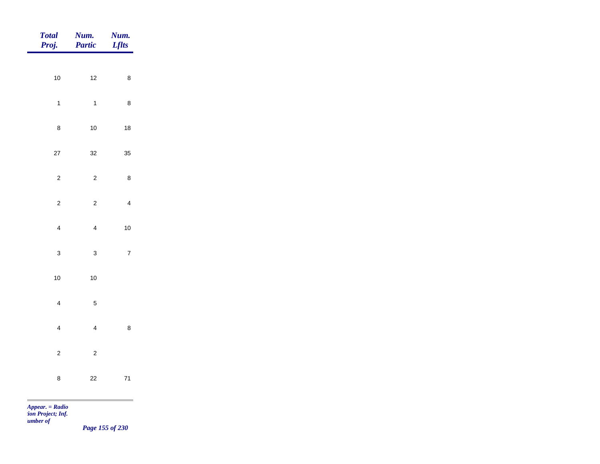| <b>Total</b><br>Proj. | Num.<br>Partic | Num.<br><b>Lflts</b> |
|-----------------------|----------------|----------------------|
| $10\,$                | $12$           | $\bf 8$              |
| $\mathbf{1}$          | $\mathbf{1}$   | $\bf 8$              |
| $\bf 8$               | $10\,$         | $18\,$               |
| 27                    | 32             | 35                   |
| $\overline{c}$        | $\overline{c}$ | $\bf 8$              |
| $\overline{c}$        | $\overline{c}$ | $\overline{4}$       |
| $\overline{4}$        | $\overline{4}$ | $10\,$               |
| $\mathbf{3}$          | $\mathbf{3}$   | $\overline{7}$       |
| $10\,$                | $10\,$         |                      |
| $\overline{4}$        | $\sqrt{5}$     |                      |
| $\overline{4}$        | $\overline{4}$ | $\bf 8$              |
| $\mathbf 2$           | $\sqrt{2}$     |                      |
| $\bf 8$               | $22\,$         | $71$                 |
|                       |                |                      |

*Page 155 of 230*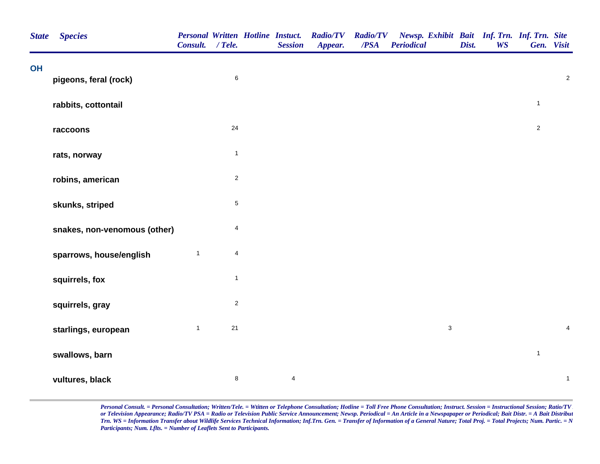| <b>State</b> | <b>Species</b>               | Consult. / Tele. |                         | <b>Personal Written Hotline Instuct.</b><br><b>Session</b> | <b>Radio/TV</b><br>Appear. | <b>Radio/TV</b><br>/PSA | Newsp. Exhibit Bait Inf. Trn. Inf. Trn. Site<br><b>Periodical</b> | Dist. | <b>WS</b> |                | Gen. Visit       |
|--------------|------------------------------|------------------|-------------------------|------------------------------------------------------------|----------------------------|-------------------------|-------------------------------------------------------------------|-------|-----------|----------------|------------------|
| OH           | pigeons, feral (rock)        |                  | $\,6\,$                 |                                                            |                            |                         |                                                                   |       |           |                | $\boldsymbol{2}$ |
|              |                              |                  |                         |                                                            |                            |                         |                                                                   |       |           |                |                  |
|              | rabbits, cottontail          |                  |                         |                                                            |                            |                         |                                                                   |       |           | $\mathbf{1}$   |                  |
|              | raccoons                     |                  | 24                      |                                                            |                            |                         |                                                                   |       |           | $\sqrt{2}$     |                  |
|              | rats, norway                 |                  | $\mathbf{1}$            |                                                            |                            |                         |                                                                   |       |           |                |                  |
|              | robins, american             |                  | $\overline{c}$          |                                                            |                            |                         |                                                                   |       |           |                |                  |
|              | skunks, striped              |                  | $\,$ 5 $\,$             |                                                            |                            |                         |                                                                   |       |           |                |                  |
|              | snakes, non-venomous (other) |                  | $\overline{4}$          |                                                            |                            |                         |                                                                   |       |           |                |                  |
|              | sparrows, house/english      | $\mathbf{1}$     | $\overline{\mathbf{4}}$ |                                                            |                            |                         |                                                                   |       |           |                |                  |
|              | squirrels, fox               |                  | $\mathbf{1}$            |                                                            |                            |                         |                                                                   |       |           |                |                  |
|              | squirrels, gray              |                  | $\overline{c}$          |                                                            |                            |                         |                                                                   |       |           |                |                  |
|              | starlings, european          | $\mathbf{1}$     | $21$                    |                                                            |                            |                         | $\ensuremath{\mathsf{3}}$                                         |       |           |                | $\pmb{4}$        |
|              | swallows, barn               |                  |                         |                                                            |                            |                         |                                                                   |       |           | $\overline{1}$ |                  |
|              | vultures, black              |                  | $\,$ 8 $\,$             | $\overline{\mathbf{4}}$                                    |                            |                         |                                                                   |       |           |                | $\mathbf{1}$     |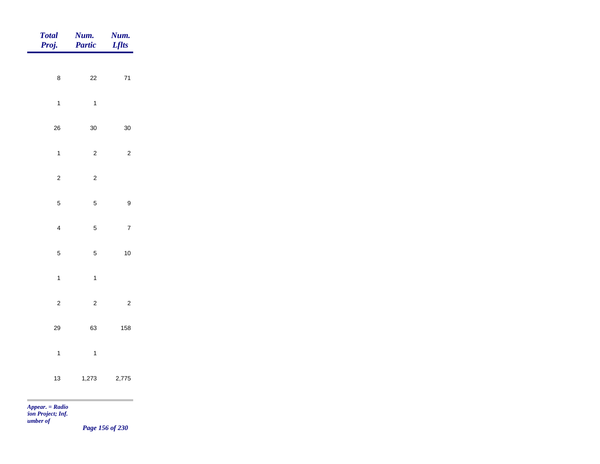| <b>Total</b><br>Proj.   | Num.<br><b>Partic</b> | Num.<br><b>Lflts</b> |
|-------------------------|-----------------------|----------------------|
| $\bf 8$                 | $22\,$                | $\bf 71$             |
| $\overline{1}$          | $\mathbf{1}$          |                      |
|                         |                       |                      |
| 26                      | 30                    | $30\,$               |
| $\mathbf{1}$            | $\overline{c}$        | $\overline{c}$       |
| $\overline{c}$          | $\overline{c}$        |                      |
| $\mathbf 5$             | $\overline{5}$        | $\boldsymbol{9}$     |
| $\overline{\mathbf{4}}$ | $\sqrt{5}$            | $\boldsymbol{7}$     |
| $\sqrt{5}$              | $\overline{5}$        | $10$                 |
| $\mathbf{1}$            | $\mathbf{1}$          |                      |
| $\sqrt{2}$              | $\overline{c}$        | $\overline{2}$       |
|                         |                       |                      |
| 29                      | 63                    | 158                  |
| $\mathbf{1}$            | $\mathbf{1}$          |                      |
| $13$                    | 1,273                 | 2,775                |
| the contract            |                       |                      |

*Appear. = Radio tion Project; Inf.* 

*Number of* 

*Page 156 of 230*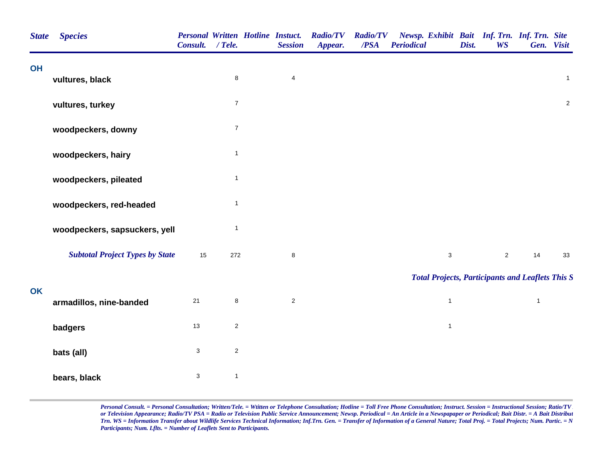| <b>State</b> | <b>Species</b>                         | Consult. / Tele. |                | <b>Personal Written Hotline Instuct.</b><br><b>Session</b> | <b>Radio/TV</b><br>Appear. | <b>Radio/TV</b><br>/PSA | Newsp. Exhibit Bait Inf. Trn. Inf. Trn. Site<br><b>Periodical</b> | Dist. | <b>WS</b>      | Gen. Visit     |                |
|--------------|----------------------------------------|------------------|----------------|------------------------------------------------------------|----------------------------|-------------------------|-------------------------------------------------------------------|-------|----------------|----------------|----------------|
| <b>OH</b>    | vultures, black                        |                  | 8              | $\overline{\mathbf{4}}$                                    |                            |                         |                                                                   |       |                |                | $\mathbf{1}$   |
|              | vultures, turkey                       |                  | $\overline{7}$ |                                                            |                            |                         |                                                                   |       |                |                | $\overline{2}$ |
|              | woodpeckers, downy                     |                  | $\overline{7}$ |                                                            |                            |                         |                                                                   |       |                |                |                |
|              | woodpeckers, hairy                     |                  | $\mathbf{1}$   |                                                            |                            |                         |                                                                   |       |                |                |                |
|              | woodpeckers, pileated                  |                  | $\mathbf{1}$   |                                                            |                            |                         |                                                                   |       |                |                |                |
|              | woodpeckers, red-headed                |                  | $\mathbf{1}$   |                                                            |                            |                         |                                                                   |       |                |                |                |
|              | woodpeckers, sapsuckers, yell          |                  | $\mathbf{1}$   |                                                            |                            |                         |                                                                   |       |                |                |                |
|              | <b>Subtotal Project Types by State</b> | 15               | 272            | 8                                                          |                            |                         | $\mathbf{3}$                                                      |       | $\overline{2}$ | 14             | 33             |
| <b>OK</b>    |                                        |                  |                |                                                            |                            |                         | <b>Total Projects, Participants and Leaflets This S</b>           |       |                |                |                |
|              | armadillos, nine-banded                | $21$             | 8              | $\overline{2}$                                             |                            |                         | $\mathbf{1}$                                                      |       |                | $\overline{1}$ |                |
|              | badgers                                | $13$             | $\overline{c}$ |                                                            |                            |                         | $\mathbf{1}$                                                      |       |                |                |                |
|              | bats (all)                             | $\mathbf{3}$     | $\overline{c}$ |                                                            |                            |                         |                                                                   |       |                |                |                |
|              | bears, black                           | $\mathsf 3$      | $\mathbf{1}$   |                                                            |                            |                         |                                                                   |       |                |                |                |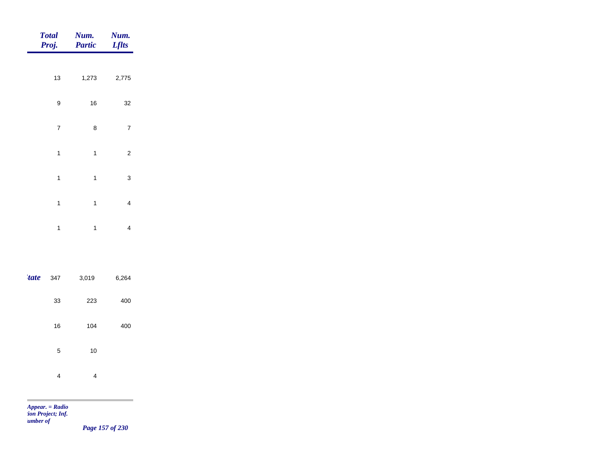|       | <b>Total</b><br>Proj. | Num.<br><b>Partic</b> | Num.<br><b>Lflts</b>    |
|-------|-----------------------|-----------------------|-------------------------|
|       |                       |                       |                         |
|       | 13                    | 1,273                 | 2,775                   |
|       | 9                     | 16                    | 32                      |
|       | 7                     | 8                     | 7                       |
|       | $\mathbf{1}$          | $\mathbf{1}$          | $\overline{\mathbf{c}}$ |
|       | $\mathbf{1}$          | $\mathbf{1}$          | 3                       |
|       | $\mathbf{1}$          | $\mathbf{1}$          | 4                       |
|       | $\mathbf{1}$          | $\mathbf{1}$          | 4                       |
|       |                       |                       |                         |
| 'tate | 347                   | 3,019                 | 6,264                   |
|       | 33                    | 223                   | 400                     |
|       | 16                    | 104                   | 400                     |
|       | 5                     | 10                    |                         |
|       | 4                     | 4                     |                         |

×

*Page 157 of 230*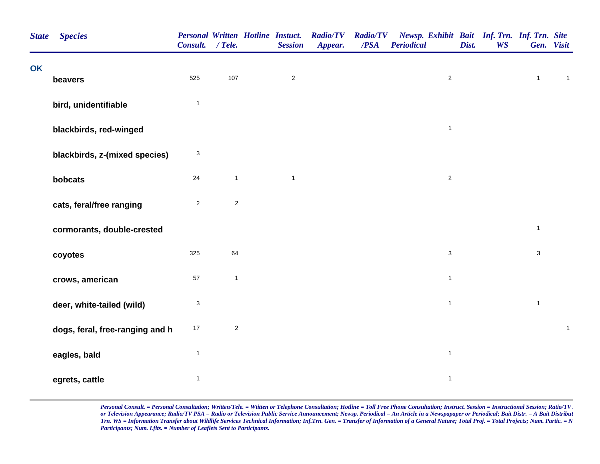| <b>State</b> | <b>Species</b>                  | Consult. / Tele.          | Personal Written Hotline Instuct. | <b>Session</b> | <b>Radio/TV</b><br>Appear. | <b>Radio/TV</b><br>/PSA | Newsp. Exhibit Bait Inf. Trn. Inf. Trn. Site<br><b>Periodical</b> | Dist. | <b>WS</b> |              | Gen. Visit   |
|--------------|---------------------------------|---------------------------|-----------------------------------|----------------|----------------------------|-------------------------|-------------------------------------------------------------------|-------|-----------|--------------|--------------|
| OK           | beavers                         | 525                       | 107                               | $\overline{c}$ |                            |                         | $\overline{2}$                                                    |       |           | $\mathbf{1}$ | $\mathbf{1}$ |
|              | bird, unidentifiable            | $\mathbf{1}$              |                                   |                |                            |                         |                                                                   |       |           |              |              |
|              | blackbirds, red-winged          |                           |                                   |                |                            |                         | $\mathbf{1}$                                                      |       |           |              |              |
|              | blackbirds, z-(mixed species)   | $\ensuremath{\mathsf{3}}$ |                                   |                |                            |                         |                                                                   |       |           |              |              |
|              | bobcats                         | 24                        | $\mathbf{1}$                      | $\mathbf{1}$   |                            |                         | $\overline{c}$                                                    |       |           |              |              |
|              | cats, feral/free ranging        | $\overline{2}$            | $\sqrt{2}$                        |                |                            |                         |                                                                   |       |           |              |              |
|              | cormorants, double-crested      |                           |                                   |                |                            |                         |                                                                   |       |           | $\mathbf{1}$ |              |
|              | coyotes                         | 325                       | 64                                |                |                            |                         | $\mathbf{3}$                                                      |       |           | 3            |              |
|              | crows, american                 | 57                        | $\mathbf{1}$                      |                |                            |                         | $\mathbf{1}$                                                      |       |           |              |              |
|              | deer, white-tailed (wild)       | $\ensuremath{\mathsf{3}}$ |                                   |                |                            |                         | $\mathbf{1}$                                                      |       |           | $\mathbf{1}$ |              |
|              | dogs, feral, free-ranging and h | $17\,$                    | $\sqrt{2}$                        |                |                            |                         |                                                                   |       |           |              | $\mathbf 1$  |
|              | eagles, bald                    | $\mathbf{1}$              |                                   |                |                            |                         | $\mathbf{1}$                                                      |       |           |              |              |
|              | egrets, cattle                  | $\mathbf{1}$              |                                   |                |                            |                         | $\mathbf{1}$                                                      |       |           |              |              |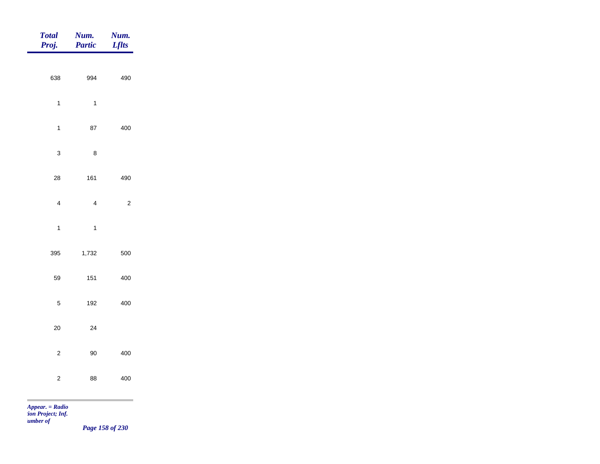| Total<br>Proj.                                                                    | <b>Num.</b><br>Partic | <b>Num.</b><br>Lflts |
|-----------------------------------------------------------------------------------|-----------------------|----------------------|
|                                                                                   |                       |                      |
| 638                                                                               | 994                   | 490                  |
| $\mathbf{1}$                                                                      | $\overline{1}$        |                      |
| $\mathbf{1}$                                                                      | ${\bf 87}$            | 400                  |
| $\mathbf{3}$                                                                      | $\bf 8$               |                      |
|                                                                                   |                       |                      |
| ${\bf 28}$                                                                        | 161                   | 490                  |
| $\overline{4}$                                                                    | $\overline{4}$        | $\overline{c}$       |
| $\overline{1}$                                                                    | $\overline{1}$        |                      |
| 395                                                                               | 1,732                 | 500                  |
| 59                                                                                | 151                   | 400                  |
| $\overline{5}$                                                                    | 192                   | 400                  |
| $20\,$                                                                            | 24                    |                      |
|                                                                                   |                       |                      |
| $\sqrt{2}$                                                                        | $90\,$                | 400                  |
| $\overline{a}$                                                                    | 88                    | 400                  |
| the control of the control of the control of<br><b>Contract Contract Contract</b> |                       |                      |

*Appear. = Radio tion Project; Inf.* 

*Number of* 

*Page 158 of 230*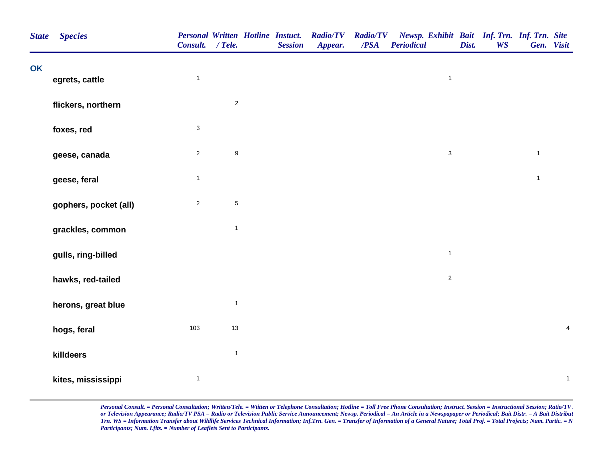| <b>State</b> | <b>Species</b>        | <b>Personal Written Hotline Instuct.</b><br>Consult. / Tele. |                  | <b>Session</b> | <b>Radio/TV</b><br>Appear. | <b>Radio/TV</b><br>/PSA | Newsp. Exhibit Bait Inf. Trn. Inf. Trn. Site<br><b>Periodical</b> | Dist. | <b>WS</b> | Gen. Visit   |                         |
|--------------|-----------------------|--------------------------------------------------------------|------------------|----------------|----------------------------|-------------------------|-------------------------------------------------------------------|-------|-----------|--------------|-------------------------|
| <b>OK</b>    | egrets, cattle        | $\mathbf{1}$                                                 |                  |                |                            |                         | $\mathbf{1}$                                                      |       |           |              |                         |
|              | flickers, northern    |                                                              | $\overline{2}$   |                |                            |                         |                                                                   |       |           |              |                         |
|              | foxes, red            | 3                                                            |                  |                |                            |                         |                                                                   |       |           |              |                         |
|              | geese, canada         | $\overline{c}$                                               | $\boldsymbol{9}$ |                |                            |                         | $\mathbf{3}$                                                      |       |           | $\mathbf{1}$ |                         |
|              | geese, feral          | $\mathbf{1}$                                                 |                  |                |                            |                         |                                                                   |       |           | $\mathbf{1}$ |                         |
|              | gophers, pocket (all) | $\overline{c}$                                               | $\,$ 5 $\,$      |                |                            |                         |                                                                   |       |           |              |                         |
|              | grackles, common      |                                                              | $\mathbf{1}$     |                |                            |                         |                                                                   |       |           |              |                         |
|              | gulls, ring-billed    |                                                              |                  |                |                            |                         | $\overline{1}$                                                    |       |           |              |                         |
|              | hawks, red-tailed     |                                                              |                  |                |                            |                         | $\overline{2}$                                                    |       |           |              |                         |
|              | herons, great blue    |                                                              | $\mathbf{1}$     |                |                            |                         |                                                                   |       |           |              |                         |
|              | hogs, feral           | 103                                                          | $13$             |                |                            |                         |                                                                   |       |           |              | $\overline{\mathbf{4}}$ |
|              | killdeers             |                                                              | $\mathbf{1}$     |                |                            |                         |                                                                   |       |           |              |                         |
|              | kites, mississippi    | $\mathbf{1}$                                                 |                  |                |                            |                         |                                                                   |       |           |              | $\mathbf{1}$            |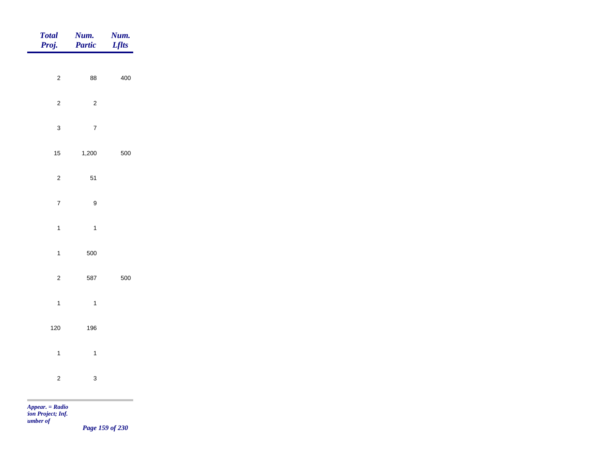| Total<br>Proj. | Num.<br>Partic   | Num.<br><b>Lflts</b>              |
|----------------|------------------|-----------------------------------|
| $\overline{c}$ | 88               | 400                               |
|                |                  |                                   |
| $\overline{2}$ | $\overline{2}$   |                                   |
| $\mathbf{3}$   | $\sqrt{7}$       |                                   |
| $15$           | 1,200            | 500                               |
| $\overline{c}$ | $51$             |                                   |
| $\overline{7}$ | $\boldsymbol{9}$ |                                   |
| $\mathbf{1}$   | $\overline{1}$   |                                   |
| $\overline{1}$ | 500              |                                   |
| $\overline{2}$ | 587              | 500                               |
|                |                  |                                   |
| $\mathbf{1}$   | $\overline{1}$   |                                   |
| $120$          | 196              |                                   |
| $\mathbf{1}$   | $\overline{1}$   |                                   |
| $\overline{c}$ | $\mathbf{3}$     |                                   |
| m              |                  | and the control of the control of |

*Page 159 of 230*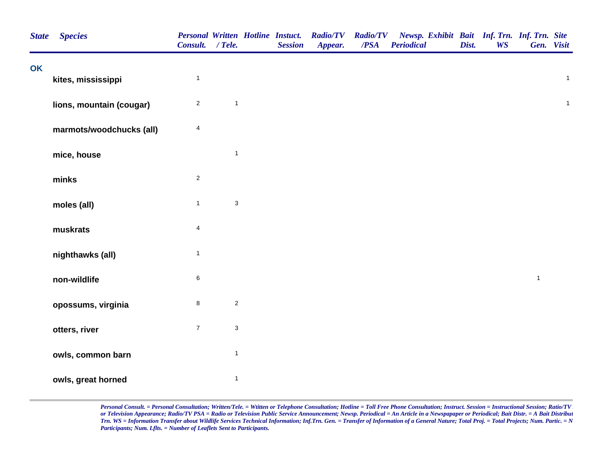| <b>State</b> | <b>Species</b>           | Consult. / Tele. |                           | <b>Personal Written Hotline Instuct.</b><br><b>Session</b> | <b>Radio/TV</b><br>Appear. | <b>Radio/TV</b><br>$\overline{PSA}$ | Newsp. Exhibit Bait Inf. Trn. Inf. Trn. Site<br><b>Periodical</b> | Dist. | <b>WS</b> | Gen. Visit   |              |
|--------------|--------------------------|------------------|---------------------------|------------------------------------------------------------|----------------------------|-------------------------------------|-------------------------------------------------------------------|-------|-----------|--------------|--------------|
| <b>OK</b>    | kites, mississippi       | $\mathbf{1}$     |                           |                                                            |                            |                                     |                                                                   |       |           |              | $\mathbf{1}$ |
|              | lions, mountain (cougar) | $\overline{c}$   | $\mathbf{1}$              |                                                            |                            |                                     |                                                                   |       |           |              | $\mathbf{1}$ |
|              | marmots/woodchucks (all) | 4                |                           |                                                            |                            |                                     |                                                                   |       |           |              |              |
|              | mice, house              |                  | $\mathbf{1}$              |                                                            |                            |                                     |                                                                   |       |           |              |              |
|              | minks                    | $\overline{2}$   |                           |                                                            |                            |                                     |                                                                   |       |           |              |              |
|              | moles (all)              | $\mathbf{1}$     | $\ensuremath{\mathsf{3}}$ |                                                            |                            |                                     |                                                                   |       |           |              |              |
|              | muskrats                 | 4                |                           |                                                            |                            |                                     |                                                                   |       |           |              |              |
|              | nighthawks (all)         | $\mathbf{1}$     |                           |                                                            |                            |                                     |                                                                   |       |           |              |              |
|              | non-wildlife             | $\,6$            |                           |                                                            |                            |                                     |                                                                   |       |           | $\mathbf{1}$ |              |
|              | opossums, virginia       | $\bf 8$          | $\mathbf 2$               |                                                            |                            |                                     |                                                                   |       |           |              |              |
|              | otters, river            | $\boldsymbol{7}$ | $\ensuremath{\mathsf{3}}$ |                                                            |                            |                                     |                                                                   |       |           |              |              |
|              | owls, common barn        |                  | $\mathbf{1}$              |                                                            |                            |                                     |                                                                   |       |           |              |              |
|              | owls, great horned       |                  | $\mathbf{1}$              |                                                            |                            |                                     |                                                                   |       |           |              |              |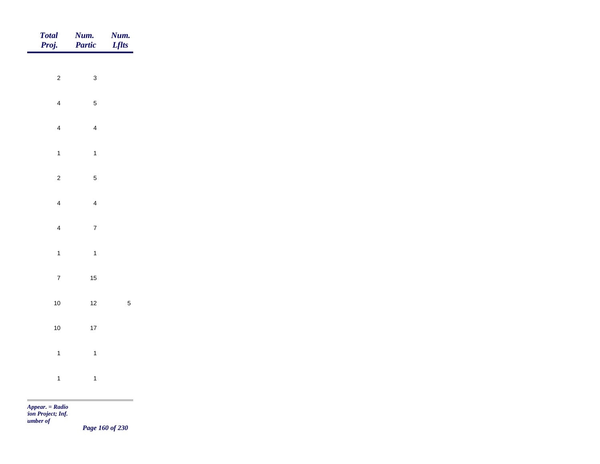| Total<br>Proj. | Num.<br>Partic | <b>Num.</b><br>Lflts |
|----------------|----------------|----------------------|
| $\overline{c}$ | $\mathbf{3}$   |                      |
|                |                |                      |
| $\overline{4}$ | $\sqrt{5}$     |                      |
| $\overline{4}$ | $\overline{4}$ |                      |
| $\overline{1}$ | $\mathbf{1}$   |                      |
| $\overline{c}$ | $\sqrt{5}$     |                      |
| $\overline{4}$ | $\overline{4}$ |                      |
| $\overline{4}$ | $\overline{7}$ |                      |
|                |                |                      |
| $\mathbf{1}$   | $\overline{1}$ |                      |
| $\overline{7}$ | $15$           |                      |
| $10$           | $12$           | $\sqrt{5}$           |
| $10$           | $17$           |                      |
| $\overline{1}$ | $\overline{1}$ |                      |
| $\overline{1}$ | $\overline{1}$ |                      |
|                |                |                      |

*Page 160 of 230*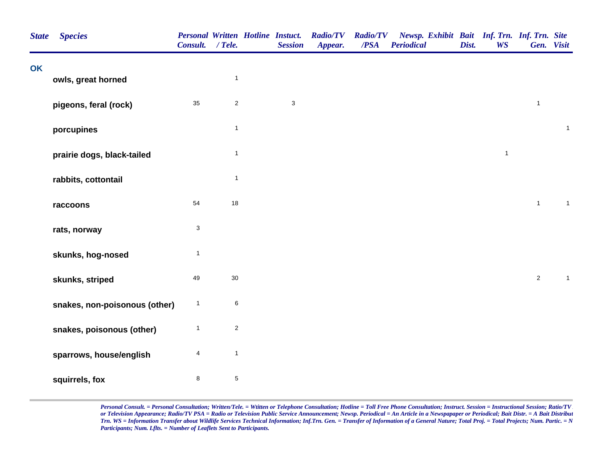| <b>State</b> | <b>Species</b>                | <b>Personal Written Hotline Instuct.</b><br>Consult. / Tele. |                  | <b>Session</b> | <b>Radio/TV</b><br>Appear. | <b>Radio/TV</b><br>/PSA | Newsp. Exhibit Bait Inf. Trn. Inf. Trn. Site<br><b>Periodical</b> | Dist. | <b>WS</b>    |                | Gen. Visit   |
|--------------|-------------------------------|--------------------------------------------------------------|------------------|----------------|----------------------------|-------------------------|-------------------------------------------------------------------|-------|--------------|----------------|--------------|
| OK           | owls, great horned            |                                                              | $\mathbf{1}$     |                |                            |                         |                                                                   |       |              |                |              |
|              | pigeons, feral (rock)         | 35                                                           | $\mathbf 2$      | $\mathsf 3$    |                            |                         |                                                                   |       |              | $\mathbf{1}$   |              |
|              | porcupines                    |                                                              | $\mathbf{1}$     |                |                            |                         |                                                                   |       |              |                | $\mathbf{1}$ |
|              | prairie dogs, black-tailed    |                                                              | $\mathbf{1}$     |                |                            |                         |                                                                   |       | $\mathbf{1}$ |                |              |
|              | rabbits, cottontail           |                                                              | $\mathbf{1}$     |                |                            |                         |                                                                   |       |              |                |              |
|              | raccoons                      | 54                                                           | 18               |                |                            |                         |                                                                   |       |              | $\mathbf{1}$   | $\mathbf{1}$ |
|              | rats, norway                  | $\ensuremath{\mathsf{3}}$                                    |                  |                |                            |                         |                                                                   |       |              |                |              |
|              | skunks, hog-nosed             | $\overline{1}$                                               |                  |                |                            |                         |                                                                   |       |              |                |              |
|              | skunks, striped               | 49                                                           | 30               |                |                            |                         |                                                                   |       |              | $\overline{a}$ | $\mathbf{1}$ |
|              | snakes, non-poisonous (other) | $\mathbf{1}$                                                 | 6                |                |                            |                         |                                                                   |       |              |                |              |
|              | snakes, poisonous (other)     | $\mathbf{1}$                                                 | $\boldsymbol{2}$ |                |                            |                         |                                                                   |       |              |                |              |
|              | sparrows, house/english       | 4                                                            | $\mathbf{1}$     |                |                            |                         |                                                                   |       |              |                |              |
|              | squirrels, fox                | $\bf 8$                                                      | $\mathbf 5$      |                |                            |                         |                                                                   |       |              |                |              |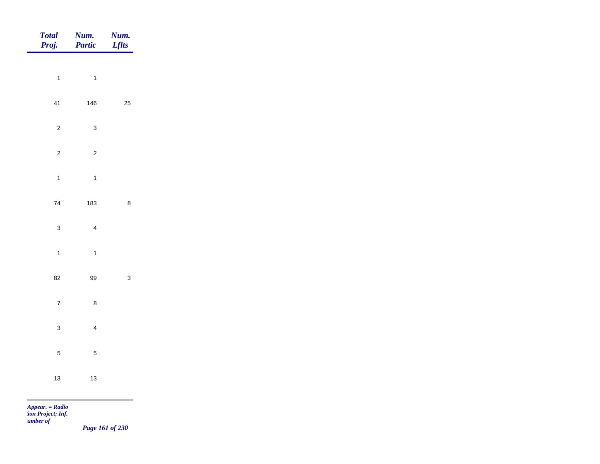| <b>Total</b><br>Proj. | Num.<br>Partic | Num.<br><b>Lflts</b> |
|-----------------------|----------------|----------------------|
|                       |                |                      |
| $\overline{1}$        | $\overline{1}$ |                      |
| 41                    | 146            | 25                   |
| $\overline{c}$        | $\mathbf{3}$   |                      |
| $\overline{c}$        | $\overline{c}$ |                      |
| $\overline{1}$        | $\mathbf{1}$   |                      |
| $\bf 74$              | 183            | $\bf 8$              |
|                       |                |                      |
| $\mathbf{3}$          | $\overline{4}$ |                      |
| $\mathbf{1}$          | $\overline{1}$ |                      |
| 82                    | 99             | $\mathbf{3}$         |
| $\overline{7}$        | $\bf 8$        |                      |
| $\mathbf{3}$          | $\overline{4}$ |                      |
| $\sqrt{5}$            | $\overline{5}$ |                      |
| $13$                  | $13$           |                      |
| $Appear. = Radio$     |                |                      |

*tion Project; Inf. Number of* 

*Page 161 of 230*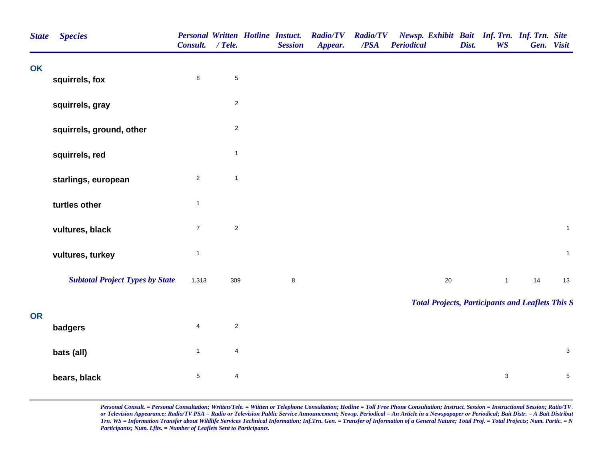| <b>State</b> | <b>Species</b>                         | Consult. / Tele.        |                         | <b>Personal Written Hotline Instuct.</b><br><b>Session</b> | <b>Radio/TV</b><br>Appear. | <b>Radio/TV</b><br>/PSA | <b>Periodical</b> |        | Dist. | Newsp. Exhibit Bait Inf. Trn. Inf. Trn. Site<br><b>WS</b> |    | Gen. Visit   |
|--------------|----------------------------------------|-------------------------|-------------------------|------------------------------------------------------------|----------------------------|-------------------------|-------------------|--------|-------|-----------------------------------------------------------|----|--------------|
| <b>OK</b>    | squirrels, fox                         | $\bf 8$                 | 5                       |                                                            |                            |                         |                   |        |       |                                                           |    |              |
|              | squirrels, gray                        |                         | $\overline{\mathbf{c}}$ |                                                            |                            |                         |                   |        |       |                                                           |    |              |
|              | squirrels, ground, other               |                         | $\overline{2}$          |                                                            |                            |                         |                   |        |       |                                                           |    |              |
|              | squirrels, red                         |                         | $\mathbf{1}$            |                                                            |                            |                         |                   |        |       |                                                           |    |              |
|              | starlings, european                    | $\overline{a}$          | $\mathbf{1}$            |                                                            |                            |                         |                   |        |       |                                                           |    |              |
|              | turtles other                          | $\mathbf{1}$            |                         |                                                            |                            |                         |                   |        |       |                                                           |    |              |
|              | vultures, black                        | $\overline{7}$          | $\sqrt{2}$              |                                                            |                            |                         |                   |        |       |                                                           |    | $\mathbf{1}$ |
|              | vultures, turkey                       | $\mathbf{1}$            |                         |                                                            |                            |                         |                   |        |       |                                                           |    | $\mathbf{1}$ |
|              | <b>Subtotal Project Types by State</b> | 1,313                   | 309                     | $\bf 8$                                                    |                            |                         |                   | $20\,$ |       | $\mathbf{1}$                                              | 14 | 13           |
| <b>OR</b>    |                                        |                         |                         |                                                            |                            |                         |                   |        |       | <b>Total Projects, Participants and Leaflets This S</b>   |    |              |
|              | badgers                                | $\overline{\mathbf{4}}$ | $\overline{c}$          |                                                            |                            |                         |                   |        |       |                                                           |    |              |
|              | bats (all)                             | $\mathbf{1}$            | $\overline{4}$          |                                                            |                            |                         |                   |        |       |                                                           |    | $\mathbf{3}$ |
|              | bears, black                           | $\,$ 5 $\,$             | $\overline{4}$          |                                                            |                            |                         |                   |        |       | $\ensuremath{\mathsf{3}}$                                 |    | $\,$ 5 $\,$  |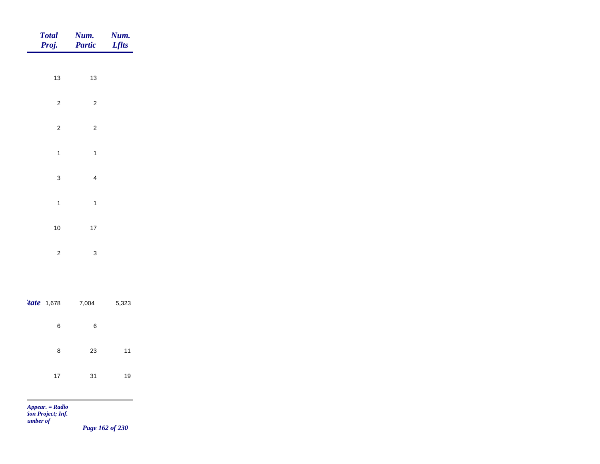| Total<br>Proj. | Num.<br>Partic | <b>Num.</b><br><i>Lflts</i> |
|----------------|----------------|-----------------------------|
|                |                |                             |
| $13$           | $13$           |                             |
| $\overline{2}$ | $\overline{c}$ |                             |
| $\overline{c}$ | $\overline{c}$ |                             |
| $\mathbf{1}$   | $\overline{1}$ |                             |
| $\mathbf{3}$   | $\overline{4}$ |                             |
|                |                |                             |
| $\mathbf{1}$   | $\mathbf{1}$   |                             |
| $10$           | $17\,$         |                             |
| $\overline{2}$ | $\mathbf{3}$   |                             |
|                |                |                             |
| $'$ tate 1,678 | 7,004          | 5,323                       |
| $\, 6$         | $\bf 6$        |                             |
|                |                |                             |
| $\bf 8$        | $23\,$         | $11$                        |
| $17\,$         | 31             | 19                          |
|                |                |                             |

*Page 162 of 230*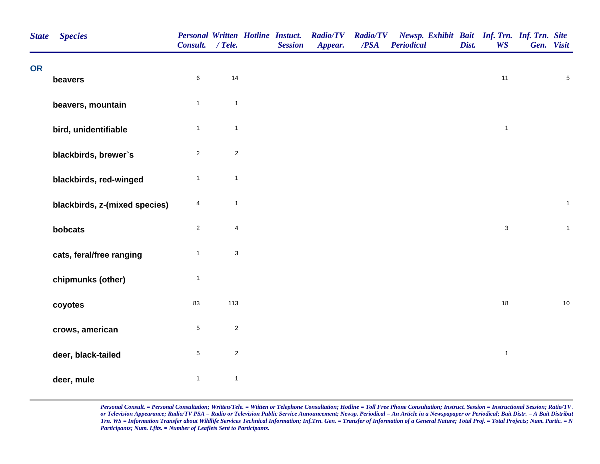| <b>State</b> | <b>Species</b>                | <b>Personal Written Hotline Instuct.</b><br>Consult. | $/$ Tele.                 | <b>Session</b> | <b>Radio/TV</b><br>Appear. | <b>Radio/TV</b><br>/PSA | Newsp. Exhibit Bait Inf. Trn. Inf. Trn. Site<br><b>Periodical</b> | Dist. | <b>WS</b>    | Gen. Visit     |
|--------------|-------------------------------|------------------------------------------------------|---------------------------|----------------|----------------------------|-------------------------|-------------------------------------------------------------------|-------|--------------|----------------|
| <b>OR</b>    | beavers                       | $\,6\,$                                              | 14                        |                |                            |                         |                                                                   |       | $11$         | $\overline{5}$ |
|              | beavers, mountain             | $\mathbf{1}$                                         | $\mathbf{1}$              |                |                            |                         |                                                                   |       |              |                |
|              | bird, unidentifiable          | $\mathbf{1}$                                         | $\mathbf{1}$              |                |                            |                         |                                                                   |       | $\mathbf{1}$ |                |
|              | blackbirds, brewer's          | $\sqrt{2}$                                           | $\sqrt{2}$                |                |                            |                         |                                                                   |       |              |                |
|              | blackbirds, red-winged        | $\mathbf{1}$                                         | $\mathbf{1}$              |                |                            |                         |                                                                   |       |              |                |
|              | blackbirds, z-(mixed species) | 4                                                    | $\mathbf{1}$              |                |                            |                         |                                                                   |       |              | $\mathbf{1}$   |
|              | bobcats                       | $\overline{2}$                                       | $\overline{\mathbf{4}}$   |                |                            |                         |                                                                   |       | $\mathbf{3}$ | $\mathbf 1$    |
|              | cats, feral/free ranging      | $\mathbf{1}$                                         | $\ensuremath{\mathsf{3}}$ |                |                            |                         |                                                                   |       |              |                |
|              | chipmunks (other)             | $\overline{1}$                                       |                           |                |                            |                         |                                                                   |       |              |                |
|              | coyotes                       | 83                                                   | 113                       |                |                            |                         |                                                                   |       | 18           | $10$           |
|              | crows, american               | $\sqrt{5}$                                           | $\sqrt{2}$                |                |                            |                         |                                                                   |       |              |                |
|              | deer, black-tailed            | $\,$ 5 $\,$                                          | $\mathbf 2$               |                |                            |                         |                                                                   |       | $\mathbf{1}$ |                |
|              | deer, mule                    | $\mathbf{1}$                                         | $\mathbf{1}$              |                |                            |                         |                                                                   |       |              |                |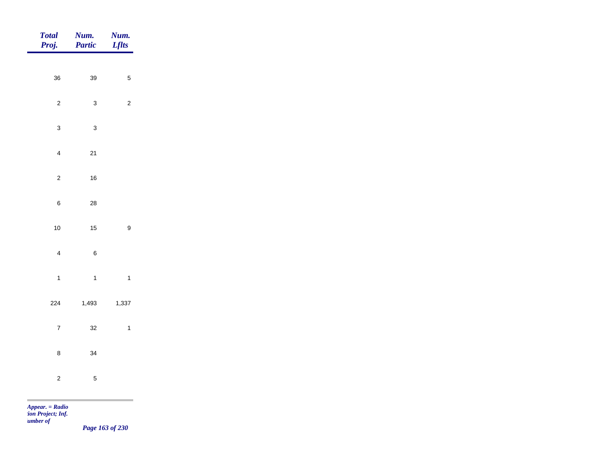| Total<br>Proj. | Num.<br>Partic | <b>Num.</b><br>Lflts |
|----------------|----------------|----------------------|
| $36\,$         | 39             | $\sqrt{5}$           |
|                |                |                      |
| $\overline{2}$ | $\mathbf{3}$   | $\overline{2}$       |
| $\mathbf{3}$   | $\mathbf{3}$   |                      |
| $\overline{4}$ | $21$           |                      |
| $\overline{c}$ | $16\,$         |                      |
| $\,6\,$        | ${\bf 28}$     |                      |
| $10$           | $15$           | $\boldsymbol{9}$     |
| $\overline{4}$ | $\, 6$         |                      |
|                |                |                      |
| $\overline{1}$ | $\mathbf{1}$   | $\overline{1}$       |
| 224            | 1,493          | 1,337                |
| $\overline{7}$ | 32             | $\overline{1}$       |
| $\bf 8$        | $34\,$         |                      |
| $\overline{c}$ | $\mathbf 5$    |                      |
|                |                |                      |

*Page 163 of 230*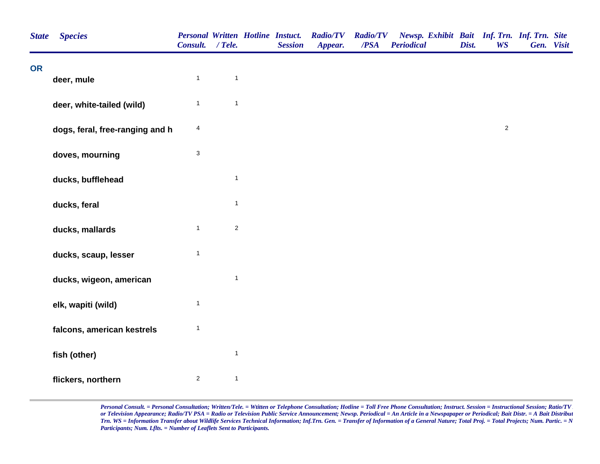| <b>State</b> | <b>Species</b>                  | Consult. / Tele. |              | <b>Personal Written Hotline Instuct.</b><br><b>Session</b> | <b>Radio/TV</b><br>Appear. | <b>Radio/TV</b><br>/PSA | Newsp. Exhibit Bait Inf. Trn. Inf. Trn. Site<br><b>Periodical</b> | Dist. | <b>WS</b>    | Gen. Visit |  |
|--------------|---------------------------------|------------------|--------------|------------------------------------------------------------|----------------------------|-------------------------|-------------------------------------------------------------------|-------|--------------|------------|--|
| <b>OR</b>    | deer, mule                      | $\mathbf{1}$     | $\mathbf{1}$ |                                                            |                            |                         |                                                                   |       |              |            |  |
|              | deer, white-tailed (wild)       | $\mathbf{1}$     | $\mathbf{1}$ |                                                            |                            |                         |                                                                   |       |              |            |  |
|              | dogs, feral, free-ranging and h | 4                |              |                                                            |                            |                         |                                                                   |       | $\mathbf{2}$ |            |  |
|              | doves, mourning                 | 3                |              |                                                            |                            |                         |                                                                   |       |              |            |  |
|              | ducks, bufflehead               |                  | $\mathbf{1}$ |                                                            |                            |                         |                                                                   |       |              |            |  |
|              | ducks, feral                    |                  | $\mathbf{1}$ |                                                            |                            |                         |                                                                   |       |              |            |  |
|              | ducks, mallards                 | $\mathbf{1}$     | $\mathbf 2$  |                                                            |                            |                         |                                                                   |       |              |            |  |
|              | ducks, scaup, lesser            | $\mathbf{1}$     |              |                                                            |                            |                         |                                                                   |       |              |            |  |
|              | ducks, wigeon, american         |                  | $\mathbf{1}$ |                                                            |                            |                         |                                                                   |       |              |            |  |
|              | elk, wapiti (wild)              | $\mathbf{1}$     |              |                                                            |                            |                         |                                                                   |       |              |            |  |
|              | falcons, american kestrels      | $\mathbf{1}$     |              |                                                            |                            |                         |                                                                   |       |              |            |  |
|              | fish (other)                    |                  | $\mathbf{1}$ |                                                            |                            |                         |                                                                   |       |              |            |  |
|              | flickers, northern              | $\mathbf 2$      | $\mathbf{1}$ |                                                            |                            |                         |                                                                   |       |              |            |  |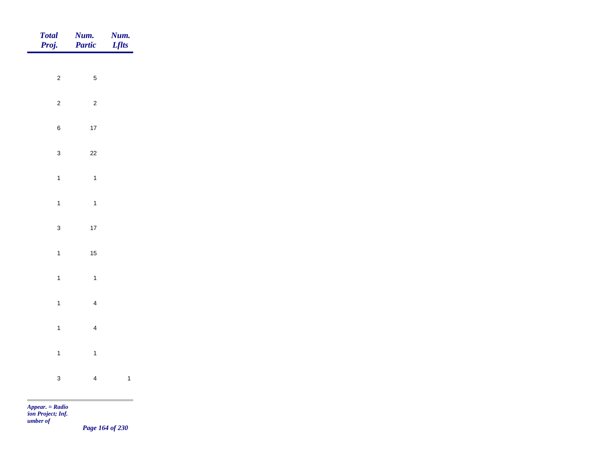| Total<br>Proj. | Num.<br>Partic | <b>Num.</b><br>Lflts     |
|----------------|----------------|--------------------------|
| $\overline{2}$ | $\overline{5}$ |                          |
| $\overline{2}$ | $\overline{c}$ |                          |
| $\,$ 6 $\,$    | $17$           |                          |
| $\mathbf{3}$   | $22\,$         |                          |
| $\overline{1}$ | $\overline{1}$ |                          |
| $\overline{1}$ | $\overline{1}$ |                          |
| $\mathbf{3}$   | 17             |                          |
| $\overline{1}$ | $15$           |                          |
| $\overline{1}$ | $\overline{1}$ |                          |
| $\mathbf{1}$   | $\overline{4}$ |                          |
| $\overline{1}$ | $\overline{4}$ |                          |
| $\overline{1}$ | $\mathbf{1}$   |                          |
| $\mathbf{3}$   | $\overline{4}$ | $\overline{\phantom{a}}$ |
|                |                |                          |

*Page 164 of 230*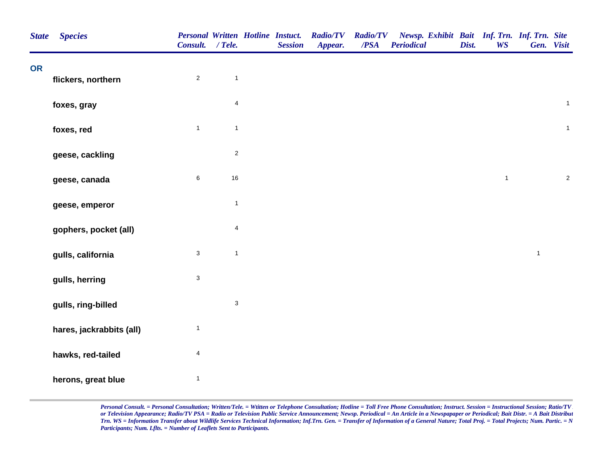| <b>State</b> | <b>Species</b>           | <b>Personal Written Hotline Instuct.</b><br>Consult. / Tele. |                         | <b>Session</b> | <b>Radio/TV</b><br>Appear. | <b>Radio/TV</b><br>/PSA | Newsp. Exhibit Bait Inf. Trn. Inf. Trn. Site<br><b>Periodical</b> | Dist. | <b>WS</b>    |              | Gen. Visit     |
|--------------|--------------------------|--------------------------------------------------------------|-------------------------|----------------|----------------------------|-------------------------|-------------------------------------------------------------------|-------|--------------|--------------|----------------|
| <b>OR</b>    |                          | $\sqrt{2}$                                                   | $\mathbf{1}$            |                |                            |                         |                                                                   |       |              |              |                |
|              | flickers, northern       |                                                              |                         |                |                            |                         |                                                                   |       |              |              |                |
|              | foxes, gray              |                                                              | $\overline{\mathbf{4}}$ |                |                            |                         |                                                                   |       |              |              | $\mathbf{1}$   |
|              | foxes, red               | $\mathbf{1}$                                                 | $\mathbf{1}$            |                |                            |                         |                                                                   |       |              |              | $\mathbf{1}$   |
|              | geese, cackling          |                                                              | $\overline{\mathbf{c}}$ |                |                            |                         |                                                                   |       |              |              |                |
|              | geese, canada            | $\,6\,$                                                      | $16\,$                  |                |                            |                         |                                                                   |       | $\mathbf{1}$ |              | $\overline{c}$ |
|              | geese, emperor           |                                                              | $\mathbf{1}$            |                |                            |                         |                                                                   |       |              |              |                |
|              | gophers, pocket (all)    |                                                              | 4                       |                |                            |                         |                                                                   |       |              |              |                |
|              | gulls, california        | $\mathbf{3}$                                                 | $\mathbf{1}$            |                |                            |                         |                                                                   |       |              | $\mathbf{1}$ |                |
|              | gulls, herring           | $\mathbf{3}$                                                 |                         |                |                            |                         |                                                                   |       |              |              |                |
|              | gulls, ring-billed       |                                                              | $\mathbf{3}$            |                |                            |                         |                                                                   |       |              |              |                |
|              | hares, jackrabbits (all) | $\mathbf{1}$                                                 |                         |                |                            |                         |                                                                   |       |              |              |                |
|              | hawks, red-tailed        | 4                                                            |                         |                |                            |                         |                                                                   |       |              |              |                |
|              | herons, great blue       | $\mathbf{1}$                                                 |                         |                |                            |                         |                                                                   |       |              |              |                |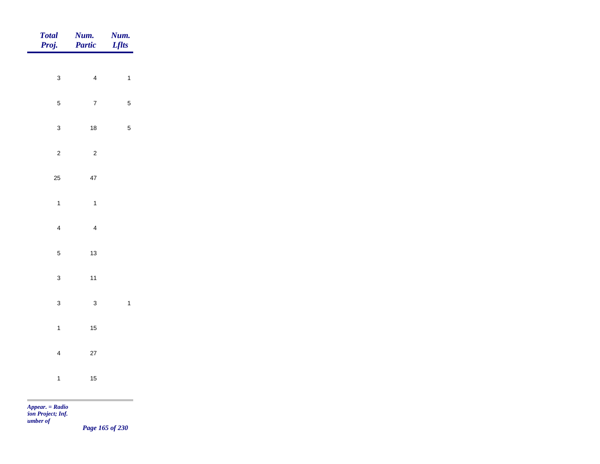| Total<br>Proj. | <b>Num.</b><br>Partic | <b>Num.</b><br>Lflts |
|----------------|-----------------------|----------------------|
|                |                       |                      |
| $\mathbf{3}$   | $\overline{4}$        | $\overline{1}$       |
| $\overline{5}$ | $\overline{7}$        | $\sqrt{5}$           |
| $\mathbf{3}$   | $18$                  | $\sqrt{5}$           |
| $\overline{c}$ | $\overline{c}$        |                      |
| 25             | $47\,$                |                      |
| $\overline{1}$ | $\overline{1}$        |                      |
|                |                       |                      |
| $\overline{4}$ | $\overline{4}$        |                      |
| $\sqrt{5}$     | $13$                  |                      |
| $\mathbf{3}$   | $11$                  |                      |
| $\mathbf{3}$   | $\mathbf{3}$          | $\overline{1}$       |
| $\mathbf{1}$   | $15$                  |                      |
| $\overline{4}$ | $27\,$                |                      |
| $\overline{1}$ | $15$                  |                      |
|                |                       |                      |

*Page 165 of 230*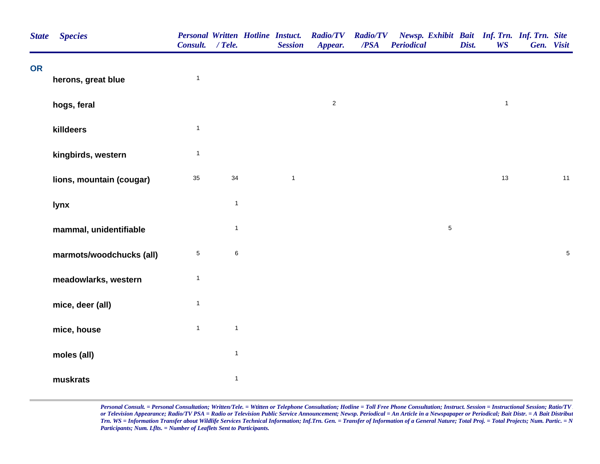| <b>State</b> | <b>Species</b>           | Consult. / Tele. |                | <b>Personal Written Hotline Instuct.</b><br><b>Session</b> | Radio/TV Radio/TV<br>Appear. | /PSA | Newsp. Exhibit Bait Inf. Trn. Inf. Trn. Site<br><b>Periodical</b> | Dist. | <b>WS</b>    | Gen. Visit |            |
|--------------|--------------------------|------------------|----------------|------------------------------------------------------------|------------------------------|------|-------------------------------------------------------------------|-------|--------------|------------|------------|
| <b>OR</b>    | herons, great blue       | $\mathbf{1}$     |                |                                                            |                              |      |                                                                   |       |              |            |            |
|              | hogs, feral              |                  |                |                                                            | $\overline{c}$               |      |                                                                   |       | $\mathbf{1}$ |            |            |
|              | killdeers                | $\mathbf{1}$     |                |                                                            |                              |      |                                                                   |       |              |            |            |
|              | kingbirds, western       | $\mathbf{1}$     |                |                                                            |                              |      |                                                                   |       |              |            |            |
|              | lions, mountain (cougar) | 35               | 34             | $\mathbf{1}$                                               |                              |      |                                                                   |       | 13           |            | 11         |
|              | lynx                     |                  | $\overline{1}$ |                                                            |                              |      |                                                                   |       |              |            |            |
|              | mammal, unidentifiable   |                  | $\mathbf{1}$   |                                                            |                              |      | $5\phantom{.0}$                                                   |       |              |            |            |
|              | marmots/woodchucks (all) | 5                | $\,6\,$        |                                                            |                              |      |                                                                   |       |              |            | $\sqrt{5}$ |
|              | meadowlarks, western     | $\mathbf{1}$     |                |                                                            |                              |      |                                                                   |       |              |            |            |
|              | mice, deer (all)         | $\mathbf{1}$     |                |                                                            |                              |      |                                                                   |       |              |            |            |
|              | mice, house              | $\mathbf{1}$     | $\mathbf{1}$   |                                                            |                              |      |                                                                   |       |              |            |            |
|              | moles (all)              |                  | $\mathbf{1}$   |                                                            |                              |      |                                                                   |       |              |            |            |
|              | muskrats                 |                  | $\mathbf{1}$   |                                                            |                              |      |                                                                   |       |              |            |            |
|              |                          |                  |                |                                                            |                              |      |                                                                   |       |              |            |            |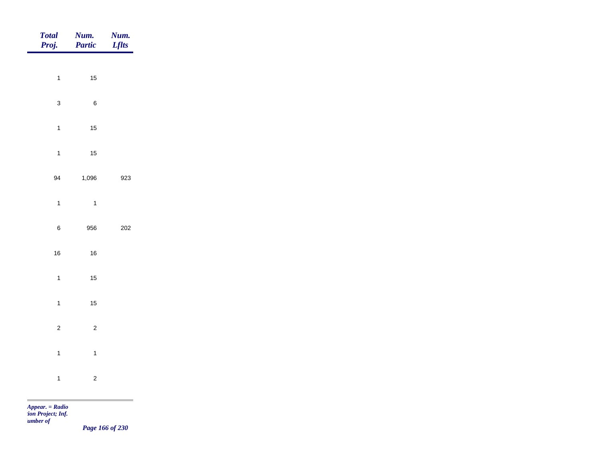| Total<br>Proj. | Num.<br>Partic | <b>Num.</b><br>Lflts |
|----------------|----------------|----------------------|
|                |                |                      |
| $\overline{1}$ | $15$           |                      |
| $\mathbf{3}$   | $\,6\,$        |                      |
| $\overline{1}$ | $15\,$         |                      |
| $\overline{1}$ | $15$           |                      |
| 94             | 1,096          | 923                  |
| $\overline{1}$ | $\overline{1}$ |                      |
| $\,6\,$        | 956            | 202                  |
| 16             | $16\,$         |                      |
|                |                |                      |
| $\overline{1}$ | $15$           |                      |
| $\overline{1}$ | $15$           |                      |
| $\overline{c}$ | $\overline{c}$ |                      |
| $\overline{1}$ | $\overline{1}$ |                      |
| $\overline{1}$ | $\overline{c}$ |                      |
|                |                |                      |

m.

*Page 166 of 230*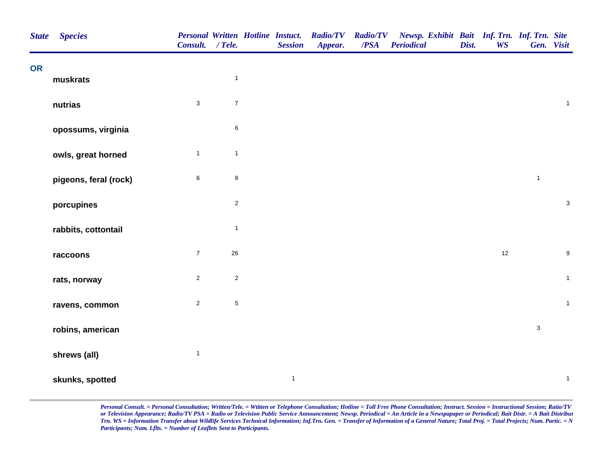| <b>State</b> | <b>Species</b>        | <b>Personal Written Hotline Instuct.</b><br>Consult. / Tele. |              | <b>Session</b> | <b>Radio/TV</b><br>Appear. | <b>Radio/TV</b><br>/PSA | Newsp. Exhibit Bait Inf. Trn. Inf. Trn. Site<br><b>Periodical</b> | Dist. | <b>WS</b> | Gen. Visit   |                  |
|--------------|-----------------------|--------------------------------------------------------------|--------------|----------------|----------------------------|-------------------------|-------------------------------------------------------------------|-------|-----------|--------------|------------------|
| <b>OR</b>    | muskrats              |                                                              | $\mathbf{1}$ |                |                            |                         |                                                                   |       |           |              |                  |
|              | nutrias               | $\mathbf 3$                                                  | $\bf 7$      |                |                            |                         |                                                                   |       |           |              | $\mathbf{1}$     |
|              | opossums, virginia    |                                                              | $\,6$        |                |                            |                         |                                                                   |       |           |              |                  |
|              | owls, great horned    | $\mathbf{1}$                                                 | $\mathbf{1}$ |                |                            |                         |                                                                   |       |           |              |                  |
|              | pigeons, feral (rock) | $\,6\,$                                                      | $\bf8$       |                |                            |                         |                                                                   |       |           | $\mathbf{1}$ |                  |
|              | porcupines            |                                                              | $\sqrt{2}$   |                |                            |                         |                                                                   |       |           |              | $\mathbf{3}$     |
|              | rabbits, cottontail   |                                                              | $\mathbf{1}$ |                |                            |                         |                                                                   |       |           |              |                  |
|              | raccoons              | $\boldsymbol{7}$                                             | $26\,$       |                |                            |                         |                                                                   |       | $12$      |              | $\boldsymbol{9}$ |
|              | rats, norway          | $\sqrt{2}$                                                   | $\mathbf 2$  |                |                            |                         |                                                                   |       |           |              | $\mathbf{1}$     |
|              | ravens, common        | $\overline{2}$                                               | $\,$ 5 $\,$  |                |                            |                         |                                                                   |       |           |              | $\mathbf{1}$     |
|              | robins, american      |                                                              |              |                |                            |                         |                                                                   |       |           | $\mathbf{3}$ |                  |
|              | shrews (all)          | $\mathbf{1}$                                                 |              |                |                            |                         |                                                                   |       |           |              |                  |
|              | skunks, spotted       |                                                              |              | $\mathbf{1}$   |                            |                         |                                                                   |       |           |              | $\mathbf{1}$     |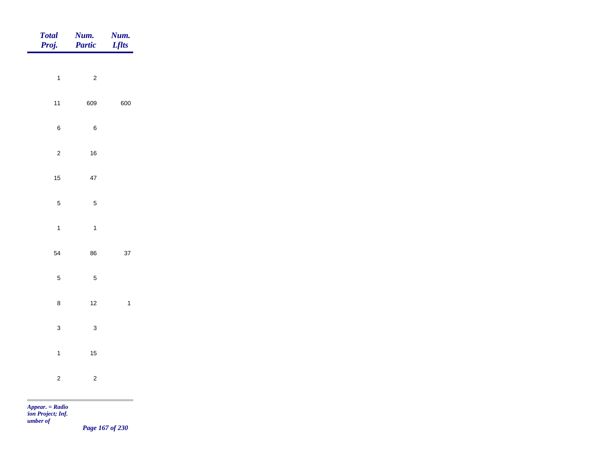| Total<br>Proj. | Num.<br>Partic | Num.<br><b>Lflts</b>                         |
|----------------|----------------|----------------------------------------------|
| $\overline{1}$ | $\overline{c}$ |                                              |
|                |                |                                              |
| $11$           | 609            | 600                                          |
| $\,6\,$        | $\,6\,$        |                                              |
| $\sqrt{2}$     | $16\,$         |                                              |
| $15$           | $47\,$         |                                              |
| $\overline{5}$ | $\overline{5}$ |                                              |
| $\overline{1}$ | $\overline{1}$ |                                              |
| 54             | 86             | $37\,$                                       |
| $\sqrt{5}$     | $\sqrt{5}$     |                                              |
|                |                |                                              |
| $\bf 8$        | $12$           | $\overline{1}$                               |
| $\mathbf{3}$   | $\mathbf{3}$   |                                              |
| $\overline{1}$ | $15$           |                                              |
| $\mathbf 2$    | $\overline{c}$ |                                              |
| m              |                | the control of the control of the control of |

*Page 167 of 230*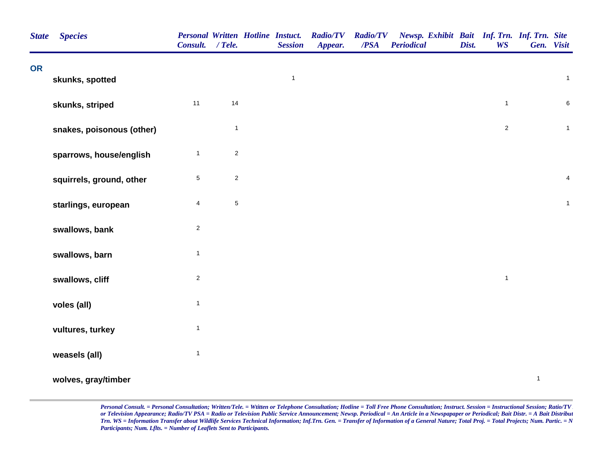| <b>State</b> | <b>Species</b>            | <b>Personal Written Hotline Instuct.</b><br>Consult. / Tele. |              | <b>Session</b> | <b>Radio/TV</b><br>Appear. | <b>Radio/TV</b><br>/PSA | Newsp. Exhibit Bait Inf. Trn. Inf. Trn. Site<br><b>Periodical</b> | Dist. | <b>WS</b>      |              | Gen. Visit              |
|--------------|---------------------------|--------------------------------------------------------------|--------------|----------------|----------------------------|-------------------------|-------------------------------------------------------------------|-------|----------------|--------------|-------------------------|
| <b>OR</b>    | skunks, spotted           |                                                              |              | $\mathbf{1}$   |                            |                         |                                                                   |       |                |              | $\mathbf{1}$            |
|              | skunks, striped           | 11                                                           | 14           |                |                            |                         |                                                                   |       | $\mathbf{1}$   |              | 6                       |
|              | snakes, poisonous (other) |                                                              | $\mathbf{1}$ |                |                            |                         |                                                                   |       | $\overline{c}$ |              | $\mathbf{1}$            |
|              | sparrows, house/english   | $\mathbf{1}$                                                 | $\sqrt{2}$   |                |                            |                         |                                                                   |       |                |              |                         |
|              | squirrels, ground, other  | $\,$ 5 $\,$                                                  | $\sqrt{2}$   |                |                            |                         |                                                                   |       |                |              | $\overline{\mathbf{4}}$ |
|              | starlings, european       | $\overline{4}$                                               | $\mathbf 5$  |                |                            |                         |                                                                   |       |                |              | $\mathbf{1}$            |
|              | swallows, bank            | $\sqrt{2}$                                                   |              |                |                            |                         |                                                                   |       |                |              |                         |
|              | swallows, barn            | $\mathbf{1}$                                                 |              |                |                            |                         |                                                                   |       |                |              |                         |
|              | swallows, cliff           | $\sqrt{2}$                                                   |              |                |                            |                         |                                                                   |       | $\mathbf{1}$   |              |                         |
|              | voles (all)               | $\mathbf{1}$                                                 |              |                |                            |                         |                                                                   |       |                |              |                         |
|              | vultures, turkey          | $\mathbf{1}$                                                 |              |                |                            |                         |                                                                   |       |                |              |                         |
|              | weasels (all)             | $\overline{1}$                                               |              |                |                            |                         |                                                                   |       |                | $\mathbf{1}$ |                         |
|              | wolves, gray/timber       |                                                              |              |                |                            |                         |                                                                   |       |                |              |                         |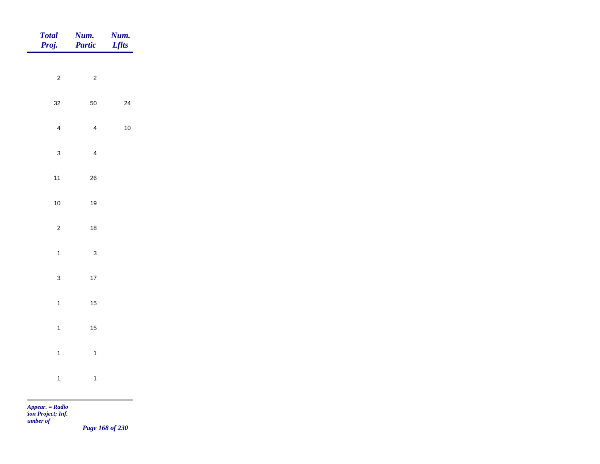| Total<br>Proj. | Num.<br>Partic          | <b>Num.</b><br>Lflts |
|----------------|-------------------------|----------------------|
| $\overline{c}$ | $\overline{c}$          |                      |
|                |                         |                      |
| $32\,$         | $50\,$                  | $24\,$               |
| $\overline{4}$ | $\overline{4}$          | $10$                 |
| $\mathbf{3}$   | $\overline{4}$          |                      |
| $11$           | ${\bf 26}$              |                      |
| $10$           | $19$                    |                      |
| $\overline{c}$ | $18\,$                  |                      |
| $\overline{1}$ | $\mathbf{3}$            |                      |
|                |                         |                      |
| $\mathbf{3}$   | $17\,$                  |                      |
| $\overline{1}$ | $15\,$                  |                      |
| $\overline{1}$ | $15\,$                  |                      |
| $\overline{1}$ | $\overline{\mathbf{1}}$ |                      |
| $\overline{1}$ | $\overline{1}$          |                      |
|                |                         |                      |

m

*Page 168 of 230*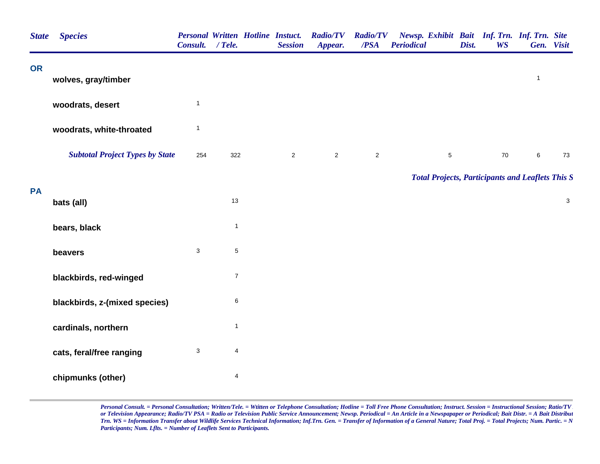| <b>State</b> | <b>Species</b>                         | <b>Personal Written Hotline Instuct.</b><br>Consult. / Tele. |                | <b>Session</b> | <b>Radio/TV</b><br>Appear. | <b>Radio/TV</b><br>/PSA | Newsp. Exhibit Bait Inf. Trn. Inf. Trn. Site<br><b>Periodical</b> | Dist. | <b>WS</b> | Gen. Visit   |                           |
|--------------|----------------------------------------|--------------------------------------------------------------|----------------|----------------|----------------------------|-------------------------|-------------------------------------------------------------------|-------|-----------|--------------|---------------------------|
| <b>OR</b>    | wolves, gray/timber                    |                                                              |                |                |                            |                         |                                                                   |       |           | $\mathbf{1}$ |                           |
|              | woodrats, desert                       | $\mathbf{1}$                                                 |                |                |                            |                         |                                                                   |       |           |              |                           |
|              | woodrats, white-throated               | $\mathbf{1}$                                                 |                |                |                            |                         |                                                                   |       |           |              |                           |
|              | <b>Subtotal Project Types by State</b> | 254                                                          | 322            | $\overline{c}$ | $\overline{2}$             | $\overline{2}$          | $\sqrt{5}$                                                        |       | $70\,$    | 6            | 73                        |
|              |                                        |                                                              |                |                |                            |                         | <b>Total Projects, Participants and Leaflets This S</b>           |       |           |              |                           |
| <b>PA</b>    | bats (all)                             |                                                              | 13             |                |                            |                         |                                                                   |       |           |              | $\ensuremath{\mathsf{3}}$ |
|              | bears, black                           |                                                              | $\mathbf{1}$   |                |                            |                         |                                                                   |       |           |              |                           |
|              | beavers                                | $\mathbf{3}$                                                 | $\,$ 5 $\,$    |                |                            |                         |                                                                   |       |           |              |                           |
|              | blackbirds, red-winged                 |                                                              | $\overline{7}$ |                |                            |                         |                                                                   |       |           |              |                           |
|              | blackbirds, z-(mixed species)          |                                                              | $\,6$          |                |                            |                         |                                                                   |       |           |              |                           |
|              | cardinals, northern                    |                                                              | $\mathbf{1}$   |                |                            |                         |                                                                   |       |           |              |                           |
|              | cats, feral/free ranging               | $\mathbf{3}$                                                 | 4              |                |                            |                         |                                                                   |       |           |              |                           |
|              | chipmunks (other)                      |                                                              | 4              |                |                            |                         |                                                                   |       |           |              |                           |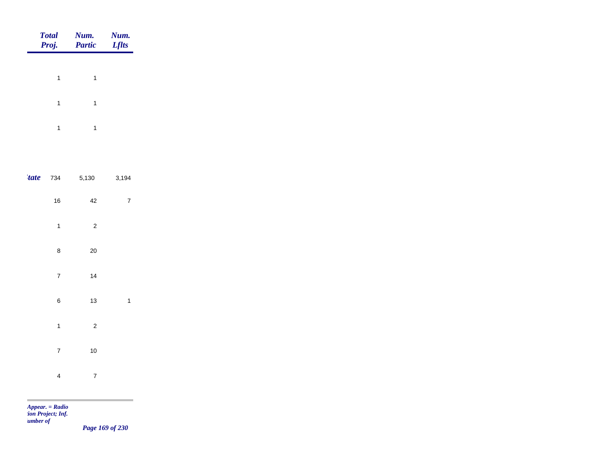|             | <b>Total</b><br>Proj.   | Num.<br><b>Partic</b>   | Num.<br><b>Lflts</b> |
|-------------|-------------------------|-------------------------|----------------------|
|             | $\mathbf{1}$            | $\mathbf{1}$            |                      |
|             | $\overline{\mathbf{1}}$ | $\mathbf{1}$            |                      |
|             | $\overline{\mathbf{1}}$ | $\mathbf{1}$            |                      |
|             |                         |                         |                      |
| <i>tate</i> | 734                     | 5,130                   | 3,194                |
|             | 16                      | 42                      | $\boldsymbol{7}$     |
|             | $\mathbf{1}$            | $\overline{\mathbf{c}}$ |                      |
|             | 8                       | 20                      |                      |
|             | $\overline{7}$          | 14                      |                      |
|             | 6                       | 13                      | $\mathbf{1}$         |
|             | $\mathbf{1}$            | $\overline{\mathbf{c}}$ |                      |
|             | $\overline{7}$          | 10                      |                      |
|             | $\overline{\mathbf{4}}$ | $\overline{7}$          |                      |

m

*Page 169 of 230*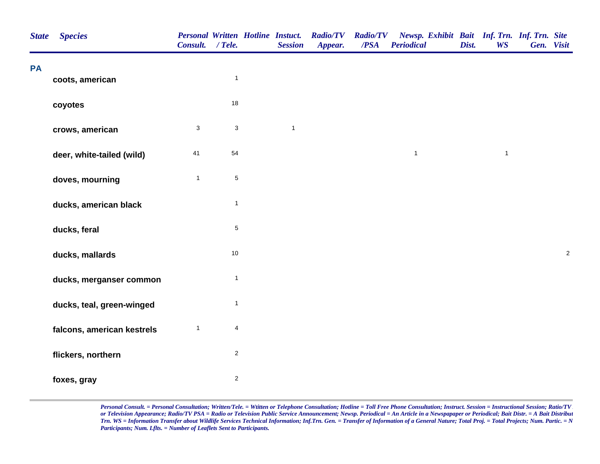| <b>State</b> | <b>Species</b>             | Consult. / Tele. |                           | <b>Personal Written Hotline Instuct.</b><br><b>Session</b> | <b>Radio/TV</b><br>Appear. | <b>Radio/TV</b><br>/PSA | Newsp. Exhibit Bait Inf. Trn. Inf. Trn. Site<br><b>Periodical</b> | Dist. | <b>WS</b>    | Gen. Visit |            |
|--------------|----------------------------|------------------|---------------------------|------------------------------------------------------------|----------------------------|-------------------------|-------------------------------------------------------------------|-------|--------------|------------|------------|
| <b>PA</b>    | coots, american            |                  | $\mathbf{1}$              |                                                            |                            |                         |                                                                   |       |              |            |            |
|              | coyotes                    |                  | 18                        |                                                            |                            |                         |                                                                   |       |              |            |            |
|              | crows, american            | $\sqrt{3}$       | $\ensuremath{\mathsf{3}}$ | $\mathbf{1}$                                               |                            |                         |                                                                   |       |              |            |            |
|              | deer, white-tailed (wild)  | 41               | 54                        |                                                            |                            |                         | $\mathbf{1}$                                                      |       | $\mathbf{1}$ |            |            |
|              | doves, mourning            | $\mathbf{1}$     | $\mathbf 5$               |                                                            |                            |                         |                                                                   |       |              |            |            |
|              | ducks, american black      |                  | $\mathbf{1}$              |                                                            |                            |                         |                                                                   |       |              |            |            |
|              | ducks, feral               |                  | $\mathbf 5$               |                                                            |                            |                         |                                                                   |       |              |            |            |
|              | ducks, mallards            |                  | 10                        |                                                            |                            |                         |                                                                   |       |              |            | $\sqrt{2}$ |
|              | ducks, merganser common    |                  | $\mathbf{1}$              |                                                            |                            |                         |                                                                   |       |              |            |            |
|              | ducks, teal, green-winged  |                  | $\mathbf{1}$              |                                                            |                            |                         |                                                                   |       |              |            |            |
|              | falcons, american kestrels | $\mathbf{1}$     | $\overline{\mathbf{4}}$   |                                                            |                            |                         |                                                                   |       |              |            |            |
|              | flickers, northern         |                  | $\overline{\mathbf{c}}$   |                                                            |                            |                         |                                                                   |       |              |            |            |
|              | foxes, gray                |                  | $\overline{\mathbf{c}}$   |                                                            |                            |                         |                                                                   |       |              |            |            |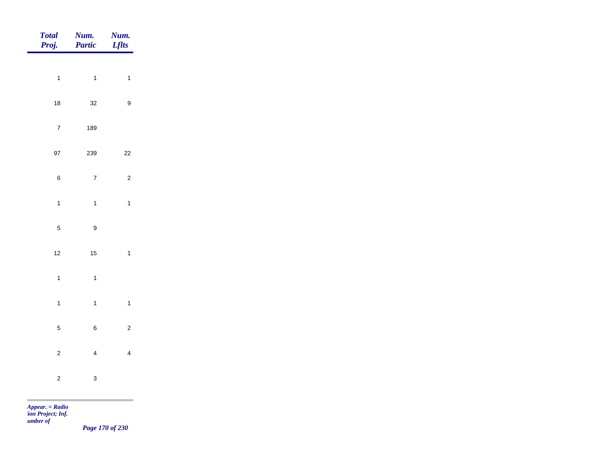| <b>Total</b><br>Proj.   | Num.<br>Partic          | Num.<br><b>Lflts</b>    |
|-------------------------|-------------------------|-------------------------|
|                         |                         |                         |
| $\mathbf{1}$            | $\mathbf{1}$            | $\mathbf{1}$            |
| $18\,$                  | 32                      | $\boldsymbol{9}$        |
| $\overline{\mathbf{7}}$ | 189                     |                         |
| 97                      | 239                     | $22\,$                  |
| 6                       | $\boldsymbol{7}$        | $\sqrt{2}$              |
| $\mathbf{1}$            | $\ddot{\phantom{a}}$    | $\mathbf{1}$            |
| $\overline{5}$          | $\boldsymbol{9}$        |                         |
| 12                      | 15                      | $\mathbf{1}$            |
| $\mathbf{1}$            | $\mathbf{1}$            |                         |
| $\mathbf{1}$            | $\mathbf{1}$            | $\mathbf{1}$            |
| 5                       | $\boldsymbol{6}$        | $\mathbf 2$             |
| $\boldsymbol{2}$        | $\overline{\mathbf{4}}$ | $\overline{\mathbf{4}}$ |
| $\overline{\mathbf{c}}$ | 3                       |                         |

m

*Page 170 of 230*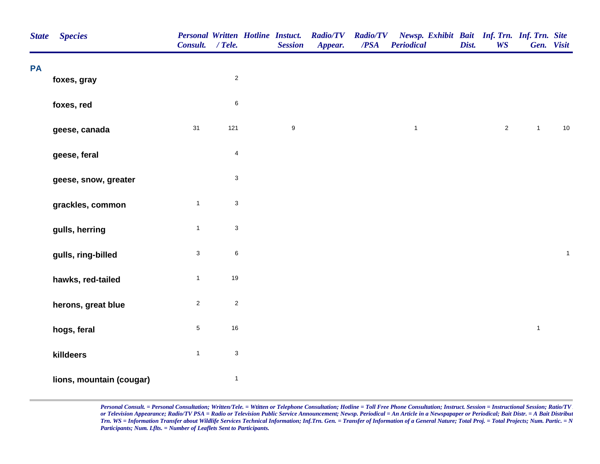| <b>State</b> | <b>Species</b>           | <b>Personal Written Hotline Instuct.</b><br>Consult. / Tele. |                           | <b>Session</b>   | <b>Radio/TV</b><br>Appear. | <b>Radio/TV</b><br>/PSA | Newsp. Exhibit Bait Inf. Trn. Inf. Trn. Site<br><b>Periodical</b> | Dist. | <b>WS</b>    |                | Gen. Visit   |
|--------------|--------------------------|--------------------------------------------------------------|---------------------------|------------------|----------------------------|-------------------------|-------------------------------------------------------------------|-------|--------------|----------------|--------------|
| PA           | foxes, gray              |                                                              | $\mathbf 2$               |                  |                            |                         |                                                                   |       |              |                |              |
|              |                          |                                                              |                           |                  |                            |                         |                                                                   |       |              |                |              |
|              | foxes, red               |                                                              | $\,6$                     |                  |                            |                         |                                                                   |       |              |                |              |
|              | geese, canada            | 31                                                           | $121$                     | $\boldsymbol{9}$ |                            |                         | $\mathbf{1}$                                                      |       | $\mathbf{2}$ | $\overline{1}$ | $10$         |
|              | geese, feral             |                                                              | $\overline{4}$            |                  |                            |                         |                                                                   |       |              |                |              |
|              | geese, snow, greater     |                                                              | $\ensuremath{\mathsf{3}}$ |                  |                            |                         |                                                                   |       |              |                |              |
|              | grackles, common         | $\mathbf{1}$                                                 | $\ensuremath{\mathsf{3}}$ |                  |                            |                         |                                                                   |       |              |                |              |
|              | gulls, herring           | $\mathbf{1}$                                                 | $\ensuremath{\mathsf{3}}$ |                  |                            |                         |                                                                   |       |              |                |              |
|              | gulls, ring-billed       | $\mathbf{3}$                                                 | $\,6\,$                   |                  |                            |                         |                                                                   |       |              |                | $\mathbf{1}$ |
|              | hawks, red-tailed        | $\mathbf{1}$                                                 | $19$                      |                  |                            |                         |                                                                   |       |              |                |              |
|              | herons, great blue       | $\overline{2}$                                               | $\sqrt{2}$                |                  |                            |                         |                                                                   |       |              |                |              |
|              | hogs, feral              | $\sqrt{5}$                                                   | 16                        |                  |                            |                         |                                                                   |       |              | $\mathbf{1}$   |              |
|              | killdeers                | $\mathbf{1}$                                                 | $\ensuremath{\mathsf{3}}$ |                  |                            |                         |                                                                   |       |              |                |              |
|              | lions, mountain (cougar) |                                                              | $\mathbf{1}$              |                  |                            |                         |                                                                   |       |              |                |              |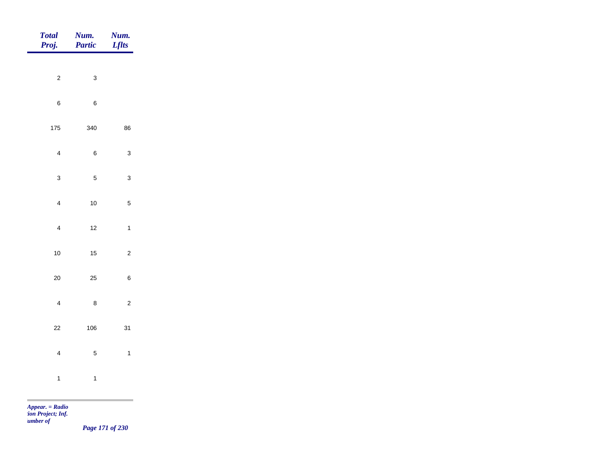| <b>Total</b><br>Proj.   | Num.<br><b>Partic</b> | Num.<br><b>Lflts</b> |
|-------------------------|-----------------------|----------------------|
|                         |                       |                      |
| $\mathbf 2$             | $\mathbf{3}$          |                      |
| $\, 6$                  | $\overline{6}$        |                      |
| 175                     | 340                   | 86                   |
| $\overline{\mathbf{4}}$ | 6                     | $\mathbf{3}$         |
| $\mathbf{3}$            | 5                     | $\mathbf{3}$         |
| $\overline{\mathbf{4}}$ | 10                    | $\mathbf 5$          |
| $\overline{\mathbf{4}}$ | $12\,$                | $\mathbf{1}$         |
| 10                      | $15\,$                | $\mathbf 2$          |
| $20\,$                  | 25                    | $\,6$                |
| $\overline{\mathbf{4}}$ | 8                     | $\mathbf 2$          |
| 22                      | 106                   | 31                   |
| $\overline{\mathbf{4}}$ | 5                     | $\mathbf{1}$         |
| $\mathbf{1}$            | $\mathbf{1}$          |                      |
|                         |                       |                      |

m

*Page 171 of 230*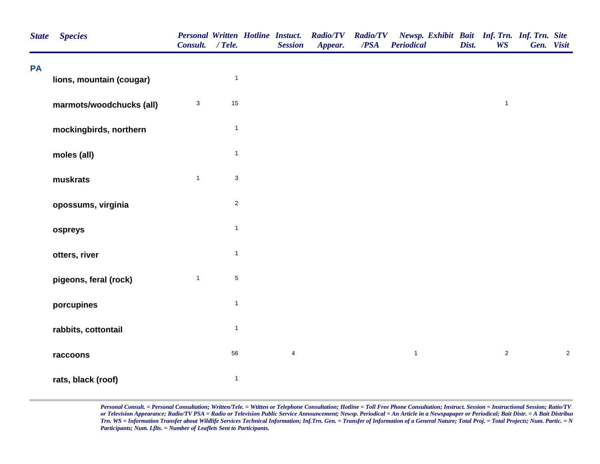| <b>State</b> | <b>Species</b>           | Consult. / Tele.          |              | <b>Personal Written Hotline Instuct.</b><br><b>Session</b> | <b>Radio/TV</b><br>Appear. | <b>Radio/TV</b><br>/PSA | Newsp. Exhibit Bait Inf. Trn. Inf. Trn. Site<br><b>Periodical</b> | Dist. | <b>WS</b>      | Gen. Visit |            |
|--------------|--------------------------|---------------------------|--------------|------------------------------------------------------------|----------------------------|-------------------------|-------------------------------------------------------------------|-------|----------------|------------|------------|
| PA           | lions, mountain (cougar) |                           | $\mathbf{1}$ |                                                            |                            |                         |                                                                   |       |                |            |            |
|              | marmots/woodchucks (all) | $\ensuremath{\mathsf{3}}$ | 15           |                                                            |                            |                         |                                                                   |       | $\mathbf{1}$   |            |            |
|              | mockingbirds, northern   |                           | $\mathbf{1}$ |                                                            |                            |                         |                                                                   |       |                |            |            |
|              | moles (all)              |                           | $\mathbf{1}$ |                                                            |                            |                         |                                                                   |       |                |            |            |
|              | muskrats                 | $\mathbf{1}$              | $\mathsf 3$  |                                                            |                            |                         |                                                                   |       |                |            |            |
|              | opossums, virginia       |                           | $\sqrt{2}$   |                                                            |                            |                         |                                                                   |       |                |            |            |
|              | ospreys                  |                           | $\mathbf{1}$ |                                                            |                            |                         |                                                                   |       |                |            |            |
|              | otters, river            |                           | $\mathbf{1}$ |                                                            |                            |                         |                                                                   |       |                |            |            |
|              | pigeons, feral (rock)    | $\mathbf{1}$              | $\,$ 5 $\,$  |                                                            |                            |                         |                                                                   |       |                |            |            |
|              | porcupines               |                           | $\mathbf{1}$ |                                                            |                            |                         |                                                                   |       |                |            |            |
|              | rabbits, cottontail      |                           | $\mathbf{1}$ |                                                            |                            |                         |                                                                   |       |                |            |            |
|              | raccoons                 |                           | 56           | $\overline{4}$                                             |                            |                         | $\mathbf{1}$                                                      |       | $\overline{a}$ |            | $\sqrt{2}$ |
|              | rats, black (roof)       |                           | $\mathbf{1}$ |                                                            |                            |                         |                                                                   |       |                |            |            |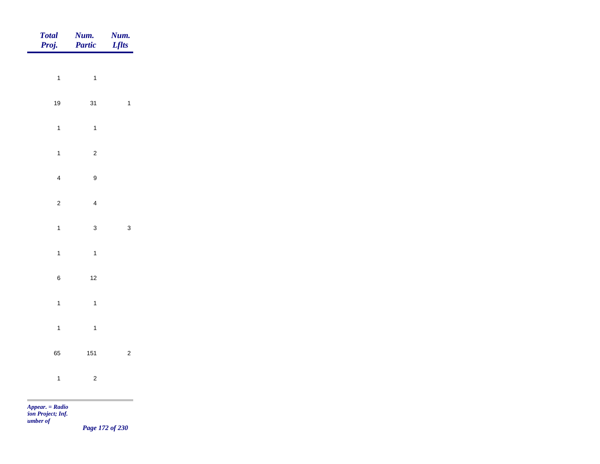| Total<br>Proj.          | <b>Num.</b><br><b>Partic</b> | <b>Num.</b><br>Lflts    |
|-------------------------|------------------------------|-------------------------|
|                         |                              |                         |
| $\mathbf{1}$            | $\overline{1}$               |                         |
| $19$                    | 31                           | $\overline{\mathbf{1}}$ |
| $\mathbf{1}$            | $\overline{1}$               |                         |
| $\mathbf{1}$            | $\overline{c}$               |                         |
| $\overline{\mathbf{4}}$ | $\boldsymbol{9}$             |                         |
| $\overline{c}$          | $\overline{4}$               |                         |
|                         |                              |                         |
| $\mathbf{1}$            | $\mathbf{3}$                 | $\mathbf{3}$            |
| $\mathbf{1}$            | $\overline{1}$               |                         |
| $\,$ 6 $\,$             | $12$                         |                         |
| $\overline{1}$          | $\overline{1}$               |                         |
| $\overline{1}$          | $\overline{1}$               |                         |
| 65                      | 151                          | $\overline{c}$          |
|                         |                              |                         |
| $\mathbf{1}$            | $\overline{c}$               |                         |
|                         |                              |                         |

*Page 172 of 230*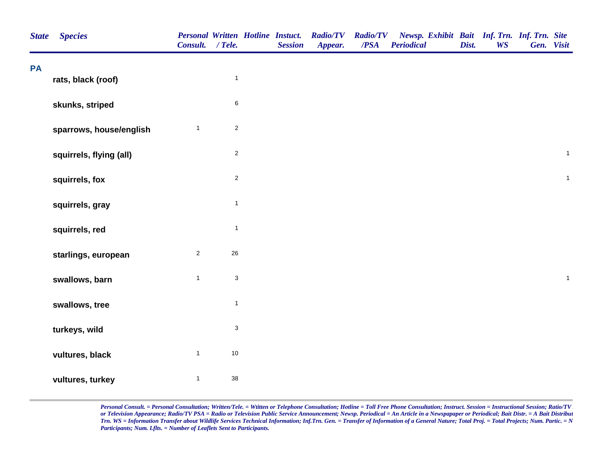| <b>State</b> | <b>Species</b>          | <b>Personal Written Hotline Instuct.</b><br>Consult. / Tele. |                           | <b>Session</b> | <b>Radio/TV</b><br>Appear. | <b>Radio/TV</b><br>/PSA | Newsp. Exhibit Bait Inf. Trn. Inf. Trn. Site<br><b>Periodical</b> | Dist. | <b>WS</b> | Gen. Visit   |
|--------------|-------------------------|--------------------------------------------------------------|---------------------------|----------------|----------------------------|-------------------------|-------------------------------------------------------------------|-------|-----------|--------------|
| PA           | rats, black (roof)      |                                                              | $\mathbf{1}$              |                |                            |                         |                                                                   |       |           |              |
|              | skunks, striped         |                                                              | $\,6$                     |                |                            |                         |                                                                   |       |           |              |
|              | sparrows, house/english | $\mathbf{1}$                                                 | $\overline{2}$            |                |                            |                         |                                                                   |       |           |              |
|              | squirrels, flying (all) |                                                              | $\mathbf 2$               |                |                            |                         |                                                                   |       |           | $\mathbf{1}$ |
|              | squirrels, fox          |                                                              | $\sqrt{2}$                |                |                            |                         |                                                                   |       |           | $\mathbf{1}$ |
|              | squirrels, gray         |                                                              | $\mathbf{1}$              |                |                            |                         |                                                                   |       |           |              |
|              | squirrels, red          |                                                              | $\mathbf{1}$              |                |                            |                         |                                                                   |       |           |              |
|              | starlings, european     | $\overline{c}$                                               | 26                        |                |                            |                         |                                                                   |       |           |              |
|              | swallows, barn          | $\mathbf{1}$                                                 | $\mathsf 3$               |                |                            |                         |                                                                   |       |           | $\mathbf{1}$ |
|              | swallows, tree          |                                                              | $\mathbf{1}$              |                |                            |                         |                                                                   |       |           |              |
|              | turkeys, wild           |                                                              | $\ensuremath{\mathsf{3}}$ |                |                            |                         |                                                                   |       |           |              |
|              | vultures, black         | $\mathbf{1}$                                                 | $10\,$                    |                |                            |                         |                                                                   |       |           |              |
|              | vultures, turkey        | $\mathbf{1}$                                                 | 38                        |                |                            |                         |                                                                   |       |           |              |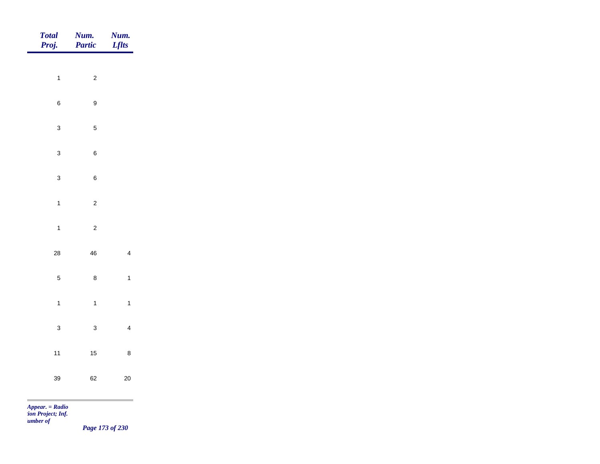| Total<br>Proj. | Num.<br>Partic   | Num.<br><b>Lflts</b> |
|----------------|------------------|----------------------|
|                |                  |                      |
| $\overline{1}$ | $\overline{c}$   |                      |
| $\,6\,$        | $\boldsymbol{9}$ |                      |
| $\mathbf{3}$   | $\overline{5}$   |                      |
| $\mathbf{3}$   | $\boldsymbol{6}$ |                      |
| $\mathbf{3}$   | $\boldsymbol{6}$ |                      |
| $\overline{1}$ | $\overline{c}$   |                      |
| $\mathbf{1}$   | $\overline{c}$   |                      |
| ${\bf 28}$     | ${\bf 46}$       | $\overline{4}$       |
| $\overline{5}$ | $\bf 8$          | $\mathbf{1}$         |
|                |                  |                      |
| $\overline{1}$ | $\mathbf{1}$     | $\mathbf{1}$         |
| $\mathbf{3}$   | $\mathbf{3}$     | $\overline{4}$       |
| $11$           | $15\,$           | $\bf 8$              |
| 39             | 62               | $20\,$               |
|                |                  |                      |

*Page 173 of 230*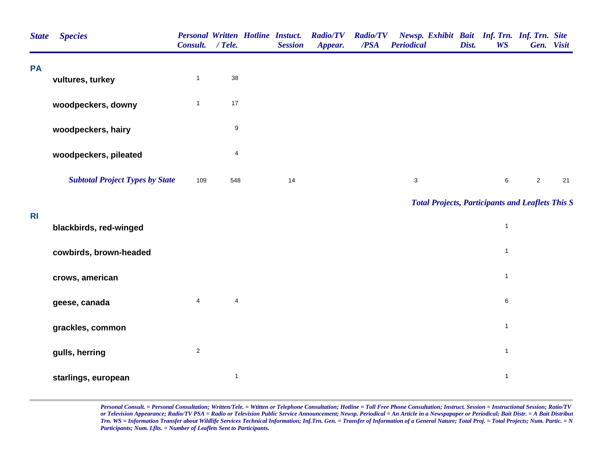| <b>State</b> | <b>Species</b>                         | <b>Personal Written Hotline Instuct.</b><br>Consult. / Tele. |                  | <b>Session</b> | <b>Radio/TV</b><br>Appear. | <b>Radio/TV</b><br>$\overline{PSA}$ | Newsp. Exhibit Bait Inf. Trn. Inf. Trn. Site<br><b>Periodical</b> | Dist. | <b>WS</b>      | Gen. Visit |    |
|--------------|----------------------------------------|--------------------------------------------------------------|------------------|----------------|----------------------------|-------------------------------------|-------------------------------------------------------------------|-------|----------------|------------|----|
| <b>PA</b>    | vultures, turkey                       | $\mathbf{1}$                                                 | 38               |                |                            |                                     |                                                                   |       |                |            |    |
|              | woodpeckers, downy                     | $\mathbf{1}$                                                 | $17$             |                |                            |                                     |                                                                   |       |                |            |    |
|              | woodpeckers, hairy                     |                                                              | $\boldsymbol{9}$ |                |                            |                                     |                                                                   |       |                |            |    |
|              | woodpeckers, pileated                  |                                                              | $\overline{4}$   |                |                            |                                     |                                                                   |       |                |            |    |
|              | <b>Subtotal Project Types by State</b> | 109                                                          | 548              | 14             |                            |                                     | $\sqrt{3}$                                                        |       | $\,6\,$        | $\sqrt{2}$ | 21 |
|              |                                        |                                                              |                  |                |                            |                                     | <b>Total Projects, Participants and Leaflets This S</b>           |       |                |            |    |
| <b>RI</b>    | blackbirds, red-winged                 |                                                              |                  |                |                            |                                     |                                                                   |       | $\mathbf{1}$   |            |    |
|              | cowbirds, brown-headed                 |                                                              |                  |                |                            |                                     |                                                                   |       | $\mathbf{1}$   |            |    |
|              | crows, american                        |                                                              |                  |                |                            |                                     |                                                                   |       | $\mathbf{1}$   |            |    |
|              | geese, canada                          | $\overline{4}$                                               | 4                |                |                            |                                     |                                                                   |       | $\,6\,$        |            |    |
|              | grackles, common                       |                                                              |                  |                |                            |                                     |                                                                   |       | $\mathbf{1}$   |            |    |
|              | gulls, herring                         | $\mathbf 2$                                                  |                  |                |                            |                                     |                                                                   |       | $\overline{1}$ |            |    |
|              | starlings, european                    |                                                              | $\mathbf{1}$     |                |                            |                                     |                                                                   |       | $\mathbf{1}$   |            |    |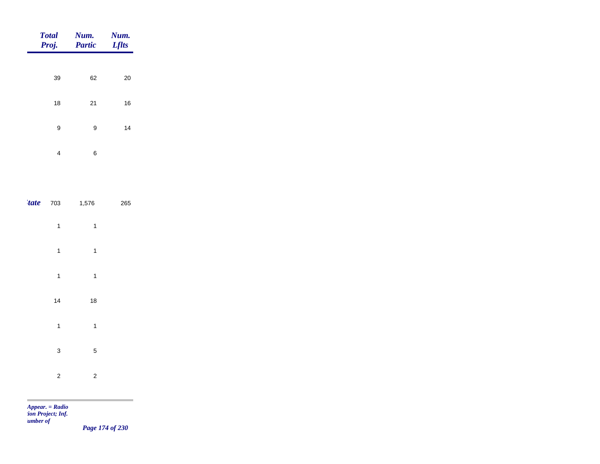| <b>Total</b><br>Proj. | Num.<br><b>Partic</b> | Num.<br><b>Lflts</b> |
|-----------------------|-----------------------|----------------------|
|                       |                       |                      |
| 39                    | 62                    | 20                   |
| 18                    | 21                    | 16                   |
| 9                     | 9                     | 14                   |
| 4                     | 6                     |                      |

|                         | $'$ <b>tate</b> 703 1,576 | 265 |  |
|-------------------------|---------------------------|-----|--|
| $\mathbf{1}$            | $\mathbf{1}$              |     |  |
| $\mathbf{1}$            | $\mathbf{1}$              |     |  |
| $\mathbf{1}$            | $\mathbf{1}$              |     |  |
| 14                      | 18                        |     |  |
| $\mathbf{1}$            | $\mathbf{1}$              |     |  |
| 3                       | 5                         |     |  |
| $\overline{\mathbf{c}}$ | $\overline{\mathbf{c}}$   |     |  |

m

*Page 174 of 230*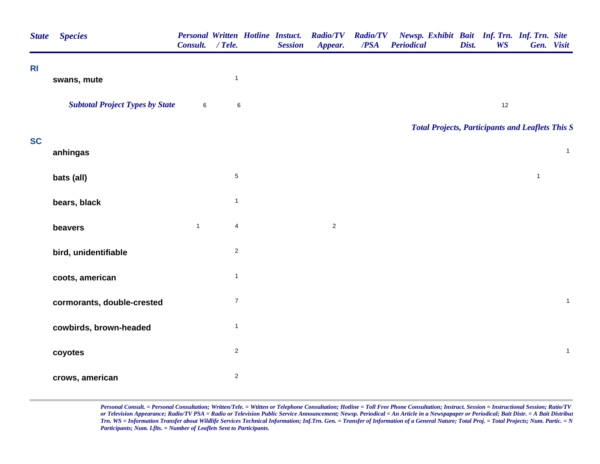| <b>State</b>   | <b>Species</b>                         | Consult. / Tele. |                  | <b>Personal Written Hotline Instuct.</b><br><b>Session</b> | <b>Radio/TV</b><br>Appear. | <b>Radio/TV</b><br>/PSA | Newsp. Exhibit Bait Inf. Trn. Inf. Trn. Site<br><b>Periodical</b> | Dist. | <b>WS</b> |              | Gen. Visit   |
|----------------|----------------------------------------|------------------|------------------|------------------------------------------------------------|----------------------------|-------------------------|-------------------------------------------------------------------|-------|-----------|--------------|--------------|
| R <sub>l</sub> | swans, mute                            |                  | $\mathbf{1}$     |                                                            |                            |                         |                                                                   |       |           |              |              |
|                |                                        |                  |                  |                                                            |                            |                         |                                                                   |       |           |              |              |
|                | <b>Subtotal Project Types by State</b> | $\,6\,$          | $\,6\,$          |                                                            |                            |                         |                                                                   |       | 12        |              |              |
|                |                                        |                  |                  |                                                            |                            |                         | <b>Total Projects, Participants and Leaflets This S</b>           |       |           |              |              |
| <b>SC</b>      | anhingas                               |                  |                  |                                                            |                            |                         |                                                                   |       |           |              | $\mathbf{1}$ |
|                | bats (all)                             |                  | $\overline{5}$   |                                                            |                            |                         |                                                                   |       |           | $\mathbf{1}$ |              |
|                | bears, black                           |                  | $\mathbf{1}$     |                                                            |                            |                         |                                                                   |       |           |              |              |
|                | beavers                                | $\mathbf{1}$     | $\overline{4}$   |                                                            | $\overline{c}$             |                         |                                                                   |       |           |              |              |
|                | bird, unidentifiable                   |                  | $\overline{2}$   |                                                            |                            |                         |                                                                   |       |           |              |              |
|                | coots, american                        |                  | $\mathbf{1}$     |                                                            |                            |                         |                                                                   |       |           |              |              |
|                | cormorants, double-crested             |                  | $\boldsymbol{7}$ |                                                            |                            |                         |                                                                   |       |           |              | $\mathbf{1}$ |
|                | cowbirds, brown-headed                 |                  | $\mathbf{1}$     |                                                            |                            |                         |                                                                   |       |           |              |              |
|                | coyotes                                |                  | $\mathbf{2}$     |                                                            |                            |                         |                                                                   |       |           |              | $\mathbf{1}$ |
|                | crows, american                        |                  | $\overline{c}$   |                                                            |                            |                         |                                                                   |       |           |              |              |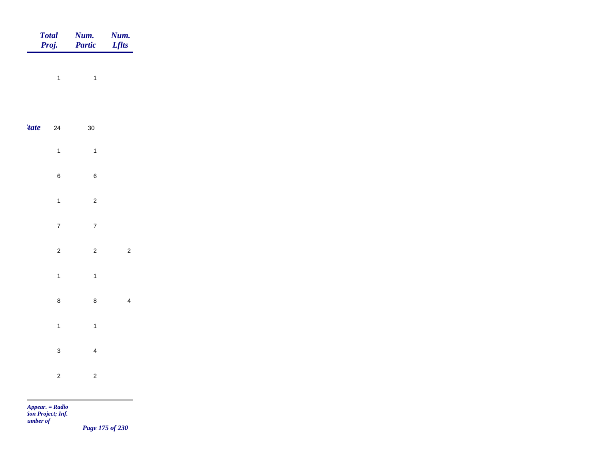|             | Total<br>Proj. | <b>Num.</b><br>Partic   | <b>Num.</b><br><i>Lflts</i> |
|-------------|----------------|-------------------------|-----------------------------|
|             | $\overline{1}$ | $\mathbf{1}$            |                             |
|             |                |                         |                             |
| <i>tate</i> | $24\,$         | $30\,$                  |                             |
|             | $\overline{1}$ | $\mathbf{1}$            |                             |
|             | $\, 6$         | $\, 6$                  |                             |
|             | $\overline{1}$ | $\sqrt{2}$              |                             |
|             | $\overline{7}$ | $\overline{7}$          |                             |
|             | $\overline{c}$ | $\overline{c}$          | $\sqrt{2}$                  |
|             | $\overline{1}$ | $\mathbf{1}$            |                             |
|             | $\bf8$         | $\bf 8$                 | $\overline{4}$              |
|             | $\overline{1}$ | $\mathbf{1}$            |                             |
|             | $\mathbf{3}$   | $\overline{4}$          |                             |
|             | $\overline{c}$ | $\overline{\mathbf{c}}$ |                             |
|             |                |                         |                             |

*Page 175 of 230*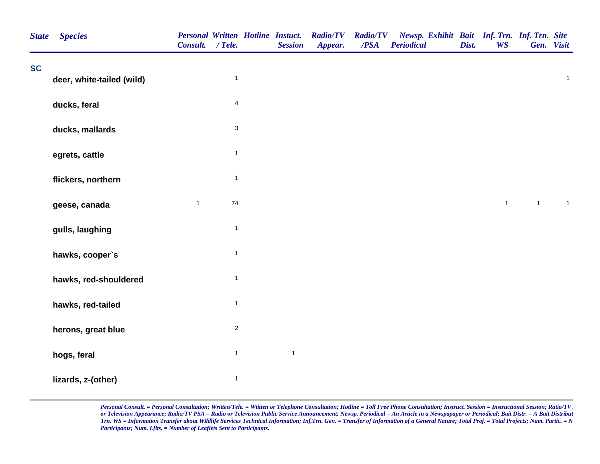| <b>State</b> | <b>Species</b>            | <b>Personal Written Hotline Instuct.</b><br>Consult. / Tele. |                         | <b>Session</b> | <b>Radio/TV</b><br>Appear. | <b>Radio/TV</b><br>/PSA | Newsp. Exhibit Bait Inf. Trn. Inf. Trn. Site<br><b>Periodical</b> | Dist. | <b>WS</b>    | Gen. Visit     |              |
|--------------|---------------------------|--------------------------------------------------------------|-------------------------|----------------|----------------------------|-------------------------|-------------------------------------------------------------------|-------|--------------|----------------|--------------|
| <b>SC</b>    | deer, white-tailed (wild) |                                                              | $\mathbf{1}$            |                |                            |                         |                                                                   |       |              |                | $\mathbf{1}$ |
|              |                           |                                                              |                         |                |                            |                         |                                                                   |       |              |                |              |
|              | ducks, feral              |                                                              | $\overline{\mathbf{4}}$ |                |                            |                         |                                                                   |       |              |                |              |
|              | ducks, mallards           |                                                              | $\mathsf 3$             |                |                            |                         |                                                                   |       |              |                |              |
|              | egrets, cattle            |                                                              | $\mathbf{1}$            |                |                            |                         |                                                                   |       |              |                |              |
|              | flickers, northern        |                                                              | $\mathbf{1}$            |                |                            |                         |                                                                   |       |              |                |              |
|              | geese, canada             | $\mathbf{1}$                                                 | $74\,$                  |                |                            |                         |                                                                   |       | $\mathbf{1}$ | $\overline{1}$ | $\mathbf{1}$ |
|              | gulls, laughing           |                                                              | $\mathbf{1}$            |                |                            |                         |                                                                   |       |              |                |              |
|              | hawks, cooper's           |                                                              | $\mathbf{1}$            |                |                            |                         |                                                                   |       |              |                |              |
|              | hawks, red-shouldered     |                                                              | $\mathbf{1}$            |                |                            |                         |                                                                   |       |              |                |              |
|              | hawks, red-tailed         |                                                              | $\mathbf{1}$            |                |                            |                         |                                                                   |       |              |                |              |
|              | herons, great blue        |                                                              | $\overline{\mathbf{c}}$ |                |                            |                         |                                                                   |       |              |                |              |
|              | hogs, feral               |                                                              | $\mathbf{1}$            | $\mathbf{1}$   |                            |                         |                                                                   |       |              |                |              |
|              | lizards, z-(other)        |                                                              | $\mathbf{1}$            |                |                            |                         |                                                                   |       |              |                |              |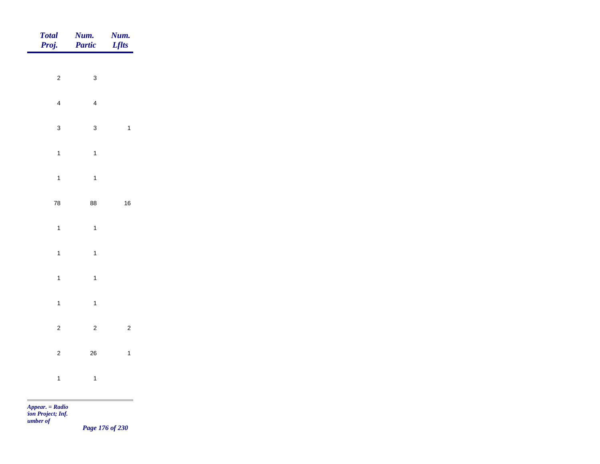| Total<br>Proj. | Num.<br>Partic | Num.<br><i>Lflts</i> |
|----------------|----------------|----------------------|
| $\overline{c}$ | $\mathbf{3}$   |                      |
|                |                |                      |
| $\overline{4}$ | $\overline{4}$ |                      |
| $\mathbf{3}$   | $\mathbf{3}$   | $\mathbf{1}$         |
| $\overline{1}$ | $\overline{1}$ |                      |
| $\mathbf{1}$   | $\overline{1}$ |                      |
| ${\bf 78}$     | 88             | $16\,$               |
| $\mathbf{1}$   | $\overline{1}$ |                      |
| $\overline{1}$ | $\overline{1}$ |                      |
|                |                |                      |
| $\overline{1}$ | $\overline{1}$ |                      |
| $\mathbf{1}$   | $\mathbf{1}$   |                      |
| $\overline{c}$ | $\overline{2}$ | $\overline{c}$       |
| $\overline{c}$ | ${\bf 26}$     | $\mathbf{1}$         |
| $\mathbf{1}$   | $\overline{1}$ |                      |
|                |                |                      |

*Page 176 of 230*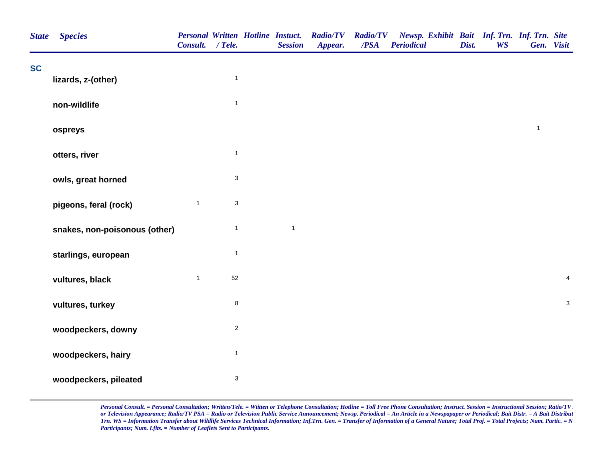| <b>State</b> | <b>Species</b>                | Consult. / Tele. |                           | <b>Personal Written Hotline Instuct.</b><br><b>Session</b> | <b>Radio/TV</b><br>Appear. | /PSA | Radio/TV Newsp. Exhibit Bait Inf. Trn. Inf. Trn. Site<br><b>Periodical</b> | Dist. | <b>WS</b> | Gen. Visit   |                |
|--------------|-------------------------------|------------------|---------------------------|------------------------------------------------------------|----------------------------|------|----------------------------------------------------------------------------|-------|-----------|--------------|----------------|
| <b>SC</b>    | lizards, z-(other)            |                  | $\mathbf{1}$              |                                                            |                            |      |                                                                            |       |           |              |                |
|              |                               |                  |                           |                                                            |                            |      |                                                                            |       |           |              |                |
|              | non-wildlife                  |                  | $\mathbf{1}$              |                                                            |                            |      |                                                                            |       |           |              |                |
|              | ospreys                       |                  |                           |                                                            |                            |      |                                                                            |       |           | $\mathbf{1}$ |                |
|              | otters, river                 |                  | $\mathbf{1}$              |                                                            |                            |      |                                                                            |       |           |              |                |
|              | owls, great horned            |                  | $\mathbf{3}$              |                                                            |                            |      |                                                                            |       |           |              |                |
|              | pigeons, feral (rock)         | $\mathbf{1}$     | $\mathbf{3}$              |                                                            |                            |      |                                                                            |       |           |              |                |
|              | snakes, non-poisonous (other) |                  | $\mathbf{1}$              | $\mathbf{1}$                                               |                            |      |                                                                            |       |           |              |                |
|              | starlings, european           |                  | $\mathbf{1}$              |                                                            |                            |      |                                                                            |       |           |              |                |
|              | vultures, black               | $\mathbf{1}$     | 52                        |                                                            |                            |      |                                                                            |       |           |              | $\overline{4}$ |
|              | vultures, turkey              |                  | $\bf 8$                   |                                                            |                            |      |                                                                            |       |           |              | $\mathbf{3}$   |
|              | woodpeckers, downy            |                  | $\overline{2}$            |                                                            |                            |      |                                                                            |       |           |              |                |
|              | woodpeckers, hairy            |                  | $\mathbf{1}$              |                                                            |                            |      |                                                                            |       |           |              |                |
|              | woodpeckers, pileated         |                  | $\ensuremath{\mathsf{3}}$ |                                                            |                            |      |                                                                            |       |           |              |                |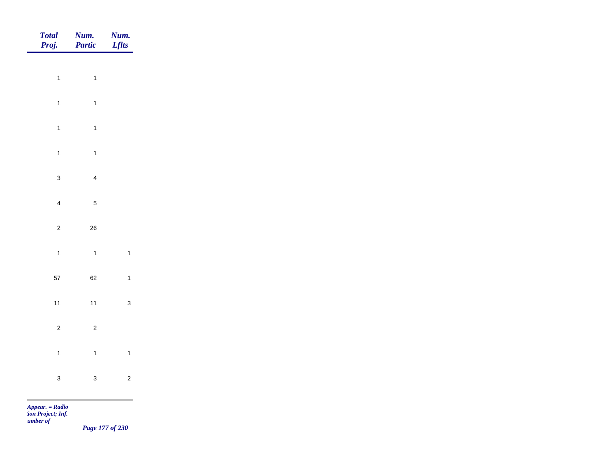| Total<br>Proj. | <b>Num.</b><br>Partic | <b>Num.</b><br>Lflts |
|----------------|-----------------------|----------------------|
|                |                       |                      |
| $\mathbf{1}$   | $\overline{1}$        |                      |
| $\mathbf{1}$   | $\overline{1}$        |                      |
| $\mathbf{1}$   | $\overline{1}$        |                      |
| $\mathbf{1}$   | $\mathbf{1}$          |                      |
| $\mathbf{3}$   | $\overline{4}$        |                      |
| $\overline{4}$ | $\overline{5}$        |                      |
| $\overline{c}$ | ${\bf 26}$            |                      |
| $\overline{1}$ | $\overline{1}$        | $\overline{1}$       |
| $57\,$         | 62                    | $\overline{1}$       |
|                |                       |                      |
| $11$           | $11$                  | $\mathbf{3}$         |
| $\overline{c}$ | $\overline{c}$        |                      |
| $\overline{1}$ | $\overline{1}$        | $\mathbf{1}$         |
| $\mathbf 3$    | $\mathbf{3}$          | $\overline{c}$       |
|                |                       |                      |

*Page 177 of 230*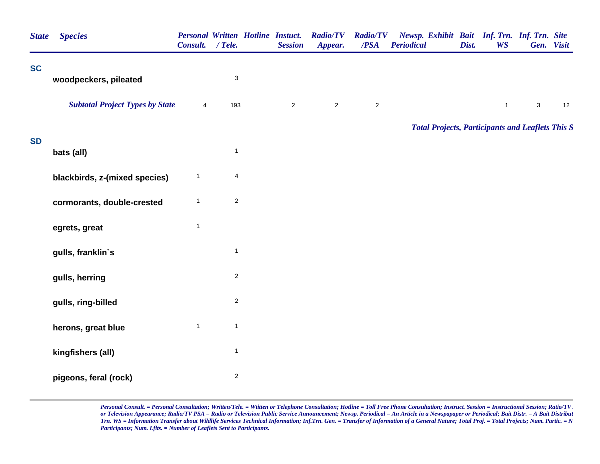| <b>State</b> | <b>Species</b>                         | Consult. / Tele. |                           | <b>Personal Written Hotline Instuct.</b><br><b>Session</b> | <b>Radio/TV</b><br>Appear. | <b>Radio/TV</b><br>/PSA | Newsp. Exhibit Bait Inf. Trn. Inf. Trn. Site<br><b>Periodical</b> | Dist. | <b>WS</b>    |             | Gen. Visit |
|--------------|----------------------------------------|------------------|---------------------------|------------------------------------------------------------|----------------------------|-------------------------|-------------------------------------------------------------------|-------|--------------|-------------|------------|
| <b>SC</b>    |                                        |                  |                           |                                                            |                            |                         |                                                                   |       |              |             |            |
|              | woodpeckers, pileated                  |                  | $\ensuremath{\mathsf{3}}$ |                                                            |                            |                         |                                                                   |       |              |             |            |
|              | <b>Subtotal Project Types by State</b> | $\overline{4}$   | 193                       | $\overline{2}$                                             | $\mathbf 2$                | $\sqrt{2}$              |                                                                   |       | $\mathbf{1}$ | $\mathbf 3$ | 12         |
|              |                                        |                  |                           |                                                            |                            |                         | <b>Total Projects, Participants and Leaflets This S</b>           |       |              |             |            |
| <b>SD</b>    | bats (all)                             |                  | $\mathbf{1}$              |                                                            |                            |                         |                                                                   |       |              |             |            |
|              | blackbirds, z-(mixed species)          | $\mathbf{1}$     | $\overline{\mathbf{4}}$   |                                                            |                            |                         |                                                                   |       |              |             |            |
|              | cormorants, double-crested             | $\mathbf{1}$     | $\mathbf 2$               |                                                            |                            |                         |                                                                   |       |              |             |            |
|              | egrets, great                          | $\overline{1}$   |                           |                                                            |                            |                         |                                                                   |       |              |             |            |
|              | gulls, franklin's                      |                  | $\mathbf{1}$              |                                                            |                            |                         |                                                                   |       |              |             |            |
|              | gulls, herring                         |                  | $\boldsymbol{2}$          |                                                            |                            |                         |                                                                   |       |              |             |            |
|              | gulls, ring-billed                     |                  | $\boldsymbol{2}$          |                                                            |                            |                         |                                                                   |       |              |             |            |
|              | herons, great blue                     | $\mathbf{1}$     | $\mathbf{1}$              |                                                            |                            |                         |                                                                   |       |              |             |            |
|              | kingfishers (all)                      |                  | $\mathbf{1}$              |                                                            |                            |                         |                                                                   |       |              |             |            |
|              | pigeons, feral (rock)                  |                  | $\sqrt{2}$                |                                                            |                            |                         |                                                                   |       |              |             |            |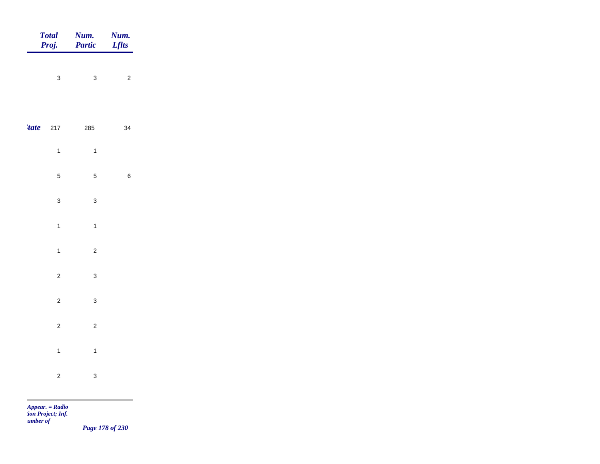| Total<br>Proj. | <b>Num.</b><br>Partic | <b>Num.</b><br><b>Lflts</b> |
|----------------|-----------------------|-----------------------------|
| $\mathbf{3}$   | $\mathbf{3}$          | $\overline{c}$              |
|                |                       |                             |
| $'$ tate 217   | 285                   | 34                          |
| $\overline{1}$ | $\overline{1}$        |                             |
| $\overline{5}$ | $\overline{5}$        | $\,6\,$                     |
| $\mathbf{3}$   | $\mathbf{3}$          |                             |
| $\overline{1}$ | $\overline{1}$        |                             |
| $\mathbf{1}$   | $\overline{c}$        |                             |
| $\overline{2}$ | $\mathbf{3}$          |                             |
| $\sqrt{2}$     | $\mathbf{3}$          |                             |
| $\overline{2}$ | $\overline{c}$        |                             |
| $\overline{1}$ | $\overline{1}$        |                             |
| $\overline{c}$ | $\mathbf{3}$          |                             |

m

*Page 178 of 230*

and the control of the control of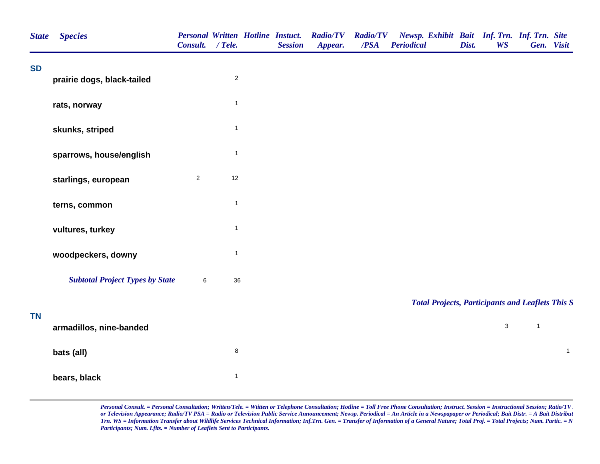| <b>State</b> | <b>Species</b>                         | Consult.       | $/$ Tele.    | <b>Personal Written Hotline Instuct.</b><br><b>Session</b> | <b>Radio/TV</b><br>Appear. | <b>Radio/TV</b><br>/PSA | Newsp. Exhibit Bait Inf. Trn. Inf. Trn. Site<br><b>Periodical</b> | Dist. | <b>WS</b>    |              | Gen. Visit   |
|--------------|----------------------------------------|----------------|--------------|------------------------------------------------------------|----------------------------|-------------------------|-------------------------------------------------------------------|-------|--------------|--------------|--------------|
| <b>SD</b>    | prairie dogs, black-tailed             |                | $\sqrt{2}$   |                                                            |                            |                         |                                                                   |       |              |              |              |
|              | rats, norway                           |                | $\mathbf{1}$ |                                                            |                            |                         |                                                                   |       |              |              |              |
|              | skunks, striped                        |                | $\mathbf{1}$ |                                                            |                            |                         |                                                                   |       |              |              |              |
|              | sparrows, house/english                |                | $\mathbf{1}$ |                                                            |                            |                         |                                                                   |       |              |              |              |
|              | starlings, european                    | $\overline{2}$ | 12           |                                                            |                            |                         |                                                                   |       |              |              |              |
|              | terns, common                          |                | $\mathbf{1}$ |                                                            |                            |                         |                                                                   |       |              |              |              |
|              | vultures, turkey                       |                | $\mathbf{1}$ |                                                            |                            |                         |                                                                   |       |              |              |              |
|              | woodpeckers, downy                     |                | $\mathbf{1}$ |                                                            |                            |                         |                                                                   |       |              |              |              |
|              | <b>Subtotal Project Types by State</b> | 6              | 36           |                                                            |                            |                         |                                                                   |       |              |              |              |
| <b>TN</b>    |                                        |                |              |                                                            |                            |                         | <b>Total Projects, Participants and Leaflets This S</b>           |       |              |              |              |
|              | armadillos, nine-banded                |                |              |                                                            |                            |                         |                                                                   |       | $\mathbf{3}$ | $\mathbf{1}$ |              |
|              | bats (all)                             |                | $\bf 8$      |                                                            |                            |                         |                                                                   |       |              |              | $\mathbf{1}$ |
|              | bears, black                           |                | $\mathbf{1}$ |                                                            |                            |                         |                                                                   |       |              |              |              |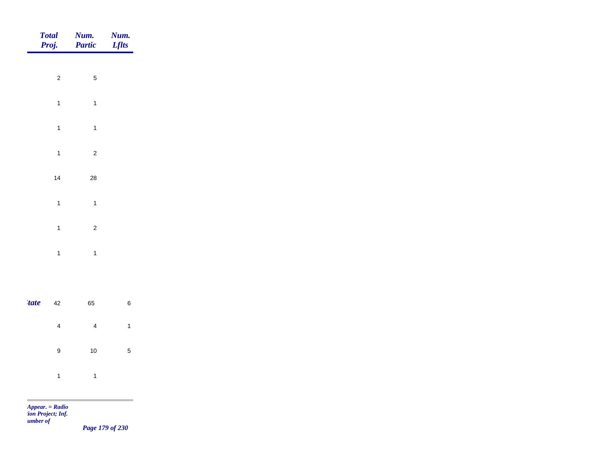|             | <b>Total</b><br>Proj. | Num.<br>Partic          | Num.<br><b>Lflts</b> |
|-------------|-----------------------|-------------------------|----------------------|
|             |                       |                         |                      |
|             | $\overline{c}$        | $\sqrt{5}$              |                      |
|             | $\mathbf{1}$          | $\mathbf{1}$            |                      |
|             | $\mathbf{1}$          | $\mathbf{1}$            |                      |
|             | $\overline{1}$        | $\overline{\mathbf{c}}$ |                      |
|             | 14                    | 28                      |                      |
|             | $\mathbf{1}$          | $\mathbf{1}$            |                      |
|             |                       |                         |                      |
|             | $\overline{1}$        | $\overline{c}$          |                      |
|             | $\overline{1}$        | $\mathbf{1}$            |                      |
|             |                       |                         |                      |
| <i>tate</i> | $42\,$                | 65                      | $\,6\,$              |
|             | $\overline{4}$        | $\overline{4}$          | $\overline{1}$       |
|             | $\boldsymbol{9}$      | $10$                    | $\overline{5}$       |
|             |                       |                         |                      |
|             | $\mathbf{1}$          | $\overline{1}$          |                      |
| <b>COL</b>  | $Appear. = Radio$     |                         |                      |

*tion Project; Inf. Number of* 

*Page 179 of 230*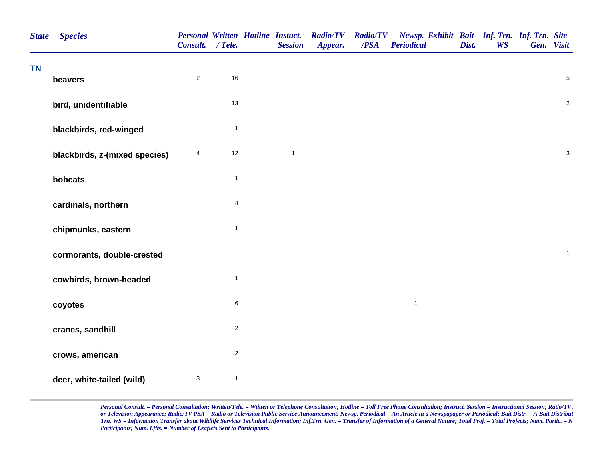| <b>State</b> | <b>Species</b>                | Consult. / Tele.        |                | <b>Personal Written Hotline Instuct.</b><br><b>Session</b> | <b>Radio/TV</b><br>Appear. | <b>Radio/TV</b><br>/PSA | Newsp. Exhibit Bait Inf. Trn. Inf. Trn. Site<br><b>Periodical</b> | Dist. | <b>WS</b> | Gen. Visit |                |
|--------------|-------------------------------|-------------------------|----------------|------------------------------------------------------------|----------------------------|-------------------------|-------------------------------------------------------------------|-------|-----------|------------|----------------|
| <b>TN</b>    | beavers                       | $\overline{2}$          | 16             |                                                            |                            |                         |                                                                   |       |           |            | $\overline{5}$ |
|              | bird, unidentifiable          |                         | 13             |                                                            |                            |                         |                                                                   |       |           |            | $\overline{c}$ |
|              | blackbirds, red-winged        |                         | $\mathbf{1}$   |                                                            |                            |                         |                                                                   |       |           |            |                |
|              | blackbirds, z-(mixed species) | $\overline{\mathbf{4}}$ | 12             | $\mathbf{1}$                                               |                            |                         |                                                                   |       |           |            | $\mathbf{3}$   |
|              | bobcats                       |                         | $\mathbf{1}$   |                                                            |                            |                         |                                                                   |       |           |            |                |
|              | cardinals, northern           |                         | $\overline{4}$ |                                                            |                            |                         |                                                                   |       |           |            |                |
|              | chipmunks, eastern            |                         | $\mathbf{1}$   |                                                            |                            |                         |                                                                   |       |           |            |                |
|              | cormorants, double-crested    |                         |                |                                                            |                            |                         |                                                                   |       |           |            | $\mathbf{1}$   |
|              | cowbirds, brown-headed        |                         | $\mathbf{1}$   |                                                            |                            |                         |                                                                   |       |           |            |                |
|              | coyotes                       |                         | 6              |                                                            |                            |                         | $\mathbf{1}$                                                      |       |           |            |                |
|              | cranes, sandhill              |                         | $\overline{c}$ |                                                            |                            |                         |                                                                   |       |           |            |                |
|              | crows, american               |                         | $\overline{c}$ |                                                            |                            |                         |                                                                   |       |           |            |                |
|              | deer, white-tailed (wild)     | $\mathsf 3$             | $\mathbf{1}$   |                                                            |                            |                         |                                                                   |       |           |            |                |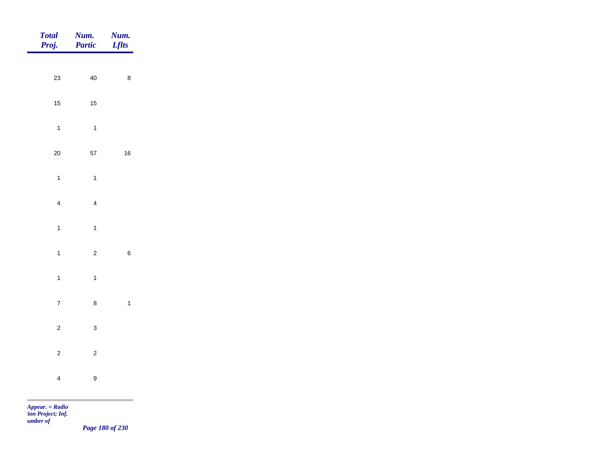| Total<br>Proj. | Num.<br>Partic   | <b>Num.</b><br>Lflts                         |
|----------------|------------------|----------------------------------------------|
| $23\,$         | $40\,$           | $\bf 8$                                      |
|                |                  |                                              |
| $15$           | $15\,$           |                                              |
| $\mathbf{1}$   | $\overline{1}$   |                                              |
| $20\,$         | $57\,$           | $16\,$                                       |
| $\overline{1}$ | $\mathbf{1}$     |                                              |
| $\overline{4}$ | $\overline{4}$   |                                              |
| $\overline{1}$ | $\mathbf{1}$     |                                              |
|                |                  |                                              |
| $\overline{1}$ | $\overline{2}$   | $\,6\,$                                      |
| $\overline{1}$ | $\mathbf{1}$     |                                              |
| $\overline{7}$ | $\bf 8$          | $\overline{\mathbf{1}}$                      |
| $\overline{c}$ | $\mathbf{3}$     |                                              |
| $\overline{2}$ | $\overline{c}$   |                                              |
| $\overline{4}$ | $\boldsymbol{9}$ |                                              |
|                |                  | the control of the control of the control of |

*Page 180 of 230*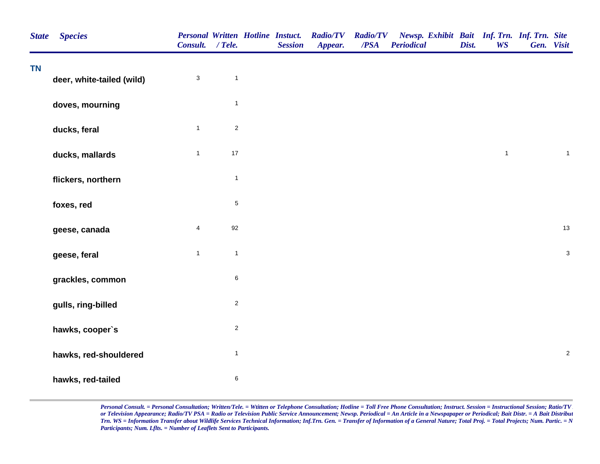| <b>State</b> | <b>Species</b>            | Consult. / Tele.          |              | <b>Personal Written Hotline Instuct.</b><br><b>Session</b> | <b>Radio/TV</b><br>Appear. | <b>Radio/TV</b><br>/PSA | Newsp. Exhibit Bait Inf. Trn. Inf. Trn. Site<br><b>Periodical</b> | Dist. | <b>WS</b>    | Gen. Visit |              |
|--------------|---------------------------|---------------------------|--------------|------------------------------------------------------------|----------------------------|-------------------------|-------------------------------------------------------------------|-------|--------------|------------|--------------|
| <b>TN</b>    | deer, white-tailed (wild) | $\ensuremath{\mathsf{3}}$ | $\mathbf{1}$ |                                                            |                            |                         |                                                                   |       |              |            |              |
|              | doves, mourning           |                           | $\mathbf{1}$ |                                                            |                            |                         |                                                                   |       |              |            |              |
|              | ducks, feral              | $\mathbf{1}$              | $\sqrt{2}$   |                                                            |                            |                         |                                                                   |       |              |            |              |
|              | ducks, mallards           | $\mathbf{1}$              | $17$         |                                                            |                            |                         |                                                                   |       | $\mathbf{1}$ |            | $\mathbf{1}$ |
|              | flickers, northern        |                           | $\mathbf{1}$ |                                                            |                            |                         |                                                                   |       |              |            |              |
|              | foxes, red                |                           | $\,$ 5 $\,$  |                                                            |                            |                         |                                                                   |       |              |            |              |
|              | geese, canada             | $\overline{\mathbf{4}}$   | 92           |                                                            |                            |                         |                                                                   |       |              |            | 13           |
|              | geese, feral              | $\mathbf{1}$              | $\mathbf{1}$ |                                                            |                            |                         |                                                                   |       |              |            | $\sqrt{3}$   |
|              | grackles, common          |                           | $\,6\,$      |                                                            |                            |                         |                                                                   |       |              |            |              |
|              | gulls, ring-billed        |                           | $\sqrt{2}$   |                                                            |                            |                         |                                                                   |       |              |            |              |
|              | hawks, cooper's           |                           | $\sqrt{2}$   |                                                            |                            |                         |                                                                   |       |              |            |              |
|              | hawks, red-shouldered     |                           | $\mathbf{1}$ |                                                            |                            |                         |                                                                   |       |              |            | $\sqrt{2}$   |
|              | hawks, red-tailed         |                           | $\,6$        |                                                            |                            |                         |                                                                   |       |              |            |              |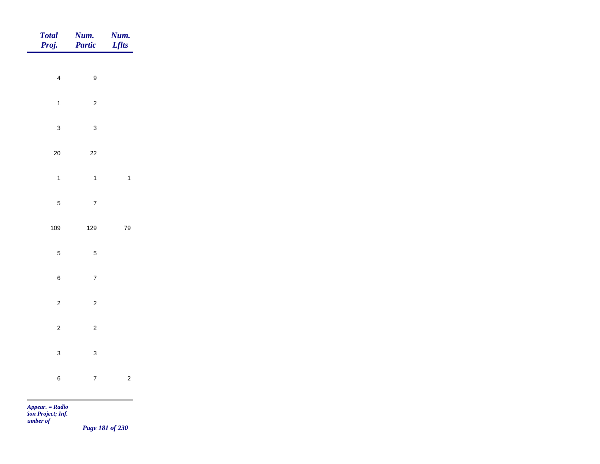| Total<br>Proj. | Num.<br>Partic                     | <b>Num.</b><br><b>Lflts</b> |
|----------------|------------------------------------|-----------------------------|
|                |                                    |                             |
|                | $\overline{4}$<br>$\boldsymbol{9}$ |                             |
|                | $\overline{c}$<br>$\mathbf{1}$     |                             |
|                | $\mathbf{3}$<br>$\mathbf{3}$       |                             |
| $20\,$         | $22\,$                             |                             |
|                | $\overline{1}$<br>$\mathbf{1}$     | $\overline{1}$              |
|                | $\overline{7}$<br>$\overline{5}$   |                             |
| 109            | 129                                | 79                          |
|                |                                    |                             |
|                | $\overline{5}$<br>$\sqrt{5}$       |                             |
|                | $\bf 6$<br>$\overline{7}$          |                             |
|                | $\overline{2}$<br>$\overline{2}$   |                             |
|                | $\overline{c}$<br>$\overline{c}$   |                             |
|                | $\mathbf{3}$<br>$\mathbf{3}$       |                             |
|                | $\overline{7}$<br>$\,$ 6 $\,$      | $\overline{c}$              |
|                |                                    |                             |

*Page 181 of 230*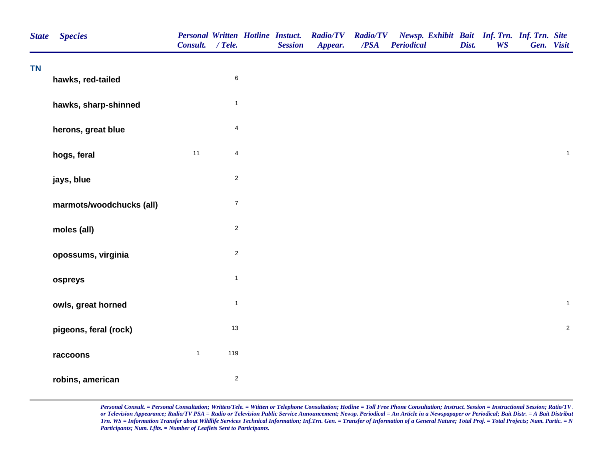| <b>State</b> | <b>Species</b>           | Consult. / Tele. |                         | <b>Personal Written Hotline Instuct.</b><br><b>Session</b> | <b>Radio/TV</b><br>Appear. | <b>Radio/TV</b><br>$\overline{PSA}$ | Newsp. Exhibit Bait Inf. Trn. Inf. Trn. Site<br><b>Periodical</b> | Dist. | <b>WS</b> | Gen. Visit |              |
|--------------|--------------------------|------------------|-------------------------|------------------------------------------------------------|----------------------------|-------------------------------------|-------------------------------------------------------------------|-------|-----------|------------|--------------|
| <b>TN</b>    | hawks, red-tailed        |                  | $\,6\,$                 |                                                            |                            |                                     |                                                                   |       |           |            |              |
|              | hawks, sharp-shinned     |                  | $\mathbf{1}$            |                                                            |                            |                                     |                                                                   |       |           |            |              |
|              | herons, great blue       |                  | $\overline{4}$          |                                                            |                            |                                     |                                                                   |       |           |            |              |
|              | hogs, feral              | 11               | $\overline{\mathbf{4}}$ |                                                            |                            |                                     |                                                                   |       |           |            | $\mathbf{1}$ |
|              | jays, blue               |                  | $\sqrt{2}$              |                                                            |                            |                                     |                                                                   |       |           |            |              |
|              | marmots/woodchucks (all) |                  | $\overline{7}$          |                                                            |                            |                                     |                                                                   |       |           |            |              |
|              | moles (all)              |                  | $\overline{c}$          |                                                            |                            |                                     |                                                                   |       |           |            |              |
|              | opossums, virginia       |                  | $\overline{2}$          |                                                            |                            |                                     |                                                                   |       |           |            |              |
|              | ospreys                  |                  | $\mathbf{1}$            |                                                            |                            |                                     |                                                                   |       |           |            |              |
|              | owls, great horned       |                  | $\mathbf{1}$            |                                                            |                            |                                     |                                                                   |       |           |            | $\mathbf{1}$ |
|              | pigeons, feral (rock)    |                  | $13$                    |                                                            |                            |                                     |                                                                   |       |           |            | $\sqrt{2}$   |
|              | raccoons                 | $\mathbf{1}$     | 119                     |                                                            |                            |                                     |                                                                   |       |           |            |              |
|              | robins, american         |                  | $\sqrt{2}$              |                                                            |                            |                                     |                                                                   |       |           |            |              |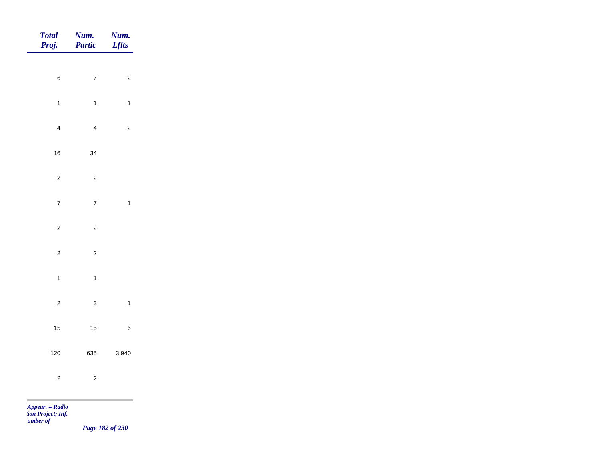| <b>Total</b><br>Proj. | Num.<br>Partic | Num.<br><b>Lflts</b>    |
|-----------------------|----------------|-------------------------|
|                       |                |                         |
| $\,$ 6 $\,$           | $\overline{7}$ | $\overline{c}$          |
| $\overline{1}$        | $\mathbf{1}$   | $\mathbf{1}$            |
| $\overline{4}$        | $\overline{4}$ | $\overline{c}$          |
| 16                    | 34             |                         |
| $\overline{c}$        | $\overline{c}$ |                         |
| $\overline{7}$        | $\overline{7}$ | $\overline{\mathbf{1}}$ |
|                       |                |                         |
| $\overline{c}$        | $\overline{c}$ |                         |
| $\overline{c}$        | $\mathbf 2$    |                         |
| $\overline{1}$        | $\mathbf{1}$   |                         |
| $\overline{2}$        | $\mathbf{3}$   | $\overline{\mathbf{1}}$ |
| 15                    | $15$           | $\, 6$                  |
| 120                   | 635            | 3,940                   |
| $\overline{c}$        | $\mathbf 2$    |                         |
|                       |                |                         |

*tion Project; Inf. Number of* 

*Page 182 of 230*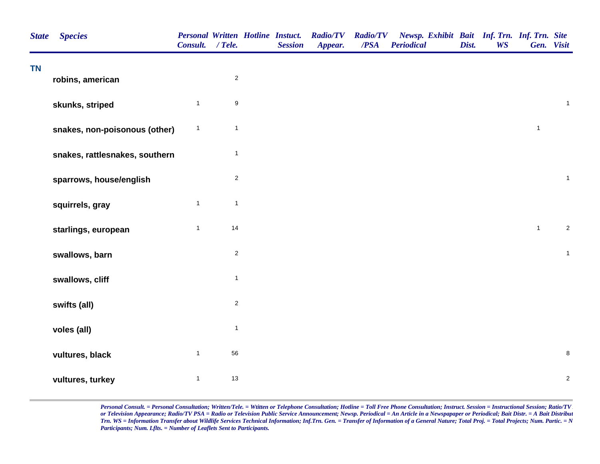| <b>State</b> | <b>Species</b>                 | <b>Personal Written Hotline Instuct.</b><br>Consult. / Tele. |                  | <b>Session</b> | <b>Radio/TV</b><br>Appear. | <b>Radio/TV</b><br>/PSA | Newsp. Exhibit Bait Inf. Trn. Inf. Trn. Site<br><b>Periodical</b> | Dist. | <b>WS</b> | Gen. Visit   |              |
|--------------|--------------------------------|--------------------------------------------------------------|------------------|----------------|----------------------------|-------------------------|-------------------------------------------------------------------|-------|-----------|--------------|--------------|
| <b>TN</b>    | robins, american               |                                                              | $\overline{c}$   |                |                            |                         |                                                                   |       |           |              |              |
|              | skunks, striped                | $\mathbf{1}$                                                 | $\boldsymbol{9}$ |                |                            |                         |                                                                   |       |           |              | $\mathbf{1}$ |
|              | snakes, non-poisonous (other)  | $\mathbf{1}$                                                 | $\mathbf{1}$     |                |                            |                         |                                                                   |       |           | $\mathbf{1}$ |              |
|              | snakes, rattlesnakes, southern |                                                              | $\mathbf{1}$     |                |                            |                         |                                                                   |       |           |              |              |
|              | sparrows, house/english        |                                                              | $\sqrt{2}$       |                |                            |                         |                                                                   |       |           |              | $\mathbf{1}$ |
|              | squirrels, gray                | $\mathbf{1}$                                                 | $\mathbf{1}$     |                |                            |                         |                                                                   |       |           |              |              |
|              | starlings, european            | $\mathbf{1}$                                                 | 14               |                |                            |                         |                                                                   |       |           | $\mathbf{1}$ | $\sqrt{2}$   |
|              | swallows, barn                 |                                                              | $\sqrt{2}$       |                |                            |                         |                                                                   |       |           |              | $\mathbf{1}$ |
|              | swallows, cliff                |                                                              | $\mathbf{1}$     |                |                            |                         |                                                                   |       |           |              |              |
|              | swifts (all)                   |                                                              | $\overline{2}$   |                |                            |                         |                                                                   |       |           |              |              |
|              | voles (all)                    |                                                              | $\mathbf{1}$     |                |                            |                         |                                                                   |       |           |              |              |
|              | vultures, black                | $\mathbf{1}$                                                 | 56               |                |                            |                         |                                                                   |       |           |              | $\bf 8$      |
|              | vultures, turkey               | $\mathbf{1}$                                                 | 13               |                |                            |                         |                                                                   |       |           |              | $\sqrt{2}$   |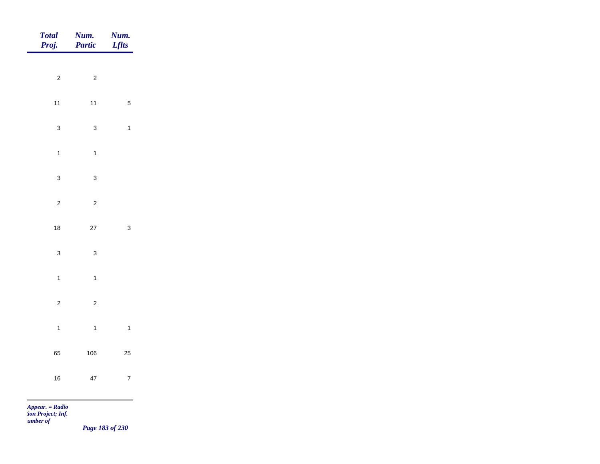| <b>Total</b><br>Proj. | <b>Num.</b><br>Partic | Num.<br><b>Lflts</b> |
|-----------------------|-----------------------|----------------------|
|                       |                       |                      |
| $\sqrt{2}$            | $\mathbf 2$           |                      |
| $11$                  | $11$                  | $\sqrt{5}$           |
| $\mathbf{3}$          | $\mathbf{3}$          | $\mathbf{1}$         |
| $\mathbf{1}$          | $\overline{1}$        |                      |
| $\mathbf{3}$          | $\mathbf{3}$          |                      |
| $\sqrt{2}$            | $\mathbf 2$           |                      |
|                       |                       |                      |
| $18\,$                | $27\,$                | $\mathbf{3}$         |
| $\mathbf{3}$          | $\mathbf{3}$          |                      |
| $\overline{1}$        | $\overline{1}$        |                      |
| $\mathbf 2$           | $\overline{c}$        |                      |
| $\overline{1}$        | $\overline{1}$        | $\mathbf{1}$         |
| 65                    | 106                   | $25\,$               |
|                       |                       |                      |
| $16\,$                | 47                    | $\overline{7}$       |
| $Appear. = Radio$     |                       |                      |

*tion Project; Inf. Number of* 

*Page 183 of 230*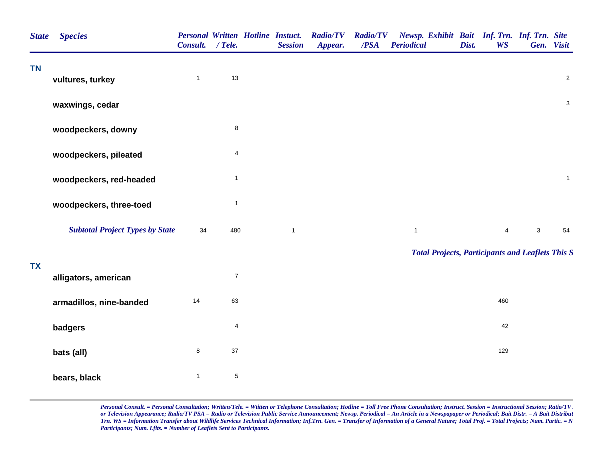| <b>State</b> | <b>Species</b>                         | <b>Personal Written Hotline Instuct.</b><br>Consult. / Tele. |                         | <b>Session</b> | <b>Radio/TV</b><br>Appear. | <b>Radio/TV</b><br>/PSA | Newsp. Exhibit Bait Inf. Trn. Inf. Trn. Site<br><b>Periodical</b> | Dist. | <b>WS</b>      | Gen. Visit                |              |
|--------------|----------------------------------------|--------------------------------------------------------------|-------------------------|----------------|----------------------------|-------------------------|-------------------------------------------------------------------|-------|----------------|---------------------------|--------------|
| <b>TN</b>    | vultures, turkey                       | $\mathbf{1}$                                                 | $13$                    |                |                            |                         |                                                                   |       |                |                           | $\sqrt{2}$   |
|              | waxwings, cedar                        |                                                              |                         |                |                            |                         |                                                                   |       |                |                           | $\mathsf 3$  |
|              | woodpeckers, downy                     |                                                              | $\bf 8$                 |                |                            |                         |                                                                   |       |                |                           |              |
|              | woodpeckers, pileated                  |                                                              | 4                       |                |                            |                         |                                                                   |       |                |                           |              |
|              | woodpeckers, red-headed                |                                                              | $\overline{1}$          |                |                            |                         |                                                                   |       |                |                           | $\mathbf{1}$ |
|              | woodpeckers, three-toed                |                                                              | $\mathbf{1}$            |                |                            |                         |                                                                   |       |                |                           |              |
|              | <b>Subtotal Project Types by State</b> | 34                                                           | 480                     | $\mathbf{1}$   |                            |                         | $\mathbf{1}$                                                      |       | $\overline{4}$ | $\ensuremath{\mathsf{3}}$ | 54           |
|              |                                        |                                                              |                         |                |                            |                         | <b>Total Projects, Participants and Leaflets This S</b>           |       |                |                           |              |
| <b>TX</b>    | alligators, american                   |                                                              | $\boldsymbol{7}$        |                |                            |                         |                                                                   |       |                |                           |              |
|              | armadillos, nine-banded                | 14                                                           | 63                      |                |                            |                         |                                                                   |       | 460            |                           |              |
|              | badgers                                |                                                              | $\overline{\mathbf{4}}$ |                |                            |                         |                                                                   |       | 42             |                           |              |
|              | bats (all)                             | $\bf 8$                                                      | $37\,$                  |                |                            |                         |                                                                   |       | 129            |                           |              |
|              | bears, black                           | $\mathbf{1}$                                                 | $\sqrt{5}$              |                |                            |                         |                                                                   |       |                |                           |              |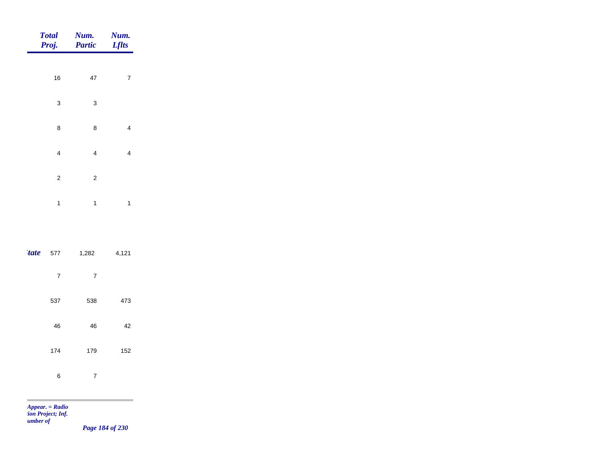|             | <b>Total</b><br>Proj.    | Num.<br>Partic          | Num.<br><b>Lflts</b>    |
|-------------|--------------------------|-------------------------|-------------------------|
|             |                          |                         |                         |
|             | 16                       | 47                      | $\overline{7}$          |
|             | 3                        | 3                       |                         |
|             | 8                        | 8                       | $\overline{\mathbf{4}}$ |
|             | $\overline{\mathcal{L}}$ | $\overline{\mathbf{4}}$ | $\overline{\mathbf{4}}$ |
|             | $\overline{\mathbf{c}}$  | $\overline{\mathbf{c}}$ |                         |
|             | $\mathbf{1}$             | $\mathbf{1}$            | $\mathbf{1}$            |
|             |                          |                         |                         |
| <i>tate</i> | 577                      | 1,282                   | 4,121                   |
|             | $\overline{7}$           | $\overline{7}$          |                         |
|             | 537                      | 538                     | 473                     |
|             | 46                       | 46                      | 42                      |
|             | 174                      | 179                     | 152                     |
|             | 6                        | $\overline{7}$          |                         |

m

*Page 184 of 230*

and the control of the control of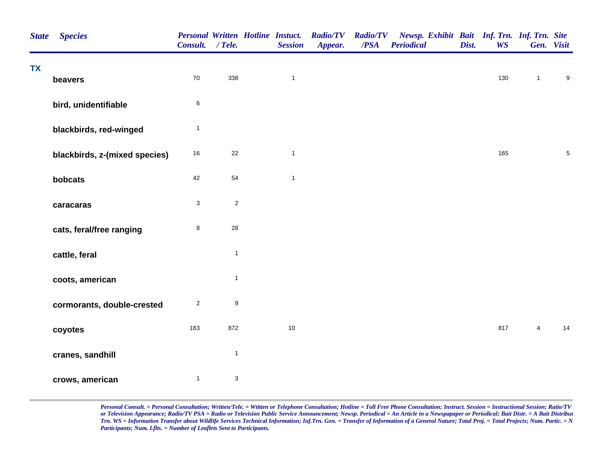| <b>State</b> | <b>Species</b>                | <b>Personal Written Hotline Instuct.</b><br>Consult. / Tele. |                  | <b>Session</b> | <b>Radio/TV</b><br>Appear. | $\overline{PSA}$ | Radio/TV Newsp. Exhibit Bait Inf. Trn. Inf. Trn. Site<br><b>Periodical</b> | Dist. | <b>WS</b> |                | Gen. Visit       |
|--------------|-------------------------------|--------------------------------------------------------------|------------------|----------------|----------------------------|------------------|----------------------------------------------------------------------------|-------|-----------|----------------|------------------|
| <b>TX</b>    | beavers                       | 70                                                           | 338              | $\mathbf{1}$   |                            |                  |                                                                            |       | 130       | $\mathbf{1}$   | $\boldsymbol{9}$ |
|              | bird, unidentifiable          | $\,6$                                                        |                  |                |                            |                  |                                                                            |       |           |                |                  |
|              | blackbirds, red-winged        | $\mathbf{1}$                                                 |                  |                |                            |                  |                                                                            |       |           |                |                  |
|              | blackbirds, z-(mixed species) | 16                                                           | 22               | $\mathbf{1}$   |                            |                  |                                                                            |       | 165       |                | $\,$ 5 $\,$      |
|              | bobcats                       | 42                                                           | 54               | $\mathbf{1}$   |                            |                  |                                                                            |       |           |                |                  |
|              | caracaras                     | $\mathsf 3$                                                  | $\sqrt{2}$       |                |                            |                  |                                                                            |       |           |                |                  |
|              | cats, feral/free ranging      | 8                                                            | 28               |                |                            |                  |                                                                            |       |           |                |                  |
|              | cattle, feral                 |                                                              | $\mathbf{1}$     |                |                            |                  |                                                                            |       |           |                |                  |
|              | coots, american               |                                                              | $\mathbf{1}$     |                |                            |                  |                                                                            |       |           |                |                  |
|              | cormorants, double-crested    | $\overline{c}$                                               | $\boldsymbol{9}$ |                |                            |                  |                                                                            |       |           |                |                  |
|              | coyotes                       | 183                                                          | 872              | $10$           |                            |                  |                                                                            |       | 817       | $\overline{4}$ | 14               |
|              | cranes, sandhill              |                                                              | $\mathbf{1}$     |                |                            |                  |                                                                            |       |           |                |                  |
|              | crows, american               | $\mathbf{1}$                                                 | $\mathbf{3}$     |                |                            |                  |                                                                            |       |           |                |                  |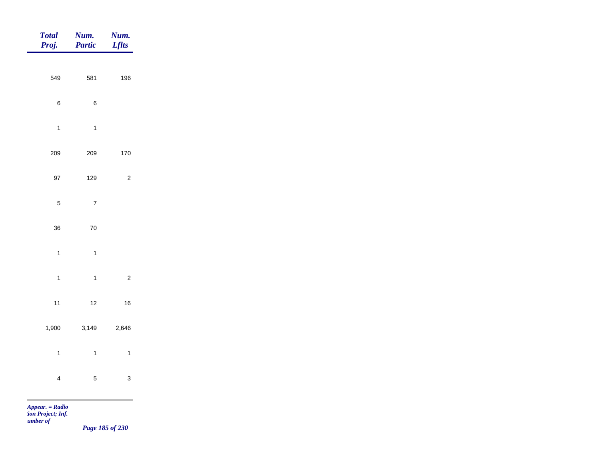| <b>Total</b><br>Proj.                              | Num.<br>Partic | Num.<br><b>Lflts</b> |
|----------------------------------------------------|----------------|----------------------|
|                                                    |                |                      |
| 549                                                | 581            | 196                  |
| $\,6\,$                                            | $\, 6$         |                      |
| $\overline{1}$                                     | $\overline{1}$ |                      |
| 209                                                | 209            | 170                  |
| 97                                                 | 129            | $\mathbf 2$          |
| $\sqrt{5}$                                         | $\overline{7}$ |                      |
| 36                                                 | $70\,$         |                      |
| $\mathbf{1}$                                       | $\mathbf{1}$   |                      |
|                                                    |                |                      |
| $\overline{1}$                                     | $\overline{1}$ | $\mathbf 2$          |
| $11$                                               | $12$           | $16\,$               |
| 1,900                                              | 3,149          | 2,646                |
| $\mathbf{1}$                                       | $\mathbf{1}$   | $\mathbf{1}$         |
| $\overline{4}$                                     | $\overline{5}$ | $\mathbf{3}$         |
| $\label{eq:appear} A \emph{ppear.} = \emph{Radio}$ |                |                      |

*tion Project; Inf. Number of* 

*Page 185 of 230*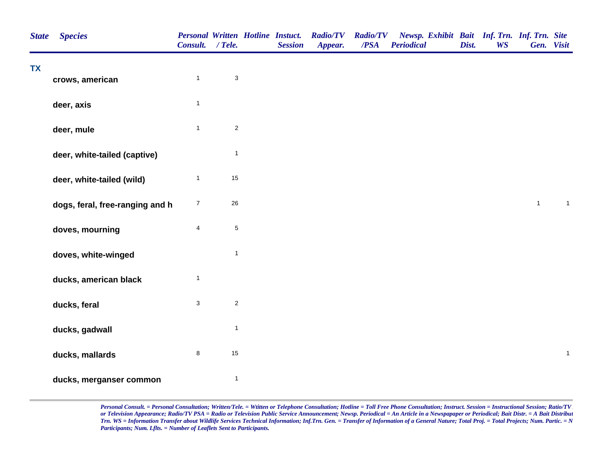| <b>State</b> | <b>Species</b>                  | Consult. / Tele.        |                           | <b>Personal Written Hotline Instuct.</b><br><b>Session</b> | <b>Radio/TV</b><br>Appear. | <b>Radio/TV</b><br>/PSA | Newsp. Exhibit Bait Inf. Trn. Inf. Trn. Site<br><b>Periodical</b> | Dist. | <b>WS</b> | Gen. Visit   |                |  |
|--------------|---------------------------------|-------------------------|---------------------------|------------------------------------------------------------|----------------------------|-------------------------|-------------------------------------------------------------------|-------|-----------|--------------|----------------|--|
| <b>TX</b>    | crows, american                 | $\mathbf{1}$            | $\ensuremath{\mathsf{3}}$ |                                                            |                            |                         |                                                                   |       |           |              |                |  |
|              | deer, axis                      | $\mathbf{1}$            |                           |                                                            |                            |                         |                                                                   |       |           |              |                |  |
|              | deer, mule                      | $\mathbf{1}$            | $\overline{2}$            |                                                            |                            |                         |                                                                   |       |           |              |                |  |
|              | deer, white-tailed (captive)    |                         | $\mathbf{1}$              |                                                            |                            |                         |                                                                   |       |           |              |                |  |
|              | deer, white-tailed (wild)       | $\mathbf{1}$            | 15                        |                                                            |                            |                         |                                                                   |       |           |              |                |  |
|              | dogs, feral, free-ranging and h | $\boldsymbol{7}$        | 26                        |                                                            |                            |                         |                                                                   |       |           | $\mathbf{1}$ | $\mathbf{1}$   |  |
|              | doves, mourning                 | $\overline{\mathbf{4}}$ | $\,$ 5 $\,$               |                                                            |                            |                         |                                                                   |       |           |              |                |  |
|              | doves, white-winged             |                         | $\mathbf{1}$              |                                                            |                            |                         |                                                                   |       |           |              |                |  |
|              | ducks, american black           | $\mathbf{1}$            |                           |                                                            |                            |                         |                                                                   |       |           |              |                |  |
|              | ducks, feral                    | $\mathbf{3}$            | $\sqrt{2}$                |                                                            |                            |                         |                                                                   |       |           |              |                |  |
|              | ducks, gadwall                  |                         | $\mathbf{1}$              |                                                            |                            |                         |                                                                   |       |           |              |                |  |
|              | ducks, mallards                 | 8                       | 15                        |                                                            |                            |                         |                                                                   |       |           |              | $\overline{1}$ |  |
|              | ducks, merganser common         |                         | $\mathbf{1}$              |                                                            |                            |                         |                                                                   |       |           |              |                |  |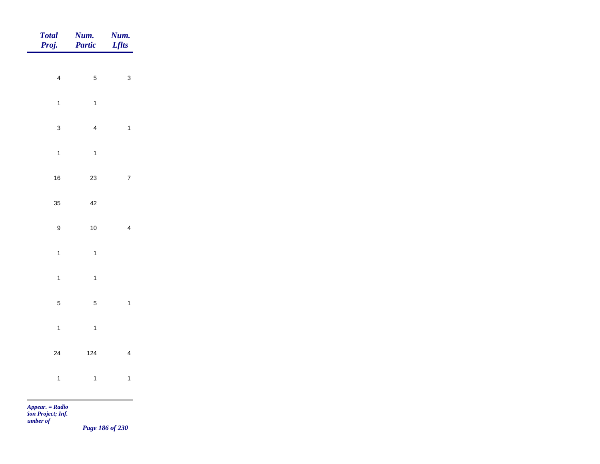| Total<br>Proj.   | Num.<br>Partic | <b>Num.</b><br>Lflts |
|------------------|----------------|----------------------|
|                  |                |                      |
| $\overline{4}$   | $\overline{5}$ | $\mathbf{3}$         |
| $\mathbf{1}$     | $\mathbf{1}$   |                      |
| $\mathbf{3}$     | $\overline{4}$ | $\mathbf{1}$         |
| $\mathbf{1}$     | $\mathbf{1}$   |                      |
| $16\,$           | $23\,$         | $\bar{7}$            |
| 35               | $42\,$         |                      |
| $\boldsymbol{9}$ | $10\,$         | $\overline{4}$       |
| $\mathbf{1}$     | $\overline{1}$ |                      |
|                  |                |                      |
| $\mathbf{1}$     | $\mathbf{1}$   |                      |
| $\overline{5}$   | $\overline{5}$ | $\mathbf{1}$         |
| $\overline{1}$   | $\mathbf{1}$   |                      |
| 24               | $124$          | $\overline{4}$       |
| $\overline{1}$   | $\mathbf{1}$   | $\mathbf{1}$         |
|                  |                |                      |

*Page 186 of 230*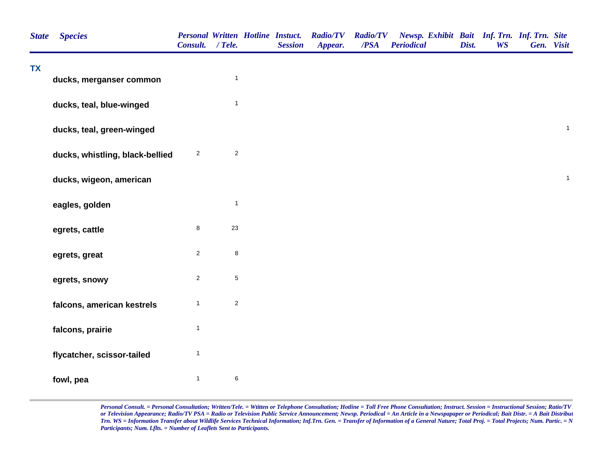| <b>State</b> | <b>Species</b>                  | Consult. / Tele. |                | <b>Personal Written Hotline Instuct.</b><br><b>Session</b> | <b>Radio/TV</b><br>Appear. | <b>Radio/TV</b><br>/PSA | Newsp. Exhibit Bait Inf. Trn. Inf. Trn. Site<br><b>Periodical</b> | Dist. | <b>WS</b> | Gen. Visit |              |
|--------------|---------------------------------|------------------|----------------|------------------------------------------------------------|----------------------------|-------------------------|-------------------------------------------------------------------|-------|-----------|------------|--------------|
| <b>TX</b>    | ducks, merganser common         |                  | $\overline{1}$ |                                                            |                            |                         |                                                                   |       |           |            |              |
|              | ducks, teal, blue-winged        |                  | $\mathbf{1}$   |                                                            |                            |                         |                                                                   |       |           |            |              |
|              | ducks, teal, green-winged       |                  |                |                                                            |                            |                         |                                                                   |       |           |            | $\mathbf{1}$ |
|              | ducks, whistling, black-bellied | $\overline{a}$   | $\sqrt{2}$     |                                                            |                            |                         |                                                                   |       |           |            |              |
|              | ducks, wigeon, american         |                  |                |                                                            |                            |                         |                                                                   |       |           |            | $\mathbf{1}$ |
|              | eagles, golden                  |                  | $\mathbf{1}$   |                                                            |                            |                         |                                                                   |       |           |            |              |
|              | egrets, cattle                  | 8                | 23             |                                                            |                            |                         |                                                                   |       |           |            |              |
|              | egrets, great                   | $\overline{2}$   | 8              |                                                            |                            |                         |                                                                   |       |           |            |              |
|              | egrets, snowy                   | $\overline{c}$   | 5              |                                                            |                            |                         |                                                                   |       |           |            |              |
|              | falcons, american kestrels      | $\mathbf{1}$     | $\overline{c}$ |                                                            |                            |                         |                                                                   |       |           |            |              |
|              | falcons, prairie                | $\mathbf{1}$     |                |                                                            |                            |                         |                                                                   |       |           |            |              |
|              | flycatcher, scissor-tailed      | $\mathbf{1}$     |                |                                                            |                            |                         |                                                                   |       |           |            |              |
|              | fowl, pea                       | $\mathbf{1}$     | 6              |                                                            |                            |                         |                                                                   |       |           |            |              |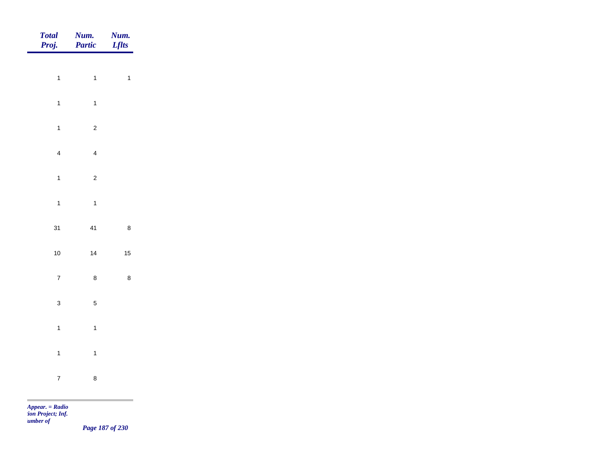| Total<br>Proj. | <b>Num.</b><br>Partic | <b>Num.</b><br>Lflts |
|----------------|-----------------------|----------------------|
| $\overline{1}$ | $\overline{1}$        | $\mathbf{1}$         |
|                |                       |                      |
| $\mathbf{1}$   | $\overline{1}$        |                      |
| $\mathbf{1}$   | $\overline{c}$        |                      |
| $\overline{4}$ | $\overline{4}$        |                      |
| $\overline{1}$ | $\overline{c}$        |                      |
| $\mathbf{1}$   | $\overline{1}$        |                      |
| 31             | 41                    | $\bf 8$              |
| $10$           | $14$                  | $15\,$               |
| $\overline{7}$ | $\bf 8$               | $\bf 8$              |
|                |                       |                      |
| $\mathbf{3}$   | $\sqrt{5}$            |                      |
| $\overline{1}$ | $\overline{1}$        |                      |
| $\overline{1}$ | $\overline{1}$        |                      |
| $\overline{7}$ | $\bf 8$               |                      |

*Page 187 of 230*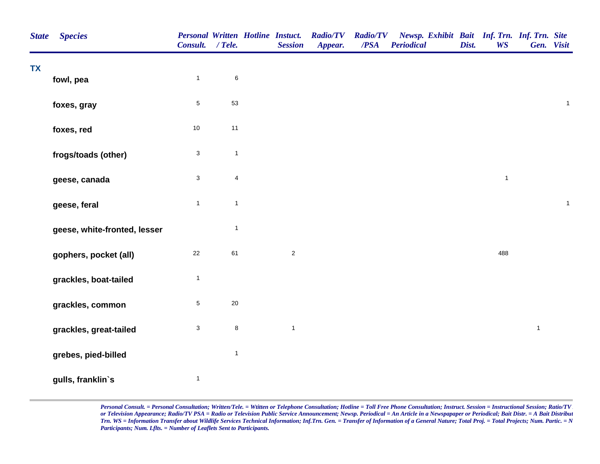| <b>State</b> | <b>Species</b>               | <b>Personal Written Hotline Instuct.</b><br>Consult. / Tele. |                         | <b>Session</b> | <b>Radio/TV</b><br>Appear. | <b>Radio/TV</b><br>$\overline{PSA}$ | Newsp. Exhibit Bait Inf. Trn. Inf. Trn. Site<br><b>Periodical</b> | Dist. | <b>WS</b>    |              | Gen. Visit   |
|--------------|------------------------------|--------------------------------------------------------------|-------------------------|----------------|----------------------------|-------------------------------------|-------------------------------------------------------------------|-------|--------------|--------------|--------------|
| <b>TX</b>    | fowl, pea                    | $\mathbf{1}$                                                 | $\,6\,$                 |                |                            |                                     |                                                                   |       |              |              |              |
|              | foxes, gray                  | $\sqrt{5}$                                                   | 53                      |                |                            |                                     |                                                                   |       |              |              | $\mathbf{1}$ |
|              | foxes, red                   | $10\,$                                                       | 11                      |                |                            |                                     |                                                                   |       |              |              |              |
|              | frogs/toads (other)          | $\ensuremath{\mathsf{3}}$                                    | $\mathbf{1}$            |                |                            |                                     |                                                                   |       |              |              |              |
|              | geese, canada                | $\mathbf 3$                                                  | $\overline{\mathbf{4}}$ |                |                            |                                     |                                                                   |       | $\mathbf{1}$ |              |              |
|              | geese, feral                 | $\mathbf{1}$                                                 | $\mathbf{1}$            |                |                            |                                     |                                                                   |       |              |              | $\mathbf{1}$ |
|              | geese, white-fronted, lesser |                                                              | $\mathbf{1}$            |                |                            |                                     |                                                                   |       |              |              |              |
|              | gophers, pocket (all)        | 22                                                           | 61                      | $\sqrt{2}$     |                            |                                     |                                                                   |       | 488          |              |              |
|              | grackles, boat-tailed        | $\mathbf{1}$                                                 |                         |                |                            |                                     |                                                                   |       |              |              |              |
|              | grackles, common             | $\sqrt{5}$                                                   | 20                      |                |                            |                                     |                                                                   |       |              |              |              |
|              | grackles, great-tailed       | $\ensuremath{\mathsf{3}}$                                    | $\bf 8$                 | $\mathbf{1}$   |                            |                                     |                                                                   |       |              | $\mathbf{1}$ |              |
|              | grebes, pied-billed          |                                                              | $\mathbf{1}$            |                |                            |                                     |                                                                   |       |              |              |              |
|              | gulls, franklin's            | $\mathbf{1}$                                                 |                         |                |                            |                                     |                                                                   |       |              |              |              |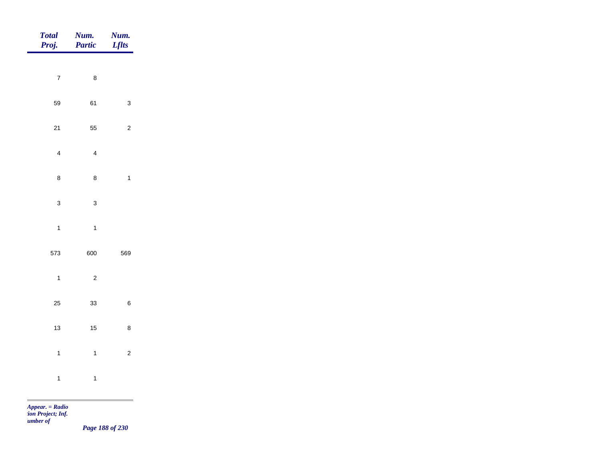| Total<br>Proj. | Num.<br>Partic | <b>Num.</b><br><i>Lflts</i>                      |
|----------------|----------------|--------------------------------------------------|
| $\overline{7}$ | $\,$ 8 $\,$    |                                                  |
|                |                |                                                  |
| 59             | 61             | $\mathbf{3}$                                     |
| $21$           | 55             | $\sqrt{2}$                                       |
| $\overline{4}$ | $\overline{4}$ |                                                  |
| $\bf 8$        | $\bf 8$        | $\mathbf{1}$                                     |
| $\mathbf{3}$   | $\mathbf{3}$   |                                                  |
| $\mathbf{1}$   | $\overline{1}$ |                                                  |
| 573            | 600            | 569                                              |
|                |                |                                                  |
| $\mathbf{1}$   | $\overline{c}$ |                                                  |
| 25             | 33             | $\,6\,$                                          |
| 13             | $15$           | $\bf8$                                           |
| $\mathbf{1}$   | $\mathbf{1}$   | $\overline{c}$                                   |
| $\overline{1}$ | $\overline{1}$ |                                                  |
| m.             |                | the control of the control of the control of the |

*Page 188 of 230*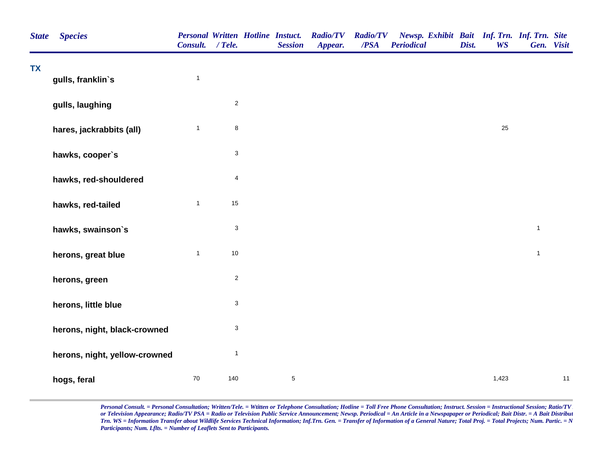| <b>State</b> | <b>Species</b>                | <b>Personal Written Hotline Instuct.</b><br>Consult. / Tele. |                           | <b>Session</b> | <b>Radio/TV</b><br>Appear. | <b>Radio/TV</b><br>/PSA | Newsp. Exhibit Bait Inf. Trn. Inf. Trn. Site<br><b>Periodical</b> | Dist. | <b>WS</b> | Gen. Visit   |    |
|--------------|-------------------------------|--------------------------------------------------------------|---------------------------|----------------|----------------------------|-------------------------|-------------------------------------------------------------------|-------|-----------|--------------|----|
| <b>TX</b>    | gulls, franklin's             | $\mathbf{1}$                                                 |                           |                |                            |                         |                                                                   |       |           |              |    |
|              | gulls, laughing               |                                                              | $\overline{c}$            |                |                            |                         |                                                                   |       |           |              |    |
|              | hares, jackrabbits (all)      | $\mathbf{1}$                                                 | $\bf8$                    |                |                            |                         |                                                                   |       | 25        |              |    |
|              | hawks, cooper's               |                                                              | $\ensuremath{\mathsf{3}}$ |                |                            |                         |                                                                   |       |           |              |    |
|              | hawks, red-shouldered         |                                                              | $\overline{\mathbf{4}}$   |                |                            |                         |                                                                   |       |           |              |    |
|              | hawks, red-tailed             | $\mathbf{1}$                                                 | 15                        |                |                            |                         |                                                                   |       |           |              |    |
|              | hawks, swainson's             |                                                              | $\mathbf{3}$              |                |                            |                         |                                                                   |       |           | $\mathbf{1}$ |    |
|              | herons, great blue            | $\mathbf{1}$                                                 | $10$                      |                |                            |                         |                                                                   |       |           | $\mathbf{1}$ |    |
|              | herons, green                 |                                                              | $\sqrt{2}$                |                |                            |                         |                                                                   |       |           |              |    |
|              | herons, little blue           |                                                              | $\ensuremath{\mathsf{3}}$ |                |                            |                         |                                                                   |       |           |              |    |
|              | herons, night, black-crowned  |                                                              | $\ensuremath{\mathsf{3}}$ |                |                            |                         |                                                                   |       |           |              |    |
|              | herons, night, yellow-crowned |                                                              | $\mathbf{1}$              |                |                            |                         |                                                                   |       |           |              |    |
|              | hogs, feral                   | 70                                                           | 140                       | $\sqrt{5}$     |                            |                         |                                                                   |       | 1,423     |              | 11 |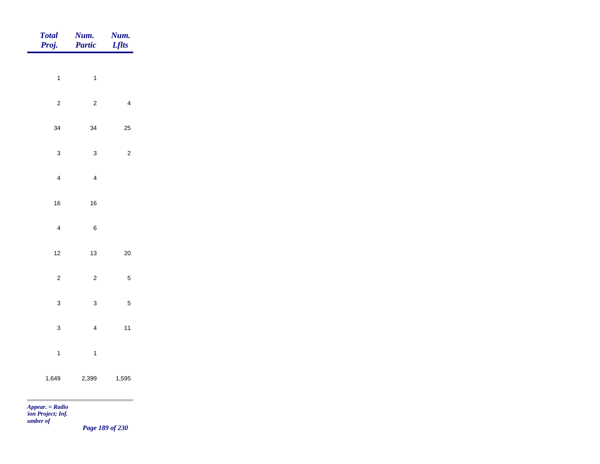| <b>Total</b><br>Proj.             | Num.<br><b>Partic</b>   | Num.<br><b>Lflts</b> |
|-----------------------------------|-------------------------|----------------------|
| $\mathbf{1}$                      | $\overline{1}$          |                      |
| $\sqrt{2}$                        | $\sqrt{2}$              | $\overline{4}$       |
| 34                                | 34                      | 25                   |
| $\mathbf 3$                       | $\mathbf{3}$            | $\overline{c}$       |
| $\overline{\mathbf{4}}$           | $\overline{\mathbf{4}}$ |                      |
| $16\,$                            | 16                      |                      |
| $\overline{\mathbf{4}}$           | $\,$ 6 $\,$             |                      |
| 12                                | $13\,$                  | $20\,$               |
| $\overline{c}$                    | $\overline{c}$          | $\overline{5}$       |
| $\mathbf{3}$                      | $\mathbf{3}$            | $\sqrt{5}$           |
| $\mathbf 3$                       | $\overline{\mathbf{4}}$ | $11$                 |
| $\mathbf{1}$                      | $\overline{1}$          |                      |
| 1,649                             | 2,399                   | 1,595                |
| <b>Contract Contract Contract</b> |                         |                      |

*Page 189 of 230*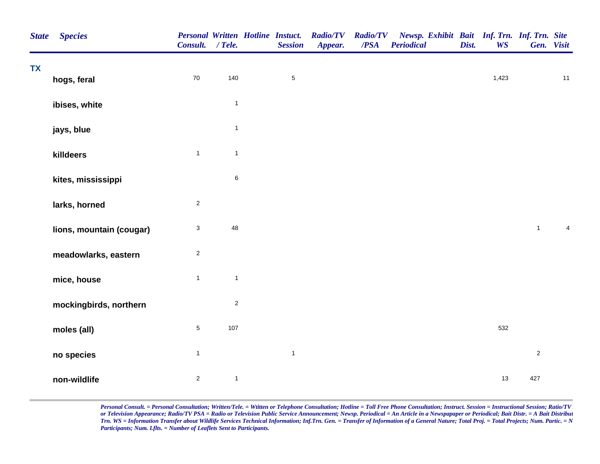| <b>State</b> | <b>Species</b>           | <b>Personal Written Hotline Instuct.</b><br>Consult. / Tele. |              | <b>Session</b> | <b>Radio/TV</b><br>Appear. | /PSA | Radio/TV Newsp. Exhibit Bait Inf. Trn. Inf. Trn. Site<br><b>Periodical</b> | Dist. | <b>WS</b> |                | Gen. Visit     |
|--------------|--------------------------|--------------------------------------------------------------|--------------|----------------|----------------------------|------|----------------------------------------------------------------------------|-------|-----------|----------------|----------------|
| <b>TX</b>    | hogs, feral              | $70\,$                                                       | 140          | $\,$ 5 $\,$    |                            |      |                                                                            |       | 1,423     |                | $11$           |
|              |                          |                                                              |              |                |                            |      |                                                                            |       |           |                |                |
|              | ibises, white            |                                                              | $\mathbf{1}$ |                |                            |      |                                                                            |       |           |                |                |
|              | jays, blue               |                                                              | $\mathbf{1}$ |                |                            |      |                                                                            |       |           |                |                |
|              | killdeers                | $\mathbf{1}$                                                 | $\mathbf{1}$ |                |                            |      |                                                                            |       |           |                |                |
|              | kites, mississippi       |                                                              | $\,6$        |                |                            |      |                                                                            |       |           |                |                |
|              | larks, horned            | $\sqrt{2}$                                                   |              |                |                            |      |                                                                            |       |           |                |                |
|              | lions, mountain (cougar) | $\ensuremath{\mathsf{3}}$                                    | 48           |                |                            |      |                                                                            |       |           | $\mathbf{1}$   | $\overline{4}$ |
|              | meadowlarks, eastern     | $\sqrt{2}$                                                   |              |                |                            |      |                                                                            |       |           |                |                |
|              | mice, house              | $\overline{1}$                                               | $\mathbf{1}$ |                |                            |      |                                                                            |       |           |                |                |
|              | mockingbirds, northern   |                                                              | $\sqrt{2}$   |                |                            |      |                                                                            |       |           |                |                |
|              | moles (all)              | $\mathbf 5$                                                  | 107          |                |                            |      |                                                                            |       | 532       |                |                |
|              | no species               | $\mathbf{1}$                                                 |              | $\mathbf 1$    |                            |      |                                                                            |       |           | $\overline{c}$ |                |
|              | non-wildlife             | $\overline{2}$                                               | $\mathbf{1}$ |                |                            |      |                                                                            |       | 13        | 427            |                |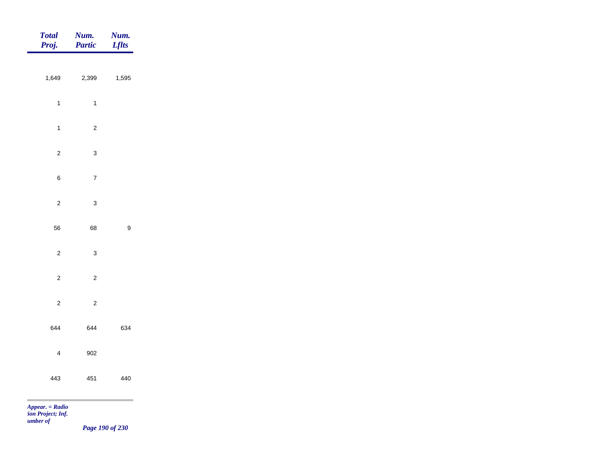| <b>Total</b><br>Proj. | Num.<br>Partic | <b>Num.</b><br>Lflts |
|-----------------------|----------------|----------------------|
| 1,649                 | 2,399          | 1,595                |
|                       |                |                      |
| $\overline{1}$        | $\mathbf{1}$   |                      |
| $\mathbf{1}$          | $\overline{c}$ |                      |
| $\overline{c}$        | $\mathbf{3}$   |                      |
| $\,6\,$               | $\overline{7}$ |                      |
| $\overline{c}$        | $\mathsf 3$    |                      |
|                       |                |                      |
| 56                    | 68             | $\boldsymbol{9}$     |
| $\overline{c}$        | $\mathbf{3}$   |                      |
| $\overline{c}$        | $\overline{c}$ |                      |
| $\overline{c}$        | $\sqrt{2}$     |                      |
| 644                   | 644            | 634                  |
| $\overline{4}$        | 902            |                      |
|                       |                |                      |
| 443                   | 451            | 440                  |
| $Appear. = Radio$     |                |                      |

*tion Project; Inf.* 

*Number of* 

*Page 190 of 230*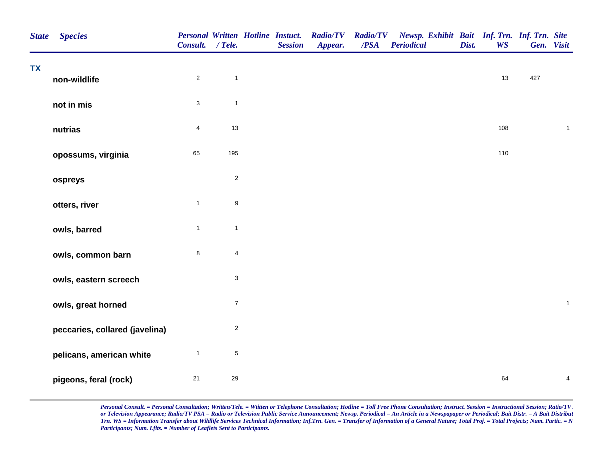| <b>State</b> | <b>Species</b>                 | Personal Written Hotline Instuct.<br>Consult. | $/$ Tele.        | <b>Session</b> | <b>Radio/TV</b><br>Appear. | <b>Radio/TV</b><br>/PSA | Newsp. Exhibit Bait Inf. Trn. Inf. Trn. Site<br><b>Periodical</b> | Dist. | <b>WS</b> |     | Gen. Visit   |
|--------------|--------------------------------|-----------------------------------------------|------------------|----------------|----------------------------|-------------------------|-------------------------------------------------------------------|-------|-----------|-----|--------------|
| <b>TX</b>    | non-wildlife                   | $\overline{2}$                                | $\overline{1}$   |                |                            |                         |                                                                   |       | 13        | 427 |              |
|              | not in mis                     | $\mathbf{3}$                                  | $\mathbf{1}$     |                |                            |                         |                                                                   |       |           |     |              |
|              | nutrias                        | $\overline{4}$                                | 13               |                |                            |                         |                                                                   |       | 108       |     | $\mathbf{1}$ |
|              | opossums, virginia             | 65                                            | 195              |                |                            |                         |                                                                   |       | 110       |     |              |
|              | ospreys                        |                                               | $\overline{2}$   |                |                            |                         |                                                                   |       |           |     |              |
|              | otters, river                  | $\mathbf{1}$                                  | $\boldsymbol{9}$ |                |                            |                         |                                                                   |       |           |     |              |
|              | owls, barred                   | $\mathbf{1}$                                  | $\overline{1}$   |                |                            |                         |                                                                   |       |           |     |              |
|              | owls, common barn              | $\bf8$                                        | $\overline{4}$   |                |                            |                         |                                                                   |       |           |     |              |
|              | owls, eastern screech          |                                               | $\sqrt{3}$       |                |                            |                         |                                                                   |       |           |     |              |
|              | owls, great horned             |                                               | $\boldsymbol{7}$ |                |                            |                         |                                                                   |       |           |     | $\mathbf{1}$ |
|              | peccaries, collared (javelina) |                                               | $\overline{2}$   |                |                            |                         |                                                                   |       |           |     |              |
|              | pelicans, american white       | $\mathbf{1}$                                  | $\sqrt{5}$       |                |                            |                         |                                                                   |       |           |     |              |
|              | pigeons, feral (rock)          | 21                                            | 29               |                |                            |                         |                                                                   |       | 64        |     | 4            |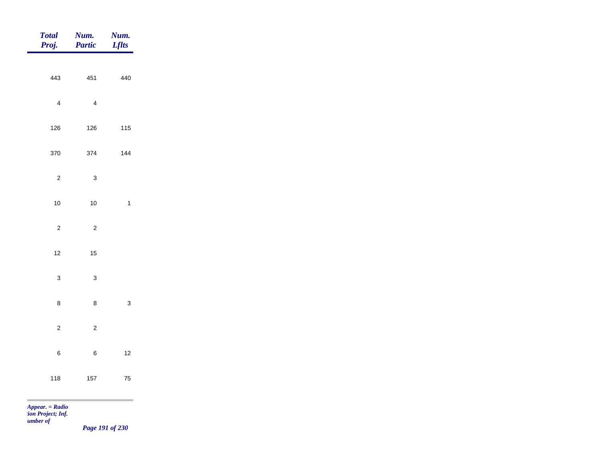|                | <b>Num.</b><br><i>Lflts</i>                                                                                                                                                                                                    |
|----------------|--------------------------------------------------------------------------------------------------------------------------------------------------------------------------------------------------------------------------------|
|                |                                                                                                                                                                                                                                |
|                | 440                                                                                                                                                                                                                            |
| $\overline{4}$ |                                                                                                                                                                                                                                |
| 126            | 115                                                                                                                                                                                                                            |
| 374            | 144                                                                                                                                                                                                                            |
| $\mathbf{3}$   |                                                                                                                                                                                                                                |
| $10\,$         | $\mathbf{1}$                                                                                                                                                                                                                   |
|                |                                                                                                                                                                                                                                |
|                |                                                                                                                                                                                                                                |
|                |                                                                                                                                                                                                                                |
| $\mathbf{3}$   |                                                                                                                                                                                                                                |
| $\bf 8$        | $\mathbf{3}$                                                                                                                                                                                                                   |
| $\overline{c}$ |                                                                                                                                                                                                                                |
| $\, 6$         | $12\,$                                                                                                                                                                                                                         |
|                | ${\bf 75}$                                                                                                                                                                                                                     |
|                |                                                                                                                                                                                                                                |
|                | <b>Num.</b><br>Partic<br>443<br>451<br>$\overline{4}$<br>$126\,$<br>370<br>$\overline{c}$<br>$10\,$<br>$\overline{c}$<br>$\overline{c}$<br>$12$<br>$15\,$<br>$\mathbf{3}$<br>$\bf8$<br>$\mathbf{2}$<br>$\,6\,$<br>$157$<br>118 |

*tion Project; Inf.* 

*Number of* 

*Page 191 of 230*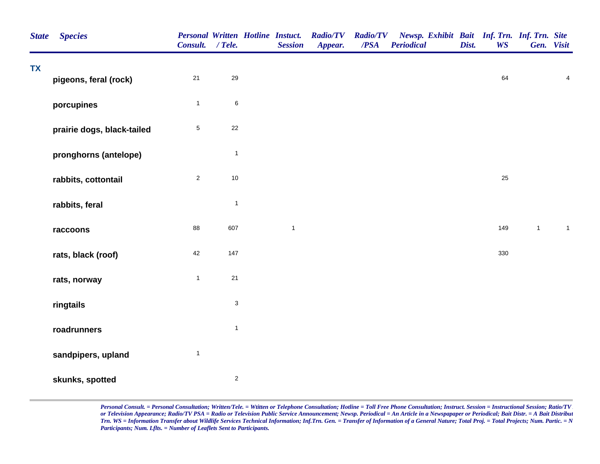| <b>State</b> | <b>Species</b>             | <b>Personal Written Hotline Instuct.</b><br>Consult. / Tele. |                           | <b>Session</b> | <b>Radio/TV</b><br>Appear. | <b>Radio/TV</b><br>/PSA | Newsp. Exhibit Bait Inf. Trn. Inf. Trn. Site<br><b>Periodical</b> | Dist. | <b>WS</b> |              | Gen. Visit              |
|--------------|----------------------------|--------------------------------------------------------------|---------------------------|----------------|----------------------------|-------------------------|-------------------------------------------------------------------|-------|-----------|--------------|-------------------------|
| <b>TX</b>    | pigeons, feral (rock)      | $21$                                                         | 29                        |                |                            |                         |                                                                   |       | 64        |              | $\overline{\mathbf{4}}$ |
|              | porcupines                 | $\mathbf{1}$                                                 | $\,6$                     |                |                            |                         |                                                                   |       |           |              |                         |
|              | prairie dogs, black-tailed | $\sqrt{5}$                                                   | 22                        |                |                            |                         |                                                                   |       |           |              |                         |
|              | pronghorns (antelope)      |                                                              | $\overline{1}$            |                |                            |                         |                                                                   |       |           |              |                         |
|              | rabbits, cottontail        | $\sqrt{2}$                                                   | $10$                      |                |                            |                         |                                                                   |       | 25        |              |                         |
|              | rabbits, feral             |                                                              | $\mathbf{1}$              |                |                            |                         |                                                                   |       |           |              |                         |
|              | raccoons                   | 88                                                           | 607                       | $\mathbf{1}$   |                            |                         |                                                                   |       | 149       | $\mathbf{1}$ | $\mathbf{1}$            |
|              | rats, black (roof)         | 42                                                           | 147                       |                |                            |                         |                                                                   |       | 330       |              |                         |
|              | rats, norway               | $\mathbf{1}$                                                 | 21                        |                |                            |                         |                                                                   |       |           |              |                         |
|              | ringtails                  |                                                              | $\ensuremath{\mathsf{3}}$ |                |                            |                         |                                                                   |       |           |              |                         |
|              | roadrunners                |                                                              | $\mathbf{1}$              |                |                            |                         |                                                                   |       |           |              |                         |
|              | sandpipers, upland         | $\mathbf{1}$                                                 |                           |                |                            |                         |                                                                   |       |           |              |                         |
|              | skunks, spotted            |                                                              | $\sqrt{2}$                |                |                            |                         |                                                                   |       |           |              |                         |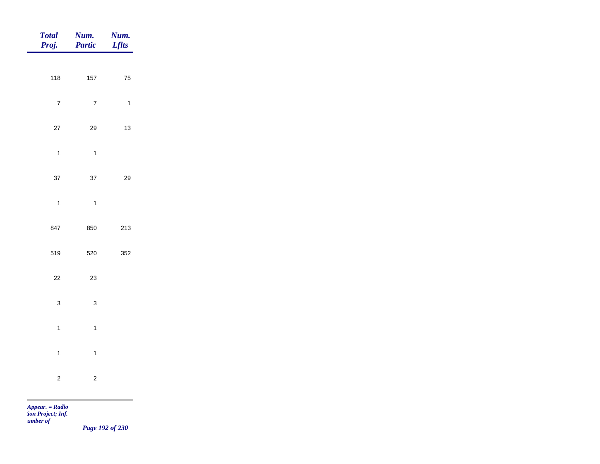| <b>Total</b><br>Proj. | Num.<br>Partic | Num.<br><b>Lflts</b> |
|-----------------------|----------------|----------------------|
| 118                   | 157            | ${\bf 75}$           |
|                       |                |                      |
| $\boldsymbol{7}$      | $\overline{7}$ | $\mathbf{1}$         |
| 27                    | 29             | 13                   |
| $\mathbf{1}$          | $\mathbf{1}$   |                      |
| 37                    | $37\,$         | 29                   |
| $\mathbf{1}$          | $\mathbf{1}$   |                      |
| 847                   | 850            | 213                  |
|                       |                |                      |
| 519                   | 520            | 352                  |
| $22\,$                | 23             |                      |
| $\mathbf 3$           | $\mathbf{3}$   |                      |
| $\mathbf{1}$          | $\mathbf{1}$   |                      |
| $\mathbf{1}$          | $\mathbf{1}$   |                      |
| $\sqrt{2}$            | $\mathbf 2$    |                      |
|                       |                |                      |

m

*Page 192 of 230*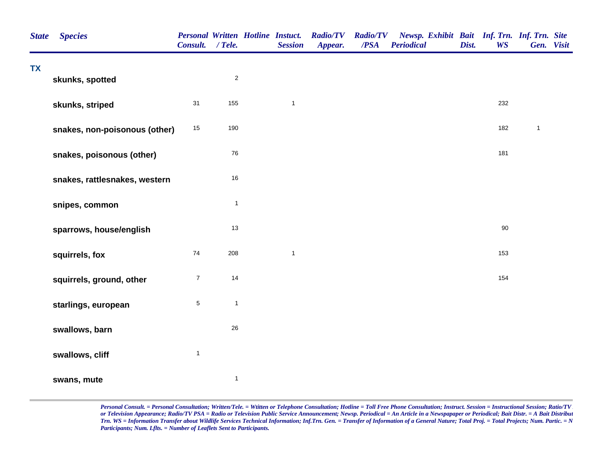| <b>State</b> | <b>Species</b>                | <b>Personal Written Hotline Instuct.</b><br>Consult. / Tele. |              | <b>Session</b> | <b>Radio/TV</b><br>Appear. | <b>Radio/TV</b><br>/PSA | Newsp. Exhibit Bait Inf. Trn. Inf. Trn. Site<br><b>Periodical</b> | Dist. | <b>WS</b> | Gen. Visit   |  |
|--------------|-------------------------------|--------------------------------------------------------------|--------------|----------------|----------------------------|-------------------------|-------------------------------------------------------------------|-------|-----------|--------------|--|
| <b>TX</b>    | skunks, spotted               |                                                              | $\sqrt{2}$   |                |                            |                         |                                                                   |       |           |              |  |
|              | skunks, striped               | 31                                                           | 155          | $\mathbf{1}$   |                            |                         |                                                                   |       | 232       |              |  |
|              | snakes, non-poisonous (other) | $15\,$                                                       | 190          |                |                            |                         |                                                                   |       | 182       | $\mathbf{1}$ |  |
|              | snakes, poisonous (other)     |                                                              | ${\bf 76}$   |                |                            |                         |                                                                   |       | 181       |              |  |
|              | snakes, rattlesnakes, western |                                                              | $16\,$       |                |                            |                         |                                                                   |       |           |              |  |
|              | snipes, common                |                                                              | $\mathbf{1}$ |                |                            |                         |                                                                   |       |           |              |  |
|              | sparrows, house/english       |                                                              | $13$         |                |                            |                         |                                                                   |       | $90\,$    |              |  |
|              | squirrels, fox                | 74                                                           | 208          | $\mathbf{1}$   |                            |                         |                                                                   |       | 153       |              |  |
|              | squirrels, ground, other      | $\boldsymbol{7}$                                             | 14           |                |                            |                         |                                                                   |       | 154       |              |  |
|              | starlings, european           | $\mathbf 5$                                                  | $\mathbf{1}$ |                |                            |                         |                                                                   |       |           |              |  |
|              | swallows, barn                |                                                              | $26\,$       |                |                            |                         |                                                                   |       |           |              |  |
|              | swallows, cliff               | $\mathbf{1}$                                                 |              |                |                            |                         |                                                                   |       |           |              |  |
|              | swans, mute                   |                                                              | $\mathbf{1}$ |                |                            |                         |                                                                   |       |           |              |  |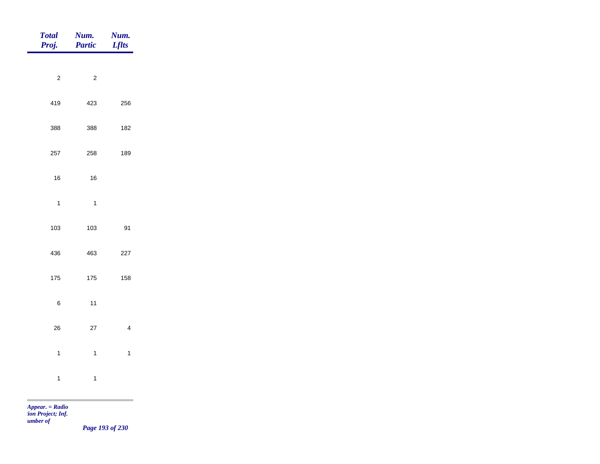| <b>Total</b><br>Proj. | Num.<br>Partic | Num.<br><b>Lflts</b>    |
|-----------------------|----------------|-------------------------|
|                       |                |                         |
| $\overline{c}$        | $\mathbf 2$    |                         |
| 419                   | 423            | 256                     |
| 388                   | 388            | 182                     |
| 257                   | 258            | 189                     |
| $16\,$                | $16\,$         |                         |
| $\mathbf{1}$          | $\overline{1}$ |                         |
| 103                   | 103            | 91                      |
| 436                   | 463            | 227                     |
| 175                   | 175            | 158                     |
|                       |                |                         |
| $\,6$                 | 11             |                         |
| $26\,$                | $27\,$         | $\overline{\mathbf{4}}$ |
| $\mathbf{1}$          | $\mathbf{1}$   | $\mathbf 1$             |
| $\mathbf{1}$          | $\ddagger$     |                         |
|                       |                |                         |

m

*Page 193 of 230*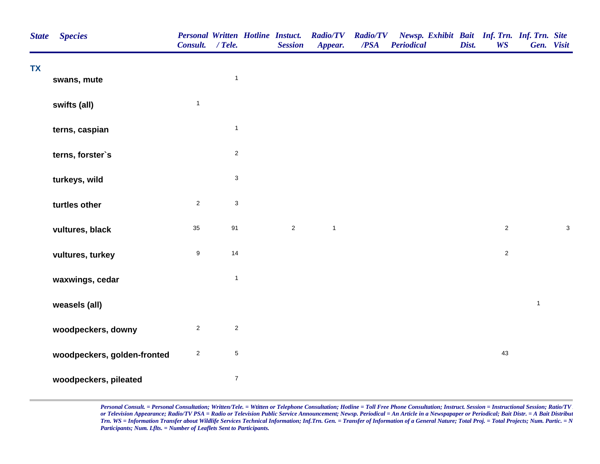| <b>State</b> | <b>Species</b>              | Consult. / Tele. |                           | <b>Personal Written Hotline Instuct.</b><br><b>Session</b> | <b>Radio/TV</b><br>Appear. | <b>Radio/TV</b><br>/PSA | Newsp. Exhibit Bait Inf. Trn. Inf. Trn. Site<br><b>Periodical</b> | Dist. | <b>WS</b>      |              | Gen. Visit  |
|--------------|-----------------------------|------------------|---------------------------|------------------------------------------------------------|----------------------------|-------------------------|-------------------------------------------------------------------|-------|----------------|--------------|-------------|
| <b>TX</b>    | swans, mute                 |                  | $\mathbf{1}$              |                                                            |                            |                         |                                                                   |       |                |              |             |
|              | swifts (all)                | $\mathbf{1}$     |                           |                                                            |                            |                         |                                                                   |       |                |              |             |
|              | terns, caspian              |                  | $\mathbf{1}$              |                                                            |                            |                         |                                                                   |       |                |              |             |
|              | terns, forster's            |                  | $\overline{c}$            |                                                            |                            |                         |                                                                   |       |                |              |             |
|              | turkeys, wild               |                  | $\ensuremath{\mathsf{3}}$ |                                                            |                            |                         |                                                                   |       |                |              |             |
|              | turtles other               | $\mathbf{2}$     | $\ensuremath{\mathsf{3}}$ |                                                            |                            |                         |                                                                   |       |                |              |             |
|              | vultures, black             | 35               | 91                        | $\sqrt{2}$                                                 | $\mathbf{1}$               |                         |                                                                   |       | $\overline{c}$ |              | $\mathsf 3$ |
|              | vultures, turkey            | $\boldsymbol{9}$ | 14                        |                                                            |                            |                         |                                                                   |       | $\overline{a}$ |              |             |
|              | waxwings, cedar             |                  | $\mathbf{1}$              |                                                            |                            |                         |                                                                   |       |                |              |             |
|              | weasels (all)               |                  |                           |                                                            |                            |                         |                                                                   |       |                | $\mathbf{1}$ |             |
|              | woodpeckers, downy          | $\overline{2}$   | $\overline{c}$            |                                                            |                            |                         |                                                                   |       |                |              |             |
|              | woodpeckers, golden-fronted | $\sqrt{2}$       | $\,$ 5 $\,$               |                                                            |                            |                         |                                                                   |       | 43             |              |             |
|              | woodpeckers, pileated       |                  | $\boldsymbol{7}$          |                                                            |                            |                         |                                                                   |       |                |              |             |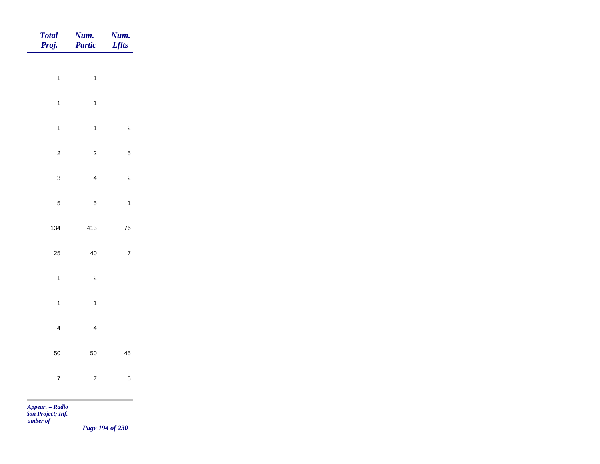| Total<br>Proj.    | Num.<br>Partic          | <b>Num.</b><br>Lflts |
|-------------------|-------------------------|----------------------|
|                   |                         |                      |
| $\overline{1}$    | $\mathbf{1}$            |                      |
| $\mathbf{1}$      | $\mathbf{1}$            |                      |
| $\mathbf{1}$      | $\mathbf{1}$            | $\overline{c}$       |
| $\overline{c}$    | $\overline{c}$          | $\sqrt{5}$           |
| $\mathbf{3}$      | $\overline{4}$          | $\overline{c}$       |
| $\overline{5}$    | $\overline{5}$          | $\mathbf{1}$         |
| 134               | 413                     | 76                   |
| 25                | 40                      | $\boldsymbol{7}$     |
|                   |                         |                      |
| $\mathbf{1}$      | $\overline{c}$          |                      |
| $\mathbf{1}$      | $\mathbf{1}$            |                      |
| $\overline{4}$    | $\overline{\mathbf{4}}$ |                      |
| 50                | 50                      | 45                   |
| $\overline{7}$    | $\overline{7}$          | $\sqrt{5}$           |
| $Appear. = Radio$ |                         |                      |

*tion Project; Inf. Number of* 

*Page 194 of 230*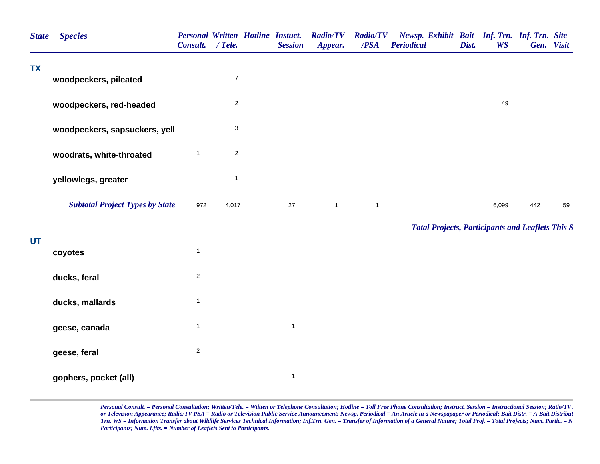| <b>State</b> | <b>Species</b>                         | Consult. / Tele. |                           | <b>Personal Written Hotline Instuct.</b><br><b>Session</b> | <b>Radio/TV</b><br>Appear. | <b>Radio/TV</b><br>/PSA | Newsp. Exhibit Bait Inf. Trn. Inf. Trn. Site<br><b>Periodical</b> | Dist. | <b>WS</b> | Gen. Visit |    |
|--------------|----------------------------------------|------------------|---------------------------|------------------------------------------------------------|----------------------------|-------------------------|-------------------------------------------------------------------|-------|-----------|------------|----|
| <b>TX</b>    | woodpeckers, pileated                  |                  | $\overline{7}$            |                                                            |                            |                         |                                                                   |       |           |            |    |
|              | woodpeckers, red-headed                |                  | $\overline{c}$            |                                                            |                            |                         |                                                                   |       | 49        |            |    |
|              | woodpeckers, sapsuckers, yell          |                  | $\ensuremath{\mathsf{3}}$ |                                                            |                            |                         |                                                                   |       |           |            |    |
|              | woodrats, white-throated               | $\mathbf{1}$     | $\overline{c}$            |                                                            |                            |                         |                                                                   |       |           |            |    |
|              | yellowlegs, greater                    |                  | $\mathbf{1}$              |                                                            |                            |                         |                                                                   |       |           |            |    |
|              | <b>Subtotal Project Types by State</b> | 972              | 4,017                     | 27                                                         | $\mathbf{1}$               | $\overline{1}$          |                                                                   |       | 6,099     | 442        | 59 |
|              |                                        |                  |                           |                                                            |                            |                         | <b>Total Projects, Participants and Leaflets This S</b>           |       |           |            |    |
| UT           | coyotes                                | $\mathbf{1}$     |                           |                                                            |                            |                         |                                                                   |       |           |            |    |
|              | ducks, feral                           | $\overline{2}$   |                           |                                                            |                            |                         |                                                                   |       |           |            |    |
|              | ducks, mallards                        | $\mathbf{1}$     |                           |                                                            |                            |                         |                                                                   |       |           |            |    |
|              | geese, canada                          | $\mathbf{1}$     |                           | $\mathbf 1$                                                |                            |                         |                                                                   |       |           |            |    |
|              | geese, feral                           | $\overline{c}$   |                           |                                                            |                            |                         |                                                                   |       |           |            |    |
|              | gophers, pocket (all)                  |                  |                           | $\mathbf{1}$                                               |                            |                         |                                                                   |       |           |            |    |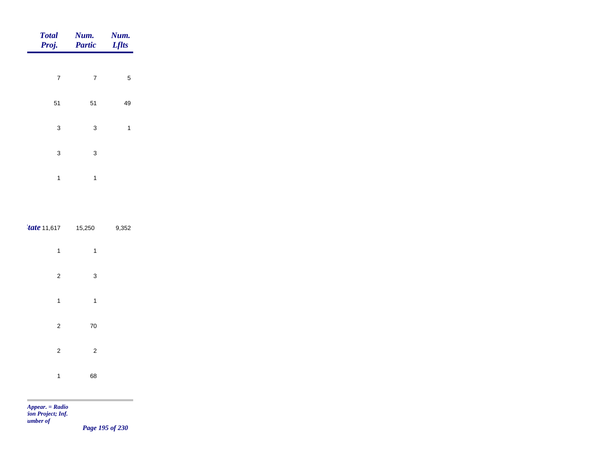| <b>Total</b><br>Proj. | Num.<br><b>Partic</b> | Num.<br><b>Lflts</b> |
|-----------------------|-----------------------|----------------------|
|                       |                       |                      |
| $\overline{7}$        | $\overline{7}$        | 5                    |
| 51                    | 51                    | 49                   |
| 3                     | 3                     | 1                    |
| 3                     | 3                     |                      |
| 1                     | 1                     |                      |

| $\frac{4}{1}$ tate 11,617 15,250 |                           | 9,352 |
|----------------------------------|---------------------------|-------|
| 1                                | 1                         |       |
| $\boldsymbol{2}$                 | $\ensuremath{\mathsf{3}}$ |       |
| 1                                | 1                         |       |
| $\boldsymbol{2}$                 | $70\,$                    |       |
| $\mathbf 2$                      | $\overline{c}$            |       |
| 1                                | 68                        |       |

 $\sim$ 

*Page 195 of 230*

\_\_\_\_\_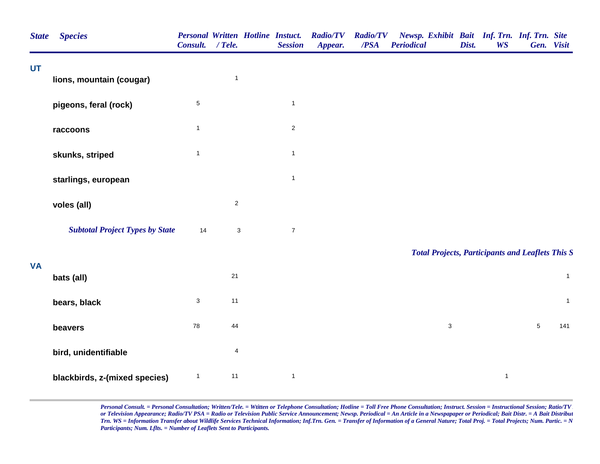| <b>State</b> | <b>Species</b>                         | Consult. / Tele. |                           | <b>Personal Written Hotline Instuct.</b><br><b>Session</b> | <b>Radio/TV</b><br>Appear. | <b>Radio/TV</b><br>/PSA | Newsp. Exhibit Bait Inf. Trn. Inf. Trn. Site<br><b>Periodical</b> | Dist. | <b>WS</b>    | Gen. Visit     |              |
|--------------|----------------------------------------|------------------|---------------------------|------------------------------------------------------------|----------------------------|-------------------------|-------------------------------------------------------------------|-------|--------------|----------------|--------------|
| UT           | lions, mountain (cougar)               |                  | $\mathbf{1}$              |                                                            |                            |                         |                                                                   |       |              |                |              |
|              |                                        |                  |                           |                                                            |                            |                         |                                                                   |       |              |                |              |
|              | pigeons, feral (rock)                  | $\,$ 5 $\,$      |                           | $\mathbf{1}$                                               |                            |                         |                                                                   |       |              |                |              |
|              | raccoons                               | $\mathbf{1}$     |                           | $\overline{c}$                                             |                            |                         |                                                                   |       |              |                |              |
|              | skunks, striped                        | $\mathbf{1}$     |                           | $\mathbf 1$                                                |                            |                         |                                                                   |       |              |                |              |
|              | starlings, european                    |                  |                           | $\mathbf{1}$                                               |                            |                         |                                                                   |       |              |                |              |
|              | voles (all)                            |                  | $\sqrt{2}$                |                                                            |                            |                         |                                                                   |       |              |                |              |
|              | <b>Subtotal Project Types by State</b> | 14               | $\ensuremath{\mathsf{3}}$ | $\boldsymbol{7}$                                           |                            |                         |                                                                   |       |              |                |              |
|              |                                        |                  |                           |                                                            |                            |                         | <b>Total Projects, Participants and Leaflets This S</b>           |       |              |                |              |
| <b>VA</b>    | bats (all)                             |                  | 21                        |                                                            |                            |                         |                                                                   |       |              |                | $\mathbf{1}$ |
|              | bears, black                           | $\sqrt{3}$       | 11                        |                                                            |                            |                         |                                                                   |       |              |                | $\mathbf{1}$ |
|              | beavers                                | 78               | 44                        |                                                            |                            |                         | $\sqrt{3}$                                                        |       |              | $\overline{5}$ | 141          |
|              | bird, unidentifiable                   |                  | 4                         |                                                            |                            |                         |                                                                   |       |              |                |              |
|              | blackbirds, z-(mixed species)          | $\mathbf{1}$     | 11                        | $\mathbf{1}$                                               |                            |                         |                                                                   |       | $\mathbf{1}$ |                |              |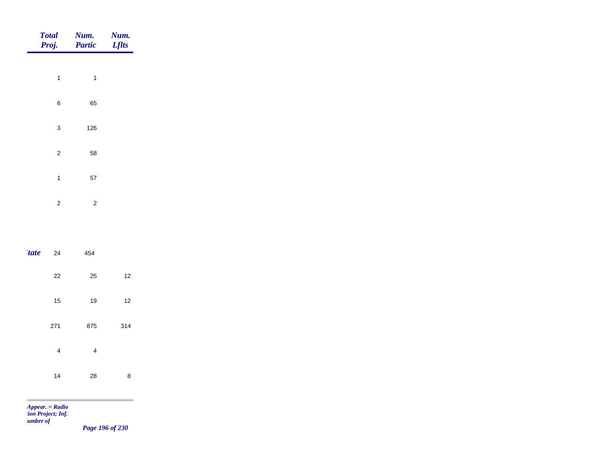|       | <b>Total</b><br>Proj.     | Num.<br><b>Partic</b> | Num.<br><b>Lflts</b> |
|-------|---------------------------|-----------------------|----------------------|
|       | $\mathbf{1}$              | $\mathbf{1}$          |                      |
|       | $\,6$                     | 65                    |                      |
|       | $\ensuremath{\mathsf{3}}$ | 126                   |                      |
|       |                           |                       |                      |
|       | $\mathbf 2$               | 58                    |                      |
|       | $\mathbf{1}$              | 57                    |                      |
|       | $\sqrt{2}$                | $\sqrt{2}$            |                      |
|       |                           |                       |                      |
| 'tate | 24                        | 454                   |                      |

| uuv | ∸   | ᅮ   |     |  |
|-----|-----|-----|-----|--|
|     | 22  | 25  | 12  |  |
|     | 15  | 19  | 12  |  |
|     | 271 | 875 | 314 |  |
|     | 4   | 4   |     |  |
|     | 14  | 28  | 8   |  |

m

*Page 196 of 230*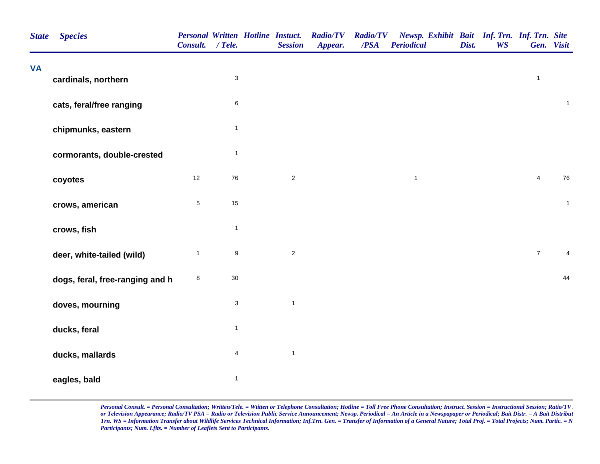| <b>State</b> | <b>Species</b>                  | <b>Personal Written Hotline Instuct.</b><br>Consult. | $/$ Tele.                 | <b>Session</b> | <b>Radio/TV</b><br>Appear. | <b>Radio/TV</b><br>/PSA | Newsp. Exhibit Bait Inf. Trn. Inf. Trn. Site<br><b>Periodical</b> | Dist. | <b>WS</b> |                  | Gen. Visit     |
|--------------|---------------------------------|------------------------------------------------------|---------------------------|----------------|----------------------------|-------------------------|-------------------------------------------------------------------|-------|-----------|------------------|----------------|
| <b>VA</b>    | cardinals, northern             |                                                      | $\ensuremath{\mathsf{3}}$ |                |                            |                         |                                                                   |       |           | $\mathbf{1}$     |                |
|              | cats, feral/free ranging        |                                                      | $\,6\,$                   |                |                            |                         |                                                                   |       |           |                  | $\mathbf{1}$   |
|              | chipmunks, eastern              |                                                      | $\mathbf{1}$              |                |                            |                         |                                                                   |       |           |                  |                |
|              | cormorants, double-crested      |                                                      | $\mathbf{1}$              |                |                            |                         |                                                                   |       |           |                  |                |
|              | coyotes                         | 12                                                   | ${\bf 76}$                | $\sqrt{2}$     |                            |                         | $\mathbf{1}$                                                      |       |           | $\overline{4}$   | 76             |
|              | crows, american                 | $\mathbf 5$                                          | $15\,$                    |                |                            |                         |                                                                   |       |           |                  | $\mathbf{1}$   |
|              | crows, fish                     |                                                      | $\mathbf{1}$              |                |                            |                         |                                                                   |       |           |                  |                |
|              | deer, white-tailed (wild)       | $\mathbf{1}$                                         | $\boldsymbol{9}$          | $\sqrt{2}$     |                            |                         |                                                                   |       |           | $\boldsymbol{7}$ | $\overline{4}$ |
|              | dogs, feral, free-ranging and h | 8                                                    | $30\,$                    |                |                            |                         |                                                                   |       |           |                  | 44             |
|              | doves, mourning                 |                                                      | $\mathsf 3$               | $\mathbf{1}$   |                            |                         |                                                                   |       |           |                  |                |
|              | ducks, feral                    |                                                      | $\mathbf{1}$              |                |                            |                         |                                                                   |       |           |                  |                |
|              | ducks, mallards                 |                                                      | $\overline{4}$            | $\mathbf{1}$   |                            |                         |                                                                   |       |           |                  |                |
|              | eagles, bald                    |                                                      | $\mathbf{1}$              |                |                            |                         |                                                                   |       |           |                  |                |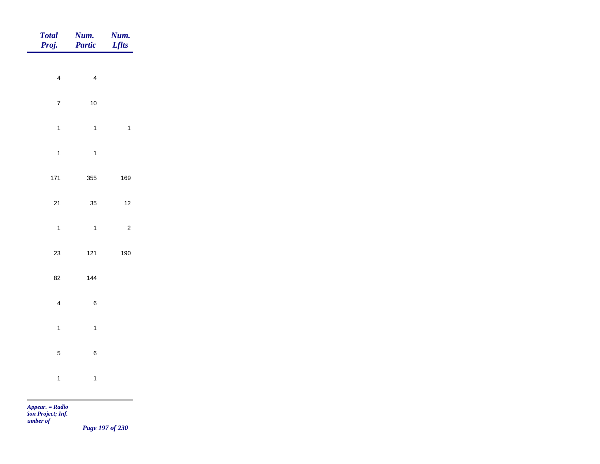| <b>Total</b><br>Proj.   | Num.<br>Partic | Num.<br><b>Lflts</b> |
|-------------------------|----------------|----------------------|
| $\overline{4}$          | $\overline{4}$ |                      |
|                         |                |                      |
| $\overline{7}$          | $10\,$         |                      |
| $\overline{1}$          | $\overline{1}$ | $\mathbf{1}$         |
| $\overline{1}$          | $\overline{1}$ |                      |
| $171$                   | 355            | 169                  |
| $21$                    | 35             | $12$                 |
| $\overline{1}$          | $\overline{1}$ | $\overline{c}$       |
| $23\,$                  | $121$          | 190                  |
|                         |                |                      |
| 82                      | 144            |                      |
| $\overline{\mathbf{4}}$ | $\,6\,$        |                      |
| $\mathbf{1}$            | $\overline{1}$ |                      |
| $\sqrt{5}$              | $\,6\,$        |                      |
| $\overline{1}$          | $\overline{1}$ |                      |
|                         |                |                      |

*Page 197 of 230*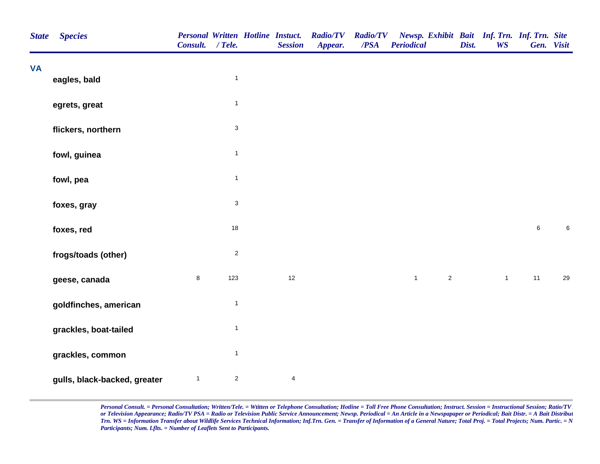| <b>State</b> | <b>Species</b>               | Consult. / Tele. |                           | <b>Personal Written Hotline Instuct.</b><br><b>Session</b> | <b>Radio/TV</b><br>Appear. | <b>Radio/TV</b><br>$\overline{PSA}$ | Newsp. Exhibit Bait Inf. Trn. Inf. Trn. Site<br><b>Periodical</b> | Dist. | <b>WS</b>    | Gen. Visit |         |
|--------------|------------------------------|------------------|---------------------------|------------------------------------------------------------|----------------------------|-------------------------------------|-------------------------------------------------------------------|-------|--------------|------------|---------|
| <b>VA</b>    | eagles, bald                 |                  | $\mathbf{1}$              |                                                            |                            |                                     |                                                                   |       |              |            |         |
|              |                              |                  | $\mathbf{1}$              |                                                            |                            |                                     |                                                                   |       |              |            |         |
|              | egrets, great                |                  |                           |                                                            |                            |                                     |                                                                   |       |              |            |         |
|              | flickers, northern           |                  | $\mathbf{3}$              |                                                            |                            |                                     |                                                                   |       |              |            |         |
|              | fowl, guinea                 |                  | $\mathbf{1}$              |                                                            |                            |                                     |                                                                   |       |              |            |         |
|              | fowl, pea                    |                  | $\mathbf{1}$              |                                                            |                            |                                     |                                                                   |       |              |            |         |
|              | foxes, gray                  |                  | $\ensuremath{\mathsf{3}}$ |                                                            |                            |                                     |                                                                   |       |              |            |         |
|              | foxes, red                   |                  | $18$                      |                                                            |                            |                                     |                                                                   |       |              | $\,6$      | $\,6\,$ |
|              | frogs/toads (other)          |                  | $\overline{2}$            |                                                            |                            |                                     |                                                                   |       |              |            |         |
|              | geese, canada                | 8                | 123                       | 12                                                         |                            |                                     | $\mathbf{1}$<br>$\overline{2}$                                    |       | $\mathbf{1}$ | 11         | 29      |
|              | goldfinches, american        |                  | $\mathbf{1}$              |                                                            |                            |                                     |                                                                   |       |              |            |         |
|              | grackles, boat-tailed        |                  | $\mathbf{1}$              |                                                            |                            |                                     |                                                                   |       |              |            |         |
|              | grackles, common             |                  | $\mathbf{1}$              |                                                            |                            |                                     |                                                                   |       |              |            |         |
|              | gulls, black-backed, greater | $\mathbf{1}$     | $\overline{2}$            | $\overline{4}$                                             |                            |                                     |                                                                   |       |              |            |         |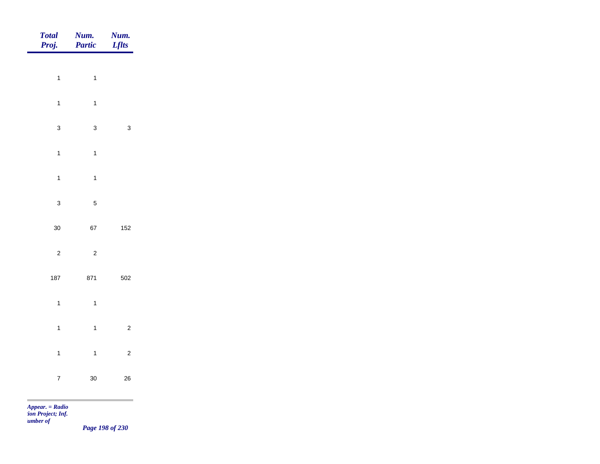| Total<br>Proj.  | <b>Num.</b><br>Partic | <b>Num.</b><br><i>Lflts</i> |
|-----------------|-----------------------|-----------------------------|
| $\overline{1}$  | $\overline{1}$        |                             |
| $\mathbf{1}$    | $\mathbf{1}$          |                             |
| $\mathbf{3}$    | $\mathbf{3}$          | $\mathbf{3}$                |
| $\overline{1}$  | $\overline{1}$        |                             |
| $\mathbf{1}$    | $\overline{1}$        |                             |
| $\mathbf{3}$    | $\overline{5}$        |                             |
| 30 <sub>o</sub> | 67                    | $152$                       |
| $\overline{c}$  | $\overline{c}$        |                             |
| 187             | 871                   | 502                         |
| $\mathbf{1}$    | $\overline{1}$        |                             |
| $\mathbf{1}$    | $\overline{1}$        | $\overline{2}$              |
| $\overline{1}$  | $\overline{1}$        | $\overline{c}$              |
| $\overline{7}$  | $30\,$                | ${\bf 26}$                  |
|                 |                       |                             |

*Page 198 of 230*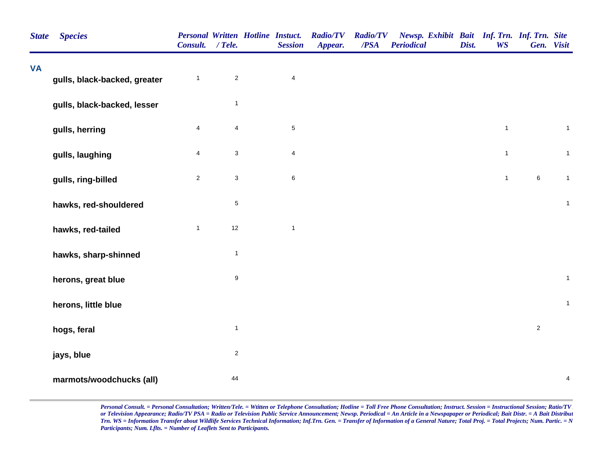| <b>State</b> | <b>Species</b>               | <b>Personal Written Hotline Instuct.</b><br>Consult. / Tele. |                         | <b>Session</b>          | <b>Radio/TV</b><br>Appear. | <b>Radio/TV</b><br>/PSA | Newsp. Exhibit Bait Inf. Trn. Inf. Trn. Site<br><b>Periodical</b> | Dist. | <b>WS</b>    | Gen. Visit |              |
|--------------|------------------------------|--------------------------------------------------------------|-------------------------|-------------------------|----------------------------|-------------------------|-------------------------------------------------------------------|-------|--------------|------------|--------------|
| <b>VA</b>    | gulls, black-backed, greater | $\mathbf{1}$                                                 | $\mathbf 2$             | $\overline{\mathbf{4}}$ |                            |                         |                                                                   |       |              |            |              |
|              |                              |                                                              |                         |                         |                            |                         |                                                                   |       |              |            |              |
|              | gulls, black-backed, lesser  |                                                              | $\mathbf{1}$            |                         |                            |                         |                                                                   |       |              |            |              |
|              | gulls, herring               | $\overline{4}$                                               | $\overline{\mathbf{4}}$ | $\mathbf 5$             |                            |                         |                                                                   |       | $\mathbf{1}$ |            | $\mathbf{1}$ |
|              | gulls, laughing              | $\overline{4}$                                               | $\mathfrak{S}$          | $\overline{4}$          |                            |                         |                                                                   |       | $\mathbf{1}$ |            | $\mathbf{1}$ |
|              | gulls, ring-billed           | $\overline{2}$                                               | $\mathbf{3}$            | $\,6\,$                 |                            |                         |                                                                   |       | $\mathbf{1}$ | $\,6\,$    | $\mathbf{1}$ |
|              | hawks, red-shouldered        |                                                              | $\,$ 5 $\,$             |                         |                            |                         |                                                                   |       |              |            | $\mathbf{1}$ |
|              | hawks, red-tailed            | $\mathbf{1}$                                                 | 12                      | $\mathbf{1}$            |                            |                         |                                                                   |       |              |            |              |
|              | hawks, sharp-shinned         |                                                              | $\mathbf{1}$            |                         |                            |                         |                                                                   |       |              |            |              |
|              | herons, great blue           |                                                              | $\mathsf g$             |                         |                            |                         |                                                                   |       |              |            | $\mathbf{1}$ |
|              | herons, little blue          |                                                              |                         |                         |                            |                         |                                                                   |       |              |            | $\mathbf{1}$ |
|              | hogs, feral                  |                                                              | $\mathbf{1}$            |                         |                            |                         |                                                                   |       |              | $\sqrt{2}$ |              |
|              | jays, blue                   |                                                              | $\overline{c}$          |                         |                            |                         |                                                                   |       |              |            |              |
|              | marmots/woodchucks (all)     |                                                              | 44                      |                         |                            |                         |                                                                   |       |              |            | 4            |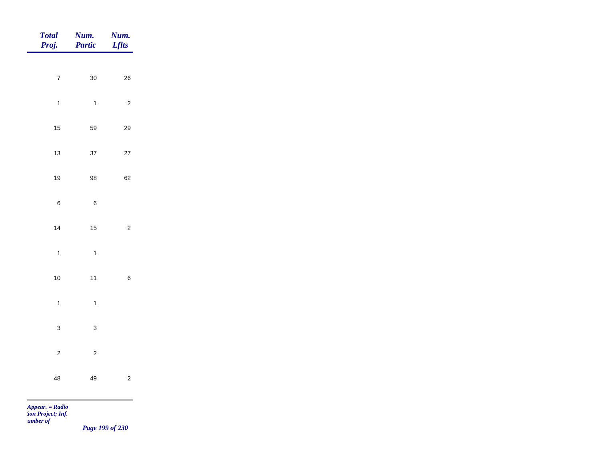| <b>Total</b><br>Proj. | Num.<br><b>Partic</b> | Num.<br><b>Lflts</b> |
|-----------------------|-----------------------|----------------------|
| $\boldsymbol{7}$      | 30                    | 26                   |
| $\mathbf{1}$          | $\mathbf{1}$          | $\sqrt{2}$           |
| 15                    | 59                    | 29                   |
| 13                    | 37                    | $27\,$               |
| 19                    | 98                    | 62                   |
| $\, 6$                | $\, 6$                |                      |
| 14                    | 15                    | $\mathbf 2$          |
| $\mathbf{1}$          | $\mathbf{1}$          |                      |
| $10\,$                | 11                    | $\,6\,$              |
| $\mathbf{1}$          | $\mathbf{1}$          |                      |
| $\mathsf 3$           | $\mathbf 3$           |                      |
| $\overline{c}$        | $\overline{c}$        |                      |
| 48                    | 49                    | $\sqrt{2}$           |

m

*Page 199 of 230*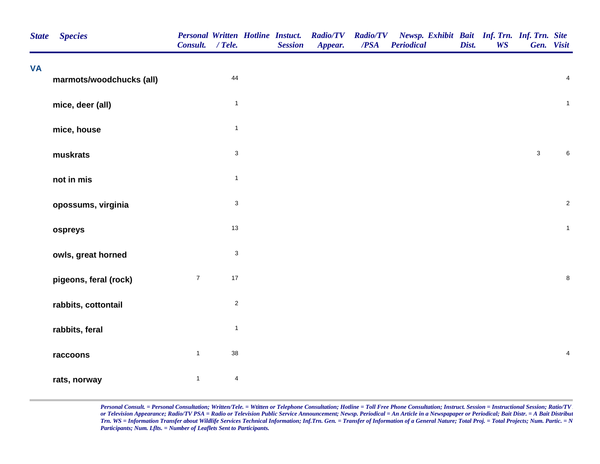| <b>State</b> | <b>Species</b>           | Consult. / Tele. |                           | <b>Personal Written Hotline Instuct.</b><br><b>Session</b> | <b>Radio/TV</b><br>Appear. | <b>Radio/TV</b><br>/PSA | Newsp. Exhibit Bait Inf. Trn. Inf. Trn. Site<br><b>Periodical</b> | Dist. | <b>WS</b> | Gen. Visit   |                         |
|--------------|--------------------------|------------------|---------------------------|------------------------------------------------------------|----------------------------|-------------------------|-------------------------------------------------------------------|-------|-----------|--------------|-------------------------|
| <b>VA</b>    | marmots/woodchucks (all) |                  | 44                        |                                                            |                            |                         |                                                                   |       |           |              | $\overline{\mathbf{4}}$ |
|              | mice, deer (all)         |                  | $\mathbf{1}$              |                                                            |                            |                         |                                                                   |       |           |              | $\mathbf{1}$            |
|              | mice, house              |                  | $\mathbf{1}$              |                                                            |                            |                         |                                                                   |       |           |              |                         |
|              | muskrats                 |                  | $\ensuremath{\mathsf{3}}$ |                                                            |                            |                         |                                                                   |       |           | $\mathbf{3}$ | $\,6$                   |
|              | not in mis               |                  | $\mathbf{1}$              |                                                            |                            |                         |                                                                   |       |           |              |                         |
|              | opossums, virginia       |                  | $\ensuremath{\mathsf{3}}$ |                                                            |                            |                         |                                                                   |       |           |              | $\sqrt{2}$              |
|              | ospreys                  |                  | $13$                      |                                                            |                            |                         |                                                                   |       |           |              | $\overline{1}$          |
|              | owls, great horned       |                  | $\sqrt{3}$                |                                                            |                            |                         |                                                                   |       |           |              |                         |
|              | pigeons, feral (rock)    | $\boldsymbol{7}$ | $17\,$                    |                                                            |                            |                         |                                                                   |       |           |              | $\bf8$                  |
|              | rabbits, cottontail      |                  | $\overline{2}$            |                                                            |                            |                         |                                                                   |       |           |              |                         |
|              | rabbits, feral           |                  | $\mathbf{1}$              |                                                            |                            |                         |                                                                   |       |           |              |                         |
|              | raccoons                 | $\mathbf{1}$     | $38\,$                    |                                                            |                            |                         |                                                                   |       |           |              | $\overline{\mathbf{4}}$ |
|              | rats, norway             | $\mathbf{1}$     | $\overline{4}$            |                                                            |                            |                         |                                                                   |       |           |              |                         |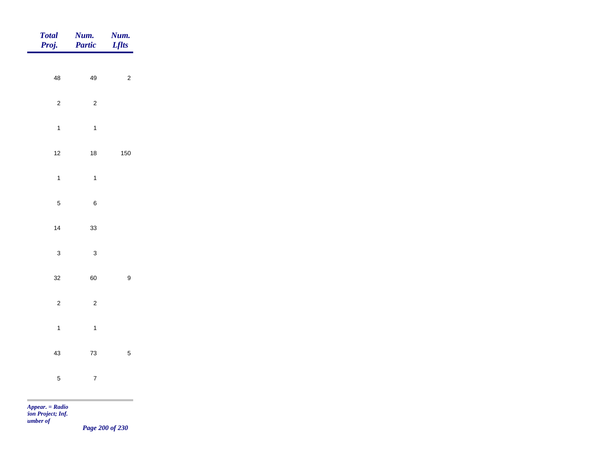| Total<br>Proj.       | <b>Num.</b><br><b>Partic</b>                                      | <b>Num.</b><br><b>Lflts</b> |
|----------------------|-------------------------------------------------------------------|-----------------------------|
|                      |                                                                   |                             |
| 48                   | 49                                                                | $\overline{c}$              |
| $\overline{c}$       | $\overline{c}$                                                    |                             |
| $\overline{1}$       | $\overline{1}$                                                    |                             |
| $12$                 | $18\,$                                                            | 150                         |
| $\overline{1}$       | $\overline{1}$                                                    |                             |
|                      |                                                                   |                             |
| $\overline{5}$       | $\,6\,$                                                           |                             |
| $14$                 | 33                                                                |                             |
| $\mathbf{3}$         | $\mathbf{3}$                                                      |                             |
| 32                   | 60                                                                | $\boldsymbol{9}$            |
| $\overline{2}$       | $\overline{2}$                                                    |                             |
|                      |                                                                   |                             |
|                      |                                                                   |                             |
|                      |                                                                   | $\overline{5}$              |
| $\sqrt{5}$           | $\overline{7}$                                                    |                             |
| $\overline{1}$<br>43 | $\overline{1}$<br>$73\,$<br>and the control of the control of the |                             |

*Page 200 of 230*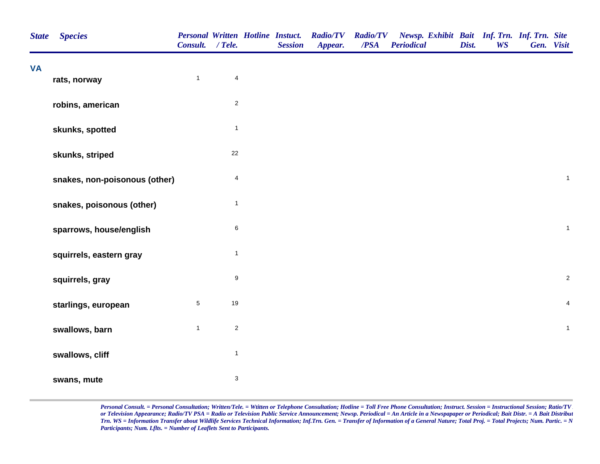| <b>State</b> | <b>Species</b>                | <b>Personal Written Hotline Instuct.</b><br>Consult. / Tele. |                           | <b>Session</b> | <b>Radio/TV</b><br>Appear. | <b>Radio/TV</b><br>$\overline{PSA}$ | Newsp. Exhibit Bait Inf. Trn. Inf. Trn. Site<br><b>Periodical</b> | Dist. | <b>WS</b> | Gen. Visit |                         |
|--------------|-------------------------------|--------------------------------------------------------------|---------------------------|----------------|----------------------------|-------------------------------------|-------------------------------------------------------------------|-------|-----------|------------|-------------------------|
| <b>VA</b>    | rats, norway                  | $\mathbf{1}$                                                 | $\overline{4}$            |                |                            |                                     |                                                                   |       |           |            |                         |
|              | robins, american              |                                                              | $\overline{2}$            |                |                            |                                     |                                                                   |       |           |            |                         |
|              | skunks, spotted               |                                                              | $\mathbf{1}$              |                |                            |                                     |                                                                   |       |           |            |                         |
|              | skunks, striped               |                                                              | 22                        |                |                            |                                     |                                                                   |       |           |            |                         |
|              | snakes, non-poisonous (other) |                                                              | $\overline{4}$            |                |                            |                                     |                                                                   |       |           |            | $\mathbf{1}$            |
|              | snakes, poisonous (other)     |                                                              | $\mathbf{1}$              |                |                            |                                     |                                                                   |       |           |            |                         |
|              | sparrows, house/english       |                                                              | $\,6\,$                   |                |                            |                                     |                                                                   |       |           |            | $\mathbf{1}$            |
|              | squirrels, eastern gray       |                                                              | $\mathbf{1}$              |                |                            |                                     |                                                                   |       |           |            |                         |
|              | squirrels, gray               |                                                              | $\boldsymbol{9}$          |                |                            |                                     |                                                                   |       |           |            | $\sqrt{2}$              |
|              | starlings, european           | $\sqrt{5}$                                                   | 19                        |                |                            |                                     |                                                                   |       |           |            | $\overline{\mathbf{4}}$ |
|              | swallows, barn                | $\mathbf{1}$                                                 | $\overline{c}$            |                |                            |                                     |                                                                   |       |           |            | $\mathbf{1}$            |
|              | swallows, cliff               |                                                              | $\mathbf{1}$              |                |                            |                                     |                                                                   |       |           |            |                         |
|              | swans, mute                   |                                                              | $\ensuremath{\mathsf{3}}$ |                |                            |                                     |                                                                   |       |           |            |                         |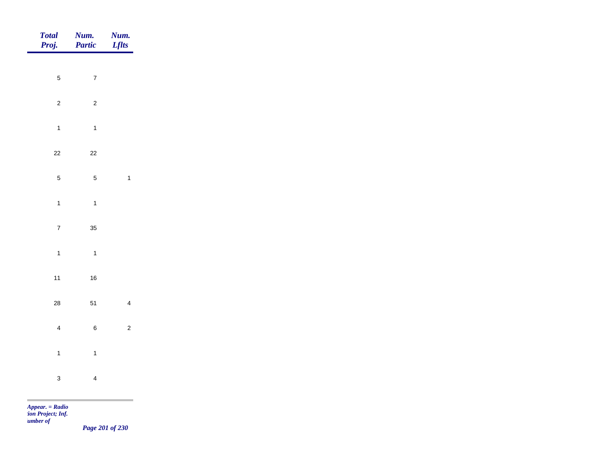| Total<br>Proj. | Num.<br>Partic | <b>Num.</b><br><i>Lflts</i> |
|----------------|----------------|-----------------------------|
| $\sqrt{5}$     | $\overline{7}$ |                             |
|                |                |                             |
| $\overline{2}$ | $\overline{c}$ |                             |
| $\overline{1}$ | $\overline{1}$ |                             |
| $22\,$         | $22\,$         |                             |
| $\sqrt{5}$     | $\overline{5}$ | $\overline{1}$              |
| $\mathbf{1}$   | $\overline{1}$ |                             |
| $\overline{7}$ | $35\,$         |                             |
| $\mathbf{1}$   | $\overline{1}$ |                             |
| $11$           | 16             |                             |
|                |                |                             |
| ${\bf 28}$     | 51             | $\overline{4}$              |
| $\overline{4}$ | $\,$ 6 $\,$    | $\overline{c}$              |
| $\overline{1}$ | $\overline{1}$ |                             |
| $\mathbf{3}$   | $\overline{4}$ |                             |
|                |                |                             |

*Page 201 of 230*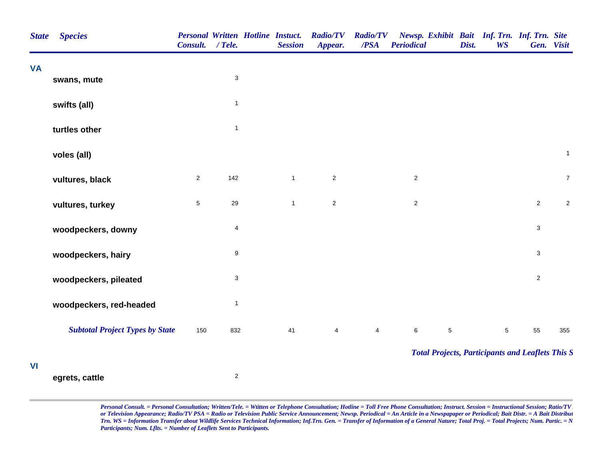| <b>State</b> | <b>Species</b>                         | <b>Personal Written Hotline Instuct.</b><br>Consult. | $/$ Tele.                 | <b>Session</b> | <b>Radio/TV</b><br>Appear. | <b>Radio/TV</b><br>/PSA | Newsp. Exhibit Bait Inf. Trn. Inf. Trn. Site<br><b>Periodical</b> | Dist. | <b>WS</b>  | Gen. Visit     |                |
|--------------|----------------------------------------|------------------------------------------------------|---------------------------|----------------|----------------------------|-------------------------|-------------------------------------------------------------------|-------|------------|----------------|----------------|
| <b>VA</b>    | swans, mute                            |                                                      | $\ensuremath{\mathsf{3}}$ |                |                            |                         |                                                                   |       |            |                |                |
|              | swifts (all)                           |                                                      | $\mathbf{1}$              |                |                            |                         |                                                                   |       |            |                |                |
|              | turtles other                          |                                                      | $\mathbf{1}$              |                |                            |                         |                                                                   |       |            |                |                |
|              | voles (all)                            |                                                      |                           |                |                            |                         |                                                                   |       |            |                | $\mathbf{1}$   |
|              | vultures, black                        | $\overline{2}$                                       | 142                       | $\mathbf{1}$   | $\overline{2}$             |                         | $\overline{c}$                                                    |       |            |                | $\overline{7}$ |
|              | vultures, turkey                       | $\sqrt{5}$                                           | 29                        | $\mathbf{1}$   | $\overline{2}$             |                         | $\overline{2}$                                                    |       |            | $\overline{2}$ | $\sqrt{2}$     |
|              | woodpeckers, downy                     |                                                      | $\overline{\mathbf{4}}$   |                |                            |                         |                                                                   |       |            | $\mathbf{3}$   |                |
|              | woodpeckers, hairy                     |                                                      | $\boldsymbol{9}$          |                |                            |                         |                                                                   |       |            | $\mathbf{3}$   |                |
|              | woodpeckers, pileated                  |                                                      | $\mathsf 3$               |                |                            |                         |                                                                   |       |            | $\overline{2}$ |                |
|              | woodpeckers, red-headed                |                                                      | $\mathbf{1}$              |                |                            |                         |                                                                   |       |            |                |                |
|              | <b>Subtotal Project Types by State</b> | 150                                                  | 832                       | 41             | $\overline{4}$             | $\overline{4}$          | $\,6$<br>$\sqrt{5}$                                               |       | $\sqrt{5}$ | 55             | 355            |
|              |                                        |                                                      |                           |                |                            |                         | <b>Total Projects, Participants and Leaflets This S</b>           |       |            |                |                |
| VI           | egrets, cattle                         |                                                      | $\overline{c}$            |                |                            |                         |                                                                   |       |            |                |                |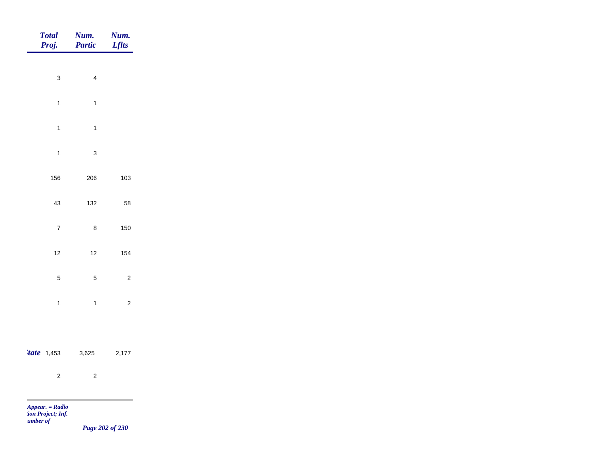| <b>Total</b><br>Proj.                            | Num.<br>Partic | Num.<br><b>Lflts</b> |
|--------------------------------------------------|----------------|----------------------|
|                                                  |                |                      |
| $\mathbf 3$                                      | $\overline{4}$ |                      |
| $\mathbf{1}$                                     | $\overline{1}$ |                      |
| $\mathbf 1$                                      | $\mathbf{1}$   |                      |
| $\mathbf{1}$                                     | $\mathbf{3}$   |                      |
| 156                                              | 206            | 103                  |
| 43                                               | 132            | 58                   |
| $\boldsymbol{7}$                                 | $\bf 8$        | 150                  |
|                                                  |                |                      |
| $12$                                             | 12             | 154                  |
| $\sqrt{5}$                                       | $\sqrt{5}$     | $\mathbf 2$          |
| $\mathbf{1}$                                     | $\mathbf{1}$   | $\sqrt{2}$           |
|                                                  |                |                      |
| $'$ tate 1,453                                   | 3,625          | 2,177                |
| $\overline{c}$                                   | $\sqrt{2}$     |                      |
| m                                                |                |                      |
| Appear. = Radio<br>ion Project; Inf.<br>umber of |                | $\mathbf{p}$ and can |

*Page 202 of 230*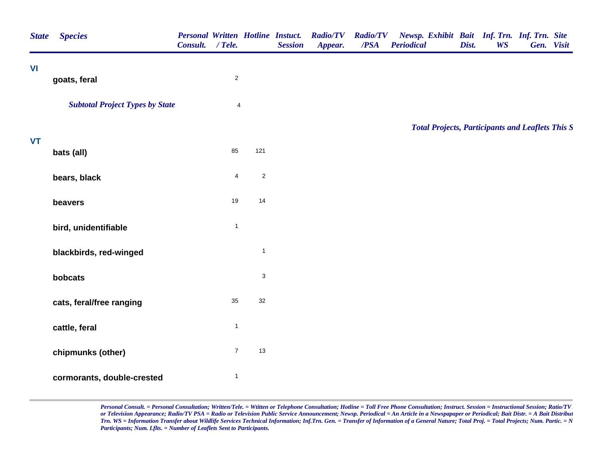| <b>State</b> | <b>Species</b>                         | <b>Personal Written Hotline Instuct.</b><br>Consult. / Tele. |                |              | <b>Session</b> | <b>Radio/TV</b><br>Appear. | <b>Radio/TV</b><br>/PSA | Newsp. Exhibit Bait Inf. Trn. Inf. Trn. Site<br><b>Periodical</b> | Dist. | <b>WS</b> | Gen. Visit |  |
|--------------|----------------------------------------|--------------------------------------------------------------|----------------|--------------|----------------|----------------------------|-------------------------|-------------------------------------------------------------------|-------|-----------|------------|--|
| VI           | goats, feral                           |                                                              | $\sqrt{2}$     |              |                |                            |                         |                                                                   |       |           |            |  |
|              | <b>Subtotal Project Types by State</b> |                                                              | $\overline{4}$ |              |                |                            |                         |                                                                   |       |           |            |  |
| <b>VT</b>    |                                        |                                                              |                |              |                |                            |                         | <b>Total Projects, Participants and Leaflets This S</b>           |       |           |            |  |
|              | bats (all)                             |                                                              | 85             | 121          |                |                            |                         |                                                                   |       |           |            |  |
|              | bears, black                           |                                                              | $\overline{4}$ | $\sqrt{2}$   |                |                            |                         |                                                                   |       |           |            |  |
|              | beavers                                |                                                              | 19             | 14           |                |                            |                         |                                                                   |       |           |            |  |
|              | bird, unidentifiable                   |                                                              | $\mathbf{1}$   |              |                |                            |                         |                                                                   |       |           |            |  |
|              | blackbirds, red-winged                 |                                                              |                | $\mathbf{1}$ |                |                            |                         |                                                                   |       |           |            |  |
|              | bobcats                                |                                                              |                | $\sqrt{3}$   |                |                            |                         |                                                                   |       |           |            |  |
|              | cats, feral/free ranging               |                                                              | 35             | $32\,$       |                |                            |                         |                                                                   |       |           |            |  |
|              | cattle, feral                          |                                                              | $\mathbf{1}$   |              |                |                            |                         |                                                                   |       |           |            |  |
|              | chipmunks (other)                      |                                                              | $\overline{7}$ | 13           |                |                            |                         |                                                                   |       |           |            |  |
|              | cormorants, double-crested             |                                                              | $\mathbf{1}$   |              |                |                            |                         |                                                                   |       |           |            |  |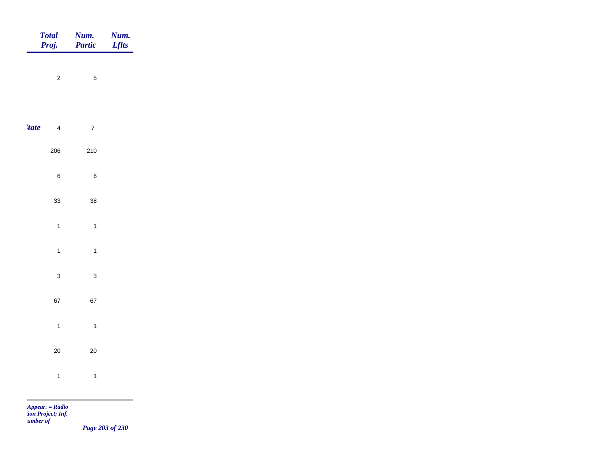|               | Total<br>Proj. | <b>Num.</b><br>Partic | <b>Num.</b><br><i>Lflts</i>                  |
|---------------|----------------|-----------------------|----------------------------------------------|
|               | $\overline{c}$ | $\sqrt{5}$            |                                              |
|               |                |                       |                                              |
| <i>tate</i>   | $\overline{4}$ | $\overline{7}$        |                                              |
|               | 206            | 210                   |                                              |
|               | $\,6\,$        | $\,6\,$               |                                              |
|               | $33\,$         | $38\,$                |                                              |
|               |                |                       |                                              |
|               | $\overline{1}$ | $\mathbf{1}$          |                                              |
|               | $\overline{1}$ | $\mathbf{1}$          |                                              |
|               | $\mathbf{3}$   | $\mathbf{3}$          |                                              |
|               | 67             | 67                    |                                              |
|               | $\overline{1}$ | $\mathbf{1}$          |                                              |
|               | $20\,$         | $20\,$                |                                              |
|               | $\mathbf{1}$   | $\mathbf{1}$          |                                              |
| <b>The Co</b> |                |                       | the control of the control of the control of |

*Page 203 of 230*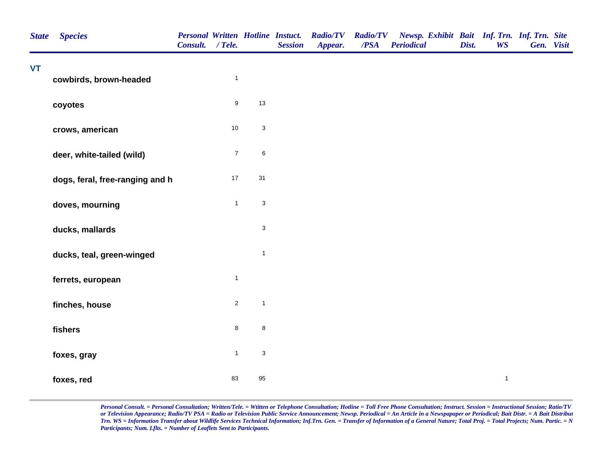| <b>State</b> | <b>Species</b>                  | <b>Personal Written Hotline Instuct.</b><br>Consult. / Tele. |                  |                           | <b>Session</b> | <b>Radio/TV</b><br>Appear. | <b>Radio/TV</b><br>/PSA | Newsp. Exhibit Bait Inf. Trn. Inf. Trn. Site<br><b>Periodical</b> | Dist. | <b>WS</b>    | Gen. Visit |  |
|--------------|---------------------------------|--------------------------------------------------------------|------------------|---------------------------|----------------|----------------------------|-------------------------|-------------------------------------------------------------------|-------|--------------|------------|--|
| VT           | cowbirds, brown-headed          |                                                              | $\mathbf{1}$     |                           |                |                            |                         |                                                                   |       |              |            |  |
|              | coyotes                         |                                                              | $\boldsymbol{9}$ | $13$                      |                |                            |                         |                                                                   |       |              |            |  |
|              | crows, american                 |                                                              | $10\,$           | $\mathbf{3}$              |                |                            |                         |                                                                   |       |              |            |  |
|              | deer, white-tailed (wild)       |                                                              | $\boldsymbol{7}$ | $\,6\,$                   |                |                            |                         |                                                                   |       |              |            |  |
|              | dogs, feral, free-ranging and h |                                                              | $17\,$           | 31                        |                |                            |                         |                                                                   |       |              |            |  |
|              | doves, mourning                 |                                                              | $\mathbf{1}$     | $\mathbf{3}$              |                |                            |                         |                                                                   |       |              |            |  |
|              | ducks, mallards                 |                                                              |                  | $\mathbf{3}$              |                |                            |                         |                                                                   |       |              |            |  |
|              | ducks, teal, green-winged       |                                                              |                  | $\mathbf{1}$              |                |                            |                         |                                                                   |       |              |            |  |
|              | ferrets, european               |                                                              | $\mathbf{1}$     |                           |                |                            |                         |                                                                   |       |              |            |  |
|              | finches, house                  |                                                              | $\sqrt{2}$       | $\overline{1}$            |                |                            |                         |                                                                   |       |              |            |  |
|              | fishers                         |                                                              | $\bf 8$          | $\bf 8$                   |                |                            |                         |                                                                   |       |              |            |  |
|              | foxes, gray                     |                                                              | $\mathbf{1}$     | $\ensuremath{\mathsf{3}}$ |                |                            |                         |                                                                   |       |              |            |  |
|              | foxes, red                      |                                                              | 83               | 95                        |                |                            |                         |                                                                   |       | $\mathbf{1}$ |            |  |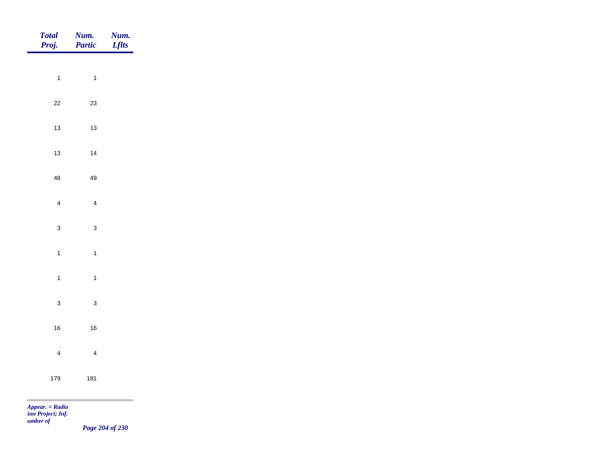| Total<br>Proj.    | Num.<br>Partic | <b>Num.</b><br>Lflts |
|-------------------|----------------|----------------------|
|                   |                |                      |
| $\mathbf{1}$      | $\overline{1}$ |                      |
| $22\,$            | $23\,$         |                      |
| $13$              | $13\,$         |                      |
| $13$              | $14$           |                      |
| 48                | 49             |                      |
| $\overline{4}$    | $\overline{4}$ |                      |
|                   |                |                      |
| $\mathbf{3}$      | $\mathbf{3}$   |                      |
| $\overline{1}$    | $\mathbf{1}$   |                      |
| $\mathbf{1}$      | $\mathbf{1}$   |                      |
| $\mathbf{3}$      | $\mathbf{3}$   |                      |
| $16\,$            | $16\,$         |                      |
| $\overline{4}$    | $\overline{4}$ |                      |
|                   |                |                      |
| 179               | 181            |                      |
| $Appear. = Radio$ |                |                      |

*tion Project; Inf. Number of* 

*Page 204 of 230*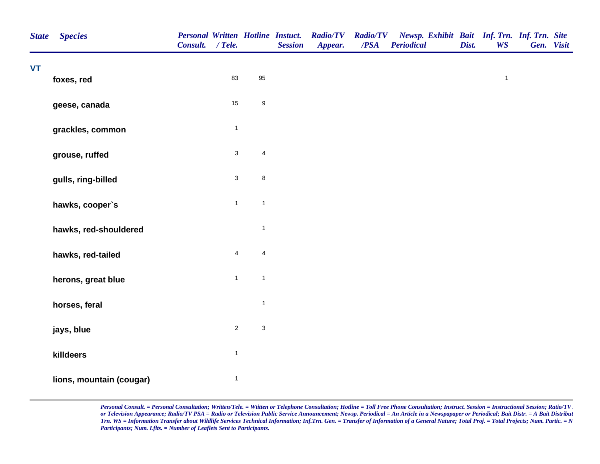| <b>State</b> | <b>Species</b>           | Consult. / Tele. |                           |                           | <b>Personal Written Hotline Instuct.</b><br><b>Session</b> | <b>Radio/TV</b><br>Appear. | <b>Radio/TV</b><br>$\overline{PSA}$ | Newsp. Exhibit Bait Inf. Trn. Inf. Trn. Site<br><b>Periodical</b> | Dist. | <b>WS</b>    | Gen. Visit |  |
|--------------|--------------------------|------------------|---------------------------|---------------------------|------------------------------------------------------------|----------------------------|-------------------------------------|-------------------------------------------------------------------|-------|--------------|------------|--|
| <b>VT</b>    | foxes, red               |                  | 83                        | 95                        |                                                            |                            |                                     |                                                                   |       | $\mathbf{1}$ |            |  |
|              | geese, canada            |                  | 15                        | $\boldsymbol{9}$          |                                                            |                            |                                     |                                                                   |       |              |            |  |
|              | grackles, common         |                  | $\mathbf{1}$              |                           |                                                            |                            |                                     |                                                                   |       |              |            |  |
|              | grouse, ruffed           |                  | $\ensuremath{\mathsf{3}}$ | $\overline{\mathbf{4}}$   |                                                            |                            |                                     |                                                                   |       |              |            |  |
|              | gulls, ring-billed       |                  | $\ensuremath{\mathsf{3}}$ | $\bf8$                    |                                                            |                            |                                     |                                                                   |       |              |            |  |
|              | hawks, cooper's          |                  | $\mathbf{1}$              | $\mathbf{1}$              |                                                            |                            |                                     |                                                                   |       |              |            |  |
|              | hawks, red-shouldered    |                  |                           | $\mathbf{1}$              |                                                            |                            |                                     |                                                                   |       |              |            |  |
|              | hawks, red-tailed        |                  | $\overline{\mathbf{4}}$   | $\overline{\mathbf{4}}$   |                                                            |                            |                                     |                                                                   |       |              |            |  |
|              | herons, great blue       |                  | $\mathbf{1}$              | $\mathbf{1}$              |                                                            |                            |                                     |                                                                   |       |              |            |  |
|              | horses, feral            |                  |                           | $\mathbf{1}$              |                                                            |                            |                                     |                                                                   |       |              |            |  |
|              | jays, blue               |                  | $\sqrt{2}$                | $\ensuremath{\mathsf{3}}$ |                                                            |                            |                                     |                                                                   |       |              |            |  |
|              | killdeers                |                  | $\mathbf{1}$              |                           |                                                            |                            |                                     |                                                                   |       |              |            |  |
|              | lions, mountain (cougar) |                  | $\mathbf{1}$              |                           |                                                            |                            |                                     |                                                                   |       |              |            |  |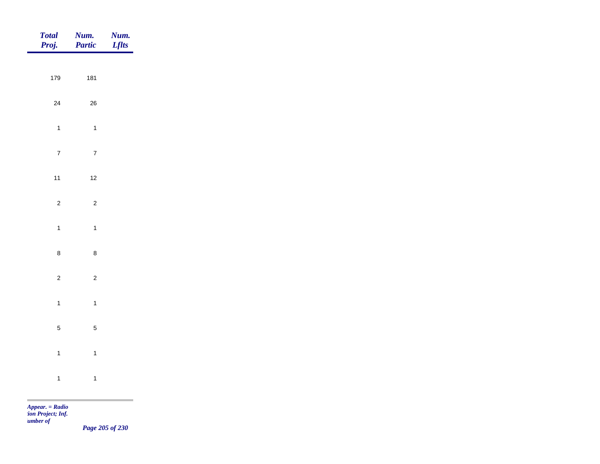| 179<br>$24\,$  | 181<br>${\bf 26}$ |  |
|----------------|-------------------|--|
|                |                   |  |
|                |                   |  |
| $\overline{1}$ | $\mathbf{1}$      |  |
| $\overline{7}$ | $\overline{7}$    |  |
| $11$           | $12$              |  |
| $\overline{c}$ | $\overline{c}$    |  |
| $\overline{1}$ | $\mathbf{1}$      |  |
| $\bf 8$        | $\bf 8$           |  |
| $\overline{c}$ | $\overline{c}$    |  |
| $\overline{1}$ | $\mathbf{1}$      |  |
| $\overline{5}$ | $\overline{5}$    |  |
| $\overline{1}$ | $\overline{1}$    |  |
| $\overline{1}$ | $\mathbf{1}$      |  |

*Page 205 of 230*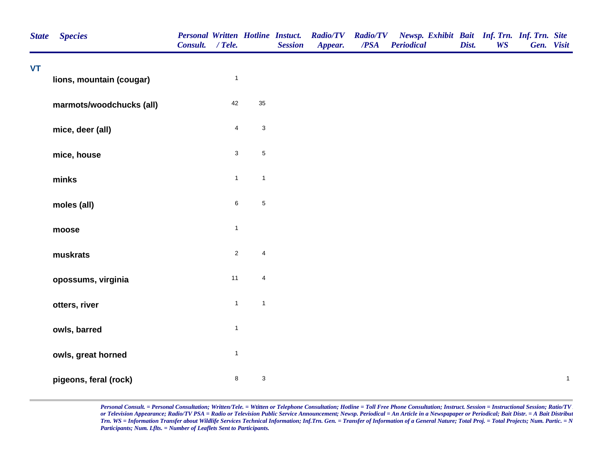| <b>State</b> | <b>Species</b>           | Consult. / Tele. |                         |                           | <b>Personal Written Hotline Instuct.</b><br><b>Session</b> | <b>Radio/TV</b><br>Appear. | $\overline{PSA}$ | Radio/TV Newsp. Exhibit Bait Inf. Trn. Inf. Trn. Site<br><b>Periodical</b> | Dist. | <b>WS</b> | Gen. Visit |              |
|--------------|--------------------------|------------------|-------------------------|---------------------------|------------------------------------------------------------|----------------------------|------------------|----------------------------------------------------------------------------|-------|-----------|------------|--------------|
| <b>VT</b>    | lions, mountain (cougar) |                  | $\mathbf{1}$            |                           |                                                            |                            |                  |                                                                            |       |           |            |              |
|              | marmots/woodchucks (all) |                  | 42                      | 35                        |                                                            |                            |                  |                                                                            |       |           |            |              |
|              | mice, deer (all)         |                  | $\overline{\mathbf{4}}$ | $\ensuremath{\mathsf{3}}$ |                                                            |                            |                  |                                                                            |       |           |            |              |
|              | mice, house              |                  | $\mathbf{3}$            | $\sqrt{5}$                |                                                            |                            |                  |                                                                            |       |           |            |              |
|              | minks                    |                  | $\mathbf{1}$            | $\overline{1}$            |                                                            |                            |                  |                                                                            |       |           |            |              |
|              | moles (all)              |                  | $\,6\,$                 | $\,$ 5 $\,$               |                                                            |                            |                  |                                                                            |       |           |            |              |
|              | moose                    |                  | $\mathbf{1}$            |                           |                                                            |                            |                  |                                                                            |       |           |            |              |
|              | muskrats                 |                  | $\sqrt{2}$              | $\sqrt{4}$                |                                                            |                            |                  |                                                                            |       |           |            |              |
|              | opossums, virginia       |                  | 11                      | $\sqrt{4}$                |                                                            |                            |                  |                                                                            |       |           |            |              |
|              | otters, river            |                  | $\mathbf{1}$            | $\mathbf{1}$              |                                                            |                            |                  |                                                                            |       |           |            |              |
|              | owls, barred             |                  | $\mathbf{1}$            |                           |                                                            |                            |                  |                                                                            |       |           |            |              |
|              | owls, great horned       |                  | $\mathbf{1}$            |                           |                                                            |                            |                  |                                                                            |       |           |            |              |
|              | pigeons, feral (rock)    |                  | 8                       | $\sqrt{3}$                |                                                            |                            |                  |                                                                            |       |           |            | $\mathbf{1}$ |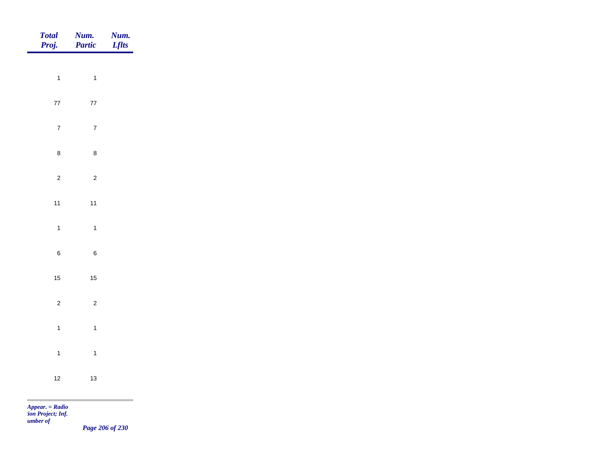| <b>Total</b><br>Proj. | Num.<br>Partic | Num.<br><b>Lflts</b> |
|-----------------------|----------------|----------------------|
|                       |                |                      |
| $\overline{1}$        | $\overline{1}$ |                      |
| $77\,$                | $77\,$         |                      |
| $\overline{7}$        | $\overline{7}$ |                      |
| $\bf 8$               | $\bf 8$        |                      |
| $\overline{c}$        | $\overline{c}$ |                      |
| $11$                  | $11$           |                      |
| $\overline{1}$        | $\overline{1}$ |                      |
|                       |                |                      |
| $\,6\,$               | $\,6\,$        |                      |
| $15$                  | $15\,$         |                      |
| $\overline{c}$        | $\overline{c}$ |                      |
| $\overline{1}$        | $\overline{1}$ |                      |
| $\overline{1}$        | $\overline{1}$ |                      |
| $12$                  | $13$           |                      |
|                       |                |                      |

*Page 206 of 230*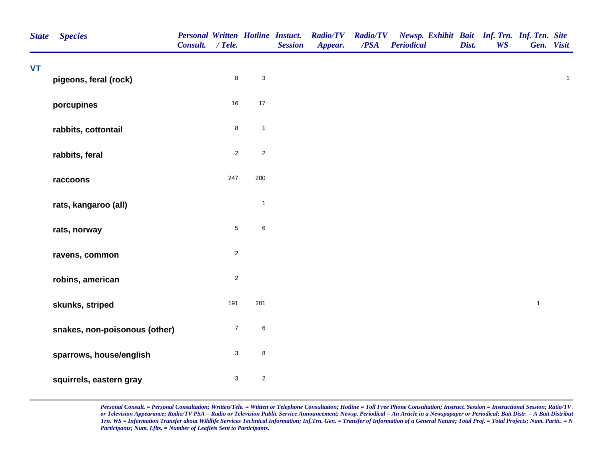| <b>State</b> | <b>Species</b>                | <b>Personal Written Hotline Instuct.</b><br>Consult. / Tele. |                           |                           | <b>Session</b> | <b>Radio/TV</b><br>Appear. | <b>Radio/TV</b><br>/PSA | Newsp. Exhibit Bait Inf. Trn. Inf. Trn. Site<br><b>Periodical</b> | Dist. | <b>WS</b> | Gen. Visit   |              |
|--------------|-------------------------------|--------------------------------------------------------------|---------------------------|---------------------------|----------------|----------------------------|-------------------------|-------------------------------------------------------------------|-------|-----------|--------------|--------------|
| <b>VT</b>    | pigeons, feral (rock)         |                                                              | $\bf 8$                   | $\ensuremath{\mathsf{3}}$ |                |                            |                         |                                                                   |       |           |              | $\mathbf{1}$ |
|              | porcupines                    |                                                              | 16                        | $17$                      |                |                            |                         |                                                                   |       |           |              |              |
|              | rabbits, cottontail           |                                                              | $\bf8$                    | $\mathbf{1}$              |                |                            |                         |                                                                   |       |           |              |              |
|              | rabbits, feral                |                                                              | $\overline{c}$            | $\overline{c}$            |                |                            |                         |                                                                   |       |           |              |              |
|              | raccoons                      |                                                              | 247                       | 200                       |                |                            |                         |                                                                   |       |           |              |              |
|              | rats, kangaroo (all)          |                                                              |                           | $\mathbf{1}$              |                |                            |                         |                                                                   |       |           |              |              |
|              | rats, norway                  |                                                              | $\,$ 5 $\,$               | $\,6$                     |                |                            |                         |                                                                   |       |           |              |              |
|              | ravens, common                |                                                              | $\overline{c}$            |                           |                |                            |                         |                                                                   |       |           |              |              |
|              | robins, american              |                                                              | $\overline{c}$            |                           |                |                            |                         |                                                                   |       |           |              |              |
|              | skunks, striped               |                                                              | 191                       | 201                       |                |                            |                         |                                                                   |       |           | $\mathbf{1}$ |              |
|              | snakes, non-poisonous (other) |                                                              | $\boldsymbol{7}$          | $\,6$                     |                |                            |                         |                                                                   |       |           |              |              |
|              | sparrows, house/english       |                                                              | $\ensuremath{\mathsf{3}}$ | 8                         |                |                            |                         |                                                                   |       |           |              |              |
|              | squirrels, eastern gray       |                                                              | $\ensuremath{\mathsf{3}}$ | $\overline{c}$            |                |                            |                         |                                                                   |       |           |              |              |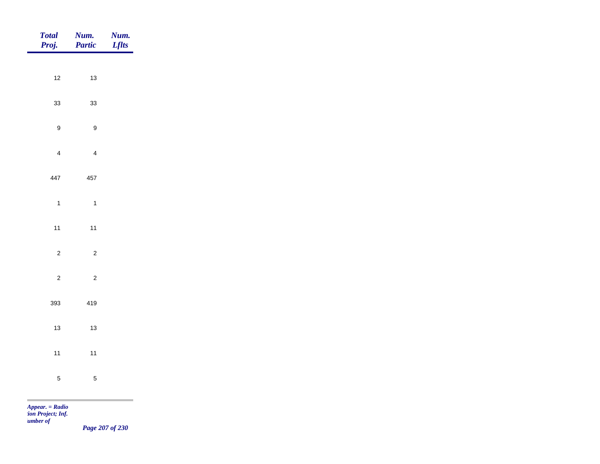| <b>Total</b><br>Proj.           | Num.<br>Partic          | <b>Num.</b><br><i>Lflts</i> |
|---------------------------------|-------------------------|-----------------------------|
|                                 |                         |                             |
| $12$                            | $13$                    |                             |
| $33\,$                          | $33\,$                  |                             |
| $\boldsymbol{9}$                | $\boldsymbol{9}$        |                             |
| $\overline{4}$                  | $\overline{\mathbf{4}}$ |                             |
| 447                             | 457                     |                             |
| $\overline{1}$                  | $\mathbf{1}$            |                             |
|                                 |                         |                             |
| $11$                            | $11$                    |                             |
| $\overline{c}$                  | $\overline{c}$          |                             |
| $\overline{2}$                  | $\overline{c}$          |                             |
| 393                             | 419                     |                             |
| $13$                            | $13$                    |                             |
|                                 |                         |                             |
| $11$                            | $11$                    |                             |
| $\overline{5}$                  | $\sqrt{5}$              |                             |
| <b>COL</b><br>$Appear. = Radio$ |                         |                             |

*tion Project; Inf. Number of* 

*Page 207 of 230*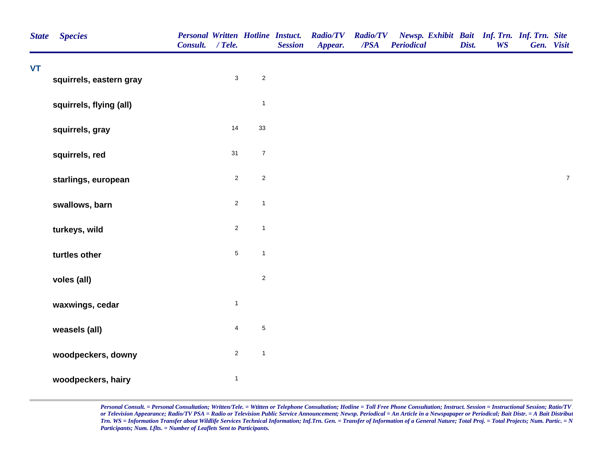| VT | <b>Species</b>          | Consult. / Tele. |                |                  | <b>Personal Written Hotline Instuct.</b><br><b>Session</b> | <b>Radio/TV</b><br>Appear. | <b>Radio/TV</b><br>$\overline{PSA}$ | Newsp. Exhibit Bait Inf. Trn. Inf. Trn. Site<br><b>Periodical</b> | Dist. | <b>WS</b> | Gen. Visit |                  |
|----|-------------------------|------------------|----------------|------------------|------------------------------------------------------------|----------------------------|-------------------------------------|-------------------------------------------------------------------|-------|-----------|------------|------------------|
|    | squirrels, eastern gray |                  | $\mathbf{3}$   | $\overline{2}$   |                                                            |                            |                                     |                                                                   |       |           |            |                  |
|    |                         |                  |                |                  |                                                            |                            |                                     |                                                                   |       |           |            |                  |
|    | squirrels, flying (all) |                  |                | $\mathbf{1}$     |                                                            |                            |                                     |                                                                   |       |           |            |                  |
|    | squirrels, gray         |                  | 14             | $33\,$           |                                                            |                            |                                     |                                                                   |       |           |            |                  |
|    | squirrels, red          |                  | 31             | $\boldsymbol{7}$ |                                                            |                            |                                     |                                                                   |       |           |            |                  |
|    | starlings, european     |                  | $\overline{2}$ | $\sqrt{2}$       |                                                            |                            |                                     |                                                                   |       |           |            | $\boldsymbol{7}$ |
|    | swallows, barn          |                  | $\overline{2}$ | $\mathbf{1}$     |                                                            |                            |                                     |                                                                   |       |           |            |                  |
|    | turkeys, wild           |                  | $\overline{c}$ | $\mathbf{1}$     |                                                            |                            |                                     |                                                                   |       |           |            |                  |
|    | turtles other           |                  | $\overline{5}$ | $\mathbf{1}$     |                                                            |                            |                                     |                                                                   |       |           |            |                  |
|    | voles (all)             |                  |                | $\overline{2}$   |                                                            |                            |                                     |                                                                   |       |           |            |                  |
|    | waxwings, cedar         |                  | $\mathbf{1}$   |                  |                                                            |                            |                                     |                                                                   |       |           |            |                  |
|    | weasels (all)           |                  | $\overline{4}$ | $\,$ 5 $\,$      |                                                            |                            |                                     |                                                                   |       |           |            |                  |
|    | woodpeckers, downy      |                  | $\overline{c}$ | $\mathbf{1}$     |                                                            |                            |                                     |                                                                   |       |           |            |                  |
|    | woodpeckers, hairy      |                  | $\mathbf{1}$   |                  |                                                            |                            |                                     |                                                                   |       |           |            |                  |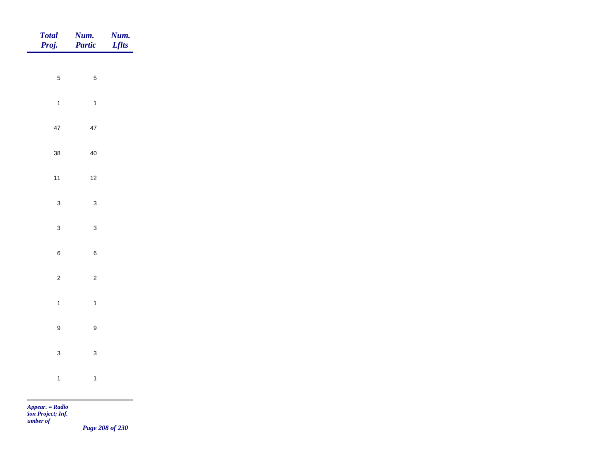| Total<br>Proj.   | <b>Num.</b><br>Partic | <b>Num.</b><br>Lflts                                             |
|------------------|-----------------------|------------------------------------------------------------------|
| $\overline{5}$   |                       |                                                                  |
|                  | $\sqrt{5}$            |                                                                  |
| $\overline{1}$   | $\overline{1}$        |                                                                  |
| $47\,$           | $47\,$                |                                                                  |
| $38\,$           | $40\,$                |                                                                  |
| $11$             | $12$                  |                                                                  |
| $\mathbf{3}$     | $\mathbf{3}$          |                                                                  |
| $\mathbf{3}$     | $\mathbf{3}$          |                                                                  |
|                  |                       |                                                                  |
| $\,$ 6 $\,$      | $\,6\,$               |                                                                  |
| $\overline{2}$   | $\overline{2}$        |                                                                  |
| $\overline{1}$   | $\overline{1}$        |                                                                  |
| $\boldsymbol{9}$ | $\boldsymbol{9}$      |                                                                  |
| $\mathbf{3}$     | $\mathbf{3}$          |                                                                  |
| $\overline{1}$   | $\overline{1}$        |                                                                  |
|                  |                       | <u> 1989 - Johann Barnett, mars et al. 1989 - Anna ann an t-</u> |

*Page 208 of 230*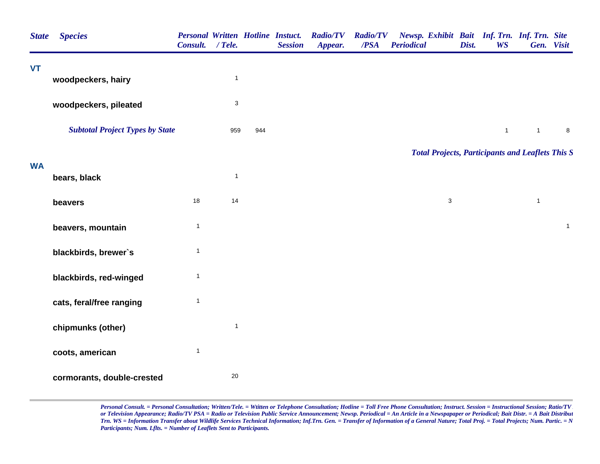| <b>State</b> | <b>Species</b>                         | Consult. / Tele. |                           |     | <b>Session</b> | <b>Personal Written Hotline Instuct. Radio/TV</b><br>Appear. | <b>Radio/TV</b><br>/PSA | <b>Periodical</b> |             | Dist. | <b>WS</b>    | Newsp. Exhibit Bait Inf. Trn. Inf. Trn. Site<br>Gen. Visit |              |
|--------------|----------------------------------------|------------------|---------------------------|-----|----------------|--------------------------------------------------------------|-------------------------|-------------------|-------------|-------|--------------|------------------------------------------------------------|--------------|
| <b>VT</b>    |                                        |                  | $\mathbf{1}$              |     |                |                                                              |                         |                   |             |       |              |                                                            |              |
|              | woodpeckers, hairy                     |                  |                           |     |                |                                                              |                         |                   |             |       |              |                                                            |              |
|              | woodpeckers, pileated                  |                  | $\ensuremath{\mathsf{3}}$ |     |                |                                                              |                         |                   |             |       |              |                                                            |              |
|              | <b>Subtotal Project Types by State</b> |                  | 959                       | 944 |                |                                                              |                         |                   |             |       | $\mathbf{1}$ | $\mathbf{1}$                                               | $\bf8$       |
|              |                                        |                  |                           |     |                |                                                              |                         |                   |             |       |              | <b>Total Projects, Participants and Leaflets This S</b>    |              |
| <b>WA</b>    | bears, black                           |                  | $\mathbf{1}$              |     |                |                                                              |                         |                   |             |       |              |                                                            |              |
|              | beavers                                | 18               | 14                        |     |                |                                                              |                         |                   | $\mathsf 3$ |       |              | $\mathbf{1}$                                               |              |
|              | beavers, mountain                      | $\overline{1}$   |                           |     |                |                                                              |                         |                   |             |       |              |                                                            | $\mathbf{1}$ |
|              | blackbirds, brewer's                   | $\mathbf{1}$     |                           |     |                |                                                              |                         |                   |             |       |              |                                                            |              |
|              | blackbirds, red-winged                 | $\mathbf{1}$     |                           |     |                |                                                              |                         |                   |             |       |              |                                                            |              |
|              | cats, feral/free ranging               | $\mathbf{1}$     |                           |     |                |                                                              |                         |                   |             |       |              |                                                            |              |
|              | chipmunks (other)                      |                  | $\mathbf{1}$              |     |                |                                                              |                         |                   |             |       |              |                                                            |              |
|              | coots, american                        | $\mathbf{1}$     |                           |     |                |                                                              |                         |                   |             |       |              |                                                            |              |
|              | cormorants, double-crested             |                  | $20\,$                    |     |                |                                                              |                         |                   |             |       |              |                                                            |              |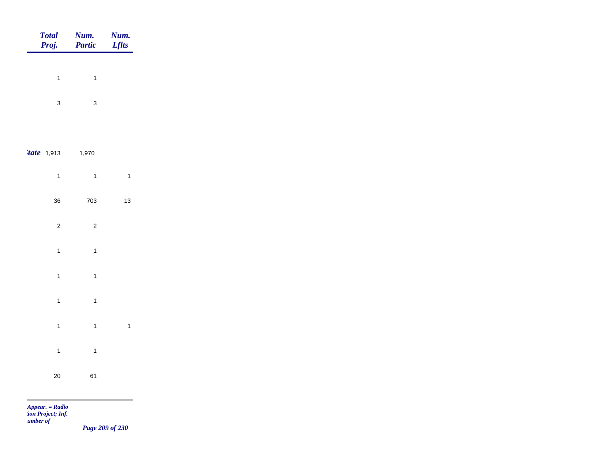| <b>Total</b><br>Proj.               | Num.<br>Partic | Num.<br><b>Lflts</b> |
|-------------------------------------|----------------|----------------------|
|                                     |                |                      |
| $\mathbf{1}$                        | $\mathbf{1}$   |                      |
| $\mathbf{3}$                        | $\mathbf{3}$   |                      |
|                                     |                |                      |
| $'$ tate 1,913                      | 1,970          |                      |
| $\overline{1}$                      | $\overline{1}$ | $\overline{1}$       |
| $36\,$                              | 703            | $13$                 |
| $\sqrt{2}$                          | $\overline{c}$ |                      |
| $\mathbf{1}$                        | $\overline{1}$ |                      |
| $\mathbf{1}$                        | $\overline{1}$ |                      |
|                                     |                |                      |
| $\mathbf{1}$                        | $\mathbf{1}$   |                      |
| $\mathbf{1}$                        | $\mathbf{1}$   | $\overline{1}$       |
| $\overline{1}$                      | $\mathbf{1}$   |                      |
| $20\,$                              | 61             |                      |
| $\overline{a}$<br>$Appear. = Radio$ |                |                      |

*tion Project; Inf. Number of* 

*Page 209 of 230*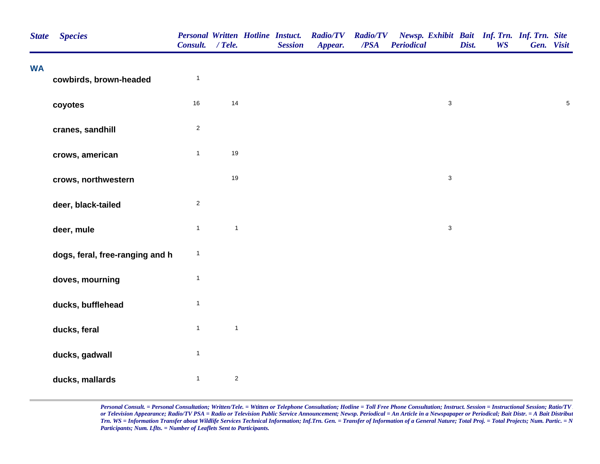| <b>State</b> | <b>Species</b>                  | <b>Personal Written Hotline Instuct.</b><br>Consult. / Tele. |                | <b>Session</b> | <b>Radio/TV</b><br>Appear. | <b>Radio/TV</b><br>$\overline{PSA}$ | Newsp. Exhibit Bait Inf. Trn. Inf. Trn. Site<br><b>Periodical</b> | Dist. | <b>WS</b> | Gen. Visit |            |
|--------------|---------------------------------|--------------------------------------------------------------|----------------|----------------|----------------------------|-------------------------------------|-------------------------------------------------------------------|-------|-----------|------------|------------|
| <b>WA</b>    | cowbirds, brown-headed          | $\mathbf{1}$                                                 |                |                |                            |                                     |                                                                   |       |           |            |            |
|              | coyotes                         | $16\,$                                                       | 14             |                |                            |                                     | $\mathbf{3}$                                                      |       |           |            | $\sqrt{5}$ |
|              | cranes, sandhill                | $\overline{c}$                                               |                |                |                            |                                     |                                                                   |       |           |            |            |
|              | crows, american                 | $\mathbf{1}$                                                 | 19             |                |                            |                                     |                                                                   |       |           |            |            |
|              | crows, northwestern             |                                                              | 19             |                |                            |                                     | $\mathsf 3$                                                       |       |           |            |            |
|              | deer, black-tailed              | $\overline{c}$                                               |                |                |                            |                                     |                                                                   |       |           |            |            |
|              | deer, mule                      | $\mathbf{1}$                                                 | $\mathbf{1}$   |                |                            |                                     | $\mathbf{3}$                                                      |       |           |            |            |
|              | dogs, feral, free-ranging and h | $\mathbf{1}$                                                 |                |                |                            |                                     |                                                                   |       |           |            |            |
|              | doves, mourning                 | $\mathbf{1}$                                                 |                |                |                            |                                     |                                                                   |       |           |            |            |
|              | ducks, bufflehead               | $\mathbf{1}$                                                 |                |                |                            |                                     |                                                                   |       |           |            |            |
|              | ducks, feral                    | $\mathbf{1}$                                                 | $\mathbf{1}$   |                |                            |                                     |                                                                   |       |           |            |            |
|              | ducks, gadwall                  | $\mathbf{1}$                                                 |                |                |                            |                                     |                                                                   |       |           |            |            |
|              | ducks, mallards                 | $\mathbf{1}$                                                 | $\overline{c}$ |                |                            |                                     |                                                                   |       |           |            |            |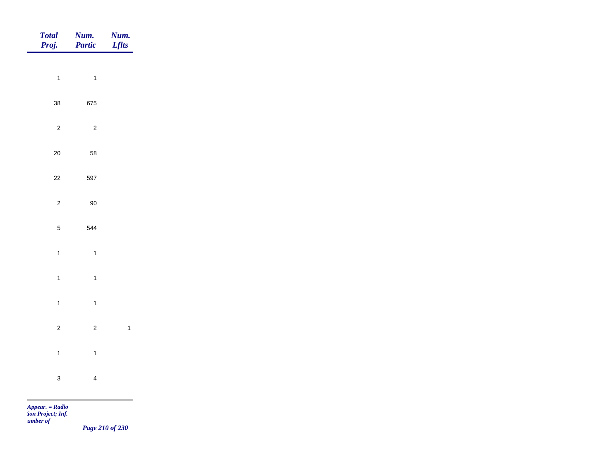| Total<br>Proj. | <b>Num.</b><br>Partic | <b>Num.</b><br>Lflts    |
|----------------|-----------------------|-------------------------|
|                |                       |                         |
| $\overline{1}$ | $\overline{1}$        |                         |
| $38\,$         | 675                   |                         |
| $\overline{c}$ | $\overline{c}$        |                         |
| $20\,$         | 58                    |                         |
| $22\,$         | 597                   |                         |
| $\overline{c}$ | $90\,$                |                         |
|                |                       |                         |
| $\sqrt{5}$     | 544                   |                         |
| $\mathbf{1}$   | $\overline{1}$        |                         |
| $\overline{1}$ | $\mathbf{1}$          |                         |
| $\overline{1}$ | $\mathbf{1}$          |                         |
| $\overline{2}$ | $\overline{2}$        | $\overline{\mathbf{1}}$ |
| $\overline{1}$ | $\overline{1}$        |                         |
|                |                       |                         |
| $\mathbf{3}$   | $\overline{4}$        |                         |

*Page 210 of 230*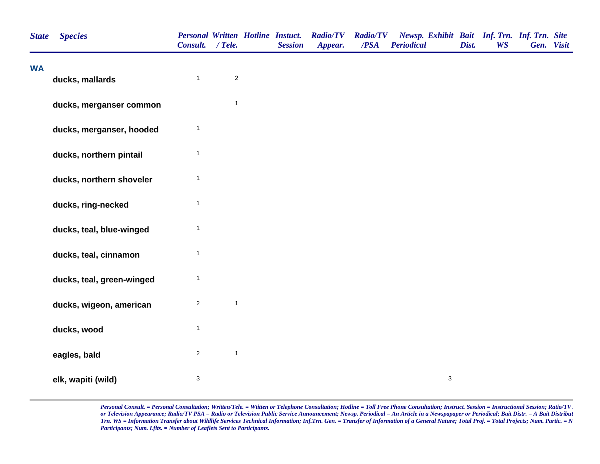| <b>State</b> | <b>Species</b>            | <b>Personal Written Hotline Instuct.</b><br>Consult. / Tele. |              | <b>Session</b> | <b>Radio/TV</b><br>Appear. | <b>Radio/TV</b><br>/PSA | Newsp. Exhibit Bait Inf. Trn. Inf. Trn. Site<br><b>Periodical</b> | Dist. | <b>WS</b> | Gen. Visit |  |
|--------------|---------------------------|--------------------------------------------------------------|--------------|----------------|----------------------------|-------------------------|-------------------------------------------------------------------|-------|-----------|------------|--|
| <b>WA</b>    | ducks, mallards           | $\mathbf{1}$                                                 | $\sqrt{2}$   |                |                            |                         |                                                                   |       |           |            |  |
|              | ducks, merganser common   |                                                              | $\mathbf{1}$ |                |                            |                         |                                                                   |       |           |            |  |
|              | ducks, merganser, hooded  | $\mathbf{1}$                                                 |              |                |                            |                         |                                                                   |       |           |            |  |
|              | ducks, northern pintail   | $\mathbf{1}$                                                 |              |                |                            |                         |                                                                   |       |           |            |  |
|              | ducks, northern shoveler  | $\mathbf{1}$                                                 |              |                |                            |                         |                                                                   |       |           |            |  |
|              | ducks, ring-necked        | $\mathbf{1}$                                                 |              |                |                            |                         |                                                                   |       |           |            |  |
|              | ducks, teal, blue-winged  | 1                                                            |              |                |                            |                         |                                                                   |       |           |            |  |
|              | ducks, teal, cinnamon     | $\mathbf{1}$                                                 |              |                |                            |                         |                                                                   |       |           |            |  |
|              | ducks, teal, green-winged | $\mathbf{1}$                                                 |              |                |                            |                         |                                                                   |       |           |            |  |
|              | ducks, wigeon, american   | $\overline{c}$                                               | $\mathbf{1}$ |                |                            |                         |                                                                   |       |           |            |  |
|              | ducks, wood               | $\mathbf{1}$                                                 |              |                |                            |                         |                                                                   |       |           |            |  |
|              | eagles, bald              | $\overline{c}$                                               | $\mathbf{1}$ |                |                            |                         |                                                                   |       |           |            |  |
|              | elk, wapiti (wild)        | 3                                                            |              |                |                            |                         | 3                                                                 |       |           |            |  |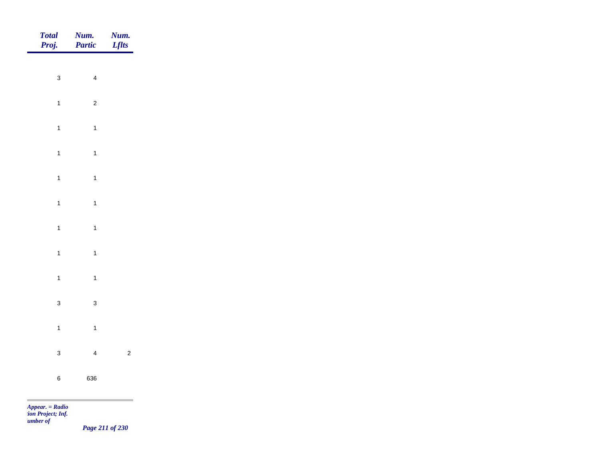| <b>Total</b><br>Proj. | Num.<br>Partic | <b>Num.</b><br>Lflts |
|-----------------------|----------------|----------------------|
| $\mathbf{3}$          | $\overline{4}$ |                      |
|                       |                |                      |
| $\overline{1}$        | $\overline{c}$ |                      |
| $\mathbf{1}$          | $\mathbf{1}$   |                      |
| $\mathbf{1}$          | $\overline{1}$ |                      |
| $\overline{1}$        | $\overline{1}$ |                      |
| $\overline{1}$        | $\mathbf{1}$   |                      |
| $\overline{1}$        | $\overline{1}$ |                      |
| $\mathbf{1}$          | $\overline{1}$ |                      |
|                       |                |                      |
| $\mathbf{1}$          | $\overline{1}$ |                      |
| $\mathbf{3}$          | $\mathbf{3}$   |                      |
| $\overline{1}$        | $\mathbf{1}$   |                      |
| $\mathbf{3}$          | $\overline{4}$ | $\overline{c}$       |
| $\,$ 6 $\,$           | 636            |                      |
|                       |                |                      |

m

*Page 211 of 230*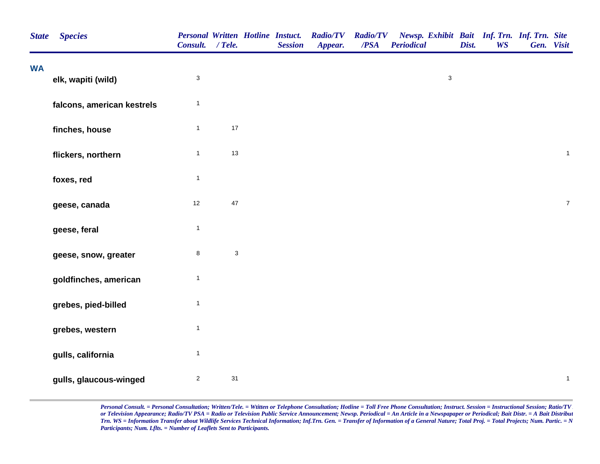| <b>State</b> | <b>Species</b>             | <b>Personal Written Hotline Instuct.</b><br>Consult. / Tele. |                           | <b>Session</b> | <b>Radio/TV</b><br>Appear. | <b>Radio/TV</b><br>/PSA | Newsp. Exhibit Bait Inf. Trn. Inf. Trn. Site<br><b>Periodical</b> | Dist. | <b>WS</b> | Gen. Visit     |
|--------------|----------------------------|--------------------------------------------------------------|---------------------------|----------------|----------------------------|-------------------------|-------------------------------------------------------------------|-------|-----------|----------------|
| <b>WA</b>    | elk, wapiti (wild)         | 3                                                            |                           |                |                            |                         | $\mathsf 3$                                                       |       |           |                |
|              | falcons, american kestrels | $\mathbf{1}$                                                 |                           |                |                            |                         |                                                                   |       |           |                |
|              | finches, house             | $\mathbf{1}$                                                 | $17\,$                    |                |                            |                         |                                                                   |       |           |                |
|              | flickers, northern         | $\mathbf{1}$                                                 | $13$                      |                |                            |                         |                                                                   |       |           | $\mathbf{1}$   |
|              | foxes, red                 | $\mathbf{1}$                                                 |                           |                |                            |                         |                                                                   |       |           |                |
|              | geese, canada              | $12$                                                         | 47                        |                |                            |                         |                                                                   |       |           | $\overline{7}$ |
|              | geese, feral               | $\mathbf{1}$                                                 |                           |                |                            |                         |                                                                   |       |           |                |
|              | geese, snow, greater       | 8                                                            | $\ensuremath{\mathsf{3}}$ |                |                            |                         |                                                                   |       |           |                |
|              | goldfinches, american      | $\mathbf{1}$                                                 |                           |                |                            |                         |                                                                   |       |           |                |
|              | grebes, pied-billed        | $\mathbf{1}$                                                 |                           |                |                            |                         |                                                                   |       |           |                |
|              | grebes, western            | $\mathbf{1}$                                                 |                           |                |                            |                         |                                                                   |       |           |                |
|              | gulls, california          | $\mathbf{1}$                                                 |                           |                |                            |                         |                                                                   |       |           |                |
|              | gulls, glaucous-winged     | $\overline{c}$                                               | 31                        |                |                            |                         |                                                                   |       |           | $\mathbf{1}$   |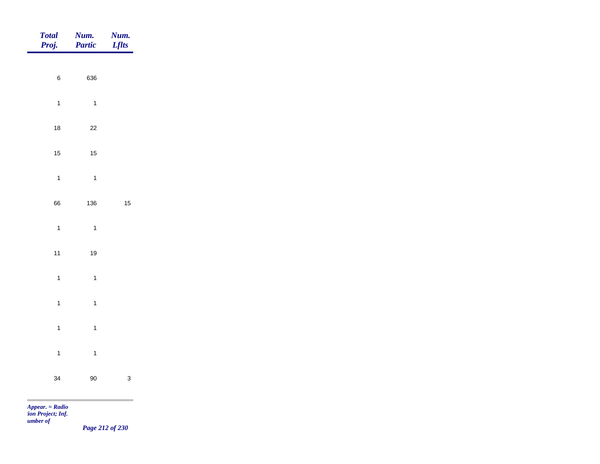| <b>Total</b><br>Proj. | Num.<br>Partic | <b>Num.</b><br>Lflts |
|-----------------------|----------------|----------------------|
|                       |                |                      |
| $\,$ 6 $\,$           | 636            |                      |
| $\overline{1}$        | $\overline{1}$ |                      |
| 18                    | $22\,$         |                      |
| 15                    | $15\,$         |                      |
| $\overline{1}$        | $\overline{1}$ |                      |
| 66                    | 136            | $15\,$               |
| $\overline{1}$        | $\overline{1}$ |                      |
| $11$                  | $19$           |                      |
|                       |                |                      |
| $\overline{1}$        | $\overline{1}$ |                      |
| $\mathbf{1}$          | $\mathbf{1}$   |                      |
| $\overline{1}$        | $\mathbf{1}$   |                      |
| $\overline{1}$        | $\mathbf{1}$   |                      |
| 34                    | $90\,$         | $\mathbf{3}$         |
| <b>Contract</b>       |                |                      |

*Page 212 of 230*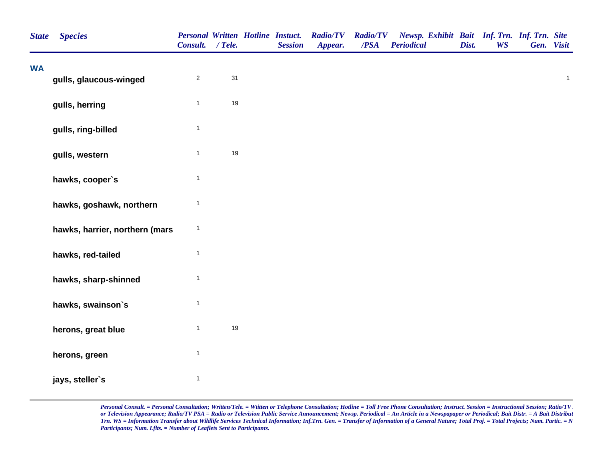| <b>State</b> | <b>Species</b>                 | <b>Personal Written Hotline Instuct.</b><br>Consult. / Tele. |      | <b>Session</b> | <b>Radio/TV</b><br>Appear. | <b>Radio/TV</b><br>/PSA | Newsp. Exhibit Bait Inf. Trn. Inf. Trn. Site<br><b>Periodical</b> | Dist. | <b>WS</b> | Gen. Visit |              |
|--------------|--------------------------------|--------------------------------------------------------------|------|----------------|----------------------------|-------------------------|-------------------------------------------------------------------|-------|-----------|------------|--------------|
| <b>WA</b>    | gulls, glaucous-winged         | $\overline{\mathbf{c}}$                                      | 31   |                |                            |                         |                                                                   |       |           |            | $\mathbf{1}$ |
|              | gulls, herring                 | $\mathbf{1}$                                                 | 19   |                |                            |                         |                                                                   |       |           |            |              |
|              | gulls, ring-billed             | $\mathbf{1}$                                                 |      |                |                            |                         |                                                                   |       |           |            |              |
|              | gulls, western                 | $\mathbf{1}$                                                 | $19$ |                |                            |                         |                                                                   |       |           |            |              |
|              | hawks, cooper's                | $\mathbf{1}$                                                 |      |                |                            |                         |                                                                   |       |           |            |              |
|              | hawks, goshawk, northern       | $\mathbf{1}$                                                 |      |                |                            |                         |                                                                   |       |           |            |              |
|              | hawks, harrier, northern (mars | $\mathbf 1$                                                  |      |                |                            |                         |                                                                   |       |           |            |              |
|              | hawks, red-tailed              | $\mathbf{1}$                                                 |      |                |                            |                         |                                                                   |       |           |            |              |
|              | hawks, sharp-shinned           | $\mathbf{1}$                                                 |      |                |                            |                         |                                                                   |       |           |            |              |
|              | hawks, swainson's              | $\mathbf{1}$                                                 |      |                |                            |                         |                                                                   |       |           |            |              |
|              | herons, great blue             | $\mathbf{1}$                                                 | 19   |                |                            |                         |                                                                   |       |           |            |              |
|              | herons, green                  | $\mathbf{1}$                                                 |      |                |                            |                         |                                                                   |       |           |            |              |
|              | jays, steller's                | $\mathbf{1}$                                                 |      |                |                            |                         |                                                                   |       |           |            |              |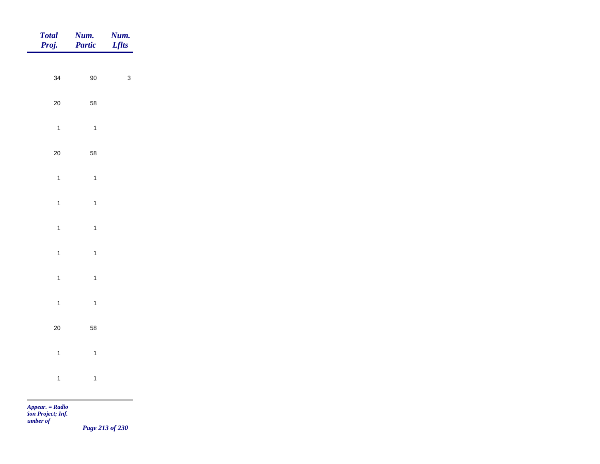| Total<br>Proj. | <b>Num.</b><br>Partic | <b>Num.</b><br>Lflts                                        |
|----------------|-----------------------|-------------------------------------------------------------|
|                |                       |                                                             |
| 34             | $90\,$                | $\mathbf{3}$                                                |
| 20             | 58                    |                                                             |
| $\overline{1}$ | $\overline{1}$        |                                                             |
| 20             | 58                    |                                                             |
| $\mathbf{1}$   | $\overline{1}$        |                                                             |
| $\overline{1}$ | $\overline{1}$        |                                                             |
| $\overline{1}$ |                       |                                                             |
|                | $\overline{1}$        |                                                             |
| $\overline{1}$ | $\overline{1}$        |                                                             |
| $\overline{1}$ | $\overline{1}$        |                                                             |
| $\overline{1}$ | $\overline{1}$        |                                                             |
| 20             | 58                    |                                                             |
| $\overline{1}$ | $\overline{1}$        |                                                             |
| $\mathbf{1}$   | $\overline{1}$        |                                                             |
|                |                       | the control of the control of the control of the control of |

*Page 213 of 230*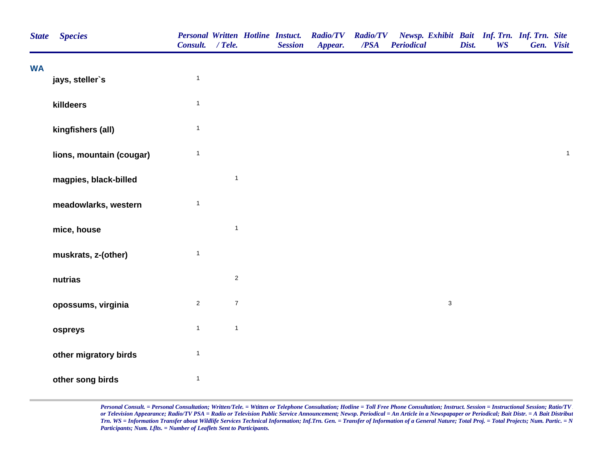| <b>State</b> | <b>Species</b>           | Consult. / Tele. |                  | <b>Personal Written Hotline Instuct.</b><br><b>Session</b> | <b>Radio/TV</b><br>Appear. | <b>Radio/TV</b><br>/PSA | Newsp. Exhibit Bait Inf. Trn. Inf. Trn. Site<br><b>Periodical</b> | Dist. | <b>WS</b> | Gen. Visit |                |
|--------------|--------------------------|------------------|------------------|------------------------------------------------------------|----------------------------|-------------------------|-------------------------------------------------------------------|-------|-----------|------------|----------------|
| <b>WA</b>    | jays, steller's          | $\mathbf{1}$     |                  |                                                            |                            |                         |                                                                   |       |           |            |                |
|              | killdeers                | $\mathbf{1}$     |                  |                                                            |                            |                         |                                                                   |       |           |            |                |
|              | kingfishers (all)        | $\mathbf{1}$     |                  |                                                            |                            |                         |                                                                   |       |           |            |                |
|              | lions, mountain (cougar) | $\mathbf{1}$     |                  |                                                            |                            |                         |                                                                   |       |           |            | $\overline{1}$ |
|              | magpies, black-billed    |                  | $\mathbf{1}$     |                                                            |                            |                         |                                                                   |       |           |            |                |
|              | meadowlarks, western     | $\mathbf{1}$     |                  |                                                            |                            |                         |                                                                   |       |           |            |                |
|              | mice, house              |                  | $\mathbf{1}$     |                                                            |                            |                         |                                                                   |       |           |            |                |
|              | muskrats, z-(other)      | $\mathbf{1}$     |                  |                                                            |                            |                         |                                                                   |       |           |            |                |
|              | nutrias                  |                  | $\overline{2}$   |                                                            |                            |                         |                                                                   |       |           |            |                |
|              | opossums, virginia       | $\mathbf{2}$     | $\boldsymbol{7}$ |                                                            |                            |                         | $\mathbf{3}$                                                      |       |           |            |                |
|              | ospreys                  | $\mathbf{1}$     | $\mathbf{1}$     |                                                            |                            |                         |                                                                   |       |           |            |                |
|              | other migratory birds    | $\mathbf{1}$     |                  |                                                            |                            |                         |                                                                   |       |           |            |                |
|              | other song birds         | $\mathbf{1}$     |                  |                                                            |                            |                         |                                                                   |       |           |            |                |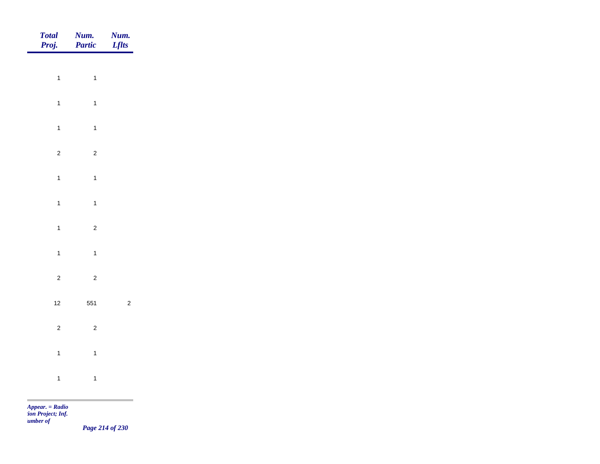| Total<br>Proj. | Num.<br>Partic | Num.<br><b>Lflts</b> |
|----------------|----------------|----------------------|
|                |                |                      |
| $\overline{1}$ | $\overline{1}$ |                      |
| $\overline{1}$ | $\overline{1}$ |                      |
| $\overline{1}$ | $\overline{1}$ |                      |
| $\overline{c}$ | $\overline{2}$ |                      |
| $\overline{1}$ | $\overline{1}$ |                      |
| $\mathbf{1}$   | $\overline{1}$ |                      |
| $\overline{1}$ | $\overline{c}$ |                      |
| $\mathbf{1}$   | $\overline{1}$ |                      |
|                |                |                      |
| $\overline{c}$ | $\overline{c}$ |                      |
| $12$           | 551            | $\overline{c}$       |
| $\overline{c}$ | $\mathbf 2$    |                      |
| $\mathbf{1}$   | $\overline{1}$ |                      |
| $\mathbf{1}$   | $\overline{1}$ |                      |
|                |                |                      |

*Page 214 of 230*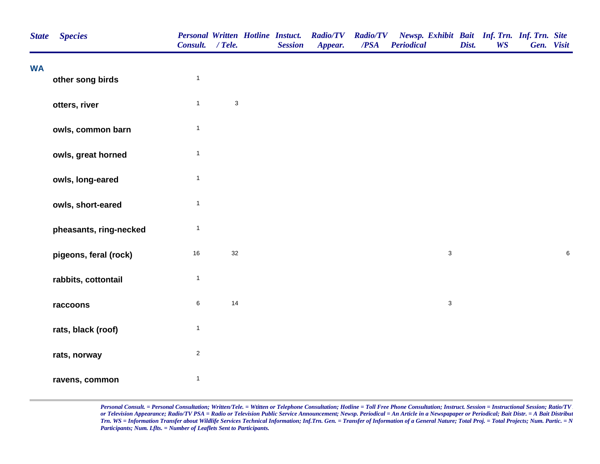| <b>State</b> | <b>Species</b>         | Consult. / Tele. |                           | <b>Personal Written Hotline Instuct.</b><br><b>Session</b> | <b>Radio/TV</b><br>Appear. | <b>Radio/TV</b><br>/PSA | Newsp. Exhibit Bait Inf. Trn. Inf. Trn. Site<br><b>Periodical</b> | Dist. | <b>WS</b> | Gen. Visit |         |
|--------------|------------------------|------------------|---------------------------|------------------------------------------------------------|----------------------------|-------------------------|-------------------------------------------------------------------|-------|-----------|------------|---------|
| <b>WA</b>    | other song birds       | $\mathbf{1}$     |                           |                                                            |                            |                         |                                                                   |       |           |            |         |
|              | otters, river          | $\mathbf{1}$     | $\ensuremath{\mathsf{3}}$ |                                                            |                            |                         |                                                                   |       |           |            |         |
|              | owls, common barn      | $\mathbf{1}$     |                           |                                                            |                            |                         |                                                                   |       |           |            |         |
|              | owls, great horned     | $\mathbf{1}$     |                           |                                                            |                            |                         |                                                                   |       |           |            |         |
|              | owls, long-eared       | $\mathbf{1}$     |                           |                                                            |                            |                         |                                                                   |       |           |            |         |
|              | owls, short-eared      | $\mathbf{1}$     |                           |                                                            |                            |                         |                                                                   |       |           |            |         |
|              | pheasants, ring-necked | $\mathbf{1}$     |                           |                                                            |                            |                         |                                                                   |       |           |            |         |
|              | pigeons, feral (rock)  | 16               | 32                        |                                                            |                            |                         | $\ensuremath{\mathsf{3}}$                                         |       |           |            | $\,6\,$ |
|              | rabbits, cottontail    | $\mathbf{1}$     |                           |                                                            |                            |                         |                                                                   |       |           |            |         |
|              | raccoons               | $\,6$            | 14                        |                                                            |                            |                         | $\mathbf{3}$                                                      |       |           |            |         |
|              | rats, black (roof)     | $\mathbf{1}$     |                           |                                                            |                            |                         |                                                                   |       |           |            |         |
|              | rats, norway           | $\overline{c}$   |                           |                                                            |                            |                         |                                                                   |       |           |            |         |
|              | ravens, common         | $\mathbf{1}$     |                           |                                                            |                            |                         |                                                                   |       |           |            |         |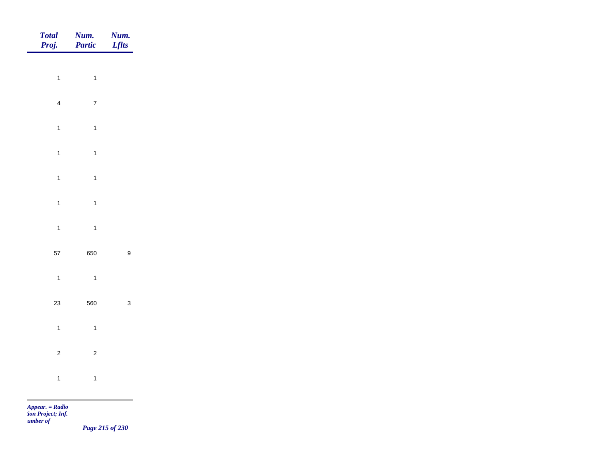| Total<br>Proj.          | <b>Num.</b><br>Partic | <b>Num.</b><br>Lflts                             |
|-------------------------|-----------------------|--------------------------------------------------|
| $\overline{1}$          | $\mathbf{1}$          |                                                  |
|                         |                       |                                                  |
| $\overline{\mathbf{4}}$ | $\overline{7}$        |                                                  |
| $\mathbf{1}$            | $\overline{1}$        |                                                  |
| $\overline{1}$          | $\overline{1}$        |                                                  |
| $\overline{1}$          | $\mathbf{1}$          |                                                  |
| $\overline{1}$          | $\mathbf{1}$          |                                                  |
| $\overline{1}$          | $\overline{1}$        |                                                  |
| 57                      | 650                   | $\boldsymbol{9}$                                 |
| $\overline{1}$          | $\overline{1}$        |                                                  |
|                         |                       |                                                  |
| 23                      | 560                   | $\mathbf{3}$                                     |
| $\overline{1}$          | $\overline{1}$        |                                                  |
| $\overline{2}$          | $\overline{c}$        |                                                  |
| $\mathbf{1}$            | $\overline{1}$        |                                                  |
|                         |                       | the control of the control of the control of the |

*Page 215 of 230*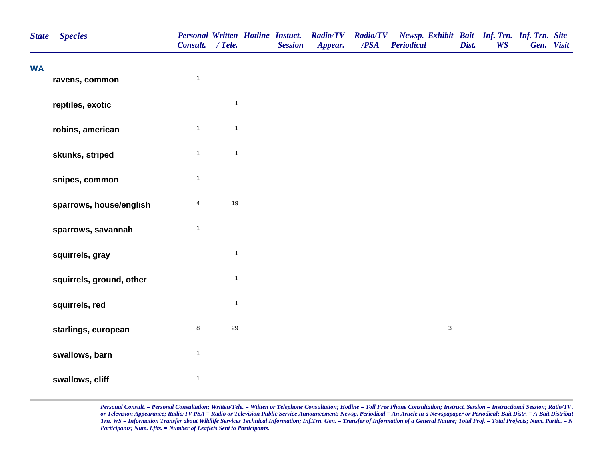| <b>State</b> | <b>Species</b>           | Consult. / Tele.        |              | <b>Personal Written Hotline Instuct.</b><br><b>Session</b> | <b>Radio/TV</b><br>Appear. | <b>Radio/TV</b><br>/PSA | Newsp. Exhibit Bait Inf. Trn. Inf. Trn. Site<br><b>Periodical</b> | Dist. | <b>WS</b> | Gen. Visit |  |
|--------------|--------------------------|-------------------------|--------------|------------------------------------------------------------|----------------------------|-------------------------|-------------------------------------------------------------------|-------|-----------|------------|--|
| <b>WA</b>    | ravens, common           | $\mathbf{1}$            |              |                                                            |                            |                         |                                                                   |       |           |            |  |
|              | reptiles, exotic         |                         | $\mathbf{1}$ |                                                            |                            |                         |                                                                   |       |           |            |  |
|              | robins, american         | $\mathbf{1}$            | $\mathbf{1}$ |                                                            |                            |                         |                                                                   |       |           |            |  |
|              | skunks, striped          | $\mathbf{1}$            | $\mathbf{1}$ |                                                            |                            |                         |                                                                   |       |           |            |  |
|              | snipes, common           | $\mathbf{1}$            |              |                                                            |                            |                         |                                                                   |       |           |            |  |
|              | sparrows, house/english  | $\overline{\mathbf{4}}$ | 19           |                                                            |                            |                         |                                                                   |       |           |            |  |
|              | sparrows, savannah       | $\mathbf{1}$            |              |                                                            |                            |                         |                                                                   |       |           |            |  |
|              | squirrels, gray          |                         | $\mathbf{1}$ |                                                            |                            |                         |                                                                   |       |           |            |  |
|              | squirrels, ground, other |                         | $\mathbf{1}$ |                                                            |                            |                         |                                                                   |       |           |            |  |
|              | squirrels, red           |                         | $\mathbf{1}$ |                                                            |                            |                         |                                                                   |       |           |            |  |
|              | starlings, european      | $\bf 8$                 | 29           |                                                            |                            |                         | $\mathfrak{S}$                                                    |       |           |            |  |
|              | swallows, barn           | $\mathbf{1}$            |              |                                                            |                            |                         |                                                                   |       |           |            |  |
|              | swallows, cliff          | $\mathbf{1}$            |              |                                                            |                            |                         |                                                                   |       |           |            |  |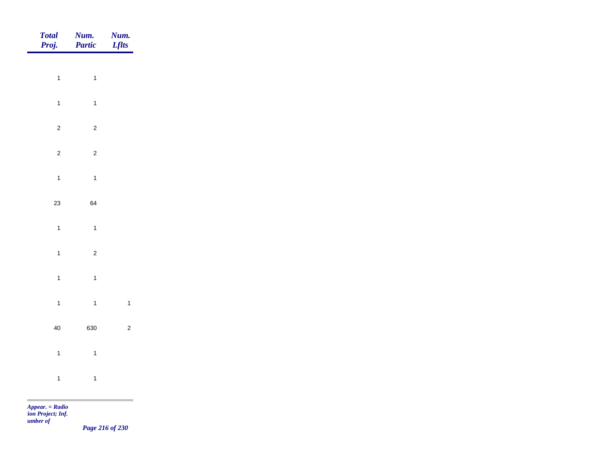| Total<br>Proj. | <b>Num.</b><br>Partic | <b>Num.</b><br>Lflts |
|----------------|-----------------------|----------------------|
|                |                       |                      |
| $\overline{1}$ | $\overline{1}$        |                      |
| $\overline{1}$ | $\mathbf{1}$          |                      |
| $\overline{c}$ | $\overline{c}$        |                      |
| $\overline{c}$ | $\overline{c}$        |                      |
| $\mathbf{1}$   | $\overline{1}$        |                      |
| 23             | 64                    |                      |
| $\overline{1}$ | $\overline{1}$        |                      |
|                |                       |                      |
| $\mathbf{1}$   | $\overline{2}$        |                      |
| $\mathbf{1}$   | $\overline{1}$        |                      |
| $\overline{1}$ | $\overline{1}$        | $\mathbf{1}$         |
| $40\,$         | 630                   | $\overline{c}$       |
| $\overline{1}$ | $\overline{1}$        |                      |
| $\mathbf{1}$   | $\overline{1}$        |                      |
|                |                       |                      |

*Page 216 of 230*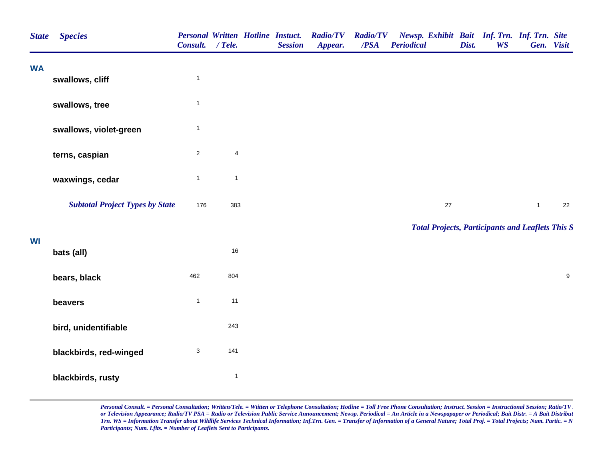| <b>State</b> | <b>Species</b>                         | <b>Personal Written Hotline Instuct.</b><br>Consult. / Tele. |                | <b>Session</b> | <b>Radio/TV</b><br>Appear. | <b>Radio/TV</b><br>/PSA | Newsp. Exhibit Bait Inf. Trn. Inf. Trn. Site<br><b>Periodical</b> | Dist. | <b>WS</b> | Gen. Visit   |                  |
|--------------|----------------------------------------|--------------------------------------------------------------|----------------|----------------|----------------------------|-------------------------|-------------------------------------------------------------------|-------|-----------|--------------|------------------|
| <b>WA</b>    | swallows, cliff                        | $\mathbf{1}$                                                 |                |                |                            |                         |                                                                   |       |           |              |                  |
|              | swallows, tree                         | $\mathbf{1}$                                                 |                |                |                            |                         |                                                                   |       |           |              |                  |
|              | swallows, violet-green                 | $\mathbf{1}$                                                 |                |                |                            |                         |                                                                   |       |           |              |                  |
|              | terns, caspian                         | $\overline{c}$                                               | $\overline{4}$ |                |                            |                         |                                                                   |       |           |              |                  |
|              | waxwings, cedar                        | $\mathbf{1}$                                                 | $\mathbf{1}$   |                |                            |                         |                                                                   |       |           |              |                  |
|              | <b>Subtotal Project Types by State</b> | 176                                                          | 383            |                |                            |                         | $27\,$                                                            |       |           | $\mathbf{1}$ | 22               |
| WI           |                                        |                                                              |                |                |                            |                         | <b>Total Projects, Participants and Leaflets This S</b>           |       |           |              |                  |
|              | bats (all)                             |                                                              | $16\,$         |                |                            |                         |                                                                   |       |           |              |                  |
|              | bears, black                           | 462                                                          | 804            |                |                            |                         |                                                                   |       |           |              | $\boldsymbol{9}$ |
|              | beavers                                | $\mathbf{1}$                                                 | 11             |                |                            |                         |                                                                   |       |           |              |                  |
|              | bird, unidentifiable                   |                                                              | 243            |                |                            |                         |                                                                   |       |           |              |                  |
|              | blackbirds, red-winged                 | $\ensuremath{\mathsf{3}}$                                    | 141            |                |                            |                         |                                                                   |       |           |              |                  |
|              | blackbirds, rusty                      |                                                              | $\mathbf{1}$   |                |                            |                         |                                                                   |       |           |              |                  |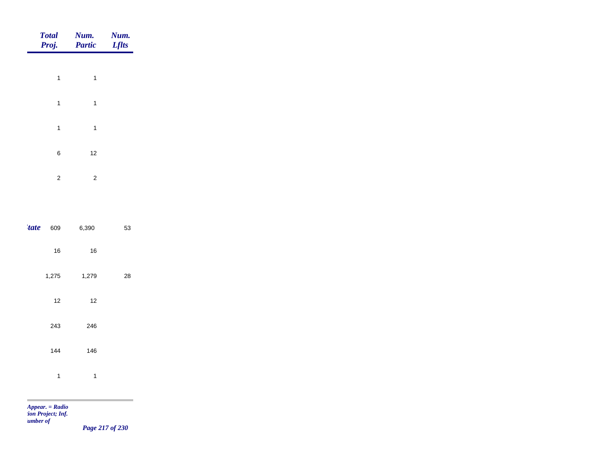|              | <b>Total</b><br>Proj. | Num.<br>Partic | Num.<br><b>Lflts</b> |
|--------------|-----------------------|----------------|----------------------|
|              |                       |                |                      |
|              | $\mathbf{1}$          | $\mathbf{1}$   |                      |
|              | $\mathbf{1}$          | $\mathbf{1}$   |                      |
|              | $\mathbf{1}$          | $\mathbf{1}$   |                      |
|              | $\,6\,$               | $12$           |                      |
|              | $\overline{2}$        | $\sqrt{2}$     |                      |
|              |                       |                |                      |
| <i>'tate</i> | 609                   | 6,390          | 53                   |
|              |                       |                |                      |
|              | $16\,$                | $16\,$         |                      |
|              | 1,275                 | 1,279          | ${\bf 28}$           |
|              | $12$                  | $12$           |                      |
|              | 243                   | 246            |                      |
|              | 144                   | 146            |                      |
|              | $\mathbf 1$           | $\mathbf{1}$   |                      |
|              |                       |                |                      |

m

*Page 217 of 230*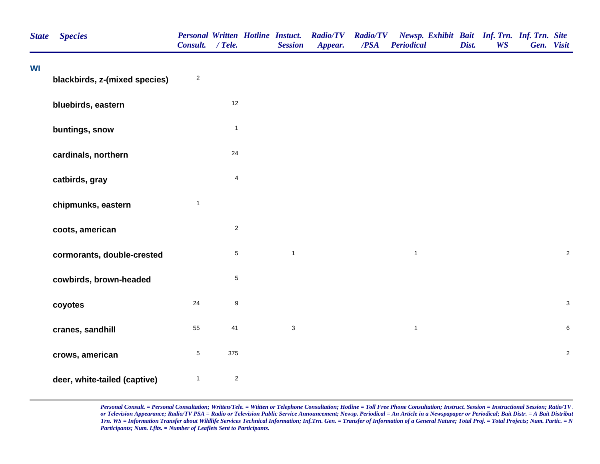| <b>State</b> | <b>Species</b>                | Consult. / Tele. |                  | <b>Session</b>            | Personal Written Hotline Instuct. Radio/TV<br>Appear. | <b>Radio/TV</b><br>/PSA | Newsp. Exhibit Bait Inf. Trn. Inf. Trn. Site<br><b>Periodical</b> | Dist. | <b>WS</b> | Gen. Visit |                |
|--------------|-------------------------------|------------------|------------------|---------------------------|-------------------------------------------------------|-------------------------|-------------------------------------------------------------------|-------|-----------|------------|----------------|
| WI           | blackbirds, z-(mixed species) | $\sqrt{2}$       |                  |                           |                                                       |                         |                                                                   |       |           |            |                |
|              | bluebirds, eastern            |                  | 12               |                           |                                                       |                         |                                                                   |       |           |            |                |
|              | buntings, snow                |                  | $\mathbf{1}$     |                           |                                                       |                         |                                                                   |       |           |            |                |
|              | cardinals, northern           |                  | 24               |                           |                                                       |                         |                                                                   |       |           |            |                |
|              | catbirds, gray                |                  | $\overline{4}$   |                           |                                                       |                         |                                                                   |       |           |            |                |
|              | chipmunks, eastern            | $\mathbf{1}$     |                  |                           |                                                       |                         |                                                                   |       |           |            |                |
|              | coots, american               |                  | $\overline{2}$   |                           |                                                       |                         |                                                                   |       |           |            |                |
|              | cormorants, double-crested    |                  | $\sqrt{5}$       | $\mathbf{1}$              |                                                       |                         | $\mathbf{1}$                                                      |       |           |            | $\sqrt{2}$     |
|              | cowbirds, brown-headed        |                  | $\,$ 5 $\,$      |                           |                                                       |                         |                                                                   |       |           |            |                |
|              | coyotes                       | 24               | $\boldsymbol{9}$ |                           |                                                       |                         |                                                                   |       |           |            | $\mathbf{3}$   |
|              | cranes, sandhill              | 55               | 41               | $\ensuremath{\mathsf{3}}$ |                                                       |                         | $\mathbf{1}$                                                      |       |           |            | $\,6$          |
|              | crows, american               | $\,$ 5 $\,$      | 375              |                           |                                                       |                         |                                                                   |       |           |            | $\overline{2}$ |
|              | deer, white-tailed (captive)  | $\mathbf{1}$     | $\overline{c}$   |                           |                                                       |                         |                                                                   |       |           |            |                |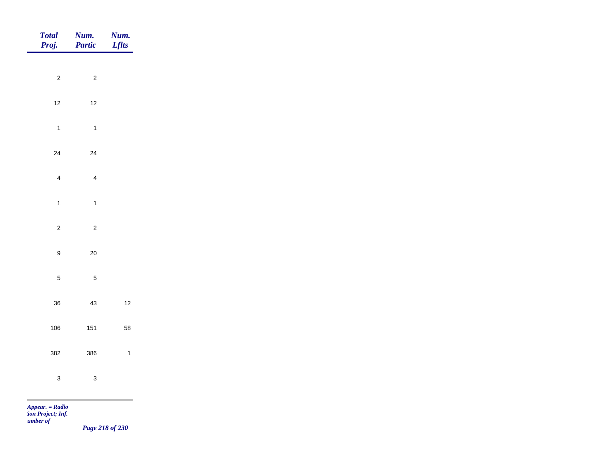| Total<br>Proj.                        |                  | <b>Num.</b><br><b>Partic</b> | <b>Num.</b><br>Lflts |
|---------------------------------------|------------------|------------------------------|----------------------|
|                                       |                  |                              |                      |
|                                       | $\overline{c}$   | $\overline{c}$               |                      |
|                                       | $12$             | $12$                         |                      |
|                                       | $\overline{1}$   | $\overline{1}$               |                      |
|                                       | 24               | 24                           |                      |
|                                       | $\overline{4}$   | $\overline{4}$               |                      |
|                                       | $\mathbf{1}$     | $\overline{1}$               |                      |
|                                       |                  |                              |                      |
|                                       | $\overline{c}$   | $\overline{c}$               |                      |
|                                       | $\boldsymbol{9}$ | $20\,$                       |                      |
|                                       | $\sqrt{5}$       | $\sqrt{5}$                   |                      |
|                                       | 36               | 43                           | $12$                 |
|                                       | 106              | 151                          | 58                   |
|                                       | 382              | 386                          | $\overline{1}$       |
|                                       |                  |                              |                      |
|                                       | $\mathbf{3}$     | $\mathbf{3}$                 |                      |
| <b>The State</b><br>$Appear. = Radio$ |                  |                              |                      |

*tion Project; Inf. Number of* 

*Page 218 of 230*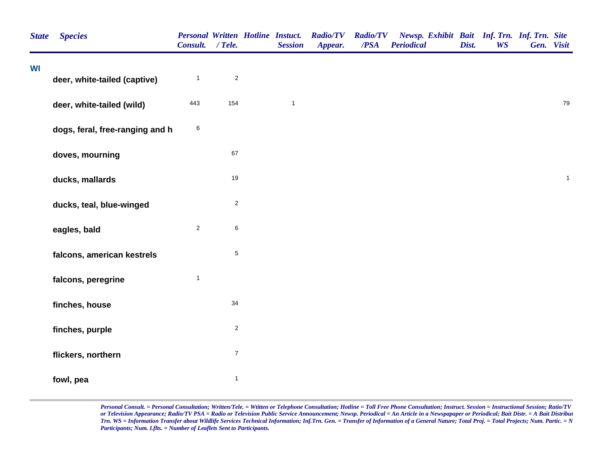| <b>State</b> | <b>Species</b>                  | <b>Personal Written Hotline Instuct.</b><br>Consult. / Tele. |                  | <b>Session</b> | <b>Radio/TV</b><br>Appear. | <b>Radio/TV</b><br>/PSA | Newsp. Exhibit Bait Inf. Trn. Inf. Trn. Site<br><b>Periodical</b> | Dist. | <b>WS</b> | Gen. Visit |              |
|--------------|---------------------------------|--------------------------------------------------------------|------------------|----------------|----------------------------|-------------------------|-------------------------------------------------------------------|-------|-----------|------------|--------------|
| WI           |                                 |                                                              |                  |                |                            |                         |                                                                   |       |           |            |              |
|              | deer, white-tailed (captive)    | $\mathbf{1}$                                                 | $\sqrt{2}$       |                |                            |                         |                                                                   |       |           |            |              |
|              | deer, white-tailed (wild)       | 443                                                          | 154              | $\mathbf{1}$   |                            |                         |                                                                   |       |           |            | 79           |
|              | dogs, feral, free-ranging and h | $\,6$                                                        |                  |                |                            |                         |                                                                   |       |           |            |              |
|              | doves, mourning                 |                                                              | 67               |                |                            |                         |                                                                   |       |           |            |              |
|              | ducks, mallards                 |                                                              | 19               |                |                            |                         |                                                                   |       |           |            | $\mathbf{1}$ |
|              | ducks, teal, blue-winged        |                                                              | $\sqrt{2}$       |                |                            |                         |                                                                   |       |           |            |              |
|              | eagles, bald                    | $\overline{2}$                                               | $\,6$            |                |                            |                         |                                                                   |       |           |            |              |
|              | falcons, american kestrels      |                                                              | $\,$ 5 $\,$      |                |                            |                         |                                                                   |       |           |            |              |
|              | falcons, peregrine              | $\mathbf{1}$                                                 |                  |                |                            |                         |                                                                   |       |           |            |              |
|              | finches, house                  |                                                              | 34               |                |                            |                         |                                                                   |       |           |            |              |
|              | finches, purple                 |                                                              | $\overline{c}$   |                |                            |                         |                                                                   |       |           |            |              |
|              | flickers, northern              |                                                              | $\boldsymbol{7}$ |                |                            |                         |                                                                   |       |           |            |              |
|              | fowl, pea                       |                                                              | $\mathbf{1}$     |                |                            |                         |                                                                   |       |           |            |              |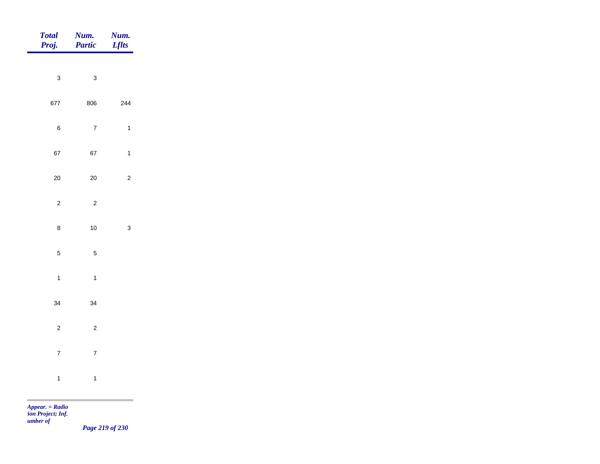| <b>Total</b><br>Proj. | Num.<br>Partic | Num.<br><b>Lflts</b> |
|-----------------------|----------------|----------------------|
|                       |                |                      |
| $\mathbf{3}$          | $\mathbf{3}$   |                      |
| 677                   | 806            | 244                  |
| $\,6$                 | $\overline{7}$ | $\mathbf{1}$         |
| 67                    | 67             | $\mathbf{1}$         |
| $20\,$                | $20\,$         | $\overline{c}$       |
| $\mathbf 2$           | $\overline{c}$ |                      |
| $\bf 8$               | $10\,$         | $\mathbf{3}$         |
|                       |                |                      |
| $\overline{5}$        | $\overline{5}$ |                      |
| $\overline{1}$        | $\overline{1}$ |                      |
| 34                    | 34             |                      |
| $\mathbf 2$           | $\overline{2}$ |                      |
| $\overline{7}$        | $\overline{7}$ |                      |
| $\mathbf{1}$          | $\mathbf{1}$   |                      |
|                       |                |                      |

*Page 219 of 230*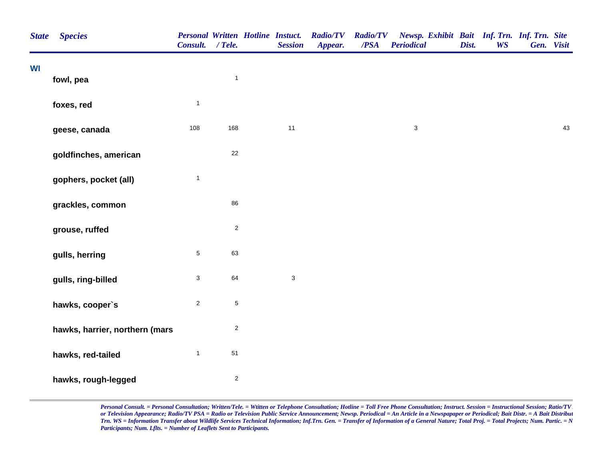| <b>State</b> | <b>Species</b>                 | <b>Personal Written Hotline Instuct.</b><br>Consult. / Tele. |                         | <b>Session</b> | <b>Radio/TV</b><br>Appear. | <b>Radio/TV</b><br>/PSA | Newsp. Exhibit Bait Inf. Trn. Inf. Trn. Site<br><b>Periodical</b> | Dist. | <b>WS</b> | Gen. Visit |    |
|--------------|--------------------------------|--------------------------------------------------------------|-------------------------|----------------|----------------------------|-------------------------|-------------------------------------------------------------------|-------|-----------|------------|----|
| <b>WI</b>    | fowl, pea                      |                                                              | $\mathbf{1}$            |                |                            |                         |                                                                   |       |           |            |    |
|              |                                |                                                              |                         |                |                            |                         |                                                                   |       |           |            |    |
|              | foxes, red                     | $\mathbf{1}$                                                 |                         |                |                            |                         |                                                                   |       |           |            |    |
|              | geese, canada                  | 108                                                          | 168                     | $11$           |                            |                         | $\ensuremath{\mathsf{3}}$                                         |       |           |            | 43 |
|              | goldfinches, american          |                                                              | 22                      |                |                            |                         |                                                                   |       |           |            |    |
|              | gophers, pocket (all)          | $\mathbf 1$                                                  |                         |                |                            |                         |                                                                   |       |           |            |    |
|              | grackles, common               |                                                              | 86                      |                |                            |                         |                                                                   |       |           |            |    |
|              | grouse, ruffed                 |                                                              | $\overline{2}$          |                |                            |                         |                                                                   |       |           |            |    |
|              | gulls, herring                 | $\sqrt{5}$                                                   | 63                      |                |                            |                         |                                                                   |       |           |            |    |
|              | gulls, ring-billed             | 3                                                            | 64                      | $\mathbf{3}$   |                            |                         |                                                                   |       |           |            |    |
|              | hawks, cooper's                | $\mathbf 2$                                                  | $\mathbf 5$             |                |                            |                         |                                                                   |       |           |            |    |
|              | hawks, harrier, northern (mars |                                                              | $\sqrt{2}$              |                |                            |                         |                                                                   |       |           |            |    |
|              | hawks, red-tailed              | $\mathbf{1}$                                                 | 51                      |                |                            |                         |                                                                   |       |           |            |    |
|              | hawks, rough-legged            |                                                              | $\overline{\mathbf{c}}$ |                |                            |                         |                                                                   |       |           |            |    |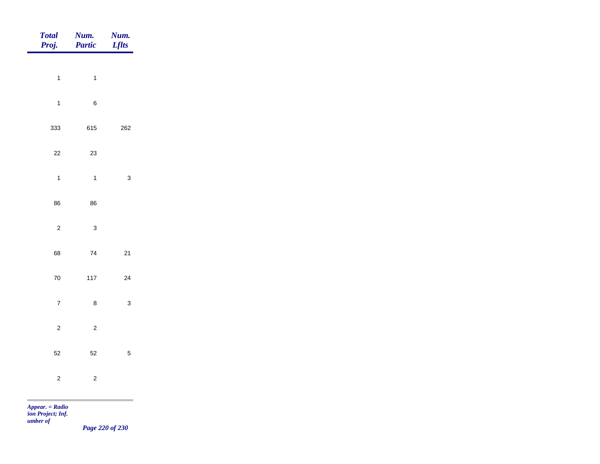| <b>Total</b><br>Proj.   | Num.<br>Partic | Num.<br><b>Lflts</b> |
|-------------------------|----------------|----------------------|
| $\mathbf{1}$            | $\mathbf{1}$   |                      |
| $\mathbf{1}$            | $\,6\,$        |                      |
| 333                     | 615            | 262                  |
| $22\,$                  | $23\,$         |                      |
| $\overline{1}$          | $\mathbf{1}$   | $\mathbf{3}$         |
| 86                      | 86             |                      |
| $\overline{c}$          | $\mathbf{3}$   |                      |
| 68                      | $\bf 74$       | $21$                 |
| ${\bf 70}$              | $117$          | $24\,$               |
| $\overline{\mathbf{7}}$ | $\bf 8$        | $\mathbf{3}$         |
| $\overline{c}$          | $\overline{c}$ |                      |
| 52                      | 52             | $\overline{5}$       |
| $\overline{c}$          | $\overline{c}$ |                      |
|                         |                |                      |

*Page 220 of 230*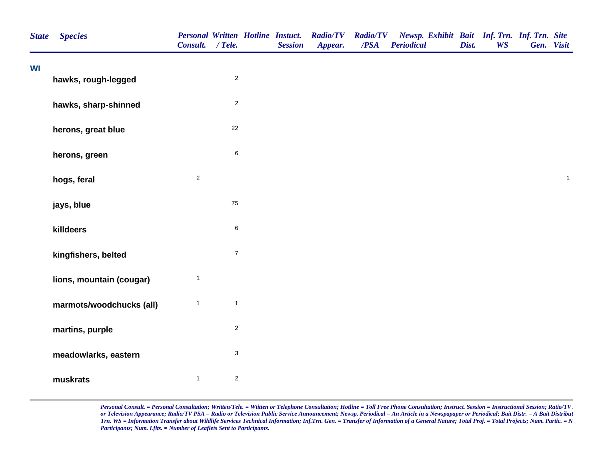|    | <b>Species</b>           | Consult. / Tele. |                | <b>Personal Written Hotline Instuct.</b><br><b>Session</b> | <b>Radio/TV</b><br>Appear. | <b>Radio/TV</b><br>$\overline{PSA}$ | Newsp. Exhibit Bait Inf. Trn. Inf. Trn. Site<br><b>Periodical</b> | Dist. | <b>WS</b> | Gen. Visit |              |
|----|--------------------------|------------------|----------------|------------------------------------------------------------|----------------------------|-------------------------------------|-------------------------------------------------------------------|-------|-----------|------------|--------------|
| WI | hawks, rough-legged      |                  | $\overline{c}$ |                                                            |                            |                                     |                                                                   |       |           |            |              |
|    |                          |                  |                |                                                            |                            |                                     |                                                                   |       |           |            |              |
|    | hawks, sharp-shinned     |                  | $\overline{c}$ |                                                            |                            |                                     |                                                                   |       |           |            |              |
|    | herons, great blue       |                  | 22             |                                                            |                            |                                     |                                                                   |       |           |            |              |
|    | herons, green            |                  | $\,6\,$        |                                                            |                            |                                     |                                                                   |       |           |            |              |
|    | hogs, feral              | $\overline{2}$   |                |                                                            |                            |                                     |                                                                   |       |           |            | $\mathbf{1}$ |
|    | jays, blue               |                  | ${\bf 75}$     |                                                            |                            |                                     |                                                                   |       |           |            |              |
|    | killdeers                |                  | $\,6\,$        |                                                            |                            |                                     |                                                                   |       |           |            |              |
|    | kingfishers, belted      |                  | $\overline{7}$ |                                                            |                            |                                     |                                                                   |       |           |            |              |
|    | lions, mountain (cougar) | $\mathbf{1}$     |                |                                                            |                            |                                     |                                                                   |       |           |            |              |
|    | marmots/woodchucks (all) | $\mathbf{1}$     | $\mathbf{1}$   |                                                            |                            |                                     |                                                                   |       |           |            |              |
|    | martins, purple          |                  | $\overline{c}$ |                                                            |                            |                                     |                                                                   |       |           |            |              |
|    | meadowlarks, eastern     |                  | $\mathbf{3}$   |                                                            |                            |                                     |                                                                   |       |           |            |              |
|    | muskrats                 | $\mathbf{1}$     | $\overline{c}$ |                                                            |                            |                                     |                                                                   |       |           |            |              |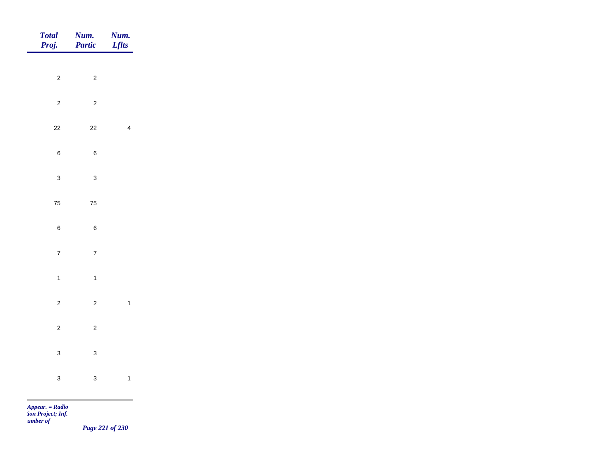| Total<br>Proj.                                                         | <b>Num.</b><br>Partic | <b>Num.</b><br>Lflts    |
|------------------------------------------------------------------------|-----------------------|-------------------------|
| $\overline{2}$                                                         | $\overline{c}$        |                         |
|                                                                        |                       |                         |
| $\overline{c}$                                                         | $\overline{c}$        |                         |
| $22\,$                                                                 | $22\,$                | $\overline{\mathbf{4}}$ |
| $\, 6$                                                                 | $\,6\,$               |                         |
| $\mathbf{3}$                                                           | $\mathbf{3}$          |                         |
| ${\bf 75}$                                                             | ${\bf 75}$            |                         |
| $\,6\,$                                                                | $\bf 6$               |                         |
| $\overline{7}$                                                         | $\overline{7}$        |                         |
|                                                                        |                       |                         |
| $\overline{1}$                                                         | $\mathbf{1}$          |                         |
| $\overline{c}$                                                         | $\overline{c}$        | $\mathbf{1}$            |
| $\overline{c}$                                                         | $\overline{c}$        |                         |
| $\mathbf{3}$                                                           | $\mathbf{3}$          |                         |
| $\mathbf{3}$                                                           | $\mathbf{3}$          | $\mathbf{1}$            |
| <b>Contract Contract Contract</b><br>$A_{\text{max}} = D_{\text{eff}}$ |                       |                         |

*Page 221 of 230*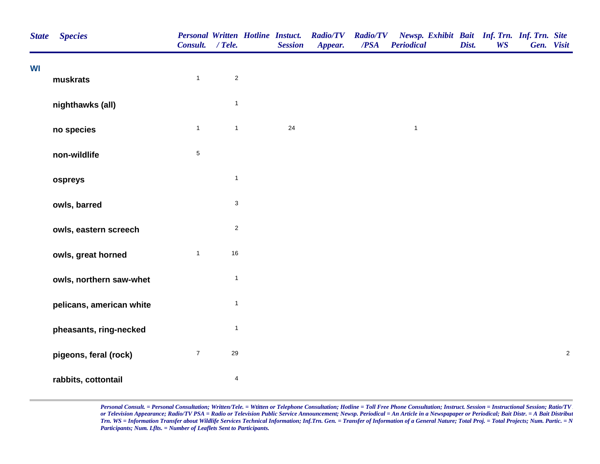| <b>State</b> | <b>Species</b>           | <b>Personal Written Hotline Instuct.</b><br>Consult. / Tele. |                           | <b>Session</b> | <b>Radio/TV</b><br>Appear. | <b>Radio/TV</b><br>$\overline{PSA}$ | Newsp. Exhibit Bait Inf. Trn. Inf. Trn. Site<br><b>Periodical</b> | Dist. | <b>WS</b> | Gen. Visit |            |
|--------------|--------------------------|--------------------------------------------------------------|---------------------------|----------------|----------------------------|-------------------------------------|-------------------------------------------------------------------|-------|-----------|------------|------------|
| <b>WI</b>    | muskrats                 | $\mathbf{1}$                                                 | $\overline{2}$            |                |                            |                                     |                                                                   |       |           |            |            |
|              | nighthawks (all)         |                                                              | $\mathbf{1}$              |                |                            |                                     |                                                                   |       |           |            |            |
|              | no species               | $\mathbf{1}$                                                 | $\mathbf{1}$              | 24             |                            |                                     | $\mathbf{1}$                                                      |       |           |            |            |
|              | non-wildlife             | $\sqrt{5}$                                                   |                           |                |                            |                                     |                                                                   |       |           |            |            |
|              | ospreys                  |                                                              | $\mathbf{1}$              |                |                            |                                     |                                                                   |       |           |            |            |
|              | owls, barred             |                                                              | $\ensuremath{\mathsf{3}}$ |                |                            |                                     |                                                                   |       |           |            |            |
|              | owls, eastern screech    |                                                              | $\mathbf 2$               |                |                            |                                     |                                                                   |       |           |            |            |
|              | owls, great horned       | $\mathbf{1}$                                                 | 16                        |                |                            |                                     |                                                                   |       |           |            |            |
|              | owls, northern saw-whet  |                                                              | $\mathbf{1}$              |                |                            |                                     |                                                                   |       |           |            |            |
|              | pelicans, american white |                                                              | $\mathbf{1}$              |                |                            |                                     |                                                                   |       |           |            |            |
|              | pheasants, ring-necked   |                                                              | $\mathbf{1}$              |                |                            |                                     |                                                                   |       |           |            |            |
|              | pigeons, feral (rock)    | $\boldsymbol{7}$                                             | 29                        |                |                            |                                     |                                                                   |       |           |            | $\sqrt{2}$ |
|              | rabbits, cottontail      |                                                              | 4                         |                |                            |                                     |                                                                   |       |           |            |            |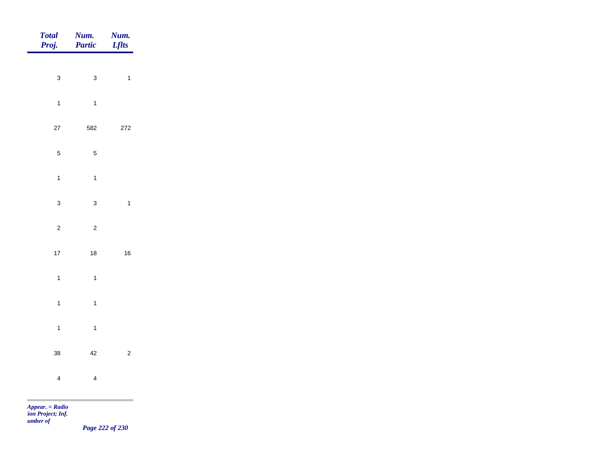| Total<br>Proj. | Num.<br>Partic | Num.<br><b>Lflts</b> |
|----------------|----------------|----------------------|
| $\mathbf{3}$   | $\mathbf{3}$   | $\overline{1}$       |
|                |                |                      |
| $\overline{1}$ | $\overline{1}$ |                      |
| $27\,$         | 582            | 272                  |
| $\overline{5}$ | $\overline{5}$ |                      |
| $\overline{1}$ | $\mathbf{1}$   |                      |
| $\mathbf{3}$   | $\mathbf{3}$   | $\overline{1}$       |
| $\overline{c}$ | $\overline{c}$ |                      |
|                |                |                      |
| $17\,$         | $18\,$         | $16\,$               |
| $\mathbf{1}$   | $\overline{1}$ |                      |
| $\overline{1}$ | $\overline{1}$ |                      |
| $\overline{1}$ | $\overline{1}$ |                      |
| 38             | $42\,$         | $\overline{c}$       |
| $\overline{4}$ | $\overline{4}$ |                      |
|                |                |                      |

*Page 222 of 230*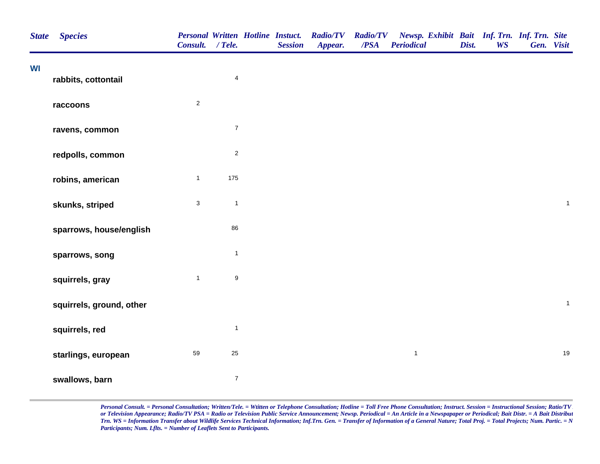| <b>State</b> | <b>Species</b>           | <b>Personal Written Hotline Instuct.</b><br>Consult. / Tele. |                         | <b>Session</b> | <b>Radio/TV</b><br>Appear. | <b>Radio/TV</b><br>$\overline{PSA}$ | Newsp. Exhibit Bait Inf. Trn. Inf. Trn. Site<br><b>Periodical</b> | Dist. | <b>WS</b> | Gen. Visit |              |
|--------------|--------------------------|--------------------------------------------------------------|-------------------------|----------------|----------------------------|-------------------------------------|-------------------------------------------------------------------|-------|-----------|------------|--------------|
| WI           | rabbits, cottontail      |                                                              | $\overline{\mathbf{4}}$ |                |                            |                                     |                                                                   |       |           |            |              |
|              | raccoons                 | $\mathbf 2$                                                  |                         |                |                            |                                     |                                                                   |       |           |            |              |
|              | ravens, common           |                                                              | $\boldsymbol{7}$        |                |                            |                                     |                                                                   |       |           |            |              |
|              | redpolls, common         |                                                              | $\overline{2}$          |                |                            |                                     |                                                                   |       |           |            |              |
|              | robins, american         | $\mathbf{1}$                                                 | 175                     |                |                            |                                     |                                                                   |       |           |            |              |
|              | skunks, striped          | $\mathbf{3}$                                                 | $\mathbf{1}$            |                |                            |                                     |                                                                   |       |           |            | $\mathbf{1}$ |
|              | sparrows, house/english  |                                                              | 86                      |                |                            |                                     |                                                                   |       |           |            |              |
|              | sparrows, song           |                                                              | $\mathbf{1}$            |                |                            |                                     |                                                                   |       |           |            |              |
|              | squirrels, gray          | $\mathbf{1}$                                                 | $\boldsymbol{9}$        |                |                            |                                     |                                                                   |       |           |            |              |
|              | squirrels, ground, other |                                                              |                         |                |                            |                                     |                                                                   |       |           |            | $\mathbf{1}$ |
|              | squirrels, red           |                                                              | $\mathbf{1}$            |                |                            |                                     |                                                                   |       |           |            |              |
|              | starlings, european      | 59                                                           | 25                      |                |                            |                                     | $\mathbf{1}$                                                      |       |           |            | 19           |
|              | swallows, barn           |                                                              | $\boldsymbol{7}$        |                |                            |                                     |                                                                   |       |           |            |              |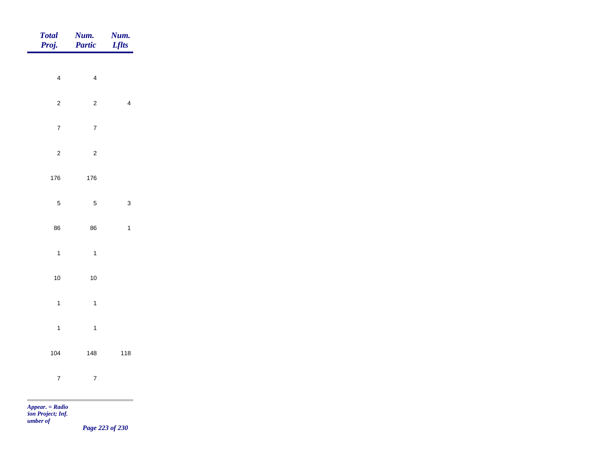| Total<br>Proj.   | <b>Num.</b><br>Partic | <b>Num.</b><br>Lflts    |
|------------------|-----------------------|-------------------------|
|                  |                       |                         |
| $\overline{4}$   | $\overline{4}$        |                         |
| $\overline{c}$   | $\overline{c}$        | $\overline{\mathbf{4}}$ |
| $\boldsymbol{7}$ | $\overline{7}$        |                         |
| $\overline{c}$   | $\overline{c}$        |                         |
| 176              | 176                   |                         |
| $\overline{5}$   | $\overline{5}$        | $\mathbf{3}$            |
|                  |                       |                         |
| 86               | 86                    | $\mathbf{1}$            |
| $\overline{1}$   | $\mathbf{1}$          |                         |
| $10\,$           | $10$                  |                         |
| $\overline{1}$   | $\mathbf{1}$          |                         |
| $\overline{1}$   | $\mathbf{1}$          |                         |
| 104              | 148                   | 118                     |
| $\overline{7}$   | $\overline{7}$        |                         |
|                  |                       |                         |

*tion Project; Inf. Number of* 

*Page 223 of 230*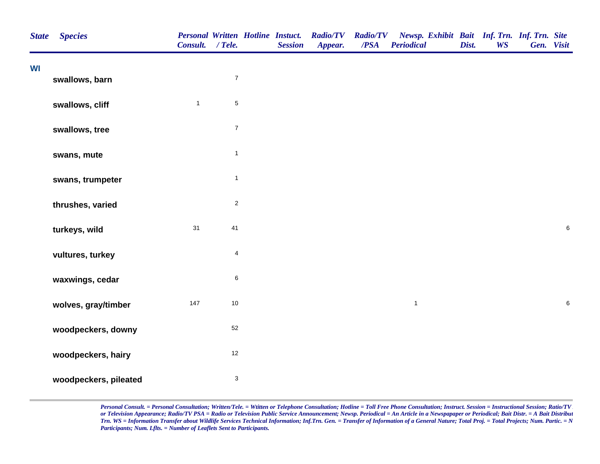| <b>State</b> | <b>Species</b>        | Consult. / Tele. |                           | <b>Personal Written Hotline Instuct.</b><br><b>Session</b> | <b>Radio/TV</b><br>Appear. | <b>Radio/TV</b><br>$\overline{PSA}$ | Newsp. Exhibit Bait Inf. Trn. Inf. Trn. Site<br><b>Periodical</b> | Dist. | <b>WS</b> | Gen. Visit |       |
|--------------|-----------------------|------------------|---------------------------|------------------------------------------------------------|----------------------------|-------------------------------------|-------------------------------------------------------------------|-------|-----------|------------|-------|
| WI           | swallows, barn        |                  | $\boldsymbol{7}$          |                                                            |                            |                                     |                                                                   |       |           |            |       |
|              | swallows, cliff       | $\mathbf{1}$     | $\sqrt{5}$                |                                                            |                            |                                     |                                                                   |       |           |            |       |
|              | swallows, tree        |                  | $\boldsymbol{7}$          |                                                            |                            |                                     |                                                                   |       |           |            |       |
|              | swans, mute           |                  | $\mathbf{1}$              |                                                            |                            |                                     |                                                                   |       |           |            |       |
|              | swans, trumpeter      |                  | $\mathbf{1}$              |                                                            |                            |                                     |                                                                   |       |           |            |       |
|              | thrushes, varied      |                  | $\sqrt{2}$                |                                                            |                            |                                     |                                                                   |       |           |            |       |
|              | turkeys, wild         | 31               | 41                        |                                                            |                            |                                     |                                                                   |       |           |            | $\,6$ |
|              | vultures, turkey      |                  | $\overline{4}$            |                                                            |                            |                                     |                                                                   |       |           |            |       |
|              | waxwings, cedar       |                  | $\,6\,$                   |                                                            |                            |                                     |                                                                   |       |           |            |       |
|              | wolves, gray/timber   | 147              | $10\,$                    |                                                            |                            |                                     | $\mathbf{1}$                                                      |       |           |            | 6     |
|              | woodpeckers, downy    |                  | 52                        |                                                            |                            |                                     |                                                                   |       |           |            |       |
|              | woodpeckers, hairy    |                  | $12$                      |                                                            |                            |                                     |                                                                   |       |           |            |       |
|              | woodpeckers, pileated |                  | $\ensuremath{\mathsf{3}}$ |                                                            |                            |                                     |                                                                   |       |           |            |       |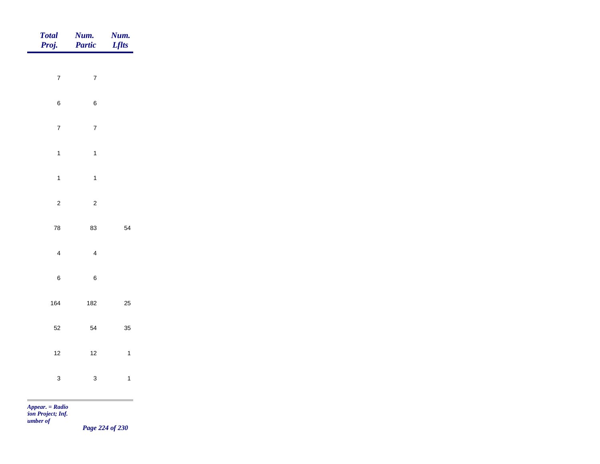| Num.<br>Partic | <b>Num.</b><br><i>Lflts</i>                                                           |
|----------------|---------------------------------------------------------------------------------------|
|                |                                                                                       |
|                |                                                                                       |
| $\,6$          |                                                                                       |
| $\overline{7}$ |                                                                                       |
| $\mathbf{1}$   |                                                                                       |
| $\mathbf{1}$   |                                                                                       |
|                |                                                                                       |
|                | 54                                                                                    |
|                |                                                                                       |
|                |                                                                                       |
| $\bf 6$        |                                                                                       |
| 182            | $25\,$                                                                                |
| 54             | 35                                                                                    |
| $12$           | $\mathbf 1$                                                                           |
|                | $\mathbf{1}$                                                                          |
|                |                                                                                       |
|                | $\sqrt{7}$<br>$\sqrt{2}$<br>83<br>$\overline{4}$<br>$\mathbf{3}$<br>$Appear. = Radio$ |

*tion Project; Inf. Number of* 

*Page 224 of 230*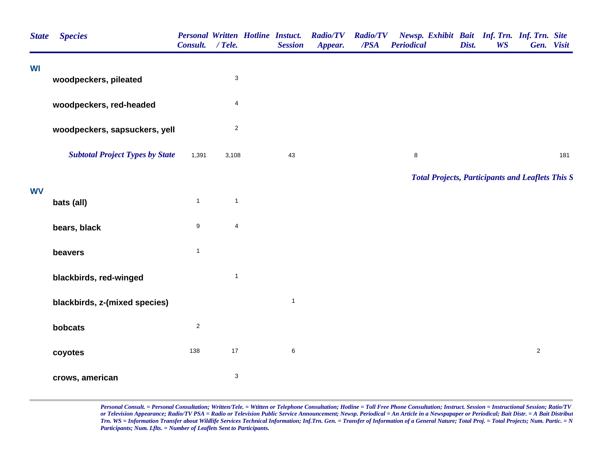| <b>State</b> | <b>Species</b>                         | Consult. / Tele.        |                           | <b>Personal Written Hotline Instuct.</b><br><b>Session</b> | <b>Radio/TV</b><br>Appear. | <b>Radio/TV</b><br>/PSA | Newsp. Exhibit Bait Inf. Trn. Inf. Trn. Site<br><b>Periodical</b> | Dist. | <b>WS</b> | Gen. Visit     |     |
|--------------|----------------------------------------|-------------------------|---------------------------|------------------------------------------------------------|----------------------------|-------------------------|-------------------------------------------------------------------|-------|-----------|----------------|-----|
| WI           | woodpeckers, pileated                  |                         | $\ensuremath{\mathsf{3}}$ |                                                            |                            |                         |                                                                   |       |           |                |     |
|              | woodpeckers, red-headed                |                         | $\overline{\mathbf{4}}$   |                                                            |                            |                         |                                                                   |       |           |                |     |
|              | woodpeckers, sapsuckers, yell          |                         | $\mathbf 2$               |                                                            |                            |                         |                                                                   |       |           |                |     |
|              | <b>Subtotal Project Types by State</b> | 1,391                   | 3,108                     | 43                                                         |                            |                         | 8                                                                 |       |           |                | 181 |
|              |                                        |                         |                           |                                                            |                            |                         | <b>Total Projects, Participants and Leaflets This S</b>           |       |           |                |     |
| <b>WV</b>    | bats (all)                             | $\mathbf{1}$            | $\mathbf{1}$              |                                                            |                            |                         |                                                                   |       |           |                |     |
|              | bears, black                           | $\boldsymbol{9}$        | $\overline{\mathbf{4}}$   |                                                            |                            |                         |                                                                   |       |           |                |     |
|              | beavers                                | $\mathbf{1}$            |                           |                                                            |                            |                         |                                                                   |       |           |                |     |
|              | blackbirds, red-winged                 |                         | $\mathbf{1}$              |                                                            |                            |                         |                                                                   |       |           |                |     |
|              | blackbirds, z-(mixed species)          |                         |                           | $\mathbf{1}$                                               |                            |                         |                                                                   |       |           |                |     |
|              | bobcats                                | $\overline{\mathbf{c}}$ |                           |                                                            |                            |                         |                                                                   |       |           |                |     |
|              | coyotes                                | 138                     | 17                        | $\,6\,$                                                    |                            |                         |                                                                   |       |           | $\overline{c}$ |     |
|              | crows, american                        |                         | $\ensuremath{\mathsf{3}}$ |                                                            |                            |                         |                                                                   |       |           |                |     |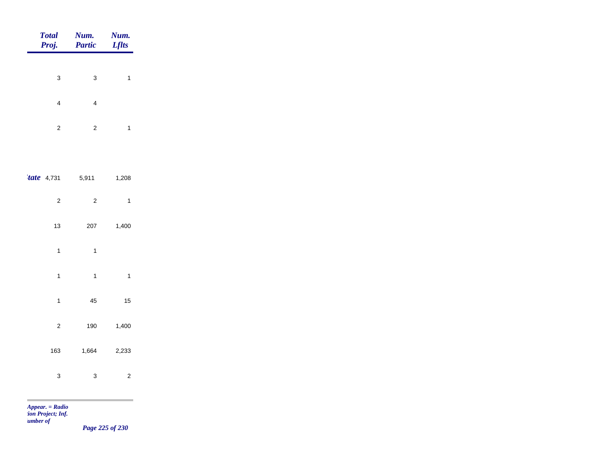| <b>Total</b><br>Proj.   | Num.<br><b>Partic</b>   | Num.<br><b>Lflts</b>    |
|-------------------------|-------------------------|-------------------------|
|                         |                         |                         |
| 3                       | 3                       | $\mathbf{1}$            |
| 4                       | 4                       |                         |
| $\overline{\mathbf{c}}$ | $\overline{\mathbf{c}}$ | $\mathbf{1}$            |
|                         |                         |                         |
| <i>tate</i> 4,731       | 5,911                   | 1,208                   |
| $\overline{\mathbf{c}}$ | $\overline{\mathbf{c}}$ | $\mathbf{1}$            |
| 13                      | 207                     | 1,400                   |
| $\mathbf{1}$            | $\mathbf{1}$            |                         |
| $\mathbf{1}$            | $\mathbf{1}$            | $\mathbf{1}$            |
| $\mathbf{1}$            | 45                      | 15                      |
| $\overline{\mathbf{c}}$ | 190                     | 1,400                   |
| 163                     | 1,664                   | 2,233                   |
| 3                       | 3                       | $\overline{\mathbf{c}}$ |
|                         |                         |                         |

m

*Page 225 of 230*

۰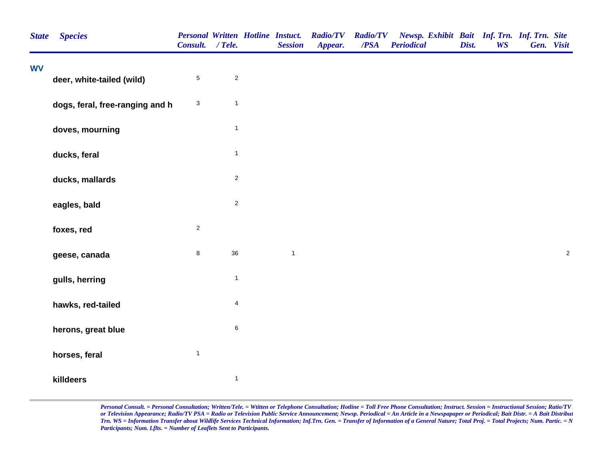| <b>State</b> | <b>Species</b>                  | Consult. / Tele.          |                | <b>Personal Written Hotline Instuct.</b><br><b>Session</b> | <b>Radio/TV</b><br>Appear. | <b>Radio/TV</b><br>/PSA | Newsp. Exhibit Bait Inf. Trn. Inf. Trn. Site<br><b>Periodical</b> | Dist. | <b>WS</b> | Gen. Visit |            |
|--------------|---------------------------------|---------------------------|----------------|------------------------------------------------------------|----------------------------|-------------------------|-------------------------------------------------------------------|-------|-----------|------------|------------|
| <b>WV</b>    | deer, white-tailed (wild)       | $\,$ 5 $\,$               | $\sqrt{2}$     |                                                            |                            |                         |                                                                   |       |           |            |            |
|              | dogs, feral, free-ranging and h | $\ensuremath{\mathsf{3}}$ | $\mathbf{1}$   |                                                            |                            |                         |                                                                   |       |           |            |            |
|              | doves, mourning                 |                           | $\mathbf{1}$   |                                                            |                            |                         |                                                                   |       |           |            |            |
|              | ducks, feral                    |                           | $\mathbf{1}$   |                                                            |                            |                         |                                                                   |       |           |            |            |
|              | ducks, mallards                 |                           | $\overline{2}$ |                                                            |                            |                         |                                                                   |       |           |            |            |
|              | eagles, bald                    |                           | $\overline{2}$ |                                                            |                            |                         |                                                                   |       |           |            |            |
|              | foxes, red                      | $\overline{c}$            |                |                                                            |                            |                         |                                                                   |       |           |            |            |
|              | geese, canada                   | 8                         | 36             | $\mathbf{1}$                                               |                            |                         |                                                                   |       |           |            | $\sqrt{2}$ |
|              | gulls, herring                  |                           | $\mathbf{1}$   |                                                            |                            |                         |                                                                   |       |           |            |            |
|              | hawks, red-tailed               |                           | $\overline{4}$ |                                                            |                            |                         |                                                                   |       |           |            |            |
|              | herons, great blue              |                           | $\,6\,$        |                                                            |                            |                         |                                                                   |       |           |            |            |
|              | horses, feral                   | $\mathbf{1}$              |                |                                                            |                            |                         |                                                                   |       |           |            |            |
|              | killdeers                       |                           | $\mathbf{1}$   |                                                            |                            |                         |                                                                   |       |           |            |            |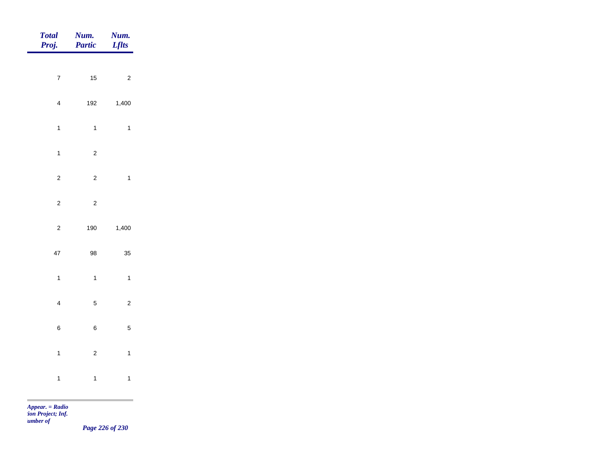| Total<br>Proj.          | Num.<br>Partic | Num.<br><b>Lflts</b> |
|-------------------------|----------------|----------------------|
| $\overline{7}$          | $15$           | $\sqrt{2}$           |
| $\overline{\mathbf{4}}$ | 192            | 1,400                |
| $\mathbf{1}$            | $\mathbf{1}$   | $\mathbf{1}$         |
| $\mathbf{1}$            | $\overline{c}$ |                      |
| $\mathbf 2$             | $\sqrt{2}$     | $\mathbf{1}$         |
| $\overline{a}$          | $\overline{c}$ |                      |
| $\overline{c}$          | 190            | 1,400                |
| $47\,$                  | 98             | 35                   |
| $\mathbf{1}$            | $\mathbf{1}$   | $\mathbf{1}$         |
| $\overline{\mathbf{4}}$ | $\overline{5}$ | $\sqrt{2}$           |
| $\,6$                   | $\,6$          | $\sqrt{5}$           |
| $\overline{1}$          | $\mathbf 2$    | $\mathbf{1}$         |
| $\mathbf{1}$            | $\mathbf{1}$   | $\mathbf{1}$         |

m

*Page 226 of 230*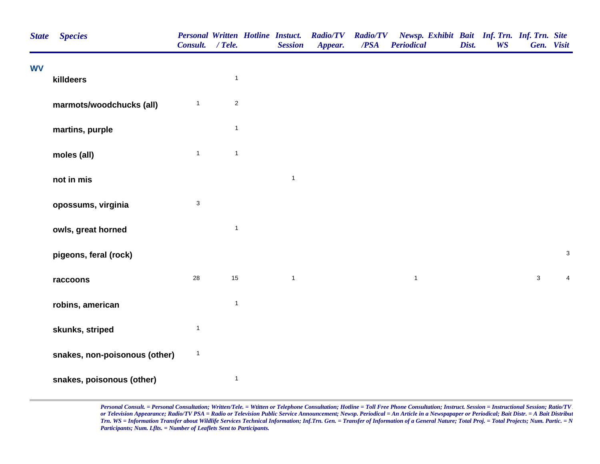| <b>State</b> | <b>Species</b>                | Consult. / Tele.          |                | <b>Personal Written Hotline Instuct.</b><br><b>Session</b> | <b>Radio/TV</b><br>Appear. | <b>Radio/TV</b><br>/PSA | Newsp. Exhibit Bait Inf. Trn. Inf. Trn. Site<br><b>Periodical</b> | Dist. | <b>WS</b> | Gen. Visit   |                           |  |
|--------------|-------------------------------|---------------------------|----------------|------------------------------------------------------------|----------------------------|-------------------------|-------------------------------------------------------------------|-------|-----------|--------------|---------------------------|--|
| <b>WV</b>    | killdeers                     |                           | $\mathbf{1}$   |                                                            |                            |                         |                                                                   |       |           |              |                           |  |
|              | marmots/woodchucks (all)      | $\mathbf{1}$              | $\overline{2}$ |                                                            |                            |                         |                                                                   |       |           |              |                           |  |
|              | martins, purple               |                           | $\mathbf{1}$   |                                                            |                            |                         |                                                                   |       |           |              |                           |  |
|              | moles (all)                   | $\mathbf{1}$              | $\mathbf{1}$   |                                                            |                            |                         |                                                                   |       |           |              |                           |  |
|              | not in mis                    |                           |                | $\mathbf{1}$                                               |                            |                         |                                                                   |       |           |              |                           |  |
|              | opossums, virginia            | $\ensuremath{\mathsf{3}}$ |                |                                                            |                            |                         |                                                                   |       |           |              |                           |  |
|              | owls, great horned            |                           | $\mathbf{1}$   |                                                            |                            |                         |                                                                   |       |           |              |                           |  |
|              | pigeons, feral (rock)         |                           |                |                                                            |                            |                         |                                                                   |       |           |              | $\ensuremath{\mathsf{3}}$ |  |
|              | raccoons                      | 28                        | 15             | $\mathbf{1}$                                               |                            |                         | $\mathbf{1}$                                                      |       |           | $\mathbf{3}$ | $\overline{4}$            |  |
|              | robins, american              |                           | $\mathbf{1}$   |                                                            |                            |                         |                                                                   |       |           |              |                           |  |
|              | skunks, striped               | $\mathbf{1}$              |                |                                                            |                            |                         |                                                                   |       |           |              |                           |  |
|              | snakes, non-poisonous (other) | $\mathbf{1}$              |                |                                                            |                            |                         |                                                                   |       |           |              |                           |  |
|              | snakes, poisonous (other)     |                           | $\mathbf{1}$   |                                                            |                            |                         |                                                                   |       |           |              |                           |  |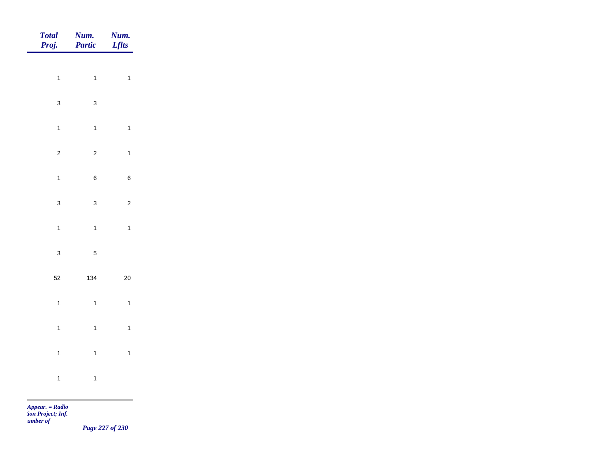| <b>Total</b><br>Proj. | Num.<br>Partic | Num.<br><b>Lflts</b>    |
|-----------------------|----------------|-------------------------|
|                       |                |                         |
| $\overline{1}$        | $\mathbf{1}$   | $\mathbf{1}$            |
| $\mathbf{3}$          | $\mathbf{3}$   |                         |
| $\mathbf{1}$          | $\mathbf{1}$   | $\mathbf{1}$            |
| $\mathbf 2$           | $\overline{c}$ | $\mathbf{1}$            |
| $\mathbf{1}$          | $\,6\,$        | $\,6\,$                 |
| $\mathbf 3$           | $\mathbf{3}$   | $\overline{\mathbf{c}}$ |
| $\overline{1}$        | $\mathbf{1}$   | $\mathbf{1}$            |
|                       |                |                         |
| $\mathbf{3}$          | $\sqrt{5}$     |                         |
| $52\,$                | 134            | $20\,$                  |
| $\mathbf{1}$          | $\overline{1}$ | $\mathbf{1}$            |
| $\mathbf{1}$          | $\mathbf{1}$   | $\mathbf{1}$            |
| $\overline{1}$        | $\overline{1}$ | $\mathbf{1}$            |
| $\mathbf{1}$          | $\mathbf{1}$   |                         |
|                       |                |                         |

m

*Page 227 of 230*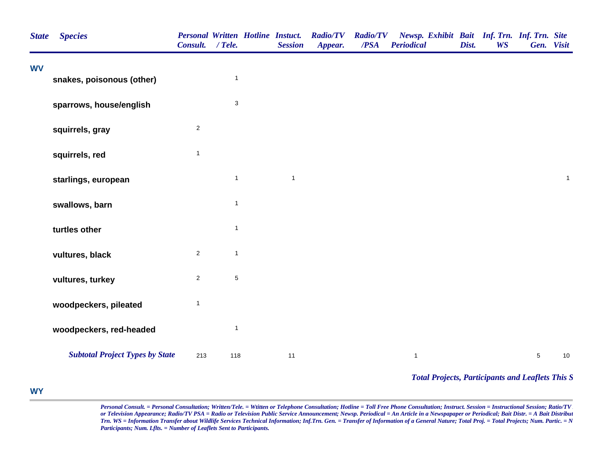| <b>State</b> | <b>Species</b>                         | Consult. / Tele. |                           | <b>Personal Written Hotline Instuct.</b><br><b>Session</b> | <b>Radio/TV</b><br>Appear. | <b>Radio/TV</b><br>/PSA | Newsp. Exhibit Bait Inf. Trn. Inf. Trn. Site<br><b>Periodical</b> | Dist. | <b>WS</b> | Gen. Visit |              |
|--------------|----------------------------------------|------------------|---------------------------|------------------------------------------------------------|----------------------------|-------------------------|-------------------------------------------------------------------|-------|-----------|------------|--------------|
| <b>WV</b>    | snakes, poisonous (other)              |                  | $\mathbf{1}$              |                                                            |                            |                         |                                                                   |       |           |            |              |
|              |                                        |                  |                           |                                                            |                            |                         |                                                                   |       |           |            |              |
|              | sparrows, house/english                |                  | $\ensuremath{\mathsf{3}}$ |                                                            |                            |                         |                                                                   |       |           |            |              |
|              | squirrels, gray                        | $\overline{c}$   |                           |                                                            |                            |                         |                                                                   |       |           |            |              |
|              | squirrels, red                         | $\mathbf{1}$     |                           |                                                            |                            |                         |                                                                   |       |           |            |              |
|              | starlings, european                    |                  | $\mathbf{1}$              | $\mathbf{1}$                                               |                            |                         |                                                                   |       |           |            | $\mathbf{1}$ |
|              | swallows, barn                         |                  | $\mathbf{1}$              |                                                            |                            |                         |                                                                   |       |           |            |              |
|              | turtles other                          |                  | $\mathbf{1}$              |                                                            |                            |                         |                                                                   |       |           |            |              |
|              | vultures, black                        | $\sqrt{2}$       | $\mathbf{1}$              |                                                            |                            |                         |                                                                   |       |           |            |              |
|              | vultures, turkey                       | $\overline{2}$   | $\sqrt{5}$                |                                                            |                            |                         |                                                                   |       |           |            |              |
|              | woodpeckers, pileated                  | $\mathbf{1}$     |                           |                                                            |                            |                         |                                                                   |       |           |            |              |
|              | woodpeckers, red-headed                |                  | $\mathbf{1}$              |                                                            |                            |                         |                                                                   |       |           |            |              |
|              | <b>Subtotal Project Types by State</b> | 213              | 118                       | $11$                                                       |                            |                         | $\mathbf{1}$                                                      |       |           | $\sqrt{5}$ | 10           |
|              |                                        |                  |                           |                                                            |                            |                         | <b>Total Projects, Participants and Leaflets This S</b>           |       |           |            |              |

## **WY**÷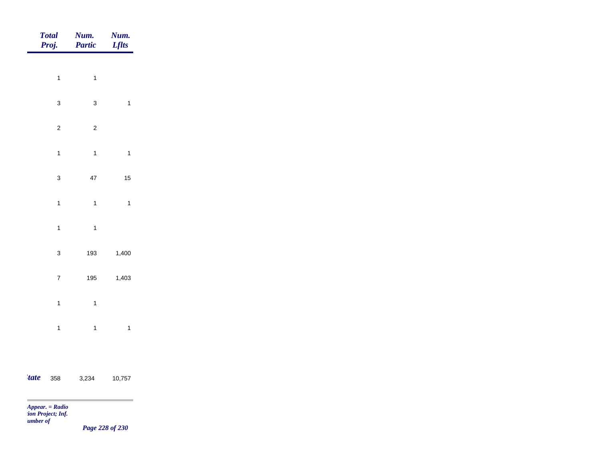| <b>Total</b><br>Proj. | Num.<br><b>Partic</b> | Num.<br><b>Lflts</b> |
|-----------------------|-----------------------|----------------------|
| $\mathbf{1}$          | $\mathbf{1}$          |                      |
|                       |                       |                      |
| $\mathbf{3}$          | $\mathbf 3$           | $\mathbf{1}$         |
| $\sqrt{2}$            | $\sqrt{2}$            |                      |
| $\mathbf{1}$          | $\overline{1}$        | $\mathbf{1}$         |
| $\mathbf{3}$          | $47\,$                | 15                   |
| $\mathbf{1}$          | $\mathbf{1}$          | $\mathbf{1}$         |
| $\mathbf{1}$          | $\overline{1}$        |                      |
|                       |                       |                      |
| $\mathbf{3}$          | 193                   | 1,400                |
| $\boldsymbol{7}$      | 195                   | 1,403                |
| $\mathbf{1}$          | $\mathbf{1}$          |                      |
| $\mathbf{1}$          | $\mathbf{1}$          | $\mathbf{1}$         |
|                       |                       |                      |
| <i>tate</i><br>358    | 3,234                 | 10,757               |

 $\sim$ 

*Page 228 of 230*

\_\_\_\_\_\_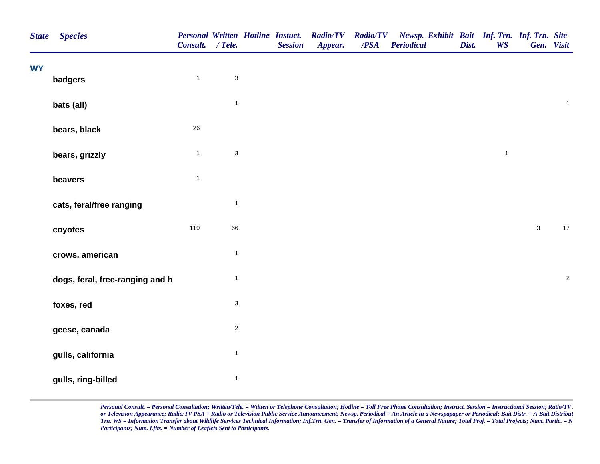| <b>State</b> | <b>Species</b>                  | Consult. / Tele. |                           | <b>Personal Written Hotline Instuct.</b><br><b>Session</b> | <b>Radio/TV</b><br>Appear. | <b>Radio/TV</b><br>$\overline{PSA}$ | Newsp. Exhibit Bait Inf. Trn. Inf. Trn. Site<br><b>Periodical</b> | Dist. | <b>WS</b>    | Gen. Visit   |                         |
|--------------|---------------------------------|------------------|---------------------------|------------------------------------------------------------|----------------------------|-------------------------------------|-------------------------------------------------------------------|-------|--------------|--------------|-------------------------|
| <b>WY</b>    | badgers                         | $\mathbf{1}$     | $\ensuremath{\mathsf{3}}$ |                                                            |                            |                                     |                                                                   |       |              |              |                         |
|              |                                 |                  |                           |                                                            |                            |                                     |                                                                   |       |              |              |                         |
|              | bats (all)                      |                  | $\mathbf{1}$              |                                                            |                            |                                     |                                                                   |       |              |              | $\mathbf 1$             |
|              | bears, black                    | 26               |                           |                                                            |                            |                                     |                                                                   |       |              |              |                         |
|              | bears, grizzly                  | $\mathbf{1}$     | $\ensuremath{\mathsf{3}}$ |                                                            |                            |                                     |                                                                   |       | $\mathbf{1}$ |              |                         |
|              | beavers                         | $\mathbf{1}$     |                           |                                                            |                            |                                     |                                                                   |       |              |              |                         |
|              | cats, feral/free ranging        |                  | $\mathbf{1}$              |                                                            |                            |                                     |                                                                   |       |              |              |                         |
|              | coyotes                         | 119              | 66                        |                                                            |                            |                                     |                                                                   |       |              | $\mathbf{3}$ | $17$                    |
|              | crows, american                 |                  | $\mathbf{1}$              |                                                            |                            |                                     |                                                                   |       |              |              |                         |
|              | dogs, feral, free-ranging and h |                  | $\mathbf{1}$              |                                                            |                            |                                     |                                                                   |       |              |              | $\overline{\mathbf{c}}$ |
|              | foxes, red                      |                  | $\mathfrak{S}$            |                                                            |                            |                                     |                                                                   |       |              |              |                         |
|              | geese, canada                   |                  | $\overline{2}$            |                                                            |                            |                                     |                                                                   |       |              |              |                         |
|              | gulls, california               |                  | $\mathbf{1}$              |                                                            |                            |                                     |                                                                   |       |              |              |                         |
|              | gulls, ring-billed              |                  | $\mathbf{1}$              |                                                            |                            |                                     |                                                                   |       |              |              |                         |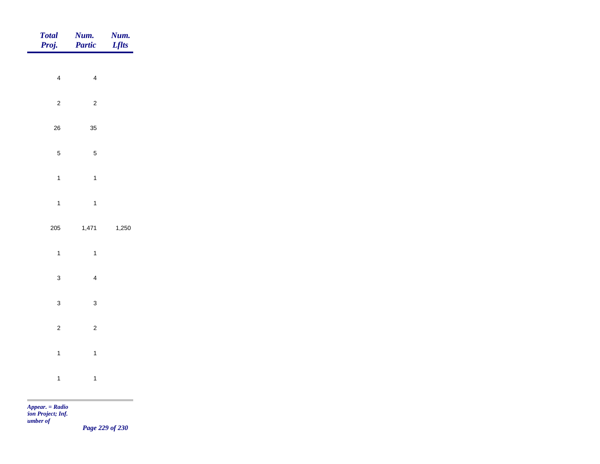| Total<br>Proj. | Num.<br>Partic | Num.<br><b>Lflts</b> |
|----------------|----------------|----------------------|
| $\overline{4}$ | $\overline{4}$ |                      |
|                |                |                      |
| $\mathbf 2$    | $\overline{c}$ |                      |
| ${\bf 26}$     | 35             |                      |
| $\sqrt{5}$     | $\overline{5}$ |                      |
| $\overline{1}$ | $\mathbf{1}$   |                      |
| $\overline{1}$ | $\overline{1}$ |                      |
| 205            | 1,471          | 1,250                |
| $\overline{1}$ | $\overline{1}$ |                      |
| $\mathbf{3}$   | $\overline{4}$ |                      |
|                |                |                      |
| $\mathbf{3}$   | $\mathbf{3}$   |                      |
| $\overline{2}$ | $\overline{c}$ |                      |
| $\mathbf{1}$   | $\overline{1}$ |                      |
| $\overline{1}$ | $\overline{1}$ |                      |
|                |                |                      |

m

*Page 229 of 230*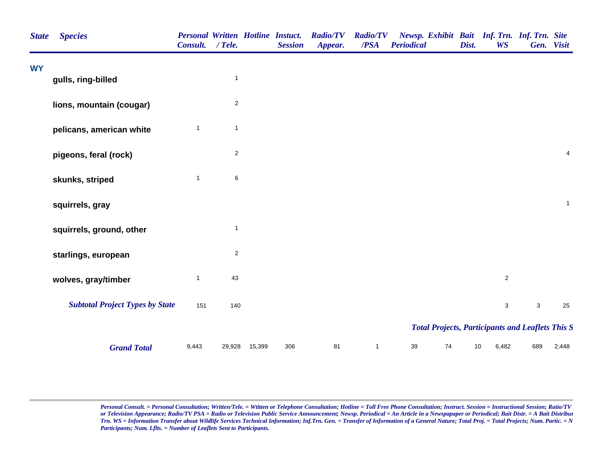| <b>State</b> | <b>Species</b>                         | <b>Personal Written Hotline Instuct.</b><br><b>Consult.</b> | / Tele.                 |        | <b>Session</b> | <b>Radio/TV</b><br>Appear. | <b>Radio/TV</b><br>$\overline{PSA}$ | Newsp. Exhibit Bait Inf. Trn. Inf. Trn. Site<br><b>Periodical</b> | Dist. | <b>WS</b>      |             | Gen. Visit     |
|--------------|----------------------------------------|-------------------------------------------------------------|-------------------------|--------|----------------|----------------------------|-------------------------------------|-------------------------------------------------------------------|-------|----------------|-------------|----------------|
| <b>WY</b>    |                                        |                                                             |                         |        |                |                            |                                     |                                                                   |       |                |             |                |
|              | gulls, ring-billed                     |                                                             | $\mathbf{1}$            |        |                |                            |                                     |                                                                   |       |                |             |                |
|              | lions, mountain (cougar)               |                                                             | $\overline{2}$          |        |                |                            |                                     |                                                                   |       |                |             |                |
|              | pelicans, american white               | $\mathbf{1}$                                                | $\mathbf{1}$            |        |                |                            |                                     |                                                                   |       |                |             |                |
|              | pigeons, feral (rock)                  |                                                             | $\overline{\mathbf{c}}$ |        |                |                            |                                     |                                                                   |       |                |             | $\overline{4}$ |
|              | skunks, striped                        | $\mathbf{1}$                                                | $\,6\,$                 |        |                |                            |                                     |                                                                   |       |                |             |                |
|              | squirrels, gray                        |                                                             |                         |        |                |                            |                                     |                                                                   |       |                |             | $\mathbf{1}$   |
|              | squirrels, ground, other               |                                                             | $\mathbf{1}$            |        |                |                            |                                     |                                                                   |       |                |             |                |
|              | starlings, european                    |                                                             | $\overline{\mathbf{c}}$ |        |                |                            |                                     |                                                                   |       |                |             |                |
|              | wolves, gray/timber                    | $\mathbf{1}$                                                | 43                      |        |                |                            |                                     |                                                                   |       | $\overline{2}$ |             |                |
|              | <b>Subtotal Project Types by State</b> | 151                                                         | 140                     |        |                |                            |                                     |                                                                   |       | $\mathbf 3$    | $\mathbf 3$ | 25             |
|              |                                        |                                                             |                         |        |                |                            |                                     | <b>Total Projects, Participants and Leaflets This S</b>           |       |                |             |                |
|              | <b>Grand Total</b>                     | 9,443                                                       | 29,928                  | 15,399 | 306            | 81                         | $\mathbf{1}$                        | 74<br>39                                                          |       | 10<br>6,482    | 689         | 2,448          |